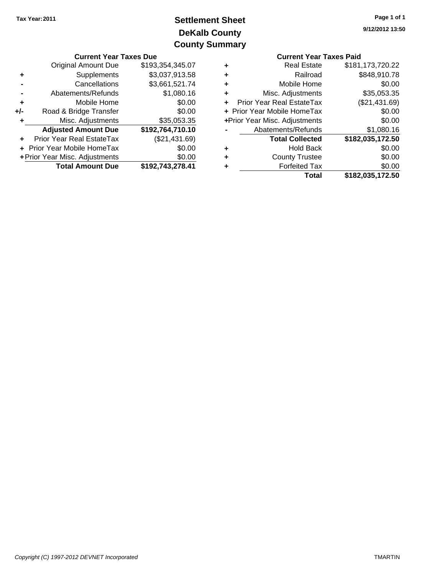# **DeKalb County Settlement Sheet Tax Year:2011 County Summary**

|                                             | <b>Current Year Taxes Due</b>           |                  |                       | <b>Current Year Taxes Paid</b>   |                  |  |
|---------------------------------------------|-----------------------------------------|------------------|-----------------------|----------------------------------|------------------|--|
|                                             | \$193,354,345.07<br>Original Amount Due |                  | ٠                     | <b>Real Estate</b>               | \$181,173,720.22 |  |
|                                             | Supplements                             | \$3,037,913.58   | ٠                     | Railroad                         | \$848,910.78     |  |
|                                             | Cancellations                           | \$3,661,521.74   | ٠                     | Mobile Home                      | \$0.00           |  |
|                                             | Abatements/Refunds                      | \$1,080.16       | ٠                     | Misc. Adjustments                | \$35,053.35      |  |
|                                             | Mobile Home                             | \$0.00           | ÷.                    | <b>Prior Year Real EstateTax</b> | (\$21,431.69)    |  |
| $+/-$                                       | Road & Bridge Transfer                  | \$0.00           |                       | + Prior Year Mobile HomeTax      | \$0.00           |  |
|                                             | Misc. Adjustments                       | \$35,053.35      |                       | +Prior Year Misc. Adjustments    | \$0.00           |  |
|                                             | <b>Adjusted Amount Due</b>              | \$192,764,710.10 |                       | Abatements/Refunds               | \$1,080.16       |  |
|                                             | <b>Prior Year Real EstateTax</b>        | (\$21,431.69)    |                       | <b>Total Collected</b>           | \$182,035,172.50 |  |
| + Prior Year Mobile HomeTax<br>\$0.00       |                                         | ٠                | <b>Hold Back</b>      | \$0.00                           |                  |  |
| + Prior Year Misc. Adjustments<br>\$0.00    |                                         | ٠                | <b>County Trustee</b> | \$0.00                           |                  |  |
| \$192,743,278.41<br><b>Total Amount Due</b> |                                         |                  | ٠                     | <b>Forfeited Tax</b>             | \$0.00           |  |
|                                             |                                         |                  |                       | Total                            | \$182 035 172 50 |  |

|   | <b>Current Year Taxes Paid</b> |                  |
|---|--------------------------------|------------------|
| ÷ | <b>Real Estate</b>             | \$181,173,720.22 |
|   | Railroad                       | \$848,910.78     |
|   | Mobile Home                    | \$0.00           |
| ÷ | Misc. Adjustments              | \$35,053.35      |
|   | Prior Year Real EstateTax      | (\$21,431.69)    |
|   | + Prior Year Mobile HomeTax    | \$0.00           |
|   | +Prior Year Misc. Adjustments  | \$0.00           |
|   | Abatements/Refunds             | \$1,080.16       |
|   | <b>Total Collected</b>         | \$182,035,172.50 |
|   | <b>Hold Back</b>               | \$0.00           |
|   | <b>County Trustee</b>          | \$0.00           |
|   | <b>Forfeited Tax</b>           | \$0.00           |
|   | Total                          | \$182,035,172.50 |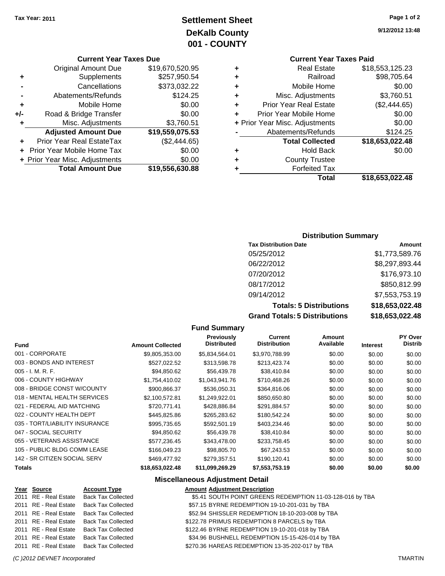# **Settlement Sheet Tax Year: 2011 Page 1 of 2 DeKalb County 001 - COUNTY**

#### **Current Year Taxes Due**

|       | <b>Original Amount Due</b>        | \$19,670,520.95 |
|-------|-----------------------------------|-----------------|
| ٠     | Supplements                       | \$257,950.54    |
|       | Cancellations                     | \$373,032.22    |
|       | Abatements/Refunds                | \$124.25        |
| ٠     | Mobile Home                       | \$0.00          |
| $+/-$ | Road & Bridge Transfer            | \$0.00          |
| ٠     | Misc. Adjustments                 | \$3,760.51      |
|       | <b>Adjusted Amount Due</b>        | \$19,559,075.53 |
|       | Prior Year Real EstateTax         | (\$2,444.65)    |
|       | <b>Prior Year Mobile Home Tax</b> | \$0.00          |
|       | + Prior Year Misc. Adjustments    | \$0.00          |
|       | <b>Total Amount Due</b>           | \$19,556,630.88 |

## **Current Year Taxes Paid**

|   | Total                          | \$18,653,022.48 |
|---|--------------------------------|-----------------|
| ٠ | <b>Forfeited Tax</b>           |                 |
| ٠ | <b>County Trustee</b>          |                 |
| ٠ | <b>Hold Back</b>               | \$0.00          |
|   | <b>Total Collected</b>         | \$18,653,022.48 |
|   | Abatements/Refunds             | \$124.25        |
|   | + Prior Year Misc. Adjustments | \$0.00          |
| ÷ | Prior Year Mobile Home         | \$0.00          |
| ٠ | <b>Prior Year Real Estate</b>  | (\$2,444.65)    |
| ٠ | Misc. Adjustments              | \$3,760.51      |
| ٠ | Mobile Home                    | \$0.00          |
| ٠ | Railroad                       | \$98,705.64     |
| ٠ | <b>Real Estate</b>             | \$18,553,125.23 |

#### **Distribution Summary**

| <b>Tax Distribution Date</b>         | Amount          |
|--------------------------------------|-----------------|
| 05/25/2012                           | \$1,773,589.76  |
| 06/22/2012                           | \$8,297,893.44  |
| 07/20/2012                           | \$176,973.10    |
| 08/17/2012                           | \$850,812.99    |
| 09/14/2012                           | \$7,553,753.19  |
| <b>Totals: 5 Distributions</b>       | \$18,653,022.48 |
| <b>Grand Totals: 5 Distributions</b> | \$18,653,022.48 |

#### **Fund Summary**

| <b>Fund</b>                    | <b>Amount Collected</b> | Previously<br><b>Distributed</b> | Current<br><b>Distribution</b> | Amount<br>Available | <b>Interest</b> | <b>PY Over</b><br>Distrib |
|--------------------------------|-------------------------|----------------------------------|--------------------------------|---------------------|-----------------|---------------------------|
| 001 - CORPORATE                | \$9,805,353.00          | \$5.834,564.01                   | \$3,970,788.99                 | \$0.00              | \$0.00          | \$0.00                    |
| 003 - BONDS AND INTEREST       | \$527,022.52            | \$313,598.78                     | \$213,423.74                   | \$0.00              | \$0.00          | \$0.00                    |
| $005 - I. M. R. F.$            | \$94,850.62             | \$56,439.78                      | \$38,410.84                    | \$0.00              | \$0.00          | \$0.00                    |
| 006 - COUNTY HIGHWAY           | \$1,754,410.02          | \$1,043,941.76                   | \$710,468.26                   | \$0.00              | \$0.00          | \$0.00                    |
| 008 - BRIDGE CONST W/COUNTY    | \$900,866.37            | \$536,050.31                     | \$364,816.06                   | \$0.00              | \$0.00          | \$0.00                    |
| 018 - MENTAL HEALTH SERVICES   | \$2,100,572.81          | \$1,249,922.01                   | \$850,650.80                   | \$0.00              | \$0.00          | \$0.00                    |
| 021 - FEDERAL AID MATCHING     | \$720,771.41            | \$428,886.84                     | \$291,884.57                   | \$0.00              | \$0.00          | \$0.00                    |
| 022 - COUNTY HEALTH DEPT       | \$445,825,86            | \$265,283,62                     | \$180,542.24                   | \$0.00              | \$0.00          | \$0.00                    |
| 035 - TORT/LIABILITY INSURANCE | \$995,735.65            | \$592,501.19                     | \$403,234.46                   | \$0.00              | \$0.00          | \$0.00                    |
| 047 - SOCIAL SECURITY          | \$94,850.62             | \$56,439.78                      | \$38,410.84                    | \$0.00              | \$0.00          | \$0.00                    |
| 055 - VETERANS ASSISTANCE      | \$577,236.45            | \$343,478.00                     | \$233,758.45                   | \$0.00              | \$0.00          | \$0.00                    |
| 105 - PUBLIC BLDG COMM LEASE   | \$166,049.23            | \$98,805.70                      | \$67.243.53                    | \$0.00              | \$0.00          | \$0.00                    |
| 142 - SR CITIZEN SOCIAL SERV   | \$469,477.92            | \$279,357.51                     | \$190,120.41                   | \$0.00              | \$0.00          | \$0.00                    |
| Totals                         | \$18,653,022.48         | \$11,099,269.29                  | \$7,553,753.19                 | \$0.00              | \$0.00          | \$0.00                    |

## **Miscellaneous Adjustment Detail**

| Year Source | <b>Account Type</b>                      | <b>Amount Adjustment Description</b>                      |
|-------------|------------------------------------------|-----------------------------------------------------------|
|             | 2011 RE - Real Estate Back Tax Collected | \$5.41 SOUTH POINT GREENS REDEMPTION 11-03-128-016 by TBA |
|             | 2011 RE - Real Estate Back Tax Collected | \$57.15 BYRNE REDEMPTION 19-10-201-031 by TBA             |
|             | 2011 RE - Real Estate Back Tax Collected | \$52.94 SHISSLER REDEMPTION 18-10-203-008 by TBA          |
|             | 2011 RE - Real Estate Back Tax Collected | \$122.78 PRIMUS REDEMPTION 8 PARCELS by TBA               |
|             | 2011 RE - Real Estate Back Tax Collected | \$122.46 BYRNE REDEMPTION 19-10-201-018 by TBA            |
|             | 2011 RE - Real Estate Back Tax Collected | \$34.96 BUSHNELL REDEMPTION 15-15-426-014 by TBA          |
|             | 2011 RE - Real Estate Back Tax Collected | \$270.36 HAREAS REDEMPTION 13-35-202-017 by TBA           |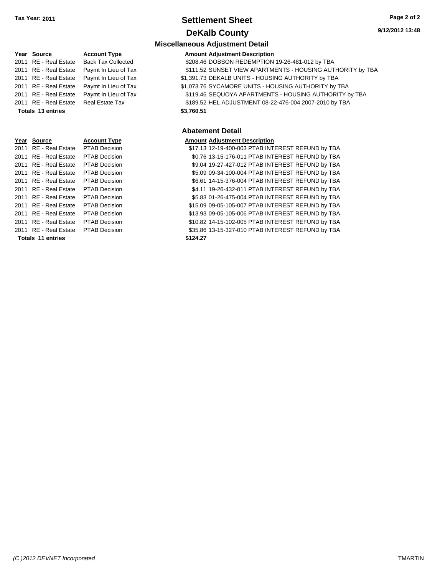## **Settlement Sheet Tax Year: 2011 Page 2 of 2 DeKalb County**

#### **9/12/2012 13:48**

|                          |                           | <b>Miscellaneous Adjustment Detail</b>                     |
|--------------------------|---------------------------|------------------------------------------------------------|
| Year Source              | <b>Account Type</b>       | <b>Amount Adjustment Description</b>                       |
| 2011 RE - Real Estate    | <b>Back Tax Collected</b> | \$208.46 DOBSON REDEMPTION 19-26-481-012 by TBA            |
| 2011 RE - Real Estate    | Paymt In Lieu of Tax      | \$111.52 SUNSET VIEW APARTMENTS - HOUSING AUTHORITY by TBA |
| 2011 RE - Real Estate    | Paymt In Lieu of Tax      | \$1,391.73 DEKALB UNITS - HOUSING AUTHORITY by TBA         |
| 2011 RE - Real Estate    | Paymt In Lieu of Tax      | \$1,073.76 SYCAMORE UNITS - HOUSING AUTHORITY by TBA       |
| 2011 RE - Real Estate    | Paymt In Lieu of Tax      | \$119.46 SEQUOYA APARTMENTS - HOUSING AUTHORITY by TBA     |
| 2011 RE - Real Estate    | <b>Real Estate Tax</b>    | \$189.52 HEL ADJUSTMENT 08-22-476-004 2007-2010 by TBA     |
| <b>Totals 13 entries</b> |                           | \$3,760.51                                                 |
|                          |                           |                                                            |
|                          |                           | <b>Abatement Detail</b>                                    |
| Year Source              | <b>Account Type</b>       | <b>Amount Adjustment Description</b>                       |
| 2011 RE - Real Estate    | <b>PTAB Decision</b>      | \$17.13 12-19-400-003 PTAB INTEREST REFUND by TBA          |
| 2011 RE - Real Estate    | <b>PTAB Decision</b>      | \$0.76 13-15-176-011 PTAB INTEREST REFUND by TBA           |
| 2011 RE - Real Estate    | <b>PTAB Decision</b>      | \$9.04 19-27-427-012 PTAB INTEREST REFUND by TBA           |
| 2011 RE - Real Estate    | <b>PTAB Decision</b>      | \$5.09 09-34-100-004 PTAB INTEREST REFUND by TBA           |
| 2011 RE - Real Estate    | PTAB Decision             | \$6.61 14-15-376-004 PTAB INTEREST REFUND by TBA           |
| 2011 RE - Real Estate    | <b>PTAB Decision</b>      | \$4.11 19-26-432-011 PTAB INTEREST REFUND by TBA           |
| 2011 RE - Real Estate    | PTAB Decision             | \$5.83 01-26-475-004 PTAB INTEREST REFUND by TBA           |
| 2011 RE - Real Estate    | <b>PTAB Decision</b>      | \$15.09 09-05-105-007 PTAB INTEREST REFUND by TBA          |
| 2011 RE - Real Estate    | <b>PTAB Decision</b>      | \$13.93 09-05-105-006 PTAB INTEREST REFUND by TBA          |
| 2011 RE - Real Estate    | <b>PTAB Decision</b>      | \$10.82 14-15-102-005 PTAB INTEREST REFUND by TBA          |
| 2011 RE - Real Estate    | <b>PTAB Decision</b>      | \$35.86 13-15-327-010 PTAB INTEREST REFUND by TBA          |

**Totals \$124.27 11 entries**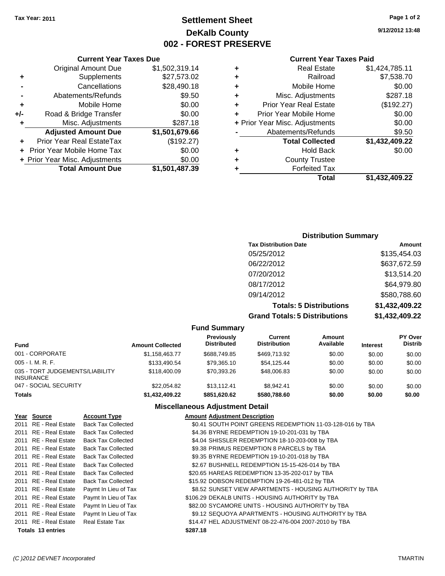## **Settlement Sheet Tax Year: 2011 Page 1 of 2 DeKalb County 002 - FOREST PRESERVE**

**9/12/2012 13:48**

#### **Current Year Taxes Paid**

| ٠ | <b>Real Estate</b>             | \$1,424,785.11 |
|---|--------------------------------|----------------|
| ٠ | Railroad                       | \$7,538.70     |
| ٠ | Mobile Home                    | \$0.00         |
| ٠ | Misc. Adjustments              | \$287.18       |
| ٠ | <b>Prior Year Real Estate</b>  | (\$192.27)     |
| ÷ | Prior Year Mobile Home         | \$0.00         |
|   | + Prior Year Misc. Adjustments | \$0.00         |
|   | Abatements/Refunds             | \$9.50         |
|   | <b>Total Collected</b>         | \$1,432,409.22 |
|   | <b>Hold Back</b>               | \$0.00         |
| ÷ | <b>County Trustee</b>          |                |
|   | <b>Forfeited Tax</b>           |                |
|   | Total                          | \$1.432.409.22 |

#### **Current Year Taxes Due** Original Amount Due \$1,502,319.14 **+** Supplements \$27,573.02 **-** Cancellations \$28,490.18 **-** Abatements/Refunds \$9.50 **+** Mobile Home \$0.00 **+/-** Road & Bridge Transfer \$0.00 **+** Misc. Adjustments \$287.18 **Adjusted Amount Due \$1,501,679.66 +** Prior Year Real EstateTax (\$192.27) **+** Prior Year Mobile Home Tax \$0.00 **+ Prior Year Misc. Adjustments**  $$0.00$ **Total Amount Due \$1,501,487.39**

#### **Distribution Summary**

| <b>Tax Distribution Date</b>         | Amount         |
|--------------------------------------|----------------|
| 05/25/2012                           | \$135,454.03   |
| 06/22/2012                           | \$637,672.59   |
| 07/20/2012                           | \$13,514.20    |
| 08/17/2012                           | \$64,979.80    |
| 09/14/2012                           | \$580,788.60   |
| <b>Totals: 5 Distributions</b>       | \$1,432,409.22 |
| <b>Grand Totals: 5 Distributions</b> | \$1,432,409.22 |

#### **Fund Summary**

| <b>Fund</b>                                         | <b>Amount Collected</b> | Previously<br><b>Distributed</b> | Current<br><b>Distribution</b> | <b>Amount</b><br>Available | <b>Interest</b> | <b>PY Over</b><br><b>Distrib</b> |
|-----------------------------------------------------|-------------------------|----------------------------------|--------------------------------|----------------------------|-----------------|----------------------------------|
| 001 - CORPORATE                                     | \$1,158,463.77          | \$688.749.85                     | \$469,713.92                   | \$0.00                     | \$0.00          | \$0.00                           |
| $005 - I. M. R. F.$                                 | \$133,490.54            | \$79.365.10                      | \$54,125.44                    | \$0.00                     | \$0.00          | \$0.00                           |
| 035 - TORT JUDGEMENTS/LIABILITY<br><b>INSURANCE</b> | \$118,400.09            | \$70.393.26                      | \$48,006.83                    | \$0.00                     | \$0.00          | \$0.00                           |
| 047 - SOCIAL SECURITY                               | \$22.054.82             | \$13.112.41                      | \$8.942.41                     | \$0.00                     | \$0.00          | \$0.00                           |
| <b>Totals</b>                                       | \$1,432,409.22          | \$851,620.62                     | \$580,788.60                   | \$0.00                     | \$0.00          | \$0.00                           |

#### **Miscellaneous Adjustment Detail**

| Year Source           | <b>Account Type</b>       | <b>Amount Adjustment Description</b>                      |
|-----------------------|---------------------------|-----------------------------------------------------------|
| 2011 RE - Real Estate | <b>Back Tax Collected</b> | \$0.41 SOUTH POINT GREENS REDEMPTION 11-03-128-016 by TBA |
| 2011 RE - Real Estate | <b>Back Tax Collected</b> | \$4.36 BYRNE REDEMPTION 19-10-201-031 by TBA              |
| 2011 RE - Real Estate | <b>Back Tax Collected</b> | \$4.04 SHISSLER REDEMPTION 18-10-203-008 by TBA           |
| 2011 RE - Real Estate | <b>Back Tax Collected</b> | \$9.38 PRIMUS REDEMPTION 8 PARCELS by TBA                 |
| 2011 RE - Real Estate | <b>Back Tax Collected</b> | \$9.35 BYRNE REDEMPTION 19-10-201-018 by TBA              |
| 2011 RE - Real Estate | <b>Back Tax Collected</b> | \$2.67 BUSHNELL REDEMPTION 15-15-426-014 by TBA           |
| 2011 RE - Real Estate | <b>Back Tax Collected</b> | \$20.65 HAREAS REDEMPTION 13-35-202-017 by TBA            |
| 2011 RE - Real Estate | <b>Back Tax Collected</b> | \$15.92 DOBSON REDEMPTION 19-26-481-012 by TBA            |
| 2011 RE - Real Estate | Paymt In Lieu of Tax      | \$8.52 SUNSET VIEW APARTMENTS - HOUSING AUTHORITY by TBA  |
| 2011 RE - Real Estate | Paymt In Lieu of Tax      | \$106.29 DEKALB UNITS - HOUSING AUTHORITY by TBA          |
| 2011 RE - Real Estate | Paymt In Lieu of Tax      | \$82.00 SYCAMORE UNITS - HOUSING AUTHORITY by TBA         |
| 2011 RE - Real Estate | Paymt In Lieu of Tax      | \$9.12 SEQUOYA APARTMENTS - HOUSING AUTHORITY by TBA      |
| 2011 RE - Real Estate | <b>Real Estate Tax</b>    | \$14.47 HEL ADJUSTMENT 08-22-476-004 2007-2010 by TBA     |
| Totals 13 entries     |                           | \$287.18                                                  |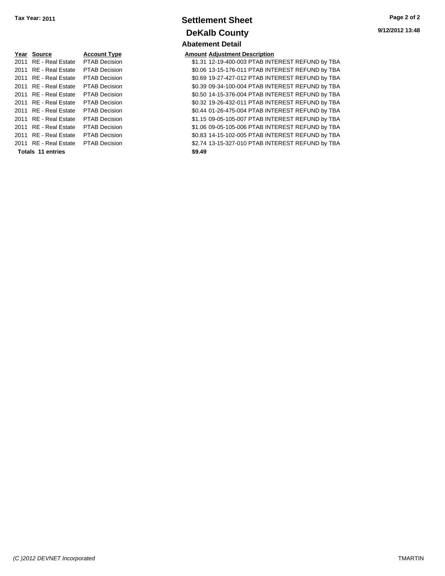|      | Year Source              | <b>Account Type</b>  | Amount |
|------|--------------------------|----------------------|--------|
| 2011 | <b>RE</b> - Real Estate  | <b>PTAB Decision</b> | \$1.31 |
|      | 2011 RE - Real Estate    | <b>PTAB Decision</b> | \$0.06 |
|      | 2011 RE - Real Estate    | <b>PTAB Decision</b> | \$0.69 |
|      | 2011 RE - Real Estate    | <b>PTAB Decision</b> | \$0.39 |
|      | 2011 RE - Real Estate    | <b>PTAB Decision</b> | \$0.50 |
|      | 2011 RE - Real Estate    | <b>PTAB Decision</b> | \$0.32 |
|      | 2011 RE - Real Estate    | <b>PTAB Decision</b> | \$0.44 |
|      | 2011 RE - Real Estate    | <b>PTAB Decision</b> | \$1.15 |
|      | 2011 RE - Real Estate    | <b>PTAB Decision</b> | \$1.06 |
|      | 2011 RE - Real Estate    | <b>PTAB Decision</b> | \$0.83 |
|      | 2011 RE - Real Estate    | <b>PTAB Decision</b> | \$2.74 |
|      | <b>Totals 11 entries</b> |                      | \$9.49 |

# **Settlement Sheet Tax Year: 2011 Page 2 of 2 DeKalb County Abatement Detail**

#### **Amount Adjustment Description**

\$1.31 12-19-400-003 PTAB INTEREST REFUND by TBA \$0.06 13-15-176-011 PTAB INTEREST REFUND by TBA \$0.69 19-27-427-012 PTAB INTEREST REFUND by TBA \$0.39 09-34-100-004 PTAB INTEREST REFUND by TBA \$0.50 14-15-376-004 PTAB INTEREST REFUND by TBA \$0.32 19-26-432-011 PTAB INTEREST REFUND by TBA \$0.44 01-26-475-004 PTAB INTEREST REFUND by TBA \$1.15 09-05-105-007 PTAB INTEREST REFUND by TBA \$1.06 09-05-105-006 PTAB INTEREST REFUND by TBA \$0.83 14-15-102-005 PTAB INTEREST REFUND by TBA \$2.74 13-15-327-010 PTAB INTEREST REFUND by TBA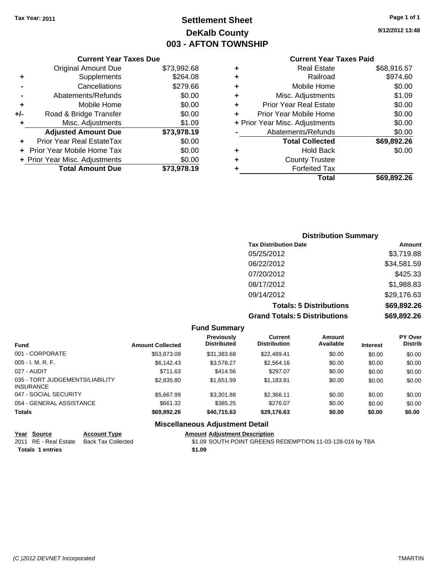# **Settlement Sheet Tax Year: 2011 Page 1 of 1 DeKalb County 003 - AFTON TOWNSHIP**

**9/12/2012 13:48**

#### **Current Year Taxes Paid**

|     | <b>Current Year Taxes Due</b>     |             |
|-----|-----------------------------------|-------------|
|     | <b>Original Amount Due</b>        | \$73,992.68 |
| ٠   | Supplements                       | \$264.08    |
|     | Cancellations                     | \$279.66    |
|     | Abatements/Refunds                | \$0.00      |
| ٠   | Mobile Home                       | \$0.00      |
| +/- | Road & Bridge Transfer            | \$0.00      |
| ٠   | Misc. Adjustments                 | \$1.09      |
|     | <b>Adjusted Amount Due</b>        | \$73,978.19 |
|     | Prior Year Real EstateTax         | \$0.00      |
|     | <b>Prior Year Mobile Home Tax</b> | \$0.00      |
|     | + Prior Year Misc. Adjustments    | \$0.00      |
|     | <b>Total Amount Due</b>           | \$73,978.19 |
|     |                                   |             |

| ٠ | <b>Real Estate</b>             | \$68,916.57 |
|---|--------------------------------|-------------|
| ٠ | Railroad                       | \$974.60    |
| ٠ | Mobile Home                    | \$0.00      |
| ٠ | Misc. Adjustments              | \$1.09      |
| ÷ | <b>Prior Year Real Estate</b>  | \$0.00      |
|   | Prior Year Mobile Home         | \$0.00      |
|   | + Prior Year Misc. Adjustments | \$0.00      |
|   | Abatements/Refunds             | \$0.00      |
|   | <b>Total Collected</b>         | \$69,892.26 |
| ٠ | Hold Back                      | \$0.00      |
|   | <b>County Trustee</b>          |             |
| ٠ | <b>Forfeited Tax</b>           |             |
|   | Total                          | \$69,892,26 |
|   |                                |             |

| <b>Distribution Summary</b>          |             |
|--------------------------------------|-------------|
| <b>Tax Distribution Date</b>         | Amount      |
| 05/25/2012                           | \$3,719.88  |
| 06/22/2012                           | \$34,581.59 |
| 07/20/2012                           | \$425.33    |
| 08/17/2012                           | \$1,988.83  |
| 09/14/2012                           | \$29,176.63 |
| <b>Totals: 5 Distributions</b>       | \$69,892.26 |
| <b>Grand Totals: 5 Distributions</b> | \$69,892.26 |

|                                                     |                         | <b>Fund Summary</b>                     |                                       |                            |                 |                                  |
|-----------------------------------------------------|-------------------------|-----------------------------------------|---------------------------------------|----------------------------|-----------------|----------------------------------|
| <b>Fund</b>                                         | <b>Amount Collected</b> | <b>Previously</b><br><b>Distributed</b> | <b>Current</b><br><b>Distribution</b> | <b>Amount</b><br>Available | <b>Interest</b> | <b>PY Over</b><br><b>Distrib</b> |
| 001 - CORPORATE                                     | \$53.873.09             | \$31,383.68                             | \$22,489.41                           | \$0.00                     | \$0.00          | \$0.00                           |
| $005 - I. M. R. F.$                                 | \$6,142.43              | \$3,578.27                              | \$2,564.16                            | \$0.00                     | \$0.00          | \$0.00                           |
| 027 - AUDIT                                         | \$711.63                | \$414.56                                | \$297.07                              | \$0.00                     | \$0.00          | \$0.00                           |
| 035 - TORT JUDGEMENTS/LIABILITY<br><b>INSURANCE</b> | \$2,835.80              | \$1.651.99                              | \$1,183.81                            | \$0.00                     | \$0.00          | \$0.00                           |
| 047 - SOCIAL SECURITY                               | \$5,667.99              | \$3,301.88                              | \$2.366.11                            | \$0.00                     | \$0.00          | \$0.00                           |
| 054 - GENERAL ASSISTANCE                            | \$661.32                | \$385.25                                | \$276.07                              | \$0.00                     | \$0.00          | \$0.00                           |
| <b>Totals</b>                                       | \$69,892.26             | \$40,715.63                             | \$29,176.63                           | \$0.00                     | \$0.00          | \$0.00                           |
|                                                     |                         | <b>Miscellaneous Adjustment Detail</b>  |                                       |                            |                 |                                  |

| Year Source             | <b>Account Type</b> | <b>Amount Adjustment Description</b>                      |
|-------------------------|---------------------|-----------------------------------------------------------|
| 2011 RE - Real Estate   | Back Tax Collected  | \$1.09 SOUTH POINT GREENS REDEMPTION 11-03-128-016 by TBA |
| <b>Totals 1 entries</b> |                     | \$1.09                                                    |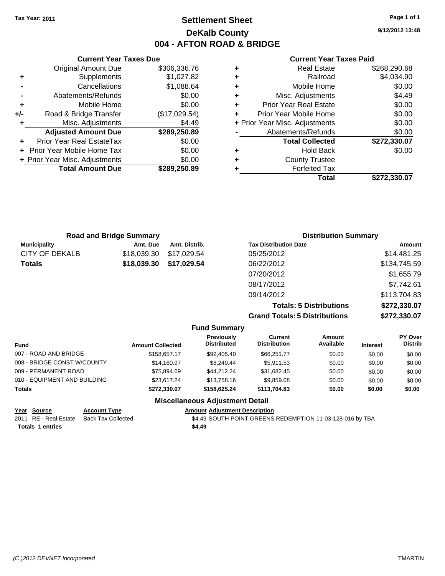## **Settlement Sheet Tax Year: 2011 Page 1 of 1 DeKalb County 004 - AFTON ROAD & BRIDGE**

**9/12/2012 13:48**

#### **Current Year Taxes Paid**

|     | <b>Current Year Taxes Due</b>  |               |  |  |  |
|-----|--------------------------------|---------------|--|--|--|
|     | <b>Original Amount Due</b>     | \$306,336.76  |  |  |  |
| ٠   | Supplements                    | \$1,027.82    |  |  |  |
|     | Cancellations                  | \$1,088.64    |  |  |  |
|     | Abatements/Refunds             | \$0.00        |  |  |  |
| ٠   | Mobile Home                    | \$0.00        |  |  |  |
| +/- | Road & Bridge Transfer         | (\$17,029.54) |  |  |  |
|     | Misc. Adjustments              | \$4.49        |  |  |  |
|     | <b>Adjusted Amount Due</b>     | \$289,250.89  |  |  |  |
|     | Prior Year Real EstateTax      | \$0.00        |  |  |  |
|     | Prior Year Mobile Home Tax     | \$0.00        |  |  |  |
|     | + Prior Year Misc. Adjustments | \$0.00        |  |  |  |
|     | <b>Total Amount Due</b>        | \$289,250.89  |  |  |  |
|     |                                |               |  |  |  |

| <b>Real Estate</b>            | \$268,290.68                   |
|-------------------------------|--------------------------------|
| Railroad                      | \$4,034.90                     |
| Mobile Home                   | \$0.00                         |
| Misc. Adjustments             | \$4.49                         |
| <b>Prior Year Real Estate</b> | \$0.00                         |
| Prior Year Mobile Home        | \$0.00                         |
|                               | \$0.00                         |
| Abatements/Refunds            | \$0.00                         |
| <b>Total Collected</b>        | \$272,330.07                   |
| <b>Hold Back</b>              | \$0.00                         |
| <b>County Trustee</b>         |                                |
| <b>Forfeited Tax</b>          |                                |
| Total                         | \$272,330.07                   |
|                               | + Prior Year Misc. Adjustments |

|                       | <b>Road and Bridge Summary</b> |               | <b>Distribution Summary</b>    |              |
|-----------------------|--------------------------------|---------------|--------------------------------|--------------|
| <b>Municipality</b>   | Amt. Due                       | Amt. Distrib. | <b>Tax Distribution Date</b>   | Amount       |
| <b>CITY OF DEKALB</b> | \$18,039.30                    | \$17,029.54   | 05/25/2012                     | \$14,481.25  |
| <b>Totals</b>         | \$18,039.30                    | \$17,029.54   | 06/22/2012                     | \$134,745.59 |
|                       |                                |               | 07/20/2012                     | \$1,655.79   |
|                       |                                |               | 08/17/2012                     | \$7,742.61   |
|                       |                                |               | 09/14/2012                     | \$113,704.83 |
|                       |                                |               | <b>Totals: 5 Distributions</b> | \$272,330.07 |
|                       |                                |               |                                |              |

**Grand Totals: 5 Distributions \$272,330.07**

|                              |                         | <b>Fund Summary</b>                    |                                       |                     |                 |                                  |
|------------------------------|-------------------------|----------------------------------------|---------------------------------------|---------------------|-----------------|----------------------------------|
| <b>Fund</b>                  | <b>Amount Collected</b> | Previously<br><b>Distributed</b>       | <b>Current</b><br><b>Distribution</b> | Amount<br>Available | <b>Interest</b> | <b>PY Over</b><br><b>Distrib</b> |
| 007 - ROAD AND BRIDGE        | \$158,657.17            | \$92,405,40                            | \$66,251.77                           | \$0.00              | \$0.00          | \$0.00                           |
| 008 - BRIDGE CONST W/COUNTY  | \$14,160.97             | \$8,249.44                             | \$5,911.53                            | \$0.00              | \$0.00          | \$0.00                           |
| 009 - PERMANENT ROAD         | \$75.894.69             | \$44.212.24                            | \$31,682.45                           | \$0.00              | \$0.00          | \$0.00                           |
| 010 - EQUIPMENT AND BUILDING | \$23.617.24             | \$13,758,16                            | \$9,859.08                            | \$0.00              | \$0.00          | \$0.00                           |
| Totals                       | \$272,330.07            | \$158,625.24                           | \$113,704.83                          | \$0.00              | \$0.00          | \$0.00                           |
|                              |                         | <b>Miscellaneous Adjustment Detail</b> |                                       |                     |                 |                                  |

| Year Source             | <b>Account Type</b>       | <b>Amount Adjust</b> |
|-------------------------|---------------------------|----------------------|
| 2011 RE - Real Estate   | <b>Back Tax Collected</b> | \$4.49 SOUTH         |
| <b>Totals 1 entries</b> |                           | \$4.49               |

**<u><del>Iment Description</u>**</u></del> H POINT GREENS REDEMPTION 11-03-128-016 by TBA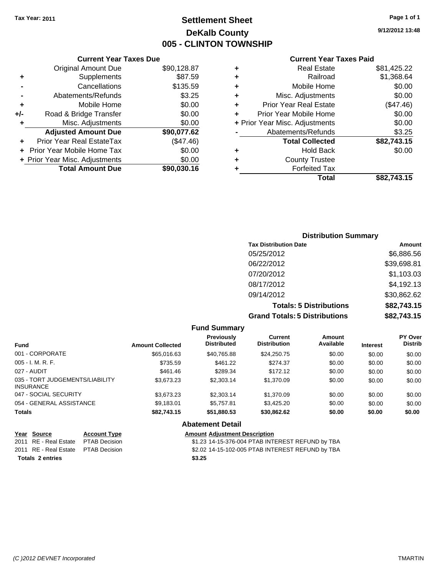**Current Year Taxes Due** Original Amount Due \$90,128.87

**Adjusted Amount Due \$90,077.62**

**Total Amount Due \$90,030.16**

**+** Supplements \$87.59 **-** Cancellations \$135.59 **-** Abatements/Refunds \$3.25 **+** Mobile Home \$0.00 **+/-** Road & Bridge Transfer \$0.00 **+** Misc. Adjustments \$0.00

**+** Prior Year Real EstateTax (\$47.46) **+** Prior Year Mobile Home Tax \$0.00 **+ Prior Year Misc. Adjustments**  $$0.00$ 

## **Settlement Sheet Tax Year: 2011 Page 1 of 1 DeKalb County 005 - CLINTON TOWNSHIP**

**9/12/2012 13:48**

#### **Current Year Taxes Paid**

## **Distribution Summary Tax Distribution Date Amount** 05/25/2012 \$6,886.56 06/22/2012 \$39,698.81 07/20/2012 \$1,103.03 08/17/2012 \$4,192.13 09/14/2012 \$30,862.62 **Totals: 5 Distributions \$82,743.15 Grand Totals: 5 Distributions \$82,743.15**

|                                                     |                         | <b>Fund Summary</b>                     |                                |                     |                 |                           |
|-----------------------------------------------------|-------------------------|-----------------------------------------|--------------------------------|---------------------|-----------------|---------------------------|
| <b>Fund</b>                                         | <b>Amount Collected</b> | <b>Previously</b><br><b>Distributed</b> | Current<br><b>Distribution</b> | Amount<br>Available | <b>Interest</b> | PY Over<br><b>Distrib</b> |
| 001 - CORPORATE                                     | \$65,016.63             | \$40,765.88                             | \$24.250.75                    | \$0.00              | \$0.00          | \$0.00                    |
| $005 - I. M. R. F.$                                 | \$735.59                | \$461.22                                | \$274.37                       | \$0.00              | \$0.00          | \$0.00                    |
| 027 - AUDIT                                         | \$461.46                | \$289.34                                | \$172.12                       | \$0.00              | \$0.00          | \$0.00                    |
| 035 - TORT JUDGEMENTS/LIABILITY<br><b>INSURANCE</b> | \$3,673.23              | \$2,303.14                              | \$1,370.09                     | \$0.00              | \$0.00          | \$0.00                    |
| 047 - SOCIAL SECURITY                               | \$3.673.23              | \$2,303.14                              | \$1,370.09                     | \$0.00              | \$0.00          | \$0.00                    |
| 054 - GENERAL ASSISTANCE                            | \$9,183.01              | \$5,757.81                              | \$3,425.20                     | \$0.00              | \$0.00          | \$0.00                    |
| <b>Totals</b>                                       | \$82,743.15             | \$51,880.53                             | \$30.862.62                    | \$0.00              | \$0.00          | \$0.00                    |
|                                                     |                         | <b>Abatement Detail</b>                 |                                |                     |                 |                           |
| Year Source<br><b>Account Type</b>                  |                         | <b>Amount Adiustment Description</b>    |                                |                     |                 |                           |

| 2011 RE - Real Estate PTAB Decision | \$1.23 |
|-------------------------------------|--------|
| 2011 RE - Real Estate PTAB Decision | \$2.02 |
| <b>Totals 2 entries</b>             | \$3.25 |

\$1.23 14-15-376-004 PTAB INTEREST REFUND by TBA \$2.02 14-15-102-005 PTAB INTEREST REFUND by TBA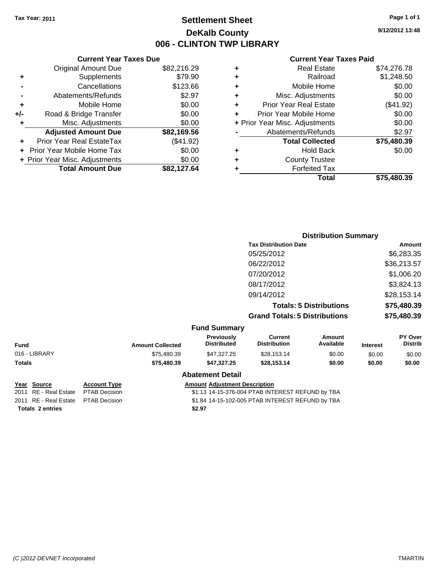## **Settlement Sheet Tax Year: 2011 Page 1 of 1 DeKalb County 006 - CLINTON TWP LIBRARY**

#### **Current Year Taxes Due** Original Amount Due \$82,216.29 **+** Supplements \$79.90 **-** Cancellations \$123.66 **-** Abatements/Refunds \$2.97 **+** Mobile Home \$0.00 **+/-** Road & Bridge Transfer \$0.00 **+** Misc. Adjustments \$0.00 **Adjusted Amount Due \$82,169.56 +** Prior Year Real EstateTax (\$41.92) **+** Prior Year Mobile Home Tax \$0.00 **+ Prior Year Misc. Adjustments**  $$0.00$ **Total Amount Due \$82,127.64**

#### **Current Year Taxes Paid**

| ٠ | <b>Real Estate</b>             | \$74,276.78 |
|---|--------------------------------|-------------|
| ٠ | Railroad                       | \$1,248.50  |
| ٠ | Mobile Home                    | \$0.00      |
| ٠ | Misc. Adjustments              | \$0.00      |
| ٠ | <b>Prior Year Real Estate</b>  | (\$41.92)   |
| ÷ | Prior Year Mobile Home         | \$0.00      |
|   | + Prior Year Misc. Adjustments | \$0.00      |
|   | Abatements/Refunds             | \$2.97      |
|   | <b>Total Collected</b>         | \$75,480.39 |
| ٠ | Hold Back                      | \$0.00      |
| ٠ | <b>County Trustee</b>          |             |
| ٠ | <b>Forfeited Tax</b>           |             |
|   | Total                          | \$75,480.39 |
|   |                                |             |

|               |                         | <b>Distribution Summary</b>      |                                      |                                |                 |                           |
|---------------|-------------------------|----------------------------------|--------------------------------------|--------------------------------|-----------------|---------------------------|
|               |                         |                                  | <b>Tax Distribution Date</b>         |                                |                 | Amount                    |
|               |                         |                                  | 05/25/2012                           |                                |                 | \$6,283.35                |
|               |                         |                                  | 06/22/2012                           |                                |                 | \$36,213.57               |
|               |                         |                                  | 07/20/2012                           |                                |                 | \$1,006.20                |
|               |                         |                                  | 08/17/2012                           |                                |                 | \$3,824.13                |
|               |                         |                                  | 09/14/2012                           |                                |                 | \$28,153.14               |
|               |                         |                                  |                                      | <b>Totals: 5 Distributions</b> |                 | \$75,480.39               |
|               |                         |                                  | <b>Grand Totals: 5 Distributions</b> |                                |                 | \$75,480.39               |
|               |                         | <b>Fund Summary</b>              |                                      |                                |                 |                           |
| <b>Fund</b>   | <b>Amount Collected</b> | Previously<br><b>Distributed</b> | Current<br><b>Distribution</b>       | Amount<br>Available            | <b>Interest</b> | PY Over<br><b>Distrib</b> |
| 016 - LIBRARY | \$75,480.39             | \$47,327.25                      | \$28,153.14                          | \$0.00                         | \$0.00          | \$0.00                    |
| Totals        | \$75,480.39             | \$47,327.25                      | \$28,153.14                          | \$0.00                         | \$0.00          | \$0.00                    |
|               |                         | <b>Abatement Detail</b>          |                                      |                                |                 |                           |

**Totals \$2.97 2 entries**

#### **Year Source Account Type Amount Adjustment Description**

2011 RE - Real Estate \$1.13 14-15-376-004 PTAB INTEREST REFUND by TBA PTAB Decision 2011 RE - Real Estate \$1.84 14-15-102-005 PTAB INTEREST REFUND by TBA PTAB Decision **9/12/2012 13:48**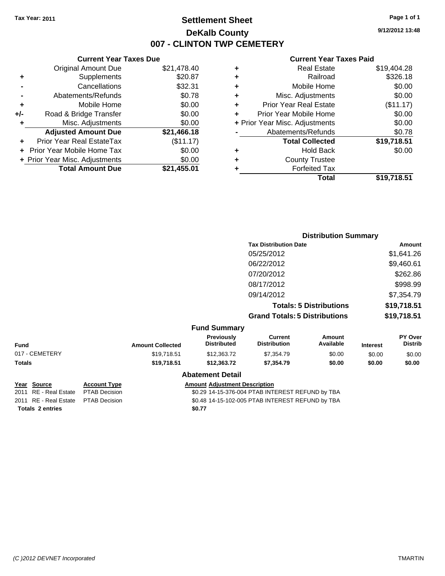## **Settlement Sheet Tax Year: 2011 Page 1 of 1 DeKalb County 007 - CLINTON TWP CEMETERY**

**9/12/2012 13:48**

#### **Current Year Taxes Paid**

|     | 7911 VIII 1 VAI 1 970 V P 90     |             |
|-----|----------------------------------|-------------|
|     | <b>Original Amount Due</b>       | \$21,478.40 |
| ٠   | Supplements                      | \$20.87     |
|     | Cancellations                    | \$32.31     |
| -   | Abatements/Refunds               | \$0.78      |
| ÷   | Mobile Home                      | \$0.00      |
| +/- | Road & Bridge Transfer           | \$0.00      |
| ٠   | Misc. Adjustments                | \$0.00      |
|     | <b>Adjusted Amount Due</b>       | \$21,466.18 |
|     | <b>Prior Year Real EstateTax</b> | (\$11.17)   |
|     | Prior Year Mobile Home Tax       | \$0.00      |
|     | + Prior Year Misc. Adjustments   | \$0.00      |
|     | <b>Total Amount Due</b>          | \$21,455.01 |
|     |                                  |             |

**Current Year Taxes Due**

| ٠ | <b>Real Estate</b>             | \$19,404.28 |
|---|--------------------------------|-------------|
| ٠ | Railroad                       | \$326.18    |
| ٠ | Mobile Home                    | \$0.00      |
| ٠ | Misc. Adjustments              | \$0.00      |
| ٠ | <b>Prior Year Real Estate</b>  | (\$11.17)   |
| ٠ | Prior Year Mobile Home         | \$0.00      |
|   | + Prior Year Misc. Adjustments | \$0.00      |
|   | Abatements/Refunds             | \$0.78      |
|   | <b>Total Collected</b>         | \$19,718.51 |
| ٠ | <b>Hold Back</b>               | \$0.00      |
| ٠ | <b>County Trustee</b>          |             |
| ٠ | <b>Forfeited Tax</b>           |             |
|   | Total                          | \$19,718.51 |
|   |                                |             |

|                |                         |                                         |                                       | <b>Distribution Summary</b>    |                 |                           |
|----------------|-------------------------|-----------------------------------------|---------------------------------------|--------------------------------|-----------------|---------------------------|
|                |                         |                                         | <b>Tax Distribution Date</b>          |                                |                 | Amount                    |
|                |                         |                                         | 05/25/2012                            |                                |                 | \$1,641.26                |
|                |                         |                                         | 06/22/2012                            |                                |                 | \$9,460.61                |
|                |                         |                                         | 07/20/2012                            |                                |                 | \$262.86                  |
|                |                         |                                         | 08/17/2012                            |                                |                 | \$998.99                  |
|                |                         |                                         | 09/14/2012                            |                                |                 | \$7,354.79                |
|                |                         |                                         |                                       | <b>Totals: 5 Distributions</b> |                 | \$19,718.51               |
|                |                         |                                         | <b>Grand Totals: 5 Distributions</b>  |                                | \$19,718.51     |                           |
|                |                         | <b>Fund Summary</b>                     |                                       |                                |                 |                           |
| Fund           | <b>Amount Collected</b> | <b>Previously</b><br><b>Distributed</b> | <b>Current</b><br><b>Distribution</b> | Amount<br>Available            | <b>Interest</b> | PY Over<br><b>Distrib</b> |
| 017 - CEMETERY | \$19,718.51             | \$12,363.72                             | \$7,354.79                            | \$0.00                         | \$0.00          | \$0.00                    |
| Totals         | \$19,718.51             | \$12,363.72                             | \$7,354.79                            | \$0.00                         | \$0.00          | \$0.00                    |
|                |                         | <b>Abatement Detail</b>                 |                                       |                                |                 |                           |

**Totals \$0.77 2 entries**

# **Year Source Account Type Amount Adjustment Description**<br>2011 RE - Real Estate PTAB Decision **Amount COLECTS COLECTS ACCOUNTED ACCOUNTED COLECTS ACCOUNTED COLECTS COLECTS COLECTS COLECTS COLECTS**

\$0.29 14-15-376-004 PTAB INTEREST REFUND by TBA 2011 RE - Real Estate \$0.48 14-15-102-005 PTAB INTEREST REFUND by TBA PTAB Decision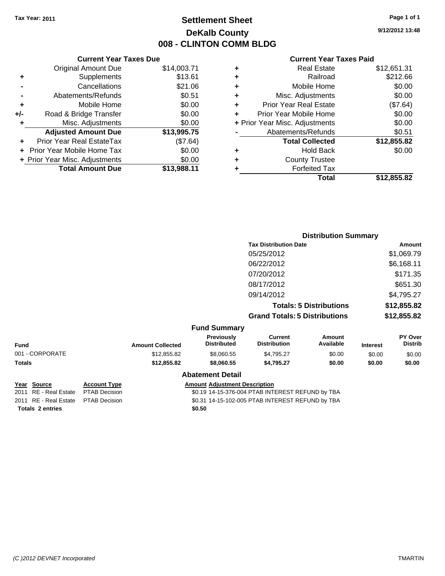## **Settlement Sheet Tax Year: 2011 Page 1 of 1 DeKalb County 008 - CLINTON COMM BLDG**

**9/12/2012 13:48**

#### **Current Year Taxes Paid**

|     | <b>Current Year Taxes Due</b>  |             |
|-----|--------------------------------|-------------|
|     | <b>Original Amount Due</b>     | \$14,003.71 |
| ٠   | Supplements                    | \$13.61     |
|     | Cancellations                  | \$21.06     |
|     | Abatements/Refunds             | \$0.51      |
| ٠   | Mobile Home                    | \$0.00      |
| +/- | Road & Bridge Transfer         | \$0.00      |
|     | Misc. Adjustments              | \$0.00      |
|     | <b>Adjusted Amount Due</b>     | \$13,995.75 |
|     | Prior Year Real EstateTax      | (\$7.64)    |
|     | Prior Year Mobile Home Tax     | \$0.00      |
|     | + Prior Year Misc. Adjustments | \$0.00      |
|     | <b>Total Amount Due</b>        | \$13,988.11 |
|     |                                |             |

| <b>Real Estate</b><br>٠            | \$12,651.31 |
|------------------------------------|-------------|
| Railroad<br>٠                      | \$212.66    |
| Mobile Home<br>٠                   | \$0.00      |
| Misc. Adjustments<br>٠             | \$0.00      |
| <b>Prior Year Real Estate</b><br>÷ | (\$7.64)    |
| Prior Year Mobile Home             | \$0.00      |
| + Prior Year Misc. Adjustments     | \$0.00      |
| Abatements/Refunds                 | \$0.51      |
| <b>Total Collected</b>             | \$12,855.82 |
| Hold Back<br>٠                     | \$0.00      |
| <b>County Trustee</b>              |             |
| <b>Forfeited Tax</b><br>٠          |             |
| Total                              | \$12,855.82 |

|                 |                         |                                         |                                       | <b>Distribution Summary</b>    |                 |                           |
|-----------------|-------------------------|-----------------------------------------|---------------------------------------|--------------------------------|-----------------|---------------------------|
|                 |                         |                                         | <b>Tax Distribution Date</b>          |                                |                 | Amount                    |
|                 |                         |                                         | 05/25/2012                            |                                |                 | \$1,069.79                |
|                 |                         |                                         | 06/22/2012                            |                                |                 | \$6,168.11                |
|                 |                         |                                         | 07/20/2012                            |                                |                 | \$171.35                  |
|                 |                         |                                         | 08/17/2012                            |                                |                 | \$651.30                  |
|                 |                         |                                         | 09/14/2012                            |                                |                 | \$4,795.27                |
|                 |                         |                                         |                                       | <b>Totals: 5 Distributions</b> |                 | \$12,855.82               |
|                 |                         |                                         | <b>Grand Totals: 5 Distributions</b>  |                                |                 | \$12,855.82               |
|                 |                         | <b>Fund Summary</b>                     |                                       |                                |                 |                           |
| <b>Fund</b>     | <b>Amount Collected</b> | <b>Previously</b><br><b>Distributed</b> | <b>Current</b><br><b>Distribution</b> | Amount<br>Available            | <b>Interest</b> | PY Over<br><b>Distrib</b> |
| 001 - CORPORATE | \$12,855.82             | \$8,060.55                              | \$4,795.27                            | \$0.00                         | \$0.00          | \$0.00                    |
| Totals          | \$12,855.82             | \$8,060.55                              | \$4,795.27                            | \$0.00                         | \$0.00          | \$0.00                    |
|                 |                         | <b>Abatement Detail</b>                 |                                       |                                |                 |                           |

Totals 2 entries \$0.50

**Year Source Account Type Amount Adjustment Description**<br>2011 RE - Real Estate PTAB Decision **Amount \$0.19 14-15-376-004 PTAB INTI** \$0.19 14-15-376-004 PTAB INTEREST REFUND by TBA 2011 RE - Real Estate \$0.31 14-15-102-005 PTAB INTEREST REFUND by TBA PTAB Decision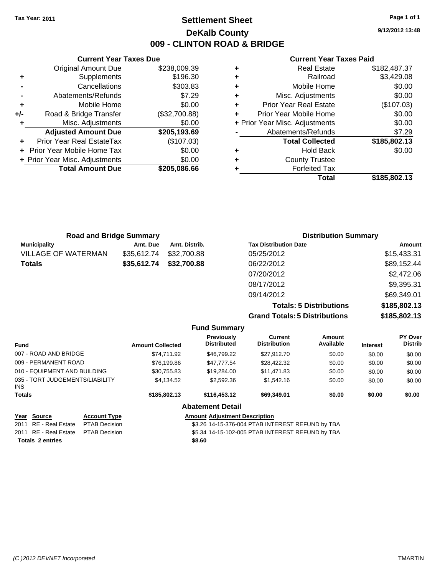**Current Year Taxes Due** Original Amount Due \$238,009.39

**Adjusted Amount Due \$205,193.69**

**Total Amount Due \$205,086.66**

**+** Supplements \$196.30 **-** Cancellations \$303.83 **-** Abatements/Refunds \$7.29 **+** Mobile Home \$0.00 **+/-** Road & Bridge Transfer (\$32,700.88) **+** Misc. Adjustments \$0.00

**+** Prior Year Real EstateTax (\$107.03) **+** Prior Year Mobile Home Tax \$0.00 **+ Prior Year Misc. Adjustments**  $$0.00$ 

## **Settlement Sheet Tax Year: 2011 Page 1 of 1 DeKalb County 009 - CLINTON ROAD & BRIDGE**

**9/12/2012 13:48**

#### **Current Year Taxes Paid**

|   | <b>Real Estate</b>             | \$182,487.37 |
|---|--------------------------------|--------------|
| ٠ | Railroad                       | \$3,429.08   |
| ٠ | Mobile Home                    | \$0.00       |
| ٠ | Misc. Adjustments              | \$0.00       |
| ٠ | <b>Prior Year Real Estate</b>  | (\$107.03)   |
|   | Prior Year Mobile Home         | \$0.00       |
|   | + Prior Year Misc. Adjustments | \$0.00       |
|   | Abatements/Refunds             | \$7.29       |
|   | <b>Total Collected</b>         | \$185,802.13 |
| ٠ | <b>Hold Back</b>               | \$0.00       |
| ٠ | <b>County Trustee</b>          |              |
|   | <b>Forfeited Tax</b>           |              |
|   | Total                          | \$185,802.13 |

| <b>Road and Bridge Summary</b> |             |               | <b>Distribution Summary</b>  |             |
|--------------------------------|-------------|---------------|------------------------------|-------------|
| <b>Municipality</b>            | Amt. Due    | Amt. Distrib. | <b>Tax Distribution Date</b> | Amount      |
| <b>VILLAGE OF WATERMAN</b>     | \$35,612.74 | \$32,700.88   | 05/25/2012                   | \$15,433.31 |
| <b>Totals</b>                  | \$35,612.74 | \$32,700.88   | 06/22/2012                   | \$89,152.44 |
|                                |             |               | 07/20/2012                   | \$2,472.06  |
|                                |             |               | 08/17/2012                   | \$9,395.31  |
|                                |             |               | 09/14/2012                   | \$69,349.01 |

**Totals: 5 Distributions \$185,802.13 Grand Totals: 5 Distributions \$185,802.13**

| <b>Fund</b>                                   |                      | <b>Amount Collected</b> | <b>Previously</b><br><b>Distributed</b> | Current<br><b>Distribution</b>                   | Amount<br>Available | <b>Interest</b> | PY Over<br><b>Distrib</b> |
|-----------------------------------------------|----------------------|-------------------------|-----------------------------------------|--------------------------------------------------|---------------------|-----------------|---------------------------|
| 007 - ROAD AND BRIDGE                         |                      | \$74.711.92             | \$46.799.22                             | \$27.912.70                                      | \$0.00              | \$0.00          | \$0.00                    |
| 009 - PERMANENT ROAD                          |                      | \$76,199.86             | \$47,777.54                             | \$28,422.32                                      | \$0.00              | \$0.00          | \$0.00                    |
| 010 - EQUIPMENT AND BUILDING                  |                      | \$30.755.83             | \$19,284.00                             | \$11.471.83                                      | \$0.00              | \$0.00          | \$0.00                    |
| 035 - TORT JUDGEMENTS/LIABILITY<br><b>INS</b> |                      | \$4.134.52              | \$2,592.36                              | \$1.542.16                                       | \$0.00              | \$0.00          | \$0.00                    |
| <b>Totals</b>                                 |                      | \$185,802.13            | \$116,453,12                            | \$69,349.01                                      | \$0.00              | \$0.00          | \$0.00                    |
|                                               |                      |                         | <b>Abatement Detail</b>                 |                                                  |                     |                 |                           |
| Year Source                                   | <b>Account Type</b>  |                         | <b>Amount Adiustment Description</b>    |                                                  |                     |                 |                           |
| RE - Real Estate<br>2011                      | <b>PTAB Decision</b> |                         |                                         | \$3.26 14-15-376-004 PTAB INTEREST REFUND by TBA |                     |                 |                           |
|                                               |                      |                         |                                         |                                                  |                     |                 |                           |

**Fund Summary**

2011 RE - Real Estate \$5.34 14-15-102-005 PTAB INTEREST REFUND by TBA PTAB Decision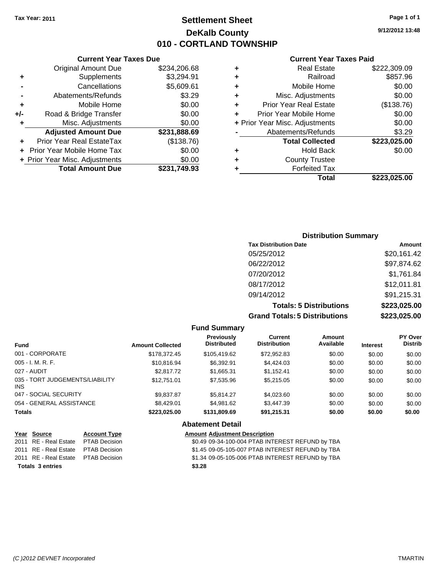**Current Year Taxes Due** Original Amount Due \$234,206.

## **Settlement Sheet Tax Year: 2011 Page 1 of 1 DeKalb County 010 - CORTLAND TOWNSHIP**

**9/12/2012 13:48**

#### **Current Year Taxes Paid**

|     |                                |              |   | <b>Total</b>                   | \$223,025.00 |
|-----|--------------------------------|--------------|---|--------------------------------|--------------|
|     | <b>Total Amount Due</b>        | \$231,749.93 |   | <b>Forfeited Tax</b>           |              |
|     | + Prior Year Misc. Adjustments | \$0.00       | ٠ | <b>County Trustee</b>          |              |
|     | + Prior Year Mobile Home Tax   | \$0.00       | ٠ | <b>Hold Back</b>               | \$0.00       |
| ÷.  | Prior Year Real EstateTax      | (\$138.76)   |   | <b>Total Collected</b>         | \$223,025.00 |
|     | <b>Adjusted Amount Due</b>     | \$231,888.69 |   | Abatements/Refunds             | \$3.29       |
|     | Misc. Adjustments              | \$0.00       |   | + Prior Year Misc. Adjustments | \$0.00       |
| +/- | Road & Bridge Transfer         | \$0.00       |   | Prior Year Mobile Home         | \$0.00       |
|     | Mobile Home                    | \$0.00       | ٠ | <b>Prior Year Real Estate</b>  | (\$138.76)   |
|     | Abatements/Refunds             | \$3.29       | ٠ | Misc. Adjustments              | \$0.00       |
|     | Cancellations                  | \$5,609.61   | ٠ | Mobile Home                    | \$0.00       |
| ٠   | Supplements                    | \$3,294.91   | ٠ | Railroad                       | \$857.96     |
|     | <b>Original Amount Due</b>     | \$234,206.68 | ٠ | <b>Real Estate</b>             | \$222,309.09 |
|     |                                |              |   |                                |              |

| <b>Distribution Summary</b>          |              |
|--------------------------------------|--------------|
| <b>Tax Distribution Date</b>         | Amount       |
| 05/25/2012                           | \$20,161.42  |
| 06/22/2012                           | \$97,874.62  |
| 07/20/2012                           | \$1,761.84   |
| 08/17/2012                           | \$12,011.81  |
| 09/14/2012                           | \$91,215.31  |
| <b>Totals: 5 Distributions</b>       | \$223,025.00 |
| <b>Grand Totals: 5 Distributions</b> | \$223,025.00 |

|                                               |                         | <b>Fund Summary</b>                  |                                                   |                     |                 |                           |
|-----------------------------------------------|-------------------------|--------------------------------------|---------------------------------------------------|---------------------|-----------------|---------------------------|
| <b>Fund</b>                                   | <b>Amount Collected</b> | Previously<br><b>Distributed</b>     | <b>Current</b><br><b>Distribution</b>             | Amount<br>Available | <b>Interest</b> | PY Over<br><b>Distrib</b> |
| 001 - CORPORATE                               | \$178,372.45            | \$105.419.62                         | \$72,952.83                                       | \$0.00              | \$0.00          | \$0.00                    |
| $005 - I. M. R. F.$                           | \$10,816.94             | \$6.392.91                           | \$4,424.03                                        | \$0.00              | \$0.00          | \$0.00                    |
| 027 - AUDIT                                   | \$2,817.72              | \$1,665.31                           | \$1,152.41                                        | \$0.00              | \$0.00          | \$0.00                    |
| 035 - TORT JUDGEMENTS/LIABILITY<br>INS.       | \$12,751.01             | \$7,535.96                           | \$5,215.05                                        | \$0.00              | \$0.00          | \$0.00                    |
| 047 - SOCIAL SECURITY                         | \$9.837.87              | \$5.814.27                           | \$4,023.60                                        | \$0.00              | \$0.00          | \$0.00                    |
| 054 - GENERAL ASSISTANCE                      | \$8,429.01              | \$4.981.62                           | \$3,447.39                                        | \$0.00              | \$0.00          | \$0.00                    |
| <b>Totals</b>                                 | \$223,025.00            | \$131,809.69                         | \$91,215.31                                       | \$0.00              | \$0.00          | \$0.00                    |
|                                               |                         | <b>Abatement Detail</b>              |                                                   |                     |                 |                           |
| So <u>urce</u><br><b>Account Type</b><br>Year |                         | <b>Amount Adiustment Description</b> |                                                   |                     |                 |                           |
| RE - Real Estate<br>PTAR Decision<br>2011     |                         |                                      | \$0.49.09-34-100-004 PTAR INTEREST REELIND by TRA |                     |                 |                           |

| <b>Totals 3 entries</b> |                                     |  | \$3.28 |
|-------------------------|-------------------------------------|--|--------|
|                         | 2011 RE - Real Estate PTAB Decision |  | \$1.34 |
|                         | 2011 RE - Real Estate PTAB Decision |  | \$1.45 |
|                         | 2011 RE-Real Estate PIAB Decision   |  | \$0.49 |

\$0.49 09-34-100-004 PTAB INTEREST REFUND by TBA 2011 RE - Real Estate \$1.45 09-05-105-007 PTAB INTEREST REFUND by TBA PTAB Decision 2011 RE - Real Estate \$1.34 09-05-105-006 PTAB INTEREST REFUND by TBA PTAB Decision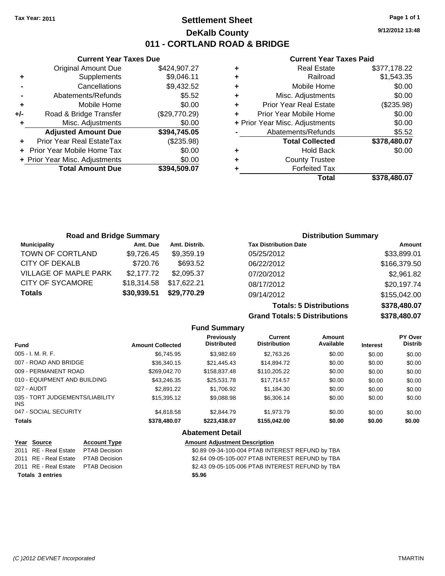## **Settlement Sheet Tax Year: 2011 Page 1 of 1 DeKalb County 011 - CORTLAND ROAD & BRIDGE**

**9/12/2012 13:48**

#### **Current Year Taxes Paid**

|     | <b>Current Year Taxes Due</b>    |               |
|-----|----------------------------------|---------------|
|     | <b>Original Amount Due</b>       | \$424,907.27  |
| ٠   | Supplements                      | \$9,046.11    |
|     | Cancellations                    | \$9,432.52    |
|     | Abatements/Refunds               | \$5.52        |
| ٠   | Mobile Home                      | \$0.00        |
| +/- | Road & Bridge Transfer           | (\$29,770.29) |
| ٠   | Misc. Adjustments                | \$0.00        |
|     | <b>Adjusted Amount Due</b>       | \$394,745.05  |
|     | <b>Prior Year Real EstateTax</b> | (\$235.98)    |
|     | Prior Year Mobile Home Tax       | \$0.00        |
|     | + Prior Year Misc. Adjustments   | \$0.00        |
|     | <b>Total Amount Due</b>          | \$394,509.07  |
|     |                                  |               |

|   | <b>Real Estate</b>             | \$377,178.22 |
|---|--------------------------------|--------------|
| ÷ | Railroad                       | \$1,543.35   |
| ٠ | Mobile Home                    | \$0.00       |
| ٠ | Misc. Adjustments              | \$0.00       |
| ٠ | <b>Prior Year Real Estate</b>  | (\$235.98)   |
|   | Prior Year Mobile Home         | \$0.00       |
|   | + Prior Year Misc. Adjustments | \$0.00       |
|   | Abatements/Refunds             | \$5.52       |
|   | <b>Total Collected</b>         | \$378,480.07 |
| ٠ | <b>Hold Back</b>               | \$0.00       |
| ٠ | <b>County Trustee</b>          |              |
|   | <b>Forfeited Tax</b>           |              |
|   | Total                          | \$378,480.07 |

| <b>Road and Bridge Summary</b> |             |               |                              | <b>Distribution Summary</b> |
|--------------------------------|-------------|---------------|------------------------------|-----------------------------|
| <b>Municipality</b>            | Amt. Due    | Amt. Distrib. | <b>Tax Distribution Date</b> | Amount                      |
| TOWN OF CORTLAND               | \$9,726.45  | \$9,359.19    | 05/25/2012                   | \$33,899.01                 |
| CITY OF DEKALB                 | \$720.76    | \$693.52      | 06/22/2012                   | \$166,379.50                |
| <b>VILLAGE OF MAPLE PARK</b>   | \$2,177.72  | \$2,095.37    | 07/20/2012                   | \$2,961.82                  |
| <b>CITY OF SYCAMORE</b>        | \$18,314.58 | \$17,622.21   | 08/17/2012                   | \$20,197.74                 |
| <b>Totals</b>                  | \$30,939.51 | \$29,770.29   | 09/14/2012                   | \$155,042.00                |

**Totals: 5 Distributions \$378,480.07 Grand Totals: 5 Distributions \$378,480.07**

|                                               |                      |                         | <b>Fund Summary</b>                              |                                |                     |                 |                           |
|-----------------------------------------------|----------------------|-------------------------|--------------------------------------------------|--------------------------------|---------------------|-----------------|---------------------------|
| <b>Fund</b>                                   |                      | <b>Amount Collected</b> | <b>Previously</b><br><b>Distributed</b>          | Current<br><b>Distribution</b> | Amount<br>Available | <b>Interest</b> | PY Over<br><b>Distrib</b> |
| $005 - I. M. R. F.$                           |                      | \$6,745.95              | \$3,982.69                                       | \$2,763.26                     | \$0.00              | \$0.00          | \$0.00                    |
| 007 - ROAD AND BRIDGE                         |                      | \$36,340.15             | \$21,445.43                                      | \$14,894.72                    | \$0.00              | \$0.00          | \$0.00                    |
| 009 - PERMANENT ROAD                          |                      | \$269,042.70            | \$158,837.48                                     | \$110,205.22                   | \$0.00              | \$0.00          | \$0.00                    |
| 010 - EQUIPMENT AND BUILDING                  |                      | \$43,246.35             | \$25,531.78                                      | \$17,714.57                    | \$0.00              | \$0.00          | \$0.00                    |
| 027 - AUDIT                                   |                      | \$2,891.22              | \$1,706.92                                       | \$1,184.30                     | \$0.00              | \$0.00          | \$0.00                    |
| 035 - TORT JUDGEMENTS/LIABILITY<br><b>INS</b> |                      | \$15,395.12             | \$9,088.98                                       | \$6,306.14                     | \$0.00              | \$0.00          | \$0.00                    |
| 047 - SOCIAL SECURITY                         |                      | \$4,818,58              | \$2,844.79                                       | \$1.973.79                     | \$0.00              | \$0.00          | \$0.00                    |
| <b>Totals</b>                                 |                      | \$378,480.07            | \$223,438.07                                     | \$155,042.00                   | \$0.00              | \$0.00          | \$0.00                    |
|                                               |                      |                         | <b>Abatement Detail</b>                          |                                |                     |                 |                           |
| Year<br><b>Source</b>                         | <b>Account Type</b>  |                         | <b>Amount Adjustment Description</b>             |                                |                     |                 |                           |
| RE - Real Estate<br>2011                      | <b>PTAB Decision</b> |                         | \$0.89 09-34-100-004 PTAB INTEREST REFUND by TBA |                                |                     |                 |                           |

| <b>Totals 3 entries</b>             | \$5.96                                           |
|-------------------------------------|--------------------------------------------------|
| 2011 RE - Real Estate PTAB Decision | \$2.43 09-05-105-006 PTAB INTEREST REFUND by TBA |
| 2011 RE - Real Estate PTAB Decision | \$2.64 09-05-105-007 PTAB INTEREST REFUND by TBA |
| 2011 RE - Real Estate PTAB Decision | \$0.89 09-34-100-004 PTAB INTEREST REFUND by TBA |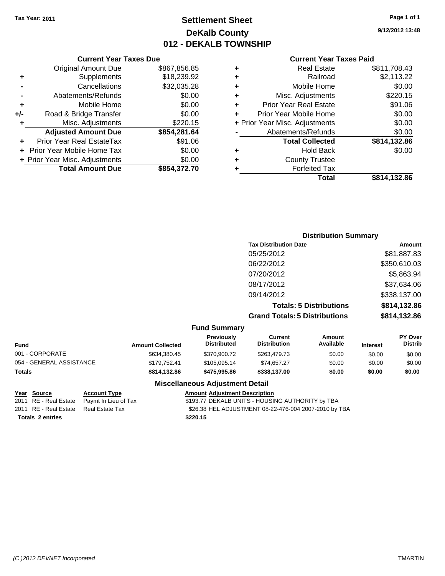## **Settlement Sheet Tax Year: 2011 Page 1 of 1 DeKalb County 012 - DEKALB TOWNSHIP**

**9/12/2012 13:48**

#### **Current Year Taxes Paid**

|     | <b>Original Amount Due</b>     | \$867,856.85 | ٠ |
|-----|--------------------------------|--------------|---|
| ٠   | Supplements                    | \$18,239.92  | ٠ |
|     | Cancellations                  | \$32,035.28  | ٠ |
|     | Abatements/Refunds             | \$0.00       | ٠ |
|     | Mobile Home                    | \$0.00       | ٠ |
| +/- | Road & Bridge Transfer         | \$0.00       | ٠ |
| ٠   | Misc. Adjustments              | \$220.15     | ٠ |
|     | <b>Adjusted Amount Due</b>     | \$854,281.64 |   |
|     | Prior Year Real EstateTax      | \$91.06      |   |
|     | Prior Year Mobile Home Tax     | \$0.00       | ٠ |
|     | + Prior Year Misc. Adjustments | \$0.00       | ٠ |
|     | <b>Total Amount Due</b>        | \$854,372.70 |   |
|     |                                |              |   |

**Current Year Taxes Due**

| \$2,113.22<br>Railroad<br>٠<br>\$0.00<br>Mobile Home<br>٠<br>\$220.15<br>Misc. Adjustments<br>٠<br>\$91.06<br><b>Prior Year Real Estate</b><br>٠<br>\$0.00<br>Prior Year Mobile Home<br>٠<br>\$0.00<br>+ Prior Year Misc. Adjustments<br>\$0.00<br>Abatements/Refunds<br><b>Total Collected</b><br>\$814,132.86<br>\$0.00<br><b>Hold Back</b><br>٠<br><b>County Trustee</b><br>٠ |   | <b>Real Estate</b>   | \$811,708.43 |
|----------------------------------------------------------------------------------------------------------------------------------------------------------------------------------------------------------------------------------------------------------------------------------------------------------------------------------------------------------------------------------|---|----------------------|--------------|
|                                                                                                                                                                                                                                                                                                                                                                                  |   |                      |              |
|                                                                                                                                                                                                                                                                                                                                                                                  |   |                      |              |
|                                                                                                                                                                                                                                                                                                                                                                                  |   |                      |              |
|                                                                                                                                                                                                                                                                                                                                                                                  |   |                      |              |
|                                                                                                                                                                                                                                                                                                                                                                                  |   |                      |              |
|                                                                                                                                                                                                                                                                                                                                                                                  |   |                      |              |
|                                                                                                                                                                                                                                                                                                                                                                                  |   |                      |              |
|                                                                                                                                                                                                                                                                                                                                                                                  |   |                      |              |
|                                                                                                                                                                                                                                                                                                                                                                                  |   |                      |              |
|                                                                                                                                                                                                                                                                                                                                                                                  |   |                      |              |
|                                                                                                                                                                                                                                                                                                                                                                                  | ٠ | <b>Forfeited Tax</b> |              |
| Total<br>\$814,132.86                                                                                                                                                                                                                                                                                                                                                            |   |                      |              |

| <b>Distribution Summary</b>          |              |
|--------------------------------------|--------------|
| <b>Tax Distribution Date</b>         | Amount       |
| 05/25/2012                           | \$81,887.83  |
| 06/22/2012                           | \$350,610.03 |
| 07/20/2012                           | \$5,863.94   |
| 08/17/2012                           | \$37,634.06  |
| 09/14/2012                           | \$338,137.00 |
| <b>Totals: 5 Distributions</b>       | \$814,132.86 |
| <b>Grand Totals: 5 Distributions</b> | \$814,132.86 |

#### **Fund Summary**

| <b>Fund</b>              | <b>Amount Collected</b> | <b>Previously</b><br><b>Distributed</b> | Current<br><b>Distribution</b> | Amount<br>Available | <b>Interest</b> | <b>PY Over</b><br><b>Distrib</b> |
|--------------------------|-------------------------|-----------------------------------------|--------------------------------|---------------------|-----------------|----------------------------------|
| 001 - CORPORATE          | \$634,380.45            | \$370,900.72                            | \$263,479.73                   | \$0.00              | \$0.00          | \$0.00                           |
| 054 - GENERAL ASSISTANCE | \$179.752.41            | \$105.095.14                            | \$74.657.27                    | \$0.00              | \$0.00          | \$0.00                           |
| <b>Totals</b>            | \$814.132.86            | \$475.995.86                            | \$338,137,00                   | \$0.00              | \$0.00          | \$0.00                           |

**Totals \$220.15 2 entries**

## **Miscellaneous Adjustment Detail**

**Year Source Account Type Amount Adjustment Description** 2011 RE - Real Estate Paymt In Lieu of Tax \$193.77 DEKALB UNITS - HOUSING AUTHORITY by TBA 2011 RE - Real Estate Real Estate Tax \$26.38 HEL ADJUSTMENT 08-22-476-004 2007-2010 by TBA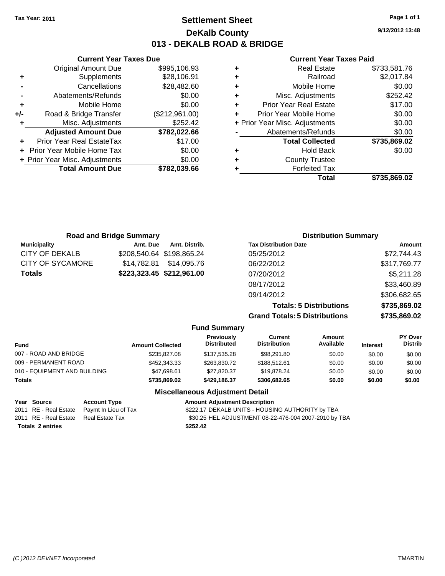## **Settlement Sheet Tax Year: 2011 Page 1 of 1 DeKalb County 013 - DEKALB ROAD & BRIDGE**

**9/12/2012 13:48**

#### **Current Year Taxes Paid**

|     | <b>Current Year Taxes Due</b>  |                |              |   |
|-----|--------------------------------|----------------|--------------|---|
|     | <b>Original Amount Due</b>     | \$995,106.93   | ٠            |   |
|     | Supplements                    | \$28,106.91    | ٠            |   |
|     | Cancellations                  | \$28,482.60    | ٠            |   |
|     | Abatements/Refunds             | \$0.00         | ٠            |   |
|     | Mobile Home                    | \$0.00         |              | F |
| +/- | Road & Bridge Transfer         | (\$212,961.00) | Pri          |   |
|     | Misc. Adjustments              | \$252.42       | $+$ Prior Ye |   |
|     | <b>Adjusted Amount Due</b>     | \$782,022.66   |              |   |
|     | Prior Year Real EstateTax      | \$17.00        |              |   |
|     | Prior Year Mobile Home Tax     | \$0.00         |              |   |
|     | + Prior Year Misc. Adjustments | \$0.00         |              |   |
|     | <b>Total Amount Due</b>        | \$782,039.66   |              |   |
|     |                                |                |              |   |

|   | Total                          | \$735,869.02 |
|---|--------------------------------|--------------|
|   | <b>Forfeited Tax</b>           |              |
| ٠ | <b>County Trustee</b>          |              |
| ٠ | <b>Hold Back</b>               | \$0.00       |
|   | <b>Total Collected</b>         | \$735,869.02 |
|   | Abatements/Refunds             | \$0.00       |
|   | + Prior Year Misc. Adjustments | \$0.00       |
|   | Prior Year Mobile Home         | \$0.00       |
| ٠ | <b>Prior Year Real Estate</b>  | \$17.00      |
| ٠ | Misc. Adjustments              | \$252.42     |
| ٠ | Mobile Home                    | \$0.00       |
| ٠ | Railroad                       | \$2,017.84   |
| ٠ | <b>Real Estate</b>             | \$733,581.76 |

| <b>Road and Bridge Summary</b> |             |                           | <b>Distribution Summary</b>          |              |  |  |
|--------------------------------|-------------|---------------------------|--------------------------------------|--------------|--|--|
| <b>Municipality</b>            | Amt. Due    | Amt. Distrib.             | <b>Tax Distribution Date</b>         | Amount       |  |  |
| CITY OF DEKALB                 |             | \$208,540.64 \$198,865.24 | 05/25/2012                           | \$72,744.43  |  |  |
| CITY OF SYCAMORE               | \$14.782.81 | \$14,095.76               | 06/22/2012                           | \$317,769.77 |  |  |
| Totals                         |             | \$223,323.45 \$212,961.00 | 07/20/2012                           | \$5,211.28   |  |  |
|                                |             |                           | 08/17/2012                           | \$33,460.89  |  |  |
|                                |             |                           | 09/14/2012                           | \$306,682.65 |  |  |
|                                |             |                           | <b>Totals: 5 Distributions</b>       | \$735,869.02 |  |  |
|                                |             |                           | <b>Grand Totals: 5 Distributions</b> | \$735,869.02 |  |  |

|                              |                         | <b>Fund Summary</b>              |                                |                     |                 |                           |
|------------------------------|-------------------------|----------------------------------|--------------------------------|---------------------|-----------------|---------------------------|
| <b>Fund</b>                  | <b>Amount Collected</b> | Previously<br><b>Distributed</b> | Current<br><b>Distribution</b> | Amount<br>Available | <b>Interest</b> | PY Over<br><b>Distrib</b> |
| 007 - ROAD AND BRIDGE        | \$235,827,08            | \$137.535.28                     | \$98.291.80                    | \$0.00              | \$0.00          | \$0.00                    |
| 009 - PERMANENT ROAD         | \$452,343,33            | \$263,830.72                     | \$188,512.61                   | \$0.00              | \$0.00          | \$0.00                    |
| 010 - EQUIPMENT AND BUILDING | \$47.698.61             | \$27.820.37                      | \$19,878.24                    | \$0.00              | \$0.00          | \$0.00                    |
| Totals                       | \$735,869.02            | \$429.186.37                     | \$306,682.65                   | \$0.00              | \$0.00          | \$0.00                    |
|                              | ---                     |                                  |                                |                     |                 |                           |

#### **Miscellaneous Adjustment Detail**

| Year Source             | <b>Account Type</b>                        | <b>Amount Adjustment Description</b>                  |
|-------------------------|--------------------------------------------|-------------------------------------------------------|
|                         | 2011 RE - Real Estate Paymt In Lieu of Tax | \$222.17 DEKALB UNITS - HOUSING AUTHORITY by TBA      |
| 2011 RE - Real Estate   | Real Estate Tax                            | \$30.25 HEL ADJUSTMENT 08-22-476-004 2007-2010 by TBA |
| <b>Totals 2 entries</b> |                                            | \$252.42                                              |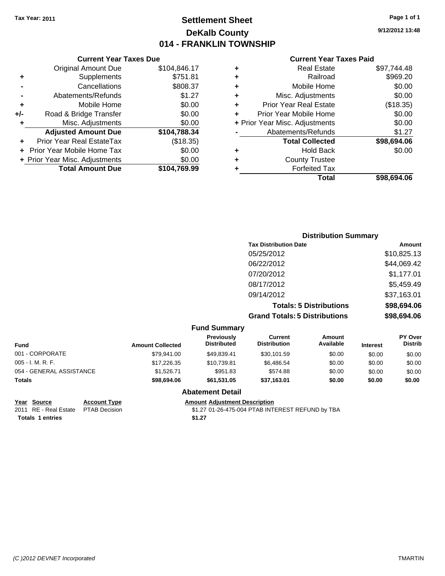## **Settlement Sheet Tax Year: 2011 Page 1 of 1 DeKalb County 014 - FRANKLIN TOWNSHIP**

**9/12/2012 13:48**

|       | <b>Current Year Taxes Due</b>     |              |  |  |  |  |
|-------|-----------------------------------|--------------|--|--|--|--|
|       | <b>Original Amount Due</b>        | \$104,846.17 |  |  |  |  |
| ٠     | Supplements                       | \$751.81     |  |  |  |  |
|       | Cancellations                     | \$808.37     |  |  |  |  |
|       | Abatements/Refunds                | \$1.27       |  |  |  |  |
| ٠     | Mobile Home                       | \$0.00       |  |  |  |  |
| $+/-$ | Road & Bridge Transfer            | \$0.00       |  |  |  |  |
| ٠     | Misc. Adjustments                 | \$0.00       |  |  |  |  |
|       | <b>Adjusted Amount Due</b>        | \$104,788.34 |  |  |  |  |
| ٠     | Prior Year Real EstateTax         | (\$18.35)    |  |  |  |  |
|       | <b>Prior Year Mobile Home Tax</b> | \$0.00       |  |  |  |  |
|       | + Prior Year Misc. Adjustments    | \$0.00       |  |  |  |  |
|       | <b>Total Amount Due</b>           | \$104,769.99 |  |  |  |  |
|       |                                   |              |  |  |  |  |

#### **Current Year Taxes Paid**

|   | Total                          | \$98.694.06 |
|---|--------------------------------|-------------|
| ٠ | <b>Forfeited Tax</b>           |             |
| ٠ | <b>County Trustee</b>          |             |
| ٠ | <b>Hold Back</b>               | \$0.00      |
|   | <b>Total Collected</b>         | \$98,694.06 |
|   | Abatements/Refunds             | \$1.27      |
|   | + Prior Year Misc. Adjustments | \$0.00      |
| ٠ | Prior Year Mobile Home         | \$0.00      |
| ٠ | <b>Prior Year Real Estate</b>  | (\$18.35)   |
| ٠ | Misc. Adjustments              | \$0.00      |
| ÷ | Mobile Home                    | \$0.00      |
| ÷ | Railroad                       | \$969.20    |
| ٠ | <b>Real Estate</b>             | \$97,744.48 |

## **Distribution Summary Tax Distribution Date Amount** 05/25/2012 \$10,825.13 06/22/2012 \$44,069.42 07/20/2012 \$1,177.01 08/17/2012 \$5,459.49 09/14/2012 \$37,163.01 **Totals: 5 Distributions \$98,694.06 Grand Totals: 5 Distributions \$98,694.06**

|                          |                         | <b>Fund Summary</b>              |                                |                     |                 |                                  |
|--------------------------|-------------------------|----------------------------------|--------------------------------|---------------------|-----------------|----------------------------------|
| <b>Fund</b>              | <b>Amount Collected</b> | Previously<br><b>Distributed</b> | Current<br><b>Distribution</b> | Amount<br>Available | <b>Interest</b> | <b>PY Over</b><br><b>Distrib</b> |
| 001 - CORPORATE          | \$79,941.00             | \$49,839.41                      | \$30,101.59                    | \$0.00              | \$0.00          | \$0.00                           |
| $005 - I. M. R. F.$      | \$17,226,35             | \$10.739.81                      | \$6,486.54                     | \$0.00              | \$0.00          | \$0.00                           |
| 054 - GENERAL ASSISTANCE | \$1,526.71              | \$951.83                         | \$574.88                       | \$0.00              | \$0.00          | \$0.00                           |
| <b>Totals</b>            | \$98,694.06             | \$61.531.05                      | \$37,163.01                    | \$0.00              | \$0.00          | \$0.00                           |
|                          |                         | <b>Abatement Detail</b>          |                                |                     |                 |                                  |

**Totals 1 entries** \$1.27

**Year Source Account Type Amount Adjustment Description** 2011 RE - Real Estate \$1.27 01-26-475-004 PTAB INTEREST REFUND by TBA PTAB Decision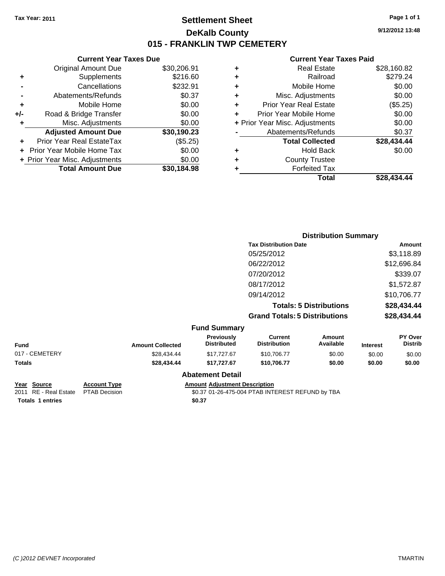## **Settlement Sheet Tax Year: 2011 Page 1 of 1 DeKalb County 015 - FRANKLIN TWP CEMETERY**

**9/12/2012 13:48**

#### **Current Year Taxes Paid**

|   | Total                          | \$28,434.44 |
|---|--------------------------------|-------------|
|   | <b>Forfeited Tax</b>           |             |
| ٠ | <b>County Trustee</b>          |             |
| ٠ | <b>Hold Back</b>               | \$0.00      |
|   | <b>Total Collected</b>         | \$28,434.44 |
|   | Abatements/Refunds             | \$0.37      |
|   | + Prior Year Misc. Adjustments | \$0.00      |
| ÷ | Prior Year Mobile Home         | \$0.00      |
| ÷ | <b>Prior Year Real Estate</b>  | (\$5.25)    |
| ÷ | Misc. Adjustments              | \$0.00      |
| ÷ | Mobile Home                    | \$0.00      |
| ٠ | Railroad                       | \$279.24    |
| ٠ | <b>Real Estate</b>             | \$28,160.82 |
|   |                                |             |

|                |                     |                         |                                         |                                       | <b>Distribution Summary</b>    |                 |                           |
|----------------|---------------------|-------------------------|-----------------------------------------|---------------------------------------|--------------------------------|-----------------|---------------------------|
|                |                     |                         |                                         | <b>Tax Distribution Date</b>          | Amount                         |                 |                           |
|                |                     |                         |                                         | 05/25/2012                            |                                |                 | \$3,118.89                |
|                |                     |                         |                                         | 06/22/2012                            |                                |                 | \$12,696.84               |
|                |                     |                         |                                         | 07/20/2012                            |                                |                 | \$339.07                  |
|                |                     |                         |                                         | 08/17/2012                            |                                |                 | \$1,572.87                |
|                |                     |                         |                                         | 09/14/2012                            |                                |                 | \$10,706.77               |
|                |                     |                         |                                         |                                       | <b>Totals: 5 Distributions</b> |                 | \$28,434.44               |
|                |                     |                         |                                         | <b>Grand Totals: 5 Distributions</b>  |                                |                 | \$28,434.44               |
|                |                     |                         | <b>Fund Summary</b>                     |                                       |                                |                 |                           |
| <b>Fund</b>    |                     | <b>Amount Collected</b> | <b>Previously</b><br><b>Distributed</b> | <b>Current</b><br><b>Distribution</b> | Amount<br>Available            | <b>Interest</b> | PY Over<br><b>Distrib</b> |
| 017 - CEMETERY |                     | \$28,434.44             | \$17,727.67                             | \$10,706.77                           | \$0.00                         | \$0.00          | \$0.00                    |
| Totals         |                     | \$28,434.44             | \$17,727.67                             | \$10,706.77                           | \$0.00                         | \$0.00          | \$0.00                    |
|                |                     |                         | <b>Abatement Detail</b>                 |                                       |                                |                 |                           |
| Year Source    | <b>Account Type</b> |                         | <b>Amount Adjustment Description</b>    |                                       |                                |                 |                           |

**Current Year Taxes Due** Original Amount Due \$30,206.91

**Adjusted Amount Due \$30,190.23**

**Total Amount Due \$30,184.98**

**+** Supplements \$216.60 **-** Cancellations \$232.91 **-** Abatements/Refunds \$0.37 **+** Mobile Home \$0.00 **+/-** Road & Bridge Transfer \$0.00 **+** Misc. Adjustments \$0.00

**+** Prior Year Real EstateTax (\$5.25) **+** Prior Year Mobile Home Tax \$0.00 **+ Prior Year Misc. Adjustments**  $$0.00$ 

2011 RE - Real Estate \$0.37 01-26-475-004 PTAB INTEREST REFUND by TBA PTAB Decision **Totals 1 entries** \$0.37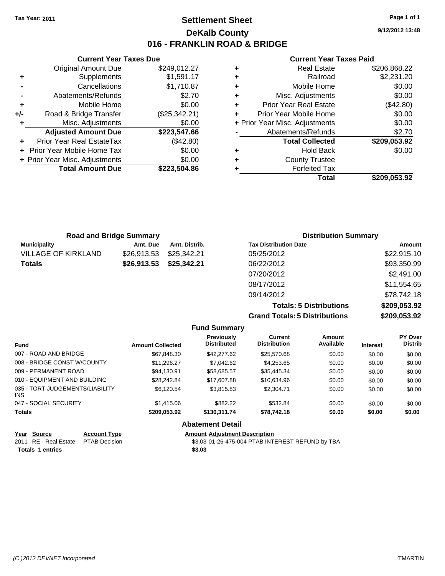**Current Year Taxes Due** Original Amount Due \$249,012.27

**Adjusted Amount Due \$223,547.66**

**Total Amount Due \$223,504.86**

**+** Supplements \$1,591.17 **-** Cancellations \$1,710.87 **-** Abatements/Refunds \$2.70 **+** Mobile Home \$0.00 **+/-** Road & Bridge Transfer (\$25,342.21) **+** Misc. Adjustments \$0.00

**+** Prior Year Real EstateTax (\$42.80) **+** Prior Year Mobile Home Tax \$0.00 **+ Prior Year Misc. Adjustments**  $$0.00$ 

## **Settlement Sheet Tax Year: 2011 Page 1 of 1 DeKalb County 016 - FRANKLIN ROAD & BRIDGE**

**9/12/2012 13:48**

#### **Current Year Taxes Paid**

|   | Total                          | \$209.053.92 |
|---|--------------------------------|--------------|
|   | <b>Forfeited Tax</b>           |              |
| ٠ | <b>County Trustee</b>          |              |
|   | <b>Hold Back</b>               | \$0.00       |
|   | <b>Total Collected</b>         | \$209,053.92 |
|   | Abatements/Refunds             | \$2.70       |
|   | + Prior Year Misc. Adjustments | \$0.00       |
| ÷ | Prior Year Mobile Home         | \$0.00       |
| ٠ | <b>Prior Year Real Estate</b>  | (\$42.80)    |
| ٠ | Misc. Adjustments              | \$0.00       |
| ٠ | Mobile Home                    | \$0.00       |
| ٠ | Railroad                       | \$2,231.20   |
|   | <b>Real Estate</b>             | \$206,868.22 |

|                            | <b>Road and Bridge Summary</b> |               | <b>Distribution Summary</b>  |             |
|----------------------------|--------------------------------|---------------|------------------------------|-------------|
| <b>Municipality</b>        | Amt. Due                       | Amt. Distrib. | <b>Tax Distribution Date</b> | Amount      |
| <b>VILLAGE OF KIRKLAND</b> | \$26,913.53                    | \$25,342.21   | 05/25/2012                   | \$22,915.10 |
| <b>Totals</b>              | \$26,913.53                    | \$25,342.21   | 06/22/2012                   | \$93,350.99 |
|                            |                                |               | 07/20/2012                   | \$2,491.00  |
|                            |                                |               | 08/17/2012                   | \$11,554.65 |
|                            |                                |               | 09/14/2012                   | \$78,742.18 |

**Totals: 5 Distributions \$209,053.92 Grand Totals: 5 Distributions \$209,053.92**

| <b>Fund Summary</b> |            |  |
|---------------------|------------|--|
| <b>B</b> 1. .       | <b>A</b> 4 |  |

| <b>Fund</b>                            | <b>Amount Collected</b> | <b>Previously</b><br><b>Distributed</b> | Current<br><b>Distribution</b> | Amount<br>Available | <b>Interest</b> | <b>PY Over</b><br><b>Distrib</b> |
|----------------------------------------|-------------------------|-----------------------------------------|--------------------------------|---------------------|-----------------|----------------------------------|
| 007 - ROAD AND BRIDGE                  | \$67,848.30             | \$42,277.62                             | \$25,570.68                    | \$0.00              | \$0.00          | \$0.00                           |
| 008 - BRIDGE CONST W/COUNTY            | \$11.296.27             | \$7,042.62                              | \$4,253.65                     | \$0.00              | \$0.00          | \$0.00                           |
| 009 - PERMANENT ROAD                   | \$94.130.91             | \$58,685.57                             | \$35,445.34                    | \$0.00              | \$0.00          | \$0.00                           |
| 010 - EQUIPMENT AND BUILDING           | \$28.242.84             | \$17,607.88                             | \$10,634.96                    | \$0.00              | \$0.00          | \$0.00                           |
| 035 - TORT JUDGEMENTS/LIABILITY<br>INS | \$6,120.54              | \$3,815.83                              | \$2,304.71                     | \$0.00              | \$0.00          | \$0.00                           |
| 047 - SOCIAL SECURITY                  | \$1,415.06              | \$882.22                                | \$532.84                       | \$0.00              | \$0.00          | \$0.00                           |
| <b>Totals</b>                          | \$209,053.92            | \$130,311.74                            | \$78,742.18                    | \$0.00              | \$0.00          | \$0.00                           |
|                                        |                         | Alextronomic Batalli                    |                                |                     |                 |                                  |

#### **Abatement Detail**

| Year Source                         | <b>Account Type</b> | <b>Amount Adjustment Description</b>             |
|-------------------------------------|---------------------|--------------------------------------------------|
| 2011 RE - Real Estate PTAB Decision |                     | \$3.03 01-26-475-004 PTAB INTEREST REFUND by TBA |
| <b>Totals 1 entries</b>             |                     | \$3.03                                           |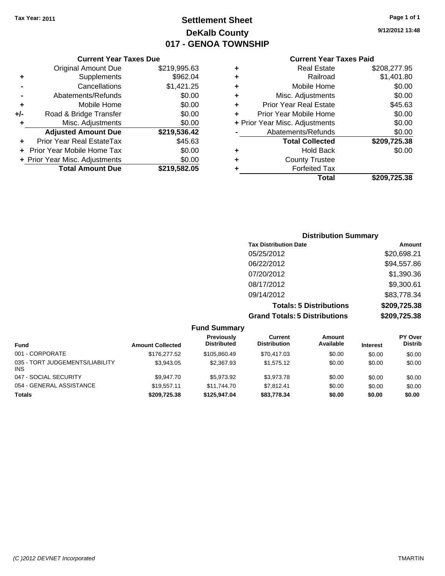# **Settlement Sheet Tax Year: 2011 Page 1 of 1 DeKalb County 017 - GENOA TOWNSHIP**

**9/12/2012 13:48**

#### **Current Year Taxes Paid**

|     | <b>Current Year Taxes Due</b>  |              |     |
|-----|--------------------------------|--------------|-----|
|     | <b>Original Amount Due</b>     | \$219,995.63 |     |
|     | Supplements                    | \$962.04     |     |
|     | Cancellations                  | \$1,421.25   |     |
|     | Abatements/Refunds             | \$0.00       |     |
|     | Mobile Home                    | \$0.00       |     |
| +/- | Road & Bridge Transfer         | \$0.00       |     |
|     | Misc. Adjustments              | \$0.00       | + P |
|     | <b>Adjusted Amount Due</b>     | \$219,536.42 |     |
|     | Prior Year Real EstateTax      | \$45.63      |     |
|     | Prior Year Mobile Home Tax     | \$0.00       |     |
|     | + Prior Year Misc. Adjustments | \$0.00       |     |
|     | <b>Total Amount Due</b>        | \$219,582.05 |     |
|     |                                |              |     |

| <b>Real Estate</b>             | \$208,277.95 |
|--------------------------------|--------------|
| Railroad                       | \$1,401.80   |
| Mobile Home                    | \$0.00       |
| Misc. Adjustments              | \$0.00       |
| <b>Prior Year Real Estate</b>  | \$45.63      |
| Prior Year Mobile Home         | \$0.00       |
| + Prior Year Misc. Adjustments | \$0.00       |
| Abatements/Refunds             | \$0.00       |
| <b>Total Collected</b>         | \$209,725.38 |
| <b>Hold Back</b>               | \$0.00       |
| <b>County Trustee</b>          |              |
| <b>Forfeited Tax</b>           |              |
| Total                          | \$209,725.38 |
|                                |              |

| <b>Distribution Summary</b>          |              |
|--------------------------------------|--------------|
| <b>Tax Distribution Date</b>         | Amount       |
| 05/25/2012                           | \$20,698.21  |
| 06/22/2012                           | \$94,557.86  |
| 07/20/2012                           | \$1,390.36   |
| 08/17/2012                           | \$9,300.61   |
| 09/14/2012                           | \$83,778.34  |
| <b>Totals: 5 Distributions</b>       | \$209,725.38 |
| <b>Grand Totals: 5 Distributions</b> | \$209,725.38 |

| <b>Fund Summary</b>                           |                         |                                  |                                |                     |                 |                                  |  |
|-----------------------------------------------|-------------------------|----------------------------------|--------------------------------|---------------------|-----------------|----------------------------------|--|
| Fund                                          | <b>Amount Collected</b> | Previously<br><b>Distributed</b> | Current<br><b>Distribution</b> | Amount<br>Available | <b>Interest</b> | <b>PY Over</b><br><b>Distrib</b> |  |
| 001 - CORPORATE                               | \$176,277.52            | \$105,860.49                     | \$70,417.03                    | \$0.00              | \$0.00          | \$0.00                           |  |
| 035 - TORT JUDGEMENTS/LIABILITY<br><b>INS</b> | \$3.943.05              | \$2,367.93                       | \$1,575.12                     | \$0.00              | \$0.00          | \$0.00                           |  |
| 047 - SOCIAL SECURITY                         | \$9.947.70              | \$5.973.92                       | \$3,973.78                     | \$0.00              | \$0.00          | \$0.00                           |  |
| 054 - GENERAL ASSISTANCE                      | \$19.557.11             | \$11,744.70                      | \$7.812.41                     | \$0.00              | \$0.00          | \$0.00                           |  |
| <b>Totals</b>                                 | \$209,725,38            | \$125,947,04                     | \$83.778.34                    | \$0.00              | \$0.00          | \$0.00                           |  |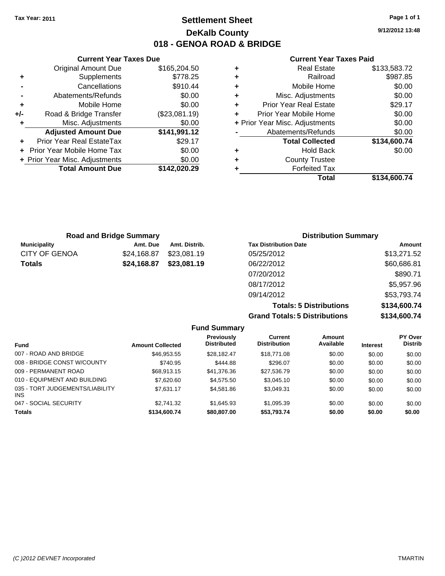**Current Year Taxes Due** Original Amount Due \$165,204.50

**Adjusted Amount Due \$141,991.12**

**+** Supplements \$778.25 **-** Cancellations **\$910.44 -** Abatements/Refunds \$0.00 **+** Mobile Home \$0.00 **+/-** Road & Bridge Transfer (\$23,081.19) **+** Misc. Adjustments \$0.00

**+** Prior Year Real EstateTax \$29.17 **+** Prior Year Mobile Home Tax \$0.00 **+ Prior Year Misc. Adjustments \$0.00<br>Total Amount Due \$142,020.29** 

**Total Amount Due** 

## **Settlement Sheet Tax Year: 2011 Page 1 of 1 DeKalb County 018 - GENOA ROAD & BRIDGE**

**9/12/2012 13:48**

#### **Current Year Taxes Paid**

|   | Total                          | \$134,600.74 |
|---|--------------------------------|--------------|
| ٠ | <b>Forfeited Tax</b>           |              |
| ٠ | <b>County Trustee</b>          |              |
| ٠ | <b>Hold Back</b>               | \$0.00       |
|   | <b>Total Collected</b>         | \$134,600.74 |
|   | Abatements/Refunds             | \$0.00       |
|   | + Prior Year Misc. Adjustments | \$0.00       |
| ÷ | Prior Year Mobile Home         | \$0.00       |
| ٠ | <b>Prior Year Real Estate</b>  | \$29.17      |
| ٠ | Misc. Adjustments              | \$0.00       |
| ٠ | Mobile Home                    | \$0.00       |
| ٠ | Railroad                       | \$987.85     |
| ٠ | <b>Real Estate</b>             | \$133,583.72 |

|                      | <b>Road and Bridge Summary</b> |               | <b>Distribution Summary</b>  |             |
|----------------------|--------------------------------|---------------|------------------------------|-------------|
| <b>Municipality</b>  | Amt. Due                       | Amt. Distrib. | <b>Tax Distribution Date</b> | Amount      |
| <b>CITY OF GENOA</b> | \$24,168.87                    | \$23,081.19   | 05/25/2012                   | \$13,271.52 |
| <b>Totals</b>        | \$24,168.87                    | \$23,081.19   | 06/22/2012                   | \$60,686.81 |
|                      |                                |               | 07/20/2012                   | \$890.71    |
|                      |                                |               | 08/17/2012                   | \$5,957.96  |
|                      |                                |               | 09/14/2012                   | \$53,793.74 |

**Totals: 5 Distributions \$134,600.74 Grand Totals: 5 Distributions \$134,600.74**

| <b>Fund Summary</b>                     |                         |                                         |                                |                     |                 |                           |  |
|-----------------------------------------|-------------------------|-----------------------------------------|--------------------------------|---------------------|-----------------|---------------------------|--|
| <b>Fund</b>                             | <b>Amount Collected</b> | <b>Previously</b><br><b>Distributed</b> | Current<br><b>Distribution</b> | Amount<br>Available | <b>Interest</b> | PY Over<br><b>Distrib</b> |  |
| 007 - ROAD AND BRIDGE                   | \$46,953.55             | \$28,182.47                             | \$18,771.08                    | \$0.00              | \$0.00          | \$0.00                    |  |
| 008 - BRIDGE CONST W/COUNTY             | \$740.95                | \$444.88                                | \$296.07                       | \$0.00              | \$0.00          | \$0.00                    |  |
| 009 - PERMANENT ROAD                    | \$68,913.15             | \$41,376.36                             | \$27,536.79                    | \$0.00              | \$0.00          | \$0.00                    |  |
| 010 - EQUIPMENT AND BUILDING            | \$7,620.60              | \$4,575.50                              | \$3,045.10                     | \$0.00              | \$0.00          | \$0.00                    |  |
| 035 - TORT JUDGEMENTS/LIABILITY<br>INS. | \$7,631.17              | \$4,581.86                              | \$3,049.31                     | \$0.00              | \$0.00          | \$0.00                    |  |
| 047 - SOCIAL SECURITY                   | \$2.741.32              | \$1,645.93                              | \$1,095.39                     | \$0.00              | \$0.00          | \$0.00                    |  |
| <b>Totals</b>                           | \$134,600.74            | \$80,807.00                             | \$53,793.74                    | \$0.00              | \$0.00          | \$0.00                    |  |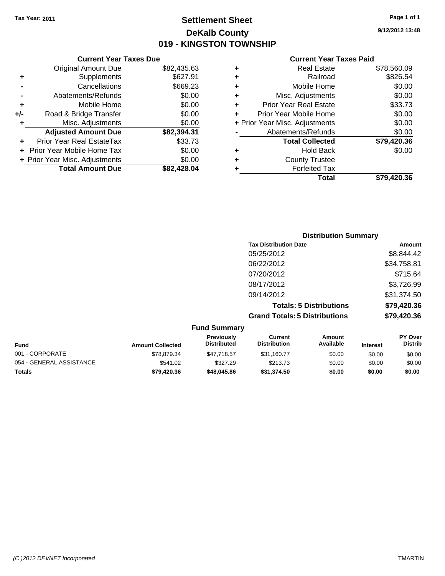**Current Year Taxes Due** Original Amount Due \$82,435.63

**Adjusted Amount Due \$82,394.31**

**Total Amount Due \$82,428.04**

**+** Supplements \$627.91 **-** Cancellations \$669.23 **-** Abatements/Refunds \$0.00 **+** Mobile Home \$0.00 **+/-** Road & Bridge Transfer \$0.00 **+** Misc. Adjustments \$0.00

**+** Prior Year Real EstateTax \$33.73 **+** Prior Year Mobile Home Tax \$0.00 **+ Prior Year Misc. Adjustments**  $$0.00$ 

## **Settlement Sheet Tax Year: 2011 Page 1 of 1 DeKalb County 019 - KINGSTON TOWNSHIP**

**9/12/2012 13:48**

#### **Current Year Taxes Paid**

| ٠ | <b>Real Estate</b>             | \$78,560.09 |
|---|--------------------------------|-------------|
| ٠ | Railroad                       | \$826.54    |
| ٠ | Mobile Home                    | \$0.00      |
| ٠ | Misc. Adjustments              | \$0.00      |
| ÷ | <b>Prior Year Real Estate</b>  | \$33.73     |
| ÷ | Prior Year Mobile Home         | \$0.00      |
|   | + Prior Year Misc. Adjustments | \$0.00      |
|   | Abatements/Refunds             | \$0.00      |
|   | <b>Total Collected</b>         | \$79,420.36 |
| ٠ | <b>Hold Back</b>               | \$0.00      |
| ٠ | <b>County Trustee</b>          |             |
|   | <b>Forfeited Tax</b>           |             |
|   | Total                          | \$79.420.36 |

|                 |                         |                                  | <b>Distribution Summary</b>           |                                |                 |                           |
|-----------------|-------------------------|----------------------------------|---------------------------------------|--------------------------------|-----------------|---------------------------|
|                 |                         |                                  | <b>Tax Distribution Date</b>          |                                |                 | Amount                    |
|                 |                         |                                  | 05/25/2012                            |                                |                 | \$8,844.42                |
|                 |                         |                                  | 06/22/2012                            |                                |                 | \$34,758.81               |
|                 |                         |                                  | 07/20/2012                            |                                |                 | \$715.64                  |
|                 |                         |                                  | 08/17/2012                            |                                |                 | \$3,726.99                |
|                 |                         |                                  | 09/14/2012                            |                                |                 | \$31,374.50               |
|                 |                         |                                  |                                       | <b>Totals: 5 Distributions</b> |                 | \$79,420.36               |
|                 |                         |                                  | <b>Grand Totals: 5 Distributions</b>  |                                |                 | \$79,420.36               |
|                 |                         | <b>Fund Summary</b>              |                                       |                                |                 |                           |
| Fund            | <b>Amount Collected</b> | Previously<br><b>Distributed</b> | <b>Current</b><br><b>Distribution</b> | <b>Amount</b><br>Available     | <b>Interest</b> | PY Over<br><b>Distrib</b> |
| 001 - CORPORATE | \$78,879.34             | \$47,718.57                      | \$31,160.77                           | \$0.00                         | \$0.00          | \$0.00                    |

054 - GENERAL ASSISTANCE \$541.02 \$227.29 \$213.73 \$0.00 \$0.00 \$0.00 **Totals \$79,420.36 \$48,045.86 \$31,374.50 \$0.00 \$0.00 \$0.00**

| (C)2012 DEVNET Incorporated | <b>TMARTIN</b> |
|-----------------------------|----------------|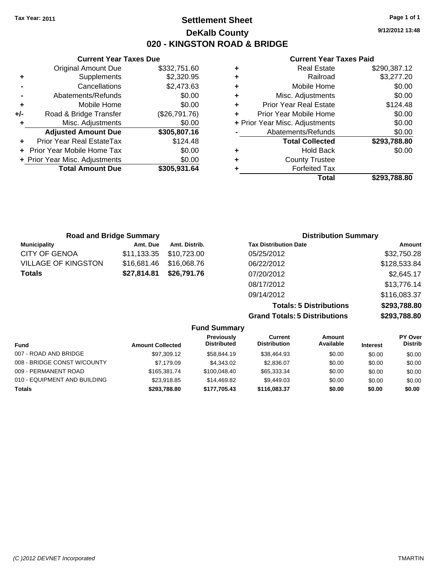**Current Year Taxes Due** Original Amount Due \$332,751.60

**Adjusted Amount Due \$305,807.16**

**Total Amount Due \$305,931.64**

**+** Supplements \$2,320.95 **-** Cancellations \$2,473.63 **-** Abatements/Refunds \$0.00 **+** Mobile Home \$0.00 **+/-** Road & Bridge Transfer (\$26,791.76) **+** Misc. Adjustments \$0.00

**+** Prior Year Real EstateTax \$124.48 **+** Prior Year Mobile Home Tax \$0.00 **+ Prior Year Misc. Adjustments**  $$0.00$ 

## **Settlement Sheet Tax Year: 2011 Page 1 of 1 DeKalb County 020 - KINGSTON ROAD & BRIDGE**

**9/12/2012 13:48**

#### **Current Year Taxes Paid**

|   | Total                          | \$293.788.80 |
|---|--------------------------------|--------------|
|   | <b>Forfeited Tax</b>           |              |
| ٠ | <b>County Trustee</b>          |              |
| ٠ | <b>Hold Back</b>               | \$0.00       |
|   | <b>Total Collected</b>         | \$293,788.80 |
|   | Abatements/Refunds             | \$0.00       |
|   | + Prior Year Misc. Adjustments | \$0.00       |
| ÷ | Prior Year Mobile Home         | \$0.00       |
| ÷ | <b>Prior Year Real Estate</b>  | \$124.48     |
| ٠ | Misc. Adjustments              | \$0.00       |
| ٠ | Mobile Home                    | \$0.00       |
| ٠ | Railroad                       | \$3,277.20   |
| ٠ | <b>Real Estate</b>             | \$290,387.12 |

|                            | <b>Road and Bridge Summary</b> |               | <b>Distribution Summary</b>  |              |
|----------------------------|--------------------------------|---------------|------------------------------|--------------|
| <b>Municipality</b>        | Amt. Due                       | Amt. Distrib. | <b>Tax Distribution Date</b> | Amount       |
| <b>CITY OF GENOA</b>       | \$11,133.35                    | \$10,723.00   | 05/25/2012                   | \$32,750.28  |
| <b>VILLAGE OF KINGSTON</b> | \$16.681.46                    | \$16,068.76   | 06/22/2012                   | \$128,533.84 |
| <b>Totals</b>              | \$27,814.81                    | \$26,791.76   | 07/20/2012                   | \$2,645.17   |
|                            |                                |               | 08/17/2012                   | \$13,776.14  |
|                            |                                |               | 09/14/2012                   | \$116,083.37 |

**Totals: 5 Distributions \$293,788.80 Grand Totals: 5 Distributions \$293,788.80**

|                              |                         | <b>Fund Summary</b>              |                                |                     |                 |                           |
|------------------------------|-------------------------|----------------------------------|--------------------------------|---------------------|-----------------|---------------------------|
| <b>Fund</b>                  | <b>Amount Collected</b> | Previously<br><b>Distributed</b> | Current<br><b>Distribution</b> | Amount<br>Available | <b>Interest</b> | PY Over<br><b>Distrib</b> |
| 007 - ROAD AND BRIDGE        | \$97,309.12             | \$58,844.19                      | \$38,464.93                    | \$0.00              | \$0.00          | \$0.00                    |
| 008 - BRIDGE CONST W/COUNTY  | \$7,179.09              | \$4,343,02                       | \$2,836.07                     | \$0.00              | \$0.00          | \$0.00                    |
| 009 - PERMANENT ROAD         | \$165,381,74            | \$100.048.40                     | \$65,333.34                    | \$0.00              | \$0.00          | \$0.00                    |
| 010 - EQUIPMENT AND BUILDING | \$23.918.85             | \$14,469.82                      | \$9.449.03                     | \$0.00              | \$0.00          | \$0.00                    |
| <b>Totals</b>                | \$293,788,80            | \$177.705.43                     | \$116.083.37                   | \$0.00              | \$0.00          | \$0.00                    |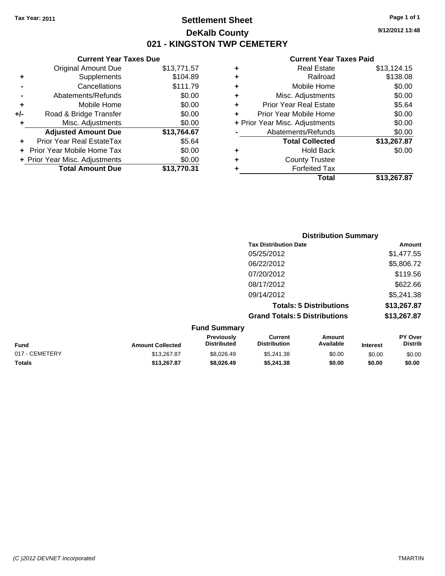## **Settlement Sheet Tax Year: 2011 Page 1 of 1 DeKalb County 021 - KINGSTON TWP CEMETERY**

**9/12/2012 13:48**

#### **Current Year Taxes Paid**

| <b>Original Amount Due</b>     | \$13,771.57                   |
|--------------------------------|-------------------------------|
| Supplements                    | \$104.89                      |
| Cancellations                  | \$111.79                      |
| Abatements/Refunds             | \$0.00                        |
| Mobile Home                    | \$0.00                        |
| Road & Bridge Transfer         | \$0.00                        |
| Misc. Adjustments              | \$0.00                        |
| <b>Adjusted Amount Due</b>     | \$13,764.67                   |
| Prior Year Real EstateTax      | \$5.64                        |
| Prior Year Mobile Home Tax     | \$0.00                        |
| + Prior Year Misc. Adjustments | \$0.00                        |
| <b>Total Amount Due</b>        | \$13.770.31                   |
|                                | <b>Current Year Taxes Due</b> |

| \$13,124.15 |
|-------------|
| \$138.08    |
| \$0.00      |
| \$0.00      |
| \$5.64      |
| \$0.00      |
| \$0.00      |
| \$0.00      |
| \$13,267.87 |
| \$0.00      |
|             |
|             |
| \$13,267.87 |
|             |

|                     |                                      | <b>Distribution Summary</b>    |                |
|---------------------|--------------------------------------|--------------------------------|----------------|
|                     | <b>Tax Distribution Date</b>         |                                | Amount         |
|                     | 05/25/2012                           |                                | \$1,477.55     |
|                     | 06/22/2012                           |                                | \$5,806.72     |
|                     | 07/20/2012                           |                                | \$119.56       |
|                     | 08/17/2012                           |                                | \$622.66       |
|                     | 09/14/2012                           |                                | \$5,241.38     |
|                     |                                      | <b>Totals: 5 Distributions</b> | \$13,267.87    |
|                     | <b>Grand Totals: 5 Distributions</b> |                                | \$13,267.87    |
| <b>Fund Summary</b> |                                      |                                |                |
| Previously          | Current                              | Amount                         | <b>PY Over</b> |

| <b>Fund</b>    | <b>Amount Collected</b> | Previously<br><b>Distributed</b> | Current<br>Distribution | Amount<br>Available | <b>Interest</b> | PY Over<br>Distrib |
|----------------|-------------------------|----------------------------------|-------------------------|---------------------|-----------------|--------------------|
| 017 - CEMETERY | \$13,267.87             | \$8.026.49                       | \$5.241.38              | \$0.00              | \$0.00          | \$0.00             |
| <b>Totals</b>  | \$13.267.87             | \$8.026.49                       | \$5,241,38              | \$0.00              | \$0.00          | \$0.00             |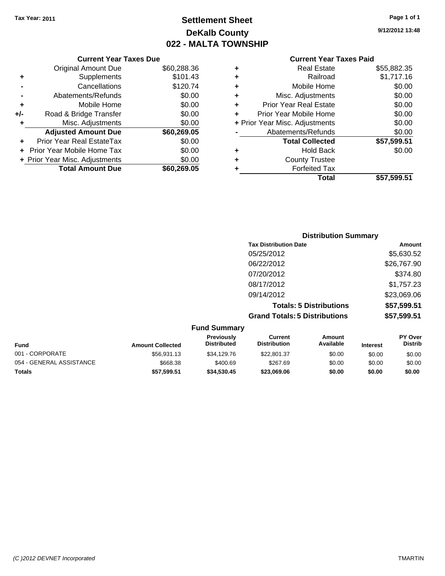# **Settlement Sheet Tax Year: 2011 Page 1 of 1 DeKalb County 022 - MALTA TOWNSHIP**

**9/12/2012 13:48**

#### **Current Year Taxes Paid**

|     | <b>Current Year Taxes Due</b>     |             |  |
|-----|-----------------------------------|-------------|--|
|     | <b>Original Amount Due</b>        | \$60,288.36 |  |
| ٠   | Supplements                       | \$101.43    |  |
|     | Cancellations                     | \$120.74    |  |
|     | Abatements/Refunds                | \$0.00      |  |
| ٠   | Mobile Home                       | \$0.00      |  |
| +/- | Road & Bridge Transfer            | \$0.00      |  |
|     | Misc. Adjustments                 | \$0.00      |  |
|     | <b>Adjusted Amount Due</b>        | \$60,269.05 |  |
| ÷   | Prior Year Real EstateTax         | \$0.00      |  |
|     | <b>Prior Year Mobile Home Tax</b> | \$0.00      |  |
|     | + Prior Year Misc. Adjustments    | \$0.00      |  |
|     | <b>Total Amount Due</b>           | \$60,269,05 |  |
|     |                                   |             |  |

| ٠ | <b>Real Estate</b>             | \$55,882.35 |
|---|--------------------------------|-------------|
| ٠ | Railroad                       | \$1,717.16  |
| ٠ | Mobile Home                    | \$0.00      |
| ٠ | Misc. Adjustments              | \$0.00      |
| ÷ | <b>Prior Year Real Estate</b>  | \$0.00      |
|   | Prior Year Mobile Home         | \$0.00      |
|   | + Prior Year Misc. Adjustments | \$0.00      |
|   | Abatements/Refunds             | \$0.00      |
|   | <b>Total Collected</b>         | \$57,599.51 |
| ٠ | <b>Hold Back</b>               | \$0.00      |
| ٠ | <b>County Trustee</b>          |             |
| ٠ | <b>Forfeited Tax</b>           |             |
|   | Total                          | \$57,599.51 |
|   |                                |             |

| <b>Distribution Summary</b>          |             |
|--------------------------------------|-------------|
| <b>Tax Distribution Date</b>         | Amount      |
| 05/25/2012                           | \$5,630.52  |
| 06/22/2012                           | \$26,767.90 |
| 07/20/2012                           | \$374.80    |
| 08/17/2012                           | \$1,757.23  |
| 09/14/2012                           | \$23,069.06 |
| <b>Totals: 5 Distributions</b>       | \$57,599.51 |
| <b>Grand Totals: 5 Distributions</b> | \$57,599.51 |

| <b>Fund Summary</b>      |                         |                                  |                                |                     |                 |                                  |
|--------------------------|-------------------------|----------------------------------|--------------------------------|---------------------|-----------------|----------------------------------|
| <b>Fund</b>              | <b>Amount Collected</b> | Previously<br><b>Distributed</b> | Current<br><b>Distribution</b> | Amount<br>Available | <b>Interest</b> | <b>PY Over</b><br><b>Distrib</b> |
| 001 - CORPORATE          | \$56,931.13             | \$34,129.76                      | \$22,801.37                    | \$0.00              | \$0.00          | \$0.00                           |
| 054 - GENERAL ASSISTANCE | \$668.38                | \$400.69                         | \$267.69                       | \$0.00              | \$0.00          | \$0.00                           |
| Totals                   | \$57,599.51             | \$34,530,45                      | \$23,069.06                    | \$0.00              | \$0.00          | \$0.00                           |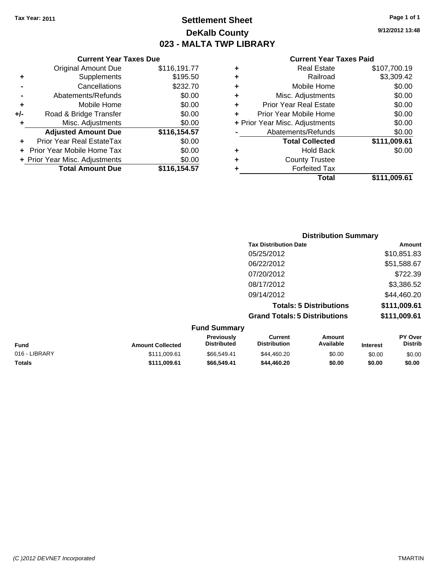**Current Year Taxes Due** Original Amount Due \$116,191.77

**Adjusted Amount Due \$116,154.57**

**Total Amount Due \$116,154.57**

**+** Supplements \$195.50 **-** Cancellations \$232.70 **-** Abatements/Refunds \$0.00 **+** Mobile Home \$0.00 **+/-** Road & Bridge Transfer \$0.00 **+** Misc. Adjustments \$0.00

**+** Prior Year Real EstateTax \$0.00 **+** Prior Year Mobile Home Tax \$0.00 **+ Prior Year Misc. Adjustments**  $$0.00$ 

## **Settlement Sheet Tax Year: 2011 Page 1 of 1 DeKalb County 023 - MALTA TWP LIBRARY**

**9/12/2012 13:48**

#### **Current Year Taxes Paid**

| ٠ | <b>Real Estate</b>             | \$107,700.19 |
|---|--------------------------------|--------------|
| ٠ | Railroad                       | \$3,309.42   |
| ÷ | Mobile Home                    | \$0.00       |
| ÷ | Misc. Adjustments              | \$0.00       |
| ٠ | <b>Prior Year Real Estate</b>  | \$0.00       |
| ÷ | Prior Year Mobile Home         | \$0.00       |
|   | + Prior Year Misc. Adjustments | \$0.00       |
|   | Abatements/Refunds             | \$0.00       |
|   | <b>Total Collected</b>         | \$111,009.61 |
| ٠ | <b>Hold Back</b>               | \$0.00       |
| ٠ | <b>County Trustee</b>          |              |
|   | <b>Forfeited Tax</b>           |              |
|   | Total                          | \$111.009.61 |

## **Distribution Summary Tax Distribution Date Amount** 05/25/2012 \$10,851.83 06/22/2012 \$51,588.67 07/20/2012 \$722.39 08/17/2012 \$3,386.52 09/14/2012 \$44,460.20 **Totals: 5 Distributions \$111,009.61 Grand Totals: 5 Distributions \$111,009.61 Fund Summary**

| <b>Fund</b>   | <b>Amount Collected</b> | <b>Previously</b><br><b>Distributed</b> | Current<br><b>Distribution</b> | Amount<br>Available | <b>Interest</b> | <b>PY Over</b><br><b>Distrib</b> |
|---------------|-------------------------|-----------------------------------------|--------------------------------|---------------------|-----------------|----------------------------------|
| 016 - LIBRARY | \$111,009.61            | \$66,549.41                             | \$44,460.20                    | \$0.00              | \$0.00          | \$0.00                           |
| Totals        | \$111.009.61            | \$66,549,41                             | \$44,460,20                    | \$0.00              | \$0.00          | \$0.00                           |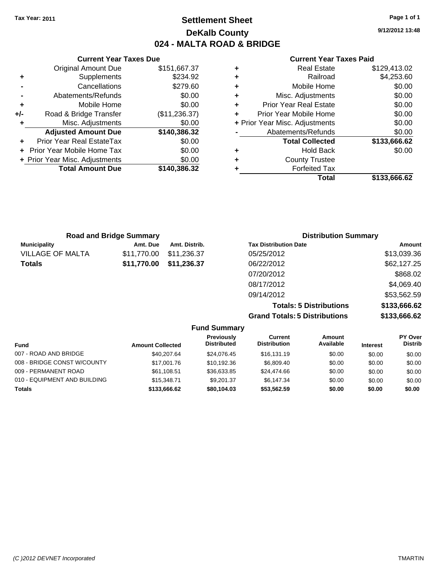## **Settlement Sheet Tax Year: 2011 Page 1 of 1 DeKalb County 024 - MALTA ROAD & BRIDGE**

**9/12/2012 13:48**

#### **Current Year Taxes Paid**

| <b>Current Year</b>            |   |               | <b>Current Year Taxes Due</b>  |       |
|--------------------------------|---|---------------|--------------------------------|-------|
| <b>Real Estate</b>             | ٠ | \$151,667.37  | <b>Original Amount Due</b>     |       |
| Railroad                       | ٠ | \$234.92      | Supplements                    | ٠     |
| Mobile Home                    |   | \$279.60      | Cancellations                  |       |
| Misc. Adjustments              | ٠ | \$0.00        | Abatements/Refunds             |       |
| <b>Prior Year Real Estate</b>  | ٠ | \$0.00        | Mobile Home                    | ٠     |
| Prior Year Mobile Home         | ÷ | (\$11,236.37) | Road & Bridge Transfer         | $+/-$ |
| + Prior Year Misc. Adjustments |   | \$0.00        | Misc. Adjustments              |       |
| Abatements/Refunds             |   | \$140,386.32  | <b>Adjusted Amount Due</b>     |       |
| <b>Total Collected</b>         |   | \$0.00        | Prior Year Real EstateTax      |       |
| <b>Hold Back</b>               | ٠ | \$0.00        | + Prior Year Mobile Home Tax   |       |
| <b>County Trustee</b>          | ٠ | \$0.00        | + Prior Year Misc. Adjustments |       |
| <b>Forfeited Tax</b>           |   | \$140,386.32  | <b>Total Amount Due</b>        |       |
| $T0$ tal                       |   |               |                                |       |

| <b>Real Estate</b>             | \$129,413.02 |
|--------------------------------|--------------|
| Railroad                       | \$4,253.60   |
| Mobile Home                    | \$0.00       |
| Misc. Adjustments              | \$0.00       |
| <b>Prior Year Real Estate</b>  | \$0.00       |
| Prior Year Mobile Home         | \$0.00       |
| + Prior Year Misc. Adjustments | \$0.00       |
| Abatements/Refunds             | \$0.00       |
| <b>Total Collected</b>         | \$133,666.62 |
| <b>Hold Back</b>               | \$0.00       |
| <b>County Trustee</b>          |              |
| <b>Forfeited Tax</b>           |              |
| Total                          | \$133,666.62 |
|                                |              |

| <b>Road and Bridge Summary</b> |             |               | <b>Distribution Summary</b>  |             |
|--------------------------------|-------------|---------------|------------------------------|-------------|
| <b>Municipality</b>            | Amt. Due    | Amt. Distrib. | <b>Tax Distribution Date</b> | Amount      |
| <b>VILLAGE OF MALTA</b>        | \$11,770.00 | \$11,236.37   | 05/25/2012                   | \$13,039.36 |
| <b>Totals</b>                  | \$11,770.00 | \$11,236.37   | 06/22/2012                   | \$62,127.25 |
|                                |             |               | 07/20/2012                   | \$868.02    |
|                                |             |               | 08/17/2012                   | \$4,069.40  |
|                                |             |               | 09/14/2012                   | \$53,562.59 |
|                                |             |               |                              |             |

**Totals: 5 Distributions \$133,666.62 Grand Totals: 5 Distributions \$133,666.62**

| Fund                         | <b>Amount Collected</b> | Previously<br><b>Distributed</b> | Current<br><b>Distribution</b> | Amount<br>Available | <b>Interest</b> | PY Over<br><b>Distrib</b> |
|------------------------------|-------------------------|----------------------------------|--------------------------------|---------------------|-----------------|---------------------------|
| 007 - ROAD AND BRIDGE        | \$40,207.64             | \$24.076.45                      | \$16,131.19                    | \$0.00              | \$0.00          | \$0.00                    |
| 008 - BRIDGE CONST W/COUNTY  | \$17,001.76             | \$10.192.36                      | \$6,809.40                     | \$0.00              | \$0.00          | \$0.00                    |
| 009 - PERMANENT ROAD         | \$61,108.51             | \$36.633.85                      | \$24,474.66                    | \$0.00              | \$0.00          | \$0.00                    |
| 010 - EQUIPMENT AND BUILDING | \$15,348,71             | \$9.201.37                       | \$6.147.34                     | \$0.00              | \$0.00          | \$0.00                    |
| <b>Totals</b>                | \$133,666.62            | \$80,104.03                      | \$53.562.59                    | \$0.00              | \$0.00          | \$0.00                    |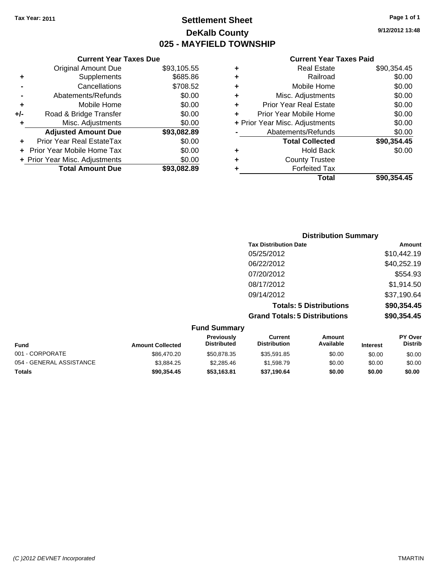**Current Year Taxes Due** Original Amount Due \$93,105.55

**Adjusted Amount Due \$93,082.89**

**Total Amount Due \$93,082.89**

**+** Supplements \$685.86 **-** Cancellations \$708.52 **-** Abatements/Refunds \$0.00 **+** Mobile Home \$0.00 **+/-** Road & Bridge Transfer \$0.00 **+** Misc. Adjustments \$0.00

**+** Prior Year Real EstateTax \$0.00 **+** Prior Year Mobile Home Tax \$0.00 **+ Prior Year Misc. Adjustments**  $$0.00$ 

## **Settlement Sheet Tax Year: 2011 Page 1 of 1 DeKalb County 025 - MAYFIELD TOWNSHIP**

**9/12/2012 13:48**

#### **Current Year Taxes Paid**

| ٠ | <b>Real Estate</b>             | \$90,354.45 |
|---|--------------------------------|-------------|
| ٠ | Railroad                       | \$0.00      |
| ٠ | Mobile Home                    | \$0.00      |
| ٠ | Misc. Adjustments              | \$0.00      |
| ÷ | <b>Prior Year Real Estate</b>  | \$0.00      |
| ٠ | Prior Year Mobile Home         | \$0.00      |
|   | + Prior Year Misc. Adjustments | \$0.00      |
|   | Abatements/Refunds             | \$0.00      |
|   | <b>Total Collected</b>         | \$90,354.45 |
| ٠ | <b>Hold Back</b>               | \$0.00      |
| ٠ | <b>County Trustee</b>          |             |
| ٠ | <b>Forfeited Tax</b>           |             |
|   | Total                          | \$90.354.45 |

|                     |                                      | <b>Distribution Summary</b>    |             |
|---------------------|--------------------------------------|--------------------------------|-------------|
|                     | <b>Tax Distribution Date</b>         |                                | Amount      |
|                     | 05/25/2012                           |                                | \$10,442.19 |
|                     | 06/22/2012                           |                                | \$40,252.19 |
|                     | 07/20/2012                           |                                | \$554.93    |
|                     | 08/17/2012                           |                                | \$1,914.50  |
|                     | 09/14/2012                           |                                | \$37,190.64 |
|                     |                                      | <b>Totals: 5 Distributions</b> | \$90,354.45 |
|                     | <b>Grand Totals: 5 Distributions</b> |                                | \$90,354.45 |
| <b>Fund Summary</b> |                                      |                                |             |
| Previously          | <b>Current</b>                       | Amount                         | PY Over     |

| Fund                     | <b>Amount Collected</b> | <b>Previously</b><br><b>Distributed</b> | Current<br><b>Distribution</b> | Amount<br>Available | <b>Interest</b> | <b>PY Over</b><br><b>Distrib</b> |
|--------------------------|-------------------------|-----------------------------------------|--------------------------------|---------------------|-----------------|----------------------------------|
| 001 - CORPORATE          | \$86.470.20             | \$50.878.35                             | \$35.591.85                    | \$0.00              | \$0.00          | \$0.00                           |
| 054 - GENERAL ASSISTANCE | \$3.884.25              | \$2,285.46                              | \$1,598.79                     | \$0.00              | \$0.00          | \$0.00                           |
| Totals                   | \$90.354.45             | \$53,163.81                             | \$37,190.64                    | \$0.00              | \$0.00          | \$0.00                           |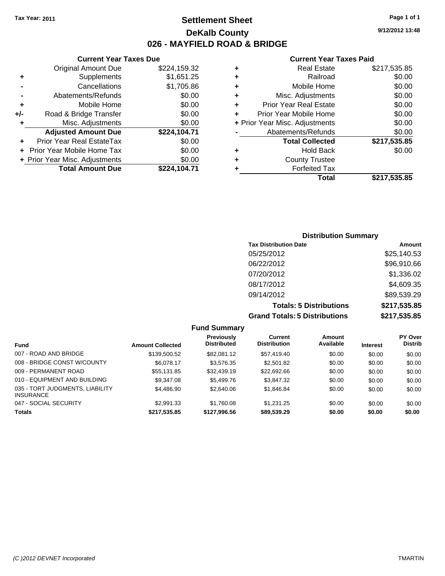## **Settlement Sheet Tax Year: 2011 Page 1 of 1 DeKalb County 026 - MAYFIELD ROAD & BRIDGE**

**9/12/2012 13:48**

#### **Current Year Taxes Paid**

|     | <b>Current Year Taxes Due</b>  |              |  |  |  |  |  |
|-----|--------------------------------|--------------|--|--|--|--|--|
|     | <b>Original Amount Due</b>     | \$224,159.32 |  |  |  |  |  |
| ٠   | Supplements                    | \$1,651.25   |  |  |  |  |  |
|     | Cancellations                  | \$1,705.86   |  |  |  |  |  |
|     | Abatements/Refunds             | \$0.00       |  |  |  |  |  |
| ٠   | Mobile Home                    | \$0.00       |  |  |  |  |  |
| +/- | Road & Bridge Transfer         | \$0.00       |  |  |  |  |  |
| ٠   | Misc. Adjustments              | \$0.00       |  |  |  |  |  |
|     | <b>Adjusted Amount Due</b>     | \$224,104.71 |  |  |  |  |  |
| ٠   | Prior Year Real EstateTax      | \$0.00       |  |  |  |  |  |
|     | Prior Year Mobile Home Tax     | \$0.00       |  |  |  |  |  |
|     | + Prior Year Misc. Adjustments | \$0.00       |  |  |  |  |  |
|     | <b>Total Amount Due</b>        | \$224,104.71 |  |  |  |  |  |
|     |                                |              |  |  |  |  |  |

| ٠ | <b>Real Estate</b>             | \$217,535.85 |
|---|--------------------------------|--------------|
| ٠ | Railroad                       | \$0.00       |
| ٠ | Mobile Home                    | \$0.00       |
| ٠ | Misc. Adjustments              | \$0.00       |
| ÷ | <b>Prior Year Real Estate</b>  | \$0.00       |
| ٠ | Prior Year Mobile Home         | \$0.00       |
|   | + Prior Year Misc. Adjustments | \$0.00       |
|   | Abatements/Refunds             | \$0.00       |
|   | <b>Total Collected</b>         | \$217,535.85 |
| ٠ | <b>Hold Back</b>               | \$0.00       |
| ٠ | <b>County Trustee</b>          |              |
| ٠ | <b>Forfeited Tax</b>           |              |
|   | Total                          | \$217,535.85 |
|   |                                |              |

## **Distribution Summary Tax Distribution Date Amount** 05/25/2012 \$25,140.53 06/22/2012 \$96,910.66 07/20/2012 \$1,336.02 08/17/2012 \$4,609.35 09/14/2012 \$89,539.29 **Totals: 5 Distributions \$217,535.85 Grand Totals: 5 Distributions \$217,535.85**

| <b>Fund Summary</b>                                 |                         |                                         |                                |                     |                 |                                  |
|-----------------------------------------------------|-------------------------|-----------------------------------------|--------------------------------|---------------------|-----------------|----------------------------------|
| <b>Fund</b>                                         | <b>Amount Collected</b> | <b>Previously</b><br><b>Distributed</b> | Current<br><b>Distribution</b> | Amount<br>Available | <b>Interest</b> | <b>PY Over</b><br><b>Distrib</b> |
| 007 - ROAD AND BRIDGE                               | \$139,500.52            | \$82,081.12                             | \$57,419.40                    | \$0.00              | \$0.00          | \$0.00                           |
| 008 - BRIDGE CONST W/COUNTY                         | \$6,078.17              | \$3,576.35                              | \$2,501.82                     | \$0.00              | \$0.00          | \$0.00                           |
| 009 - PERMANENT ROAD                                | \$55.131.85             | \$32,439.19                             | \$22,692.66                    | \$0.00              | \$0.00          | \$0.00                           |
| 010 - EQUIPMENT AND BUILDING                        | \$9,347,08              | \$5,499.76                              | \$3,847,32                     | \$0.00              | \$0.00          | \$0.00                           |
| 035 - TORT JUDGMENTS, LIABILITY<br><b>INSURANCE</b> | \$4,486.90              | \$2,640.06                              | \$1,846.84                     | \$0.00              | \$0.00          | \$0.00                           |
| 047 - SOCIAL SECURITY                               | \$2,991.33              | \$1.760.08                              | \$1.231.25                     | \$0.00              | \$0.00          | \$0.00                           |
| <b>Totals</b>                                       | \$217,535.85            | \$127,996.56                            | \$89,539.29                    | \$0.00              | \$0.00          | \$0.00                           |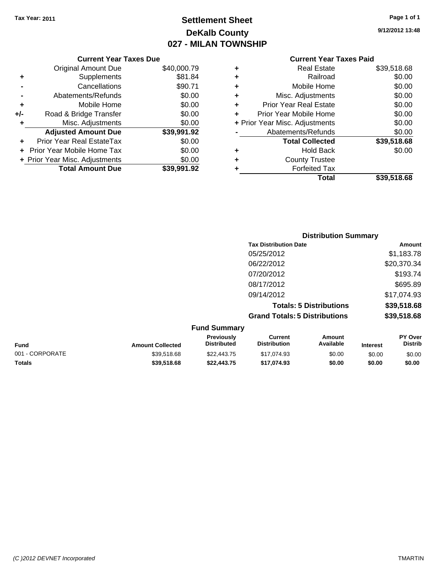# **Settlement Sheet Tax Year: 2011 Page 1 of 1 DeKalb County 027 - MILAN TOWNSHIP**

| Page 1 of 1 |  |  |  |
|-------------|--|--|--|
|-------------|--|--|--|

**9/12/2012 13:48**

|     | <b>Current Year Taxes Due</b>  |             |  |  |  |  |  |
|-----|--------------------------------|-------------|--|--|--|--|--|
|     | <b>Original Amount Due</b>     | \$40,000.79 |  |  |  |  |  |
| ٠   | Supplements                    | \$81.84     |  |  |  |  |  |
|     | Cancellations                  | \$90.71     |  |  |  |  |  |
|     | Abatements/Refunds             | \$0.00      |  |  |  |  |  |
| ٠   | Mobile Home                    | \$0.00      |  |  |  |  |  |
| +/- | Road & Bridge Transfer         | \$0.00      |  |  |  |  |  |
| ٠   | Misc. Adjustments              | \$0.00      |  |  |  |  |  |
|     | <b>Adjusted Amount Due</b>     | \$39,991.92 |  |  |  |  |  |
|     | Prior Year Real EstateTax      | \$0.00      |  |  |  |  |  |
|     | Prior Year Mobile Home Tax     | \$0.00      |  |  |  |  |  |
|     | + Prior Year Misc. Adjustments | \$0.00      |  |  |  |  |  |
|     | <b>Total Amount Due</b>        | \$39.991.92 |  |  |  |  |  |

|   | <b>Current Year Taxes Paid</b> |             |  |  |  |  |
|---|--------------------------------|-------------|--|--|--|--|
| ٠ | <b>Real Estate</b>             | \$39,518.68 |  |  |  |  |
| ٠ | Railroad                       | \$0.00      |  |  |  |  |
| ٠ | Mobile Home                    | \$0.00      |  |  |  |  |
|   | Misc. Adjustments              | \$0.00      |  |  |  |  |
| ٠ | <b>Prior Year Real Estate</b>  | \$0.00      |  |  |  |  |
| ٠ | Prior Year Mobile Home         | \$0.00      |  |  |  |  |
|   | + Prior Year Misc. Adjustments | \$0.00      |  |  |  |  |
|   | Abatements/Refunds             | \$0.00      |  |  |  |  |
|   | <b>Total Collected</b>         | \$39,518.68 |  |  |  |  |
| ٠ | <b>Hold Back</b>               | \$0.00      |  |  |  |  |
| ٠ | <b>County Trustee</b>          |             |  |  |  |  |
|   | <b>Forfeited Tax</b>           |             |  |  |  |  |
|   | Total                          | \$39,518.68 |  |  |  |  |
|   |                                |             |  |  |  |  |

|                 |                         |                                  |                                       | <b>Distribution Summary</b>    |                 |                           |
|-----------------|-------------------------|----------------------------------|---------------------------------------|--------------------------------|-----------------|---------------------------|
|                 |                         |                                  | <b>Tax Distribution Date</b>          |                                |                 | Amount                    |
|                 |                         |                                  | 05/25/2012                            |                                |                 | \$1,183.78                |
|                 | 06/22/2012              |                                  | \$20,370.34                           |                                |                 |                           |
|                 |                         |                                  | 07/20/2012                            |                                |                 | \$193.74                  |
|                 |                         |                                  | 08/17/2012                            |                                |                 | \$695.89                  |
|                 |                         |                                  | 09/14/2012                            |                                |                 | \$17,074.93               |
|                 |                         |                                  |                                       | <b>Totals: 5 Distributions</b> |                 | \$39,518.68               |
|                 |                         |                                  | <b>Grand Totals: 5 Distributions</b>  |                                |                 | \$39,518.68               |
|                 |                         | <b>Fund Summary</b>              |                                       |                                |                 |                           |
| <b>Fund</b>     | <b>Amount Collected</b> | Previously<br><b>Distributed</b> | <b>Current</b><br><b>Distribution</b> | <b>Amount</b><br>Available     | <b>Interest</b> | PY Over<br><b>Distrib</b> |
| 001 - CORPORATE | \$39,518.68             | \$22,443.75                      | \$17,074.93                           | \$0.00                         | \$0.00          | \$0.00                    |

**Totals \$39,518.68 \$22,443.75 \$17,074.93 \$0.00 \$0.00 \$0.00**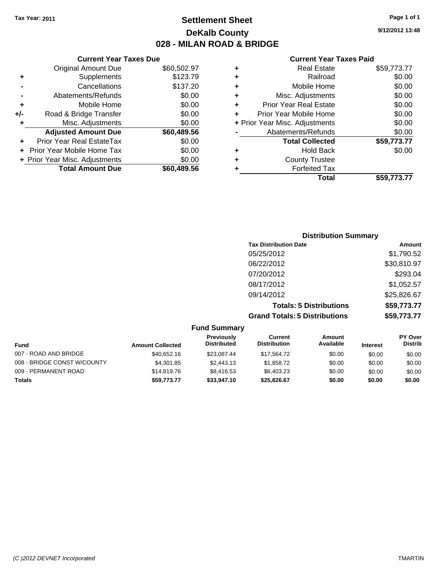## **Settlement Sheet Tax Year: 2011 Page 1 of 1 DeKalb County 028 - MILAN ROAD & BRIDGE**

#### **Current Year Taxes Due**

|     | <b>Original Amount Due</b>       | \$60,502.97 |
|-----|----------------------------------|-------------|
| ٠   | Supplements                      | \$123.79    |
|     | Cancellations                    | \$137.20    |
|     | Abatements/Refunds               | \$0.00      |
| ÷   | Mobile Home                      | \$0.00      |
| +/- | Road & Bridge Transfer           | \$0.00      |
| ٠   | Misc. Adjustments                | \$0.00      |
|     | <b>Adjusted Amount Due</b>       | \$60,489.56 |
|     | <b>Prior Year Real EstateTax</b> | \$0.00      |
|     | Prior Year Mobile Home Tax       | \$0.00      |
|     | + Prior Year Misc. Adjustments   | \$0.00      |
|     | <b>Total Amount Due</b>          | \$60.489.56 |

#### **Current Year Taxes Paid**

|   | <b>Real Estate</b>             | \$59,773.77 |
|---|--------------------------------|-------------|
| ٠ | Railroad                       | \$0.00      |
| ٠ | Mobile Home                    | \$0.00      |
| ٠ | Misc. Adjustments              | \$0.00      |
| ÷ | <b>Prior Year Real Estate</b>  | \$0.00      |
|   | Prior Year Mobile Home         | \$0.00      |
|   | + Prior Year Misc. Adjustments | \$0.00      |
|   | Abatements/Refunds             | \$0.00      |
|   | <b>Total Collected</b>         | \$59,773.77 |
| ٠ | Hold Back                      | \$0.00      |
|   | <b>County Trustee</b>          |             |
| ٠ | <b>Forfeited Tax</b>           |             |
|   | Total                          | \$59,773.77 |
|   |                                |             |

## **Distribution Summary Tax Distribution Date Amount** 05/25/2012 \$1,790.52 06/22/2012 \$30,810.97 07/20/2012 \$293.04 08/17/2012 \$1,052.57 09/14/2012 \$25,826.67 **Totals: 5 Distributions \$59,773.77 Grand Totals: 5 Distributions \$59,773.77**

| <b>Fund Summary</b>         |                         |                                  |                                |                     |                 |                                  |
|-----------------------------|-------------------------|----------------------------------|--------------------------------|---------------------|-----------------|----------------------------------|
| <b>Fund</b>                 | <b>Amount Collected</b> | Previously<br><b>Distributed</b> | Current<br><b>Distribution</b> | Amount<br>Available | <b>Interest</b> | <b>PY Over</b><br><b>Distrib</b> |
| 007 - ROAD AND BRIDGE       | \$40.652.16             | \$23.087.44                      | \$17.564.72                    | \$0.00              | \$0.00          | \$0.00                           |
| 008 - BRIDGE CONST W/COUNTY | \$4,301.85              | \$2,443.13                       | \$1,858.72                     | \$0.00              | \$0.00          | \$0.00                           |
| 009 - PERMANENT ROAD        | \$14,819.76             | \$8.416.53                       | \$6,403.23                     | \$0.00              | \$0.00          | \$0.00                           |
| Totals                      | \$59.773.77             | \$33,947.10                      | \$25,826.67                    | \$0.00              | \$0.00          | \$0.00                           |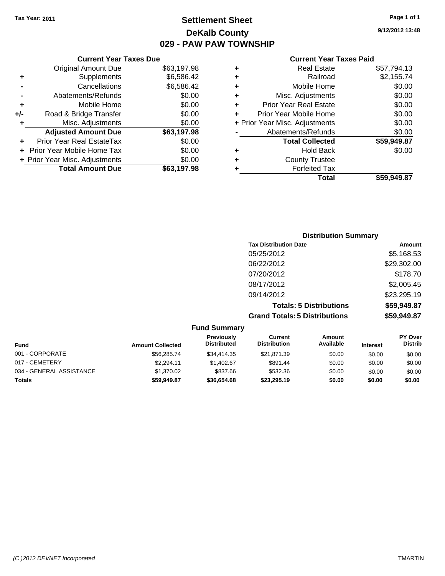**Current Year Taxes Due** Original Amount Due \$63,197.98

**Adjusted Amount Due \$63,197.98**

**Total Amount Due \$63,197.98**

**+** Supplements \$6,586.42 **-** Cancellations \$6,586.42 **-** Abatements/Refunds \$0.00 **+** Mobile Home \$0.00 **+/-** Road & Bridge Transfer \$0.00 **+** Misc. Adjustments \$0.00

**+** Prior Year Real EstateTax \$0.00 **+** Prior Year Mobile Home Tax \$0.00 **+ Prior Year Misc. Adjustments**  $$0.00$ 

## **Settlement Sheet Tax Year: 2011 Page 1 of 1 DeKalb County 029 - PAW PAW TOWNSHIP**

**9/12/2012 13:48**

#### **Current Year Taxes Paid**

| ٠ | <b>Real Estate</b>             | \$57,794.13 |
|---|--------------------------------|-------------|
| ٠ | Railroad                       | \$2,155.74  |
| ٠ | Mobile Home                    | \$0.00      |
| ٠ | Misc. Adjustments              | \$0.00      |
| ٠ | <b>Prior Year Real Estate</b>  | \$0.00      |
| ÷ | Prior Year Mobile Home         | \$0.00      |
|   | + Prior Year Misc. Adjustments | \$0.00      |
|   | Abatements/Refunds             | \$0.00      |
|   | <b>Total Collected</b>         | \$59,949.87 |
| ٠ | <b>Hold Back</b>               | \$0.00      |
| ٠ | <b>County Trustee</b>          |             |
|   | <b>Forfeited Tax</b>           |             |
|   | Total                          | \$59,949.87 |

| <b>Distribution Summary</b> |
|-----------------------------|
| Amount                      |
| \$5,168.53                  |
| \$29,302.00                 |
| \$178.70                    |
| \$2,005.45                  |
| \$23,295.19                 |
| \$59,949.87                 |
| \$59,949.87                 |
|                             |

| <b>Fund Summary</b>      |                         |                                  |                                |                     |                 |                                  |
|--------------------------|-------------------------|----------------------------------|--------------------------------|---------------------|-----------------|----------------------------------|
| <b>Fund</b>              | <b>Amount Collected</b> | Previously<br><b>Distributed</b> | Current<br><b>Distribution</b> | Amount<br>Available | <b>Interest</b> | <b>PY Over</b><br><b>Distrib</b> |
| 001 - CORPORATE          | \$56,285.74             | \$34,414.35                      | \$21,871.39                    | \$0.00              | \$0.00          | \$0.00                           |
| 017 - CEMETERY           | \$2.294.11              | \$1,402.67                       | \$891.44                       | \$0.00              | \$0.00          | \$0.00                           |
| 034 - GENERAL ASSISTANCE | \$1.370.02              | \$837.66                         | \$532.36                       | \$0.00              | \$0.00          | \$0.00                           |
| <b>Totals</b>            | \$59,949.87             | \$36,654,68                      | \$23,295.19                    | \$0.00              | \$0.00          | \$0.00                           |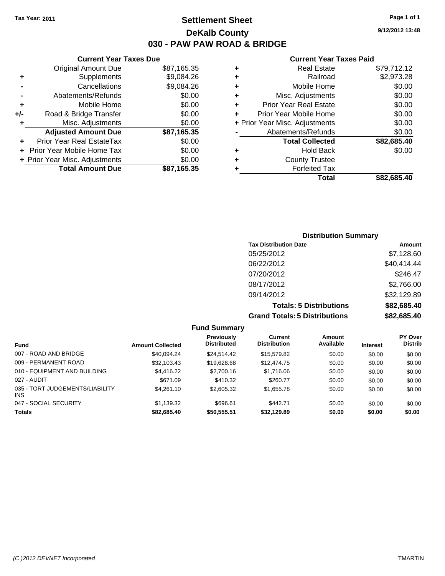**Current Year Taxes Due** Original Amount Due \$87,165.35

**Adjusted Amount Due \$87,165.35**

**Total Amount Due \$87,165.35**

**+** Supplements \$9,084.26 **-** Cancellations \$9,084.26 **-** Abatements/Refunds \$0.00 **+** Mobile Home \$0.00 **+/-** Road & Bridge Transfer \$0.00 **+** Misc. Adjustments \$0.00

**+** Prior Year Real EstateTax \$0.00 **+** Prior Year Mobile Home Tax \$0.00 **+ Prior Year Misc. Adjustments**  $$0.00$ 

## **Settlement Sheet Tax Year: 2011 Page 1 of 1 DeKalb County 030 - PAW PAW ROAD & BRIDGE**

**9/12/2012 13:48**

#### **Current Year Taxes Paid**

| ٠ | <b>Real Estate</b>             | \$79,712.12 |
|---|--------------------------------|-------------|
| ٠ | Railroad                       | \$2,973.28  |
| ٠ | Mobile Home                    | \$0.00      |
| ٠ | Misc. Adjustments              | \$0.00      |
| ٠ | <b>Prior Year Real Estate</b>  | \$0.00      |
| ÷ | Prior Year Mobile Home         | \$0.00      |
|   | + Prior Year Misc. Adjustments | \$0.00      |
|   | Abatements/Refunds             | \$0.00      |
|   | <b>Total Collected</b>         | \$82,685.40 |
| ٠ | <b>Hold Back</b>               | \$0.00      |
| ٠ | <b>County Trustee</b>          |             |
|   | <b>Forfeited Tax</b>           |             |
|   | Total                          | \$82.685.40 |

| <b>Distribution Summary</b>          |             |
|--------------------------------------|-------------|
| <b>Tax Distribution Date</b>         | Amount      |
| 05/25/2012                           | \$7,128.60  |
| 06/22/2012                           | \$40,414.44 |
| 07/20/2012                           | \$246.47    |
| 08/17/2012                           | \$2,766.00  |
| 09/14/2012                           | \$32,129.89 |
| <b>Totals: 5 Distributions</b>       | \$82,685.40 |
| <b>Grand Totals: 5 Distributions</b> | \$82,685.40 |

**Fund Summary Fund Interest Amount Collected Distributed PY Over Distrib Amount Available Current Distribution Previously** 007 - ROAD AND BRIDGE 6 .000 \$0.00 \$10.094.24 \$24,514.42 \$15,579.82 \$0.00 \$0.00 \$0.00 \$0.00 009 - PERMANENT ROAD \$32,103.43 \$19,628.68 \$12,474.75 \$0.00 \$0.00 \$0.00 010 - EQUIPMENT AND BUILDING \$4,416.22 \$2,700.16 \$1,716.06 \$0.00 \$0.00 \$0.00 027 - AUDIT \$671.09 \$410.32 \$260.77 \$0.00 \$0.00 \$0.00 035 - TORT JUDGEMENTS/LIABILITY INS \$4,261.10 \$2,605.32 \$1,655.78 \$0.00 \$0.00 \$0.00 047 - SOCIAL SECURITY \$1,139.32 \$696.61 \$442.71 \$0.00 \$0.00 \$0.00 **Totals \$82,685.40 \$50,555.51 \$32,129.89 \$0.00 \$0.00 \$0.00**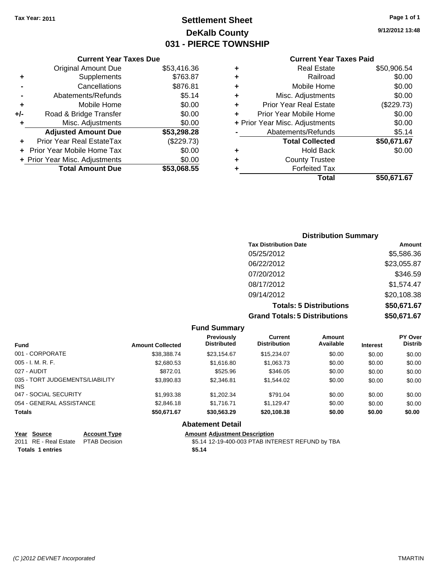**Current Year Taxes Due** Original Amount Due \$53,416.36

**Adjusted Amount Due \$53,298.28**

**Total Amount Due \$53,068.55**

**+** Supplements \$763.87 **-** Cancellations \$876.81 **-** Abatements/Refunds \$5.14 **+** Mobile Home \$0.00 **+/-** Road & Bridge Transfer \$0.00 **+** Misc. Adjustments \$0.00

**+** Prior Year Real EstateTax (\$229.73) **+** Prior Year Mobile Home Tax \$0.00 **+ Prior Year Misc. Adjustments**  $$0.00$ 

# **Settlement Sheet Tax Year: 2011 Page 1 of 1 DeKalb County 031 - PIERCE TOWNSHIP**

**9/12/2012 13:48**

#### **Current Year Taxes Paid**

| ٠ | <b>Real Estate</b>             | \$50,906.54 |  |  |
|---|--------------------------------|-------------|--|--|
| ٠ | Railroad                       | \$0.00      |  |  |
| ٠ | Mobile Home                    | \$0.00      |  |  |
| ٠ | Misc. Adjustments              | \$0.00      |  |  |
| ٠ | <b>Prior Year Real Estate</b>  | (\$229.73)  |  |  |
| ÷ | Prior Year Mobile Home         | \$0.00      |  |  |
|   | + Prior Year Misc. Adjustments | \$0.00      |  |  |
|   | Abatements/Refunds             | \$5.14      |  |  |
|   | <b>Total Collected</b>         | \$50,671.67 |  |  |
| ٠ | <b>Hold Back</b>               | \$0.00      |  |  |
| ٠ | <b>County Trustee</b>          |             |  |  |
|   | <b>Forfeited Tax</b>           |             |  |  |
|   | Total                          | \$50.671.67 |  |  |

## **Distribution Summary Tax Distribution Date Amount** 05/25/2012 \$5,586.36 06/22/2012 \$23,055.87 07/20/2012 \$346.59 08/17/2012 \$1,574.47 09/14/2012 \$20,108.38 **Totals: 5 Distributions \$50,671.67 Grand Totals: 5 Distributions \$50,671.67**

|                                               |                         | <b>Fund Summary</b>                              |                                       |                     |                 |                           |
|-----------------------------------------------|-------------------------|--------------------------------------------------|---------------------------------------|---------------------|-----------------|---------------------------|
| <b>Fund</b>                                   | <b>Amount Collected</b> | Previously<br><b>Distributed</b>                 | <b>Current</b><br><b>Distribution</b> | Amount<br>Available | <b>Interest</b> | PY Over<br><b>Distrib</b> |
| 001 - CORPORATE                               | \$38,388,74             | \$23.154.67                                      | \$15,234.07                           | \$0.00              | \$0.00          | \$0.00                    |
| $005 - I. M. R. F.$                           | \$2,680.53              | \$1,616.80                                       | \$1,063.73                            | \$0.00              | \$0.00          | \$0.00                    |
| 027 - AUDIT                                   | \$872.01                | \$525.96                                         | \$346.05                              | \$0.00              | \$0.00          | \$0.00                    |
| 035 - TORT JUDGEMENTS/LIABILITY<br><b>INS</b> | \$3,890.83              | \$2,346.81                                       | \$1,544.02                            | \$0.00              | \$0.00          | \$0.00                    |
| 047 - SOCIAL SECURITY                         | \$1,993.38              | \$1,202.34                                       | \$791.04                              | \$0.00              | \$0.00          | \$0.00                    |
| 054 - GENERAL ASSISTANCE                      | \$2,846.18              | \$1.716.71                                       | \$1,129.47                            | \$0.00              | \$0.00          | \$0.00                    |
| <b>Totals</b>                                 | \$50,671.67             | \$30,563.29                                      | \$20,108.38                           | \$0.00              | \$0.00          | \$0.00                    |
|                                               |                         | <b>Abatement Detail</b>                          |                                       |                     |                 |                           |
| Year Source                                   | <b>Account Type</b>     | <b>Amount Adiustment Description</b>             |                                       |                     |                 |                           |
| RE - Real Estate<br>2011                      | <b>PTAB Decision</b>    | \$5.14 12-19-400-003 PTAB INTEREST REFUND by TBA |                                       |                     |                 |                           |

**Totals \$5.14 1 entries**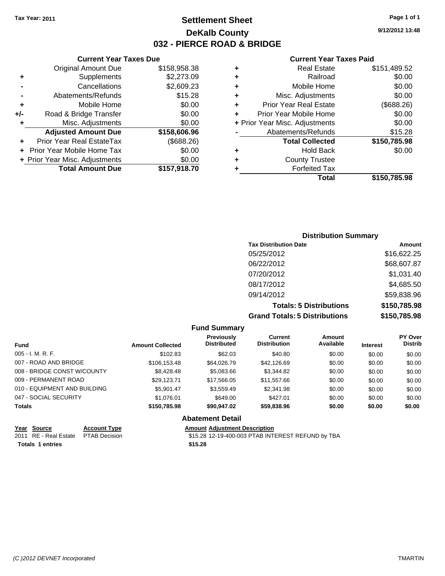**Current Year Taxes Due** Original Amount Due \$158,958.38

**Adjusted Amount Due \$158,606.96**

**+** Supplements \$2,273.09 **-** Cancellations \$2,609.23 **-** Abatements/Refunds \$15.28 **+** Mobile Home \$0.00 **+/-** Road & Bridge Transfer \$0.00 **+** Misc. Adjustments \$0.00

**+** Prior Year Real EstateTax (\$688.26) **+** Prior Year Mobile Home Tax \$0.00 **+** Prior Year Misc. Adjustments  $\frac{\$0.00}{}$ 

## **Settlement Sheet Tax Year: 2011 Page 1 of 1 DeKalb County 032 - PIERCE ROAD & BRIDGE**

**9/12/2012 13:48**

#### **Current Year Taxes Paid**

| ٠ | <b>Real Estate</b>             | \$151,489.52 |
|---|--------------------------------|--------------|
| ٠ | Railroad                       | \$0.00       |
| ٠ | Mobile Home                    | \$0.00       |
| ٠ | Misc. Adjustments              | \$0.00       |
| ٠ | <b>Prior Year Real Estate</b>  | (\$688.26)   |
| ٠ | Prior Year Mobile Home         | \$0.00       |
|   | + Prior Year Misc. Adjustments | \$0.00       |
|   | Abatements/Refunds             | \$15.28      |
|   | <b>Total Collected</b>         | \$150,785.98 |
| ٠ | <b>Hold Back</b>               | \$0.00       |
| ٠ | <b>County Trustee</b>          |              |
|   | <b>Forfeited Tax</b>           |              |
|   | Total                          | \$150.785.98 |

# **Total Amount Due \$157,918.70 Distribution Summary**

| <b>Tax Distribution Date</b>         | Amount       |
|--------------------------------------|--------------|
| 05/25/2012                           | \$16,622.25  |
| 06/22/2012                           | \$68,607.87  |
| 07/20/2012                           | \$1,031.40   |
| 08/17/2012                           | \$4,685.50   |
| 09/14/2012                           | \$59,838.96  |
| <b>Totals: 5 Distributions</b>       | \$150,785.98 |
| <b>Grand Totals: 5 Distributions</b> | \$150,785.98 |

#### **Fund Summary Fund Interest Amount Collected Distributed PY Over Distrib Amount Available Current Distribution Previously** 005 - I. M. R. F. \$102.83 \$62.03 \$40.80 \$0.00 \$0.00 \$0.00 007 - ROAD AND BRIDGE \$106,153.48 \$106,153.48 \$64,026.79 \$42,126.69 \$0.00 \$0.00 \$0.00 008 - BRIDGE CONST W/COUNTY  $$8,428.48$   $$5,083.66$   $$3,344.82$   $$0.00$   $$0.00$   $$0.00$ 009 - PERMANENT ROAD \$29,123.71 \$17,566.05 \$11,557.66 \$0.00 \$0.00 \$0.00 010 - EQUIPMENT AND BUILDING \$5,901.47 \$3,559.49 \$2,341.98 \$0.00 \$0.00 \$0.00 \$0.00 047 - SOCIAL SECURITY \$1,076.01 \$649.00 \$427.01 \$0.00 \$0.00 \$0.00 **Totals \$150,785.98 \$90,947.02 \$59,838.96 \$0.00 \$0.00 \$0.00 Abatement Detail Year Source Account Type Amount Adjustment Description**

**Totals \$15.28 1 entries**

2011 RE - Real Estate \$15.28 12-19-400-003 PTAB INTEREST REFUND by TBA PTAB Decision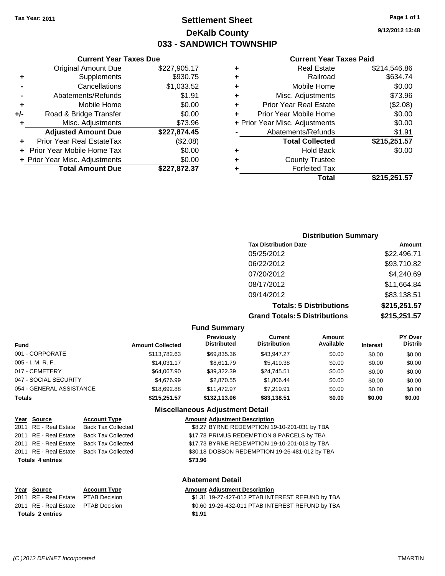## **Settlement Sheet Tax Year: 2011 Page 1 of 1 DeKalb County 033 - SANDWICH TOWNSHIP**

**9/12/2012 13:48**

#### **Current Year Taxes Paid**

| <b>Total Collected</b><br><b>Hold Back</b><br><b>County Trustee</b><br><b>Forfeited Tax</b> | \$215,251.57<br>\$0.00         |
|---------------------------------------------------------------------------------------------|--------------------------------|
|                                                                                             |                                |
|                                                                                             |                                |
|                                                                                             |                                |
|                                                                                             |                                |
| Abatements/Refunds                                                                          | \$1.91                         |
|                                                                                             | \$0.00                         |
| Prior Year Mobile Home                                                                      | \$0.00                         |
| <b>Prior Year Real Estate</b>                                                               | (\$2.08)                       |
| Misc. Adjustments                                                                           | \$73.96                        |
| Mobile Home                                                                                 | \$0.00                         |
| Railroad                                                                                    | \$634.74                       |
| <b>Real Estate</b>                                                                          | \$214,546.86                   |
|                                                                                             | + Prior Year Misc. Adjustments |

|     | <b>Current Year Taxes Due</b>  |              |  |  |
|-----|--------------------------------|--------------|--|--|
|     | <b>Original Amount Due</b>     | \$227,905.17 |  |  |
| ٠   | \$930.75<br>Supplements        |              |  |  |
|     | Cancellations                  | \$1,033.52   |  |  |
|     | Abatements/Refunds             | \$1.91       |  |  |
| ٠   | Mobile Home                    | \$0.00       |  |  |
| +/- | Road & Bridge Transfer         | \$0.00       |  |  |
| ٠   | Misc. Adjustments<br>\$73.96   |              |  |  |
|     | <b>Adjusted Amount Due</b>     | \$227,874.45 |  |  |
|     | Prior Year Real EstateTax      | (\$2.08)     |  |  |
|     | + Prior Year Mobile Home Tax   | \$0.00       |  |  |
|     | + Prior Year Misc. Adjustments | \$0.00       |  |  |
|     | <b>Total Amount Due</b>        | \$227,872.37 |  |  |

### **Distribution Summary Tax Distribution Date Amount** 05/25/2012 \$22,496.71 06/22/2012 \$93,710.82 07/20/2012 \$4,240.69 08/17/2012 \$11,664.84 09/14/2012 \$83,138.51 **Totals: 5 Distributions \$215,251.57 Grand Totals: 5 Distributions \$215,251.57**

#### **Fund Summary**

| <b>Amount Collected</b> | <b>Previously</b><br><b>Distributed</b> | Current<br><b>Distribution</b> | Amount<br>Available | <b>Interest</b> | <b>PY Over</b><br><b>Distrib</b> |
|-------------------------|-----------------------------------------|--------------------------------|---------------------|-----------------|----------------------------------|
| \$113,782.63            | \$69,835.36                             | \$43,947.27                    | \$0.00              | \$0.00          | \$0.00                           |
| \$14.031.17             | \$8.611.79                              | \$5.419.38                     | \$0.00              | \$0.00          | \$0.00                           |
| \$64,067.90             | \$39,322,39                             | \$24,745.51                    | \$0.00              | \$0.00          | \$0.00                           |
| \$4.676.99              | \$2,870.55                              | \$1.806.44                     | \$0.00              | \$0.00          | \$0.00                           |
| \$18,692.88             | \$11.472.97                             | \$7,219.91                     | \$0.00              | \$0.00          | \$0.00                           |
| \$215.251.57            | \$132,113,06                            | \$83,138.51                    | \$0.00              | \$0.00          | \$0.00                           |
|                         |                                         |                                |                     |                 |                                  |

#### **Miscellaneous Adjustment Detail**

| Year Source             | <b>Account Type</b>       | <b>Amount Adjustment Description</b>           |
|-------------------------|---------------------------|------------------------------------------------|
| 2011 RE - Real Estate   | <b>Back Tax Collected</b> | \$8.27 BYRNE REDEMPTION 19-10-201-031 by TBA   |
| 2011 RE - Real Estate   | <b>Back Tax Collected</b> | \$17.78 PRIMUS REDEMPTION 8 PARCELS by TBA     |
| 2011 RE - Real Estate   | <b>Back Tax Collected</b> | \$17.73 BYRNE REDEMPTION 19-10-201-018 by TBA  |
| 2011 RE - Real Estate   | <b>Back Tax Collected</b> | \$30.18 DOBSON REDEMPTION 19-26-481-012 by TBA |
| <b>Totals 4 entries</b> |                           | \$73.96                                        |

|                         |                                     |                     | <b>Abatement Detail</b>                          |
|-------------------------|-------------------------------------|---------------------|--------------------------------------------------|
|                         | Year Source                         | <b>Account Type</b> | <b>Amount Adjustment Description</b>             |
|                         | 2011 RE - Real Estate PTAB Decision |                     | \$1.31 19-27-427-012 PTAB INTEREST REFUND by TBA |
|                         | 2011 RE - Real Estate PTAB Decision |                     | \$0.60 19-26-432-011 PTAB INTEREST REFUND by TBA |
| <b>Totals 2 entries</b> |                                     |                     | \$1.91                                           |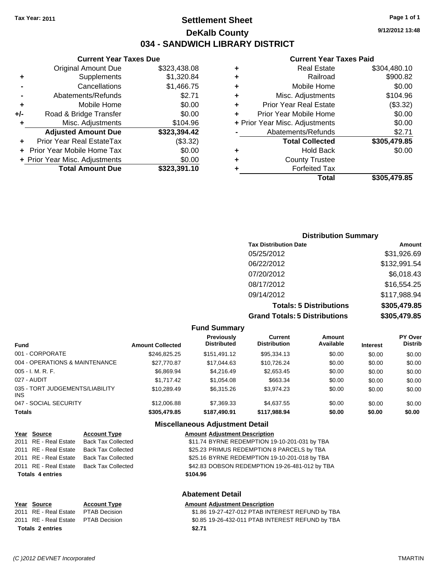**Current Year Taxes Due** Original Amount Due \$323,438.08

**Adjusted Amount Due \$323,394.42**

**Total Amount Due \$323,391.10**

**+** Supplements \$1,320.84 **-** Cancellations \$1,466.75 **-** Abatements/Refunds \$2.71 **+** Mobile Home \$0.00 **+/-** Road & Bridge Transfer \$0.00 **+** Misc. Adjustments \$104.96

**+** Prior Year Real EstateTax (\$3.32) **+** Prior Year Mobile Home Tax \$0.00 **+ Prior Year Misc. Adjustments**  $$0.00$ 

### **Settlement Sheet Tax Year: 2011 Page 1 of 1 DeKalb County 034 - SANDWICH LIBRARY DISTRICT**

**9/12/2012 13:48**

#### **Current Year Taxes Paid**

|   | Total                          | \$305,479.85 |
|---|--------------------------------|--------------|
|   | <b>Forfeited Tax</b>           |              |
| ٠ | <b>County Trustee</b>          |              |
| ٠ | <b>Hold Back</b>               | \$0.00       |
|   | <b>Total Collected</b>         | \$305,479.85 |
|   | Abatements/Refunds             | \$2.71       |
|   | + Prior Year Misc. Adjustments | \$0.00       |
| ٠ | Prior Year Mobile Home         | \$0.00       |
| ٠ | <b>Prior Year Real Estate</b>  | (\$3.32)     |
| ٠ | Misc. Adjustments              | \$104.96     |
| ٠ | Mobile Home                    | \$0.00       |
| ٠ | Railroad                       | \$900.82     |
| ٠ | <b>Real Estate</b>             | \$304,480.10 |

### **Distribution Summary Tax Distribution Date Amount** 05/25/2012 \$31,926.69 06/22/2012 \$132,991.54 07/20/2012 \$6,018.43 08/17/2012 \$16,554.25 09/14/2012 \$117,988.94 **Totals: 5 Distributions \$305,479.85**

**Grand Totals: 5 Distributions \$305,479.85**

| \$305,479 |
|-----------|
|           |

|                                         |                         | <b>Fund Summary</b>              |                                       |                     |                 |                           |
|-----------------------------------------|-------------------------|----------------------------------|---------------------------------------|---------------------|-----------------|---------------------------|
| <b>Fund</b>                             | <b>Amount Collected</b> | Previously<br><b>Distributed</b> | <b>Current</b><br><b>Distribution</b> | Amount<br>Available | <b>Interest</b> | PY Over<br><b>Distrib</b> |
| 001 - CORPORATE                         | \$246.825.25            | \$151.491.12                     | \$95,334.13                           | \$0.00              | \$0.00          | \$0.00                    |
| 004 - OPERATIONS & MAINTENANCE          | \$27,770.87             | \$17,044.63                      | \$10.726.24                           | \$0.00              | \$0.00          | \$0.00                    |
| 005 - I. M. R. F.                       | \$6,869.94              | \$4.216.49                       | \$2,653.45                            | \$0.00              | \$0.00          | \$0.00                    |
| 027 - AUDIT                             | \$1,717.42              | \$1.054.08                       | \$663.34                              | \$0.00              | \$0.00          | \$0.00                    |
| 035 - TORT JUDGEMENTS/LIABILITY<br>INS. | \$10,289.49             | \$6.315.26                       | \$3,974.23                            | \$0.00              | \$0.00          | \$0.00                    |
| 047 - SOCIAL SECURITY                   | \$12,006.88             | \$7,369.33                       | \$4,637.55                            | \$0.00              | \$0.00          | \$0.00                    |
| Totals                                  | \$305,479.85            | \$187,490.91                     | \$117,988.94                          | \$0.00              | \$0.00          | \$0.00                    |

#### **Miscellaneous Adjustment Detail**

| Year Source             | <b>Account Type</b>        | <b>Amount Adjustment Description</b>           |
|-------------------------|----------------------------|------------------------------------------------|
| 2011 RE - Real Estate   | <b>Back Tax Collected</b>  | \$11.74 BYRNE REDEMPTION 19-10-201-031 by TBA  |
| 2011 RE - Real Estate   | <b>Back Tax Collected</b>  | \$25.23 PRIMUS REDEMPTION 8 PARCELS by TBA     |
| 2011 RE - Real Estate   | <b>Back Tax Collected</b>  | \$25.16 BYRNE REDEMPTION 19-10-201-018 by TBA  |
| 2011 RE - Real Estate   | <b>Back Tax Collected</b>  | \$42.83 DOBSON REDEMPTION 19-26-481-012 by TBA |
| <b>Totals 4 entries</b> |                            | \$104.96                                       |
|                         |                            | <b>Abatement Detail</b>                        |
| $M = 0$ . $M = 0$       | <b>A a a a a a a a a a</b> | A contract A discussion of Property of Law     |

# **Totals \$2.71 2 entries**

**Year Source Account Type Amount Adjustment Description**

2011 RE - Real Estate \$1.86 19-27-427-012 PTAB INTEREST REFUND by TBA PTAB Decision 2011 RE - Real Estate \$0.85 19-26-432-011 PTAB INTEREST REFUND by TBA PTAB Decision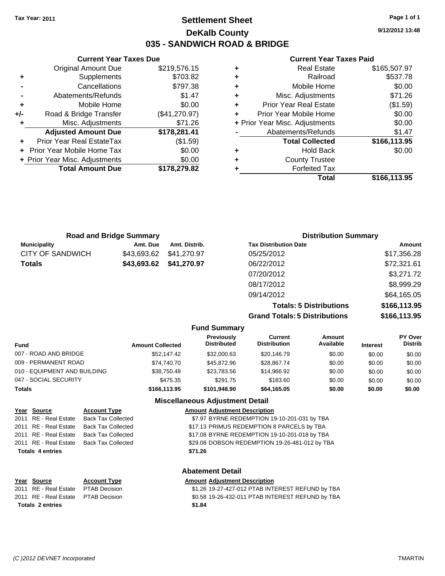### **Settlement Sheet Tax Year: 2011 Page 1 of 1 DeKalb County 035 - SANDWICH ROAD & BRIDGE**

**9/12/2012 13:48**

#### **Current Year Taxes Paid**

|     | <b>Current Year Taxes Due</b>  |               |   |                  |
|-----|--------------------------------|---------------|---|------------------|
|     | <b>Original Amount Due</b>     | \$219,576.15  | ٠ |                  |
|     | <b>Supplements</b>             | \$703.82      | ٠ |                  |
|     | Cancellations                  | \$797.38      | ٠ |                  |
|     | Abatements/Refunds             | \$1.47        | ٠ | Mi:              |
|     | Mobile Home                    | \$0.00        |   | Prior Y          |
| +/- | Road & Bridge Transfer         | (\$41,270.97) |   | Prior Yea        |
|     | Misc. Adjustments              | \$71.26       |   | + Prior Year Mis |
|     | <b>Adjusted Amount Due</b>     | \$178,281.41  |   | Abate            |
|     | Prior Year Real EstateTax      | (\$1.59)      |   |                  |
|     | + Prior Year Mobile Home Tax   | \$0.00        |   |                  |
|     | + Prior Year Misc. Adjustments | \$0.00        | ٠ |                  |
|     | <b>Total Amount Due</b>        | \$178,279.82  |   |                  |
|     |                                |               |   |                  |

| ٠ | <b>Real Estate</b>             | \$165,507.97 |
|---|--------------------------------|--------------|
| ٠ | Railroad                       | \$537.78     |
| ٠ | Mobile Home                    | \$0.00       |
| ٠ | Misc. Adjustments              | \$71.26      |
| ٠ | <b>Prior Year Real Estate</b>  | (\$1.59)     |
|   | Prior Year Mobile Home         | \$0.00       |
|   | + Prior Year Misc. Adjustments | \$0.00       |
|   | Abatements/Refunds             | \$1.47       |
|   | <b>Total Collected</b>         | \$166,113.95 |
| ٠ | <b>Hold Back</b>               | \$0.00       |
| ٠ | <b>County Trustee</b>          |              |
|   | <b>Forfeited Tax</b>           |              |
|   | Total                          | \$166,113.95 |
|   |                                |              |

| <b>Road and Bridge Summary</b> |             | <b>Distribution Summary</b> |                              |             |
|--------------------------------|-------------|-----------------------------|------------------------------|-------------|
| <b>Municipality</b>            | Amt. Due    | Amt. Distrib.               | <b>Tax Distribution Date</b> | Amount      |
| <b>CITY OF SANDWICH</b>        | \$43.693.62 | \$41,270.97                 | 05/25/2012                   | \$17,356.28 |
| <b>Totals</b>                  |             | \$43,693.62 \$41,270.97     | 06/22/2012                   | \$72,321.61 |
|                                |             |                             | 07/20/2012                   | \$3,271.72  |
|                                |             |                             | 08/17/2012                   | \$8,999.29  |
|                                |             |                             | 09/14/2012                   | \$64,165.05 |

**Totals: 5 Distributions \$166,113.95 Grand Totals: 5 Distributions \$166,113.95**

|                              |                         | <b>Fund Summary</b>                     |                                |                     |                 |                           |
|------------------------------|-------------------------|-----------------------------------------|--------------------------------|---------------------|-----------------|---------------------------|
| <b>Fund</b>                  | <b>Amount Collected</b> | <b>Previously</b><br><b>Distributed</b> | Current<br><b>Distribution</b> | Amount<br>Available | <b>Interest</b> | PY Over<br><b>Distrib</b> |
| 007 - ROAD AND BRIDGE        | \$52.147.42             | \$32,000.63                             | \$20,146.79                    | \$0.00              | \$0.00          | \$0.00                    |
| 009 - PERMANENT ROAD         | \$74.740.70             | \$45,872.96                             | \$28.867.74                    | \$0.00              | \$0.00          | \$0.00                    |
| 010 - EQUIPMENT AND BUILDING | \$38,750.48             | \$23,783.56                             | \$14,966.92                    | \$0.00              | \$0.00          | \$0.00                    |
| 047 - SOCIAL SECURITY        | \$475.35                | \$291.75                                | \$183.60                       | \$0.00              | \$0.00          | \$0.00                    |
| <b>Totals</b>                | \$166,113.95            | \$101.948.90                            | \$64,165.05                    | \$0.00              | \$0.00          | \$0.00                    |
|                              |                         | <b>Miscellaneous Adiustment Detail</b>  |                                |                     |                 |                           |

| Year Source             | <b>Account Type</b>       | <b>Amount Adjustment Description</b>             |
|-------------------------|---------------------------|--------------------------------------------------|
| 2011 RE - Real Estate   | <b>Back Tax Collected</b> | \$7.97 BYRNE REDEMPTION 19-10-201-031 by TBA     |
| 2011 RE - Real Estate   | <b>Back Tax Collected</b> | \$17.13 PRIMUS REDEMPTION 8 PARCELS by TBA       |
| 2011 RE - Real Estate   | <b>Back Tax Collected</b> | \$17.08 BYRNE REDEMPTION 19-10-201-018 by TBA    |
| 2011 RE - Real Estate   | <b>Back Tax Collected</b> | \$29.08 DOBSON REDEMPTION 19-26-481-012 by TBA   |
| <b>Totals 4 entries</b> |                           | \$71.26                                          |
|                         |                           | <b>Abatement Detail</b>                          |
| Year Source             | <b>Account Type</b>       | <b>Amount Adjustment Description</b>             |
| 2011 RE - Real Estate   | <b>PTAB Decision</b>      | \$1.26 19-27-427-012 PTAB INTEREST REFUND by TBA |
| 2011 RE - Real Estate   | <b>PTAB Decision</b>      | \$0.58 19-26-432-011 PTAB INTEREST REFUND by TBA |
|                         |                           |                                                  |

**Totals \$1.84 2 entries**

*(C )2012 DEVNET Incorporated* TMARTIN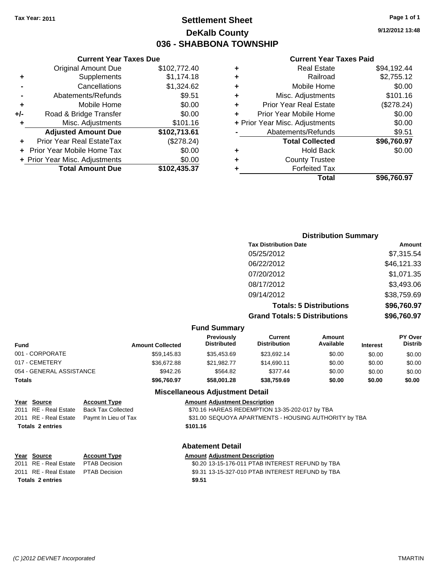### **Settlement Sheet Tax Year: 2011 Page 1 of 1 DeKalb County 036 - SHABBONA TOWNSHIP**

**9/12/2012 13:48**

#### **Current Year Taxes Paid**

|   | Total                          | \$96.760.97 |
|---|--------------------------------|-------------|
|   | <b>Forfeited Tax</b>           |             |
| ٠ | <b>County Trustee</b>          |             |
| ٠ | <b>Hold Back</b>               | \$0.00      |
|   | <b>Total Collected</b>         | \$96,760.97 |
|   | Abatements/Refunds             | \$9.51      |
|   | + Prior Year Misc. Adjustments | \$0.00      |
|   | Prior Year Mobile Home         | \$0.00      |
| ٠ | <b>Prior Year Real Estate</b>  | (\$278.24)  |
| ٠ | Misc. Adjustments              | \$101.16    |
| ٠ | Mobile Home                    | \$0.00      |
|   | Railroad                       | \$2,755.12  |
| ٠ | <b>Real Estate</b>             | \$94,192.44 |
|   |                                |             |

|     | <b>Current Year Taxes Due</b>     |              |
|-----|-----------------------------------|--------------|
|     | <b>Original Amount Due</b>        | \$102,772.40 |
| ٠   | Supplements                       | \$1,174.18   |
|     | Cancellations                     | \$1,324.62   |
|     | Abatements/Refunds                | \$9.51       |
| ٠   | Mobile Home                       | \$0.00       |
| +/- | Road & Bridge Transfer            | \$0.00       |
| ٠   | Misc. Adjustments                 | \$101.16     |
|     | <b>Adjusted Amount Due</b>        | \$102,713.61 |
|     | Prior Year Real EstateTax         | (\$278.24)   |
|     | <b>Prior Year Mobile Home Tax</b> | \$0.00       |
|     | + Prior Year Misc. Adjustments    | \$0.00       |
|     | <b>Total Amount Due</b>           | \$102,435.37 |

| <b>Distribution Summary</b>          |             |
|--------------------------------------|-------------|
| <b>Tax Distribution Date</b>         | Amount      |
| 05/25/2012                           | \$7,315.54  |
| 06/22/2012                           | \$46,121.33 |
| 07/20/2012                           | \$1,071.35  |
| 08/17/2012                           | \$3,493.06  |
| 09/14/2012                           | \$38,759.69 |
| <b>Totals: 5 Distributions</b>       | \$96,760.97 |
| <b>Grand Totals: 5 Distributions</b> | \$96,760.97 |

|  | <b>Fund Summary</b> |  |
|--|---------------------|--|
|--|---------------------|--|

| Fund                     | <b>Amount Collected</b> | <b>Previously</b><br>Distributed | Current<br><b>Distribution</b> | Amount<br>Available | <b>Interest</b> | <b>PY Over</b><br><b>Distrib</b> |  |
|--------------------------|-------------------------|----------------------------------|--------------------------------|---------------------|-----------------|----------------------------------|--|
| 001 - CORPORATE          | \$59,145.83             | \$35,453.69                      | \$23.692.14                    | \$0.00              | \$0.00          | \$0.00                           |  |
| 017 - CEMETERY           | \$36,672.88             | \$21,982.77                      | \$14,690.11                    | \$0.00              | \$0.00          | \$0.00                           |  |
| 054 - GENERAL ASSISTANCE | \$942.26                | \$564.82                         | \$377.44                       | \$0.00              | \$0.00          | \$0.00                           |  |
| Totals                   | \$96,760.97             | \$58,001.28                      | \$38,759.69                    | \$0.00              | \$0.00          | \$0.00                           |  |
|                          |                         |                                  |                                |                     |                 |                                  |  |

#### **Miscellaneous Adjustment Detail**

| Year Source             | <b>Account Type</b>                        | <b>Amount Adiustment Description</b>                  |
|-------------------------|--------------------------------------------|-------------------------------------------------------|
| 2011 RE - Real Estate   | Back Tax Collected                         | \$70.16 HAREAS REDEMPTION 13-35-202-017 by TBA        |
|                         | 2011 RE - Real Estate Paymt In Lieu of Tax | \$31.00 SEQUOYA APARTMENTS - HOUSING AUTHORITY by TBA |
| <b>Totals 2 entries</b> |                                            | \$101.16                                              |

**Abatement Detail**

**Totals \$9.51 2 entries**

**Year Source Account Type Amount Adjustment Description**

2011 RE - Real Estate \$0.20 13-15-176-011 PTAB INTEREST REFUND by TBA PTAB Decision 2011 RE - Real Estate \$9.31 13-15-327-010 PTAB INTEREST REFUND by TBA PTAB Decision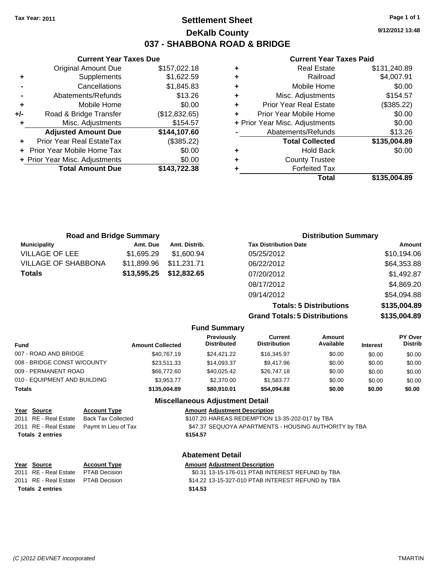### **Settlement Sheet Tax Year: 2011 Page 1 of 1 DeKalb County 037 - SHABBONA ROAD & BRIDGE**

**9/12/2012 13:48**

### **Current Year Taxes Paid**

| ٠ | <b>Real Estate</b>             | \$131,240.89 |
|---|--------------------------------|--------------|
| ٠ | Railroad                       | \$4,007.91   |
| ٠ | Mobile Home                    | \$0.00       |
| ٠ | Misc. Adjustments              | \$154.57     |
| ٠ | <b>Prior Year Real Estate</b>  | (\$385.22)   |
| ÷ | Prior Year Mobile Home         | \$0.00       |
|   | + Prior Year Misc. Adjustments | \$0.00       |
|   | Abatements/Refunds             | \$13.26      |
|   | <b>Total Collected</b>         | \$135,004.89 |
| ٠ | <b>Hold Back</b>               | \$0.00       |
| ٠ | <b>County Trustee</b>          |              |
|   | <b>Forfeited Tax</b>           |              |
|   | Total                          | \$135.004.89 |

|     | <b>Current Year Taxes Due</b>     |               |
|-----|-----------------------------------|---------------|
|     | <b>Original Amount Due</b>        | \$157,022.18  |
| ÷   | Supplements                       | \$1,622.59    |
|     | Cancellations                     | \$1,845.83    |
|     | Abatements/Refunds                | \$13.26       |
| ٠   | Mobile Home                       | \$0.00        |
| +/- | Road & Bridge Transfer            | (\$12,832.65) |
| ٠   | Misc. Adjustments                 | \$154.57      |
|     | <b>Adjusted Amount Due</b>        | \$144,107.60  |
|     | Prior Year Real EstateTax         | (\$385.22)    |
|     | <b>Prior Year Mobile Home Tax</b> | \$0.00        |
|     | + Prior Year Misc. Adjustments    | \$0.00        |
|     | <b>Total Amount Due</b>           | \$143,722.38  |
|     |                                   |               |

| <b>Road and Bridge Summary</b> |             | <b>Distribution Summary</b> |                                      |              |
|--------------------------------|-------------|-----------------------------|--------------------------------------|--------------|
| <b>Municipality</b>            | Amt. Due    | Amt. Distrib.               | <b>Tax Distribution Date</b>         | Amount       |
| <b>VILLAGE OF LEE</b>          | \$1,695.29  | \$1,600.94                  | 05/25/2012                           | \$10,194.06  |
| <b>VILLAGE OF SHABBONA</b>     | \$11,899.96 | \$11.231.71                 | 06/22/2012                           | \$64,353.88  |
| <b>Totals</b>                  | \$13,595.25 | \$12,832.65                 | 07/20/2012                           | \$1,492.87   |
|                                |             |                             | 08/17/2012                           | \$4,869.20   |
|                                |             |                             | 09/14/2012                           | \$54,094.88  |
|                                |             |                             | <b>Totals: 5 Distributions</b>       | \$135,004.89 |
|                                |             |                             | <b>Grand Totals: 5 Distributions</b> | \$135,004.89 |

|  | <b>Fund Summary</b> |  |
|--|---------------------|--|
|  |                     |  |

| <b>Amount Collected</b> | Previously<br><b>Distributed</b> | Current<br><b>Distribution</b> | Amount<br>Available | <b>Interest</b> | PY Over<br><b>Distrib</b> |  |
|-------------------------|----------------------------------|--------------------------------|---------------------|-----------------|---------------------------|--|
| \$40.767.19             | \$24.421.22                      | \$16,345.97                    | \$0.00              | \$0.00          | \$0.00                    |  |
| \$23.511.33             | \$14.093.37                      | \$9,417.96                     | \$0.00              | \$0.00          | \$0.00                    |  |
| \$66,772.60             | \$40.025.42                      | \$26,747.18                    | \$0.00              | \$0.00          | \$0.00                    |  |
| \$3.953.77              | \$2,370,00                       | \$1.583.77                     | \$0.00              | \$0.00          | \$0.00                    |  |
| \$135,004.89            | \$80,910.01                      | \$54,094.88                    | \$0.00              | \$0.00          | \$0.00                    |  |
|                         |                                  |                                |                     |                 |                           |  |

| <b>Miscellaneous Adjustment Detail</b> |                           |                                                       |  |
|----------------------------------------|---------------------------|-------------------------------------------------------|--|
| Year Source                            | <b>Account Type</b>       | <b>Amount Adjustment Description</b>                  |  |
| 2011 RE - Real Estate                  | <b>Back Tax Collected</b> | \$107.20 HAREAS REDEMPTION 13-35-202-017 by TBA       |  |
| 2011 RE - Real Estate                  | Paymt In Lieu of Tax      | \$47.37 SEQUOYA APARTMENTS - HOUSING AUTHORITY by TBA |  |
| <b>Totals 2 entries</b>                |                           | \$154.57                                              |  |
| <b>Abatement Detail</b>                |                           |                                                       |  |
| Year Source                            | <b>Account Type</b>       | <b>Amount Adjustment Description</b>                  |  |
| 2011 RE - Real Estate                  | <b>PTAB Decision</b>      | \$0.31 13-15-176-011 PTAB INTEREST REFUND by TBA      |  |
| 2011 RE - Real Estate                  | <b>PTAB Decision</b>      | \$14.22 13-15-327-010 PTAB INTEREST REFUND by TBA     |  |
| <b>Totals 2 entries</b><br>\$14.53     |                           |                                                       |  |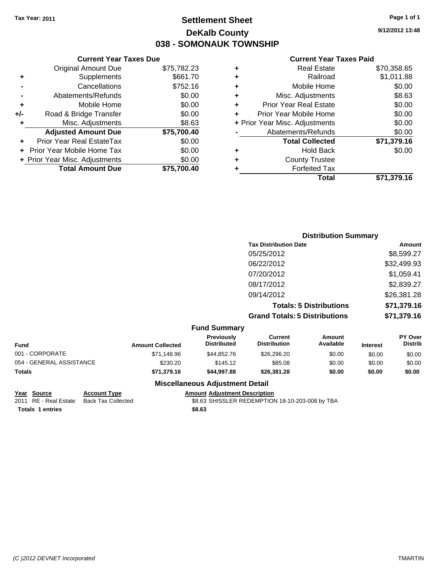### **Settlement Sheet Tax Year: 2011 Page 1 of 1 DeKalb County 038 - SOMONAUK TOWNSHIP**

**9/12/2012 13:48**

#### **Current Year Taxes Paid**

|     | <b>Current Year Taxes Due</b>  |             |
|-----|--------------------------------|-------------|
|     | <b>Original Amount Due</b>     | \$75,782.23 |
| ٠   | Supplements                    | \$661.70    |
|     | Cancellations                  | \$752.16    |
|     | Abatements/Refunds             | \$0.00      |
| ٠   | Mobile Home                    | \$0.00      |
| +/- | Road & Bridge Transfer         | \$0.00      |
| ٠   | Misc. Adjustments              | \$8.63      |
|     | <b>Adjusted Amount Due</b>     | \$75,700.40 |
|     | Prior Year Real EstateTax      | \$0.00      |
|     | Prior Year Mobile Home Tax     | \$0.00      |
|     | + Prior Year Misc. Adjustments | \$0.00      |
|     | <b>Total Amount Due</b>        | \$75,700.40 |
|     |                                |             |

| ٠ | <b>Real Estate</b>             | \$70,358.65 |
|---|--------------------------------|-------------|
| ٠ | Railroad                       | \$1,011.88  |
| ٠ | Mobile Home                    | \$0.00      |
| ٠ | Misc. Adjustments              | \$8.63      |
| ÷ | <b>Prior Year Real Estate</b>  | \$0.00      |
| ÷ | Prior Year Mobile Home         | \$0.00      |
|   | + Prior Year Misc. Adjustments | \$0.00      |
|   | Abatements/Refunds             | \$0.00      |
|   | <b>Total Collected</b>         | \$71,379.16 |
| ٠ | <b>Hold Back</b>               | \$0.00      |
| ٠ | <b>County Trustee</b>          |             |
| ٠ | <b>Forfeited Tax</b>           |             |
|   | Total                          | \$71,379.16 |
|   |                                |             |

| <b>Distribution Summary</b>          |             |
|--------------------------------------|-------------|
| <b>Tax Distribution Date</b>         | Amount      |
| 05/25/2012                           | \$8,599.27  |
| 06/22/2012                           | \$32,499.93 |
| 07/20/2012                           | \$1,059.41  |
| 08/17/2012                           | \$2,839.27  |
| 09/14/2012                           | \$26,381.28 |
| <b>Totals: 5 Distributions</b>       | \$71,379.16 |
| <b>Grand Totals: 5 Distributions</b> | \$71,379.16 |

### **Fund Summary**

| <b>Fund</b>              | <b>Amount Collected</b> | <b>Previously</b><br><b>Distributed</b> | Current<br><b>Distribution</b> | Amount<br>Available | <b>Interest</b> | <b>PY Over</b><br><b>Distrib</b> |
|--------------------------|-------------------------|-----------------------------------------|--------------------------------|---------------------|-----------------|----------------------------------|
| 001 - CORPORATE          | \$71.148.96             | \$44.852.76                             | \$26,296,20                    | \$0.00              | \$0.00          | \$0.00                           |
| 054 - GENERAL ASSISTANCE | \$230.20                | \$145.12                                | \$85.08                        | \$0.00              | \$0.00          | \$0.00                           |
| <b>Totals</b>            | \$71,379.16             | \$44.997.88                             | \$26,381,28                    | \$0.00              | \$0.00          | \$0.00                           |

### **Miscellaneous Adjustment Detail**

| Year Source             | <b>Account Type</b> | <b>Amount Adiustment Description</b>            |
|-------------------------|---------------------|-------------------------------------------------|
| 2011 RE - Real Estate   | Back Tax Collected  | \$8.63 SHISSLER REDEMPTION 18-10-203-008 by TBA |
| <b>Totals 1 entries</b> |                     | \$8.63                                          |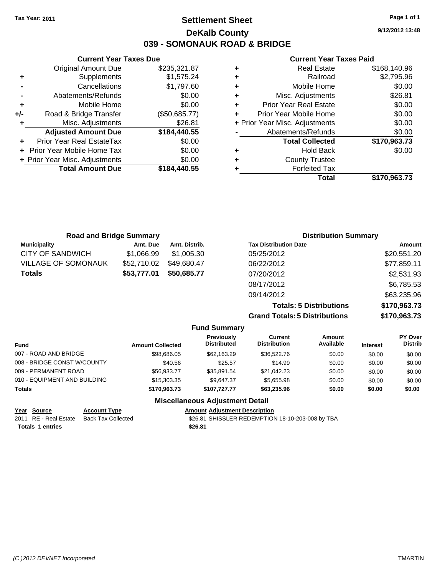### **Settlement Sheet Tax Year: 2011 Page 1 of 1 DeKalb County 039 - SOMONAUK ROAD & BRIDGE**

**9/12/2012 13:48**

#### **Current Year Taxes Paid**

| ٠ | <b>Real Estate</b>             | \$168,140.96 |
|---|--------------------------------|--------------|
| ٠ | Railroad                       | \$2,795.96   |
| ٠ | Mobile Home                    | \$0.00       |
| ٠ | Misc. Adjustments              | \$26.81      |
| ÷ | <b>Prior Year Real Estate</b>  | \$0.00       |
|   | Prior Year Mobile Home         | \$0.00       |
|   | + Prior Year Misc. Adjustments | \$0.00       |
|   | Abatements/Refunds             | \$0.00       |
|   | <b>Total Collected</b>         | \$170,963.73 |
|   | <b>Hold Back</b>               | \$0.00       |
| ÷ | <b>County Trustee</b>          |              |
|   | <b>Forfeited Tax</b>           |              |
|   | Total                          | \$170,963.73 |

|     | <b>Current Year Taxes Due</b>  |               |  |  |  |  |
|-----|--------------------------------|---------------|--|--|--|--|
|     | <b>Original Amount Due</b>     | \$235,321.87  |  |  |  |  |
| ÷   | Supplements                    | \$1,575.24    |  |  |  |  |
|     | Cancellations                  | \$1,797.60    |  |  |  |  |
|     | Abatements/Refunds             | \$0.00        |  |  |  |  |
| ٠   | Mobile Home                    | \$0.00        |  |  |  |  |
| +/- | Road & Bridge Transfer         | (\$50,685.77) |  |  |  |  |
| ٠   | Misc. Adjustments              | \$26.81       |  |  |  |  |
|     | <b>Adjusted Amount Due</b>     | \$184,440.55  |  |  |  |  |
|     | Prior Year Real EstateTax      | \$0.00        |  |  |  |  |
|     | Prior Year Mobile Home Tax     | \$0.00        |  |  |  |  |
|     | + Prior Year Misc. Adjustments | \$0.00        |  |  |  |  |
|     | <b>Total Amount Due</b>        | \$184,440.55  |  |  |  |  |

| <b>Road and Bridge Summary</b> |             |               | <b>Distribution Summary</b>          |               |  |
|--------------------------------|-------------|---------------|--------------------------------------|---------------|--|
| <b>Municipality</b>            | Amt. Due    | Amt. Distrib. | <b>Tax Distribution Date</b>         | <b>Amount</b> |  |
| <b>CITY OF SANDWICH</b>        | \$1,066.99  | \$1,005.30    | 05/25/2012                           | \$20,551.20   |  |
| VILLAGE OF SOMONAUK            | \$52,710.02 | \$49,680.47   | 06/22/2012                           | \$77,859.11   |  |
| Totals                         | \$53,777.01 | \$50,685.77   | 07/20/2012                           | \$2,531.93    |  |
|                                |             |               | 08/17/2012                           | \$6,785.53    |  |
|                                |             |               | 09/14/2012                           | \$63,235.96   |  |
|                                |             |               | <b>Totals: 5 Distributions</b>       | \$170,963.73  |  |
|                                |             |               | <b>Grand Totals: 5 Distributions</b> | \$170,963.73  |  |

|                              |                         | <b>Fund Summary</b>                     |                                |                            |                 |                                  |
|------------------------------|-------------------------|-----------------------------------------|--------------------------------|----------------------------|-----------------|----------------------------------|
| <b>Fund</b>                  | <b>Amount Collected</b> | <b>Previously</b><br><b>Distributed</b> | Current<br><b>Distribution</b> | <b>Amount</b><br>Available | <b>Interest</b> | <b>PY Over</b><br><b>Distrib</b> |
| 007 - ROAD AND BRIDGE        | \$98,686,05             | \$62,163,29                             | \$36,522.76                    | \$0.00                     | \$0.00          | \$0.00                           |
| 008 - BRIDGE CONST W/COUNTY  | \$40.56                 | \$25.57                                 | \$14.99                        | \$0.00                     | \$0.00          | \$0.00                           |
| 009 - PERMANENT ROAD         | \$56,933.77             | \$35,891.54                             | \$21,042.23                    | \$0.00                     | \$0.00          | \$0.00                           |
| 010 - EQUIPMENT AND BUILDING | \$15,303.35             | \$9.647.37                              | \$5,655.98                     | \$0.00                     | \$0.00          | \$0.00                           |
| <b>Totals</b>                | \$170,963,73            | \$107.727.77                            | \$63,235.96                    | \$0.00                     | \$0.00          | \$0.00                           |

**Miscellaneous Adjustment Detail**

| Year Source      | <b>Account Type</b>                      | <b>Amount Adiustment Description</b>             |
|------------------|------------------------------------------|--------------------------------------------------|
|                  | 2011 RE - Real Estate Back Tax Collected | \$26.81 SHISSLER REDEMPTION 18-10-203-008 by TBA |
| Totals 1 entries |                                          | \$26.81                                          |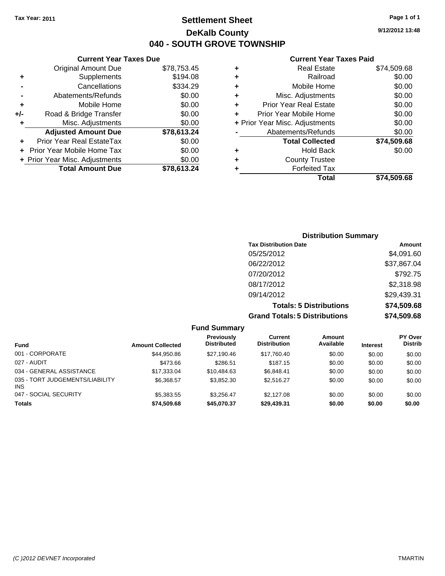**Current Year Taxes Due** Original Amount Due \$78,753.45

**Adjusted Amount Due \$78,613.24**

**Total Amount Due \$78,613.24**

**+** Supplements \$194.08 **-** Cancellations \$334.29 **-** Abatements/Refunds \$0.00 **+** Mobile Home \$0.00 **+/-** Road & Bridge Transfer \$0.00 **+** Misc. Adjustments \$0.00

**+** Prior Year Real EstateTax \$0.00 **+** Prior Year Mobile Home Tax \$0.00 **+ Prior Year Misc. Adjustments**  $$0.00$ 

### **Settlement Sheet Tax Year: 2011 Page 1 of 1 DeKalb County 040 - SOUTH GROVE TOWNSHIP**

**9/12/2012 13:48**

#### **Current Year Taxes Paid**

| ٠ | Real Estate                    | \$74,509.68 |
|---|--------------------------------|-------------|
| ٠ | Railroad                       | \$0.00      |
| ٠ | Mobile Home                    | \$0.00      |
| ٠ | Misc. Adjustments              | \$0.00      |
| ٠ | <b>Prior Year Real Estate</b>  | \$0.00      |
| ٠ | Prior Year Mobile Home         | \$0.00      |
|   | + Prior Year Misc. Adjustments | \$0.00      |
|   | Abatements/Refunds             | \$0.00      |
|   | <b>Total Collected</b>         | \$74,509.68 |
| ٠ | <b>Hold Back</b>               | \$0.00      |
| ٠ | <b>County Trustee</b>          |             |
| ٠ | <b>Forfeited Tax</b>           |             |
|   | Total                          | \$74,509.68 |

| <b>Distribution Summary</b>          |             |  |  |  |  |
|--------------------------------------|-------------|--|--|--|--|
| <b>Tax Distribution Date</b>         | Amount      |  |  |  |  |
| 05/25/2012                           | \$4,091.60  |  |  |  |  |
| 06/22/2012                           | \$37,867.04 |  |  |  |  |
| 07/20/2012                           | \$792.75    |  |  |  |  |
| 08/17/2012                           | \$2,318.98  |  |  |  |  |
| 09/14/2012                           | \$29,439.31 |  |  |  |  |
| <b>Totals: 5 Distributions</b>       | \$74,509.68 |  |  |  |  |
| <b>Grand Totals: 5 Distributions</b> | \$74,509.68 |  |  |  |  |

|                                               |                         | <b>Fund Summary</b>              |                                |                     |                 |                                  |
|-----------------------------------------------|-------------------------|----------------------------------|--------------------------------|---------------------|-----------------|----------------------------------|
| Fund                                          | <b>Amount Collected</b> | Previously<br><b>Distributed</b> | Current<br><b>Distribution</b> | Amount<br>Available | <b>Interest</b> | <b>PY Over</b><br><b>Distrib</b> |
| 001 - CORPORATE                               | \$44.950.86             | \$27.190.46                      | \$17,760.40                    | \$0.00              | \$0.00          | \$0.00                           |
| 027 - AUDIT                                   | \$473.66                | \$286.51                         | \$187.15                       | \$0.00              | \$0.00          | \$0.00                           |
| 034 - GENERAL ASSISTANCE                      | \$17,333,04             | \$10.484.63                      | \$6.848.41                     | \$0.00              | \$0.00          | \$0.00                           |
| 035 - TORT JUDGEMENTS/LIABILITY<br><b>INS</b> | \$6.368.57              | \$3,852,30                       | \$2,516.27                     | \$0.00              | \$0.00          | \$0.00                           |
| 047 - SOCIAL SECURITY                         | \$5,383,55              | \$3.256.47                       | \$2,127.08                     | \$0.00              | \$0.00          | \$0.00                           |
| <b>Totals</b>                                 | \$74,509.68             | \$45.070.37                      | \$29,439.31                    | \$0.00              | \$0.00          | \$0.00                           |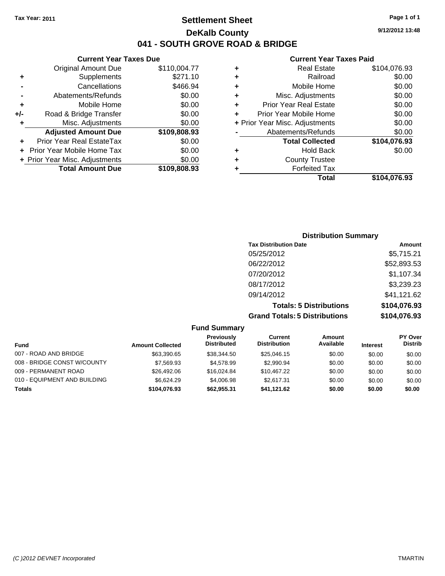### **Settlement Sheet Tax Year: 2011 Page 1 of 1 DeKalb County 041 - SOUTH GROVE ROAD & BRIDGE**

#### **Current Year Taxes Due**

|     | <b>Original Amount Due</b>     | \$110,004.77 |
|-----|--------------------------------|--------------|
| ٠   | Supplements                    | \$271.10     |
|     | Cancellations                  | \$466.94     |
|     | Abatements/Refunds             | \$0.00       |
| ٠   | Mobile Home                    | \$0.00       |
| +/- | Road & Bridge Transfer         | \$0.00       |
| ٠   | Misc. Adjustments              | \$0.00       |
|     | <b>Adjusted Amount Due</b>     | \$109,808.93 |
| ÷   | Prior Year Real EstateTax      | \$0.00       |
|     | Prior Year Mobile Home Tax     | \$0.00       |
|     |                                |              |
|     | + Prior Year Misc. Adjustments | \$0.00       |
|     | <b>Total Amount Due</b>        | \$109,808.93 |

#### **Current Year Taxes Paid**

|   | <b>Real Estate</b>             | \$104,076.93 |
|---|--------------------------------|--------------|
| ٠ | Railroad                       | \$0.00       |
| ٠ | Mobile Home                    | \$0.00       |
| ٠ | Misc. Adjustments              | \$0.00       |
| ٠ | Prior Year Real Estate         | \$0.00       |
| ÷ | Prior Year Mobile Home         | \$0.00       |
|   | + Prior Year Misc. Adjustments | \$0.00       |
|   | Abatements/Refunds             | \$0.00       |
|   | <b>Total Collected</b>         | \$104,076.93 |
| ٠ | <b>Hold Back</b>               | \$0.00       |
| ٠ | <b>County Trustee</b>          |              |
| ٠ | <b>Forfeited Tax</b>           |              |
|   | Total                          | \$104,076.93 |
|   |                                |              |

### **Distribution Summary Tax Distribution Date Amount** 05/25/2012 \$5,715.21 06/22/2012 \$52,893.53 07/20/2012 \$1,107.34 08/17/2012 \$3,239.23 09/14/2012 \$41,121.62 **Totals: 5 Distributions \$104,076.93 Grand Totals: 5 Distributions \$104,076.93**

#### **Fund Summary Fund Interest Amount Collected Distributed PY Over Distrib Amount Available Current Distribution Previously** 007 - ROAD AND BRIDGE 60.00 \$63,390.65 \$38,344.50 \$25,046.15 \$0.00 \$0.00 \$0.00 \$0.00 008 - BRIDGE CONST W/COUNTY  $$7,569.93$   $$4,578.99$   $$2,990.94$   $$0.00$   $$0.00$   $$0.00$ 009 - PERMANENT ROAD \$26,492.06 \$16,024.84 \$10,467.22 \$0.00 \$0.00 \$0.00 010 - EQUIPMENT AND BUILDING \$6,624.29 \$4,006.98 \$2,617.31 \$0.00 \$0.00 \$0.00 **Totals \$104,076.93 \$62,955.31 \$41,121.62 \$0.00 \$0.00 \$0.00**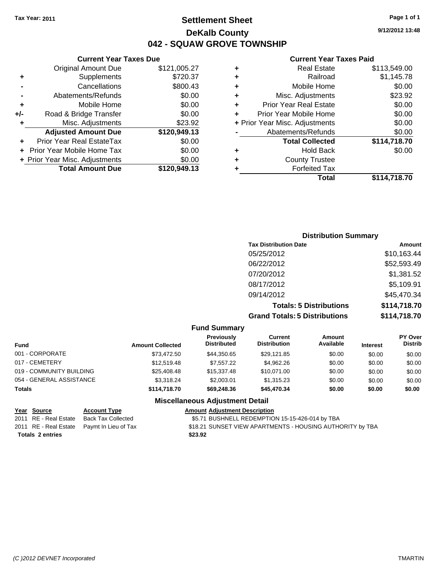### **Settlement Sheet Tax Year: 2011 Page 1 of 1 DeKalb County 042 - SQUAW GROVE TOWNSHIP**

**9/12/2012 13:48**

#### **Current Year Taxes Paid**

| ٠ | <b>Real Estate</b>             | \$113,549.00 |
|---|--------------------------------|--------------|
|   | Railroad                       | \$1,145.78   |
| ٠ | Mobile Home                    | \$0.00       |
| ٠ | Misc. Adjustments              | \$23.92      |
| ٠ | <b>Prior Year Real Estate</b>  | \$0.00       |
|   | Prior Year Mobile Home         | \$0.00       |
|   | + Prior Year Misc. Adjustments | \$0.00       |
|   | Abatements/Refunds             | \$0.00       |
|   | <b>Total Collected</b>         | \$114,718.70 |
| ٠ | <b>Hold Back</b>               | \$0.00       |
| ٠ | <b>County Trustee</b>          |              |
|   | <b>Forfeited Tax</b>           |              |
|   | Total                          | \$114,718.70 |

### **+** Supplements \$720.37 **-** Cancellations \$800.43 **-** Abatements/Refunds \$0.00 **+** Mobile Home \$0.00 **+/-** Road & Bridge Transfer \$0.00 **+** Misc. Adjustments \$23.92 **Adjusted Amount Due \$120,949.13 +** Prior Year Real EstateTax \$0.00 **+** Prior Year Mobile Home Tax \$0.00 **+ Prior Year Misc. Adjustments**  $$0.00$ **Total Amount Due \$120,949.13**

**Current Year Taxes Due** Original Amount Due \$121,005.27

### **Distribution Summary Tax Distribution Date Amount** 05/25/2012 \$10,163.44 06/22/2012 \$52,593.49 07/20/2012 \$1,381.52 08/17/2012 \$5,109.91 09/14/2012 \$45,470.34 **Totals: 5 Distributions \$114,718.70 Grand Totals: 5 Distributions \$114,718.70**

#### **Fund Summary**

| <b>Amount Collected</b> | Previously<br><b>Distributed</b> | Current<br><b>Distribution</b> | Amount<br>Available | <b>Interest</b> | <b>PY Over</b><br><b>Distrib</b> |
|-------------------------|----------------------------------|--------------------------------|---------------------|-----------------|----------------------------------|
| \$73.472.50             | \$44.350.65                      | \$29,121.85                    | \$0.00              | \$0.00          | \$0.00                           |
| \$12,519.48             | \$7.557.22                       | \$4.962.26                     | \$0.00              | \$0.00          | \$0.00                           |
| \$25,408.48             | \$15,337,48                      | \$10.071.00                    | \$0.00              | \$0.00          | \$0.00                           |
| \$3.318.24              | \$2,003.01                       | \$1,315.23                     | \$0.00              | \$0.00          | \$0.00                           |
| \$114,718,70            | \$69,248,36                      | \$45,470.34                    | \$0.00              | \$0.00          | \$0.00                           |
|                         |                                  |                                |                     |                 |                                  |

### **Miscellaneous Adjustment Detail**

| Year Source             | <b>Account Type</b>                        | <b>Amount Adjustment Description</b>                      |
|-------------------------|--------------------------------------------|-----------------------------------------------------------|
|                         | 2011 RE - Real Estate Back Tax Collected   | \$5.71 BUSHNELL REDEMPTION 15-15-426-014 by TBA           |
|                         | 2011 RE - Real Estate Paymt In Lieu of Tax | \$18.21 SUNSET VIEW APARTMENTS - HOUSING AUTHORITY by TBA |
| <b>Totals 2 entries</b> |                                            | \$23.92                                                   |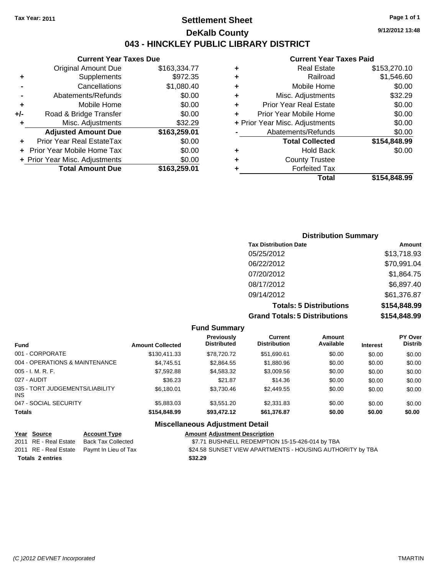### **Settlement Sheet Tax Year: 2011 Page 1 of 1 DeKalb County 043 - HINCKLEY PUBLIC LIBRARY DISTRICT**

#### **Current Year Taxes Due**

|     | <b>Original Amount Due</b>       | \$163,334.77 |
|-----|----------------------------------|--------------|
| ٠   | Supplements                      | \$972.35     |
|     | Cancellations                    | \$1,080.40   |
|     | Abatements/Refunds               | \$0.00       |
| ٠   | Mobile Home                      | \$0.00       |
| +/- | Road & Bridge Transfer           | \$0.00       |
| ٠   | Misc. Adjustments                | \$32.29      |
|     | <b>Adjusted Amount Due</b>       | \$163,259.01 |
|     | <b>Prior Year Real EstateTax</b> | \$0.00       |
|     | Prior Year Mobile Home Tax       | \$0.00       |
|     | + Prior Year Misc. Adjustments   | \$0.00       |
|     | <b>Total Amount Due</b>          | \$163,259.01 |
|     |                                  |              |

#### **Current Year Taxes Paid**

|   | <b>Real Estate</b>             | \$153,270.10 |
|---|--------------------------------|--------------|
| ٠ | Railroad                       | \$1,546.60   |
| ٠ | Mobile Home                    | \$0.00       |
| ٠ | Misc. Adjustments              | \$32.29      |
| ٠ | <b>Prior Year Real Estate</b>  | \$0.00       |
| ٠ | Prior Year Mobile Home         | \$0.00       |
|   | + Prior Year Misc. Adjustments | \$0.00       |
|   | Abatements/Refunds             | \$0.00       |
|   | <b>Total Collected</b>         | \$154,848.99 |
| ٠ | Hold Back                      | \$0.00       |
| ٠ | <b>County Trustee</b>          |              |
| ٠ | <b>Forfeited Tax</b>           |              |
|   | Total                          | \$154,848.99 |
|   |                                |              |

### **Distribution Summary Tax Distribution Date Amount** 05/25/2012 \$13,718.93 06/22/2012 \$70,991.04 07/20/2012 \$1,864.75 08/17/2012 \$6,897.40 09/14/2012 \$61,376.87 **Totals: 5 Distributions \$154,848.99 Grand Totals: 5 Distributions \$154,848.99**

**Fund Summary Fund Interest Amount Collected Distributed PY Over Distrib Amount Available Current Distribution Previously** 001 - CORPORATE \$130,411.33 \$78,720.72 \$51,690.61 \$0.00 \$0.00 \$0.00 004 - OPERATIONS & MAINTENANCE \$4,745.51 \$2,864.55 \$1,880.96 \$0.00 \$0.00 \$0.00 005 - I. M. R. F. \$7,592.88 \$4,583.32 \$3,009.56 \$0.00 \$0.00 \$0.00 027 - AUDIT \$36.23 \$21.87 \$14.36 \$0.00 \$0.00 \$0.00 035 - TORT JUDGEMENTS/LIABILITY INS \$6,180.01 \$3,730.46 \$2,449.55 \$0.00 \$0.00 \$0.00 047 - SOCIAL SECURITY \$5,883.03 \$3,551.20 \$2,331.83 \$0.00 \$0.00 \$0.00 **Totals \$154,848.99 \$93,472.12 \$61,376.87 \$0.00 \$0.00 \$0.00 Miscellaneous Adjustment Detail**

| Year Source             | <b>Account Type</b>                        | <b>Amount Adjustment Description</b>                      |
|-------------------------|--------------------------------------------|-----------------------------------------------------------|
| 2011 RE - Real Estate   | Back Tax Collected                         | \$7.71 BUSHNELL REDEMPTION 15-15-426-014 by TBA           |
|                         | 2011 RE - Real Estate Paymt In Lieu of Tax | \$24.58 SUNSET VIEW APARTMENTS - HOUSING AUTHORITY by TBA |
| <b>Totals 2 entries</b> |                                            | \$32.29                                                   |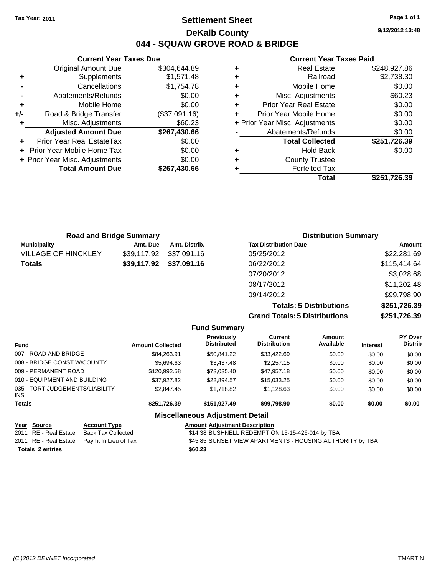### **Settlement Sheet Tax Year: 2011 Page 1 of 1 DeKalb County 044 - SQUAW GROVE ROAD & BRIDGE**

**9/12/2012 13:48**

#### **Current Year Taxes Paid**

|   | Total                          | \$251.726.39 |
|---|--------------------------------|--------------|
|   | <b>Forfeited Tax</b>           |              |
| ٠ | <b>County Trustee</b>          |              |
| ٠ | <b>Hold Back</b>               | \$0.00       |
|   | <b>Total Collected</b>         | \$251,726.39 |
|   | Abatements/Refunds             | \$0.00       |
|   | + Prior Year Misc. Adjustments | \$0.00       |
| ÷ | Prior Year Mobile Home         | \$0.00       |
| ٠ | <b>Prior Year Real Estate</b>  | \$0.00       |
| ٠ | Misc. Adjustments              | \$60.23      |
| ٠ | Mobile Home                    | \$0.00       |
| ٠ | Railroad                       | \$2,738.30   |
| ٠ | <b>Real Estate</b>             | \$248,927.86 |

| <b>Road and Bridge Summary</b> |             |               | <b>Distribution Summary</b>  |              |  |
|--------------------------------|-------------|---------------|------------------------------|--------------|--|
| <b>Municipality</b>            | Amt. Due    | Amt. Distrib. | <b>Tax Distribution Date</b> | Amount       |  |
| <b>VILLAGE OF HINCKLEY</b>     | \$39,117.92 | \$37,091.16   | 05/25/2012                   | \$22,281.69  |  |
| <b>Totals</b>                  | \$39,117.92 | \$37,091.16   | 06/22/2012                   | \$115,414.64 |  |
|                                |             |               | 07/20/2012                   | \$3,028.68   |  |
|                                |             |               | 08/17/2012                   | \$11,202.48  |  |
|                                |             |               | 09/14/2012                   | \$99,798.90  |  |

**Totals: 5 Distributions \$251,726.39 Grand Totals: 5 Distributions \$251,726.39**

|                                         |                     |                         | <b>Fund Summary</b>                     |                                |                     |                 |                           |
|-----------------------------------------|---------------------|-------------------------|-----------------------------------------|--------------------------------|---------------------|-----------------|---------------------------|
| <b>Fund</b>                             |                     | <b>Amount Collected</b> | <b>Previously</b><br><b>Distributed</b> | Current<br><b>Distribution</b> | Amount<br>Available | <b>Interest</b> | PY Over<br><b>Distrib</b> |
| 007 - ROAD AND BRIDGE                   |                     | \$84.263.91             | \$50.841.22                             | \$33,422.69                    | \$0.00              | \$0.00          | \$0.00                    |
| 008 - BRIDGE CONST W/COUNTY             |                     | \$5.694.63              | \$3,437.48                              | \$2,257.15                     | \$0.00              | \$0.00          | \$0.00                    |
| 009 - PERMANENT ROAD                    |                     | \$120,992.58            | \$73.035.40                             | \$47.957.18                    | \$0.00              | \$0.00          | \$0.00                    |
| 010 - EQUIPMENT AND BUILDING            |                     | \$37.927.82             | \$22.894.57                             | \$15.033.25                    | \$0.00              | \$0.00          | \$0.00                    |
| 035 - TORT JUDGEMENTS/LIABILITY<br>INS. |                     | \$2,847.45              | \$1,718.82                              | \$1.128.63                     | \$0.00              | \$0.00          | \$0.00                    |
| <b>Totals</b>                           |                     | \$251.726.39            | \$151.927.49                            | \$99.798.90                    | \$0.00              | \$0.00          | \$0.00                    |
|                                         |                     |                         | <b>Miscellaneous Adjustment Detail</b>  |                                |                     |                 |                           |
| Year Source                             | <b>Account Type</b> |                         | <b>Amount Adiustment Description</b>    |                                |                     |                 |                           |

| <b>Totals 2 entries</b> |                                            | \$60.23                                                   |
|-------------------------|--------------------------------------------|-----------------------------------------------------------|
|                         | 2011 RE - Real Estate Paymt In Lieu of Tax | \$45.85 SUNSET VIEW APARTMENTS - HOUSING AUTHORITY by TBA |
| 2011 RE - Real Estate   | Back Tax Collected                         | \$14.38 BUSHNELL REDEMPTION 15-15-426-014 by TBA          |
| <u>rear source</u>      | ACCOUNT TYPE                               | AINQUIR AQJUSTMENT DESCRIPTION                            |

#### **Current Year Taxes Due** Original Amount Due \$304,644.89

|     | $5.19$ and $7.010$ and $2.00$     | <b>POULD LIGHT</b> |
|-----|-----------------------------------|--------------------|
|     | Supplements                       | \$1,571.48         |
|     | Cancellations                     | \$1,754.78         |
|     | Abatements/Refunds                | \$0.00             |
| ÷   | Mobile Home                       | \$0.00             |
| +/- | Road & Bridge Transfer            | (\$37,091.16)      |
| ٠   | Misc. Adjustments                 | \$60.23            |
|     | <b>Adjusted Amount Due</b>        | \$267,430.66       |
|     | Prior Year Real EstateTax         | \$0.00             |
|     | <b>Prior Year Mobile Home Tax</b> | \$0.00             |
|     | + Prior Year Misc. Adjustments    | \$0.00             |
|     | <b>Total Amount Due</b>           | \$267,430.66       |
|     |                                   |                    |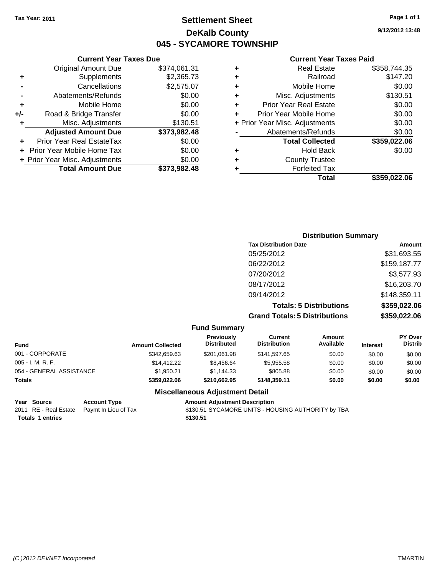### **Settlement Sheet Tax Year: 2011 Page 1 of 1 DeKalb County 045 - SYCAMORE TOWNSHIP**

### **Current Year Taxes Due**

|     | <b>Original Amount Due</b>     | \$374,061.31 |
|-----|--------------------------------|--------------|
| ٠   | Supplements                    | \$2,365.73   |
|     | Cancellations                  | \$2,575.07   |
|     | Abatements/Refunds             | \$0.00       |
| ٠   | Mobile Home                    | \$0.00       |
| +/- | Road & Bridge Transfer         | \$0.00       |
| ٠   | Misc. Adjustments              | \$130.51     |
|     | <b>Adjusted Amount Due</b>     | \$373,982.48 |
|     | Prior Year Real EstateTax      | \$0.00       |
|     | Prior Year Mobile Home Tax     | \$0.00       |
|     |                                |              |
|     | + Prior Year Misc. Adjustments | \$0.00       |
|     | <b>Total Amount Due</b>        | \$373,982.48 |

#### **Current Year Taxes Paid**

|   | <b>Real Estate</b>             | \$358,744.35 |
|---|--------------------------------|--------------|
| ٠ | Railroad                       | \$147.20     |
| ٠ | Mobile Home                    | \$0.00       |
| ٠ | Misc. Adjustments              | \$130.51     |
| ٠ | <b>Prior Year Real Estate</b>  | \$0.00       |
| ÷ | Prior Year Mobile Home         | \$0.00       |
|   | + Prior Year Misc. Adjustments | \$0.00       |
|   | Abatements/Refunds             | \$0.00       |
|   | <b>Total Collected</b>         | \$359,022.06 |
| ٠ | <b>Hold Back</b>               | \$0.00       |
| ٠ | <b>County Trustee</b>          |              |
| ٠ | <b>Forfeited Tax</b>           |              |
|   | Total                          | \$359,022.06 |
|   |                                |              |

### **Distribution Summary Tax Distribution Date Amount** 05/25/2012 \$31,693.55 06/22/2012 \$159,187.77 07/20/2012 \$3,577.93 08/17/2012 \$16,203.70 09/14/2012 \$148,359.11 **Totals: 5 Distributions \$359,022.06 Grand Totals: 5 Distributions \$359,022.06**

#### **Fund Summary**

| Current             | Amount    |                 | <b>PY Over</b> |
|---------------------|-----------|-----------------|----------------|
| <b>Distribution</b> | Available | <b>Interest</b> | <b>Distrib</b> |
| \$141,597.65        | \$0.00    | \$0.00          | \$0.00         |
| \$5,955.58          | \$0.00    | \$0.00          | \$0.00         |
| \$805.88            | \$0.00    | \$0.00          | \$0.00         |
| \$148,359.11        | \$0.00    | \$0.00          | \$0.00         |
|                     |           |                 |                |

#### **Miscellaneous Adjustment Detail**

| Year Source             | <b>Account Type</b>                        | Amount   |
|-------------------------|--------------------------------------------|----------|
|                         | 2011 RE - Real Estate Paymt In Lieu of Tax | \$130.51 |
| <b>Totals 1 entries</b> |                                            | \$130.51 |

**PERR 19 AMOUNT ADDEN IN A ADDEN IN A ADDEN IN A ADDEN IN A ADDEN IN A ADDEN IN A AND A ADDEN IN A ADDEN IN A ADDEN IN A ADDEN IN A ADDEN IN A ADDEN IN A ADDEN IN A ADDEN IN A ADDEN IN A ADDEN IN A ADDEN IN A ADDEN IN A AD** 2011 aymt In Lieu of Tax **Cannes Cannes Act Act Act Act State \$130.51 SYCAMORE UNITS - HOUSING AUTHORITY by TBA**  **9/12/2012 13:48**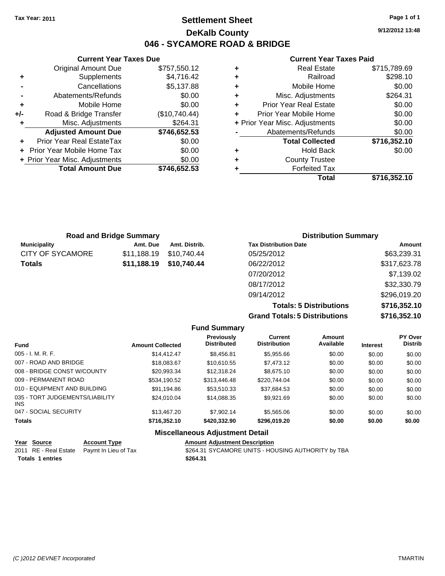### **Settlement Sheet Tax Year: 2011 Page 1 of 1 DeKalb County 046 - SYCAMORE ROAD & BRIDGE**

**9/12/2012 13:48**

#### **Current Year Taxes Paid**

|     | <b>Current Year Taxes Due</b>  |               |   | <b>Current Year Taxes Paid</b> |              |  |
|-----|--------------------------------|---------------|---|--------------------------------|--------------|--|
|     | <b>Original Amount Due</b>     | \$757,550.12  | ٠ | <b>Real Estate</b>             | \$715,789.69 |  |
| ٠   | Supplements                    | \$4,716.42    | ٠ | Railroad                       | \$298.10     |  |
|     | Cancellations                  | \$5,137.88    |   | Mobile Home                    | \$0.00       |  |
|     | Abatements/Refunds             | \$0.00        | ٠ | Misc. Adjustments              | \$264.31     |  |
| ÷   | Mobile Home                    | \$0.00        | ÷ | <b>Prior Year Real Estate</b>  | \$0.00       |  |
| +/- | Road & Bridge Transfer         | (\$10,740.44) | ÷ | Prior Year Mobile Home         | \$0.00       |  |
|     | Misc. Adjustments              | \$264.31      |   | + Prior Year Misc. Adjustments | \$0.00       |  |
|     | <b>Adjusted Amount Due</b>     | \$746,652.53  |   | Abatements/Refunds             | \$0.00       |  |
| ÷.  | Prior Year Real EstateTax      | \$0.00        |   | <b>Total Collected</b>         | \$716,352.10 |  |
|     | + Prior Year Mobile Home Tax   | \$0.00        | ٠ | <b>Hold Back</b>               | \$0.00       |  |
|     | + Prior Year Misc. Adjustments | \$0.00        | ٠ | <b>County Trustee</b>          |              |  |
|     | <b>Total Amount Due</b>        | \$746,652.53  |   | <b>Forfeited Tax</b>           |              |  |
|     |                                |               |   | <b>Total</b>                   | \$716,352.10 |  |

| <b>Road and Bridge Summary</b> |             |               | <b>Distribution Summary</b>  |              |  |
|--------------------------------|-------------|---------------|------------------------------|--------------|--|
| <b>Municipality</b>            | Amt. Due    | Amt. Distrib. | <b>Tax Distribution Date</b> | Amount       |  |
| CITY OF SYCAMORE               | \$11,188.19 | \$10,740.44   | 05/25/2012                   | \$63,239.31  |  |
| Totals                         | \$11,188.19 | \$10,740.44   | 06/22/2012                   | \$317,623.78 |  |
|                                |             |               | 07/20/2012                   | \$7,139.02   |  |
|                                |             |               | 08/17/2012                   | \$32,330.79  |  |
|                                |             |               | 09/14/2012                   | \$296,019.20 |  |

**Totals: 5 Distributions \$716,352.10 Grand Totals: 5 Distributions \$716,352.10**

|                                         |                         | <b>Fund Summary</b>                     |                                       |                     |                 |                           |
|-----------------------------------------|-------------------------|-----------------------------------------|---------------------------------------|---------------------|-----------------|---------------------------|
| <b>Fund</b>                             | <b>Amount Collected</b> | <b>Previously</b><br><b>Distributed</b> | <b>Current</b><br><b>Distribution</b> | Amount<br>Available | <b>Interest</b> | PY Over<br><b>Distrib</b> |
| $005 - I. M. R. F.$                     | \$14,412,47             | \$8.456.81                              | \$5,955.66                            | \$0.00              | \$0.00          | \$0.00                    |
| 007 - ROAD AND BRIDGE                   | \$18,083,67             | \$10,610.55                             | \$7,473.12                            | \$0.00              | \$0.00          | \$0.00                    |
| 008 - BRIDGE CONST W/COUNTY             | \$20.993.34             | \$12,318.24                             | \$8.675.10                            | \$0.00              | \$0.00          | \$0.00                    |
| 009 - PERMANENT ROAD                    | \$534.190.52            | \$313,446.48                            | \$220.744.04                          | \$0.00              | \$0.00          | \$0.00                    |
| 010 - EQUIPMENT AND BUILDING            | \$91.194.86             | \$53,510.33                             | \$37.684.53                           | \$0.00              | \$0.00          | \$0.00                    |
| 035 - TORT JUDGEMENTS/LIABILITY<br>INS. | \$24,010.04             | \$14.088.35                             | \$9.921.69                            | \$0.00              | \$0.00          | \$0.00                    |
| 047 - SOCIAL SECURITY                   | \$13,467.20             | \$7,902.14                              | \$5,565.06                            | \$0.00              | \$0.00          | \$0.00                    |
| <b>Totals</b>                           | \$716.352.10            | \$420,332,90                            | \$296.019.20                          | \$0.00              | \$0.00          | \$0.00                    |
|                                         |                         | <b>Miscellaneous Adjustment Detail</b>  |                                       |                     |                 |                           |

|                  | Year Source | <b>Account Type</b>                        | <b>Amount Adjustment Description</b>               |
|------------------|-------------|--------------------------------------------|----------------------------------------------------|
|                  |             | 2011 RE - Real Estate Paymt In Lieu of Tax | \$264.31 SYCAMORE UNITS - HOUSING AUTHORITY by TBA |
| Totals 1 entries |             |                                            | \$264.31                                           |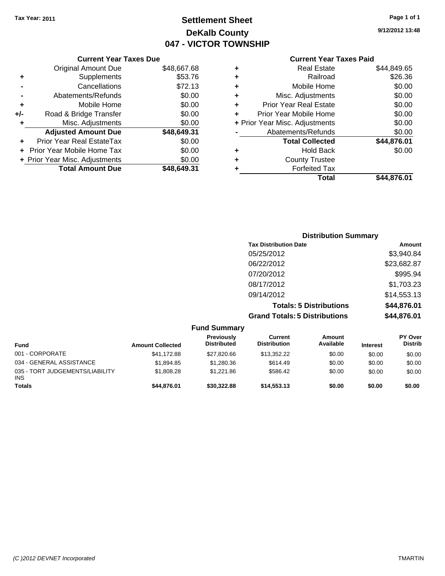### **Settlement Sheet Tax Year: 2011 Page 1 of 1 DeKalb County 047 - VICTOR TOWNSHIP**

**9/12/2012 13:48**

### **Current Year Taxes Paid**

|     | <b>Current Year Taxes Due</b>  |             |  |  |  |  |  |
|-----|--------------------------------|-------------|--|--|--|--|--|
|     | <b>Original Amount Due</b>     | \$48,667.68 |  |  |  |  |  |
| ٠   | Supplements                    | \$53.76     |  |  |  |  |  |
|     | Cancellations                  | \$72.13     |  |  |  |  |  |
|     | Abatements/Refunds             | \$0.00      |  |  |  |  |  |
| ٠   | Mobile Home                    | \$0.00      |  |  |  |  |  |
| +/- | Road & Bridge Transfer         | \$0.00      |  |  |  |  |  |
| ٠   | Misc. Adjustments              | \$0.00      |  |  |  |  |  |
|     | <b>Adjusted Amount Due</b>     | \$48,649.31 |  |  |  |  |  |
| ÷   | Prior Year Real EstateTax      | \$0.00      |  |  |  |  |  |
|     | Prior Year Mobile Home Tax     | \$0.00      |  |  |  |  |  |
|     | + Prior Year Misc. Adjustments | \$0.00      |  |  |  |  |  |
|     | <b>Total Amount Due</b>        | \$48.649.31 |  |  |  |  |  |
|     |                                |             |  |  |  |  |  |

| \$44,876.01<br><b>Total Collected</b><br>\$0.00<br><b>Hold Back</b><br><b>County Trustee</b><br><b>Forfeited Tax</b> |
|----------------------------------------------------------------------------------------------------------------------|
|                                                                                                                      |
|                                                                                                                      |
|                                                                                                                      |
|                                                                                                                      |
| \$0.00<br>Abatements/Refunds                                                                                         |
| \$0.00<br>+ Prior Year Misc. Adjustments                                                                             |
| \$0.00<br>Prior Year Mobile Home                                                                                     |
| \$0.00<br><b>Prior Year Real Estate</b>                                                                              |
| \$0.00<br>Misc. Adjustments                                                                                          |
| \$0.00<br>Mobile Home                                                                                                |
| \$26.36                                                                                                              |
| \$44,849.65                                                                                                          |
| <b>Real Estate</b><br>Railroad                                                                                       |

| <b>Distribution Summary</b>          |             |
|--------------------------------------|-------------|
| <b>Tax Distribution Date</b>         | Amount      |
| 05/25/2012                           | \$3,940.84  |
| 06/22/2012                           | \$23,682.87 |
| 07/20/2012                           | \$995.94    |
| 08/17/2012                           | \$1,703.23  |
| 09/14/2012                           | \$14,553.13 |
| <b>Totals: 5 Distributions</b>       | \$44,876.01 |
| <b>Grand Totals: 5 Distributions</b> | \$44,876.01 |

|                                               |                         | <b>Fund Summary</b>              |                                |                     |                 |                                  |
|-----------------------------------------------|-------------------------|----------------------------------|--------------------------------|---------------------|-----------------|----------------------------------|
| <b>Fund</b>                                   | <b>Amount Collected</b> | Previously<br><b>Distributed</b> | Current<br><b>Distribution</b> | Amount<br>Available | <b>Interest</b> | <b>PY Over</b><br><b>Distrib</b> |
| 001 - CORPORATE                               | \$41,172.88             | \$27,820.66                      | \$13,352.22                    | \$0.00              | \$0.00          | \$0.00                           |
| 034 - GENERAL ASSISTANCE                      | \$1,894.85              | \$1,280.36                       | \$614.49                       | \$0.00              | \$0.00          | \$0.00                           |
| 035 - TORT JUDGEMENTS/LIABILITY<br><b>INS</b> | \$1,808.28              | \$1,221.86                       | \$586.42                       | \$0.00              | \$0.00          | \$0.00                           |
| <b>Totals</b>                                 | \$44.876.01             | \$30,322.88                      | \$14,553,13                    | \$0.00              | \$0.00          | \$0.00                           |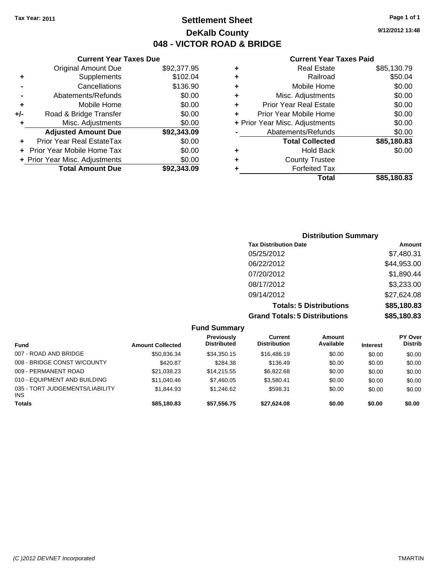**Current Year Taxes Due** Original Amount Due \$92,377.95

**Adjusted Amount Due \$92,343.09**

**Total Amount Due \$92,343.09**

**+** Supplements \$102.04 **-** Cancellations \$136.90 **-** Abatements/Refunds \$0.00 **+** Mobile Home \$0.00 **+/-** Road & Bridge Transfer \$0.00 **+** Misc. Adjustments \$0.00

**+** Prior Year Real EstateTax \$0.00 **+** Prior Year Mobile Home Tax \$0.00 **+ Prior Year Misc. Adjustments**  $$0.00$ 

### **Settlement Sheet Tax Year: 2011 Page 1 of 1 DeKalb County 048 - VICTOR ROAD & BRIDGE**

**9/12/2012 13:48**

#### **Current Year Taxes Paid**

| ٠ | <b>Real Estate</b>             | \$85,130.79 |
|---|--------------------------------|-------------|
| ٠ | Railroad                       | \$50.04     |
| ٠ | Mobile Home                    | \$0.00      |
| ÷ | Misc. Adjustments              | \$0.00      |
| ٠ | <b>Prior Year Real Estate</b>  | \$0.00      |
| ÷ | Prior Year Mobile Home         | \$0.00      |
|   | + Prior Year Misc. Adjustments | \$0.00      |
|   | Abatements/Refunds             | \$0.00      |
|   | <b>Total Collected</b>         | \$85,180.83 |
| ٠ | <b>Hold Back</b>               | \$0.00      |
| ٠ | <b>County Trustee</b>          |             |
|   | <b>Forfeited Tax</b>           |             |
|   | Total                          | \$85.180.83 |

### **Distribution Summary Tax Distribution Date Amount** 05/25/2012 \$7,480.31 06/22/2012 \$44,953.00 07/20/2012 \$1,890.44 08/17/2012 \$3,233.00 09/14/2012 \$27,624.08 **Totals: 5 Distributions \$85,180.83 Grand Totals: 5 Distributions \$85,180.83**

**Fund Summary Fund Interest Amount Collected Distributed PY Over Distrib Amount Available Current Distribution Previously** 007 - ROAD AND BRIDGE 6 .000 \$0.00 \$50,836.34 \$34,350.15 \$16,486.19 \$0.00 \$0.00 \$0.00 \$0.00 008 - BRIDGE CONST W/COUNTY  $$420.87$   $$284.38$   $$136.49$   $$0.00$   $$0.00$   $$0.00$ 009 - PERMANENT ROAD \$21,038.23 \$14,215.55 \$6,822.68 \$0.00 \$0.00 \$0.00 \$0.00 010 - EQUIPMENT AND BUILDING \$11,040.46 \$7,460.05 \$3,580.41 \$0.00 \$0.00 \$0.00 035 - TORT JUDGEMENTS/LIABILITY INS \$1,844.93 \$1,246.62 \$598.31 \$0.00 \$0.00 \$0.00 **Totals \$85,180.83 \$57,556.75 \$27,624.08 \$0.00 \$0.00 \$0.00**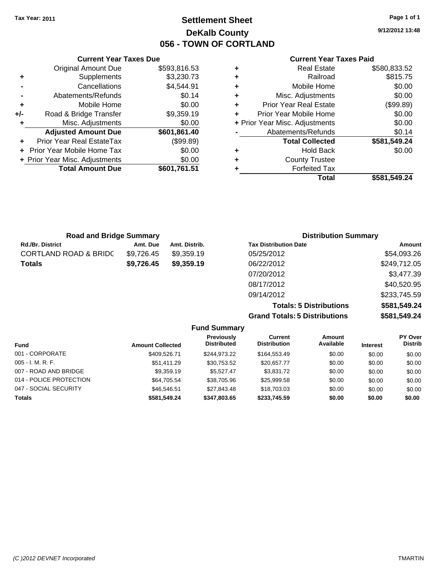### **Settlement Sheet Tax Year: 2011 Page 1 of 1 DeKalb County 056 - TOWN OF CORTLAND**

**9/12/2012 13:48**

#### **Current Year Taxes Paid**

|   | <b>Real Estate</b>             | \$580,833.52 |
|---|--------------------------------|--------------|
| ٠ | Railroad                       | \$815.75     |
| ٠ | Mobile Home                    | \$0.00       |
| ٠ | Misc. Adjustments              | \$0.00       |
| ٠ | <b>Prior Year Real Estate</b>  | (\$99.89)    |
|   | Prior Year Mobile Home         | \$0.00       |
|   | + Prior Year Misc. Adjustments | \$0.00       |
|   | Abatements/Refunds             | \$0.14       |
|   | <b>Total Collected</b>         | \$581,549.24 |
|   | <b>Hold Back</b>               | \$0.00       |
|   | <b>County Trustee</b>          |              |
|   | <b>Forfeited Tax</b>           |              |
|   | Total                          | \$581,549.24 |

|     | <b>Current Year Taxes Due</b>    |              |
|-----|----------------------------------|--------------|
|     | <b>Original Amount Due</b>       | \$593,816.53 |
| ٠   | Supplements                      | \$3,230.73   |
|     | Cancellations                    | \$4,544.91   |
|     | Abatements/Refunds               | \$0.14       |
| ٠   | Mobile Home                      | \$0.00       |
| +/- | Road & Bridge Transfer           | \$9,359.19   |
| ٠   | Misc. Adjustments                | \$0.00       |
|     | <b>Adjusted Amount Due</b>       | \$601,861.40 |
|     | <b>Prior Year Real EstateTax</b> | (\$99.89)    |
|     | Prior Year Mobile Home Tax       | \$0.00       |
|     | + Prior Year Misc. Adjustments   | \$0.00       |
|     | <b>Total Amount Due</b>          | \$601,761.51 |

| <b>Road and Bridge Summary</b>   |            |               | <b>Distribution Summary</b>  |              |  |
|----------------------------------|------------|---------------|------------------------------|--------------|--|
| <b>Rd./Br. District</b>          | Amt. Due   | Amt. Distrib. | <b>Tax Distribution Date</b> | Amount       |  |
| <b>CORTLAND ROAD &amp; BRIDC</b> | \$9,726.45 | \$9,359.19    | 05/25/2012                   | \$54,093.26  |  |
| <b>Totals</b>                    | \$9,726.45 | \$9,359.19    | 06/22/2012                   | \$249,712.05 |  |
|                                  |            |               | 07/20/2012                   | \$3,477.39   |  |
|                                  |            |               | 08/17/2012                   | \$40,520.95  |  |

09/14/2012 \$233,745.59 **Totals: 5 Distributions \$581,549.24 Grand Totals: 5 Distributions \$581,549.24**

| <b>Fund Summary</b>     |                         |                                         |                                |                            |                 |                           |
|-------------------------|-------------------------|-----------------------------------------|--------------------------------|----------------------------|-----------------|---------------------------|
| <b>Fund</b>             | <b>Amount Collected</b> | <b>Previously</b><br><b>Distributed</b> | Current<br><b>Distribution</b> | <b>Amount</b><br>Available | <b>Interest</b> | PY Over<br><b>Distrib</b> |
| 001 - CORPORATE         | \$409.526.71            | \$244.973.22                            | \$164,553,49                   | \$0.00                     | \$0.00          | \$0.00                    |
| $005 - I. M. R. F.$     | \$51,411.29             | \$30,753.52                             | \$20,657.77                    | \$0.00                     | \$0.00          | \$0.00                    |
| 007 - ROAD AND BRIDGE   | \$9,359.19              | \$5.527.47                              | \$3,831.72                     | \$0.00                     | \$0.00          | \$0.00                    |
| 014 - POLICE PROTECTION | \$64,705.54             | \$38,705.96                             | \$25,999.58                    | \$0.00                     | \$0.00          | \$0.00                    |
| 047 - SOCIAL SECURITY   | \$46,546.51             | \$27,843,48                             | \$18,703.03                    | \$0.00                     | \$0.00          | \$0.00                    |
| <b>Totals</b>           | \$581,549.24            | \$347,803.65                            | \$233,745.59                   | \$0.00                     | \$0.00          | \$0.00                    |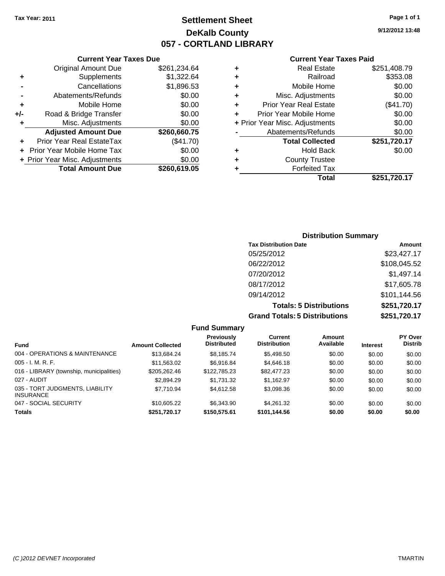Original Amount Due

**Adjusted Amount Due** 

**Total Amount Due** 

**+** Supplements **-** Cancellations **-** Abatements/Refunds **+** Mobile Home **+/-** Road & Bridge Transfer **+** Misc. Adjustments

**+** Prior Year Real EstateTax **+** Prior Year Mobile Home Tax **+ Prior Year Misc. Adjustments** 

### **Settlement Sheet Tax Year: 2011 Page 1 of 1 DeKalb County 057 - CORTLAND LIBRARY**

**9/12/2012 13:48**

#### **Current Year Taxes Paid**

| <b>Current Year Taxes Due</b> |              |   | <b>Current Year Taxe</b>       |
|-------------------------------|--------------|---|--------------------------------|
| ıl Amount Due                 | \$261,234.64 | ٠ | <b>Real Estate</b>             |
| Supplements                   | \$1,322.64   | ٠ | Railroad                       |
| Cancellations                 | \$1,896.53   | ÷ | Mobile Home                    |
| าents/Refunds                 | \$0.00       | ÷ | Misc. Adjustments              |
| Mobile Home                   | \$0.00       | ÷ | <b>Prior Year Real Estate</b>  |
| ridge Transfer                | \$0.00       | ÷ | Prior Year Mobile Home         |
| . Adjustments                 | \$0.00       |   | + Prior Year Misc. Adjustments |
| <b>Amount Due</b>             | \$260,660.75 |   | Abatements/Refunds             |
| leal EstateTax                | (\$41.70)    |   | <b>Total Collected</b>         |
| pile Home Tax                 | \$0.00       | ٠ | <b>Hold Back</b>               |
| . Adjustments                 | \$0.00       | ٠ | <b>County Trustee</b>          |
| <b>Amount Due</b>             | \$260,619.05 |   | <b>Forfeited Tax</b>           |
|                               |              |   | Total                          |

| ÷  | <b>Real Estate</b>             | \$251,408.79 |
|----|--------------------------------|--------------|
| ÷. | Railroad                       | \$353.08     |
| ÷  | Mobile Home                    | \$0.00       |
| ÷. | Misc. Adjustments              | \$0.00       |
| ÷. | <b>Prior Year Real Estate</b>  | (\$41.70)    |
| ÷  | Prior Year Mobile Home         | \$0.00       |
|    | + Prior Year Misc. Adjustments | \$0.00       |
|    | Abatements/Refunds             | \$0.00       |
|    | <b>Total Collected</b>         | \$251,720.17 |
| ÷  | <b>Hold Back</b>               | \$0.00       |
| ÷  | <b>County Trustee</b>          |              |
|    | Earfaited Tav                  |              |

\$251,720.17

### **Distribution Summary Tax Distribution Date Amount** 05/25/2012 \$23,427.17 06/22/2012 \$108,045.52 07/20/2012 \$1,497.14 08/17/2012 \$17,605.78 09/14/2012 \$101,144.56 **Totals: 5 Distributions \$251,720.17 Grand Totals: 5 Distributions \$251,720.17**

|                                                     |                         | <b>Fund Summary</b>                     |                                       |                     |                 |                                  |
|-----------------------------------------------------|-------------------------|-----------------------------------------|---------------------------------------|---------------------|-----------------|----------------------------------|
| <b>Fund</b>                                         | <b>Amount Collected</b> | <b>Previously</b><br><b>Distributed</b> | <b>Current</b><br><b>Distribution</b> | Amount<br>Available | <b>Interest</b> | <b>PY Over</b><br><b>Distrib</b> |
| 004 - OPERATIONS & MAINTENANCE                      | \$13.684.24             | \$8.185.74                              | \$5,498.50                            | \$0.00              | \$0.00          | \$0.00                           |
| $005 - I. M. R. F.$                                 | \$11,563.02             | \$6.916.84                              | \$4,646.18                            | \$0.00              | \$0.00          | \$0.00                           |
| 016 - LIBRARY (township, municipalities)            | \$205,262.46            | \$122,785.23                            | \$82,477.23                           | \$0.00              | \$0.00          | \$0.00                           |
| 027 - AUDIT                                         | \$2,894.29              | \$1.731.32                              | \$1.162.97                            | \$0.00              | \$0.00          | \$0.00                           |
| 035 - TORT JUDGMENTS, LIABILITY<br><b>INSURANCE</b> | \$7,710.94              | \$4,612.58                              | \$3,098.36                            | \$0.00              | \$0.00          | \$0.00                           |
| 047 - SOCIAL SECURITY                               | \$10,605.22             | \$6,343,90                              | \$4.261.32                            | \$0.00              | \$0.00          | \$0.00                           |
| <b>Totals</b>                                       | \$251,720.17            | \$150,575.61                            | \$101,144.56                          | \$0.00              | \$0.00          | \$0.00                           |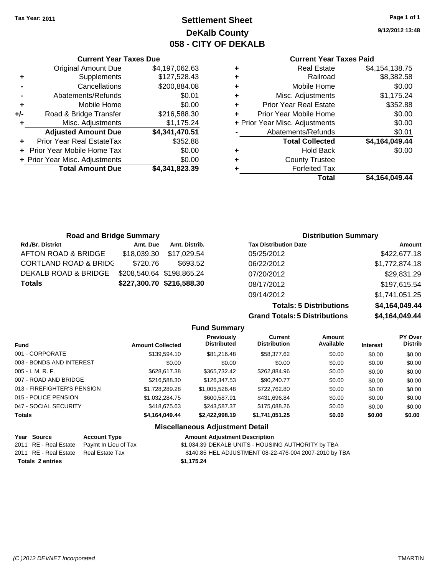**Current Year Taxes Due** Original Amount Due \$4,197,062.63

**Adjusted Amount Due \$4,341,470.51**

**Total Amount Due \$4,341,823.39**

**+** Supplements \$127,528.43 **-** Cancellations \$200,884.08 **-** Abatements/Refunds \$0.01 **+** Mobile Home \$0.00 **+/-** Road & Bridge Transfer \$216,588.30 **+** Misc. Adjustments \$1,175.24

**+** Prior Year Real EstateTax \$352.88 **+** Prior Year Mobile Home Tax \$0.00 **+ Prior Year Misc. Adjustments**  $$0.00$ 

### **Settlement Sheet Tax Year: 2011 Page 1 of 1 DeKalb County 058 - CITY OF DEKALB**

**9/12/2012 13:48**

### **Current Year Taxes Paid**

| <b>Real Estate</b>                 | \$4,154,138.75          |
|------------------------------------|-------------------------|
| Railroad<br>٠                      | \$8,382.58              |
| Mobile Home<br>٠                   | \$0.00                  |
| Misc. Adjustments<br>÷             | \$1,175.24              |
| <b>Prior Year Real Estate</b><br>÷ | \$352.88                |
| Prior Year Mobile Home<br>÷        | \$0.00                  |
| + Prior Year Misc. Adjustments     | \$0.00                  |
| Abatements/Refunds                 | \$0.01                  |
| <b>Total Collected</b>             | \$4,164,049.44          |
| <b>Hold Back</b><br>٠              | \$0.00                  |
| <b>County Trustee</b><br>÷         |                         |
| <b>Forfeited Tax</b>               |                         |
|                                    | Total<br>\$4,164,049.44 |

| <b>Road and Bridge Summary</b>   |             |                           |                              | <b>Distribution Summary</b> |
|----------------------------------|-------------|---------------------------|------------------------------|-----------------------------|
| Rd./Br. District                 | Amt. Due    | Amt. Distrib.             | <b>Tax Distribution Date</b> | Amount                      |
| AFTON ROAD & BRIDGE              | \$18,039.30 | \$17,029.54               | 05/25/2012                   | \$422,677.18                |
| <b>CORTLAND ROAD &amp; BRIDC</b> | \$720.76    | \$693.52                  | 06/22/2012                   | \$1,772,874.18              |
| DEKALB ROAD & BRIDGE             |             | \$208,540.64 \$198,865.24 | 07/20/2012                   | \$29,831.29                 |
| <b>Totals</b>                    |             | \$227,300.70 \$216,588.30 | 08/17/2012                   | \$197,615.54                |

**Totals: 5 Distributions \$4,164,049.44 Grand Totals: 5 Distributions** 

09/14/2012 \$1,741,051.25

| ns | \$4,164,049.44 |
|----|----------------|
|    |                |
| nt | <b>PY Over</b> |

|                             |                         | . and January                          |                                       |                     |                 |                           |
|-----------------------------|-------------------------|----------------------------------------|---------------------------------------|---------------------|-----------------|---------------------------|
| <b>Fund</b>                 | <b>Amount Collected</b> | Previously<br><b>Distributed</b>       | <b>Current</b><br><b>Distribution</b> | Amount<br>Available | <b>Interest</b> | PY Over<br><b>Distrib</b> |
| 001 - CORPORATE             | \$139,594.10            | \$81,216,48                            | \$58,377.62                           | \$0.00              | \$0.00          | \$0.00                    |
| 003 - BONDS AND INTEREST    | \$0.00                  | \$0.00                                 | \$0.00                                | \$0.00              | \$0.00          | \$0.00                    |
| $005 - I. M. R. F.$         | \$628,617.38            | \$365,732.42                           | \$262,884.96                          | \$0.00              | \$0.00          | \$0.00                    |
| 007 - ROAD AND BRIDGE       | \$216,588,30            | \$126,347.53                           | \$90,240.77                           | \$0.00              | \$0.00          | \$0.00                    |
| 013 - FIREFIGHTER'S PENSION | \$1.728.289.28          | \$1,005,526.48                         | \$722,762.80                          | \$0.00              | \$0.00          | \$0.00                    |
| 015 - POLICE PENSION        | \$1,032,284.75          | \$600.587.91                           | \$431,696.84                          | \$0.00              | \$0.00          | \$0.00                    |
| 047 - SOCIAL SECURITY       | \$418,675,63            | \$243.587.37                           | \$175,088,26                          | \$0.00              | \$0.00          | \$0.00                    |
| <b>Totals</b>               | \$4,164,049.44          | \$2.422.998.19                         | \$1,741,051.25                        | \$0.00              | \$0.00          | \$0.00                    |
|                             |                         | <b>Miscellaneous Adjustment Detail</b> |                                       |                     |                 |                           |

**Fund Summary**

#### **Year Source Account Type Amount Adjustment Description** 2011 RE - Real Estate Paymt In Lieu of Tax \$1,034.39 DEKALB UNITS - HOUSING AUTHORITY by TBA 2011 RE - Real Estate Real Estate Tax \$140.85 HEL ADJUSTMENT 08-22-476-004 2007-2010 by TBA **Totals \$1,175.24 2 entries**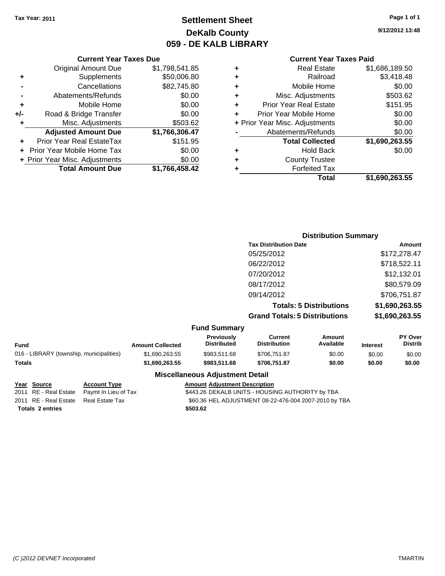### **Settlement Sheet Tax Year: 2011 Page 1 of 1 DeKalb County 059 - DE KALB LIBRARY**

**9/12/2012 13:48**

#### **Current Year Taxes Paid**

|  | Total                          | \$1,690,263.55 |
|--|--------------------------------|----------------|
|  | <b>Forfeited Tax</b>           |                |
|  | <b>County Trustee</b>          |                |
|  | <b>Hold Back</b>               | \$0.00         |
|  | <b>Total Collected</b>         | \$1,690,263.55 |
|  | Abatements/Refunds             | \$0.00         |
|  | + Prior Year Misc. Adjustments | \$0.00         |
|  | Prior Year Mobile Home         | \$0.00         |
|  | <b>Prior Year Real Estate</b>  | \$151.95       |
|  | Misc. Adjustments              | \$503.62       |
|  | Mobile Home                    | \$0.00         |
|  | Railroad                       | \$3,418.48     |
|  | <b>Real Estate</b>             | \$1,686,189.50 |
|  |                                |                |

### **Current Year Taxes Due** Original Amount Due \$1,798,541.85 **+** Supplements \$50,006.80 **-** Cancellations \$82,745.80 **-** Abatements/Refunds \$0.00 **+** Mobile Home \$0.00 **+/-** Road & Bridge Transfer \$0.00 **+** Misc. Adjustments \$503.62 **Adjusted Amount Due \$1,766,306.47 +** Prior Year Real EstateTax \$151.95 **+** Prior Year Mobile Home Tax \$0.00 **+ Prior Year Misc. Adjustments \$0.00 Total Amount Due \$1,766,458.42**

### **Distribution Summary Tax Distribution Date Amount** 05/25/2012 \$172,278.47 06/22/2012 \$718,522.11 07/20/2012 \$12,132.01 08/17/2012 \$80,579.09 09/14/2012 \$706,751.87 **Totals: 5 Distributions \$1,690,263.55 Grand Totals: 5 Distributions \$1,690,263.55**

|  | <b>Fund Summary</b> |
|--|---------------------|
|--|---------------------|

| Fund                                     | <b>Amount Collected</b> | <b>Previously</b><br><b>Distributed</b> | Current<br>Distribution | Amount<br>Available | <b>Interest</b> | <b>PY Over</b><br><b>Distrib</b> |
|------------------------------------------|-------------------------|-----------------------------------------|-------------------------|---------------------|-----------------|----------------------------------|
| 016 - LIBRARY (township, municipalities) | \$1,690,263.55          | \$983.511.68                            | \$706.751.87            | \$0.00              | \$0.00          | \$0.00                           |
| Totals                                   | \$1.690.263.55          | \$983.511.68                            | \$706.751.87            | \$0.00              | \$0.00          | \$0.00                           |
|                                          |                         |                                         |                         |                     |                 |                                  |

#### **Miscellaneous Adjustment Detail**

#### **Year Source Account Type Amount Adjustment Description**

2011 RE - Real Estate Paymt In Lieu of Tax \$443.26 DEKALB UNITS - HOUSING AUTHORITY by TBA 2011 RE - Real Estate Real Estate Tax \$60.36 HEL ADJUSTMENT 08-22-476-004 2007-2010 by TBA

**Totals \$503.62 2 entries**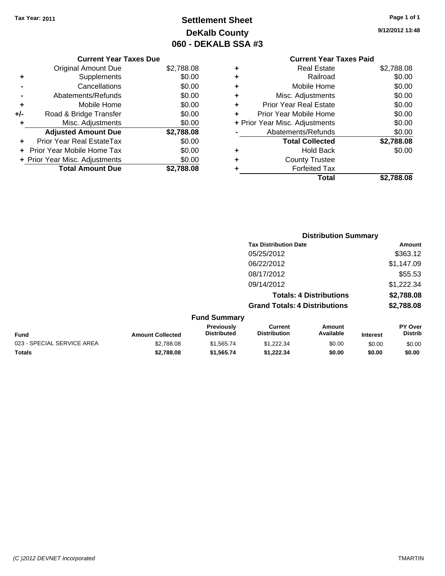## **Settlement Sheet Tax Year: 2011 Page 1 of 1 DeKalb County 060 - DEKALB SSA #3**

**9/12/2012 13:48**

### **Current Year Taxes Due**

|     | <b>Original Amount Due</b>       | \$2,788.08 |
|-----|----------------------------------|------------|
| ٠   | Supplements                      | \$0.00     |
|     | Cancellations                    | \$0.00     |
|     | Abatements/Refunds               | \$0.00     |
| ٠   | Mobile Home                      | \$0.00     |
| +/- | Road & Bridge Transfer           | \$0.00     |
| ٠   | Misc. Adjustments                | \$0.00     |
|     | <b>Adjusted Amount Due</b>       | \$2,788.08 |
|     | <b>Prior Year Real EstateTax</b> | \$0.00     |
|     | Prior Year Mobile Home Tax       | \$0.00     |
|     | + Prior Year Misc. Adjustments   | \$0.00     |
|     | <b>Total Amount Due</b>          | \$2.788.08 |

### **Current Year Taxes Paid +** Real Estate \$2,788.08

|   | Total                          | \$2,788.08 |
|---|--------------------------------|------------|
| ٠ | <b>Forfeited Tax</b>           |            |
| ٠ | <b>County Trustee</b>          |            |
| ٠ | <b>Hold Back</b>               | \$0.00     |
|   | <b>Total Collected</b>         | \$2,788.08 |
|   | Abatements/Refunds             | \$0.00     |
|   | + Prior Year Misc. Adjustments | \$0.00     |
| ٠ | Prior Year Mobile Home         | \$0.00     |
| ٠ | <b>Prior Year Real Estate</b>  | \$0.00     |
| ٠ | Misc. Adjustments              | \$0.00     |
| ٠ | Mobile Home                    | \$0.00     |
| ٠ | Railroad                       | \$0.00     |
| т | noar Loiaio                    | 94. JUU.UU |

|                            |                         | <b>Distribution Summary</b>      |                                       |                                |                 |                                  |  |
|----------------------------|-------------------------|----------------------------------|---------------------------------------|--------------------------------|-----------------|----------------------------------|--|
|                            |                         |                                  | <b>Tax Distribution Date</b>          |                                |                 | <b>Amount</b>                    |  |
|                            |                         |                                  | 05/25/2012                            |                                |                 | \$363.12                         |  |
|                            |                         |                                  | 06/22/2012                            |                                |                 | \$1,147.09                       |  |
|                            |                         |                                  | 08/17/2012                            |                                |                 | \$55.53                          |  |
|                            |                         |                                  | 09/14/2012                            |                                |                 | \$1,222.34                       |  |
|                            |                         |                                  |                                       | <b>Totals: 4 Distributions</b> |                 | \$2,788.08                       |  |
|                            |                         |                                  | <b>Grand Totals: 4 Distributions</b>  |                                |                 | \$2,788.08                       |  |
|                            |                         | <b>Fund Summary</b>              |                                       |                                |                 |                                  |  |
| Fund                       | <b>Amount Collected</b> | Previously<br><b>Distributed</b> | <b>Current</b><br><b>Distribution</b> | <b>Amount</b><br>Available     | <b>Interest</b> | <b>PY Over</b><br><b>Distrib</b> |  |
| 023 - SPECIAL SERVICE AREA | \$2,788.08              | \$1,565.74                       | \$1,222.34                            | \$0.00                         | \$0.00          | \$0.00                           |  |
| Totals                     | \$2,788.08              | \$1,565.74                       | \$1.222.34                            | \$0.00                         | \$0.00          | \$0.00                           |  |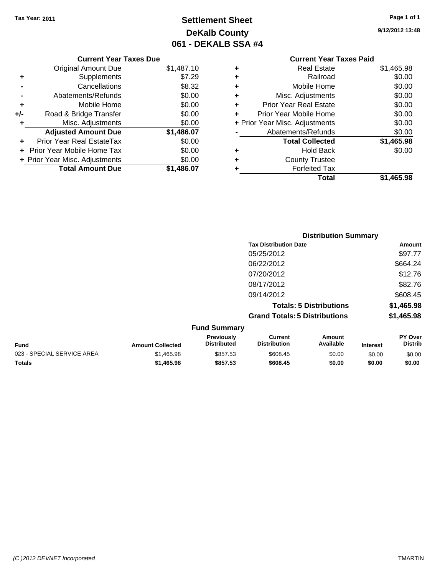## **Settlement Sheet Tax Year: 2011 Page 1 of 1 DeKalb County 061 - DEKALB SSA #4**

**9/12/2012 13:48**

| <b>Current Year Taxes Due</b> |  |  |
|-------------------------------|--|--|
|                               |  |  |

| <b>Original Amount Due</b> | \$1,487.10                     |
|----------------------------|--------------------------------|
| Supplements                | \$7.29                         |
| Cancellations              | \$8.32                         |
| Abatements/Refunds         | \$0.00                         |
| Mobile Home                | \$0.00                         |
| Road & Bridge Transfer     | \$0.00                         |
| Misc. Adjustments          | \$0.00                         |
| <b>Adjusted Amount Due</b> | \$1,486.07                     |
| Prior Year Real EstateTax  | \$0.00                         |
| Prior Year Mobile Home Tax | \$0.00                         |
|                            | \$0.00                         |
| <b>Total Amount Due</b>    | \$1,486.07                     |
|                            | + Prior Year Misc. Adjustments |

### **Current Year Taxes Paid +** Real Estate \$1,465.98 **+** Railroad \$0.00 **+** Mobile Home \$0.00 **+** Misc. Adjustments \$0.00 **+** Prior Year Real Estate \$0.00 **+** Prior Year Mobile Home \$0.00 **+ Prior Year Misc. Adjustments**  $$0.00$ **-** Abatements/Refunds \$0.00 **Total Collected \$1,465.98 +** Hold Back \$0.00

| <b>Total</b>          | \$1,465.98 |
|-----------------------|------------|
| <b>Forfeited Tax</b>  |            |
| <b>County Trustee</b> |            |
|                       |            |

|                            |                         |                                  | <b>Distribution Summary</b>           |                                |                 |                                  |
|----------------------------|-------------------------|----------------------------------|---------------------------------------|--------------------------------|-----------------|----------------------------------|
|                            |                         |                                  | <b>Tax Distribution Date</b>          |                                |                 | Amount                           |
|                            |                         |                                  | 05/25/2012                            |                                |                 | \$97.77                          |
|                            |                         |                                  | 06/22/2012                            |                                |                 | \$664.24                         |
|                            |                         |                                  | 07/20/2012                            |                                |                 | \$12.76                          |
|                            |                         |                                  | 08/17/2012                            |                                |                 | \$82.76                          |
|                            |                         |                                  | 09/14/2012                            |                                |                 | \$608.45                         |
|                            |                         |                                  |                                       | <b>Totals: 5 Distributions</b> |                 | \$1,465.98                       |
|                            |                         |                                  | <b>Grand Totals: 5 Distributions</b>  |                                |                 | \$1,465.98                       |
|                            |                         | <b>Fund Summary</b>              |                                       |                                |                 |                                  |
| Fund                       | <b>Amount Collected</b> | Previously<br><b>Distributed</b> | <b>Current</b><br><b>Distribution</b> | Amount<br>Available            | <b>Interest</b> | <b>PY Over</b><br><b>Distrib</b> |
| 023 - SPECIAL SERVICE AREA | \$1,465.98              | \$857.53                         | \$608.45                              | \$0.00                         | \$0.00          | \$0.00                           |
|                            |                         |                                  |                                       |                                |                 |                                  |

**Totals \$1,465.98 \$857.53 \$608.45 \$0.00 \$0.00 \$0.00**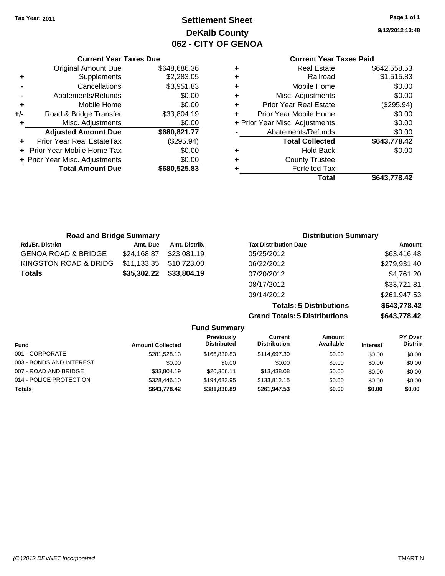### **Settlement Sheet Tax Year: 2011 Page 1 of 1 DeKalb County 062 - CITY OF GENOA**

**9/12/2012 13:48**

### **Current Year Taxes Paid**

|   | <b>Real Estate</b>             | \$642,558.53 |
|---|--------------------------------|--------------|
| ٠ | Railroad                       | \$1,515.83   |
| ٠ | Mobile Home                    | \$0.00       |
| ٠ | Misc. Adjustments              | \$0.00       |
| ٠ | <b>Prior Year Real Estate</b>  | (\$295.94)   |
| ٠ | Prior Year Mobile Home         | \$0.00       |
|   | + Prior Year Misc. Adjustments | \$0.00       |
|   | Abatements/Refunds             | \$0.00       |
|   | <b>Total Collected</b>         | \$643,778.42 |
| ٠ | <b>Hold Back</b>               | \$0.00       |
| ٠ | <b>County Trustee</b>          |              |
|   | <b>Forfeited Tax</b>           |              |
|   | Total                          | \$643.778.42 |

|     | <b>Current Year Taxes Due</b>  |              |
|-----|--------------------------------|--------------|
|     | <b>Original Amount Due</b>     | \$648,686.36 |
| ٠   | Supplements                    | \$2,283.05   |
|     | Cancellations                  | \$3,951.83   |
|     | Abatements/Refunds             | \$0.00       |
| ٠   | Mobile Home                    | \$0.00       |
| +/- | Road & Bridge Transfer         | \$33,804.19  |
| ٠   | Misc. Adjustments              | \$0.00       |
|     | <b>Adjusted Amount Due</b>     | \$680,821.77 |
|     | Prior Year Real EstateTax      | (\$295.94)   |
|     | Prior Year Mobile Home Tax     | \$0.00       |
|     | + Prior Year Misc. Adjustments | \$0.00       |
|     | <b>Total Amount Due</b>        | \$680,525.83 |
|     |                                |              |

| <b>Road and Bridge Summary</b> |             | <b>Distribution Summary</b> |                              |              |
|--------------------------------|-------------|-----------------------------|------------------------------|--------------|
| <b>Rd./Br. District</b>        | Amt. Due    | Amt. Distrib.               | <b>Tax Distribution Date</b> | Amount       |
| <b>GENOA ROAD &amp; BRIDGE</b> | \$24,168.87 | \$23.081.19                 | 05/25/2012                   | \$63,416.48  |
| KINGSTON ROAD & BRIDG          | \$11,133.35 | \$10,723.00                 | 06/22/2012                   | \$279,931.40 |
| <b>Totals</b>                  | \$35,302.22 | \$33,804.19                 | 07/20/2012                   | \$4,761.20   |
|                                |             |                             | 08/17/2012                   | \$33,721.81  |
|                                |             |                             | 09/14/2012                   | \$261,947.53 |

**Totals: 5 Distributions \$643,778.42 Grand Totals: 5 Distributions \$643,778.42**

| <b>Fund Summary</b>      |                         |                                         |                                |                     |                 |                           |
|--------------------------|-------------------------|-----------------------------------------|--------------------------------|---------------------|-----------------|---------------------------|
| Fund                     | <b>Amount Collected</b> | <b>Previously</b><br><b>Distributed</b> | Current<br><b>Distribution</b> | Amount<br>Available | <b>Interest</b> | PY Over<br><b>Distrib</b> |
| 001 - CORPORATE          | \$281,528.13            | \$166,830,83                            | \$114,697,30                   | \$0.00              | \$0.00          | \$0.00                    |
| 003 - BONDS AND INTEREST | \$0.00                  | \$0.00                                  | \$0.00                         | \$0.00              | \$0.00          | \$0.00                    |
| 007 - ROAD AND BRIDGE    | \$33,804.19             | \$20.366.11                             | \$13,438.08                    | \$0.00              | \$0.00          | \$0.00                    |
| 014 - POLICE PROTECTION  | \$328,446.10            | \$194.633.95                            | \$133,812.15                   | \$0.00              | \$0.00          | \$0.00                    |
| <b>Totals</b>            | \$643,778.42            | \$381,830.89                            | \$261.947.53                   | \$0.00              | \$0.00          | \$0.00                    |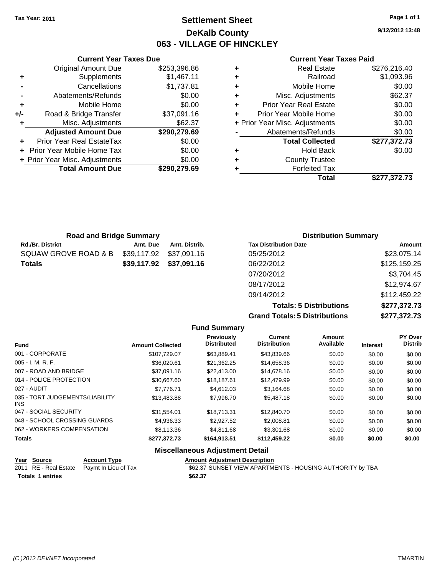**Current Year Taxes Due** Original Amount Due \$253,396.86

**Adjusted Amount Due \$290,279.69**

**Total Amount Due \$290,279.69**

**+** Supplements \$1,467.11 **-** Cancellations \$1,737.81 **-** Abatements/Refunds \$0.00 **+** Mobile Home \$0.00 **+/-** Road & Bridge Transfer \$37,091.16 **+** Misc. Adjustments \$62.37

**+** Prior Year Real EstateTax \$0.00 **+** Prior Year Mobile Home Tax \$0.00 **+ Prior Year Misc. Adjustments**  $$0.00$ 

### **Settlement Sheet Tax Year: 2011 Page 1 of 1 DeKalb County 063 - VILLAGE OF HINCKLEY**

**9/12/2012 13:48**

#### **Current Year Taxes Paid**

|   | Total                          | \$277,372.73 |
|---|--------------------------------|--------------|
|   | <b>Forfeited Tax</b>           |              |
| ÷ | <b>County Trustee</b>          |              |
| ÷ | <b>Hold Back</b>               | \$0.00       |
|   | <b>Total Collected</b>         | \$277,372.73 |
|   | Abatements/Refunds             | \$0.00       |
|   | + Prior Year Misc. Adjustments | \$0.00       |
|   | Prior Year Mobile Home         | \$0.00       |
| ٠ | <b>Prior Year Real Estate</b>  | \$0.00       |
| ٠ | Misc. Adjustments              | \$62.37      |
| ÷ | Mobile Home                    | \$0.00       |
| ٠ | Railroad                       | \$1,093.96   |
|   | <b>Real Estate</b>             | \$276,216.40 |
|   |                                |              |

| <b>Road and Bridge Summary</b> |             |               | <b>Distribution Summary</b>  |              |
|--------------------------------|-------------|---------------|------------------------------|--------------|
| <b>Rd./Br. District</b>        | Amt. Due    | Amt. Distrib. | <b>Tax Distribution Date</b> | Amount       |
| SQUAW GROVE ROAD & B           | \$39,117.92 | \$37,091.16   | 05/25/2012                   | \$23,075.14  |
| <b>Totals</b>                  | \$39,117.92 | \$37,091.16   | 06/22/2012                   | \$125,159.25 |
|                                |             |               | 07/20/2012                   | \$3,704.45   |
|                                |             |               | 08/17/2012                   | \$12,974.67  |
|                                |             |               | 09/14/2012                   | \$112,459.22 |

**Totals: 5 Distributions \$277,372.73 Grand Totals: 5 Distributions \$277,372.73**

|                                         |                         | <b>Fund Summary</b>                     |                                       |                     |                 |                           |
|-----------------------------------------|-------------------------|-----------------------------------------|---------------------------------------|---------------------|-----------------|---------------------------|
| <b>Fund</b>                             | <b>Amount Collected</b> | <b>Previously</b><br><b>Distributed</b> | <b>Current</b><br><b>Distribution</b> | Amount<br>Available | <b>Interest</b> | PY Over<br><b>Distrib</b> |
| 001 - CORPORATE                         | \$107,729.07            | \$63.889.41                             | \$43,839.66                           | \$0.00              | \$0.00          | \$0.00                    |
| 005 - I. M. R. F.                       | \$36,020.61             | \$21.362.25                             | \$14,658.36                           | \$0.00              | \$0.00          | \$0.00                    |
| 007 - ROAD AND BRIDGE                   | \$37.091.16             | \$22,413.00                             | \$14,678.16                           | \$0.00              | \$0.00          | \$0.00                    |
| 014 - POLICE PROTECTION                 | \$30.667.60             | \$18,187.61                             | \$12,479.99                           | \$0.00              | \$0.00          | \$0.00                    |
| 027 - AUDIT                             | \$7.776.71              | \$4,612.03                              | \$3,164.68                            | \$0.00              | \$0.00          | \$0.00                    |
| 035 - TORT JUDGEMENTS/LIABILITY<br>INS. | \$13,483.88             | \$7,996.70                              | \$5,487.18                            | \$0.00              | \$0.00          | \$0.00                    |
| 047 - SOCIAL SECURITY                   | \$31.554.01             | \$18,713.31                             | \$12,840.70                           | \$0.00              | \$0.00          | \$0.00                    |
| 048 - SCHOOL CROSSING GUARDS            | \$4,936.33              | \$2,927.52                              | \$2,008.81                            | \$0.00              | \$0.00          | \$0.00                    |
| 062 - WORKERS COMPENSATION              | \$8,113,36              | \$4.811.68                              | \$3,301.68                            | \$0.00              | \$0.00          | \$0.00                    |
| Totals                                  | \$277,372.73            | \$164,913.51                            | \$112,459.22                          | \$0.00              | \$0.00          | \$0.00                    |
|                                         |                         | Missellanesses Adioatosset Batall       |                                       |                     |                 |                           |

#### **Miscellaneous Adjustment Detail**

| Year Source             | <b>Account Type</b>                        | <b>Amount Adiustment Description</b>                      |
|-------------------------|--------------------------------------------|-----------------------------------------------------------|
|                         | 2011 RE - Real Estate Paymt In Lieu of Tax | \$62.37 SUNSET VIEW APARTMENTS - HOUSING AUTHORITY by TBA |
| <b>Totals 1 entries</b> |                                            | \$62.37                                                   |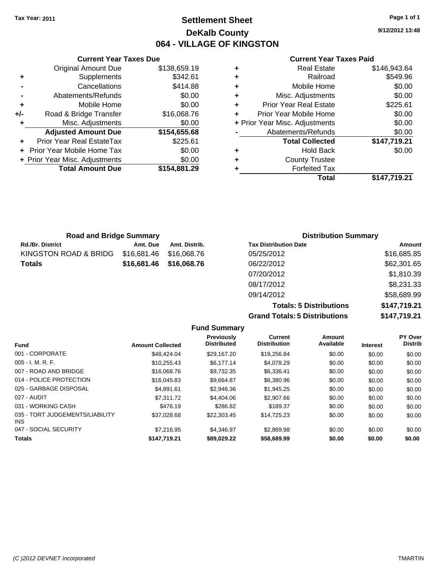### **Settlement Sheet Tax Year: 2011 Page 1 of 1 DeKalb County 064 - VILLAGE OF KINGSTON**

**9/12/2012 13:48**

#### **Current Year Taxes Paid**

|     | <b>Current Year Taxes Due</b>     |              |           |    |
|-----|-----------------------------------|--------------|-----------|----|
|     | <b>Original Amount Due</b>        | \$138,659.19 | ٠         |    |
|     | Supplements                       | \$342.61     | ٠         |    |
|     | Cancellations                     | \$414.88     | ٠         |    |
|     | Abatements/Refunds                | \$0.00       | ٠         |    |
|     | Mobile Home                       | \$0.00       | ٠         |    |
| +/- | Road & Bridge Transfer            | \$16,068.76  |           | Pr |
|     | Misc. Adjustments                 | \$0.00       | + Prior Y |    |
|     | <b>Adjusted Amount Due</b>        | \$154,655.68 |           |    |
|     | Prior Year Real EstateTax         | \$225.61     |           |    |
|     | <b>Prior Year Mobile Home Tax</b> | \$0.00       | ٠         |    |
|     | + Prior Year Misc. Adjustments    | \$0.00       | ٠         |    |
|     | <b>Total Amount Due</b>           | \$154,881.29 |           |    |
|     |                                   |              |           |    |

|   | Total                          | \$147,719.21 |
|---|--------------------------------|--------------|
|   | <b>Forfeited Tax</b>           |              |
| ٠ | <b>County Trustee</b>          |              |
| ٠ | <b>Hold Back</b>               | \$0.00       |
|   | <b>Total Collected</b>         | \$147,719.21 |
|   | Abatements/Refunds             | \$0.00       |
|   | + Prior Year Misc. Adjustments | \$0.00       |
|   | Prior Year Mobile Home         | \$0.00       |
| ٠ | <b>Prior Year Real Estate</b>  | \$225.61     |
| ٠ | Misc. Adjustments              | \$0.00       |
| ٠ | Mobile Home                    | \$0.00       |
|   | Railroad                       | \$549.96     |
|   | <b>Real Estate</b>             | \$146,943.64 |

| <b>Road and Bridge Summary</b> |             |                         | <b>Distribution Summary</b>  |             |  |
|--------------------------------|-------------|-------------------------|------------------------------|-------------|--|
| <b>Rd./Br. District</b>        | Amt. Due    | Amt. Distrib.           | <b>Tax Distribution Date</b> | Amount      |  |
| KINGSTON ROAD & BRIDG          | \$16,681.46 | \$16,068.76             | 05/25/2012                   | \$16,685.85 |  |
| <b>Totals</b>                  |             | \$16,681.46 \$16,068.76 | 06/22/2012                   | \$62,301.65 |  |
|                                |             |                         | 07/20/2012                   | \$1,810.39  |  |
|                                |             |                         | 08/17/2012                   | \$8,231.33  |  |

**Totals: 5 Distributions \$147,719.21 Grand Totals: 5 Distributions \$147,719.21**

09/14/2012 \$58,689.99

| <b>Amount Collected</b> | Previously<br><b>Distributed</b> | <b>Current</b><br><b>Distribution</b> | Amount<br>Available | <b>Interest</b> | PY Over<br><b>Distrib</b> |
|-------------------------|----------------------------------|---------------------------------------|---------------------|-----------------|---------------------------|
| \$48,424.04             | \$29.167.20                      | \$19,256.84                           | \$0.00              | \$0.00          | \$0.00                    |
| \$10.255.43             | \$6.177.14                       | \$4,078.29                            | \$0.00              | \$0.00          | \$0.00                    |
| \$16,068.76             | \$9,732.35                       | \$6,336.41                            | \$0.00              | \$0.00          | \$0.00                    |
| \$16,045.83             | \$9.664.87                       | \$6,380.96                            | \$0.00              | \$0.00          | \$0.00                    |
| \$4.891.61              | \$2.946.36                       | \$1.945.25                            | \$0.00              | \$0.00          | \$0.00                    |
| \$7.311.72              | \$4,404.06                       | \$2,907.66                            | \$0.00              | \$0.00          | \$0.00                    |
| \$476.19                | \$286.82                         | \$189.37                              | \$0.00              | \$0.00          | \$0.00                    |
| \$37.028.68             | \$22,303.45                      | \$14,725.23                           | \$0.00              | \$0.00          | \$0.00                    |
| \$7.216.95              | \$4.346.97                       | \$2,869.98                            | \$0.00              | \$0.00          | \$0.00                    |
| \$147,719.21            | \$89,029.22                      | \$58,689.99                           | \$0.00              | \$0.00          | \$0.00                    |
|                         |                                  | <b>Fund Summary</b>                   |                     |                 |                           |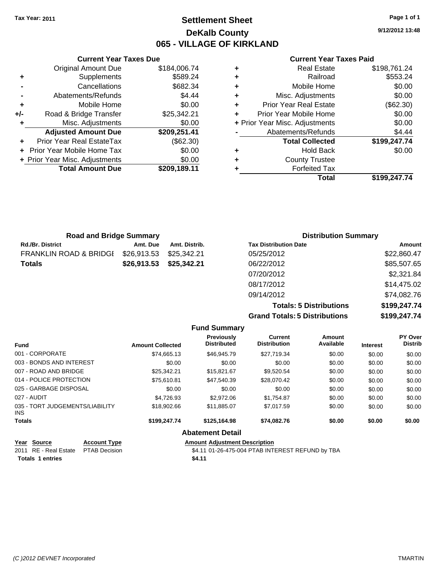### **Settlement Sheet Tax Year: 2011 Page 1 of 1 DeKalb County 065 - VILLAGE OF KIRKLAND**

**9/12/2012 13:48**

### **Current Year Taxes Paid**

|   | Total                          | \$199,247.74 |
|---|--------------------------------|--------------|
| ٠ | <b>Forfeited Tax</b>           |              |
| ÷ | <b>County Trustee</b>          |              |
| ٠ | <b>Hold Back</b>               | \$0.00       |
|   | <b>Total Collected</b>         | \$199,247.74 |
|   | Abatements/Refunds             | \$4.44       |
|   | + Prior Year Misc. Adjustments | \$0.00       |
| ÷ | Prior Year Mobile Home         | \$0.00       |
| ٠ | <b>Prior Year Real Estate</b>  | (\$62.30)    |
| ٠ | Misc. Adjustments              | \$0.00       |
| ٠ | Mobile Home                    | \$0.00       |
| ٠ | Railroad                       | \$553.24     |
| ٠ | <b>Real Estate</b>             | \$198,761.24 |

|     | <b>Current Year Taxes Due</b>  |              |
|-----|--------------------------------|--------------|
|     | <b>Original Amount Due</b>     | \$184,006.74 |
| ٠   | Supplements                    | \$589.24     |
|     | Cancellations                  | \$682.34     |
|     | Abatements/Refunds             | \$4.44       |
| ٠   | Mobile Home                    | \$0.00       |
| +/- | Road & Bridge Transfer         | \$25,342.21  |
| ٠   | Misc. Adjustments              | \$0.00       |
|     | <b>Adjusted Amount Due</b>     | \$209,251.41 |
|     | Prior Year Real EstateTax      | (\$62.30)    |
|     | Prior Year Mobile Home Tax     | \$0.00       |
|     | + Prior Year Misc. Adjustments | \$0.00       |
|     | <b>Total Amount Due</b>        | \$209,189.11 |
|     |                                |              |

| <b>Road and Bridge Summary</b> |             |               | <b>Distribution Summary</b>  |             |  |
|--------------------------------|-------------|---------------|------------------------------|-------------|--|
| <b>Rd./Br. District</b>        | Amt. Due    | Amt. Distrib. | <b>Tax Distribution Date</b> | Amount      |  |
| FRANKLIN ROAD & BRIDGI         | \$26,913.53 | \$25.342.21   | 05/25/2012                   | \$22,860.47 |  |
| Totals                         | \$26,913.53 | \$25,342.21   | 06/22/2012                   | \$85,507.65 |  |
|                                |             |               | 07/20/2012                   | \$2,321.84  |  |
|                                |             |               | 08/17/2012                   | \$14,475.02 |  |
|                                |             |               | 09/14/2012                   | \$74,082.76 |  |

**Totals: 5 Distributions \$199,247.74 Grand Totals: 5 Distributions \$199,247.74**

|                                                         |                         | <b>Fund Summary</b>                  |                                                  |                     |                 |                           |
|---------------------------------------------------------|-------------------------|--------------------------------------|--------------------------------------------------|---------------------|-----------------|---------------------------|
| <b>Fund</b>                                             | <b>Amount Collected</b> | Previously<br><b>Distributed</b>     | Current<br><b>Distribution</b>                   | Amount<br>Available | <b>Interest</b> | PY Over<br><b>Distrib</b> |
| 001 - CORPORATE                                         | \$74,665.13             | \$46,945.79                          | \$27.719.34                                      | \$0.00              | \$0.00          | \$0.00                    |
| 003 - BONDS AND INTEREST                                | \$0.00                  | \$0.00                               | \$0.00                                           | \$0.00              | \$0.00          | \$0.00                    |
| 007 - ROAD AND BRIDGE                                   | \$25,342.21             | \$15,821.67                          | \$9,520.54                                       | \$0.00              | \$0.00          | \$0.00                    |
| 014 - POLICE PROTECTION                                 | \$75,610.81             | \$47,540.39                          | \$28.070.42                                      | \$0.00              | \$0.00          | \$0.00                    |
| 025 - GARBAGE DISPOSAL                                  | \$0.00                  | \$0.00                               | \$0.00                                           | \$0.00              | \$0.00          | \$0.00                    |
| 027 - AUDIT                                             | \$4.726.93              | \$2,972.06                           | \$1,754.87                                       | \$0.00              | \$0.00          | \$0.00                    |
| 035 - TORT JUDGEMENTS/LIABILITY<br>INS.                 | \$18,902.66             | \$11,885.07                          | \$7,017.59                                       | \$0.00              | \$0.00          | \$0.00                    |
| <b>Totals</b>                                           | \$199,247.74            | \$125,164.98                         | \$74,082.76                                      | \$0.00              | \$0.00          | \$0.00                    |
|                                                         |                         | <b>Abatement Detail</b>              |                                                  |                     |                 |                           |
| <b>Account Type</b><br>Year<br>Source                   |                         | <b>Amount Adiustment Description</b> |                                                  |                     |                 |                           |
| <b>RE</b> - Real Estate<br>2011<br><b>PTAB Decision</b> |                         |                                      | \$4.11 01-26-475-004 PTAB INTEREST REFUND by TBA |                     |                 |                           |

Totals 1 entries \$4.11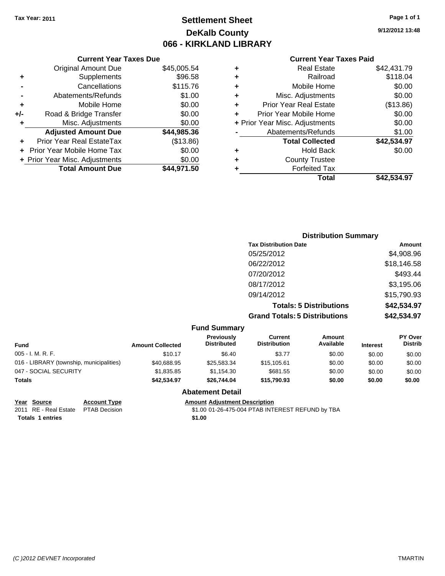### **Settlement Sheet Tax Year: 2011 Page 1 of 1 DeKalb County 066 - KIRKLAND LIBRARY**

#### **Current Year Taxes Due**

|     | <b>Original Amount Due</b>       | \$45,005.54 |
|-----|----------------------------------|-------------|
| ٠   | Supplements                      | \$96.58     |
|     | Cancellations                    | \$115.76    |
|     | Abatements/Refunds               | \$1.00      |
| ÷   | Mobile Home                      | \$0.00      |
| +/- | Road & Bridge Transfer           | \$0.00      |
| ٠   | Misc. Adjustments                | \$0.00      |
|     | <b>Adjusted Amount Due</b>       | \$44,985.36 |
|     | <b>Prior Year Real EstateTax</b> | (\$13.86)   |
|     | Prior Year Mobile Home Tax       | \$0.00      |
|     | + Prior Year Misc. Adjustments   | \$0.00      |
|     | <b>Total Amount Due</b>          | \$44.971.50 |

#### **Current Year Taxes Paid**

| ٠ | <b>Real Estate</b>             | \$42,431.79 |
|---|--------------------------------|-------------|
| ٠ | Railroad                       | \$118.04    |
| ٠ | Mobile Home                    | \$0.00      |
| ٠ | Misc. Adjustments              | \$0.00      |
| ÷ | <b>Prior Year Real Estate</b>  | (\$13.86)   |
| ÷ | Prior Year Mobile Home         | \$0.00      |
|   | + Prior Year Misc. Adjustments | \$0.00      |
|   | Abatements/Refunds             | \$1.00      |
|   | <b>Total Collected</b>         | \$42,534.97 |
| ٠ | Hold Back                      | \$0.00      |
| ٠ | <b>County Trustee</b>          |             |
| ٠ | <b>Forfeited Tax</b>           |             |
|   | Total                          | \$42.534.97 |
|   |                                |             |

### **Distribution Summary Tax Distribution Date Amount** 05/25/2012 \$4,908.96 06/22/2012 \$18,146.58 07/20/2012 \$493.44 08/17/2012 \$3,195.06 09/14/2012 \$15,790.93 **Totals: 5 Distributions \$42,534.97 Grand Totals: 5 Distributions \$42,534.97**

#### **Fund Summary**

| <b>Fund</b>                              | <b>Amount Collected</b> | <b>Previously</b><br><b>Distributed</b> | Current<br><b>Distribution</b> | Amount<br>Available | <b>Interest</b> | <b>PY Over</b><br><b>Distrib</b> |
|------------------------------------------|-------------------------|-----------------------------------------|--------------------------------|---------------------|-----------------|----------------------------------|
| $005 - I. M. R. F.$                      | \$10.17                 | \$6.40                                  | \$3.77                         | \$0.00              | \$0.00          | \$0.00                           |
| 016 - LIBRARY (township, municipalities) | \$40,688.95             | \$25,583.34                             | \$15,105.61                    | \$0.00              | \$0.00          | \$0.00                           |
| 047 - SOCIAL SECURITY                    | \$1,835.85              | \$1.154.30                              | \$681.55                       | \$0.00              | \$0.00          | \$0.00                           |
| <b>Totals</b>                            | \$42,534.97             | \$26,744.04                             | \$15,790.93                    | \$0.00              | \$0.00          | \$0.00                           |

### **Abatement Detail**

**Year Source Account Type Amount Adjustment Description**

2011 RE - Real Estate \$1.00 01-26-475-004 PTAB INTEREST REFUND by TBA PTAB Decision **Totals 1 entries** \$1.00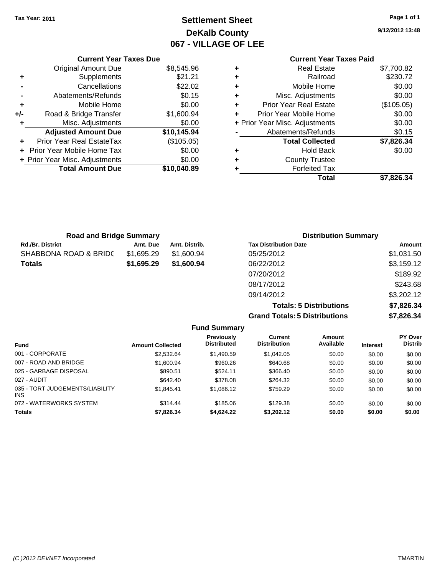## **Settlement Sheet Tax Year: 2011 Page 1 of 1 DeKalb County 067 - VILLAGE OF LEE**

**9/12/2012 13:48**

### **Current Year Taxes Paid**

|   | Total                          | \$7.826.34 |
|---|--------------------------------|------------|
|   | <b>Forfeited Tax</b>           |            |
| ٠ | <b>County Trustee</b>          |            |
| ٠ | <b>Hold Back</b>               | \$0.00     |
|   | <b>Total Collected</b>         | \$7,826.34 |
|   | Abatements/Refunds             | \$0.15     |
|   | + Prior Year Misc. Adjustments | \$0.00     |
| ÷ | Prior Year Mobile Home         | \$0.00     |
| ٠ | <b>Prior Year Real Estate</b>  | (\$105.05) |
| ٠ | Misc. Adjustments              | \$0.00     |
| ٠ | Mobile Home                    | \$0.00     |
| ٠ | Railroad                       | \$230.72   |
|   | <b>Real Estate</b>             | \$7,700.82 |

|     | <b>Current Year Taxes Due</b>  |             |
|-----|--------------------------------|-------------|
|     | <b>Original Amount Due</b>     | \$8,545.96  |
| ٠   | Supplements                    | \$21.21     |
|     | Cancellations                  | \$22.02     |
|     | Abatements/Refunds             | \$0.15      |
| ٠   | Mobile Home                    | \$0.00      |
| +/- | Road & Bridge Transfer         | \$1,600.94  |
| ٠   | Misc. Adjustments              | \$0.00      |
|     | <b>Adjusted Amount Due</b>     | \$10,145.94 |
|     | Prior Year Real EstateTax      | (\$105.05)  |
|     | Prior Year Mobile Home Tax     | \$0.00      |
|     | + Prior Year Misc. Adjustments | \$0.00      |
|     | <b>Total Amount Due</b>        | \$10,040.89 |
|     |                                |             |

| <b>Road and Bridge Summary</b> |            |               | <b>Distribution Summary</b>  |            |
|--------------------------------|------------|---------------|------------------------------|------------|
| <b>Rd./Br. District</b>        | Amt. Due   | Amt. Distrib. | <b>Tax Distribution Date</b> | Amount     |
| SHABBONA ROAD & BRIDC          | \$1.695.29 | \$1.600.94    | 05/25/2012                   | \$1,031.50 |
| <b>Totals</b>                  | \$1,695.29 | \$1,600.94    | 06/22/2012                   | \$3,159.12 |
|                                |            |               | 07/20/2012                   | \$189.92   |
|                                |            |               | 08/17/2012                   | \$243.68   |
|                                |            |               | 09/14/2012                   | \$3,202.12 |

**Totals: 5 Distributions \$7,826.34 Grand Totals: 5 Distributions \$7,826.34**

| <b>Fund Summary</b>                     |                         |                                         |                                |                     |                 |                           |  |
|-----------------------------------------|-------------------------|-----------------------------------------|--------------------------------|---------------------|-----------------|---------------------------|--|
| <b>Fund</b>                             | <b>Amount Collected</b> | <b>Previously</b><br><b>Distributed</b> | Current<br><b>Distribution</b> | Amount<br>Available | <b>Interest</b> | PY Over<br><b>Distrib</b> |  |
| 001 - CORPORATE                         | \$2,532.64              | \$1,490.59                              | \$1,042.05                     | \$0.00              | \$0.00          | \$0.00                    |  |
| 007 - ROAD AND BRIDGE                   | \$1,600.94              | \$960.26                                | \$640.68                       | \$0.00              | \$0.00          | \$0.00                    |  |
| 025 - GARBAGE DISPOSAL                  | \$890.51                | \$524.11                                | \$366.40                       | \$0.00              | \$0.00          | \$0.00                    |  |
| 027 - AUDIT                             | \$642.40                | \$378.08                                | \$264.32                       | \$0.00              | \$0.00          | \$0.00                    |  |
| 035 - TORT JUDGEMENTS/LIABILITY<br>INS. | \$1,845.41              | \$1,086.12                              | \$759.29                       | \$0.00              | \$0.00          | \$0.00                    |  |
| 072 - WATERWORKS SYSTEM                 | \$314.44                | \$185.06                                | \$129.38                       | \$0.00              | \$0.00          | \$0.00                    |  |
| <b>Totals</b>                           | \$7,826.34              | \$4,624,22                              | \$3,202.12                     | \$0.00              | \$0.00          | \$0.00                    |  |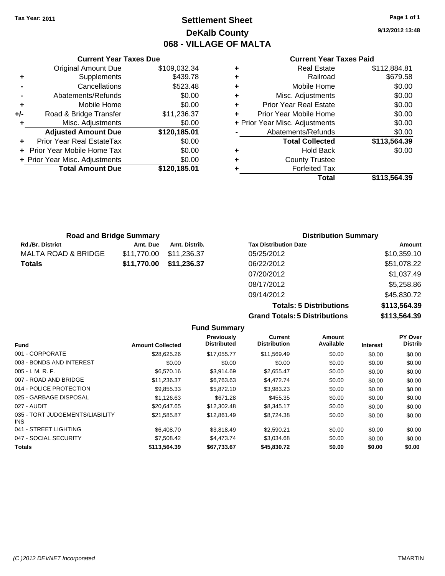### **Settlement Sheet Tax Year: 2011 Page 1 of 1 DeKalb County 068 - VILLAGE OF MALTA**

**9/12/2012 13:48**

### **Current Year Taxes Paid**

|     | <b>Current Year Taxes Due</b>    |              |   |                  |
|-----|----------------------------------|--------------|---|------------------|
|     | <b>Original Amount Due</b>       | \$109,032.34 |   |                  |
|     | Supplements                      | \$439.78     | ٠ |                  |
|     | Cancellations                    | \$523.48     | ٠ |                  |
|     | Abatements/Refunds               | \$0.00       | ٠ | Mis              |
|     | Mobile Home                      | \$0.00       | ÷ | Prior Y          |
| +/- | Road & Bridge Transfer           | \$11,236.37  |   | Prior Yea        |
| ٠   | Misc. Adjustments                | \$0.00       |   | + Prior Year Mis |
|     | <b>Adjusted Amount Due</b>       | \$120,185.01 |   | Abate            |
|     | <b>Prior Year Real EstateTax</b> | \$0.00       |   |                  |
|     | Prior Year Mobile Home Tax       | \$0.00       | ٠ |                  |
|     | + Prior Year Misc. Adjustments   | \$0.00       | ٠ |                  |
|     | <b>Total Amount Due</b>          | \$120,185.01 |   |                  |
|     |                                  |              |   |                  |

|   | Real Estate                    | \$112,884.81 |
|---|--------------------------------|--------------|
| ٠ | Railroad                       | \$679.58     |
| ٠ | Mobile Home                    | \$0.00       |
| ٠ | Misc. Adjustments              | \$0.00       |
| ٠ | <b>Prior Year Real Estate</b>  | \$0.00       |
|   | Prior Year Mobile Home         | \$0.00       |
|   | + Prior Year Misc. Adjustments | \$0.00       |
|   | Abatements/Refunds             | \$0.00       |
|   | <b>Total Collected</b>         | \$113,564.39 |
| ٠ | <b>Hold Back</b>               | \$0.00       |
| ٠ | <b>County Trustee</b>          |              |
|   | <b>Forfeited Tax</b>           |              |
|   | Total                          | \$113,564.39 |
|   |                                |              |

| <b>Road and Bridge Summary</b> |             |               | <b>Distribution Summary</b>  |             |
|--------------------------------|-------------|---------------|------------------------------|-------------|
| <b>Rd./Br. District</b>        | Amt. Due    | Amt. Distrib. | <b>Tax Distribution Date</b> | Amount      |
| MALTA ROAD & BRIDGE            | \$11,770.00 | \$11,236.37   | 05/25/2012                   | \$10,359.10 |
| Totals                         | \$11,770.00 | \$11,236.37   | 06/22/2012                   | \$51,078.22 |
|                                |             |               | 07/20/2012                   | \$1,037.49  |
|                                |             |               | 08/17/2012                   | \$5,258.86  |
|                                |             |               | 09/14/2012                   | \$45,830.72 |

|                          |                         |                                  | <b>Totals: 5 Distributions</b> | \$113,564.39                         |                            |                                  |  |
|--------------------------|-------------------------|----------------------------------|--------------------------------|--------------------------------------|----------------------------|----------------------------------|--|
|                          |                         |                                  |                                | <b>Grand Totals: 5 Distributions</b> |                            | \$113,564.39                     |  |
|                          |                         | <b>Fund Summary</b>              |                                |                                      |                            |                                  |  |
| Fund                     | <b>Amount Collected</b> | Previously<br><b>Distributed</b> | Current<br><b>Distribution</b> | Amount<br>Available                  | <b>Interest</b>            | <b>PY Over</b><br><b>Distrib</b> |  |
| 001 - CORPORATE          | \$28,625.26             | \$17.055.77                      | \$11.569.49                    | \$0.00                               | \$0.00                     | \$0.00                           |  |
| 003 - RONDS AND INTEREST | <b>AN UD</b>            | ®∩ ∩∩                            | ድስ ሰስ                          | ድስ ሰሰ                                | $\mathfrak{e}_{\Omega}$ on | $\mathfrak{e}_{\Omega}$ on       |  |

| 001 - CORPORATE                         | \$28,625.26  | \$17.055.77 | \$11.569.49 | \$0.00 | \$0.00 | \$0.00 |
|-----------------------------------------|--------------|-------------|-------------|--------|--------|--------|
| 003 - BONDS AND INTEREST                | \$0.00       | \$0.00      | \$0.00      | \$0.00 | \$0.00 | \$0.00 |
| $005 - I. M. R. F.$                     | \$6,570.16   | \$3.914.69  | \$2.655.47  | \$0.00 | \$0.00 | \$0.00 |
| 007 - ROAD AND BRIDGE                   | \$11.236.37  | \$6,763,63  | \$4,472.74  | \$0.00 | \$0.00 | \$0.00 |
| 014 - POLICE PROTECTION                 | \$9,855.33   | \$5,872.10  | \$3,983.23  | \$0.00 | \$0.00 | \$0.00 |
| 025 - GARBAGE DISPOSAL                  | \$1,126.63   | \$671.28    | \$455.35    | \$0.00 | \$0.00 | \$0.00 |
| 027 - AUDIT                             | \$20.647.65  | \$12,302.48 | \$8.345.17  | \$0.00 | \$0.00 | \$0.00 |
| 035 - TORT JUDGEMENTS/LIABILITY<br>INS. | \$21.585.87  | \$12.861.49 | \$8.724.38  | \$0.00 | \$0.00 | \$0.00 |
| 041 - STREET LIGHTING                   | \$6,408.70   | \$3.818.49  | \$2.590.21  | \$0.00 | \$0.00 | \$0.00 |
| 047 - SOCIAL SECURITY                   | \$7,508.42   | \$4,473.74  | \$3.034.68  | \$0.00 | \$0.00 | \$0.00 |
| <b>Totals</b>                           | \$113,564,39 | \$67.733.67 | \$45,830,72 | \$0.00 | \$0.00 | \$0.00 |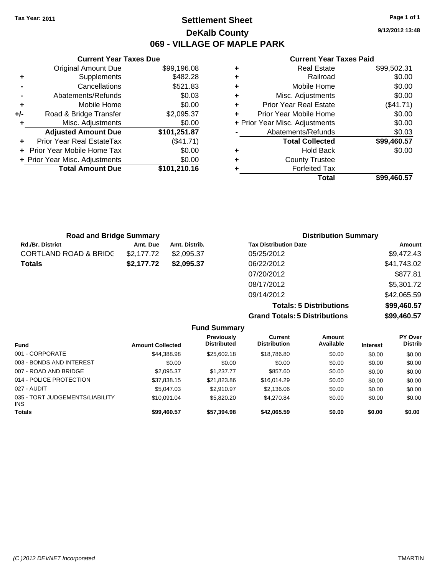**Current Year Taxes Due** Original Amount Due \$99,196.08

**Adjusted Amount Due \$101,251.87**

**Total Amount Due \$101,210.16**

**+** Supplements \$482.28 **-** Cancellations \$521.83 **-** Abatements/Refunds \$0.03 **+** Mobile Home \$0.00 **+/-** Road & Bridge Transfer \$2,095.37 **+** Misc. Adjustments \$0.00

**+** Prior Year Real EstateTax (\$41.71) **+** Prior Year Mobile Home Tax \$0.00 **+ Prior Year Misc. Adjustments**  $$0.00$ 

### **Settlement Sheet Tax Year: 2011 Page 1 of 1 DeKalb County 069 - VILLAGE OF MAPLE PARK**

**9/12/2012 13:48**

#### **Current Year Taxes Paid**

| ٠ | <b>Real Estate</b>             | \$99,502.31 |
|---|--------------------------------|-------------|
| ٠ | Railroad                       | \$0.00      |
| ٠ | Mobile Home                    | \$0.00      |
| ٠ | Misc. Adjustments              | \$0.00      |
| ٠ | <b>Prior Year Real Estate</b>  | (\$41.71)   |
| ٠ | Prior Year Mobile Home         | \$0.00      |
|   | + Prior Year Misc. Adjustments | \$0.00      |
|   | Abatements/Refunds             | \$0.03      |
|   | <b>Total Collected</b>         | \$99,460.57 |
| ٠ | <b>Hold Back</b>               | \$0.00      |
| ٠ | <b>County Trustee</b>          |             |
|   | <b>Forfeited Tax</b>           |             |
|   | Total                          | \$99,460.57 |

| <b>Road and Bridge Summary</b>   |            |               | <b>Distribution Summary</b>  |             |
|----------------------------------|------------|---------------|------------------------------|-------------|
| <b>Rd./Br. District</b>          | Amt. Due   | Amt. Distrib. | <b>Tax Distribution Date</b> | Amount      |
| <b>CORTLAND ROAD &amp; BRIDC</b> | \$2.177.72 | \$2,095.37    | 05/25/2012                   | \$9,472.43  |
| <b>Totals</b>                    | \$2,177.72 | \$2,095.37    | 06/22/2012                   | \$41,743.02 |
|                                  |            |               | 07/20/2012                   | \$877.81    |
|                                  |            |               | 08/17/2012                   | \$5,301.72  |

**Totals: 5 Distributions \$99,460.57 Grand Totals: 5 Distributions \$99,460.57**

09/14/2012 \$42,065.59

|                                         |                         | <b>Fund Summary</b>                     |                                |                     |                 |                           |
|-----------------------------------------|-------------------------|-----------------------------------------|--------------------------------|---------------------|-----------------|---------------------------|
| <b>Fund</b>                             | <b>Amount Collected</b> | <b>Previously</b><br><b>Distributed</b> | Current<br><b>Distribution</b> | Amount<br>Available | <b>Interest</b> | PY Over<br><b>Distrib</b> |
| 001 - CORPORATE                         | \$44,388.98             | \$25,602.18                             | \$18,786.80                    | \$0.00              | \$0.00          | \$0.00                    |
| 003 - BONDS AND INTEREST                | \$0.00                  | \$0.00                                  | \$0.00                         | \$0.00              | \$0.00          | \$0.00                    |
| 007 - ROAD AND BRIDGE                   | \$2,095.37              | \$1,237.77                              | \$857.60                       | \$0.00              | \$0.00          | \$0.00                    |
| 014 - POLICE PROTECTION                 | \$37,838.15             | \$21,823.86                             | \$16,014.29                    | \$0.00              | \$0.00          | \$0.00                    |
| 027 - AUDIT                             | \$5,047.03              | \$2.910.97                              | \$2,136.06                     | \$0.00              | \$0.00          | \$0.00                    |
| 035 - TORT JUDGEMENTS/LIABILITY<br>INS. | \$10.091.04             | \$5,820,20                              | \$4,270.84                     | \$0.00              | \$0.00          | \$0.00                    |
| <b>Totals</b>                           | \$99,460.57             | \$57,394.98                             | \$42,065.59                    | \$0.00              | \$0.00          | \$0.00                    |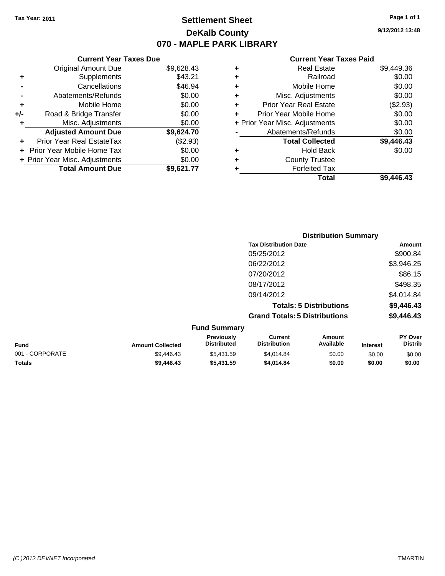**Current Year Taxes Due** Original Amount Due \$9,628.43

**Adjusted Amount Due \$9,624.70**

**Total Amount Due \$9,621.77**

**+** Supplements \$43.21 **-** Cancellations \$46.94 **-** Abatements/Refunds \$0.00 **+** Mobile Home \$0.00 **+/-** Road & Bridge Transfer \$0.00 **+** Misc. Adjustments \$0.00

**+** Prior Year Real EstateTax (\$2.93) **+** Prior Year Mobile Home Tax \$0.00 **+ Prior Year Misc. Adjustments**  $$0.00$ 

### **Settlement Sheet Tax Year: 2011 Page 1 of 1 DeKalb County 070 - MAPLE PARK LIBRARY**

**9/12/2012 13:48**

#### **Current Year Taxes Paid**

| ٠ | <b>Real Estate</b>             | \$9,449.36 |
|---|--------------------------------|------------|
| ÷ | Railroad                       | \$0.00     |
| ÷ | Mobile Home                    | \$0.00     |
| ÷ | Misc. Adjustments              | \$0.00     |
| ٠ | <b>Prior Year Real Estate</b>  | (\$2.93)   |
| ٠ | Prior Year Mobile Home         | \$0.00     |
|   | + Prior Year Misc. Adjustments | \$0.00     |
|   | Abatements/Refunds             | \$0.00     |
|   | <b>Total Collected</b>         | \$9,446.43 |
| ٠ | <b>Hold Back</b>               | \$0.00     |
| ٠ | <b>County Trustee</b>          |            |
|   | <b>Forfeited Tax</b>           |            |
|   | Total                          | \$9.446.43 |

|                 |                         |                                  |                                       | <b>Distribution Summary</b>    |                 |                           |
|-----------------|-------------------------|----------------------------------|---------------------------------------|--------------------------------|-----------------|---------------------------|
|                 |                         |                                  | <b>Tax Distribution Date</b>          |                                |                 | Amount                    |
|                 |                         |                                  | 05/25/2012                            |                                |                 | \$900.84                  |
|                 |                         |                                  | 06/22/2012                            |                                |                 | \$3,946.25                |
|                 |                         |                                  | 07/20/2012                            |                                |                 | \$86.15                   |
|                 |                         |                                  | 08/17/2012                            |                                |                 | \$498.35                  |
|                 |                         |                                  | 09/14/2012                            |                                |                 | \$4,014.84                |
|                 |                         |                                  |                                       | <b>Totals: 5 Distributions</b> |                 | \$9,446.43                |
|                 |                         |                                  | <b>Grand Totals: 5 Distributions</b>  |                                |                 | \$9,446.43                |
|                 |                         | <b>Fund Summary</b>              |                                       |                                |                 |                           |
| Fund            | <b>Amount Collected</b> | Previously<br><b>Distributed</b> | <b>Current</b><br><b>Distribution</b> | <b>Amount</b><br>Available     | <b>Interest</b> | PY Over<br><b>Distrib</b> |
| 001 - CORPORATE | \$9,446.43              | \$5,431.59                       | \$4,014.84                            | \$0.00                         | \$0.00          | \$0.00                    |

**Totals \$9,446.43 \$5,431.59 \$4,014.84 \$0.00 \$0.00 \$0.00**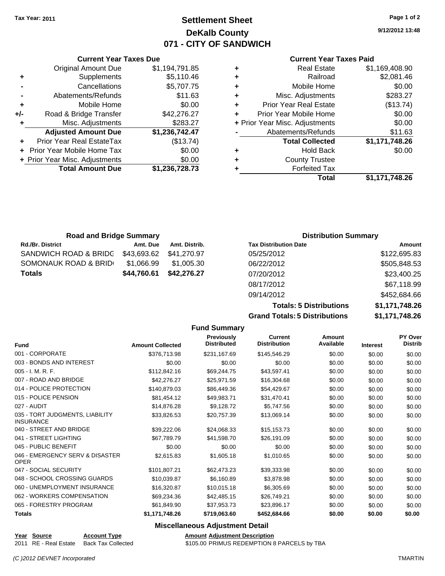**Current Year Taxes Due**

### **Settlement Sheet Tax Year: 2011 Page 1 of 2 DeKalb County 071 - CITY OF SANDWICH**

**9/12/2012 13:48**

#### **Current Year Taxes Paid**

| <b>Total Amount Due</b>        | \$1,236,728.73 |   | <b>Forfeited Tax</b>           |                |
|--------------------------------|----------------|---|--------------------------------|----------------|
|                                |                |   |                                |                |
| + Prior Year Misc. Adjustments | \$0.00         | ÷ | <b>County Trustee</b>          |                |
| + Prior Year Mobile Home Tax   | \$0.00         | ٠ | <b>Hold Back</b>               | \$0.00         |
| Prior Year Real EstateTax      | (\$13.74)      |   | <b>Total Collected</b>         | \$1,171,748.26 |
| <b>Adjusted Amount Due</b>     | \$1,236,742.47 |   | Abatements/Refunds             | \$11.63        |
| Misc. Adjustments              | \$283.27       |   | + Prior Year Misc. Adjustments | \$0.00         |
| Road & Bridge Transfer         | \$42,276.27    |   | Prior Year Mobile Home         | \$0.00         |
| Mobile Home                    | \$0.00         | ٠ | <b>Prior Year Real Estate</b>  | (\$13.74)      |
| Abatements/Refunds             | \$11.63        | ٠ | Misc. Adjustments              | \$283.27       |
| Cancellations                  | \$5,707.75     | ٠ | Mobile Home                    | \$0.00         |
| Supplements                    | \$5,110.46     | ٠ | Railroad                       | \$2,081.46     |
| <b>Original Amount Due</b>     | \$1,194,791.85 | ٠ | <b>Real Estate</b>             | \$1,169,408.90 |
|                                |                |   |                                |                |

| <b>Road and Bridge Summary</b> |             |               | <b>Distribution Summary</b>  |  |
|--------------------------------|-------------|---------------|------------------------------|--|
| <b>Rd./Br. District</b>        | Amt. Due    | Amt. Distrib. | <b>Tax Distribution Date</b> |  |
| SANDWICH ROAD & BRIDG          | \$43.693.62 | \$41,270.97   | 05/25/2012                   |  |
| SOMONAUK ROAD & BRID           | \$1.066.99  | \$1,005.30    | 06/22/2012                   |  |
| <b>Totals</b>                  | \$44,760.61 | \$42,276,27   | 07/20/2012                   |  |

| <b>Tax Distribution Date</b>         | Amount         |
|--------------------------------------|----------------|
| 05/25/2012                           | \$122,695.83   |
| 06/22/2012                           | \$505,848.53   |
| 07/20/2012                           | \$23,400.25    |
| 08/17/2012                           | \$67,118.99    |
| 09/14/2012                           | \$452,684.66   |
| <b>Totals: 5 Distributions</b>       | \$1,171,748.26 |
| <b>Grand Totals: 5 Distributions</b> | \$1,171,748.26 |

|                                                     |                         | <b>Fund Summary</b>              |                                       |                     |                 |                           |
|-----------------------------------------------------|-------------------------|----------------------------------|---------------------------------------|---------------------|-----------------|---------------------------|
| <b>Fund</b>                                         | <b>Amount Collected</b> | Previously<br><b>Distributed</b> | <b>Current</b><br><b>Distribution</b> | Amount<br>Available | <b>Interest</b> | PY Over<br><b>Distrib</b> |
| 001 - CORPORATE                                     | \$376,713.98            | \$231,167.69                     | \$145,546.29                          | \$0.00              | \$0.00          | \$0.00                    |
| 003 - BONDS AND INTEREST                            | \$0.00                  | \$0.00                           | \$0.00                                | \$0.00              | \$0.00          | \$0.00                    |
| 005 - I. M. R. F.                                   | \$112,842.16            | \$69,244.75                      | \$43,597.41                           | \$0.00              | \$0.00          | \$0.00                    |
| 007 - ROAD AND BRIDGE                               | \$42,276.27             | \$25,971.59                      | \$16,304.68                           | \$0.00              | \$0.00          | \$0.00                    |
| 014 - POLICE PROTECTION                             | \$140,879.03            | \$86,449.36                      | \$54,429.67                           | \$0.00              | \$0.00          | \$0.00                    |
| 015 - POLICE PENSION                                | \$81,454.12             | \$49.983.71                      | \$31,470.41                           | \$0.00              | \$0.00          | \$0.00                    |
| 027 - AUDIT                                         | \$14,876.28             | \$9,128.72                       | \$5,747.56                            | \$0.00              | \$0.00          | \$0.00                    |
| 035 - TORT JUDGMENTS, LIABILITY<br><b>INSURANCE</b> | \$33,826.53             | \$20,757.39                      | \$13,069.14                           | \$0.00              | \$0.00          | \$0.00                    |
| 040 - STREET AND BRIDGE                             | \$39,222.06             | \$24,068.33                      | \$15,153.73                           | \$0.00              | \$0.00          | \$0.00                    |
| 041 - STREET LIGHTING                               | \$67,789.79             | \$41,598.70                      | \$26,191.09                           | \$0.00              | \$0.00          | \$0.00                    |
| 045 - PUBLIC BENEFIT                                | \$0.00                  | \$0.00                           | \$0.00                                | \$0.00              | \$0.00          | \$0.00                    |
| 046 - EMERGENCY SERV & DISASTER<br><b>OPER</b>      | \$2,615.83              | \$1,605.18                       | \$1,010.65                            | \$0.00              | \$0.00          | \$0.00                    |
| 047 - SOCIAL SECURITY                               | \$101.807.21            | \$62,473.23                      | \$39,333.98                           | \$0.00              | \$0.00          | \$0.00                    |
| 048 - SCHOOL CROSSING GUARDS                        | \$10,039.87             | \$6,160.89                       | \$3,878.98                            | \$0.00              | \$0.00          | \$0.00                    |
| 060 - UNEMPLOYMENT INSURANCE                        | \$16,320.87             | \$10,015.18                      | \$6,305.69                            | \$0.00              | \$0.00          | \$0.00                    |
| 062 - WORKERS COMPENSATION                          | \$69,234.36             | \$42,485.15                      | \$26,749.21                           | \$0.00              | \$0.00          | \$0.00                    |
| 065 - FORESTRY PROGRAM                              | \$61,849.90             | \$37,953.73                      | \$23,896.17                           | \$0.00              | \$0.00          | \$0.00                    |
| <b>Totals</b>                                       | \$1,171,748.26          | \$719,063.60                     | \$452,684.66                          | \$0.00              | \$0.00          | \$0.00                    |

### **Miscellaneous Adjustment Detail**

**Year Source Account Type Amount Adjustment Description**

2011 RE - Real Estate Back Tax Collected \$105.00 PRIMUS REDEMPTION 8 PARCELS by TBA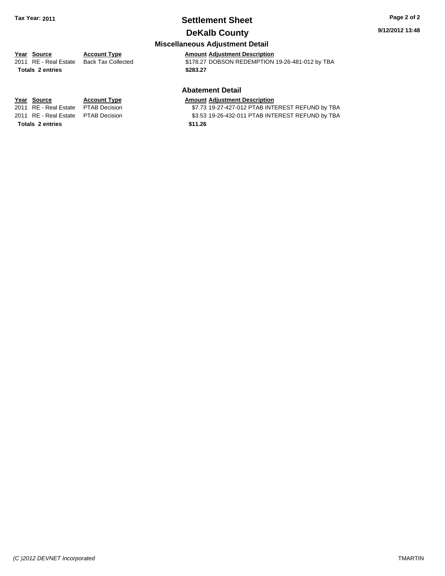### **Settlement Sheet Tax Year: 2011 Page 2 of 2 DeKalb County**

### **9/12/2012 13:48**

### **Miscellaneous Adjustment Detail**

**Totals \$283.27 2 entries**

**Year Source Account Type Amount Adjustment Description**<br>
2011 RE - Real Estate Back Tax Collected \$178.27 DOBSON REDEMPTION \$178.27 DOBSON REDEMPTION 19-26-481-012 by TBA

### **Abatement Detail**

#### **Year Source Account Type Amount Adjustment Description**

2011 RE - Real Estate \$7.73 19-27-427-012 PTAB INTEREST REFUND by TBA PTAB Decision 2011 RE - Real Estate \$3.53 19-26-432-011 PTAB INTEREST REFUND by TBA PTAB Decision

**Totals \$11.26 2 entries**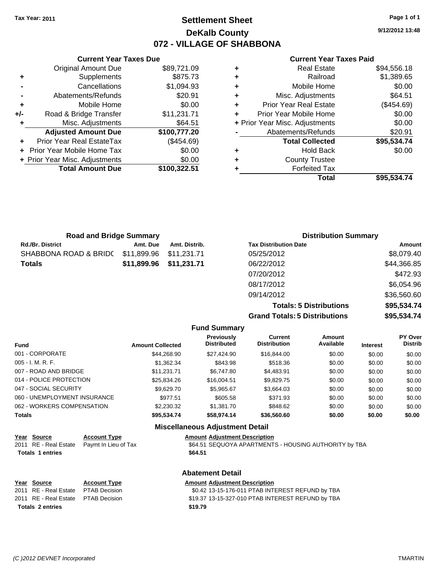### **Settlement Sheet Tax Year: 2011 Page 1 of 1 DeKalb County 072 - VILLAGE OF SHABBONA**

**9/12/2012 13:48**

#### **Current Year Taxes Paid**

|   | <b>Real Estate</b>             | \$94,556.18 |
|---|--------------------------------|-------------|
| ٠ | Railroad                       | \$1,389.65  |
| ٠ | Mobile Home                    | \$0.00      |
| ٠ | Misc. Adjustments              | \$64.51     |
| ٠ | <b>Prior Year Real Estate</b>  | (\$454.69)  |
| ÷ | Prior Year Mobile Home         | \$0.00      |
|   | + Prior Year Misc. Adjustments | \$0.00      |
|   | Abatements/Refunds             | \$20.91     |
|   | <b>Total Collected</b>         | \$95,534.74 |
| ٠ | <b>Hold Back</b>               | \$0.00      |
| ٠ | <b>County Trustee</b>          |             |
|   | <b>Forfeited Tax</b>           |             |
|   | Total                          | \$95,534.74 |

|     | <b>Current Year Taxes Due</b>  |              |
|-----|--------------------------------|--------------|
|     | <b>Original Amount Due</b>     | \$89,721.09  |
| ٠   | Supplements                    | \$875.73     |
|     | Cancellations                  | \$1,094.93   |
|     | Abatements/Refunds             | \$20.91      |
| ٠   | Mobile Home                    | \$0.00       |
| +/- | Road & Bridge Transfer         | \$11,231.71  |
|     | Misc. Adjustments              | \$64.51      |
|     | <b>Adjusted Amount Due</b>     | \$100,777.20 |
|     | Prior Year Real EstateTax      | (\$454.69)   |
|     | Prior Year Mobile Home Tax     | \$0.00       |
|     | + Prior Year Misc. Adjustments | \$0.00       |
|     | <b>Total Amount Due</b>        | \$100,322.51 |
|     |                                |              |

| <b>Road and Bridge Summary</b> |               |                              |                             |
|--------------------------------|---------------|------------------------------|-----------------------------|
| Amt. Due                       | Amt. Distrib. | <b>Tax Distribution Date</b> | Amount                      |
| \$11,899.96                    | \$11.231.71   | 05/25/2012                   | \$8,079.40                  |
| \$11,899.96                    | \$11,231.71   | 06/22/2012                   | \$44,366.85                 |
|                                |               | 07/20/2012                   | \$472.93                    |
|                                |               | 08/17/2012                   | \$6,054.96                  |
|                                |               | 09/14/2012                   | \$36,560.60                 |
|                                |               |                              | <b>Distribution Summary</b> |

**Totals: 5 Distributions \$95,534.74 Grand Totals: 5 Distributions \$95,534.74**

|                                        |                         | <b>Fund Summary</b>              |                                |                     |                 |                           |  |
|----------------------------------------|-------------------------|----------------------------------|--------------------------------|---------------------|-----------------|---------------------------|--|
| <b>Fund</b>                            | <b>Amount Collected</b> | Previously<br><b>Distributed</b> | Current<br><b>Distribution</b> | Amount<br>Available | <b>Interest</b> | PY Over<br><b>Distrib</b> |  |
| 001 - CORPORATE                        | \$44.268.90             | \$27.424.90                      | \$16,844.00                    | \$0.00              | \$0.00          | \$0.00                    |  |
| $005 - I. M. R. F.$                    | \$1,362.34              | \$843.98                         | \$518.36                       | \$0.00              | \$0.00          | \$0.00                    |  |
| 007 - ROAD AND BRIDGE                  | \$11.231.71             | \$6.747.80                       | \$4,483.91                     | \$0.00              | \$0.00          | \$0.00                    |  |
| 014 - POLICE PROTECTION                | \$25,834.26             | \$16,004.51                      | \$9,829.75                     | \$0.00              | \$0.00          | \$0.00                    |  |
| 047 - SOCIAL SECURITY                  | \$9,629.70              | \$5,965.67                       | \$3,664.03                     | \$0.00              | \$0.00          | \$0.00                    |  |
| 060 - UNEMPLOYMENT INSURANCE           | \$977.51                | \$605.58                         | \$371.93                       | \$0.00              | \$0.00          | \$0.00                    |  |
| 062 - WORKERS COMPENSATION             | \$2,230.32              | \$1,381.70                       | \$848.62                       | \$0.00              | \$0.00          | \$0.00                    |  |
| <b>Totals</b>                          | \$95,534.74             | \$58,974.14                      | \$36,560.60                    | \$0.00              | \$0.00          | \$0.00                    |  |
| <b>Miscellaneous Adjustment Detail</b> |                         |                                  |                                |                     |                 |                           |  |

| Year Source             | <b>Account Type</b>  | <b>Amount Adjustment Description</b>                  |
|-------------------------|----------------------|-------------------------------------------------------|
| 2011 RE - Real Estate   | Paymt In Lieu of Tax | \$64.51 SEQUOYA APARTMENTS - HOUSING AUTHORITY by TBA |
| <b>Totals 1 entries</b> |                      | \$64.51                                               |
|                         |                      | <b>Abatement Detail</b>                               |
| Year Source             | <b>Account Type</b>  | <b>Amount Adjustment Description</b>                  |
| 2011 RE - Real Estate   | <b>PTAB Decision</b> | \$0.42 13-15-176-011 PTAB INTEREST REFUND by TBA      |
| 2011 RE - Real Estate   | PTAB Decision        | \$19.37 13-15-327-010 PTAB INTEREST REFUND by TBA     |

**Totals \$19.79 2 entries**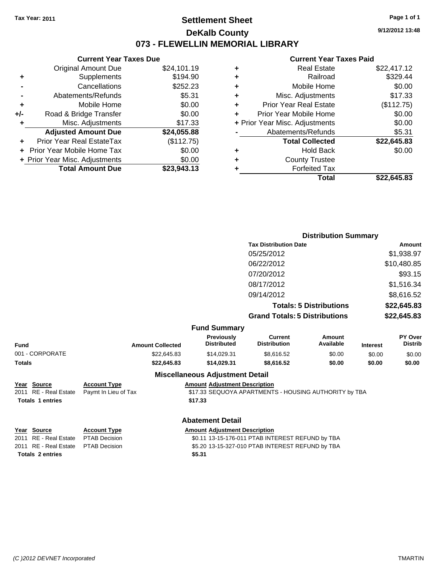**Original Amount Due** 

**Adjusted Amount Due** 

**Total Amount Due** 

**+** Supplements **-** Cancellations **-** Abatements/Refunds **+** Mobile Home **+/-** Road & Bridge Transfer **+** Misc. Adjustments

**+** Prior Year Real EstateTax **+** Prior Year Mobile Home Tax \$0.00 **+ Prior Year Misc. Adjustments** 

### **Settlement Sheet Tax Year: 2011 Page 1 of 1 DeKalb County 073 - FLEWELLIN MEMORIAL LIBRARY**

**9/12/2012 13:48**

**Total \$22,645.83**

### **Current Year Taxes Paid**

| <b>Current Year Taxes Due</b> |             |   | <b>Current Year Taxes Paid</b> |             |
|-------------------------------|-------------|---|--------------------------------|-------------|
| ıl Amount Due                 | \$24,101.19 | ٠ | <b>Real Estate</b>             | \$22,417.12 |
| Supplements                   | \$194.90    | ٠ | Railroad                       | \$329.44    |
| Cancellations                 | \$252.23    | ٠ | Mobile Home                    | \$0.00      |
| าents/Refunds                 | \$5.31      | ٠ | Misc. Adjustments              | \$17.33     |
| Mobile Home                   | \$0.00      | ÷ | <b>Prior Year Real Estate</b>  | (\$112.75)  |
| ridge Transfer                | \$0.00      | ٠ | Prior Year Mobile Home         | \$0.00      |
| . Adjustments                 | \$17.33     |   | + Prior Year Misc. Adjustments | \$0.00      |
| <b>Amount Due</b>             | \$24,055.88 |   | Abatements/Refunds             | \$5.31      |
| eal EstateTax                 | (\$112.75)  |   | <b>Total Collected</b>         | \$22,645.83 |
| pile Home Tax                 | \$0.00      | ٠ | <b>Hold Back</b>               | \$0.00      |
| . Adjustments                 | \$0.00      | ٠ | <b>County Trustee</b>          |             |
| <b>Amount Due</b>             | \$23,943.13 |   | <b>Forfeited Tax</b>           |             |
|                               |             |   | Total                          | \$22,645.83 |

| <b>Distribution Summary</b>          |             |
|--------------------------------------|-------------|
| <b>Tax Distribution Date</b>         | Amount      |
| 05/25/2012                           | \$1,938.97  |
| 06/22/2012                           | \$10,480.85 |
| 07/20/2012                           | \$93.15     |
| 08/17/2012                           | \$1,516.34  |
| 09/14/2012                           | \$8,616.52  |
| <b>Totals: 5 Distributions</b>       | \$22,645.83 |
| <b>Grand Totals: 5 Distributions</b> | \$22,645.83 |

|                         | <b>Fund Summary</b> |                     |           |
|-------------------------|---------------------|---------------------|-----------|
| <b>Amount Collected</b> | <b>Previously</b>   | Current             | Amount    |
|                         | <b>Distributed</b>  | <b>Distribution</b> | Available |

| Fund            | <b>Amount Collected</b> | <b>Distributed</b> | <b>Distribution</b> | Available | <b>Interest</b> | <b>Distrib</b> |
|-----------------|-------------------------|--------------------|---------------------|-----------|-----------------|----------------|
| 001 - CORPORATE | \$22.645.83             | \$14.029.31        | \$8.616.52          | \$0.00    | \$0.00          | \$0.00         |
| Totals          | \$22,645.83             | \$14,029.31        | \$8.616.52          | \$0.00    | \$0.00          | \$0.00         |
|                 |                         |                    |                     |           |                 |                |

## **Year Source Account Type Amount Adjustment Description Totals \$17.33 1 entries**

### **Miscellaneous Adjustment Detail**

Paymt In Lieu of Tax **612 State State State State State State State 3** SEQUOYA APARTMENTS - HOUSING AUTHORITY by TBA

**Year Source Account Type Amount Adjustment Description Totals \$5.31 2 entries**

#### **Abatement Detail**

2011 RE - Real Estate \$0.11 13-15-176-011 PTAB INTEREST REFUND by TBA PTAB Decision 2011 RE - Real Estate \$5.20 13-15-327-010 PTAB INTEREST REFUND by TBA PTAB Decision **PY Over**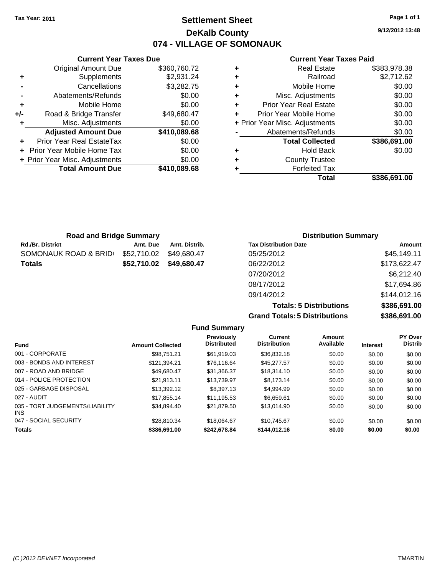### **Settlement Sheet Tax Year: 2011 Page 1 of 1 DeKalb County 074 - VILLAGE OF SOMONAUK**

**9/12/2012 13:48**

### **Current Year Taxes Paid**

|   | <b>Real Estate</b>             | \$383,978.38 |
|---|--------------------------------|--------------|
| ٠ | Railroad                       | \$2,712.62   |
| ٠ | Mobile Home                    | \$0.00       |
| ٠ | Misc. Adjustments              | \$0.00       |
| ÷ | <b>Prior Year Real Estate</b>  | \$0.00       |
| ÷ | Prior Year Mobile Home         | \$0.00       |
|   | + Prior Year Misc. Adjustments | \$0.00       |
|   | Abatements/Refunds             | \$0.00       |
|   | <b>Total Collected</b>         | \$386,691.00 |
| ٠ | <b>Hold Back</b>               | \$0.00       |
| ÷ | <b>County Trustee</b>          |              |
| ٠ | <b>Forfeited Tax</b>           |              |
|   | Total                          | \$386.691.00 |

|     | <b>Current Year Taxes Due</b>    |              |
|-----|----------------------------------|--------------|
|     | <b>Original Amount Due</b>       | \$360,760.72 |
| ٠   | Supplements                      | \$2,931.24   |
|     | Cancellations                    | \$3,282.75   |
|     | Abatements/Refunds               | \$0.00       |
| ٠   | Mobile Home                      | \$0.00       |
| +/- | Road & Bridge Transfer           | \$49,680.47  |
|     | Misc. Adjustments                | \$0.00       |
|     | <b>Adjusted Amount Due</b>       | \$410,089.68 |
|     | <b>Prior Year Real EstateTax</b> | \$0.00       |
|     | Prior Year Mobile Home Tax       | \$0.00       |
|     | + Prior Year Misc. Adjustments   | \$0.00       |
|     | <b>Total Amount Due</b>          | \$410,089.68 |

| <b>Road and Bridge Summary</b> |             |               | <b>Distribution Summary</b>  |              |  |  |
|--------------------------------|-------------|---------------|------------------------------|--------------|--|--|
| <b>Rd./Br. District</b>        | Amt. Due    | Amt. Distrib. | <b>Tax Distribution Date</b> | Amount       |  |  |
| SOMONAUK ROAD & BRID           | \$52,710.02 | \$49,680.47   | 05/25/2012                   | \$45,149.11  |  |  |
| Totals                         | \$52,710.02 | \$49,680.47   | 06/22/2012                   | \$173,622.47 |  |  |
|                                |             |               | 07/20/2012                   | \$6,212.40   |  |  |
|                                |             |               | 08/17/2012                   | \$17,694.86  |  |  |
|                                |             |               | 09/14/2012                   | \$144,012.16 |  |  |

**Totals: 5 Distributions \$386,691.00 Grand Totals: 5 Distributions \$386,691.00**

| <b>Fund Summary</b>                           |                         |                                  |                                |                     |                 |                           |  |
|-----------------------------------------------|-------------------------|----------------------------------|--------------------------------|---------------------|-----------------|---------------------------|--|
| Fund                                          | <b>Amount Collected</b> | Previously<br><b>Distributed</b> | Current<br><b>Distribution</b> | Amount<br>Available | <b>Interest</b> | PY Over<br><b>Distrib</b> |  |
| 001 - CORPORATE                               | \$98.751.21             | \$61,919.03                      | \$36,832.18                    | \$0.00              | \$0.00          | \$0.00                    |  |
| 003 - BONDS AND INTEREST                      | \$121.394.21            | \$76.116.64                      | \$45,277.57                    | \$0.00              | \$0.00          | \$0.00                    |  |
| 007 - ROAD AND BRIDGE                         | \$49.680.47             | \$31,366.37                      | \$18,314.10                    | \$0.00              | \$0.00          | \$0.00                    |  |
| 014 - POLICE PROTECTION                       | \$21.913.11             | \$13.739.97                      | \$8.173.14                     | \$0.00              | \$0.00          | \$0.00                    |  |
| 025 - GARBAGE DISPOSAL                        | \$13,392.12             | \$8,397.13                       | \$4,994.99                     | \$0.00              | \$0.00          | \$0.00                    |  |
| 027 - AUDIT                                   | \$17,855.14             | \$11,195.53                      | \$6.659.61                     | \$0.00              | \$0.00          | \$0.00                    |  |
| 035 - TORT JUDGEMENTS/LIABILITY<br><b>INS</b> | \$34,894.40             | \$21,879.50                      | \$13,014.90                    | \$0.00              | \$0.00          | \$0.00                    |  |
| 047 - SOCIAL SECURITY                         | \$28.810.34             | \$18,064.67                      | \$10.745.67                    | \$0.00              | \$0.00          | \$0.00                    |  |
| <b>Totals</b>                                 | \$386.691.00            | \$242,678.84                     | \$144.012.16                   | \$0.00              | \$0.00          | \$0.00                    |  |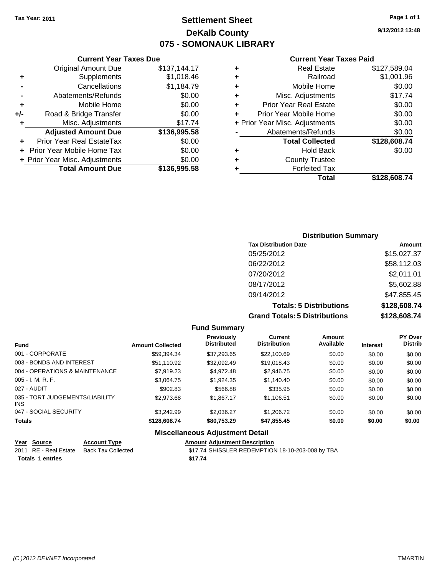### **Settlement Sheet Tax Year: 2011 Page 1 of 1 DeKalb County 075 - SOMONAUK LIBRARY**

#### **Current Year Taxes Due**

|     | <b>Total Amount Due</b>        | \$136,995.58 |  |  |  |
|-----|--------------------------------|--------------|--|--|--|
|     | + Prior Year Misc. Adjustments | \$0.00       |  |  |  |
|     | Prior Year Mobile Home Tax     | \$0.00       |  |  |  |
|     | Prior Year Real EstateTax      | \$0.00       |  |  |  |
|     | <b>Adjusted Amount Due</b>     | \$136,995.58 |  |  |  |
| ٠   | Misc. Adjustments              | \$17.74      |  |  |  |
| +/- | Road & Bridge Transfer         | \$0.00       |  |  |  |
| ÷   | Mobile Home                    | \$0.00       |  |  |  |
|     | Abatements/Refunds             | \$0.00       |  |  |  |
|     | Cancellations                  | \$1,184.79   |  |  |  |
| ٠   | Supplements                    | \$1,018.46   |  |  |  |
|     | <b>Original Amount Due</b>     | \$137,144.17 |  |  |  |
|     |                                |              |  |  |  |

#### **Current Year Taxes Paid**

| ٠ | <b>Real Estate</b>             | \$127,589.04 |  |  |  |
|---|--------------------------------|--------------|--|--|--|
| ٠ | Railroad                       | \$1,001.96   |  |  |  |
| ٠ | Mobile Home                    | \$0.00       |  |  |  |
| ٠ | Misc. Adjustments              | \$17.74      |  |  |  |
| ÷ | <b>Prior Year Real Estate</b>  | \$0.00       |  |  |  |
| ٠ | Prior Year Mobile Home         | \$0.00       |  |  |  |
|   | + Prior Year Misc. Adjustments | \$0.00       |  |  |  |
|   | Abatements/Refunds             | \$0.00       |  |  |  |
|   | <b>Total Collected</b>         | \$128,608.74 |  |  |  |
| ٠ | <b>Hold Back</b>               | \$0.00       |  |  |  |
| ٠ | <b>County Trustee</b>          |              |  |  |  |
| ٠ | <b>Forfeited Tax</b>           |              |  |  |  |
|   | Total                          | \$128,608.74 |  |  |  |
|   |                                |              |  |  |  |

### **Distribution Summary Tax Distribution Date Amount** 05/25/2012 \$15,027.37 06/22/2012 \$58,112.03 07/20/2012 \$2,011.01 08/17/2012 \$5,602.88 09/14/2012 \$47,855.45 **Totals: 5 Distributions \$128,608.74 Grand Totals: 5 Distributions \$128,608.74**

| <b>Fund Summary</b>                     |                         |                                         |                                       |                     |                 |                           |  |  |  |
|-----------------------------------------|-------------------------|-----------------------------------------|---------------------------------------|---------------------|-----------------|---------------------------|--|--|--|
| <b>Fund</b>                             | <b>Amount Collected</b> | <b>Previously</b><br><b>Distributed</b> | <b>Current</b><br><b>Distribution</b> | Amount<br>Available | <b>Interest</b> | PY Over<br><b>Distrib</b> |  |  |  |
| 001 - CORPORATE                         | \$59.394.34             | \$37.293.65                             | \$22,100.69                           | \$0.00              | \$0.00          | \$0.00                    |  |  |  |
| 003 - BONDS AND INTEREST                | \$51.110.92             | \$32,092.49                             | \$19,018.43                           | \$0.00              | \$0.00          | \$0.00                    |  |  |  |
| 004 - OPERATIONS & MAINTENANCE          | \$7.919.23              | \$4.972.48                              | \$2,946.75                            | \$0.00              | \$0.00          | \$0.00                    |  |  |  |
| $005 - I. M. R. F.$                     | \$3,064.75              | \$1,924.35                              | \$1,140.40                            | \$0.00              | \$0.00          | \$0.00                    |  |  |  |
| 027 - AUDIT                             | \$902.83                | \$566.88                                | \$335.95                              | \$0.00              | \$0.00          | \$0.00                    |  |  |  |
| 035 - TORT JUDGEMENTS/LIABILITY<br>INS. | \$2,973.68              | \$1,867.17                              | \$1,106.51                            | \$0.00              | \$0.00          | \$0.00                    |  |  |  |
| 047 - SOCIAL SECURITY                   | \$3.242.99              | \$2.036.27                              | \$1,206.72                            | \$0.00              | \$0.00          | \$0.00                    |  |  |  |
| <b>Totals</b>                           | \$128,608.74            | \$80,753.29                             | \$47,855.45                           | \$0.00              | \$0.00          | \$0.00                    |  |  |  |
|                                         |                         | <b>Miscellaneous Adjustment Detail</b>  |                                       |                     |                 |                           |  |  |  |

#### **Year Source Account Type Amount Adjustment Description**<br>
2011 RE - Real Estate Back Tax Collected \$17.74 SHISSLER REDEMPTION \$17.74 SHISSLER REDEMPTION 18-10-203-008 by TBA **Totals \$17.74 1 entries**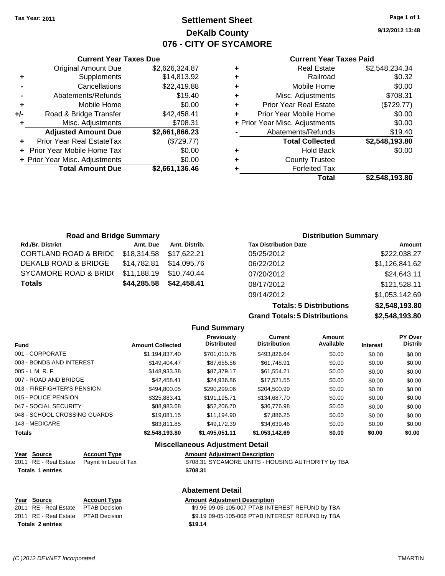## **Settlement Sheet Tax Year: 2011 Page 1 of 1 DeKalb County 076 - CITY OF SYCAMORE**

**9/12/2012 13:48**

#### **Current Year Taxes Paid**

| Total                          | \$2.548.193.80 |
|--------------------------------|----------------|
| <b>Forfeited Tax</b>           |                |
| <b>County Trustee</b>          |                |
| <b>Hold Back</b>               | \$0.00         |
| <b>Total Collected</b>         | \$2,548,193.80 |
| Abatements/Refunds             | \$19.40        |
| + Prior Year Misc. Adjustments | \$0.00         |
| Prior Year Mobile Home         | \$0.00         |
| <b>Prior Year Real Estate</b>  | (\$729.77)     |
| Misc. Adjustments              | \$708.31       |
| Mobile Home                    | \$0.00         |
| Railroad                       | \$0.32         |
| <b>Real Estate</b>             | \$2,548,234.34 |
|                                |                |

|                | <b>Total Amount Due</b>        | \$2,661,136.46 |
|----------------|--------------------------------|----------------|
|                | + Prior Year Misc. Adjustments | \$0.00         |
|                | + Prior Year Mobile Home Tax   | \$0.00         |
| ٠              | Prior Year Real EstateTax      | (\$729.77)     |
|                | <b>Adjusted Amount Due</b>     | \$2,661,866.23 |
| ٠              | Misc. Adjustments              | \$708.31       |
| +/-            | Road & Bridge Transfer         | \$42,458.41    |
| ٠              | Mobile Home                    | \$0.00         |
| $\blacksquare$ | Abatements/Refunds             | \$19.40        |
|                | Cancellations                  | \$22,419.88    |
| ٠              | Supplements                    | \$14,813.92    |

**Current Year Taxes Due** Original Amount Due \$2,626,324.87

| <b>Road and Bridge Summary</b>   |                         |               | <b>Distribution Summary</b>  |                |  |
|----------------------------------|-------------------------|---------------|------------------------------|----------------|--|
| <b>Rd./Br. District</b>          | Amt. Due                | Amt. Distrib. | <b>Tax Distribution Date</b> | Amount         |  |
| <b>CORTLAND ROAD &amp; BRIDC</b> | \$18,314.58 \$17,622.21 |               | 05/25/2012                   | \$222,038.27   |  |
| DEKALB ROAD & BRIDGE             | \$14,782.81             | \$14,095.76   | 06/22/2012                   | \$1,126,841.62 |  |
| SYCAMORE ROAD & BRID(            | \$11,188.19             | \$10,740.44   | 07/20/2012                   | \$24,643.11    |  |
| <b>Totals</b>                    | \$44,285.58             | \$42,458.41   | 08/17/2012                   | \$121,528.11   |  |
|                                  |                         |               | 09/14/2012                   | \$1,053,142.69 |  |

**Totals: 5 Distributions \$2,548,193.80 Grand Totals: 5 Distributions \$2,548,193.80**

|                             |                         |                                         | Grand Tolais. 9 Distributions  |                     |                 | 94,070,100.00             |
|-----------------------------|-------------------------|-----------------------------------------|--------------------------------|---------------------|-----------------|---------------------------|
|                             |                         | <b>Fund Summary</b>                     |                                |                     |                 |                           |
| <b>Fund</b>                 | <b>Amount Collected</b> | <b>Previously</b><br><b>Distributed</b> | Current<br><b>Distribution</b> | Amount<br>Available | <b>Interest</b> | PY Over<br><b>Distrib</b> |
| 001 - CORPORATE             | \$1,194,837.40          | \$701.010.76                            | \$493,826.64                   | \$0.00              | \$0.00          | \$0.00                    |
| 003 - BONDS AND INTEREST    | \$149,404,47            | \$87,655.56                             | \$61,748.91                    | \$0.00              | \$0.00          | \$0.00                    |
| $005 - I. M. R. F.$         | \$148,933.38            | \$87.379.17                             | \$61,554.21                    | \$0.00              | \$0.00          | \$0.00                    |
| 007 - ROAD AND BRIDGE       | \$42,458,41             | \$24,936.86                             | \$17,521.55                    | \$0.00              | \$0.00          | \$0.00                    |
| 013 - FIREFIGHTER'S PENSION | \$494,800.05            | \$290,299.06                            | \$204,500.99                   | \$0.00              | \$0.00          | \$0.00                    |
| 015 - POLICE PENSION        | \$325,883.41            | \$191,195.71                            | \$134,687.70                   | \$0.00              | \$0.00          | \$0.00                    |

| <b>Totals</b>                | \$2,548,193.80 | \$1,495,051.11 | \$1,053,142.69 | \$0.00 | \$0.00 | \$0.00 |
|------------------------------|----------------|----------------|----------------|--------|--------|--------|
| 143 - MEDICARE               | \$83.811.85    | \$49.172.39    | \$34,639.46    | \$0.00 | \$0.00 | \$0.00 |
| 048 - SCHOOL CROSSING GUARDS | \$19,081.15    | \$11.194.90    | \$7,886.25     | \$0.00 | \$0.00 | \$0.00 |
| 047 - SOCIAL SECURITY        | \$88.983.68    | \$52,206.70    | \$36,776.98    | \$0.00 | \$0.00 | \$0.00 |
| 015 - POLICE PENSION         | \$325.883.41   | \$191.195.71   | \$134,687.70   | \$0.00 | \$0.00 | \$0.00 |
|                              |                |                |                |        |        |        |

| <b>Miscellaneous Adjustment Detail</b>                                                                                                     |                      |                                                  |  |  |  |
|--------------------------------------------------------------------------------------------------------------------------------------------|----------------------|--------------------------------------------------|--|--|--|
| Year Source                                                                                                                                | <b>Account Type</b>  | <b>Amount Adiustment Description</b>             |  |  |  |
| 2011 RE - Real Estate<br>Paymt In Lieu of Tax<br>\$708.31 SYCAMORE UNITS - HOUSING AUTHORITY by TBA<br><b>Totals 1 entries</b><br>\$708.31 |                      |                                                  |  |  |  |
|                                                                                                                                            |                      |                                                  |  |  |  |
|                                                                                                                                            |                      | <b>Abatement Detail</b>                          |  |  |  |
| Year Source                                                                                                                                | <b>Account Type</b>  | <b>Amount Adiustment Description</b>             |  |  |  |
| 2011 RE - Real Estate                                                                                                                      | <b>PTAB Decision</b> | \$9.95 09-05-105-007 PTAB INTEREST REFUND by TBA |  |  |  |
| 2011 RE - Real Estate                                                                                                                      | <b>PTAB Decision</b> | \$9.19 09-05-105-006 PTAB INTEREST REFUND by TBA |  |  |  |

**Totals \$19.14 2 entries**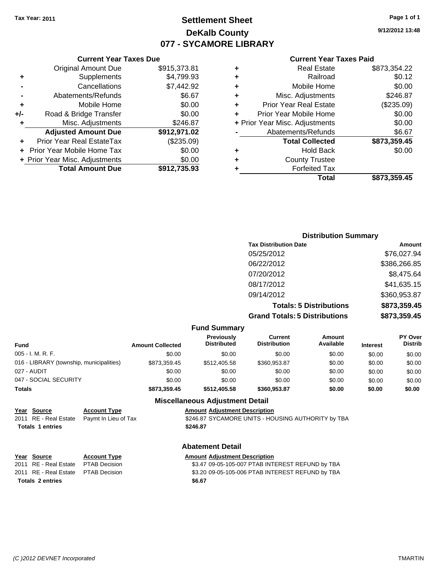## **Settlement Sheet Tax Year: 2011 Page 1 of 1 DeKalb County 077 - SYCAMORE LIBRARY**

**9/12/2012 13:48**

#### **Current Year Taxes Paid**

| Total                          | \$873,359.45 |
|--------------------------------|--------------|
| <b>Forfeited Tax</b>           |              |
| <b>County Trustee</b>          |              |
| <b>Hold Back</b>               | \$0.00       |
| <b>Total Collected</b>         | \$873,359.45 |
| Abatements/Refunds             | \$6.67       |
| + Prior Year Misc. Adjustments | \$0.00       |
| Prior Year Mobile Home         | \$0.00       |
| <b>Prior Year Real Estate</b>  | $(\$235.09)$ |
| Misc. Adjustments              | \$246.87     |
| Mobile Home                    | \$0.00       |
| Railroad                       | \$0.12       |
| <b>Real Estate</b>             | \$873,354.22 |
|                                |              |

#### **Current Year Taxes Due** Original Amount Due \$915,373.81 **+** Supplements \$4,799.93 **-** Cancellations \$7,442.92 **-** Abatements/Refunds \$6.67 **+** Mobile Home \$0.00 **+/-** Road & Bridge Transfer \$0.00 **+** Misc. Adjustments \$246.87 **Adjusted Amount Due \$912,971.02 +** Prior Year Real EstateTax (\$235.09) **+** Prior Year Mobile Home Tax \$0.00 **+ Prior Year Misc. Adjustments**  $$0.00$ **Total Amount Due \$912,735.93**

### **Distribution Summary**

| <b>Tax Distribution Date</b>         | Amount       |
|--------------------------------------|--------------|
| 05/25/2012                           | \$76,027.94  |
| 06/22/2012                           | \$386,266.85 |
| 07/20/2012                           | \$8,475.64   |
| 08/17/2012                           | \$41,635.15  |
| 09/14/2012                           | \$360,953.87 |
| <b>Totals: 5 Distributions</b>       | \$873,359.45 |
| <b>Grand Totals: 5 Distributions</b> | \$873,359.45 |

#### **Fund Summary**

| <b>Fund</b>                              | <b>Amount Collected</b> | <b>Previously</b><br><b>Distributed</b> | Current<br><b>Distribution</b> | Amount<br>Available | <b>Interest</b> | <b>PY Over</b><br><b>Distrib</b> |
|------------------------------------------|-------------------------|-----------------------------------------|--------------------------------|---------------------|-----------------|----------------------------------|
| $005 - I. M. R. F.$                      | \$0.00                  | \$0.00                                  | \$0.00                         | \$0.00              | \$0.00          | \$0.00                           |
| 016 - LIBRARY (township, municipalities) | \$873,359.45            | \$512,405.58                            | \$360,953.87                   | \$0.00              | \$0.00          | \$0.00                           |
| 027 - AUDIT                              | \$0.00                  | \$0.00                                  | \$0.00                         | \$0.00              | \$0.00          | \$0.00                           |
| 047 - SOCIAL SECURITY                    | \$0.00                  | \$0.00                                  | \$0.00                         | \$0.00              | \$0.00          | \$0.00                           |
| <b>Totals</b>                            | \$873.359.45            | \$512,405.58                            | \$360,953.87                   | \$0.00              | \$0.00          | \$0.00                           |

#### **Miscellaneous Adjustment Detail**

#### **Year Source Account Type Amount Adjustment Description**

2011 RE - Real Estate Paymt In Lieu of Tax \$246.87 SYCAMORE UNITS - HOUSING AUTHORITY by TBA **Totals \$246.87 1 entries**

#### **Abatement Detail**

#### **Year Source Account Type Amount Adjustment Description** 2011 RE - Real Estate \$3.47 09-05-105-007 PTAB INTEREST REFUND by TBA PTAB Decision 2011 RE - Real Estate \$3.20 09-05-105-006 PTAB INTEREST REFUND by TBA PTAB Decision **Totals \$6.67 2 entries**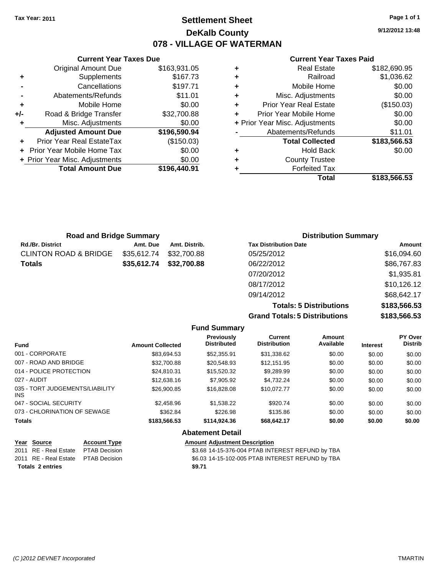## **Settlement Sheet Tax Year: 2011 Page 1 of 1 DeKalb County 078 - VILLAGE OF WATERMAN**

**9/12/2012 13:48**

#### **Current Year Taxes Paid**

|     | <b>Current Year Taxes Due</b>  |              |        |
|-----|--------------------------------|--------------|--------|
|     | <b>Original Amount Due</b>     | \$163,931.05 |        |
|     | Supplements                    | \$167.73     | ٠      |
|     | Cancellations                  | \$197.71     | ٠      |
|     | Abatements/Refunds             | \$11.01      | ٠      |
|     | Mobile Home                    | \$0.00       |        |
| +/- | Road & Bridge Transfer         | \$32,700.88  |        |
|     | Misc. Adjustments              | \$0.00       | + Prio |
|     | <b>Adjusted Amount Due</b>     | \$196,590.94 |        |
|     | Prior Year Real EstateTax      | (\$150.03)   |        |
|     | Prior Year Mobile Home Tax     | \$0.00       |        |
|     | + Prior Year Misc. Adjustments | \$0.00       | ٠      |
|     | <b>Total Amount Due</b>        | \$196,440.91 |        |
|     |                                |              |        |

|   | Real Estate                    | \$182,690.95 |
|---|--------------------------------|--------------|
| ٠ | Railroad                       | \$1,036.62   |
| ÷ | Mobile Home                    | \$0.00       |
| ٠ | Misc. Adjustments              | \$0.00       |
| ٠ | <b>Prior Year Real Estate</b>  | (\$150.03)   |
|   | Prior Year Mobile Home         | \$0.00       |
|   | + Prior Year Misc. Adjustments | \$0.00       |
|   | Abatements/Refunds             | \$11.01      |
|   | <b>Total Collected</b>         | \$183,566.53 |
| ٠ | <b>Hold Back</b>               | \$0.00       |
| ٠ | <b>County Trustee</b>          |              |
|   | <b>Forfeited Tax</b>           |              |
|   | Total                          | \$183,566.53 |
|   |                                |              |

| <b>Road and Bridge Summary</b>   |             |               | <b>Distribution Summary</b>  |             |  |
|----------------------------------|-------------|---------------|------------------------------|-------------|--|
| <b>Rd./Br. District</b>          | Amt. Due    | Amt. Distrib. | <b>Tax Distribution Date</b> | Amount      |  |
| <b>CLINTON ROAD &amp; BRIDGE</b> | \$35,612.74 | \$32,700.88   | 05/25/2012                   | \$16,094.60 |  |
| <b>Totals</b>                    | \$35,612.74 | \$32,700.88   | 06/22/2012                   | \$86,767.83 |  |
|                                  |             |               | 07/20/2012                   | \$1,935.81  |  |
|                                  |             |               | 08/17/2012                   | \$10,126.12 |  |
|                                  |             |               | 09/14/2012                   | \$68,642.17 |  |

**Totals: 5 Distributions \$183,566.53 Grand Totals: 5 Distributions \$183,566.53**

|                                                  |                         | <b>Fund Summary</b>                  |                                                  |                            |                 |                           |
|--------------------------------------------------|-------------------------|--------------------------------------|--------------------------------------------------|----------------------------|-----------------|---------------------------|
| <b>Fund</b>                                      | <b>Amount Collected</b> | Previously<br><b>Distributed</b>     | Current<br><b>Distribution</b>                   | <b>Amount</b><br>Available | <b>Interest</b> | PY Over<br><b>Distrib</b> |
| 001 - CORPORATE                                  | \$83,694.53             | \$52,355.91                          | \$31,338.62                                      | \$0.00                     | \$0.00          | \$0.00                    |
| 007 - ROAD AND BRIDGE                            | \$32,700.88             | \$20,548.93                          | \$12,151.95                                      | \$0.00                     | \$0.00          | \$0.00                    |
| 014 - POLICE PROTECTION                          | \$24,810.31             | \$15,520.32                          | \$9,289.99                                       | \$0.00                     | \$0.00          | \$0.00                    |
| 027 - AUDIT                                      | \$12,638.16             | \$7,905.92                           | \$4,732.24                                       | \$0.00                     | \$0.00          | \$0.00                    |
| 035 - TORT JUDGEMENTS/LIABILITY<br>INS.          | \$26,900.85             | \$16,828.08                          | \$10,072.77                                      | \$0.00                     | \$0.00          | \$0.00                    |
| 047 - SOCIAL SECURITY                            | \$2,458.96              | \$1,538.22                           | \$920.74                                         | \$0.00                     | \$0.00          | \$0.00                    |
| 073 - CHLORINATION OF SEWAGE                     | \$362.84                | \$226.98                             | \$135.86                                         | \$0.00                     | \$0.00          | \$0.00                    |
| <b>Totals</b>                                    | \$183,566.53            | \$114,924.36                         | \$68,642.17                                      | \$0.00                     | \$0.00          | \$0.00                    |
|                                                  |                         | <b>Abatement Detail</b>              |                                                  |                            |                 |                           |
| <b>Source</b><br><b>Account Type</b><br>Year     |                         | <b>Amount Adjustment Description</b> |                                                  |                            |                 |                           |
| RE - Real Estate<br>2011<br><b>PTAB Decision</b> |                         |                                      | \$3.68 14-15-376-004 PTAB INTEREST REFUND by TBA |                            |                 |                           |

| Totals 2 entries                     | \$9.71                                           |
|--------------------------------------|--------------------------------------------------|
| 2011 RE - Real Estate PTAB Decision  | \$6.03 14-15-102-005 PTAB INTEREST REFUND by TBA |
| 2011 RE - Real Estate  PTAB Decision | \$3.68 14-15-376-004 PTAB INTEREST REFUND by TBA |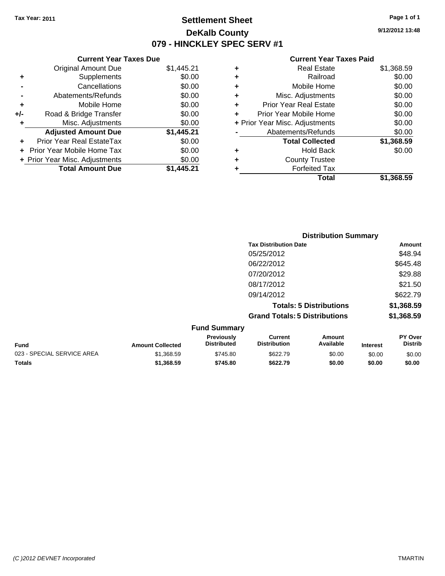## **Settlement Sheet Tax Year: 2011 Page 1 of 1 DeKalb County 079 - HINCKLEY SPEC SERV #1**

**9/12/2012 13:48**

#### **Current Year Taxes Paid**

|     | <b>Current Year Taxes Due</b>  |            |
|-----|--------------------------------|------------|
|     | <b>Original Amount Due</b>     | \$1,445.21 |
| ٠   | Supplements                    | \$0.00     |
|     | Cancellations                  | \$0.00     |
|     | Abatements/Refunds             | \$0.00     |
| ÷   | Mobile Home                    | \$0.00     |
| +/- | Road & Bridge Transfer         | \$0.00     |
|     | Misc. Adjustments              | \$0.00     |
|     | <b>Adjusted Amount Due</b>     | \$1,445.21 |
|     | Prior Year Real EstateTax      | \$0.00     |
|     | Prior Year Mobile Home Tax     | \$0.00     |
|     | + Prior Year Misc. Adjustments | \$0.00     |
|     | <b>Total Amount Due</b>        | \$1.445.21 |

|   | <b>Real Estate</b>             | \$1,368.59 |
|---|--------------------------------|------------|
| ٠ | Railroad                       | \$0.00     |
| ٠ | Mobile Home                    | \$0.00     |
| ٠ | Misc. Adjustments              | \$0.00     |
| ÷ | <b>Prior Year Real Estate</b>  | \$0.00     |
| ٠ | Prior Year Mobile Home         | \$0.00     |
|   | + Prior Year Misc. Adjustments | \$0.00     |
|   | Abatements/Refunds             | \$0.00     |
|   | <b>Total Collected</b>         | \$1,368.59 |
| ٠ | <b>Hold Back</b>               | \$0.00     |
| ٠ | <b>County Trustee</b>          |            |
| ٠ | <b>Forfeited Tax</b>           |            |
|   | Total                          | \$1,368.59 |
|   |                                |            |

|                            | <b>Distribution Summary</b> |                                  |                                       |                                |                 |                           |
|----------------------------|-----------------------------|----------------------------------|---------------------------------------|--------------------------------|-----------------|---------------------------|
|                            |                             |                                  | <b>Tax Distribution Date</b>          |                                |                 | Amount                    |
|                            |                             |                                  | 05/25/2012                            |                                |                 | \$48.94                   |
|                            |                             |                                  | 06/22/2012                            |                                |                 | \$645.48                  |
|                            |                             |                                  | 07/20/2012                            |                                |                 | \$29.88                   |
|                            |                             |                                  | 08/17/2012                            |                                |                 | \$21.50                   |
|                            |                             |                                  | 09/14/2012                            |                                |                 | \$622.79                  |
|                            |                             |                                  |                                       | <b>Totals: 5 Distributions</b> |                 | \$1,368.59                |
|                            |                             |                                  | <b>Grand Totals: 5 Distributions</b>  |                                |                 | \$1,368.59                |
|                            |                             | <b>Fund Summary</b>              |                                       |                                |                 |                           |
| Fund                       | <b>Amount Collected</b>     | Previously<br><b>Distributed</b> | <b>Current</b><br><b>Distribution</b> | Amount<br>Available            | <b>Interest</b> | PY Over<br><b>Distrib</b> |
| 023 - SPECIAL SERVICE AREA | \$1,368.59                  | \$745.80                         | \$622.79                              | \$0.00                         | \$0.00          | \$0.00                    |

**Totals \$1,368.59 \$745.80 \$622.79 \$0.00 \$0.00 \$0.00**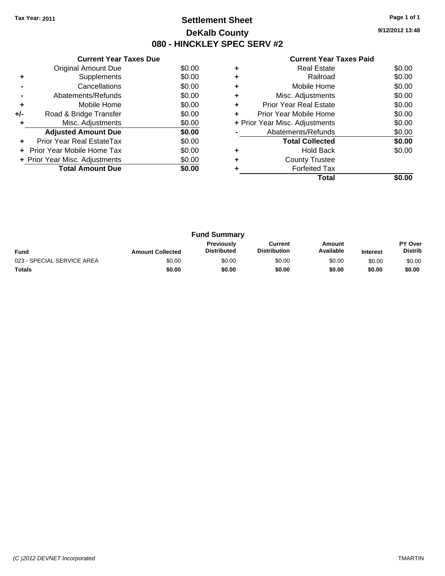## **Settlement Sheet Tax Year: 2011 Page 1 of 1 DeKalb County 080 - HINCKLEY SPEC SERV #2**

**9/12/2012 13:48**

|     | <b>Current Year Taxes Due</b>  |        |
|-----|--------------------------------|--------|
|     | Original Amount Due            | \$0.00 |
| ÷   | Supplements                    | \$0.00 |
|     | Cancellations                  | \$0.00 |
|     | Abatements/Refunds             | \$0.00 |
| ٠   | Mobile Home                    | \$0.00 |
| +/- | Road & Bridge Transfer         | \$0.00 |
| ٠   | Misc. Adjustments              | \$0.00 |
|     | <b>Adjusted Amount Due</b>     | \$0.00 |
|     | Prior Year Real EstateTax      | \$0.00 |
|     | Prior Year Mobile Home Tax     | \$0.00 |
|     | + Prior Year Misc. Adjustments | \$0.00 |
|     | <b>Total Amount Due</b>        | \$0.00 |
|     |                                |        |

|   | <b>Real Estate</b>             | \$0.00 |
|---|--------------------------------|--------|
|   | Railroad                       | \$0.00 |
| ٠ | Mobile Home                    | \$0.00 |
| ٠ | Misc. Adjustments              | \$0.00 |
| ٠ | <b>Prior Year Real Estate</b>  | \$0.00 |
| ٠ | Prior Year Mobile Home         | \$0.00 |
|   | + Prior Year Misc. Adjustments | \$0.00 |
|   | Abatements/Refunds             | \$0.00 |
|   | <b>Total Collected</b>         | \$0.00 |
|   | <b>Hold Back</b>               | \$0.00 |
|   | <b>County Trustee</b>          |        |
|   | <b>Forfeited Tax</b>           |        |
|   | Total                          |        |

| <b>Fund Summary</b>        |                         |                                  |                                |                     |                 |                                  |
|----------------------------|-------------------------|----------------------------------|--------------------------------|---------------------|-----------------|----------------------------------|
| <b>Fund</b>                | <b>Amount Collected</b> | Previously<br><b>Distributed</b> | Current<br><b>Distribution</b> | Amount<br>Available | <b>Interest</b> | <b>PY Over</b><br><b>Distrib</b> |
| 023 - SPECIAL SERVICE AREA | \$0.00                  | \$0.00                           | \$0.00                         | \$0.00              | \$0.00          | \$0.00                           |
| Totals                     | \$0.00                  | \$0.00                           | \$0.00                         | \$0.00              | \$0.00          | \$0.00                           |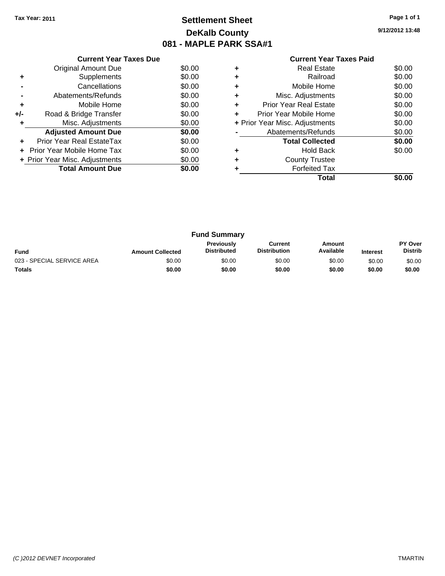## **Settlement Sheet Tax Year: 2011 Page 1 of 1 DeKalb County 081 - MAPLE PARK SSA#1**

**9/12/2012 13:48**

|     | <b>Current Year Taxes Due</b>  |        |
|-----|--------------------------------|--------|
|     | <b>Original Amount Due</b>     | \$0.00 |
| ٠   | Supplements                    | \$0.00 |
|     | Cancellations                  | \$0.00 |
|     | Abatements/Refunds             | \$0.00 |
| ٠   | Mobile Home                    | \$0.00 |
| +/- | Road & Bridge Transfer         | \$0.00 |
| ٠   | Misc. Adjustments              | \$0.00 |
|     | <b>Adjusted Amount Due</b>     | \$0.00 |
|     | Prior Year Real EstateTax      | \$0.00 |
| ÷   | - Prior Year Mobile Home Tax   | \$0.00 |
|     | + Prior Year Misc. Adjustments | \$0.00 |
|     | <b>Total Amount Due</b>        | \$0.00 |
|     |                                |        |

|   | <b>Real Estate</b>             | \$0.00 |
|---|--------------------------------|--------|
| ٠ | Railroad                       | \$0.00 |
| ٠ | Mobile Home                    | \$0.00 |
| ٠ | Misc. Adjustments              | \$0.00 |
| ٠ | <b>Prior Year Real Estate</b>  | \$0.00 |
| ٠ | Prior Year Mobile Home         | \$0.00 |
|   | + Prior Year Misc. Adjustments | \$0.00 |
|   | Abatements/Refunds             | \$0.00 |
|   | <b>Total Collected</b>         | \$0.00 |
| ٠ | <b>Hold Back</b>               | \$0.00 |
| ٠ | <b>County Trustee</b>          |        |
|   | <b>Forfeited Tax</b>           |        |
|   | Total                          |        |

| <b>Fund Summary</b>        |                         |                                         |                                |                     |                 |                           |
|----------------------------|-------------------------|-----------------------------------------|--------------------------------|---------------------|-----------------|---------------------------|
| <b>Fund</b>                | <b>Amount Collected</b> | <b>Previously</b><br><b>Distributed</b> | Current<br><b>Distribution</b> | Amount<br>Available | <b>Interest</b> | PY Over<br><b>Distrib</b> |
| 023 - SPECIAL SERVICE AREA | \$0.00                  | \$0.00                                  | \$0.00                         | \$0.00              | \$0.00          | \$0.00                    |
| <b>Totals</b>              | \$0.00                  | \$0.00                                  | \$0.00                         | \$0.00              | \$0.00          | \$0.00                    |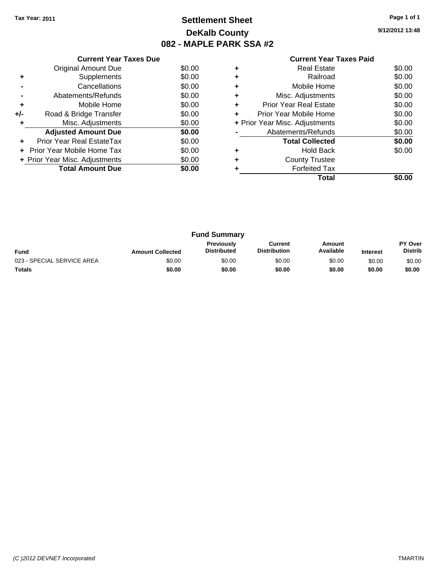## **Settlement Sheet Tax Year: 2011 Page 1 of 1 DeKalb County 082 - MAPLE PARK SSA #2**

**9/12/2012 13:48**

|     | <b>Current Year Taxes Due</b>     |        |
|-----|-----------------------------------|--------|
|     | Original Amount Due               | \$0.00 |
| ٠   | Supplements                       | \$0.00 |
|     | Cancellations                     | \$0.00 |
|     | Abatements/Refunds                | \$0.00 |
| ٠   | Mobile Home                       | \$0.00 |
| +/- | Road & Bridge Transfer            | \$0.00 |
| ٠   | Misc. Adjustments                 | \$0.00 |
|     | <b>Adjusted Amount Due</b>        | \$0.00 |
|     | Prior Year Real EstateTax         | \$0.00 |
|     | <b>Prior Year Mobile Home Tax</b> | \$0.00 |
|     | + Prior Year Misc. Adjustments    | \$0.00 |
|     | <b>Total Amount Due</b>           | \$0.00 |
|     |                                   |        |

|   | <b>Real Estate</b>             | \$0.00 |
|---|--------------------------------|--------|
| ٠ | Railroad                       | \$0.00 |
| ٠ | Mobile Home                    | \$0.00 |
| ٠ | Misc. Adjustments              | \$0.00 |
| ٠ | <b>Prior Year Real Estate</b>  | \$0.00 |
|   | Prior Year Mobile Home         | \$0.00 |
|   | + Prior Year Misc. Adjustments | \$0.00 |
|   | Abatements/Refunds             | \$0.00 |
|   | <b>Total Collected</b>         | \$0.00 |
|   | <b>Hold Back</b>               | \$0.00 |
|   | <b>County Trustee</b>          |        |
|   | <b>Forfeited Tax</b>           |        |
|   | Total                          |        |

| <b>Fund Summary</b>        |                         |                                         |                                |                     |                 |                           |
|----------------------------|-------------------------|-----------------------------------------|--------------------------------|---------------------|-----------------|---------------------------|
| <b>Fund</b>                | <b>Amount Collected</b> | <b>Previously</b><br><b>Distributed</b> | Current<br><b>Distribution</b> | Amount<br>Available | <b>Interest</b> | PY Over<br><b>Distrib</b> |
| 023 - SPECIAL SERVICE AREA | \$0.00                  | \$0.00                                  | \$0.00                         | \$0.00              | \$0.00          | \$0.00                    |
| <b>Totals</b>              | \$0.00                  | \$0.00                                  | \$0.00                         | \$0.00              | \$0.00          | \$0.00                    |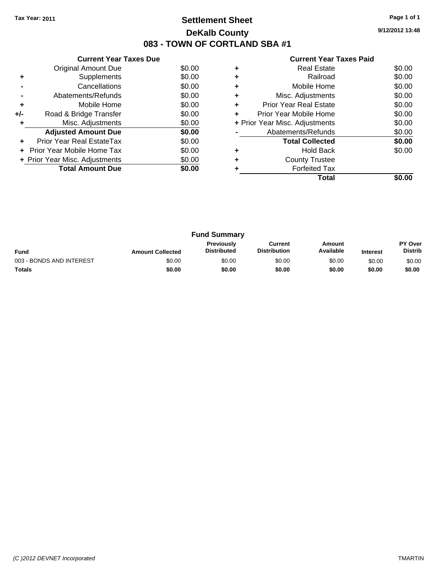## **Settlement Sheet Tax Year: 2011 Page 1 of 1 DeKalb County 083 - TOWN OF CORTLAND SBA #1**

**9/12/2012 13:48**

| <b>Current Year Taxes Paid</b> |  |  |  |  |
|--------------------------------|--|--|--|--|
|--------------------------------|--|--|--|--|

|       | <b>Current Year Taxes Due</b>  |        |
|-------|--------------------------------|--------|
|       | Original Amount Due            | \$0.00 |
| ٠     | Supplements                    | \$0.00 |
|       | Cancellations                  | \$0.00 |
|       | Abatements/Refunds             | \$0.00 |
| ٠     | Mobile Home                    | \$0.00 |
| $+/-$ | Road & Bridge Transfer         | \$0.00 |
|       | Misc. Adjustments              | \$0.00 |
|       | <b>Adjusted Amount Due</b>     | \$0.00 |
|       | Prior Year Real EstateTax      | \$0.00 |
|       | Prior Year Mobile Home Tax     | \$0.00 |
|       | + Prior Year Misc. Adjustments | \$0.00 |
|       | <b>Total Amount Due</b>        | \$0.00 |
|       |                                |        |

|   | <b>Real Estate</b>             | \$0.00 |
|---|--------------------------------|--------|
| ٠ | Railroad                       | \$0.00 |
| ٠ | Mobile Home                    | \$0.00 |
| ٠ | Misc. Adjustments              | \$0.00 |
| ٠ | <b>Prior Year Real Estate</b>  | \$0.00 |
| ÷ | Prior Year Mobile Home         | \$0.00 |
|   | + Prior Year Misc. Adjustments | \$0.00 |
|   | Abatements/Refunds             | \$0.00 |
|   | <b>Total Collected</b>         | \$0.00 |
|   | <b>Hold Back</b>               | \$0.00 |
| ٠ | <b>County Trustee</b>          |        |
|   | <b>Forfeited Tax</b>           |        |
|   | Total                          |        |

| <b>Fund Summary</b>      |                         |                                  |                                |                     |                 |                                  |
|--------------------------|-------------------------|----------------------------------|--------------------------------|---------------------|-----------------|----------------------------------|
| <b>Fund</b>              | <b>Amount Collected</b> | Previously<br><b>Distributed</b> | Current<br><b>Distribution</b> | Amount<br>Available | <b>Interest</b> | <b>PY Over</b><br><b>Distrib</b> |
| 003 - BONDS AND INTEREST | \$0.00                  | \$0.00                           | \$0.00                         | \$0.00              | \$0.00          | \$0.00                           |
| <b>Totals</b>            | \$0.00                  | \$0.00                           | \$0.00                         | \$0.00              | \$0.00          | \$0.00                           |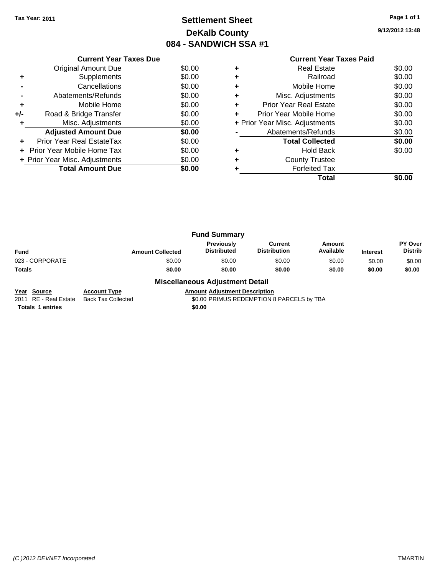## **Settlement Sheet Tax Year: 2011 Page 1 of 1 DeKalb County 084 - SANDWICH SSA #1**

**9/12/2012 13:48**

|     | <b>Current Year Taxes Due</b>  |        |
|-----|--------------------------------|--------|
|     | Original Amount Due            | \$0.00 |
|     | Supplements                    | \$0.00 |
|     | Cancellations                  | \$0.00 |
|     | Abatements/Refunds             | \$0.00 |
| ٠   | Mobile Home                    | \$0.00 |
| +/- | Road & Bridge Transfer         | \$0.00 |
|     | Misc. Adjustments              | \$0.00 |
|     | <b>Adjusted Amount Due</b>     | \$0.00 |
|     | Prior Year Real EstateTax      | \$0.00 |
|     | Prior Year Mobile Home Tax     | \$0.00 |
|     | + Prior Year Misc. Adjustments | \$0.00 |
|     | <b>Total Amount Due</b>        | \$0.00 |
|     |                                |        |

#### **Current Year Taxes Paid +** Real Estate \$0.00 **+** Railroad \$0.00 **+** Mobile Home \$0.00 **+** Misc. Adjustments \$0.00 **+** Prior Year Real Estate \$0.00 **+** Prior Year Mobile Home \$0.00 **+ Prior Year Misc. Adjustments**  $$0.00$ **-** Abatements/Refunds \$0.00 **Total Collected \$0.00 +** Hold Back \$0.00 **+** County Trustee **+** Forfeited Tax **Total \$0.00**

|                 |                         | <b>Fund Summary</b>                     |                                |                     |                 |                                  |
|-----------------|-------------------------|-----------------------------------------|--------------------------------|---------------------|-----------------|----------------------------------|
| Fund            | <b>Amount Collected</b> | <b>Previously</b><br><b>Distributed</b> | Current<br><b>Distribution</b> | Amount<br>Available | <b>Interest</b> | <b>PY Over</b><br><b>Distrib</b> |
| 023 - CORPORATE | \$0.00                  | \$0.00                                  | \$0.00                         | \$0.00              | \$0.00          | \$0.00                           |
| Totals          | \$0.00                  | \$0.00                                  | \$0.00                         | \$0.00              | \$0.00          | \$0.00                           |
|                 |                         |                                         |                                |                     |                 |                                  |

#### **Miscellaneous Adjustment Detail**

**Year Source Account Type Amount Adjustment Description**<br>2011 RE - Real Estate Back Tax Collected **Amount SO.00 PRIMUS REDEMPTION** Back Tax Collected **2011 COLLECTED** S0.00 PRIMUS REDEMPTION 8 PARCELS by TBA

**Totals 1 entries** \$0.00

*(C )2012 DEVNET Incorporated* TMARTIN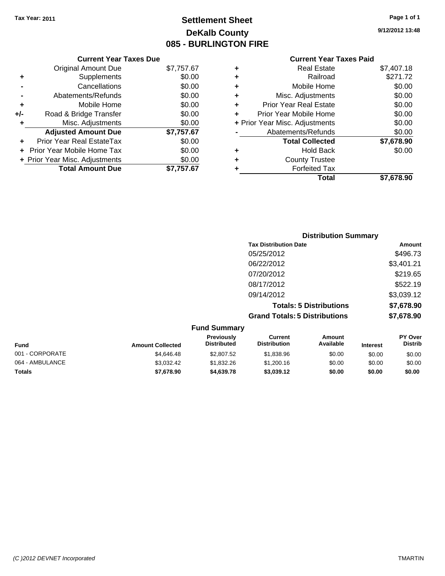## **Settlement Sheet Tax Year: 2011 Page 1 of 1 DeKalb County 085 - BURLINGTON FIRE**

**9/12/2012 13:48**

|     | <b>Current Year Taxes Due</b>     |            |
|-----|-----------------------------------|------------|
|     | <b>Original Amount Due</b>        | \$7,757.67 |
| ٠   | Supplements                       | \$0.00     |
|     | Cancellations                     | \$0.00     |
|     | Abatements/Refunds                | \$0.00     |
| ٠   | Mobile Home                       | \$0.00     |
| +/- | Road & Bridge Transfer            | \$0.00     |
| ٠   | Misc. Adjustments                 | \$0.00     |
|     | <b>Adjusted Amount Due</b>        | \$7,757.67 |
|     | <b>Prior Year Real EstateTax</b>  | \$0.00     |
|     | <b>Prior Year Mobile Home Tax</b> | \$0.00     |
|     | + Prior Year Misc. Adjustments    | \$0.00     |
|     | <b>Total Amount Due</b>           | \$7.757.67 |

| ٠ | <b>Real Estate</b>             | \$7,407.18 |
|---|--------------------------------|------------|
| ٠ | Railroad                       | \$271.72   |
| ٠ | Mobile Home                    | \$0.00     |
| ٠ | Misc. Adjustments              | \$0.00     |
| ÷ | <b>Prior Year Real Estate</b>  | \$0.00     |
| ٠ | Prior Year Mobile Home         | \$0.00     |
|   | + Prior Year Misc. Adjustments | \$0.00     |
|   | Abatements/Refunds             | \$0.00     |
|   | <b>Total Collected</b>         | \$7,678.90 |
| ٠ | <b>Hold Back</b>               | \$0.00     |
| ٠ | <b>County Trustee</b>          |            |
| ٠ | <b>Forfeited Tax</b>           |            |
|   | Total                          | \$7.678.90 |
|   |                                |            |

|                     | <b>Distribution Summary</b>          |            |
|---------------------|--------------------------------------|------------|
|                     | <b>Tax Distribution Date</b>         | Amount     |
|                     | 05/25/2012                           | \$496.73   |
|                     | 06/22/2012                           | \$3,401.21 |
|                     | 07/20/2012                           | \$219.65   |
|                     | 08/17/2012                           | \$522.19   |
|                     | 09/14/2012                           | \$3,039.12 |
|                     | <b>Totals: 5 Distributions</b>       | \$7,678.90 |
|                     | <b>Grand Totals: 5 Distributions</b> | \$7,678.90 |
| <b>Fund Summary</b> |                                      |            |

| unu vunnary     |                         |                                         |                                |                     |                 |                                  |
|-----------------|-------------------------|-----------------------------------------|--------------------------------|---------------------|-----------------|----------------------------------|
| <b>Fund</b>     | <b>Amount Collected</b> | <b>Previously</b><br><b>Distributed</b> | Current<br><b>Distribution</b> | Amount<br>Available | <b>Interest</b> | <b>PY Over</b><br><b>Distrib</b> |
| 001 - CORPORATE | \$4,646,48              | \$2,807.52                              | \$1,838.96                     | \$0.00              | \$0.00          | \$0.00                           |
| 064 - AMBULANCE | \$3.032.42              | \$1,832,26                              | \$1,200.16                     | \$0.00              | \$0.00          | \$0.00                           |
| Totals          | \$7,678.90              | \$4,639,78                              | \$3,039.12                     | \$0.00              | \$0.00          | \$0.00                           |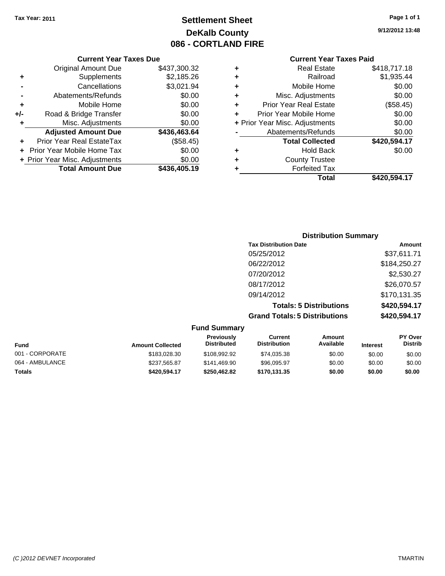## **Settlement Sheet Tax Year: 2011 Page 1 of 1 DeKalb County 086 - CORTLAND FIRE**

## **9/12/2012 13:48**

|   | Real Estate                    | \$418,717.18 |
|---|--------------------------------|--------------|
| ٠ | Railroad                       | \$1,935.44   |
| ٠ | Mobile Home                    | \$0.00       |
| ÷ | Misc. Adjustments              | \$0.00       |
| ÷ | <b>Prior Year Real Estate</b>  | (\$58.45)    |
| ٠ | Prior Year Mobile Home         | \$0.00       |
|   | + Prior Year Misc. Adjustments | \$0.00       |
|   | Abatements/Refunds             | \$0.00       |
|   | <b>Total Collected</b>         | \$420,594.17 |
| ٠ | <b>Hold Back</b>               | \$0.00       |
|   | <b>County Trustee</b>          |              |
|   | <b>Forfeited Tax</b>           |              |
|   | Total                          | \$420,594.17 |

|     | <b>Current Year Taxes Due</b>  |              |
|-----|--------------------------------|--------------|
|     | <b>Original Amount Due</b>     | \$437,300.32 |
| ٠   | Supplements                    | \$2,185.26   |
|     | Cancellations                  | \$3,021.94   |
|     | Abatements/Refunds             | \$0.00       |
| ٠   | Mobile Home                    | \$0.00       |
| +/- | Road & Bridge Transfer         | \$0.00       |
| ٠   | Misc. Adjustments              | \$0.00       |
|     | <b>Adjusted Amount Due</b>     | \$436,463.64 |
|     | Prior Year Real EstateTax      | (\$58.45)    |
|     | Prior Year Mobile Home Tax     | \$0.00       |
|     | + Prior Year Misc. Adjustments | \$0.00       |
|     | <b>Total Amount Due</b>        | \$436,405.19 |

| <b>Distribution Summary</b>          |              |
|--------------------------------------|--------------|
| <b>Tax Distribution Date</b>         | Amount       |
| 05/25/2012                           | \$37,611.71  |
| 06/22/2012                           | \$184,250.27 |
| 07/20/2012                           | \$2,530.27   |
| 08/17/2012                           | \$26,070.57  |
| 09/14/2012                           | \$170,131.35 |
| <b>Totals: 5 Distributions</b>       | \$420,594.17 |
| <b>Grand Totals: 5 Distributions</b> | \$420,594.17 |
|                                      |              |

| <b>Fund Summary</b> |                         |                                         |                                |                     |                 |                                  |
|---------------------|-------------------------|-----------------------------------------|--------------------------------|---------------------|-----------------|----------------------------------|
| <b>Fund</b>         | <b>Amount Collected</b> | <b>Previously</b><br><b>Distributed</b> | Current<br><b>Distribution</b> | Amount<br>Available | <b>Interest</b> | <b>PY Over</b><br><b>Distrib</b> |
| 001 - CORPORATE     | \$183,028,30            | \$108.992.92                            | \$74,035.38                    | \$0.00              | \$0.00          | \$0.00                           |
| 064 - AMBULANCE     | \$237,565.87            | \$141,469.90                            | \$96,095.97                    | \$0.00              | \$0.00          | \$0.00                           |
| <b>Totals</b>       | \$420,594.17            | \$250,462.82                            | \$170,131.35                   | \$0.00              | \$0.00          | \$0.00                           |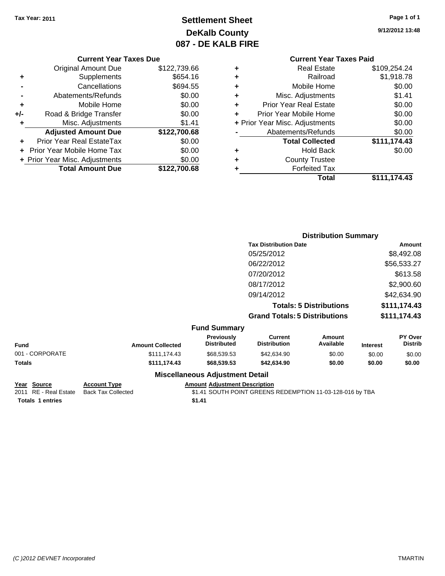## **Settlement Sheet Tax Year: 2011 Page 1 of 1 DeKalb County 087 - DE KALB FIRE**

**9/12/2012 13:48**

| <b>Current Year Taxes Due</b> |                                |              |  |  |
|-------------------------------|--------------------------------|--------------|--|--|
|                               | <b>Original Amount Due</b>     | \$122,739.66 |  |  |
| ٠                             | Supplements                    | \$654.16     |  |  |
|                               | Cancellations                  | \$694.55     |  |  |
|                               | Abatements/Refunds             | \$0.00       |  |  |
| ٠                             | Mobile Home                    | \$0.00       |  |  |
| +/-                           | Road & Bridge Transfer         | \$0.00       |  |  |
|                               | Misc. Adjustments              | \$1.41       |  |  |
|                               | <b>Adjusted Amount Due</b>     | \$122,700.68 |  |  |
|                               | Prior Year Real EstateTax      | \$0.00       |  |  |
|                               | Prior Year Mobile Home Tax     | \$0.00       |  |  |
|                               | + Prior Year Misc. Adjustments | \$0.00       |  |  |
|                               | <b>Total Amount Due</b>        | \$122,700.68 |  |  |
|                               |                                |              |  |  |

## **Current Year Taxes Paid**

| ٠ | <b>Real Estate</b>             | \$109,254.24 |
|---|--------------------------------|--------------|
| ٠ | Railroad                       | \$1,918.78   |
| ٠ | Mobile Home                    | \$0.00       |
| ٠ | Misc. Adjustments              | \$1.41       |
| ٠ | <b>Prior Year Real Estate</b>  | \$0.00       |
| ٠ | Prior Year Mobile Home         | \$0.00       |
|   | + Prior Year Misc. Adjustments | \$0.00       |
|   | Abatements/Refunds             | \$0.00       |
|   | <b>Total Collected</b>         | \$111,174.43 |
| ٠ | <b>Hold Back</b>               | \$0.00       |
| ٠ | <b>County Trustee</b>          |              |
| ٠ | <b>Forfeited Tax</b>           |              |
|   | Total                          | \$111,174.43 |
|   |                                |              |

|                 |                         |                                  | <b>Distribution Summary</b>           |                                |                 |                           |  |
|-----------------|-------------------------|----------------------------------|---------------------------------------|--------------------------------|-----------------|---------------------------|--|
|                 |                         |                                  | <b>Tax Distribution Date</b>          |                                |                 | Amount                    |  |
|                 |                         |                                  | 05/25/2012                            |                                |                 | \$8,492.08                |  |
|                 |                         |                                  | 06/22/2012                            |                                |                 | \$56,533.27               |  |
|                 |                         |                                  | 07/20/2012                            |                                |                 | \$613.58                  |  |
|                 |                         |                                  | 08/17/2012                            |                                |                 | \$2,900.60                |  |
|                 |                         |                                  | 09/14/2012                            |                                |                 | \$42,634.90               |  |
|                 |                         |                                  |                                       | <b>Totals: 5 Distributions</b> |                 | \$111,174.43              |  |
|                 |                         |                                  | <b>Grand Totals: 5 Distributions</b>  |                                |                 | \$111,174.43              |  |
|                 |                         | <b>Fund Summary</b>              |                                       |                                |                 |                           |  |
| <b>Fund</b>     | <b>Amount Collected</b> | Previously<br><b>Distributed</b> | <b>Current</b><br><b>Distribution</b> | Amount<br>Available            | <b>Interest</b> | PY Over<br><b>Distrib</b> |  |
| 001 - CORPORATE | \$111,174.43            | \$68,539.53                      | \$42,634.90                           | \$0.00                         | \$0.00          | \$0.00                    |  |

| <b>Totals</b> | \$111.174.43 | \$68,539.53 | \$42,634.90 | \$0.00 | \$0.00 | \$0.00 |
|---------------|--------------|-------------|-------------|--------|--------|--------|
|               |              |             |             |        |        |        |

**Year Source Account Type Amount Adjustment Description**

# **Totals 1 entries** \$1.41

## **Miscellaneous Adjustment Detail**

2011 RE - Real Estate Back Tax Collected **\$1.41 SOUTH POINT GREENS REDEMPTION 11-03-128-016 by TBA**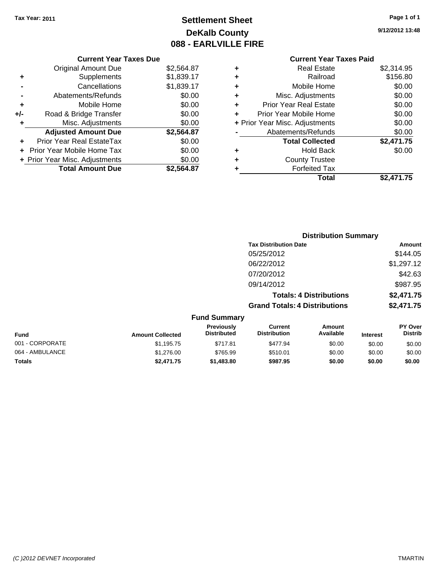## **Settlement Sheet Tax Year: 2011 Page 1 of 1 DeKalb County 088 - EARLVILLE FIRE**

**9/12/2012 13:48**

## **Current Year Taxes Paid**

|     | <b>Current Year Taxes Due</b>     |            |   |             |
|-----|-----------------------------------|------------|---|-------------|
|     | <b>Original Amount Due</b>        | \$2,564.87 | ٠ |             |
|     | Supplements                       | \$1,839.17 | ٠ |             |
|     | Cancellations                     | \$1,839.17 | ٠ |             |
|     | Abatements/Refunds                | \$0.00     |   |             |
|     | Mobile Home                       | \$0.00     |   | Pr          |
| +/- | Road & Bridge Transfer            | \$0.00     |   | Prio        |
| ٠   | Misc. Adjustments                 | \$0.00     |   | + Prior Yea |
|     | <b>Adjusted Amount Due</b>        | \$2,564.87 |   | ŀ           |
|     | Prior Year Real EstateTax         | \$0.00     |   |             |
|     | <b>Prior Year Mobile Home Tax</b> | \$0.00     |   |             |
|     | + Prior Year Misc. Adjustments    | \$0.00     |   |             |
|     | <b>Total Amount Due</b>           | \$2,564.87 |   |             |
|     |                                   |            |   |             |

|   | Total                          | \$2,471.75 |
|---|--------------------------------|------------|
| ٠ | <b>Forfeited Tax</b>           |            |
| ٠ | <b>County Trustee</b>          |            |
| ٠ | <b>Hold Back</b>               | \$0.00     |
|   | <b>Total Collected</b>         | \$2,471.75 |
|   | Abatements/Refunds             | \$0.00     |
|   | + Prior Year Misc. Adjustments | \$0.00     |
| ٠ | Prior Year Mobile Home         | \$0.00     |
| ÷ | <b>Prior Year Real Estate</b>  | \$0.00     |
| ÷ | Misc. Adjustments              | \$0.00     |
| ٠ | Mobile Home                    | \$0.00     |
| ÷ | Railroad                       | \$156.80   |
| ٠ | <b>Real Estate</b>             | \$2,314.95 |
|   |                                |            |

|                 |                         |                                  |                                       | <b>Distribution Summary</b>    |                 |                           |
|-----------------|-------------------------|----------------------------------|---------------------------------------|--------------------------------|-----------------|---------------------------|
|                 |                         |                                  | <b>Tax Distribution Date</b>          |                                |                 | Amount                    |
|                 |                         |                                  | 05/25/2012                            |                                |                 | \$144.05                  |
|                 |                         |                                  | 06/22/2012                            |                                |                 | \$1,297.12                |
|                 |                         |                                  | 07/20/2012                            |                                |                 | \$42.63                   |
|                 |                         |                                  | 09/14/2012                            |                                |                 | \$987.95                  |
|                 |                         |                                  |                                       | <b>Totals: 4 Distributions</b> |                 | \$2,471.75                |
|                 |                         |                                  | <b>Grand Totals: 4 Distributions</b>  |                                |                 | \$2,471.75                |
|                 |                         | <b>Fund Summary</b>              |                                       |                                |                 |                           |
| <b>Fund</b>     | <b>Amount Collected</b> | Previously<br><b>Distributed</b> | <b>Current</b><br><b>Distribution</b> | Amount<br>Available            | <b>Interest</b> | PY Over<br><b>Distrib</b> |
| 001 - CORPORATE | \$1,195.75              | \$717.81                         | \$477.94                              | \$0.00                         | \$0.00          | \$0.00                    |
| 064 - AMBULANCE | \$1,276.00              | \$765.99                         | \$510.01                              | \$0.00                         | \$0.00          | \$0.00                    |
|                 |                         |                                  |                                       |                                |                 |                           |

**Totals \$2,471.75 \$1,483.80 \$987.95 \$0.00 \$0.00 \$0.00**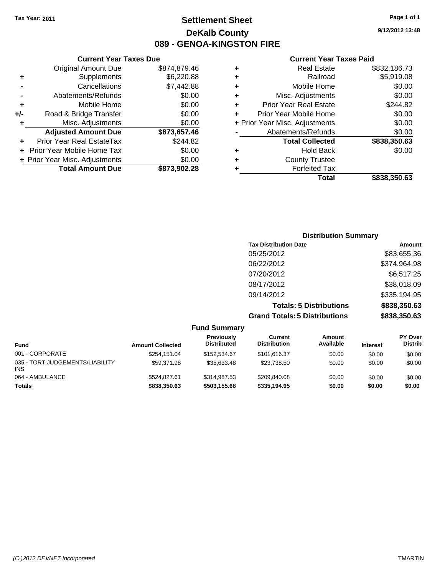## **Settlement Sheet Tax Year: 2011 Page 1 of 1 DeKalb County 089 - GENOA-KINGSTON FIRE**

**9/12/2012 13:48**

|   | Total                          | \$838.350.63 |
|---|--------------------------------|--------------|
| ٠ | <b>Forfeited Tax</b>           |              |
| ٠ | <b>County Trustee</b>          |              |
| ٠ | <b>Hold Back</b>               | \$0.00       |
|   | <b>Total Collected</b>         | \$838,350.63 |
|   | Abatements/Refunds             | \$0.00       |
|   | + Prior Year Misc. Adjustments | \$0.00       |
| ٠ | Prior Year Mobile Home         | \$0.00       |
| ٠ | <b>Prior Year Real Estate</b>  | \$244.82     |
| ٠ | Misc. Adjustments              | \$0.00       |
| ٠ | Mobile Home                    | \$0.00       |
| ٠ | Railroad                       | \$5,919.08   |
| ٠ | <b>Real Estate</b>             | \$832,186.73 |

| <b>Current Year Taxes Due</b>     |              |
|-----------------------------------|--------------|
| <b>Original Amount Due</b>        | \$874,879.46 |
| Supplements                       | \$6,220.88   |
| Cancellations                     | \$7,442.88   |
| Abatements/Refunds                | \$0.00       |
| Mobile Home                       | \$0.00       |
| Road & Bridge Transfer            | \$0.00       |
| Misc. Adjustments                 | \$0.00       |
| <b>Adjusted Amount Due</b>        | \$873,657.46 |
| Prior Year Real EstateTax         | \$244.82     |
| <b>Prior Year Mobile Home Tax</b> | \$0.00       |
| + Prior Year Misc. Adjustments    | \$0.00       |
| <b>Total Amount Due</b>           | \$873.902.28 |
|                                   |              |

| <b>Distribution Summary</b> |
|-----------------------------|
| Amount                      |
| \$83,655.36                 |
| \$374,964.98                |
| \$6,517.25                  |
| \$38,018.09                 |
| \$335,194.95                |
| \$838,350.63                |
| \$838,350.63                |
|                             |

|                                        |                         | <b>Fund Summary</b>              |                                |                     |                 |                           |
|----------------------------------------|-------------------------|----------------------------------|--------------------------------|---------------------|-----------------|---------------------------|
| <b>Fund</b>                            | <b>Amount Collected</b> | Previously<br><b>Distributed</b> | Current<br><b>Distribution</b> | Amount<br>Available | <b>Interest</b> | PY Over<br><b>Distrib</b> |
| 001 - CORPORATE                        | \$254.151.04            | \$152,534.67                     | \$101.616.37                   | \$0.00              | \$0.00          | \$0.00                    |
| 035 - TORT JUDGEMENTS/LIABILITY<br>INS | \$59.371.98             | \$35.633.48                      | \$23.738.50                    | \$0.00              | \$0.00          | \$0.00                    |
| 064 - AMBULANCE                        | \$524.827.61            | \$314.987.53                     | \$209.840.08                   | \$0.00              | \$0.00          | \$0.00                    |
| <b>Totals</b>                          | \$838,350.63            | \$503.155.68                     | \$335.194.95                   | \$0.00              | \$0.00          | \$0.00                    |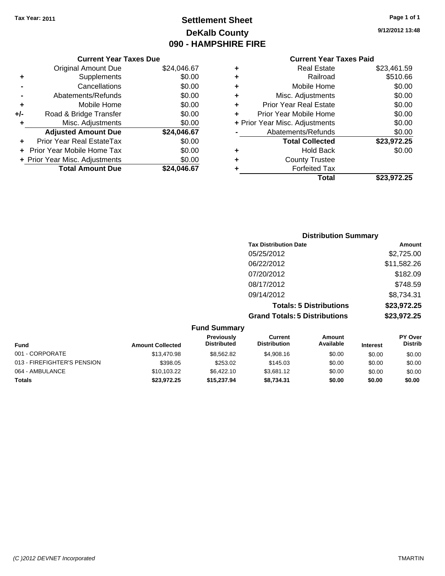## **Settlement Sheet Tax Year: 2011 Page 1 of 1 DeKalb County 090 - HAMPSHIRE FIRE**

**9/12/2012 13:48**

| \$24,046.67 |
|-------------|
| \$0.00      |
| \$0.00      |
| \$0.00      |
| \$0.00      |
| \$0.00      |
| \$0.00      |
| \$24,046.67 |
| \$0.00      |
| \$0.00      |
| \$0.00      |
| \$24,046.67 |
|             |

| <b>Real Estate</b>             | \$23,461.59 |
|--------------------------------|-------------|
| Railroad                       | \$510.66    |
| Mobile Home                    | \$0.00      |
| Misc. Adjustments              | \$0.00      |
| <b>Prior Year Real Estate</b>  | \$0.00      |
| Prior Year Mobile Home         | \$0.00      |
| + Prior Year Misc. Adjustments | \$0.00      |
| Abatements/Refunds             | \$0.00      |
| <b>Total Collected</b>         | \$23,972.25 |
| <b>Hold Back</b>               | \$0.00      |
| <b>County Trustee</b>          |             |
| <b>Forfeited Tax</b>           |             |
| Total                          | \$23,972.25 |
|                                |             |

| <b>Distribution Summary</b>          |             |
|--------------------------------------|-------------|
| <b>Tax Distribution Date</b>         | Amount      |
| 05/25/2012                           | \$2,725.00  |
| 06/22/2012                           | \$11,582.26 |
| 07/20/2012                           | \$182.09    |
| 08/17/2012                           | \$748.59    |
| 09/14/2012                           | \$8,734.31  |
| <b>Totals: 5 Distributions</b>       | \$23,972.25 |
| <b>Grand Totals: 5 Distributions</b> | \$23,972.25 |

|                             |                         | <b>Fund Summary</b>                     |                                |                     |                 |                                  |
|-----------------------------|-------------------------|-----------------------------------------|--------------------------------|---------------------|-----------------|----------------------------------|
| Fund                        | <b>Amount Collected</b> | <b>Previously</b><br><b>Distributed</b> | Current<br><b>Distribution</b> | Amount<br>Available | <b>Interest</b> | <b>PY Over</b><br><b>Distrib</b> |
| 001 - CORPORATE             | \$13,470.98             | \$8,562.82                              | \$4,908.16                     | \$0.00              | \$0.00          | \$0.00                           |
| 013 - FIREFIGHTER'S PENSION | \$398.05                | \$253.02                                | \$145.03                       | \$0.00              | \$0.00          | \$0.00                           |
| 064 - AMBULANCE             | \$10.103.22             | \$6,422.10                              | \$3.681.12                     | \$0.00              | \$0.00          | \$0.00                           |
| Totals                      | \$23,972.25             | \$15,237.94                             | \$8,734.31                     | \$0.00              | \$0.00          | \$0.00                           |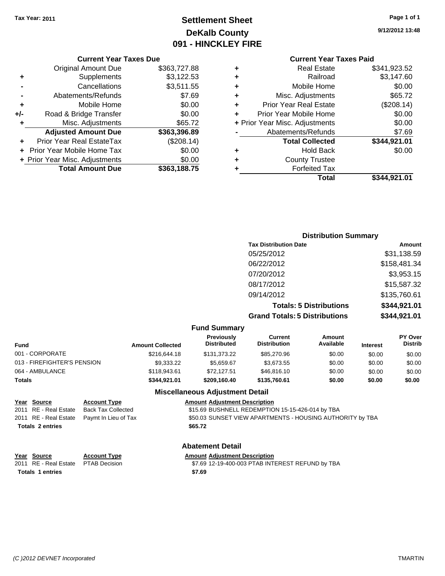## **Settlement Sheet Tax Year: 2011 Page 1 of 1 DeKalb County 091 - HINCKLEY FIRE**

**9/12/2012 13:48**

#### **Current Year Taxes Due**

|     | <b>Original Amount Due</b>     | \$363,727.88 |
|-----|--------------------------------|--------------|
| ٠   | Supplements                    | \$3,122.53   |
|     | Cancellations                  | \$3,511.55   |
|     | Abatements/Refunds             | \$7.69       |
| ٠   | Mobile Home                    | \$0.00       |
| +/- | Road & Bridge Transfer         | \$0.00       |
| ٠   | Misc. Adjustments              | \$65.72      |
|     | <b>Adjusted Amount Due</b>     | \$363,396.89 |
|     | Prior Year Real EstateTax      | (\$208.14)   |
|     | Prior Year Mobile Home Tax     | \$0.00       |
|     | + Prior Year Misc. Adjustments | \$0.00       |
|     | <b>Total Amount Due</b>        | \$363,188.75 |

## **Current Year Taxes Paid**

|   | <b>Real Estate</b>             | \$341,923.52 |
|---|--------------------------------|--------------|
| ٠ | Railroad                       | \$3,147.60   |
| ٠ | Mobile Home                    | \$0.00       |
| ٠ | Misc. Adjustments              | \$65.72      |
| ٠ | <b>Prior Year Real Estate</b>  | (\$208.14)   |
| ٠ | Prior Year Mobile Home         | \$0.00       |
|   | + Prior Year Misc. Adjustments | \$0.00       |
|   | Abatements/Refunds             | \$7.69       |
|   | <b>Total Collected</b>         | \$344,921.01 |
| ٠ | Hold Back                      | \$0.00       |
| ٠ | <b>County Trustee</b>          |              |
|   | <b>Forfeited Tax</b>           |              |
|   | Total                          | \$344,921.01 |
|   |                                |              |

## **Distribution Summary Tax Distribution Date Amount** 05/25/2012 \$31,138.59 06/22/2012 \$158,481.34 07/20/2012 \$3,953.15 08/17/2012 \$15,587.32 09/14/2012 \$135,760.61 **Totals: 5 Distributions \$344,921.01 Grand Totals: 5 Distributions \$344,921.01**

#### **Fund Summary**

| Fund                        | <b>Amount Collected</b> | Previously<br><b>Distributed</b> | Current<br>Distribution | Amount<br>Available | <b>Interest</b> | <b>PY Over</b><br><b>Distrib</b> |
|-----------------------------|-------------------------|----------------------------------|-------------------------|---------------------|-----------------|----------------------------------|
| 001 - CORPORATE             | \$216,644.18            | \$131,373,22                     | \$85,270.96             | \$0.00              | \$0.00          | \$0.00                           |
| 013 - FIREFIGHTER'S PENSION | \$9,333,22              | \$5.659.67                       | \$3.673.55              | \$0.00              | \$0.00          | \$0.00                           |
| 064 - AMBULANCE             | \$118.943.61            | \$72.127.51                      | \$46,816.10             | \$0.00              | \$0.00          | \$0.00                           |
| Totals                      | \$344.921.01            | \$209.160.40                     | \$135,760.61            | \$0.00              | \$0.00          | \$0.00                           |
|                             |                         |                                  |                         |                     |                 |                                  |

#### **Miscellaneous Adjustment Detail**

| Year Source             | <b>Account Type</b>                        | <b>Amount Adiustment Description</b>                      |
|-------------------------|--------------------------------------------|-----------------------------------------------------------|
| 2011 RE - Real Estate   | Back Tax Collected                         | \$15.69 BUSHNELL REDEMPTION 15-15-426-014 by TBA          |
|                         | 2011 RE - Real Estate Paymt In Lieu of Tax | \$50.03 SUNSET VIEW APARTMENTS - HOUSING AUTHORITY by TBA |
| <b>Totals 2 entries</b> |                                            | \$65.72                                                   |

### **Abatement Detail**

#### **Year Source Account Type Amount Adjustment Description**

2011 RE - Real Estate \$7.69 12-19-400-003 PTAB INTEREST REFUND by TBA PTAB Decision **Totals \$7.69 1 entries**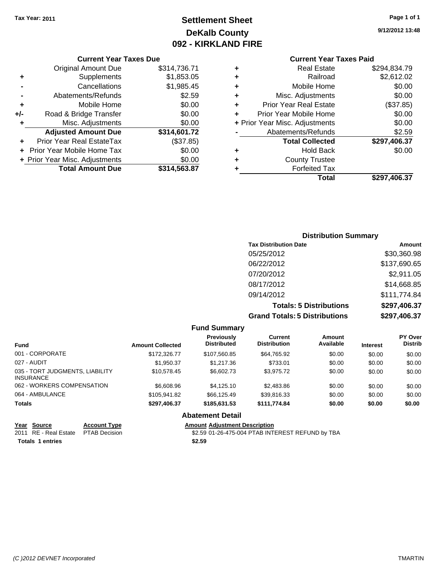## **Settlement Sheet Tax Year: 2011 Page 1 of 1 DeKalb County 092 - KIRKLAND FIRE**

**9/12/2012 13:48**

#### **Current Year Taxes Due**

| <b>Original Amount Due</b>     | \$314,736.71 |
|--------------------------------|--------------|
| Supplements                    | \$1,853.05   |
| Cancellations                  | \$1,985.45   |
| Abatements/Refunds             | \$2.59       |
| Mobile Home                    | \$0.00       |
| Road & Bridge Transfer         | \$0.00       |
| Misc. Adjustments              | \$0.00       |
| <b>Adjusted Amount Due</b>     | \$314,601.72 |
| Prior Year Real EstateTax      | (\$37.85)    |
| Prior Year Mobile Home Tax     | \$0.00       |
| + Prior Year Misc. Adjustments | \$0.00       |
| <b>Total Amount Due</b>        | \$314,563.87 |
|                                |              |

### **Current Year Taxes Paid**

| ٠ | <b>Real Estate</b>             | \$294,834.79 |
|---|--------------------------------|--------------|
| ٠ | Railroad                       | \$2,612.02   |
| ٠ | Mobile Home                    | \$0.00       |
| ٠ | Misc. Adjustments              | \$0.00       |
| ٠ | <b>Prior Year Real Estate</b>  | (\$37.85)    |
| ÷ | Prior Year Mobile Home         | \$0.00       |
|   | + Prior Year Misc. Adjustments | \$0.00       |
|   | Abatements/Refunds             | \$2.59       |
|   | <b>Total Collected</b>         | \$297,406.37 |
| ٠ | <b>Hold Back</b>               | \$0.00       |
| ٠ | <b>County Trustee</b>          |              |
| ٠ | <b>Forfeited Tax</b>           |              |
|   | Total                          | \$297,406.37 |
|   |                                |              |

### **Distribution Summary Tax Distribution Date Amount** 05/25/2012 \$30,360.98 06/22/2012 \$137,690.65 07/20/2012 \$2,911.05 08/17/2012 \$14,668.85 09/14/2012 \$111,774.84 **Totals: 5 Distributions \$297,406.37 Grand Totals: 5 Distributions \$297,406.37**

#### **Fund Summary Fund Interest Amount Collected Distributed PY Over Distrib Amount Available Current Distribution Previously** 001 - CORPORATE \$172,326.77 \$107,560.85 \$64,765.92 \$0.00 \$0.00 \$0.00 027 - AUDIT \$1,950.37 \$1,217.36 \$733.01 \$0.00 \$0.00 \$0.00 035 - TORT JUDGMENTS, LIABILITY INSURANCE \$10,578.45 \$6,602.73 \$3,975.72 \$0.00 \$0.00 \$0.00 062 - WORKERS COMPENSATION \$6,608.96 \$4,125.10 \$2,483.86 \$0.00 \$0.00 \$0.00 \$0.00 064 - AMBULANCE \$105,941.82 \$66,125.49 \$39,816.33 \$0.00 \$0.00 \$0.00 **Totals \$297,406.37 \$185,631.53 \$111,774.84 \$0.00 \$0.00 \$0.00 Abatement Detail**

**Year Source Account Type Amount Adjustment Description** \$2.59 01-26-475-004 PTAB INTEREST REFUND by TBA **Totals \$2.59 1 entries**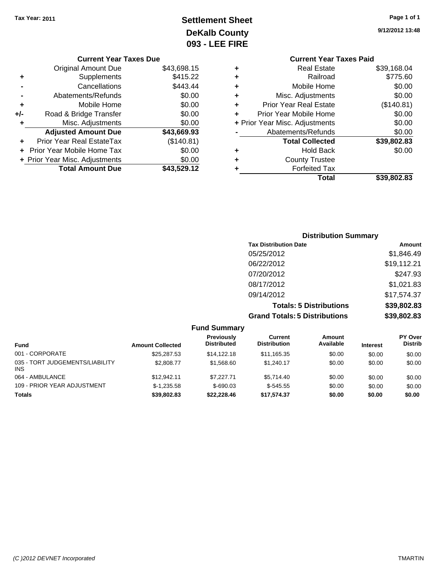## **Settlement Sheet Tax Year: 2011 Page 1 of 1 DeKalb County 093 - LEE FIRE**

| <b>FIRE</b> |                                |             |
|-------------|--------------------------------|-------------|
|             | <b>Current Year Taxes Paid</b> |             |
| ٠           | Real Estate                    | \$39,168.04 |
| ٠           | Railroad                       | \$775.60    |
| ٠           | Mobile Home                    | \$0.00      |
| ٠           | Misc. Adjustments              | \$0.00      |
| ٠           | <b>Prior Year Real Estate</b>  | (\$140.81)  |
|             | Prior Year Mobile Home         | \$0.00      |
|             | + Prior Year Misc. Adjustments | \$0.00      |
|             | Abatements/Refunds             | \$0.00      |
|             |                                |             |

|   | Total                          | \$39,802.83 |
|---|--------------------------------|-------------|
| ÷ | <b>Forfeited Tax</b>           |             |
| ٠ | <b>County Trustee</b>          |             |
| ٠ | <b>Hold Back</b>               | \$0.00      |
|   | <b>Total Collected</b>         | \$39,802.83 |
|   | Abatements/Refunds             | \$0.00      |
|   | + Prior Year Misc. Adjustments | \$0.00      |
|   | Prior Year Mobile Home         | \$0.00      |

| <b>Distribution Summary</b>          |             |
|--------------------------------------|-------------|
| <b>Tax Distribution Date</b>         | Amount      |
| 05/25/2012                           | \$1,846.49  |
| 06/22/2012                           | \$19,112.21 |
| 07/20/2012                           | \$247.93    |
| 08/17/2012                           | \$1,021.83  |
| 09/14/2012                           | \$17,574.37 |
| <b>Totals: 5 Distributions</b>       | \$39,802.83 |
| <b>Grand Totals: 5 Distributions</b> | \$39,802.83 |

|                                               |                         | <b>Fund Summary</b>              |                                |                     |                 |                                  |
|-----------------------------------------------|-------------------------|----------------------------------|--------------------------------|---------------------|-----------------|----------------------------------|
| <b>Fund</b>                                   | <b>Amount Collected</b> | Previously<br><b>Distributed</b> | Current<br><b>Distribution</b> | Amount<br>Available | <b>Interest</b> | <b>PY Over</b><br><b>Distrib</b> |
| 001 - CORPORATE                               | \$25,287.53             | \$14,122,18                      | \$11,165.35                    | \$0.00              | \$0.00          | \$0.00                           |
| 035 - TORT JUDGEMENTS/LIABILITY<br><b>INS</b> | \$2,808.77              | \$1,568.60                       | \$1.240.17                     | \$0.00              | \$0.00          | \$0.00                           |
| 064 - AMBULANCE                               | \$12,942.11             | \$7.227.71                       | \$5.714.40                     | \$0.00              | \$0.00          | \$0.00                           |
| 109 - PRIOR YEAR ADJUSTMENT                   | $$-1,235.58$            | $$-690.03$                       | $$-545.55$                     | \$0.00              | \$0.00          | \$0.00                           |
| <b>Totals</b>                                 | \$39,802.83             | \$22,228,46                      | \$17.574.37                    | \$0.00              | \$0.00          | \$0.00                           |

#### **Current Year Taxes Due**

|     | <b>Original Amount Due</b>     | \$43,698.15 |
|-----|--------------------------------|-------------|
| ٠   | Supplements                    | \$415.22    |
|     | Cancellations                  | \$443.44    |
|     | Abatements/Refunds             | \$0.00      |
| ٠   | Mobile Home                    | \$0.00      |
| +/- | Road & Bridge Transfer         | \$0.00      |
|     | Misc. Adjustments              | \$0.00      |
|     |                                |             |
|     | <b>Adjusted Amount Due</b>     | \$43,669.93 |
| ٠   | Prior Year Real EstateTax      | (\$140.81)  |
|     | Prior Year Mobile Home Tax     | \$0.00      |
|     | + Prior Year Misc. Adjustments | \$0.00      |
|     | <b>Total Amount Due</b>        | \$43,529.12 |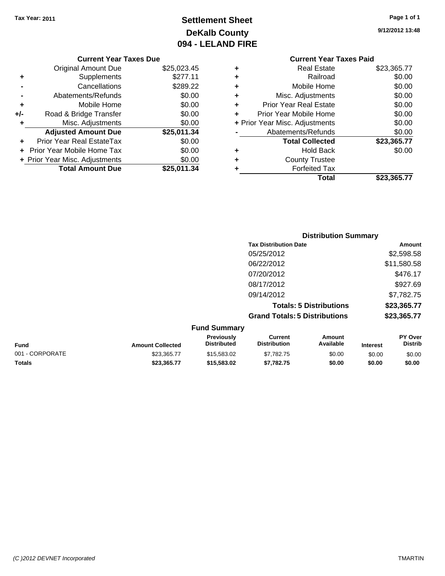## **Settlement Sheet Tax Year: 2011 Page 1 of 1 DeKalb County 094 - LELAND FIRE**

**9/12/2012 13:48**

# **Current Year Taxes Paid**

|     | <b>Original Amount Due</b>       | \$25,023.45 |
|-----|----------------------------------|-------------|
| ٠   | Supplements                      | \$277.11    |
|     | Cancellations                    | \$289.22    |
|     | Abatements/Refunds               | \$0.00      |
| ÷   | Mobile Home                      | \$0.00      |
| +/- | Road & Bridge Transfer           | \$0.00      |
| ÷   | Misc. Adjustments                | \$0.00      |
|     | <b>Adjusted Amount Due</b>       | \$25,011.34 |
|     | <b>Prior Year Real EstateTax</b> | \$0.00      |
|     | Prior Year Mobile Home Tax       | \$0.00      |
|     | + Prior Year Misc. Adjustments   | \$0.00      |
|     |                                  |             |

**Current Year Taxes Due**

| ٠ | <b>Real Estate</b>             | \$23,365.77 |
|---|--------------------------------|-------------|
| ٠ | Railroad                       | \$0.00      |
| ٠ | Mobile Home                    | \$0.00      |
| ٠ | Misc. Adjustments              | \$0.00      |
| ٠ | <b>Prior Year Real Estate</b>  | \$0.00      |
| ٠ | Prior Year Mobile Home         | \$0.00      |
|   | + Prior Year Misc. Adjustments | \$0.00      |
|   | Abatements/Refunds             | \$0.00      |
|   | <b>Total Collected</b>         | \$23,365.77 |
| ٠ | <b>Hold Back</b>               | \$0.00      |
| ٠ | <b>County Trustee</b>          |             |
| ٠ | <b>Forfeited Tax</b>           |             |
|   | Total                          | \$23,365.77 |

|                     | <b>Distribution Summary</b>          |             |
|---------------------|--------------------------------------|-------------|
|                     | <b>Tax Distribution Date</b>         | Amount      |
|                     | 05/25/2012                           | \$2,598.58  |
|                     | 06/22/2012                           | \$11,580.58 |
|                     | 07/20/2012                           | \$476.17    |
|                     | 08/17/2012                           | \$927.69    |
|                     | 09/14/2012                           | \$7,782.75  |
|                     | <b>Totals: 5 Distributions</b>       | \$23,365.77 |
|                     | <b>Grand Totals: 5 Distributions</b> | \$23,365.77 |
| <b>Fund Summary</b> |                                      |             |

| <b>Fund</b>     | <b>Amount Collected</b> | <b>Previously</b><br><b>Distributed</b> | Current<br><b>Distribution</b> | Amount<br>Available | <b>Interest</b> | <b>PY Over</b><br><b>Distrib</b> |
|-----------------|-------------------------|-----------------------------------------|--------------------------------|---------------------|-----------------|----------------------------------|
| 001 - CORPORATE | \$23,365,77             | \$15,583,02                             | \$7.782.75                     | \$0.00              | \$0.00          | \$0.00                           |
| Totals          | \$23.365.77             | \$15,583,02                             | \$7.782.75                     | \$0.00              | \$0.00          | \$0.00                           |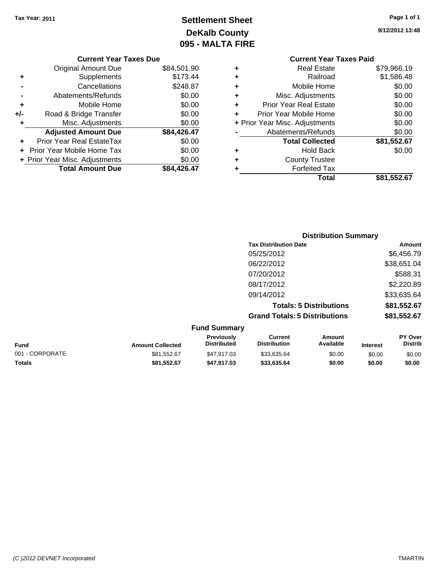## **Settlement Sheet Tax Year: 2011 Page 1 of 1 DeKalb County 095 - MALTA FIRE**

**9/12/2012 13:48**

|   | Total                          | \$81,552.67 |
|---|--------------------------------|-------------|
|   | <b>Forfeited Tax</b>           |             |
| ٠ | <b>County Trustee</b>          |             |
| ٠ | <b>Hold Back</b>               | \$0.00      |
|   | <b>Total Collected</b>         | \$81,552.67 |
|   | Abatements/Refunds             | \$0.00      |
|   | + Prior Year Misc. Adjustments | \$0.00      |
|   | Prior Year Mobile Home         | \$0.00      |
| ÷ | <b>Prior Year Real Estate</b>  | \$0.00      |
| ÷ | Misc. Adjustments              | \$0.00      |
| ÷ | Mobile Home                    | \$0.00      |
| ÷ | Railroad                       | \$1,586.48  |
| ÷ | <b>Real Estate</b>             | \$79,966.19 |
|   | <b>Current Year Taxes Paid</b> |             |

|     | <b>Current Year Taxes Due</b>      |             |
|-----|------------------------------------|-------------|
|     |                                    | \$84,501.90 |
| ٠   | Original Amount Due<br>Supplements | \$173.44    |
|     | Cancellations                      | \$248.87    |
|     | Abatements/Refunds                 | \$0.00      |
|     |                                    |             |
| ٠   | Mobile Home                        | \$0.00      |
| +/- | Road & Bridge Transfer             | \$0.00      |
| ٠   | Misc. Adjustments                  | \$0.00      |
|     | <b>Adjusted Amount Due</b>         | \$84,426.47 |
|     | Prior Year Real EstateTax          | \$0.00      |
|     | Prior Year Mobile Home Tax         | \$0.00      |
|     | + Prior Year Misc. Adjustments     | \$0.00      |
|     | <b>Total Amount Due</b>            | \$84,426.47 |
|     |                                    |             |

|                     | <b>Distribution Summary</b>          |             |
|---------------------|--------------------------------------|-------------|
|                     | <b>Tax Distribution Date</b>         | Amount      |
|                     | 05/25/2012                           | \$6,456.79  |
|                     | 06/22/2012                           | \$38,651.04 |
|                     | 07/20/2012                           | \$588.31    |
|                     | 08/17/2012                           | \$2,220.89  |
|                     | 09/14/2012                           | \$33,635.64 |
|                     | <b>Totals: 5 Distributions</b>       | \$81,552.67 |
|                     | <b>Grand Totals: 5 Distributions</b> | \$81,552.67 |
| <b>Fund Summary</b> |                                      |             |

| unu vunnuary            |                                         |                                |                     |                 |                                  |  |
|-------------------------|-----------------------------------------|--------------------------------|---------------------|-----------------|----------------------------------|--|
| <b>Amount Collected</b> | <b>Previously</b><br><b>Distributed</b> | Current<br><b>Distribution</b> | Amount<br>Available | <b>Interest</b> | <b>PY Over</b><br><b>Distrib</b> |  |
| \$81,552.67             | \$47.917.03                             | \$33.635.64                    | \$0.00              | \$0.00          | \$0.00                           |  |
| \$81.552.67             | \$47.917.03                             | \$33,635,64                    | \$0.00              | \$0.00          | \$0.00                           |  |
|                         |                                         |                                |                     |                 |                                  |  |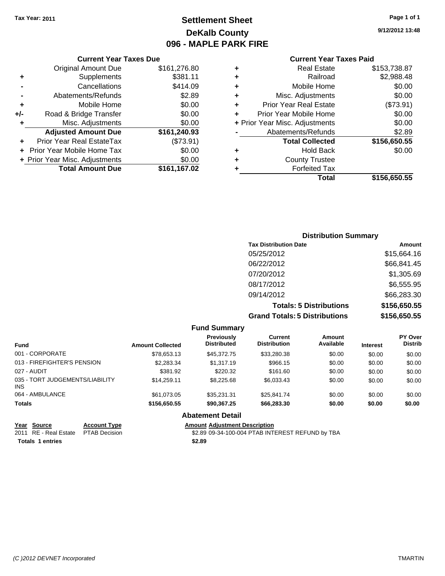## **Settlement Sheet Tax Year: 2011 Page 1 of 1 DeKalb County 096 - MAPLE PARK FIRE**

**9/12/2012 13:48**

| ٠ | <b>Real Estate</b>             | \$153,738.87 |
|---|--------------------------------|--------------|
| ٠ | Railroad                       | \$2,988.48   |
| ٠ | Mobile Home                    | \$0.00       |
| ٠ | Misc. Adjustments              | \$0.00       |
| ٠ | <b>Prior Year Real Estate</b>  | (\$73.91)    |
|   | Prior Year Mobile Home         | \$0.00       |
|   | + Prior Year Misc. Adjustments | \$0.00       |
|   | Abatements/Refunds             | \$2.89       |
|   | <b>Total Collected</b>         | \$156,650.55 |
| ٠ | <b>Hold Back</b>               | \$0.00       |
| ٠ | <b>County Trustee</b>          |              |
|   | <b>Forfeited Tax</b>           |              |
|   | Total                          | \$156,650.55 |

|     | <b>Current Year Taxes Due</b>     |              |
|-----|-----------------------------------|--------------|
|     | <b>Original Amount Due</b>        | \$161,276.80 |
| ٠   | Supplements                       | \$381.11     |
|     | Cancellations                     | \$414.09     |
|     | Abatements/Refunds                | \$2.89       |
| ٠   | Mobile Home                       | \$0.00       |
| +/- | Road & Bridge Transfer            | \$0.00       |
| ٠   | Misc. Adjustments                 | \$0.00       |
|     | <b>Adjusted Amount Due</b>        | \$161,240.93 |
|     | Prior Year Real EstateTax         | (\$73.91)    |
|     | <b>Prior Year Mobile Home Tax</b> | \$0.00       |
|     | + Prior Year Misc. Adjustments    | \$0.00       |
|     | <b>Total Amount Due</b>           | \$161,167.02 |

| <b>Distribution Summary</b>          |              |  |  |  |
|--------------------------------------|--------------|--|--|--|
| <b>Tax Distribution Date</b>         | Amount       |  |  |  |
| 05/25/2012                           | \$15,664.16  |  |  |  |
| 06/22/2012                           | \$66,841.45  |  |  |  |
| 07/20/2012                           | \$1,305.69   |  |  |  |
| 08/17/2012                           | \$6,555.95   |  |  |  |
| 09/14/2012                           | \$66,283.30  |  |  |  |
| <b>Totals: 5 Distributions</b>       | \$156,650.55 |  |  |  |
| <b>Grand Totals: 5 Distributions</b> | \$156,650.55 |  |  |  |

|                                         |                         | <b>Fund Summary</b>                     |                                       |                     |                 |                           |
|-----------------------------------------|-------------------------|-----------------------------------------|---------------------------------------|---------------------|-----------------|---------------------------|
| <b>Fund</b>                             | <b>Amount Collected</b> | <b>Previously</b><br><b>Distributed</b> | <b>Current</b><br><b>Distribution</b> | Amount<br>Available | <b>Interest</b> | PY Over<br><b>Distrib</b> |
| 001 - CORPORATE                         | \$78.653.13             | \$45,372.75                             | \$33,280.38                           | \$0.00              | \$0.00          | \$0.00                    |
| 013 - FIREFIGHTER'S PENSION             | \$2,283,34              | \$1,317.19                              | \$966.15                              | \$0.00              | \$0.00          | \$0.00                    |
| 027 - AUDIT                             | \$381.92                | \$220.32                                | \$161.60                              | \$0.00              | \$0.00          | \$0.00                    |
| 035 - TORT JUDGEMENTS/LIABILITY<br>INS. | \$14.259.11             | \$8,225.68                              | \$6.033.43                            | \$0.00              | \$0.00          | \$0.00                    |
| 064 - AMBULANCE                         | \$61.073.05             | \$35.231.31                             | \$25.841.74                           | \$0.00              | \$0.00          | \$0.00                    |
| <b>Totals</b>                           | \$156,650.55            | \$90.367.25                             | \$66,283,30                           | \$0.00              | \$0.00          | \$0.00                    |
|                                         |                         | <b>Abatement Detail</b>                 |                                       |                     |                 |                           |

|                         | Year Source                         | <b>Account Type</b> | <b>Amount Adiustment Description</b>             |
|-------------------------|-------------------------------------|---------------------|--------------------------------------------------|
|                         | 2011 RE - Real Estate PTAB Decision |                     | \$2.89 09-34-100-004 PTAB INTEREST REFUND by TBA |
| <b>Totals 1 entries</b> |                                     |                     | \$2.89                                           |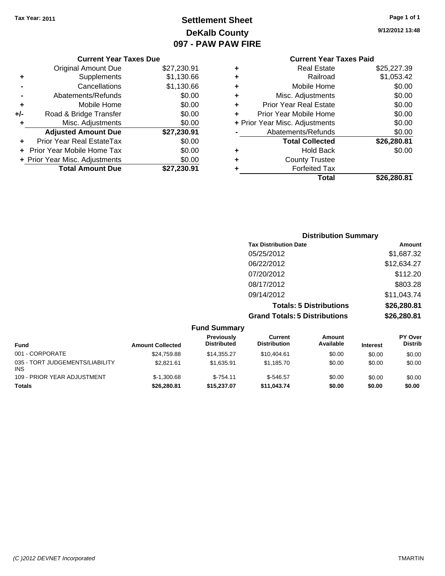## **Settlement Sheet Tax Year: 2011 Page 1 of 1 DeKalb County 097 - PAW PAW FIRE**

**9/12/2012 13:48**

|     | <b>Current Year Taxes Due</b>  |             |  |  |  |
|-----|--------------------------------|-------------|--|--|--|
|     | Original Amount Due            | \$27,230.91 |  |  |  |
|     | Supplements                    | \$1,130.66  |  |  |  |
|     | Cancellations                  | \$1,130.66  |  |  |  |
|     | Abatements/Refunds             | \$0.00      |  |  |  |
| ٠   | Mobile Home                    | \$0.00      |  |  |  |
| +/- | Road & Bridge Transfer         | \$0.00      |  |  |  |
|     | Misc. Adjustments              | \$0.00      |  |  |  |
|     | <b>Adjusted Amount Due</b>     | \$27,230.91 |  |  |  |
|     | Prior Year Real EstateTax      | \$0.00      |  |  |  |
|     | Prior Year Mobile Home Tax     | \$0.00      |  |  |  |
|     | + Prior Year Misc. Adjustments | \$0.00      |  |  |  |
|     | <b>Total Amount Due</b>        | \$27,230.91 |  |  |  |
|     |                                |             |  |  |  |

#### **Current Year Taxes Paid +** Real Estate \$25,227.39 **+** Railroad \$1,053.42 **+** Mobile Home \$0.00<br> **+** Misc. Adjustments \$0.00 **+** Misc. Adjustments **+** Prior Year Real Estate \$0.00<br> **+** Prior Year Mobile Home \$0.00 **+** Prior Year Mobile Home

|   | Total                                | \$26,280.81 |
|---|--------------------------------------|-------------|
| ÷ | <b>Forfeited Tax</b>                 |             |
| ÷ | <b>County Trustee</b>                |             |
| ٠ | <b>Hold Back</b>                     | \$0.00      |
|   | <b>Total Collected</b>               | \$26,280.81 |
|   | Abatements/Refunds                   | \$0.00      |
|   | + Prior Year Misc. Adjustments       | \$0.00      |
|   | <b>A THE UNIVERSITY OF THE LIGHT</b> | 90.UU       |

| <b>Distribution Summary</b>          |             |
|--------------------------------------|-------------|
| <b>Tax Distribution Date</b>         | Amount      |
| 05/25/2012                           | \$1,687.32  |
| 06/22/2012                           | \$12,634.27 |
| 07/20/2012                           | \$112.20    |
| 08/17/2012                           | \$803.28    |
| 09/14/2012                           | \$11,043.74 |
| <b>Totals: 5 Distributions</b>       | \$26,280.81 |
| <b>Grand Totals: 5 Distributions</b> | \$26,280.81 |

|                                        |                         | <b>Fund Summary</b>              |                                |                     |                 |                                  |
|----------------------------------------|-------------------------|----------------------------------|--------------------------------|---------------------|-----------------|----------------------------------|
| <b>Fund</b>                            | <b>Amount Collected</b> | Previously<br><b>Distributed</b> | Current<br><b>Distribution</b> | Amount<br>Available | <b>Interest</b> | <b>PY Over</b><br><b>Distrib</b> |
| 001 - CORPORATE                        | \$24.759.88             | \$14.355.27                      | \$10.404.61                    | \$0.00              | \$0.00          | \$0.00                           |
| 035 - TORT JUDGEMENTS/LIABILITY<br>INS | \$2.821.61              | \$1.635.91                       | \$1.185.70                     | \$0.00              | \$0.00          | \$0.00                           |
| 109 - PRIOR YEAR ADJUSTMENT            | $$-1.300.68$            | $$-754.11$                       | $$-546.57$                     | \$0.00              | \$0.00          | \$0.00                           |
| <b>Totals</b>                          | \$26,280.81             | \$15.237.07                      | \$11.043.74                    | \$0.00              | \$0.00          | \$0.00                           |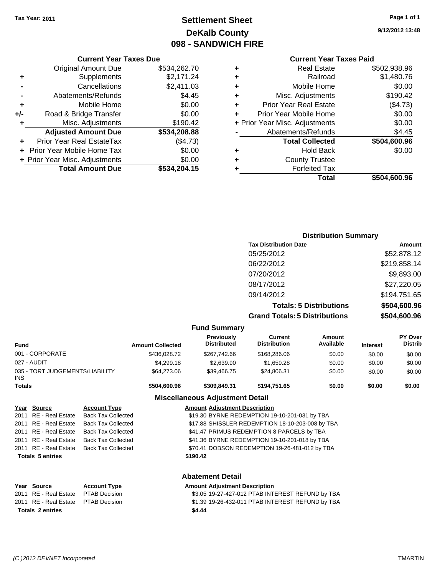## **Settlement Sheet Tax Year: 2011 Page 1 of 1 DeKalb County 098 - SANDWICH FIRE**

**9/12/2012 13:48**

## **Current Year Taxes Paid**

| \$502,938.96 |
|--------------|
| \$1,480.76   |
| \$0.00       |
| \$190.42     |
| (\$4.73)     |
| \$0.00       |
| \$0.00       |
| \$4.45       |
| \$504,600.96 |
| \$0.00       |
|              |
|              |
| \$504.600.96 |
|              |

### **Current Year Taxes Due** Original Amount Due \$534,262.70 **+** Supplements \$2,171.24 **-** Cancellations \$2,411.03 **-** Abatements/Refunds \$4.45 **+** Mobile Home \$0.00 **+/-** Road & Bridge Transfer \$0.00

| ٠ | Misc. Adjustments              | \$190.42     |
|---|--------------------------------|--------------|
|   | <b>Adjusted Amount Due</b>     | \$534,208.88 |
| ÷ | Prior Year Real EstateTax      | (\$4.73)     |
|   | + Prior Year Mobile Home Tax   | \$0.00       |
|   | + Prior Year Misc. Adjustments | \$0.00       |
|   | <b>Total Amount Due</b>        | \$534,204.15 |

#### **Distribution Summary Tax Distribution Date Amount**

| TAA DISUTDULION DALE                 | ----------   |
|--------------------------------------|--------------|
| 05/25/2012                           | \$52,878.12  |
| 06/22/2012                           | \$219,858.14 |
| 07/20/2012                           | \$9,893.00   |
| 08/17/2012                           | \$27,220.05  |
| 09/14/2012                           | \$194,751.65 |
| <b>Totals: 5 Distributions</b>       | \$504,600.96 |
| <b>Grand Totals: 5 Distributions</b> | \$504,600.96 |

#### **Fund Summary**

| <b>Fund</b>                                   | <b>Amount Collected</b> | Previously<br><b>Distributed</b> | Current<br><b>Distribution</b> | Amount<br>Available | <b>Interest</b> | <b>PY Over</b><br><b>Distrib</b> |
|-----------------------------------------------|-------------------------|----------------------------------|--------------------------------|---------------------|-----------------|----------------------------------|
| 001 - CORPORATE                               | \$436,028.72            | \$267.742.66                     | \$168,286,06                   | \$0.00              | \$0.00          | \$0.00                           |
| 027 - AUDIT                                   | \$4,299.18              | \$2.639.90                       | \$1.659.28                     | \$0.00              | \$0.00          | \$0.00                           |
| 035 - TORT JUDGEMENTS/LIABILITY<br><b>INS</b> | \$64,273.06             | \$39.466.75                      | \$24.806.31                    | \$0.00              | \$0.00          | \$0.00                           |
| <b>Totals</b>                                 | \$504,600.96            | \$309,849.31                     | \$194.751.65                   | \$0.00              | \$0.00          | \$0.00                           |

#### **Miscellaneous Adjustment Detail**

| Year Source             | <b>Account Type</b>       | <b>Amount Adjustment Description</b>             |
|-------------------------|---------------------------|--------------------------------------------------|
| 2011 RE - Real Estate   | <b>Back Tax Collected</b> | \$19.30 BYRNE REDEMPTION 19-10-201-031 by TBA    |
| 2011 RE - Real Estate   | <b>Back Tax Collected</b> | \$17.88 SHISSLER REDEMPTION 18-10-203-008 by TBA |
| 2011 RE - Real Estate   | Back Tax Collected        | \$41.47 PRIMUS REDEMPTION 8 PARCELS by TBA       |
| 2011 RE - Real Estate   | <b>Back Tax Collected</b> | \$41.36 BYRNE REDEMPTION 19-10-201-018 by TBA    |
| 2011 RE - Real Estate   | Back Tax Collected        | \$70.41 DOBSON REDEMPTION 19-26-481-012 by TBA   |
| <b>Totals 5 entries</b> |                           | \$190.42                                         |
|                         |                           |                                                  |

#### **Abatement Detail**

|                         | Year Source                         | <b>Account Type</b> | <b>Amount Adiustment Description</b>             |
|-------------------------|-------------------------------------|---------------------|--------------------------------------------------|
|                         | 2011 RE - Real Estate PTAB Decision |                     | \$3.05 19-27-427-012 PTAB INTEREST REFUND by TBA |
|                         | 2011 RE - Real Estate PTAB Decision |                     | \$1.39 19-26-432-011 PTAB INTEREST REFUND by TBA |
| <b>Totals 2 entries</b> |                                     |                     | \$4.44                                           |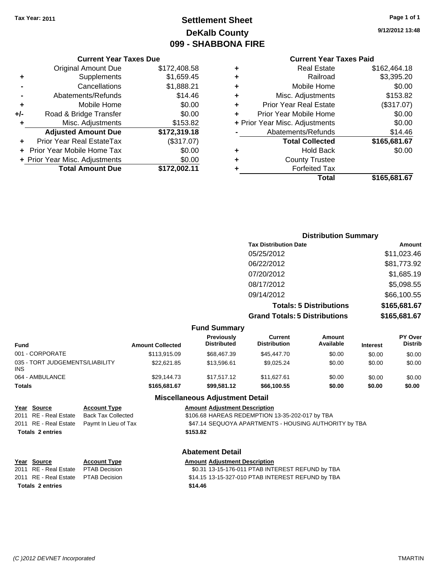## **Settlement Sheet Tax Year: 2011 Page 1 of 1 DeKalb County 099 - SHABBONA FIRE**

**9/12/2012 13:48**

#### **Current Year Taxes Paid**

|       | Total                              | \$165,681.67 |
|-------|------------------------------------|--------------|
| 2.11  | <b>Forfeited Tax</b>               |              |
| 0.00  | <b>County Trustee</b><br>٠         |              |
| 0.00  | <b>Hold Back</b><br>٠              | \$0.00       |
| 7.07) | <b>Total Collected</b>             | \$165,681.67 |
| 9.18  | Abatements/Refunds                 | \$14.46      |
| 3.82  | + Prior Year Misc. Adjustments     | \$0.00       |
| 0.00  | Prior Year Mobile Home             | \$0.00       |
| 0.00  | <b>Prior Year Real Estate</b><br>٠ | (\$317.07)   |
| 4.46  | Misc. Adjustments<br>٠             | \$153.82     |
| 8.21  | Mobile Home<br>٠                   | \$0.00       |
| 9.45  | Railroad<br>٠                      | \$3,395.20   |
| 8.58  | <b>Real Estate</b><br>٠            | \$162,464.18 |
|       |                                    |              |

#### **Current Year Taxes Due** Original Amount Due \$172,40 **+** Supplements \$1,659 **-** Cancellations \$1,88 **-** Abatements/Refunds \$1 **+** Mobile Home \$0.00 **+/-** Road & Bridge Transfer \$ **+** Misc. Adjustments \$15 Adjusted Amount Due \$172,31 **+** Prior Year Real EstateTax (\$317.07) **+** Prior Year Mobile Home Tax  $\text{\$}$ **+** Prior Year Misc. Adjustments \$0.00 Total Amount Due \$172,00

| <b>Distribution Summary</b>          |              |
|--------------------------------------|--------------|
| <b>Tax Distribution Date</b>         | Amount       |
| 05/25/2012                           | \$11,023.46  |
| 06/22/2012                           | \$81,773.92  |
| 07/20/2012                           | \$1,685.19   |
| 08/17/2012                           | \$5,098.55   |
| 09/14/2012                           | \$66,100.55  |
| <b>Totals: 5 Distributions</b>       | \$165,681.67 |
| <b>Grand Totals: 5 Distributions</b> | \$165,681.67 |

|                                         |                           |                                                 | <b>Fund Summary</b>                     |                                |                     |                 |                           |
|-----------------------------------------|---------------------------|-------------------------------------------------|-----------------------------------------|--------------------------------|---------------------|-----------------|---------------------------|
| <b>Fund</b>                             |                           | <b>Amount Collected</b>                         | <b>Previously</b><br><b>Distributed</b> | Current<br><b>Distribution</b> | Amount<br>Available | <b>Interest</b> | PY Over<br><b>Distrib</b> |
| 001 - CORPORATE                         |                           | \$113,915.09                                    | \$68,467.39                             | \$45,447.70                    | \$0.00              | \$0.00          | \$0.00                    |
| 035 - TORT JUDGEMENTS/LIABILITY<br>INS. |                           | \$22.621.85                                     | \$13,596.61                             | \$9,025.24                     | \$0.00              | \$0.00          | \$0.00                    |
| 064 - AMBULANCE                         |                           | \$29.144.73                                     | \$17.517.12                             | \$11.627.61                    | \$0.00              | \$0.00          | \$0.00                    |
| Totals                                  |                           | \$165,681.67                                    | \$99.581.12                             | \$66,100.55                    | \$0.00              | \$0.00          | \$0.00                    |
|                                         |                           |                                                 | <b>Miscellaneous Adjustment Detail</b>  |                                |                     |                 |                           |
| Year Source                             | <b>Account Type</b>       | <b>Amount Adjustment Description</b>            |                                         |                                |                     |                 |                           |
| 2011 RE - Real Estate                   | <b>Back Tax Collected</b> | \$106.68 HAREAS REDEMPTION 13-35-202-017 by TBA |                                         |                                |                     |                 |                           |

| <b>Abatement Detail</b>                     |                       |                                                                 |
|---------------------------------------------|-----------------------|-----------------------------------------------------------------|
| <b>Totals 2 entries</b>                     |                       | \$153.82                                                        |
| 2011 RE - Real Estate  Paymt In Lieu of Tax |                       | \$47.14 SEQUOYA APARTMENTS - HOUSING AUTHORITY by TBA           |
| 2011 - INL - INGHI LUNGNO                   | Public Lux Oblication | <b>WIDDO.OO IN WALKERS IN LIGHT TIGHT TO OO LOL OTT BY TEAT</b> |

| Year Source                         | <b>Account Type</b> | <b>Amount Adjustment Description</b>              |
|-------------------------------------|---------------------|---------------------------------------------------|
| 2011 RE - Real Estate PTAB Decision |                     | \$0.31 13-15-176-011 PTAB INTEREST REFUND by TBA  |
| 2011 RE - Real Estate PTAB Decision |                     | \$14.15 13-15-327-010 PTAB INTEREST REFUND by TBA |
| <b>Totals 2 entries</b>             |                     | \$14.46                                           |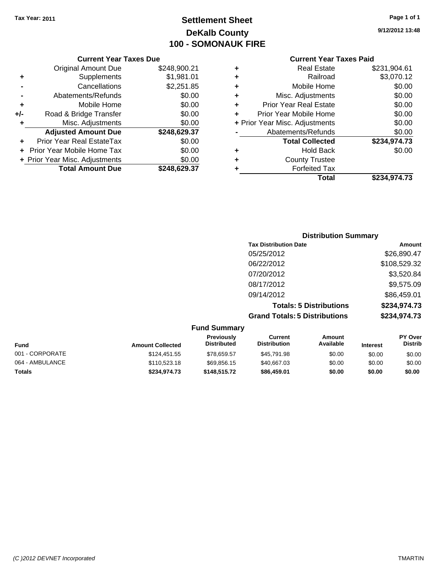## **Settlement Sheet Tax Year: 2011 Page 1 of 1 DeKalb County 100 - SOMONAUK FIRE**

| ٠ | <b>Real Estate</b>             | \$231,904.61 |
|---|--------------------------------|--------------|
| ٠ | Railroad                       | \$3,070.12   |
| ٠ | Mobile Home                    | \$0.00       |
| ٠ | Misc. Adjustments              | \$0.00       |
| ٠ | <b>Prior Year Real Estate</b>  | \$0.00       |
| ÷ | Prior Year Mobile Home         | \$0.00       |
|   | + Prior Year Misc. Adjustments | \$0.00       |
|   | Abatements/Refunds             | \$0.00       |
|   | <b>Total Collected</b>         | \$234,974.73 |
| ٠ | <b>Hold Back</b>               | \$0.00       |
| ٠ | <b>County Trustee</b>          |              |
| ٠ | <b>Forfeited Tax</b>           |              |
|   | Total                          | \$234,974.73 |
|   |                                |              |

|     | <b>Current Year Taxes Due</b>     |              |
|-----|-----------------------------------|--------------|
|     | <b>Original Amount Due</b>        | \$248,900.21 |
| ٠   | Supplements                       | \$1,981.01   |
|     | Cancellations                     | \$2,251.85   |
|     | Abatements/Refunds                | \$0.00       |
| ٠   | Mobile Home                       | \$0.00       |
| +/- | Road & Bridge Transfer            | \$0.00       |
| ٠   | Misc. Adjustments                 | \$0.00       |
|     | <b>Adjusted Amount Due</b>        | \$248,629.37 |
|     | Prior Year Real EstateTax         | \$0.00       |
|     | <b>Prior Year Mobile Home Tax</b> | \$0.00       |
|     | + Prior Year Misc. Adjustments    | \$0.00       |
|     | <b>Total Amount Due</b>           | \$248.629.37 |

| <b>Distribution Summary</b>          |              |
|--------------------------------------|--------------|
| <b>Tax Distribution Date</b>         | Amount       |
| 05/25/2012                           | \$26,890.47  |
| 06/22/2012                           | \$108,529.32 |
| 07/20/2012                           | \$3,520.84   |
| 08/17/2012                           | \$9,575.09   |
| 09/14/2012                           | \$86,459.01  |
| <b>Totals: 5 Distributions</b>       | \$234,974.73 |
| <b>Grand Totals: 5 Distributions</b> | \$234,974.73 |
|                                      |              |

| <b>Fund Summary</b>                                                                                                                                                         |              |              |             |        |        |                           |
|-----------------------------------------------------------------------------------------------------------------------------------------------------------------------------|--------------|--------------|-------------|--------|--------|---------------------------|
| <b>Previously</b><br><b>Current</b><br><b>Amount</b><br>Available<br><b>Distribution</b><br><b>Distributed</b><br><b>Fund</b><br><b>Interest</b><br><b>Amount Collected</b> |              |              |             |        |        | PY Over<br><b>Distrib</b> |
| 001 - CORPORATE                                                                                                                                                             | \$124,451.55 | \$78,659.57  | \$45,791.98 | \$0.00 | \$0.00 | \$0.00                    |
| 064 - AMBULANCE                                                                                                                                                             | \$110,523.18 | \$69,856.15  | \$40,667.03 | \$0.00 | \$0.00 | \$0.00                    |
| Totals                                                                                                                                                                      | \$234.974.73 | \$148,515,72 | \$86,459.01 | \$0.00 | \$0.00 | \$0.00                    |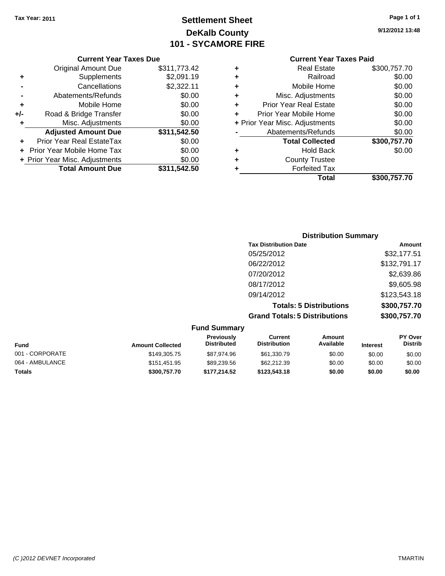Original Amount Due

**Adjusted Amount Due** 

**Total Amount Due** 

**+** Supplements **-** Cancellations **-** Abatements/Refunds **+** Mobile Home **+/-** Road & Bridge Transfer **+** Misc. Adjustments

**+** Prior Year Real EstateTax **+** Prior Year Mobile Home Tax **+ Prior Year Misc. Adjustments** 

## **Settlement Sheet Tax Year: 2011 Page 1 of 1 DeKalb County 101 - SYCAMORE FIRE**

**9/12/2012 13:48**

#### **Current Year Taxes Paid**

| <b>Current Year Taxes Due</b> |              |   | <b>Current Year Tax</b>        |
|-------------------------------|--------------|---|--------------------------------|
| ıl Amount Due                 | \$311,773.42 | ٠ | <b>Real Estate</b>             |
| Supplements                   | \$2,091.19   | ٠ | Railroad                       |
| Cancellations                 | \$2,322.11   | ٠ | Mobile Home                    |
| าents/Refunds                 | \$0.00       | ٠ | Misc. Adjustments              |
| Mobile Home                   | \$0.00       | ٠ | <b>Prior Year Real Estate</b>  |
| ridge Transfer                | \$0.00       | ÷ | Prior Year Mobile Home         |
| . Adjustments                 | \$0.00       |   | + Prior Year Misc. Adjustments |
| <b>Amount Due</b>             | \$311,542.50 |   | Abatements/Refunds             |
| eal EstateTax                 | \$0.00       |   | <b>Total Collected</b>         |
| pile Home Tax                 | \$0.00       | ٠ | <b>Hold Back</b>               |
| . Adjustments                 | \$0.00       | ٠ | <b>County Trustee</b>          |
| <b>Amount Due</b>             | \$311,542.50 |   | <b>Forfeited Tax</b>           |
|                               |              |   | Total                          |

|   | <b>Real Estate</b>             | \$300,757.70 |
|---|--------------------------------|--------------|
| ٠ | Railroad                       | \$0.00       |
| ٠ | Mobile Home                    | \$0.00       |
| ٠ | Misc. Adjustments              | \$0.00       |
|   | <b>Prior Year Real Estate</b>  | \$0.00       |
|   | Prior Year Mobile Home         | \$0.00       |
|   | + Prior Year Misc. Adjustments | \$0.00       |
|   | Abatements/Refunds             | \$0.00       |
|   | <b>Total Collected</b>         | \$300,757.70 |
|   | <b>Hold Back</b>               | \$0.00       |
|   | <b>County Trustee</b>          |              |
|   | <b>Forfeited Tax</b>           |              |
|   | Total                          | \$300,757.70 |
|   |                                |              |

#### **Distribution Summary Tax Distribution Date Amount** 05/25/2012 \$32,177.51 06/22/2012 \$132,791.17 07/20/2012 \$2,639.86 08/17/2012 \$9,605.98 09/14/2012 \$123,543.18 **Totals: 5 Distributions \$300,757.70 Grand Totals: 5 Distributions \$300,757.70 Fund Summary PY Over Distrib Amount Available Current Distribution Previously Amount Collected Distributed**

| <b>Fund</b>     | <b>Amount Collected</b> | ו ו שטושטו<br><b>Distributed</b> | <u>vuutu</u><br><b>Distribution</b> | <u>Allivulit</u><br>Available | <b>Interest</b> | .v<br>Distrib |
|-----------------|-------------------------|----------------------------------|-------------------------------------|-------------------------------|-----------------|---------------|
| 001 - CORPORATE | \$149,305.75            | \$87.974.96                      | \$61,330.79                         | \$0.00                        | \$0.00          | \$0.00        |
| 064 - AMBULANCE | \$151.451.95            | \$89,239.56                      | \$62,212,39                         | \$0.00                        | \$0.00          | \$0.00        |
| Totals          | \$300,757.70            | \$177.214.52                     | \$123,543.18                        | \$0.00                        | \$0.00          | \$0.00        |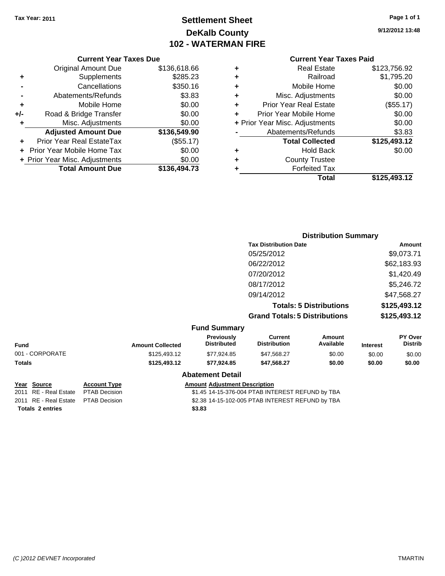## **Settlement Sheet Tax Year: 2011 Page 1 of 1 DeKalb County 102 - WATERMAN FIRE**

**9/12/2012 13:48**

| <b>Current Year Taxes Due</b> |
|-------------------------------|
|-------------------------------|

| ٠   | Supplements                    | \$285.23     |
|-----|--------------------------------|--------------|
|     | Cancellations                  | \$350.16     |
|     | Abatements/Refunds             | \$3.83       |
| ٠   | Mobile Home                    | \$0.00       |
| +/- | Road & Bridge Transfer         | \$0.00       |
|     | Misc. Adjustments              | \$0.00       |
|     |                                |              |
|     | <b>Adjusted Amount Due</b>     | \$136,549.90 |
|     | Prior Year Real EstateTax      | (\$55.17)    |
|     | Prior Year Mobile Home Tax     | \$0.00       |
|     | + Prior Year Misc. Adjustments | \$0.00       |

#### **Current Year Taxes Paid**

| ٠ | <b>Real Estate</b>             | \$123,756.92 |
|---|--------------------------------|--------------|
| ٠ | Railroad                       | \$1,795.20   |
| ٠ | Mobile Home                    | \$0.00       |
| ٠ | Misc. Adjustments              | \$0.00       |
| ٠ | <b>Prior Year Real Estate</b>  | (\$55.17)    |
| ٠ | Prior Year Mobile Home         | \$0.00       |
|   | + Prior Year Misc. Adjustments | \$0.00       |
|   | Abatements/Refunds             | \$3.83       |
|   | <b>Total Collected</b>         | \$125,493.12 |
| ٠ | <b>Hold Back</b>               | \$0.00       |
| ٠ | <b>County Trustee</b>          |              |
| ٠ | <b>Forfeited Tax</b>           |              |
|   | Total                          | \$125,493.12 |
|   |                                |              |

|                 |                         |                                         |                                       | <b>Distribution Summary</b>    |                 |                           |
|-----------------|-------------------------|-----------------------------------------|---------------------------------------|--------------------------------|-----------------|---------------------------|
|                 |                         |                                         | <b>Tax Distribution Date</b>          |                                |                 | Amount                    |
|                 |                         |                                         | 05/25/2012                            |                                |                 | \$9,073.71                |
|                 |                         |                                         | 06/22/2012                            |                                |                 | \$62,183.93               |
|                 |                         |                                         | 07/20/2012                            |                                |                 | \$1,420.49                |
|                 |                         |                                         | 08/17/2012                            |                                |                 | \$5,246.72                |
|                 |                         |                                         | 09/14/2012                            |                                |                 | \$47,568.27               |
|                 |                         |                                         |                                       | <b>Totals: 5 Distributions</b> |                 | \$125,493.12              |
|                 |                         |                                         | <b>Grand Totals: 5 Distributions</b>  |                                |                 | \$125,493.12              |
|                 |                         | <b>Fund Summary</b>                     |                                       |                                |                 |                           |
| Fund            | <b>Amount Collected</b> | <b>Previously</b><br><b>Distributed</b> | <b>Current</b><br><b>Distribution</b> | Amount<br>Available            | <b>Interest</b> | PY Over<br><b>Distrib</b> |
| 001 - CORPORATE | \$125,493.12            | \$77,924.85                             | \$47,568.27                           | \$0.00                         | \$0.00          | \$0.00                    |
| Totals          | \$125,493.12            | \$77,924.85                             | \$47,568.27                           | \$0.00                         | \$0.00          | \$0.00                    |
|                 |                         | <b>Abatement Detail</b>                 |                                       |                                |                 |                           |

**Totals \$3.83 2 entries**

# **Year Source Account Type Amount Adjustment Description**<br>2011 RE - Real Estate PTAB Decision **Amount Adjustment Description**

\$1.45 14-15-376-004 PTAB INTEREST REFUND by TBA 2011 RE - Real Estate \$2.38 14-15-102-005 PTAB INTEREST REFUND by TBA PTAB Decision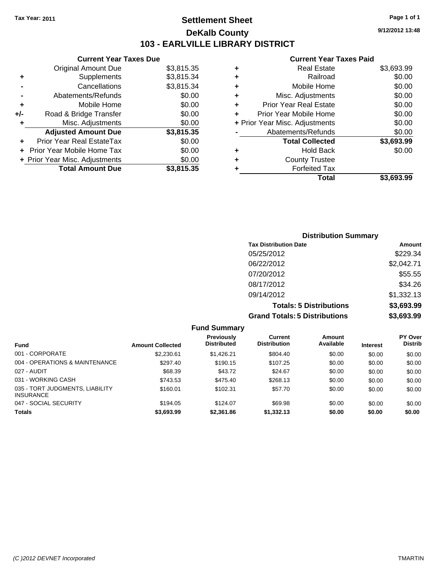**Current Year Taxes Due** Original Amount Due \$3,815.35

**Adjusted Amount Due \$3,815.35**

Total Amount Due \$3,815.35

**+** Supplements \$3,815.34 **-** Cancellations \$3,815.34 **-** Abatements/Refunds \$0.00 **+** Mobile Home \$0.00 **+/-** Road & Bridge Transfer \$0.00 **+** Misc. Adjustments \$0.00

**+** Prior Year Real EstateTax \$0.00 **+** Prior Year Mobile Home Tax \$0.00 **+ Prior Year Misc. Adjustments**  $$0.00$ 

## **Settlement Sheet Tax Year: 2011 Page 1 of 1 DeKalb County 103 - EARLVILLE LIBRARY DISTRICT**

**9/12/2012 13:48**

| <b>County Trustee</b><br><b>Forfeited Tax</b> |                                |
|-----------------------------------------------|--------------------------------|
|                                               |                                |
|                                               |                                |
| <b>Hold Back</b>                              | \$0.00                         |
| <b>Total Collected</b>                        | \$3,693.99                     |
| Abatements/Refunds                            | \$0.00                         |
|                                               | \$0.00                         |
| Prior Year Mobile Home                        | \$0.00                         |
| <b>Prior Year Real Estate</b>                 | \$0.00                         |
| Misc. Adjustments                             | \$0.00                         |
| Mobile Home                                   | \$0.00                         |
| Railroad                                      | \$0.00                         |
| <b>Real Estate</b>                            | \$3,693.99                     |
|                                               | + Prior Year Misc. Adjustments |

| <b>Distribution Summary</b>          |            |
|--------------------------------------|------------|
| <b>Tax Distribution Date</b>         | Amount     |
| 05/25/2012                           | \$229.34   |
| 06/22/2012                           | \$2,042.71 |
| 07/20/2012                           | \$55.55    |
| 08/17/2012                           | \$34.26    |
| 09/14/2012                           | \$1,332.13 |
| <b>Totals: 5 Distributions</b>       | \$3,693.99 |
| <b>Grand Totals: 5 Distributions</b> | \$3,693.99 |

|                                                     |                         | <b>Fund Summary</b>                     |                                |                     |                 |                                  |
|-----------------------------------------------------|-------------------------|-----------------------------------------|--------------------------------|---------------------|-----------------|----------------------------------|
| <b>Fund</b>                                         | <b>Amount Collected</b> | <b>Previously</b><br><b>Distributed</b> | Current<br><b>Distribution</b> | Amount<br>Available | <b>Interest</b> | <b>PY Over</b><br><b>Distrib</b> |
| 001 - CORPORATE                                     | \$2,230.61              | \$1,426.21                              | \$804.40                       | \$0.00              | \$0.00          | \$0.00                           |
| 004 - OPERATIONS & MAINTENANCE                      | \$297.40                | \$190.15                                | \$107.25                       | \$0.00              | \$0.00          | \$0.00                           |
| 027 - AUDIT                                         | \$68.39                 | \$43.72                                 | \$24.67                        | \$0.00              | \$0.00          | \$0.00                           |
| 031 - WORKING CASH                                  | \$743.53                | \$475.40                                | \$268.13                       | \$0.00              | \$0.00          | \$0.00                           |
| 035 - TORT JUDGMENTS, LIABILITY<br><b>INSURANCE</b> | \$160.01                | \$102.31                                | \$57.70                        | \$0.00              | \$0.00          | \$0.00                           |
| 047 - SOCIAL SECURITY                               | \$194.05                | \$124.07                                | \$69.98                        | \$0.00              | \$0.00          | \$0.00                           |
| <b>Totals</b>                                       | \$3,693.99              | \$2,361.86                              | \$1,332.13                     | \$0.00              | \$0.00          | \$0.00                           |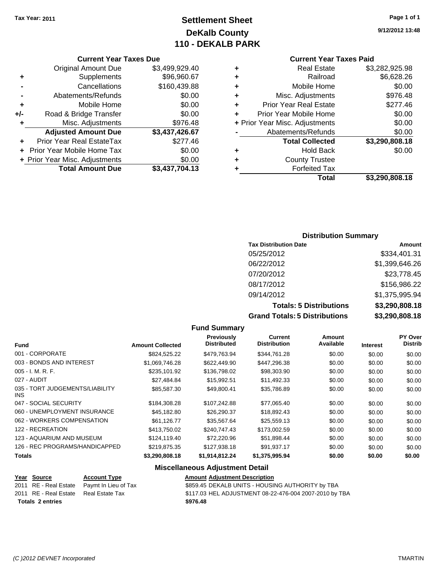## **Settlement Sheet Tax Year: 2011 Page 1 of 1 DeKalb County 110 - DEKALB PARK**

#### **Current Year Taxes Due**

|     | <b>Original Amount Due</b>        | \$3,499,929.40 |
|-----|-----------------------------------|----------------|
| ٠   | Supplements                       | \$96,960.67    |
|     | Cancellations                     | \$160,439.88   |
|     | Abatements/Refunds                | \$0.00         |
| ÷   | Mobile Home                       | \$0.00         |
| +/- | Road & Bridge Transfer            | \$0.00         |
| ٠   | Misc. Adjustments                 | \$976.48       |
|     | <b>Adjusted Amount Due</b>        | \$3,437,426.67 |
|     | Prior Year Real EstateTax         | \$277.46       |
|     | <b>Prior Year Mobile Home Tax</b> | \$0.00         |
|     | + Prior Year Misc. Adjustments    | \$0.00         |
|     | <b>Total Amount Due</b>           | \$3,437,704.13 |

## **Current Year Taxes Paid**

| ٠ | <b>Real Estate</b>             | \$3,282,925.98 |
|---|--------------------------------|----------------|
| ٠ | Railroad                       | \$6,628.26     |
| ÷ | Mobile Home                    | \$0.00         |
| ٠ | Misc. Adjustments              | \$976.48       |
| ٠ | <b>Prior Year Real Estate</b>  | \$277.46       |
| ٠ | Prior Year Mobile Home         | \$0.00         |
|   | + Prior Year Misc. Adjustments | \$0.00         |
|   | Abatements/Refunds             | \$0.00         |
|   | <b>Total Collected</b>         | \$3,290,808.18 |
| ٠ | <b>Hold Back</b>               | \$0.00         |
| ٠ | <b>County Trustee</b>          |                |
|   | <b>Forfeited Tax</b>           |                |
|   | Total                          | \$3,290,808.18 |

### **Distribution Summary**

| <b>Tax Distribution Date</b>         | Amount         |
|--------------------------------------|----------------|
| 05/25/2012                           | \$334,401.31   |
| 06/22/2012                           | \$1,399,646.26 |
| 07/20/2012                           | \$23,778.45    |
| 08/17/2012                           | \$156,986.22   |
| 09/14/2012                           | \$1,375,995.94 |
| <b>Totals: 5 Distributions</b>       | \$3,290,808.18 |
| <b>Grand Totals: 5 Distributions</b> | \$3,290,808.18 |

#### **Fund Summary**

| <b>Amount Collected</b> | <b>Previously</b><br><b>Distributed</b> | <b>Current</b><br><b>Distribution</b> | Amount<br>Available | <b>Interest</b> | <b>PY Over</b><br><b>Distrib</b> |
|-------------------------|-----------------------------------------|---------------------------------------|---------------------|-----------------|----------------------------------|
| \$824.525.22            | \$479.763.94                            | \$344,761.28                          | \$0.00              | \$0.00          | \$0.00                           |
| \$1,069,746.28          | \$622,449.90                            | \$447,296.38                          | \$0.00              | \$0.00          | \$0.00                           |
| \$235,101.92            | \$136,798.02                            | \$98,303.90                           | \$0.00              | \$0.00          | \$0.00                           |
| \$27,484.84             | \$15,992.51                             | \$11,492.33                           | \$0.00              | \$0.00          | \$0.00                           |
| \$85,587.30             | \$49,800.41                             | \$35,786.89                           | \$0.00              | \$0.00          | \$0.00                           |
| \$184.308.28            | \$107,242.88                            | \$77,065.40                           | \$0.00              | \$0.00          | \$0.00                           |
| \$45.182.80             | \$26,290.37                             | \$18,892.43                           | \$0.00              | \$0.00          | \$0.00                           |
| \$61,126.77             | \$35,567.64                             | \$25,559.13                           | \$0.00              | \$0.00          | \$0.00                           |
| \$413,750.02            | \$240,747.43                            | \$173,002.59                          | \$0.00              | \$0.00          | \$0.00                           |
| \$124,119.40            | \$72,220.96                             | \$51,898.44                           | \$0.00              | \$0.00          | \$0.00                           |
| \$219.875.35            | \$127,938.18                            | \$91.937.17                           | \$0.00              | \$0.00          | \$0.00                           |
| \$3,290,808.18          | \$1,914,812.24                          | \$1,375,995.94                        | \$0.00              | \$0.00          | \$0.00                           |
|                         |                                         |                                       |                     |                 |                                  |

#### **Miscellaneous Adjustment Detail**

| Year Source             | <b>Account Type</b>                        | <b>Amount Adjustment Description</b>                   |
|-------------------------|--------------------------------------------|--------------------------------------------------------|
|                         | 2011 RE - Real Estate Paymt In Lieu of Tax | \$859.45 DEKALB UNITS - HOUSING AUTHORITY by TBA       |
| 2011 RE - Real Estate   | Real Estate Tax                            | \$117.03 HEL ADJUSTMENT 08-22-476-004 2007-2010 by TBA |
| <b>Totals 2 entries</b> |                                            | \$976.48                                               |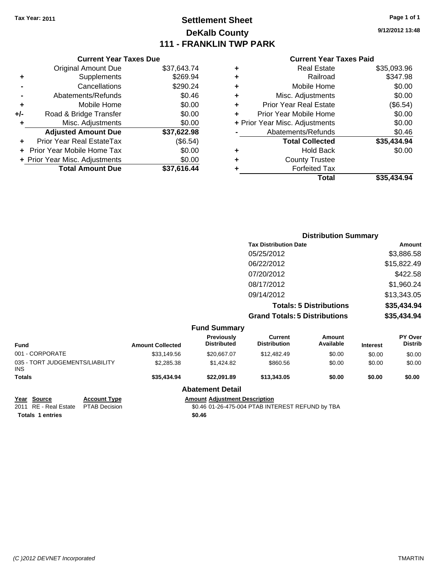## **Settlement Sheet Tax Year: 2011 Page 1 of 1 DeKalb County 111 - FRANKLIN TWP PARK**

**9/12/2012 13:48**

#### **Current Year Taxes Paid**

|     | <b>Current Year Taxes Due</b>  |             |
|-----|--------------------------------|-------------|
|     | <b>Original Amount Due</b>     | \$37,643.74 |
| ٠   | Supplements                    | \$269.94    |
|     | Cancellations                  | \$290.24    |
|     | Abatements/Refunds             | \$0.46      |
| ٠   | Mobile Home                    | \$0.00      |
| +/- | Road & Bridge Transfer         | \$0.00      |
| ٠   | Misc. Adjustments              | \$0.00      |
|     | <b>Adjusted Amount Due</b>     | \$37,622.98 |
| ÷   | Prior Year Real EstateTax      | (\$6.54)    |
|     | Prior Year Mobile Home Tax     | \$0.00      |
|     | + Prior Year Misc. Adjustments | \$0.00      |
|     | <b>Total Amount Due</b>        | \$37.616.44 |
|     |                                |             |

| ٠ | <b>Real Estate</b>             | \$35,093.96 |
|---|--------------------------------|-------------|
| ٠ | Railroad                       | \$347.98    |
| ٠ | Mobile Home                    | \$0.00      |
| ٠ | Misc. Adjustments              | \$0.00      |
| ÷ | <b>Prior Year Real Estate</b>  | (\$6.54)    |
|   | Prior Year Mobile Home         | \$0.00      |
|   | + Prior Year Misc. Adjustments | \$0.00      |
|   | Abatements/Refunds             | \$0.46      |
|   | <b>Total Collected</b>         | \$35,434.94 |
| ٠ | Hold Back                      | \$0.00      |
| ٠ | <b>County Trustee</b>          |             |
| ٠ | <b>Forfeited Tax</b>           |             |
|   | Total                          | \$35,434.94 |
|   |                                |             |

|                                               |                         |                                         |                                       | <b>Distribution Summary</b>    |                 |                           |
|-----------------------------------------------|-------------------------|-----------------------------------------|---------------------------------------|--------------------------------|-----------------|---------------------------|
|                                               |                         |                                         | <b>Tax Distribution Date</b>          |                                |                 | Amount                    |
|                                               |                         |                                         | 05/25/2012                            |                                |                 | \$3,886.58                |
|                                               |                         |                                         | 06/22/2012                            |                                |                 | \$15,822.49               |
|                                               |                         |                                         | 07/20/2012                            |                                |                 | \$422.58                  |
|                                               |                         |                                         | 08/17/2012                            |                                |                 | \$1,960.24                |
|                                               |                         |                                         | 09/14/2012                            |                                |                 | \$13,343.05               |
|                                               |                         |                                         |                                       | <b>Totals: 5 Distributions</b> |                 | \$35,434.94               |
|                                               |                         |                                         | <b>Grand Totals: 5 Distributions</b>  |                                |                 | \$35,434.94               |
|                                               |                         | <b>Fund Summary</b>                     |                                       |                                |                 |                           |
| <b>Fund</b>                                   | <b>Amount Collected</b> | <b>Previously</b><br><b>Distributed</b> | <b>Current</b><br><b>Distribution</b> | <b>Amount</b><br>Available     | <b>Interest</b> | PY Over<br><b>Distrib</b> |
| 001 - CORPORATE                               | \$33,149.56             | \$20,667.07                             | \$12,482.49                           | \$0.00                         | \$0.00          | \$0.00                    |
| 035 - TORT JUDGEMENTS/LIABILITY<br><b>INS</b> | \$2,285.38              | \$1,424.82                              | \$860.56                              | \$0.00                         | \$0.00          | \$0.00                    |
| <b>Totals</b>                                 | \$35,434.94             | \$22,091.89                             | \$13,343.05                           | \$0.00                         | \$0.00          | \$0.00                    |
|                                               |                         |                                         |                                       |                                |                 |                           |

**Abatement Detail**

**Year Source Account Type Amount Adjustment Description**<br>2011 RE - Real Estate PTAB Decision **Amount** \$0.46 01-26-475-004 PTAB INT **Totals \$0.46 1 entries**

 $\overline{30.46}$  01-26-475-004 PTAB INTEREST REFUND by TBA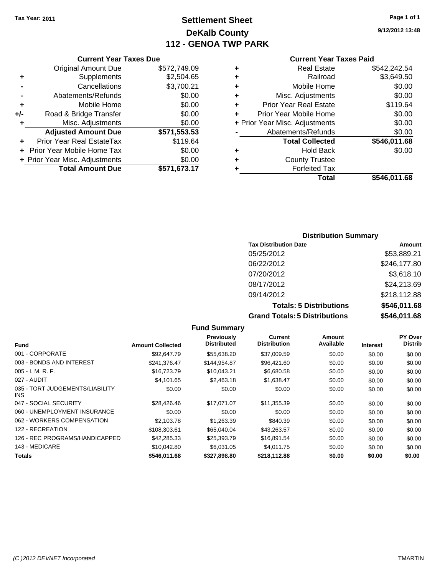## **Settlement Sheet Tax Year: 2011 Page 1 of 1 DeKalb County 112 - GENOA TWP PARK**

**9/12/2012 13:48**

#### **Current Year Taxes Due**

|       | <b>Original Amount Due</b>       | \$572,749.09 |
|-------|----------------------------------|--------------|
| ٠     | Supplements                      | \$2,504.65   |
|       | Cancellations                    | \$3,700.21   |
|       | Abatements/Refunds               | \$0.00       |
| ÷     | Mobile Home                      | \$0.00       |
| $+/-$ | Road & Bridge Transfer           | \$0.00       |
| ٠     | Misc. Adjustments                | \$0.00       |
|       | <b>Adjusted Amount Due</b>       | \$571,553.53 |
|       | <b>Prior Year Real EstateTax</b> | \$119.64     |
|       | Prior Year Mobile Home Tax       | \$0.00       |
|       | + Prior Year Misc. Adjustments   | \$0.00       |
|       | <b>Total Amount Due</b>          | \$571,673.17 |

#### **Current Year Taxes Paid**

| \$542,242.54 |
|--------------|
| \$3,649.50   |
| \$0.00       |
| \$0.00       |
| \$119.64     |
| \$0.00       |
| \$0.00       |
| \$0.00       |
| \$546,011.68 |
| \$0.00       |
|              |
|              |
| \$546,011.68 |
|              |

## **Distribution Summary**

| <b>Tax Distribution Date</b>         | Amount       |
|--------------------------------------|--------------|
| 05/25/2012                           | \$53,889.21  |
| 06/22/2012                           | \$246,177.80 |
| 07/20/2012                           | \$3,618.10   |
| 08/17/2012                           | \$24,213.69  |
| 09/14/2012                           | \$218,112.88 |
| <b>Totals: 5 Distributions</b>       | \$546,011.68 |
| <b>Grand Totals: 5 Distributions</b> | \$546,011.68 |

|                                         |                         | <b>Fund Summary</b>              |                                |                     |                 |                                  |
|-----------------------------------------|-------------------------|----------------------------------|--------------------------------|---------------------|-----------------|----------------------------------|
| <b>Fund</b>                             | <b>Amount Collected</b> | Previously<br><b>Distributed</b> | Current<br><b>Distribution</b> | Amount<br>Available | <b>Interest</b> | <b>PY Over</b><br><b>Distrib</b> |
| 001 - CORPORATE                         | \$92,647.79             | \$55,638.20                      | \$37,009.59                    | \$0.00              | \$0.00          | \$0.00                           |
| 003 - BONDS AND INTEREST                | \$241,376.47            | \$144.954.87                     | \$96,421.60                    | \$0.00              | \$0.00          | \$0.00                           |
| $005 - I. M. R. F.$                     | \$16,723.79             | \$10,043.21                      | \$6,680.58                     | \$0.00              | \$0.00          | \$0.00                           |
| 027 - AUDIT                             | \$4.101.65              | \$2,463.18                       | \$1,638.47                     | \$0.00              | \$0.00          | \$0.00                           |
| 035 - TORT JUDGEMENTS/LIABILITY<br>INS. | \$0.00                  | \$0.00                           | \$0.00                         | \$0.00              | \$0.00          | \$0.00                           |
| 047 - SOCIAL SECURITY                   | \$28,426.46             | \$17,071.07                      | \$11,355.39                    | \$0.00              | \$0.00          | \$0.00                           |
| 060 - UNEMPLOYMENT INSURANCE            | \$0.00                  | \$0.00                           | \$0.00                         | \$0.00              | \$0.00          | \$0.00                           |
| 062 - WORKERS COMPENSATION              | \$2,103.78              | \$1,263.39                       | \$840.39                       | \$0.00              | \$0.00          | \$0.00                           |
| 122 - RECREATION                        | \$108,303.61            | \$65,040,04                      | \$43.263.57                    | \$0.00              | \$0.00          | \$0.00                           |
| 126 - REC PROGRAMS/HANDICAPPED          | \$42,285.33             | \$25,393.79                      | \$16,891.54                    | \$0.00              | \$0.00          | \$0.00                           |
| 143 - MEDICARE                          | \$10.042.80             | \$6,031,05                       | \$4,011.75                     | \$0.00              | \$0.00          | \$0.00                           |
| Totals                                  | \$546,011.68            | \$327,898.80                     | \$218,112.88                   | \$0.00              | \$0.00          | \$0.00                           |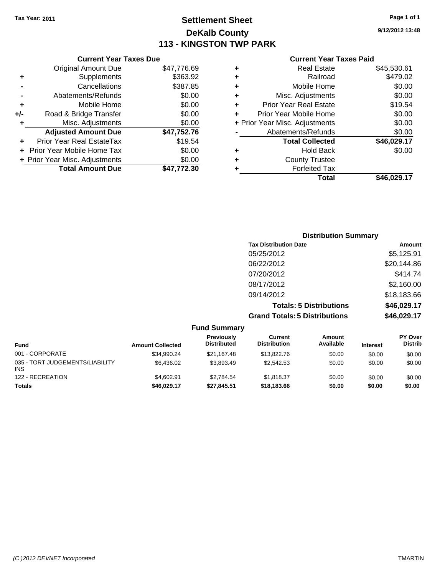## **Settlement Sheet Tax Year: 2011 Page 1 of 1 DeKalb County 113 - KINGSTON TWP PARK**

**-** Cancellations \$387.85

**9/12/2012 13:48**

#### **Current Year Taxes Paid**

|   | Total                          | \$46.029.17 |
|---|--------------------------------|-------------|
| ٠ | <b>Forfeited Tax</b>           |             |
| ÷ | <b>County Trustee</b>          |             |
| ٠ | <b>Hold Back</b>               | \$0.00      |
|   | <b>Total Collected</b>         | \$46,029.17 |
|   | Abatements/Refunds             | \$0.00      |
|   | + Prior Year Misc. Adjustments | \$0.00      |
| ٠ | Prior Year Mobile Home         | \$0.00      |
| ٠ | Prior Year Real Estate         | \$19.54     |
| ٠ | Misc. Adjustments              | \$0.00      |
| ٠ | Mobile Home                    | \$0.00      |
| ٠ | Railroad                       | \$479.02    |
| ٠ | <b>Real Estate</b>             | \$45,530.61 |

| <b>Distribution Summary</b>          |             |
|--------------------------------------|-------------|
| <b>Tax Distribution Date</b>         | Amount      |
| 05/25/2012                           | \$5,125.91  |
| 06/22/2012                           | \$20,144.86 |
| 07/20/2012                           | \$414.74    |
| 08/17/2012                           | \$2,160.00  |
| 09/14/2012                           | \$18,183.66 |
| <b>Totals: 5 Distributions</b>       | \$46,029.17 |
| <b>Grand Totals: 5 Distributions</b> | \$46,029.17 |

|                                               |                         | <b>Fund Summary</b>              |                                |                     |                 |                                  |
|-----------------------------------------------|-------------------------|----------------------------------|--------------------------------|---------------------|-----------------|----------------------------------|
| <b>Fund</b>                                   | <b>Amount Collected</b> | Previously<br><b>Distributed</b> | Current<br><b>Distribution</b> | Amount<br>Available | <b>Interest</b> | <b>PY Over</b><br><b>Distrib</b> |
| 001 - CORPORATE                               | \$34,990.24             | \$21.167.48                      | \$13,822.76                    | \$0.00              | \$0.00          | \$0.00                           |
| 035 - TORT JUDGEMENTS/LIABILITY<br><b>INS</b> | \$6.436.02              | \$3.893.49                       | \$2,542.53                     | \$0.00              | \$0.00          | \$0.00                           |
| 122 - RECREATION                              | \$4,602.91              | \$2.784.54                       | \$1.818.37                     | \$0.00              | \$0.00          | \$0.00                           |
| <b>Totals</b>                                 | \$46,029.17             | \$27.845.51                      | \$18,183.66                    | \$0.00              | \$0.00          | \$0.00                           |

|     | <b>Total Amount Due</b>        | \$47,772.30 |
|-----|--------------------------------|-------------|
|     | + Prior Year Misc. Adjustments | \$0.00      |
|     | + Prior Year Mobile Home Tax   | \$0.00      |
|     | Prior Year Real EstateTax      | \$19.54     |
|     | <b>Adjusted Amount Due</b>     | \$47,752.76 |
| ٠   | Misc. Adjustments              | \$0.00      |
| +/- | Road & Bridge Transfer         | \$0.00      |
| ٠   | Mobile Home                    | \$0.00      |
|     | Abatements/Refunds             | \$0.00      |
|     | Cancellations                  | \$387.85    |

**Current Year Taxes Due** Original Amount Due \$47,776.69

**+** Supplements \$363.92

*(C )2012 DEVNET Incorporated* TMARTIN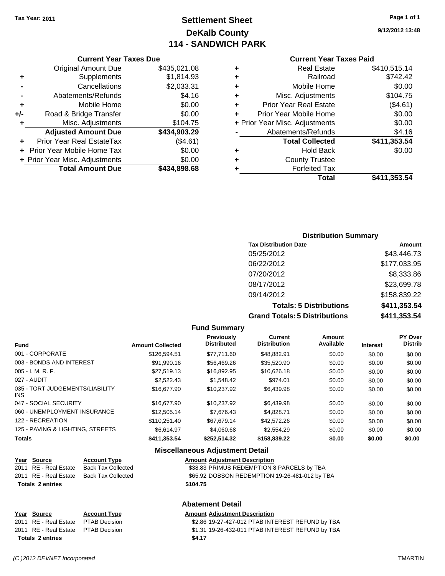## **Settlement Sheet Tax Year: 2011 Page 1 of 1 DeKalb County 114 - SANDWICH PARK**

**9/12/2012 13:48**

#### **Current Year Taxes Paid**

|     | <b>Current Year Taxes Due</b>  |              |  |
|-----|--------------------------------|--------------|--|
|     | <b>Original Amount Due</b>     | \$435,021.08 |  |
| ٠   | Supplements                    | \$1,814.93   |  |
|     | Cancellations                  | \$2,033.31   |  |
|     | Abatements/Refunds             | \$4.16       |  |
| ٠   | Mobile Home                    | \$0.00       |  |
| +/- | Road & Bridge Transfer         | \$0.00       |  |
| ٠   | Misc. Adjustments              | \$104.75     |  |
|     | <b>Adjusted Amount Due</b>     | \$434,903.29 |  |
| ÷   | Prior Year Real EstateTax      | (\$4.61)     |  |
|     | Prior Year Mobile Home Tax     | \$0.00       |  |
|     | + Prior Year Misc. Adjustments | \$0.00       |  |
|     | <b>Total Amount Due</b>        | \$434,898.68 |  |
|     |                                |              |  |

| ٠ | <b>Real Estate</b>             | \$410,515.14 |
|---|--------------------------------|--------------|
| ٠ | Railroad                       | \$742.42     |
| ٠ | Mobile Home                    | \$0.00       |
| ٠ | Misc. Adjustments              | \$104.75     |
| ÷ | <b>Prior Year Real Estate</b>  | (\$4.61)     |
| ٠ | Prior Year Mobile Home         | \$0.00       |
|   | + Prior Year Misc. Adjustments | \$0.00       |
|   | Abatements/Refunds             | \$4.16       |
|   | <b>Total Collected</b>         | \$411,353.54 |
| ٠ | <b>Hold Back</b>               | \$0.00       |
| ٠ | <b>County Trustee</b>          |              |
| ٠ | <b>Forfeited Tax</b>           |              |
|   | Total                          | \$411,353.54 |
|   |                                |              |

### **Distribution Summary Tax Distribution Date Amount** 05/25/2012 \$43,446.73 06/22/2012 \$177,033.95 07/20/2012 \$8,333.86 08/17/2012 \$23,699.78 09/14/2012 \$158,839.22 **Totals: 5 Distributions \$411,353.54**

**Grand Totals: 5 Distributions \$411,353.54**

| istributions |  |
|--------------|--|
|--------------|--|

|                                         |                         | <b>Fund Summary</b>              |                                |                     |                 |                           |
|-----------------------------------------|-------------------------|----------------------------------|--------------------------------|---------------------|-----------------|---------------------------|
| <b>Fund</b>                             | <b>Amount Collected</b> | Previously<br><b>Distributed</b> | Current<br><b>Distribution</b> | Amount<br>Available | <b>Interest</b> | PY Over<br><b>Distrib</b> |
| 001 - CORPORATE                         | \$126,594.51            | \$77.711.60                      | \$48.882.91                    | \$0.00              | \$0.00          | \$0.00                    |
| 003 - BONDS AND INTEREST                | \$91,990.16             | \$56,469.26                      | \$35,520.90                    | \$0.00              | \$0.00          | \$0.00                    |
| $005 - I. M. R. F.$                     | \$27.519.13             | \$16,892.95                      | \$10,626.18                    | \$0.00              | \$0.00          | \$0.00                    |
| 027 - AUDIT                             | \$2,522.43              | \$1,548.42                       | \$974.01                       | \$0.00              | \$0.00          | \$0.00                    |
| 035 - TORT JUDGEMENTS/LIABILITY<br>INS. | \$16,677.90             | \$10,237.92                      | \$6,439.98                     | \$0.00              | \$0.00          | \$0.00                    |
| 047 - SOCIAL SECURITY                   | \$16,677.90             | \$10.237.92                      | \$6,439.98                     | \$0.00              | \$0.00          | \$0.00                    |
| 060 - UNEMPLOYMENT INSURANCE            | \$12,505.14             | \$7,676.43                       | \$4,828.71                     | \$0.00              | \$0.00          | \$0.00                    |
| 122 - RECREATION                        | \$110,251.40            | \$67,679.14                      | \$42,572.26                    | \$0.00              | \$0.00          | \$0.00                    |
| 125 - PAVING & LIGHTING, STREETS        | \$6.614.97              | \$4.060.68                       | \$2,554.29                     | \$0.00              | \$0.00          | \$0.00                    |
| <b>Totals</b>                           | \$411,353.54            | \$252,514.32                     | \$158,839.22                   | \$0.00              | \$0.00          | \$0.00                    |
|                                         |                         | Micrallangous Adiustmant Datail  |                                |                     |                 |                           |

#### **Miscellaneous Adjustment Detail**

| Year Source             | <b>Account Type</b>       | <b>Amount Adjustment Description</b>           |
|-------------------------|---------------------------|------------------------------------------------|
| 2011 RE - Real Estate   | <b>Back Tax Collected</b> | \$38.83 PRIMUS REDEMPTION 8 PARCELS by TBA     |
| 2011 RE - Real Estate   | Back Tax Collected        | \$65.92 DOBSON REDEMPTION 19-26-481-012 by TBA |
| <b>Totals 2 entries</b> |                           | \$104.75                                       |
|                         |                           |                                                |

#### **Abatement Detail**

## **Year Source Account Type Amount Adjustment Description Totals \$4.17 2 entries**

\$2.86 19-27-427-012 PTAB INTEREST REFUND by TBA 2011 RE - Real Estate PTAB Decision S1.31 19-26-432-011 PTAB INTEREST REFUND by TBA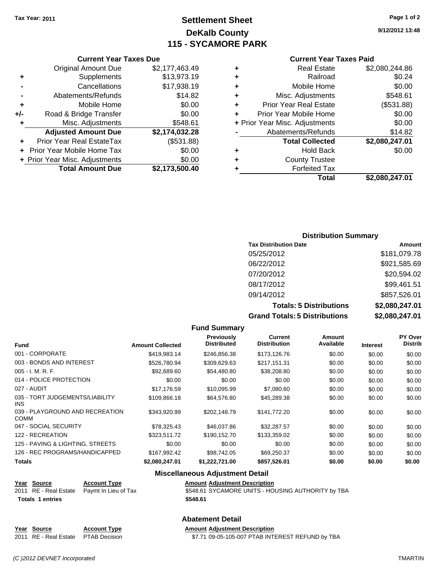## **Settlement Sheet Tax Year: 2011 Page 1 of 2 DeKalb County 115 - SYCAMORE PARK**

**9/12/2012 13:48**

| <b>Current Year Taxes Paid</b> |  |  |  |
|--------------------------------|--|--|--|
|--------------------------------|--|--|--|

| <b>Total Collected</b><br><b>Hold Back</b><br><b>County Trustee</b><br><b>Forfeited Tax</b> | \$2,080,247.01                 |
|---------------------------------------------------------------------------------------------|--------------------------------|
|                                                                                             | \$0.00                         |
|                                                                                             |                                |
|                                                                                             |                                |
|                                                                                             |                                |
| Abatements/Refunds                                                                          | \$14.82                        |
|                                                                                             | \$0.00                         |
| Prior Year Mobile Home                                                                      | \$0.00                         |
| <b>Prior Year Real Estate</b>                                                               | (\$531.88)                     |
| Misc. Adjustments                                                                           | \$548.61                       |
| Mobile Home                                                                                 | \$0.00                         |
| Railroad                                                                                    | \$0.24                         |
| <b>Real Estate</b>                                                                          | \$2,080,244.86                 |
|                                                                                             | + Prior Year Misc. Adjustments |

#### **Current Year Taxes Due** Original Amount Due \$2,177,463.49 **+** Supplements \$13,973.19 **-** Cancellations \$17,938.19 **-** Abatements/Refunds \$14.82 **+** Mobile Home \$0.00 **+/-** Road & Bridge Transfer \$0.00 **+** Misc. Adjustments \$548.61 **Adjusted Amount Due \$2,174,032.28 +** Prior Year Real EstateTax (\$531.88) **+** Prior Year Mobile Home Tax \$0.00 **+ Prior Year Misc. Adjustments**  $$0.00$ **Total Amount Due \$2,173,500.40**

#### **Distribution Summary**

| <b>Tax Distribution Date</b>         | Amount         |
|--------------------------------------|----------------|
| 05/25/2012                           | \$181,079.78   |
| 06/22/2012                           | \$921,585.69   |
| 07/20/2012                           | \$20,594.02    |
| 08/17/2012                           | \$99,461.51    |
| 09/14/2012                           | \$857,526.01   |
| <b>Totals: 5 Distributions</b>       | \$2,080,247.01 |
| <b>Grand Totals: 5 Distributions</b> | \$2,080,247.01 |

|                                                |                         | <b>Fund Summary</b>              |                                       |                     |                 |                                  |
|------------------------------------------------|-------------------------|----------------------------------|---------------------------------------|---------------------|-----------------|----------------------------------|
| Fund                                           | <b>Amount Collected</b> | Previously<br><b>Distributed</b> | <b>Current</b><br><b>Distribution</b> | Amount<br>Available | <b>Interest</b> | <b>PY Over</b><br><b>Distrib</b> |
| 001 - CORPORATE                                | \$419,983.14            | \$246,856.38                     | \$173,126.76                          | \$0.00              | \$0.00          | \$0.00                           |
| 003 - BONDS AND INTEREST                       | \$526,780.94            | \$309,629.63                     | \$217,151.31                          | \$0.00              | \$0.00          | \$0.00                           |
| $005 - I. M. R. F.$                            | \$92,689.60             | \$54,480.80                      | \$38,208.80                           | \$0.00              | \$0.00          | \$0.00                           |
| 014 - POLICE PROTECTION                        | \$0.00                  | \$0.00                           | \$0.00                                | \$0.00              | \$0.00          | \$0.00                           |
| 027 - AUDIT                                    | \$17,176.59             | \$10,095.99                      | \$7,080.60                            | \$0.00              | \$0.00          | \$0.00                           |
| 035 - TORT JUDGEMENTS/LIABILITY<br>INS.        | \$109,866.18            | \$64,576.80                      | \$45,289.38                           | \$0.00              | \$0.00          | \$0.00                           |
| 039 - PLAYGROUND AND RECREATION<br><b>COMM</b> | \$343,920.99            | \$202,148.79                     | \$141,772.20                          | \$0.00              | \$0.00          | \$0.00                           |
| 047 - SOCIAL SECURITY                          | \$78,325.43             | \$46,037.86                      | \$32,287.57                           | \$0.00              | \$0.00          | \$0.00                           |
| 122 - RECREATION                               | \$323.511.72            | \$190,152.70                     | \$133,359.02                          | \$0.00              | \$0.00          | \$0.00                           |
| 125 - PAVING & LIGHTING, STREETS               | \$0.00                  | \$0.00                           | \$0.00                                | \$0.00              | \$0.00          | \$0.00                           |
| 126 - REC PROGRAMS/HANDICAPPED                 | \$167,992.42            | \$98,742.05                      | \$69,250.37                           | \$0.00              | \$0.00          | \$0.00                           |
| <b>Totals</b>                                  | \$2,080,247.01          | \$1,222,721.00                   | \$857,526.01                          | \$0.00              | \$0.00          | \$0.00                           |

#### **Miscellaneous Adjustment Detail**

| Year Source             | <b>Account Type</b>                        | <b>Amount Adjustment Description</b>               |
|-------------------------|--------------------------------------------|----------------------------------------------------|
|                         | 2011 RE - Real Estate Paymt In Lieu of Tax | \$548.61 SYCAMORE UNITS - HOUSING AUTHORITY by TBA |
| <b>Totals 1 entries</b> |                                            | \$548.61                                           |

## **Abatement Detail**

**Year Source Account Type Amount Adjustment Description** 2011 RE - Real Estate \$7.71 09-05-105-007 PTAB INTEREST REFUND by TBA PTAB Decision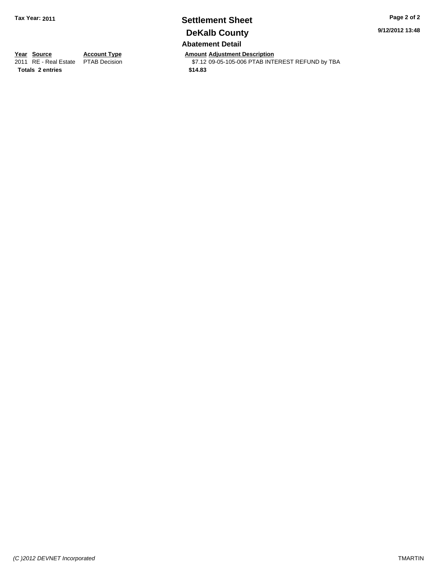## **Settlement Sheet Tax Year: 2011 Page 2 of 2 DeKalb County Abatement Detail**

**9/12/2012 13:48**

**Totals \$14.83 2 entries**

**Year Source Account Type Amount Adjustment Description**<br>2011 RE - Real Estate PTAB Decision **Amount** \$7.12 09-05-105-006 PTAB INTI  $$7.12$  09-05-105-006 PTAB INTEREST REFUND by TBA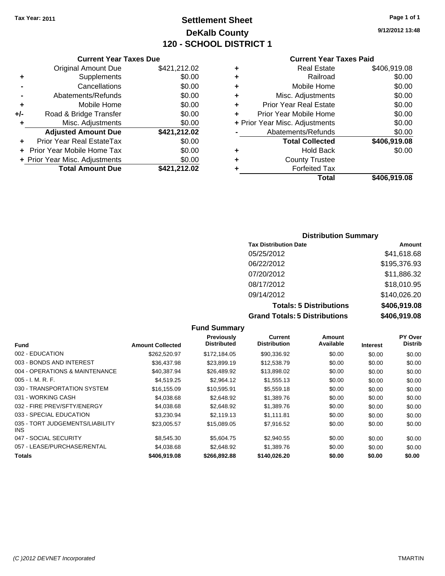## **Settlement Sheet Tax Year: 2011 Page 1 of 1 DeKalb County 120 - SCHOOL DISTRICT 1**

**9/12/2012 13:48**

#### **Current Year Taxes Paid**

|   | <b>Real Estate</b>             | \$406,919.08 |
|---|--------------------------------|--------------|
|   | Railroad                       | \$0.00       |
| ٠ | Mobile Home                    | \$0.00       |
| ٠ | Misc. Adjustments              | \$0.00       |
| ٠ | <b>Prior Year Real Estate</b>  | \$0.00       |
|   | Prior Year Mobile Home         | \$0.00       |
|   | + Prior Year Misc. Adjustments | \$0.00       |
|   | Abatements/Refunds             | \$0.00       |
|   | <b>Total Collected</b>         | \$406,919.08 |
| ٠ | <b>Hold Back</b>               | \$0.00       |
| ٠ | <b>County Trustee</b>          |              |
|   | <b>Forfeited Tax</b>           |              |
|   | Total                          | \$406.919.08 |

|     | <b>Current Year Taxes Due</b>     |              |
|-----|-----------------------------------|--------------|
|     | <b>Original Amount Due</b>        | \$421,212.02 |
| ٠   | Supplements                       | \$0.00       |
|     | Cancellations                     | \$0.00       |
|     | Abatements/Refunds                | \$0.00       |
| ÷   | Mobile Home                       | \$0.00       |
| +/- | Road & Bridge Transfer            | \$0.00       |
| ٠   | Misc. Adjustments                 | \$0.00       |
|     | <b>Adjusted Amount Due</b>        | \$421,212.02 |
|     | <b>Prior Year Real EstateTax</b>  | \$0.00       |
|     | <b>Prior Year Mobile Home Tax</b> | \$0.00       |
|     | + Prior Year Misc. Adjustments    | \$0.00       |
|     | <b>Total Amount Due</b>           | \$421,212.02 |

#### **Distribution Summary**

| <b>Tax Distribution Date</b>         | Amount       |
|--------------------------------------|--------------|
| 05/25/2012                           | \$41,618.68  |
| 06/22/2012                           | \$195,376.93 |
| 07/20/2012                           | \$11,886.32  |
| 08/17/2012                           | \$18,010.95  |
| 09/14/2012                           | \$140,026.20 |
| <b>Totals: 5 Distributions</b>       | \$406,919.08 |
| <b>Grand Totals: 5 Distributions</b> | \$406,919.08 |

**Fund Summary Fund Interest Amount Collected Distributed PY Over Distrib Amount Available Current Distribution Previously** 002 - EDUCATION \$262,520.97 \$172,184.05 \$90,336.92 \$0.00 \$0.00 \$0.00 003 - BONDS AND INTEREST 60.00 \$36,437.98 \$23,899.19 \$12,538.79 \$0.00 \$0.00 \$0.00 004 - OPERATIONS & MAINTENANCE \$40,387.94 \$26,489.92 \$13,898.02 \$0.00 \$0.00 \$0.00 \$0.00 005 - I. M. R. F. \$4,519.25 \$2,964.12 \$1,555.13 \$0.00 \$0.00 \$0.00 030 - TRANSPORTATION SYSTEM \$16,155.09 \$10,595.91 \$5,559.18 \$0.00 \$0.00 \$0.00 031 - WORKING CASH \$4,038.68 \$2,648.92 \$1,389.76 \$0.00 \$0.00 \$0.00 \$0.00 \$0.00 \$0.00 \$0.00 \$0.00 032 - FIRE PREV/SFTY/ENERGY 60.00 \$4,038.68 \$2,648.92 \$1,389.76 \$0.00 \$0.00 \$0.00 \$0.00 033 - SPECIAL EDUCATION \$23,230.94 \$2,119.13 \$1,111.81 \$0.00 \$0.00 \$0.00 \$0.00 035 - TORT JUDGEMENTS/LIABILITY INS \$23,005.57 \$15,089.05 \$7,916.52 \$0.00 \$0.00 \$0.00 047 - SOCIAL SECURITY \$8,545.30 \$5,604.75 \$2,940.55 \$0.00 \$0.00 \$0.00 057 - LEASE/PURCHASE/RENTAL  $$4,038.68$   $$2,648.92$   $$1,389.76$   $$0.00$   $$0.00$   $$0.00$ **Totals \$406,919.08 \$266,892.88 \$140,026.20 \$0.00 \$0.00 \$0.00**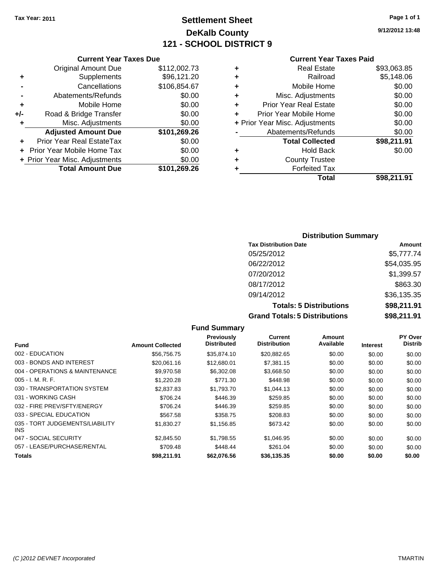### **Settlement Sheet Tax Year: 2011 Page 1 of 1 DeKalb County 121 - SCHOOL DISTRICT 9**

**9/12/2012 13:48**

### **Current Year Taxes Paid**

| <b>Current Year</b>            |   |              | <b>Current Year Taxes Due</b>  |     |
|--------------------------------|---|--------------|--------------------------------|-----|
| <b>Real Estate</b>             | ٠ | \$112,002.73 | <b>Original Amount Due</b>     |     |
| Railroad                       | ٠ | \$96,121.20  | Supplements                    | ÷   |
| Mobile Home                    | ٠ | \$106,854.67 | Cancellations                  |     |
| Misc. Adjustments              | ٠ | \$0.00       | Abatements/Refunds             |     |
| <b>Prior Year Real Estate</b>  | ٠ | \$0.00       | Mobile Home                    | ÷   |
| Prior Year Mobile Home         |   | \$0.00       | Road & Bridge Transfer         | +/- |
| + Prior Year Misc. Adjustments |   | \$0.00       | Misc. Adjustments              |     |
| Abatements/Refunds             |   | \$101,269.26 | <b>Adjusted Amount Due</b>     |     |
| <b>Total Collected</b>         |   | \$0.00       | Prior Year Real EstateTax      | ÷   |
| Hold Back                      | ٠ | \$0.00       | + Prior Year Mobile Home Tax   |     |
| <b>County Trustee</b>          | ٠ | \$0.00       | + Prior Year Misc. Adjustments |     |
| <b>Forfeited Tax</b>           |   | \$101,269.26 | <b>Total Amount Due</b>        |     |
| T <sub>ofol</sub>              |   |              |                                |     |

|   | <b>Real Estate</b>             | \$93,063.85 |
|---|--------------------------------|-------------|
|   | Railroad                       | \$5,148.06  |
|   | Mobile Home                    | \$0.00      |
| ÷ | Misc. Adjustments              | \$0.00      |
| ÷ | <b>Prior Year Real Estate</b>  | \$0.00      |
| ÷ | Prior Year Mobile Home         | \$0.00      |
|   | + Prior Year Misc. Adjustments | \$0.00      |
|   | Abatements/Refunds             | \$0.00      |
|   | <b>Total Collected</b>         | \$98,211.91 |
|   | <b>Hold Back</b>               | \$0.00      |
|   | <b>County Trustee</b>          |             |
|   | <b>Forfeited Tax</b>           |             |
|   | Total                          | \$98.211.91 |

### **Distribution Summary Tax Distribution Date Amount** 05/25/2012 \$5,777.74 06/22/2012 \$54,035.95 07/20/2012 \$1,399.57 08/17/2012 \$863.30 09/14/2012 \$36,135.35 **Totals: 5 Distributions \$98,211.91 Grand Totals: 5 Distributions \$98,211.91**

**Fund Summary Fund Interest Amount Collected Distributed PY Over Distrib Amount Available Current Distribution Previously** 002 - EDUCATION \$56,756.75 \$35,874.10 \$20,882.65 \$0.00 \$0.00 \$0.00 003 - BONDS AND INTEREST  $$20,061.16$   $$12,680.01$   $$7,381.15$   $$0.00$   $$0.00$   $$0.00$ 004 - OPERATIONS & MAINTENANCE \$9,970.58 \$6,302.08 \$3,668.50 \$0.00 \$0.00 \$0.00 005 - I. M. R. F. \$1,220.28 \$771.30 \$448.98 \$0.00 \$0.00 \$0.00 030 - TRANSPORTATION SYSTEM \$2,837.83 \$1,793.70 \$1,044.13 \$0.00 \$0.00 \$0.00 \$0.00 031 - WORKING CASH \$706.24 \$446.39 \$259.85 \$0.00 \$0.00 \$0.00 032 - FIRE PREV/SFTY/ENERGY \$706.24 \$446.39 \$259.85 \$0.00 \$0.00 \$0.00 033 - SPECIAL EDUCATION \$567.58 \$358.75 \$208.83 \$0.00 \$0.00 \$0.00 035 - TORT JUDGEMENTS/LIABILITY INS \$1,830.27 \$1,156.85 \$673.42 \$0.00 \$0.00 \$0.00 047 - SOCIAL SECURITY \$2,845.50 \$1,798.55 \$1,046.95 \$0.00 \$0.00 \$0.00 \$0.00 057 - LEASE/PURCHASE/RENTAL \$709.48 \$448.44 \$261.04 \$0.00 \$0.00 \$0.00 **Totals \$98,211.91 \$62,076.56 \$36,135.35 \$0.00 \$0.00 \$0.00**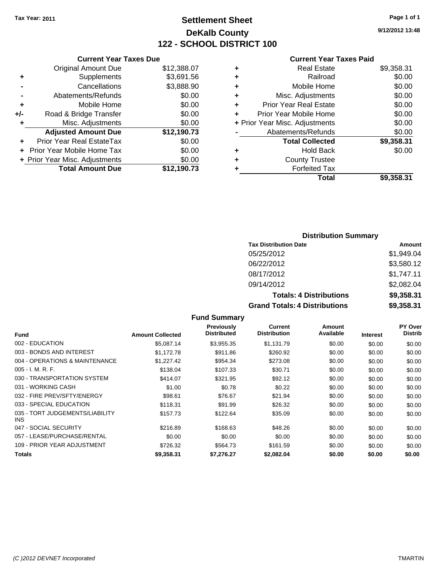### **Settlement Sheet Tax Year: 2011 Page 1 of 1 DeKalb County 122 - SCHOOL DISTRICT 100**

**9/12/2012 13:48**

#### **Current Year Taxes Paid**

|       | <b>Current Year Taxes Due</b>  |             |
|-------|--------------------------------|-------------|
|       | <b>Original Amount Due</b>     | \$12,388.07 |
| ٠     | Supplements                    | \$3,691.56  |
|       | Cancellations                  | \$3,888.90  |
|       | Abatements/Refunds             | \$0.00      |
| ٠     | Mobile Home                    | \$0.00      |
| $+/-$ | Road & Bridge Transfer         | \$0.00      |
| ٠     | Misc. Adjustments              | \$0.00      |
|       | <b>Adjusted Amount Due</b>     | \$12,190.73 |
|       | Prior Year Real EstateTax      | \$0.00      |
|       | Prior Year Mobile Home Tax     | \$0.00      |
|       | + Prior Year Misc. Adjustments | \$0.00      |
|       | <b>Total Amount Due</b>        | \$12,190.73 |
|       |                                |             |

|   | <b>Real Estate</b>             | \$9,358.31 |
|---|--------------------------------|------------|
| ٠ | Railroad                       | \$0.00     |
| ٠ | Mobile Home                    | \$0.00     |
| ٠ | Misc. Adjustments              | \$0.00     |
| ٠ | <b>Prior Year Real Estate</b>  | \$0.00     |
|   | Prior Year Mobile Home         | \$0.00     |
|   | + Prior Year Misc. Adjustments | \$0.00     |
|   | Abatements/Refunds             | \$0.00     |
|   | <b>Total Collected</b>         | \$9,358.31 |
| ٠ | Hold Back                      | \$0.00     |
| ٠ | <b>County Trustee</b>          |            |
| ٠ | <b>Forfeited Tax</b>           |            |
|   | Total                          | \$9,358.31 |
|   |                                |            |

### **Distribution Summary**

| <b>Tax Distribution Date</b>         | Amount     |
|--------------------------------------|------------|
| 05/25/2012                           | \$1,949.04 |
| 06/22/2012                           | \$3,580.12 |
| 08/17/2012                           | \$1,747.11 |
| 09/14/2012                           | \$2,082.04 |
| <b>Totals: 4 Distributions</b>       | \$9,358.31 |
| <b>Grand Totals: 4 Distributions</b> | \$9,358.31 |

#### **Fund Summary Fund Interest Amount Collected Distributed PY Over Distrib Amount Available Current Distribution Previously** 002 - EDUCATION \$5,087.14 \$3,955.35 \$1,131.79 \$0.00 \$0.00 \$0.00 003 - BONDS AND INTEREST  $$1,172.78$   $$911.86$   $$260.92$   $$0.00$   $$0.00$   $$0.00$ 004 - OPERATIONS & MAINTENANCE \$1,227.42 \$954.34 \$273.08 \$0.00 \$0.00 \$0.00 \$0.00 005 - I. M. R. F. \$138.04 \$107.33 \$30.71 \$0.00 \$0.00 \$0.00 030 - TRANSPORTATION SYSTEM  $$414.07$   $$321.95$   $$92.12$   $$0.00$   $$0.00$   $$0.00$ 031 - WORKING CASH \$1.00 \$0.78 \$0.22 \$0.00 \$0.00 \$0.00 032 - FIRE PREV/SFTY/ENERGY \$98.61 \$21.94 \$0.00 \$0.00 \$0.00 \$0.00 033 - SPECIAL EDUCATION \$118.31 \$91.99 \$26.32 \$0.00 \$0.00 \$0.00 \$0.00 035 - TORT JUDGEMENTS/LIABILITY \$157.73 \$122.64 \$35.09 \$0.00 \$0.00 \$0.00

| Totals                      | \$9,358,31 | \$7.276.27    | \$2.082.04 | \$0.00 | \$0.00 | \$0.00       |
|-----------------------------|------------|---------------|------------|--------|--------|--------------|
| 109 - PRIOR YEAR ADJUSTMENT | \$726.32   | \$564.73      | \$161.59   | \$0.00 | \$0.00 | \$0.00       |
| 057 - LEASE/PURCHASE/RENTAL | \$0.00     | \$0.00        | \$0.00     | \$0.00 | \$0.00 | \$0.00       |
| 047 - SOCIAL SECURITY       | \$216.89   | \$168.63      | \$48.26    | \$0.00 | \$0.00 | \$0.00       |
| <b>INS</b>                  | -------    | - - - - - - - | ------     |        |        | <b>vo.oo</b> |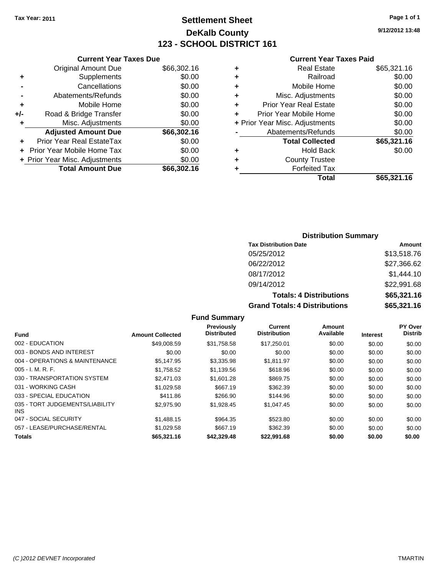### **Settlement Sheet Tax Year: 2011 Page 1 of 1 DeKalb County 123 - SCHOOL DISTRICT 161**

**9/12/2012 13:48**

|  | <b>Current Year Taxes Paid</b> |  |  |  |
|--|--------------------------------|--|--|--|
|--|--------------------------------|--|--|--|

|     | <b>Current Year Taxes Due</b>  |             |
|-----|--------------------------------|-------------|
|     | <b>Original Amount Due</b>     | \$66,302.16 |
| ٠   | Supplements                    | \$0.00      |
|     | Cancellations                  | \$0.00      |
|     | Abatements/Refunds             | \$0.00      |
| ٠   | Mobile Home                    | \$0.00      |
| +/- | Road & Bridge Transfer         | \$0.00      |
| ٠   | Misc. Adjustments              | \$0.00      |
|     | <b>Adjusted Amount Due</b>     | \$66,302.16 |
|     | Prior Year Real EstateTax      | \$0.00      |
|     | Prior Year Mobile Home Tax     | \$0.00      |
|     | + Prior Year Misc. Adjustments | \$0.00      |
|     | <b>Total Amount Due</b>        | \$66,302.16 |

| \$0.00      |
|-------------|
|             |
| \$0.00      |
| \$0.00      |
| \$0.00      |
| \$0.00      |
| \$0.00      |
| \$0.00      |
| \$65,321.16 |
| \$0.00      |
|             |
|             |
| \$65,321.16 |
|             |

### **Distribution Summary**

| <b>Tax Distribution Date</b>         | Amount      |
|--------------------------------------|-------------|
| 05/25/2012                           | \$13,518.76 |
| 06/22/2012                           | \$27,366.62 |
| 08/17/2012                           | \$1,444.10  |
| 09/14/2012                           | \$22,991.68 |
| <b>Totals: 4 Distributions</b>       | \$65,321.16 |
| <b>Grand Totals: 4 Distributions</b> | \$65,321.16 |

|                                         |                         | Previously         | <b>Current</b>      | Amount    |                 | <b>PY Over</b> |
|-----------------------------------------|-------------------------|--------------------|---------------------|-----------|-----------------|----------------|
| <b>Fund</b>                             | <b>Amount Collected</b> | <b>Distributed</b> | <b>Distribution</b> | Available | <b>Interest</b> | <b>Distrib</b> |
| 002 - EDUCATION                         | \$49,008.59             | \$31,758.58        | \$17,250.01         | \$0.00    | \$0.00          | \$0.00         |
| 003 - BONDS AND INTEREST                | \$0.00                  | \$0.00             | \$0.00              | \$0.00    | \$0.00          | \$0.00         |
| 004 - OPERATIONS & MAINTENANCE          | \$5,147.95              | \$3,335.98         | \$1,811.97          | \$0.00    | \$0.00          | \$0.00         |
| $005 - I. M. R. F.$                     | \$1,758.52              | \$1,139.56         | \$618.96            | \$0.00    | \$0.00          | \$0.00         |
| 030 - TRANSPORTATION SYSTEM             | \$2,471.03              | \$1,601.28         | \$869.75            | \$0.00    | \$0.00          | \$0.00         |
| 031 - WORKING CASH                      | \$1,029.58              | \$667.19           | \$362.39            | \$0.00    | \$0.00          | \$0.00         |
| 033 - SPECIAL EDUCATION                 | \$411.86                | \$266.90           | \$144.96            | \$0.00    | \$0.00          | \$0.00         |
| 035 - TORT JUDGEMENTS/LIABILITY<br>INS. | \$2,975.90              | \$1,928.45         | \$1.047.45          | \$0.00    | \$0.00          | \$0.00         |
| 047 - SOCIAL SECURITY                   | \$1,488.15              | \$964.35           | \$523.80            | \$0.00    | \$0.00          | \$0.00         |
| 057 - LEASE/PURCHASE/RENTAL             | \$1,029.58              | \$667.19           | \$362.39            | \$0.00    | \$0.00          | \$0.00         |
| <b>Totals</b>                           | \$65,321.16             | \$42,329.48        | \$22,991.68         | \$0.00    | \$0.00          | \$0.00         |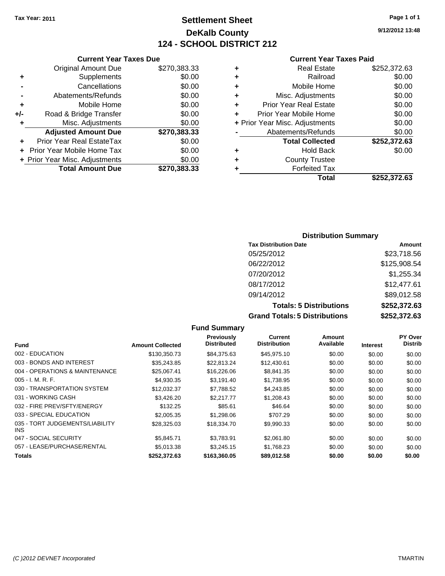### **Settlement Sheet Tax Year: 2011 Page 1 of 1 DeKalb County 124 - SCHOOL DISTRICT 212**

**9/12/2012 13:48**

#### **Current Year Taxes Paid**

|   | Total                          | \$252.372.63 |
|---|--------------------------------|--------------|
| ٠ | <b>Forfeited Tax</b>           |              |
| ٠ | <b>County Trustee</b>          |              |
| ٠ | Hold Back                      | \$0.00       |
|   | <b>Total Collected</b>         | \$252,372.63 |
|   | Abatements/Refunds             | \$0.00       |
|   | + Prior Year Misc. Adjustments | \$0.00       |
|   | Prior Year Mobile Home         | \$0.00       |
| ٠ | <b>Prior Year Real Estate</b>  | \$0.00       |
| ٠ | Misc. Adjustments              | \$0.00       |
| ٠ | Mobile Home                    | \$0.00       |
| ٠ | Railroad                       | \$0.00       |
| ٠ | <b>Real Estate</b>             | \$252,372.63 |

| ۰ | <b>County Trustee</b>       |
|---|-----------------------------|
| ٠ | <b>Forfeited Tax</b>        |
|   | <b>Total</b><br>\$2         |
|   |                             |
|   |                             |
|   |                             |
|   |                             |
|   |                             |
|   | <b>Distribution Summary</b> |
|   |                             |

| <b>Tax Distribution Date</b>         | Amount       |
|--------------------------------------|--------------|
| 05/25/2012                           | \$23,718.56  |
| 06/22/2012                           | \$125,908.54 |
| 07/20/2012                           | \$1,255.34   |
| 08/17/2012                           | \$12,477.61  |
| 09/14/2012                           | \$89,012.58  |
| <b>Totals: 5 Distributions</b>       | \$252,372.63 |
| <b>Grand Totals: 5 Distributions</b> | \$252,372.63 |

|                                         |                         | <b>Fund Summary</b>              |                                |                     |                 |                                  |
|-----------------------------------------|-------------------------|----------------------------------|--------------------------------|---------------------|-----------------|----------------------------------|
| Fund                                    | <b>Amount Collected</b> | Previously<br><b>Distributed</b> | Current<br><b>Distribution</b> | Amount<br>Available | <b>Interest</b> | <b>PY Over</b><br><b>Distrib</b> |
| 002 - EDUCATION                         | \$130,350.73            | \$84.375.63                      | \$45,975.10                    | \$0.00              | \$0.00          | \$0.00                           |
| 003 - BONDS AND INTEREST                | \$35,243.85             | \$22.813.24                      | \$12,430.61                    | \$0.00              | \$0.00          | \$0.00                           |
| 004 - OPERATIONS & MAINTENANCE          | \$25,067.41             | \$16,226.06                      | \$8,841.35                     | \$0.00              | \$0.00          | \$0.00                           |
| $005 - I. M. R. F.$                     | \$4.930.35              | \$3.191.40                       | \$1,738.95                     | \$0.00              | \$0.00          | \$0.00                           |
| 030 - TRANSPORTATION SYSTEM             | \$12,032.37             | \$7,788.52                       | \$4,243.85                     | \$0.00              | \$0.00          | \$0.00                           |
| 031 - WORKING CASH                      | \$3,426.20              | \$2,217.77                       | \$1,208.43                     | \$0.00              | \$0.00          | \$0.00                           |
| 032 - FIRE PREV/SFTY/ENERGY             | \$132.25                | \$85.61                          | \$46.64                        | \$0.00              | \$0.00          | \$0.00                           |
| 033 - SPECIAL EDUCATION                 | \$2,005.35              | \$1,298.06                       | \$707.29                       | \$0.00              | \$0.00          | \$0.00                           |
| 035 - TORT JUDGEMENTS/LIABILITY<br>INS. | \$28,325.03             | \$18,334.70                      | \$9,990.33                     | \$0.00              | \$0.00          | \$0.00                           |
| 047 - SOCIAL SECURITY                   | \$5,845.71              | \$3,783.91                       | \$2,061.80                     | \$0.00              | \$0.00          | \$0.00                           |
| 057 - LEASE/PURCHASE/RENTAL             | \$5,013.38              | \$3,245.15                       | \$1,768.23                     | \$0.00              | \$0.00          | \$0.00                           |
| <b>Totals</b>                           | \$252.372.63            | \$163,360.05                     | \$89,012.58                    | \$0.00              | \$0.00          | \$0.00                           |

|       | <b>Original Amount Due</b>     | \$270,383.33 |
|-------|--------------------------------|--------------|
| ٠     | Supplements                    | \$0.00       |
|       | Cancellations                  | \$0.00       |
|       | Abatements/Refunds             | \$0.00       |
| ÷     | Mobile Home                    | \$0.00       |
| $+/-$ | Road & Bridge Transfer         | \$0.00       |
| ٠     | Misc. Adjustments              | \$0.00       |
|       |                                |              |
|       | <b>Adjusted Amount Due</b>     | \$270,383.33 |
|       | Prior Year Real EstateTax      | \$0.00       |
|       | Prior Year Mobile Home Tax     | \$0.00       |
|       | + Prior Year Misc. Adjustments | \$0.00       |
|       | <b>Total Amount Due</b>        | \$270,383.33 |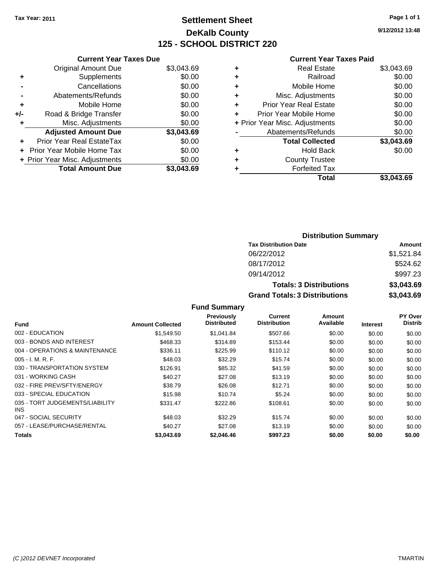### **Settlement Sheet Tax Year: 2011 Page 1 of 1 DeKalb County 125 - SCHOOL DISTRICT 220**

**9/12/2012 13:48**

| Due |  |  |  |
|-----|--|--|--|
|     |  |  |  |

|     | <b>Current Year Taxes Due</b>  |            |
|-----|--------------------------------|------------|
|     | <b>Original Amount Due</b>     | \$3,043.69 |
| ٠   | Supplements                    | \$0.00     |
|     | Cancellations                  | \$0.00     |
|     | Abatements/Refunds             | \$0.00     |
| ٠   | Mobile Home                    | \$0.00     |
| +/- | Road & Bridge Transfer         | \$0.00     |
| ٠   | Misc. Adjustments              | \$0.00     |
|     | <b>Adjusted Amount Due</b>     | \$3,043.69 |
| ÷   | Prior Year Real EstateTax      | \$0.00     |
|     | Prior Year Mobile Home Tax     | \$0.00     |
|     | + Prior Year Misc. Adjustments | \$0.00     |
|     | <b>Total Amount Due</b>        | 143.69     |

#### **Current Year Taxes Paid**

|   | Total                          | \$3,043.69 |
|---|--------------------------------|------------|
| ٠ | <b>Forfeited Tax</b>           |            |
| ٠ | <b>County Trustee</b>          |            |
| ٠ | Hold Back                      | \$0.00     |
|   | <b>Total Collected</b>         | \$3,043.69 |
|   | Abatements/Refunds             | \$0.00     |
|   | + Prior Year Misc. Adjustments | \$0.00     |
| ٠ | Prior Year Mobile Home         | \$0.00     |
| ٠ | Prior Year Real Estate         | \$0.00     |
| ٠ | Misc. Adjustments              | \$0.00     |
| ÷ | Mobile Home                    | \$0.00     |
| ÷ | Railroad                       | \$0.00     |
| ٠ | <b>Real Estate</b>             | \$3,043.69 |

### **Distribution Summary Tax Distribution Date Amount** 06/22/2012 \$1,521.84 08/17/2012 \$524.62 09/14/2012 \$997.23 **Totals: 3 Distributions \$3,043.69 Grand Totals: 3 Distributions \$3,043.69**

|  | <b>Fund Summary</b> |  |
|--|---------------------|--|
|--|---------------------|--|

|                                         |                         | <b>Previously</b><br><b>Distributed</b> | Current<br><b>Distribution</b> | Amount<br>Available |                 | <b>PY Over</b><br><b>Distrib</b> |
|-----------------------------------------|-------------------------|-----------------------------------------|--------------------------------|---------------------|-----------------|----------------------------------|
| <b>Fund</b>                             | <b>Amount Collected</b> |                                         |                                |                     | <b>Interest</b> |                                  |
| 002 - EDUCATION                         | \$1,549.50              | \$1,041.84                              | \$507.66                       | \$0.00              | \$0.00          | \$0.00                           |
| 003 - BONDS AND INTEREST                | \$468.33                | \$314.89                                | \$153.44                       | \$0.00              | \$0.00          | \$0.00                           |
| 004 - OPERATIONS & MAINTENANCE          | \$336.11                | \$225.99                                | \$110.12                       | \$0.00              | \$0.00          | \$0.00                           |
| $005 - I. M. R. F.$                     | \$48.03                 | \$32.29                                 | \$15.74                        | \$0.00              | \$0.00          | \$0.00                           |
| 030 - TRANSPORTATION SYSTEM             | \$126.91                | \$85.32                                 | \$41.59                        | \$0.00              | \$0.00          | \$0.00                           |
| 031 - WORKING CASH                      | \$40.27                 | \$27.08                                 | \$13.19                        | \$0.00              | \$0.00          | \$0.00                           |
| 032 - FIRE PREV/SFTY/ENERGY             | \$38.79                 | \$26.08                                 | \$12.71                        | \$0.00              | \$0.00          | \$0.00                           |
| 033 - SPECIAL EDUCATION                 | \$15.98                 | \$10.74                                 | \$5.24                         | \$0.00              | \$0.00          | \$0.00                           |
| 035 - TORT JUDGEMENTS/LIABILITY<br>INS. | \$331.47                | \$222.86                                | \$108.61                       | \$0.00              | \$0.00          | \$0.00                           |
| 047 - SOCIAL SECURITY                   | \$48.03                 | \$32.29                                 | \$15.74                        | \$0.00              | \$0.00          | \$0.00                           |
| 057 - LEASE/PURCHASE/RENTAL             | \$40.27                 | \$27.08                                 | \$13.19                        | \$0.00              | \$0.00          | \$0.00                           |
| Totals                                  | \$3.043.69              | \$2,046,46                              | \$997.23                       | \$0.00              | \$0.00          | \$0.00                           |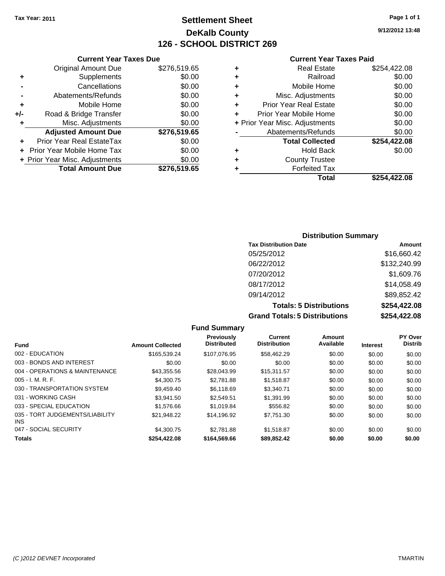### **Settlement Sheet Tax Year: 2011 Page 1 of 1 DeKalb County 126 - SCHOOL DISTRICT 269**

**9/12/2012 13:48**

#### **Current Year Taxes Paid**

|     | <b>Current Year Taxes Due</b>     |              |
|-----|-----------------------------------|--------------|
|     | <b>Original Amount Due</b>        | \$276,519.65 |
| ٠   | Supplements                       | \$0.00       |
|     | Cancellations                     | \$0.00       |
|     | Abatements/Refunds                | \$0.00       |
| ٠   | Mobile Home                       | \$0.00       |
| +/- | Road & Bridge Transfer            | \$0.00       |
| ٠   | Misc. Adjustments                 | \$0.00       |
|     | <b>Adjusted Amount Due</b>        | \$276,519.65 |
|     | Prior Year Real EstateTax         | \$0.00       |
|     | <b>Prior Year Mobile Home Tax</b> | \$0.00       |
|     | + Prior Year Misc. Adjustments    | \$0.00       |
|     | <b>Total Amount Due</b>           | \$276,519.65 |
|     |                                   |              |

|   | <b>Real Estate</b>             | \$254,422.08 |
|---|--------------------------------|--------------|
| ٠ | Railroad                       | \$0.00       |
| ٠ | Mobile Home                    | \$0.00       |
| ٠ | Misc. Adjustments              | \$0.00       |
| ÷ | <b>Prior Year Real Estate</b>  | \$0.00       |
| ٠ | Prior Year Mobile Home         | \$0.00       |
|   | + Prior Year Misc. Adjustments | \$0.00       |
|   | Abatements/Refunds             | \$0.00       |
|   | <b>Total Collected</b>         | \$254,422.08 |
| ٠ | <b>Hold Back</b>               | \$0.00       |
| ٠ | <b>County Trustee</b>          |              |
| ٠ | <b>Forfeited Tax</b>           |              |
|   | Total                          | \$254,422.08 |
|   |                                |              |

### **Distribution Summary Tax Distribution Date Amount** 05/25/2012 \$16,660.42 06/22/2012 \$132,240.99 07/20/2012 \$1,609.76 08/17/2012 \$14,058.49 09/14/2012 \$89,852.42 **Totals: 5 Distributions \$254,422.08 Grand Totals: 5 Distributions \$254,422.08**

|                                               |                         | <b>Fund Summary</b>              |                                |                     |                 |                                  |
|-----------------------------------------------|-------------------------|----------------------------------|--------------------------------|---------------------|-----------------|----------------------------------|
| <b>Fund</b>                                   | <b>Amount Collected</b> | Previously<br><b>Distributed</b> | Current<br><b>Distribution</b> | Amount<br>Available | <b>Interest</b> | <b>PY Over</b><br><b>Distrib</b> |
| 002 - EDUCATION                               | \$165,539.24            | \$107.076.95                     | \$58,462.29                    | \$0.00              | \$0.00          | \$0.00                           |
| 003 - BONDS AND INTEREST                      | \$0.00                  | \$0.00                           | \$0.00                         | \$0.00              | \$0.00          | \$0.00                           |
| 004 - OPERATIONS & MAINTENANCE                | \$43,355.56             | \$28,043.99                      | \$15,311.57                    | \$0.00              | \$0.00          | \$0.00                           |
| $005 - I. M. R. F.$                           | \$4,300.75              | \$2,781.88                       | \$1,518.87                     | \$0.00              | \$0.00          | \$0.00                           |
| 030 - TRANSPORTATION SYSTEM                   | \$9,459.40              | \$6.118.69                       | \$3,340.71                     | \$0.00              | \$0.00          | \$0.00                           |
| 031 - WORKING CASH                            | \$3.941.50              | \$2,549.51                       | \$1,391.99                     | \$0.00              | \$0.00          | \$0.00                           |
| 033 - SPECIAL EDUCATION                       | \$1,576.66              | \$1.019.84                       | \$556.82                       | \$0.00              | \$0.00          | \$0.00                           |
| 035 - TORT JUDGEMENTS/LIABILITY<br><b>INS</b> | \$21,948.22             | \$14,196.92                      | \$7,751.30                     | \$0.00              | \$0.00          | \$0.00                           |
| 047 - SOCIAL SECURITY                         | \$4,300.75              | \$2.781.88                       | \$1.518.87                     | \$0.00              | \$0.00          | \$0.00                           |
| <b>Totals</b>                                 | \$254,422.08            | \$164,569.66                     | \$89,852.42                    | \$0.00              | \$0.00          | \$0.00                           |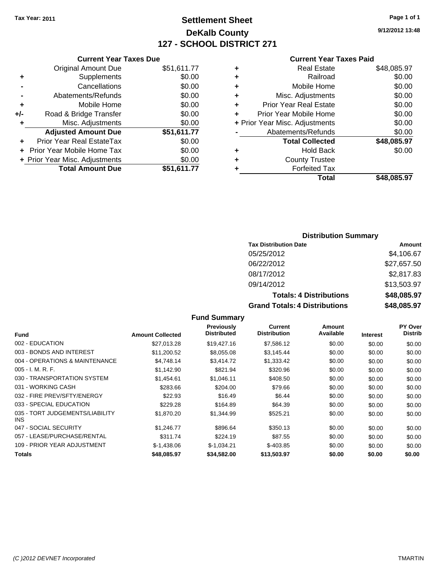### **Settlement Sheet Tax Year: 2011 Page 1 of 1 DeKalb County 127 - SCHOOL DISTRICT 271**

**9/12/2012 13:48**

#### **Current Year Taxes Paid**

### Original Amount Due \$51,611.77 **+** Supplements \$0.00 **-** Cancellations \$0.00 **-** Abatements/Refunds **\$0.00**<br> **4** Mobile Home 60.00 **+** Mobile Home

|     | <b>Total Amount Due</b>        | \$51,611.77 |
|-----|--------------------------------|-------------|
|     | + Prior Year Misc. Adjustments | \$0.00      |
|     | + Prior Year Mobile Home Tax   | \$0.00      |
|     | Prior Year Real EstateTax      | \$0.00      |
|     | <b>Adjusted Amount Due</b>     | \$51,611.77 |
| ÷   | Misc. Adjustments              | \$0.00      |
| +/- | Road & Bridge Transfer         | \$0.00      |
|     |                                | ៴៴.៴៴       |

**Current Year Taxes Due**

### **Distribution Summary**

| <b>Tax Distribution Date</b>         | Amount      |
|--------------------------------------|-------------|
| 05/25/2012                           | \$4,106.67  |
| 06/22/2012                           | \$27,657.50 |
| 08/17/2012                           | \$2,817.83  |
| 09/14/2012                           | \$13,503.97 |
| <b>Totals: 4 Distributions</b>       | \$48,085.97 |
| <b>Grand Totals: 4 Distributions</b> | \$48,085.97 |

| <b>Fund</b>                             | <b>Amount Collected</b> | <b>Previously</b><br><b>Distributed</b> | <b>Current</b><br><b>Distribution</b> | Amount<br>Available | <b>Interest</b> | <b>PY Over</b><br><b>Distrib</b> |
|-----------------------------------------|-------------------------|-----------------------------------------|---------------------------------------|---------------------|-----------------|----------------------------------|
| 002 - EDUCATION                         | \$27,013.28             | \$19,427.16                             | \$7,586.12                            | \$0.00              | \$0.00          | \$0.00                           |
| 003 - BONDS AND INTEREST                |                         |                                         |                                       |                     |                 |                                  |
|                                         | \$11.200.52             | \$8,055.08                              | \$3,145.44                            | \$0.00              | \$0.00          | \$0.00                           |
| 004 - OPERATIONS & MAINTENANCE          | \$4,748.14              | \$3,414.72                              | \$1,333.42                            | \$0.00              | \$0.00          | \$0.00                           |
| $005 - I. M. R. F.$                     | \$1,142.90              | \$821.94                                | \$320.96                              | \$0.00              | \$0.00          | \$0.00                           |
| 030 - TRANSPORTATION SYSTEM             | \$1,454.61              | \$1,046.11                              | \$408.50                              | \$0.00              | \$0.00          | \$0.00                           |
| 031 - WORKING CASH                      | \$283.66                | \$204.00                                | \$79.66                               | \$0.00              | \$0.00          | \$0.00                           |
| 032 - FIRE PREV/SFTY/ENERGY             | \$22.93                 | \$16.49                                 | \$6.44                                | \$0.00              | \$0.00          | \$0.00                           |
| 033 - SPECIAL EDUCATION                 | \$229.28                | \$164.89                                | \$64.39                               | \$0.00              | \$0.00          | \$0.00                           |
| 035 - TORT JUDGEMENTS/LIABILITY<br>INS. | \$1,870.20              | \$1,344.99                              | \$525.21                              | \$0.00              | \$0.00          | \$0.00                           |
| 047 - SOCIAL SECURITY                   | \$1.246.77              | \$896.64                                | \$350.13                              | \$0.00              | \$0.00          | \$0.00                           |
| 057 - LEASE/PURCHASE/RENTAL             | \$311.74                | \$224.19                                | \$87.55                               | \$0.00              | \$0.00          | \$0.00                           |
| 109 - PRIOR YEAR ADJUSTMENT             | $$-1,438.06$            | $$-1,034.21$                            | $$-403.85$                            | \$0.00              | \$0.00          | \$0.00                           |
| Totals                                  | \$48,085.97             | \$34,582.00                             | \$13,503.97                           | \$0.00              | \$0.00          | \$0.00                           |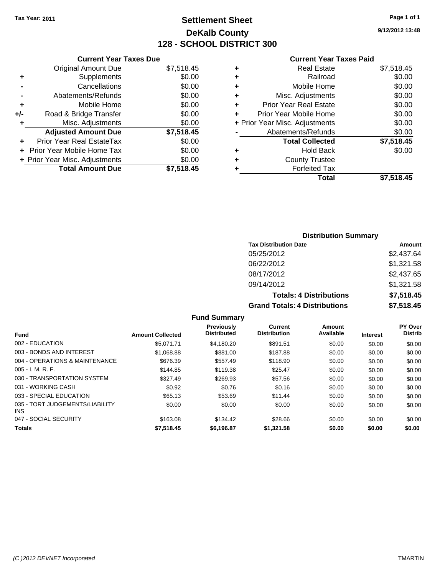### **Settlement Sheet Tax Year: 2011 Page 1 of 1 DeKalb County 128 - SCHOOL DISTRICT 300**

**9/12/2012 13:48**

### **Current Year Taxes Paid**

|     | <b>Current Year Taxes Due</b>  |            |
|-----|--------------------------------|------------|
|     | <b>Original Amount Due</b>     | \$7,518.45 |
| ٠   | Supplements                    | \$0.00     |
|     | Cancellations                  | \$0.00     |
|     | Abatements/Refunds             | \$0.00     |
| ٠   | Mobile Home                    | \$0.00     |
| +/- | Road & Bridge Transfer         | \$0.00     |
| ٠   | Misc. Adjustments              | \$0.00     |
|     | <b>Adjusted Amount Due</b>     | \$7,518.45 |
|     | Prior Year Real EstateTax      | \$0.00     |
|     | Prior Year Mobile Home Tax     | \$0.00     |
|     | + Prior Year Misc. Adjustments | \$0.00     |
|     | <b>Total Amount Due</b>        | \$7,518.45 |
|     |                                |            |

| ٠ | Real Estate                    | \$7,518.45 |
|---|--------------------------------|------------|
| ٠ | Railroad                       | \$0.00     |
| ٠ | Mobile Home                    | \$0.00     |
| ٠ | Misc. Adjustments              | \$0.00     |
| ٠ | <b>Prior Year Real Estate</b>  | \$0.00     |
| ÷ | Prior Year Mobile Home         | \$0.00     |
|   | + Prior Year Misc. Adjustments | \$0.00     |
|   | Abatements/Refunds             | \$0.00     |
|   | <b>Total Collected</b>         | \$7,518.45 |
| ٠ | Hold Back                      | \$0.00     |
| ٠ | <b>County Trustee</b>          |            |
|   | <b>Forfeited Tax</b>           |            |
|   | Total                          | \$7,518.45 |

### **Distribution Summary Tax Distribution Date Amount** 05/25/2012 \$2,437.64 06/22/2012 \$1,321.58 08/17/2012 \$2,437.65 09/14/2012 \$1,321.58 **Totals: 4 Distributions \$7,518.45 Grand Totals: 4 Distributions \$7,518.45**

|                                               |                         | <b>Previously</b><br><b>Distributed</b> | Current<br><b>Distribution</b> | Amount<br>Available |                 | PY Over<br><b>Distrib</b> |
|-----------------------------------------------|-------------------------|-----------------------------------------|--------------------------------|---------------------|-----------------|---------------------------|
| <b>Fund</b>                                   | <b>Amount Collected</b> |                                         |                                |                     | <b>Interest</b> |                           |
| 002 - EDUCATION                               | \$5.071.71              | \$4.180.20                              | \$891.51                       | \$0.00              | \$0.00          | \$0.00                    |
| 003 - BONDS AND INTEREST                      | \$1,068.88              | \$881.00                                | \$187.88                       | \$0.00              | \$0.00          | \$0.00                    |
| 004 - OPERATIONS & MAINTENANCE                | \$676.39                | \$557.49                                | \$118.90                       | \$0.00              | \$0.00          | \$0.00                    |
| $005 - I. M. R. F.$                           | \$144.85                | \$119.38                                | \$25.47                        | \$0.00              | \$0.00          | \$0.00                    |
| 030 - TRANSPORTATION SYSTEM                   | \$327.49                | \$269.93                                | \$57.56                        | \$0.00              | \$0.00          | \$0.00                    |
| 031 - WORKING CASH                            | \$0.92                  | \$0.76                                  | \$0.16                         | \$0.00              | \$0.00          | \$0.00                    |
| 033 - SPECIAL EDUCATION                       | \$65.13                 | \$53.69                                 | \$11.44                        | \$0.00              | \$0.00          | \$0.00                    |
| 035 - TORT JUDGEMENTS/LIABILITY<br><b>INS</b> | \$0.00                  | \$0.00                                  | \$0.00                         | \$0.00              | \$0.00          | \$0.00                    |
| 047 - SOCIAL SECURITY                         | \$163.08                | \$134.42                                | \$28.66                        | \$0.00              | \$0.00          | \$0.00                    |
| <b>Totals</b>                                 | \$7.518.45              | \$6,196.87                              | \$1,321.58                     | \$0.00              | \$0.00          | \$0.00                    |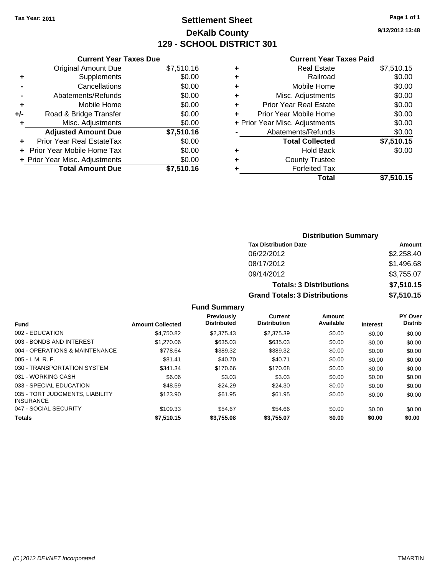### **Settlement Sheet Tax Year: 2011 Page 1 of 1 DeKalb County 129 - SCHOOL DISTRICT 301**

**9/12/2012 13:48**

#### **Current Year Taxes Paid**

| <b>Current Year Taxes Due</b>     |                         |
|-----------------------------------|-------------------------|
| <b>Original Amount Due</b>        | \$7,510.16              |
| Supplements                       | \$0.00                  |
| Cancellations                     | \$0.00                  |
| Abatements/Refunds                | \$0.00                  |
| Mobile Home                       | \$0.00                  |
| Road & Bridge Transfer            | \$0.00                  |
| Misc. Adjustments                 | \$0.00                  |
| <b>Adjusted Amount Due</b>        | \$7,510.16              |
| Prior Year Real EstateTax         | \$0.00                  |
| <b>Prior Year Mobile Home Tax</b> | \$0.00                  |
| + Prior Year Misc. Adjustments    | \$0.00                  |
|                                   | \$7,510.16              |
|                                   | <b>Total Amount Due</b> |

| ٠ | <b>Real Estate</b>             | \$7,510.15 |
|---|--------------------------------|------------|
| ٠ | Railroad                       | \$0.00     |
| ٠ | Mobile Home                    | \$0.00     |
| ٠ | Misc. Adjustments              | \$0.00     |
| ÷ | <b>Prior Year Real Estate</b>  | \$0.00     |
| ÷ | Prior Year Mobile Home         | \$0.00     |
|   | + Prior Year Misc. Adjustments | \$0.00     |
|   | Abatements/Refunds             | \$0.00     |
|   | <b>Total Collected</b>         | \$7,510.15 |
| ٠ | <b>Hold Back</b>               | \$0.00     |
| ٠ | <b>County Trustee</b>          |            |
| ٠ | <b>Forfeited Tax</b>           |            |
|   | Total                          | \$7,510.15 |
|   |                                |            |

| <b>Distribution Summary</b>          |            |
|--------------------------------------|------------|
| <b>Tax Distribution Date</b>         | Amount     |
| 06/22/2012                           | \$2,258.40 |
| 08/17/2012                           | \$1,496.68 |
| 09/14/2012                           | \$3,755.07 |
| <b>Totals: 3 Distributions</b>       | \$7,510.15 |
| <b>Grand Totals: 3 Distributions</b> | \$7,510.15 |

| <b>Fund</b>                                         | <b>Amount Collected</b> | <b>Previously</b><br><b>Distributed</b> | Current<br><b>Distribution</b> | Amount<br>Available | <b>Interest</b> | <b>PY Over</b><br><b>Distrib</b> |
|-----------------------------------------------------|-------------------------|-----------------------------------------|--------------------------------|---------------------|-----------------|----------------------------------|
| 002 - EDUCATION                                     | \$4.750.82              | \$2,375.43                              | \$2,375.39                     | \$0.00              | \$0.00          | \$0.00                           |
| 003 - BONDS AND INTEREST                            | \$1,270.06              | \$635.03                                | \$635.03                       | \$0.00              | \$0.00          | \$0.00                           |
| 004 - OPERATIONS & MAINTENANCE                      | \$778.64                | \$389.32                                | \$389.32                       | \$0.00              | \$0.00          | \$0.00                           |
| $005 - I. M. R. F.$                                 | \$81.41                 | \$40.70                                 | \$40.71                        | \$0.00              | \$0.00          | \$0.00                           |
| 030 - TRANSPORTATION SYSTEM                         | \$341.34                | \$170.66                                | \$170.68                       | \$0.00              | \$0.00          | \$0.00                           |
| 031 - WORKING CASH                                  | \$6.06                  | \$3.03                                  | \$3.03                         | \$0.00              | \$0.00          | \$0.00                           |
| 033 - SPECIAL EDUCATION                             | \$48.59                 | \$24.29                                 | \$24.30                        | \$0.00              | \$0.00          | \$0.00                           |
| 035 - TORT JUDGMENTS, LIABILITY<br><b>INSURANCE</b> | \$123.90                | \$61.95                                 | \$61.95                        | \$0.00              | \$0.00          | \$0.00                           |
| 047 - SOCIAL SECURITY                               | \$109.33                | \$54.67                                 | \$54.66                        | \$0.00              | \$0.00          | \$0.00                           |
| <b>Totals</b>                                       | \$7,510.15              | \$3,755.08                              | \$3,755.07                     | \$0.00              | \$0.00          | \$0.00                           |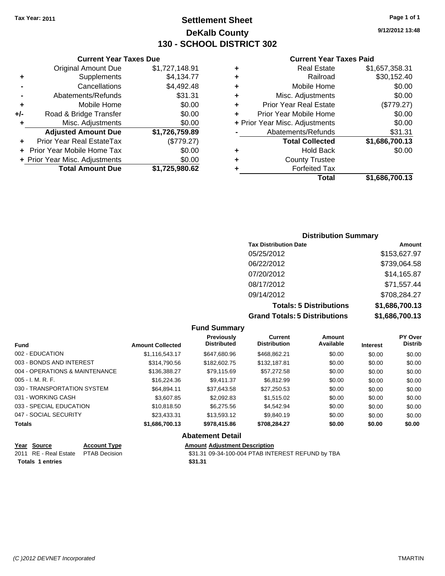**Current Year Taxes Due** Original Amount Due \$1,727,148.91

**Adjusted Amount Due \$1,726,759.89**

**Total Amount Due \$1,725,980.62**

**+** Supplements \$4,134.77 **-** Cancellations \$4,492.48 **-** Abatements/Refunds \$31.31 **+** Mobile Home \$0.00 **+/-** Road & Bridge Transfer \$0.00 **+** Misc. Adjustments \$0.00

**+** Prior Year Real EstateTax (\$779.27) **+** Prior Year Mobile Home Tax \$0.00 **+ Prior Year Misc. Adjustments**  $$0.00$ 

### **Settlement Sheet Tax Year: 2011 Page 1 of 1 DeKalb County 130 - SCHOOL DISTRICT 302**

**9/12/2012 13:48**

#### **Current Year Taxes Paid**

| Total                          | \$1,686,700.13 |
|--------------------------------|----------------|
| <b>Forfeited Tax</b>           |                |
| <b>County Trustee</b>          |                |
| Hold Back                      | \$0.00         |
| <b>Total Collected</b>         | \$1,686,700.13 |
| Abatements/Refunds             | \$31.31        |
| + Prior Year Misc. Adjustments | \$0.00         |
| Prior Year Mobile Home         | \$0.00         |
| <b>Prior Year Real Estate</b>  | (\$779.27)     |
| Misc. Adjustments              | \$0.00         |
| Mobile Home                    | \$0.00         |
| Railroad                       | \$30,152.40    |
| <b>Real Estate</b>             | \$1,657,358.31 |
|                                |                |

## **Distribution Summary Tax Distribution Date Amount** 05/25/2012 \$153,627.97 06/22/2012 \$739,064.58 07/20/2012 \$14,165.87

08/17/2012 \$71,557.44 09/14/2012 \$708,284.27 **Totals: 5 Distributions \$1,686,700.13 Grand Totals: 5 Distributions \$1,686,700.13**

| <b>Fund</b>                    |              | <b>Amount Collected</b> | Previously<br><b>Distributed</b> | Current<br><b>Distribution</b> | Amount<br>Available | <b>Interest</b> | <b>PY Over</b><br><b>Distrib</b> |
|--------------------------------|--------------|-------------------------|----------------------------------|--------------------------------|---------------------|-----------------|----------------------------------|
| 002 - EDUCATION                |              | \$1,116,543.17          | \$647,680.96                     | \$468.862.21                   | \$0.00              | \$0.00          | \$0.00                           |
| 003 - BONDS AND INTEREST       |              | \$314,790.56            | \$182,602.75                     | \$132,187.81                   | \$0.00              | \$0.00          | \$0.00                           |
| 004 - OPERATIONS & MAINTENANCE |              | \$136,388,27            | \$79.115.69                      | \$57,272.58                    | \$0.00              | \$0.00          | \$0.00                           |
| $005 - I. M. R. F.$            |              | \$16,224.36             | \$9.411.37                       | \$6.812.99                     | \$0.00              | \$0.00          | \$0.00                           |
| 030 - TRANSPORTATION SYSTEM    |              | \$64.894.11             | \$37.643.58                      | \$27,250.53                    | \$0.00              | \$0.00          | \$0.00                           |
| 031 - WORKING CASH             |              | \$3,607.85              | \$2,092.83                       | \$1,515.02                     | \$0.00              | \$0.00          | \$0.00                           |
| 033 - SPECIAL EDUCATION        |              | \$10,818.50             | \$6.275.56                       | \$4.542.94                     | \$0.00              | \$0.00          | \$0.00                           |
| 047 - SOCIAL SECURITY          |              | \$23,433,31             | \$13.593.12                      | \$9,840.19                     | \$0.00              | \$0.00          | \$0.00                           |
| <b>Totals</b>                  |              | \$1,686,700.13          | \$978,415.86                     | \$708,284.27                   | \$0.00              | \$0.00          | \$0.00                           |
|                                |              |                         | <b>Abatement Detail</b>          |                                |                     |                 |                                  |
| Voor Course                    | Account Tune |                         | Amount Adjustment Description    |                                |                     |                 |                                  |

|                         | Year Source                         | <b>Account Type</b> | <b>Amount Adiustment Description</b>              |
|-------------------------|-------------------------------------|---------------------|---------------------------------------------------|
|                         | 2011 RE - Real Estate PTAB Decision |                     | \$31.31 09-34-100-004 PTAB INTEREST REFUND by TBA |
| <b>Totals 1 entries</b> |                                     |                     | \$31.31                                           |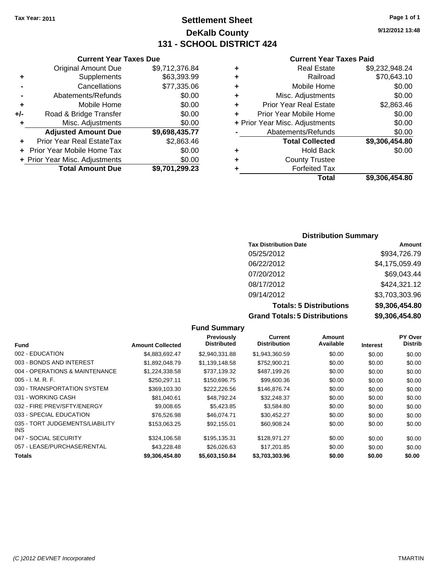### **Settlement Sheet Tax Year: 2011 Page 1 of 1 DeKalb County 131 - SCHOOL DISTRICT 424**

**9/12/2012 13:48**

### **Current Year Taxes Paid**

|   | Total                          | \$9.306.454.80 |
|---|--------------------------------|----------------|
|   | <b>Forfeited Tax</b>           |                |
| ٠ | <b>County Trustee</b>          |                |
| ٠ | <b>Hold Back</b>               | \$0.00         |
|   | <b>Total Collected</b>         | \$9,306,454.80 |
|   | Abatements/Refunds             | \$0.00         |
|   | + Prior Year Misc. Adjustments | \$0.00         |
| ٠ | Prior Year Mobile Home         | \$0.00         |
| ٠ | <b>Prior Year Real Estate</b>  | \$2,863.46     |
| ٠ | Misc. Adjustments              | \$0.00         |
| ٠ | Mobile Home                    | \$0.00         |
| ٠ | Railroad                       | \$70,643.10    |
| ٠ | <b>Real Estate</b>             | \$9,232,948.24 |

|     | <b>Current Year Taxes Due</b>  |                |
|-----|--------------------------------|----------------|
|     | <b>Original Amount Due</b>     | \$9,712,376.84 |
| ٠   | Supplements                    | \$63,393.99    |
|     | Cancellations                  | \$77,335.06    |
|     | Abatements/Refunds             | \$0.00         |
| ٠   | Mobile Home                    | \$0.00         |
| +/- | Road & Bridge Transfer         | \$0.00         |
| ٠   | Misc. Adjustments              | \$0.00         |
|     | <b>Adjusted Amount Due</b>     | \$9,698,435.77 |
|     | Prior Year Real EstateTax      | \$2,863.46     |
|     | Prior Year Mobile Home Tax     | \$0.00         |
|     | + Prior Year Misc. Adjustments | \$0.00         |
|     | <b>Total Amount Due</b>        | \$9,701,299.23 |

| <b>Distribution Summary</b> |  |
|-----------------------------|--|
|-----------------------------|--|

| <b>Tax Distribution Date</b>         | Amount         |
|--------------------------------------|----------------|
| 05/25/2012                           | \$934,726.79   |
| 06/22/2012                           | \$4,175,059.49 |
| 07/20/2012                           | \$69,043.44    |
| 08/17/2012                           | \$424,321.12   |
| 09/14/2012                           | \$3,703,303.96 |
| <b>Totals: 5 Distributions</b>       | \$9,306,454.80 |
| <b>Grand Totals: 5 Distributions</b> | \$9,306,454.80 |

|                                         |                         | <b>Fund Summary</b>              |                                |                     |                 |                           |
|-----------------------------------------|-------------------------|----------------------------------|--------------------------------|---------------------|-----------------|---------------------------|
| <b>Fund</b>                             | <b>Amount Collected</b> | Previously<br><b>Distributed</b> | Current<br><b>Distribution</b> | Amount<br>Available | <b>Interest</b> | PY Over<br><b>Distrib</b> |
| 002 - EDUCATION                         | \$4,883,692.47          | \$2.940.331.88                   | \$1,943,360.59                 | \$0.00              | \$0.00          | \$0.00                    |
| 003 - BONDS AND INTEREST                | \$1.892.048.79          | \$1,139,148.58                   | \$752,900.21                   | \$0.00              | \$0.00          | \$0.00                    |
| 004 - OPERATIONS & MAINTENANCE          | \$1,224,338.58          | \$737,139.32                     | \$487,199.26                   | \$0.00              | \$0.00          | \$0.00                    |
| $005 - I. M. R. F.$                     | \$250.297.11            | \$150,696.75                     | \$99,600.36                    | \$0.00              | \$0.00          | \$0.00                    |
| 030 - TRANSPORTATION SYSTEM             | \$369,103.30            | \$222,226.56                     | \$146,876.74                   | \$0.00              | \$0.00          | \$0.00                    |
| 031 - WORKING CASH                      | \$81.040.61             | \$48.792.24                      | \$32,248.37                    | \$0.00              | \$0.00          | \$0.00                    |
| 032 - FIRE PREV/SFTY/ENERGY             | \$9,008.65              | \$5,423.85                       | \$3,584.80                     | \$0.00              | \$0.00          | \$0.00                    |
| 033 - SPECIAL EDUCATION                 | \$76,526.98             | \$46.074.71                      | \$30.452.27                    | \$0.00              | \$0.00          | \$0.00                    |
| 035 - TORT JUDGEMENTS/LIABILITY<br>INS. | \$153,063.25            | \$92,155.01                      | \$60,908.24                    | \$0.00              | \$0.00          | \$0.00                    |
| 047 - SOCIAL SECURITY                   | \$324,106.58            | \$195,135.31                     | \$128,971.27                   | \$0.00              | \$0.00          | \$0.00                    |
| 057 - LEASE/PURCHASE/RENTAL             | \$43,228.48             | \$26,026.63                      | \$17,201.85                    | \$0.00              | \$0.00          | \$0.00                    |
| Totals                                  | \$9,306,454.80          | \$5,603,150.84                   | \$3,703,303.96                 | \$0.00              | \$0.00          | \$0.00                    |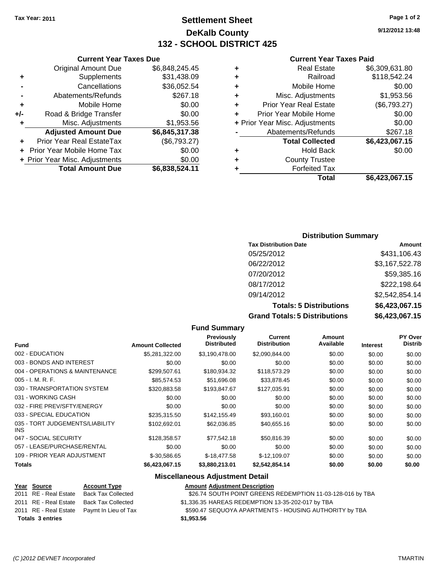### **Settlement Sheet Tax Year: 2011 Page 1 of 2 DeKalb County 132 - SCHOOL DISTRICT 425**

**9/12/2012 13:48**

#### **Current Year Taxes Paid**

|   | <b>Real Estate</b>             | \$6,309,631.80 |
|---|--------------------------------|----------------|
| ٠ | Railroad                       | \$118,542.24   |
| ٠ | Mobile Home                    | \$0.00         |
| ÷ | Misc. Adjustments              | \$1,953.56     |
| ٠ | <b>Prior Year Real Estate</b>  | (\$6,793.27)   |
| ٠ | Prior Year Mobile Home         | \$0.00         |
|   | + Prior Year Misc. Adjustments | \$0.00         |
|   | Abatements/Refunds             | \$267.18       |
|   | <b>Total Collected</b>         | \$6,423,067.15 |
| ٠ | <b>Hold Back</b>               | \$0.00         |
|   | <b>County Trustee</b>          |                |
|   | <b>Forfeited Tax</b>           |                |
|   | Total                          | \$6.423.067.15 |

|     | <b>Current Year Taxes Due</b>  |                |
|-----|--------------------------------|----------------|
|     | <b>Original Amount Due</b>     | \$6,848,245.45 |
| ٠   | Supplements                    | \$31,438.09    |
|     | Cancellations                  | \$36,052.54    |
|     | Abatements/Refunds             | \$267.18       |
| ÷   | Mobile Home                    | \$0.00         |
| +/- | Road & Bridge Transfer         | \$0.00         |
| ٠   | Misc. Adjustments              | \$1,953.56     |
|     | <b>Adjusted Amount Due</b>     | \$6,845,317.38 |
|     | Prior Year Real EstateTax      | (\$6,793.27)   |
|     | Prior Year Mobile Home Tax     | \$0.00         |
|     | + Prior Year Misc. Adjustments | \$0.00         |
|     | <b>Total Amount Due</b>        | \$6,838,524.11 |

### **Distribution Summary**

| <b>Tax Distribution Date</b>         | Amount         |
|--------------------------------------|----------------|
| 05/25/2012                           | \$431,106.43   |
| 06/22/2012                           | \$3,167,522.78 |
| 07/20/2012                           | \$59,385.16    |
| 08/17/2012                           | \$222,198.64   |
| 09/14/2012                           | \$2,542,854.14 |
| <b>Totals: 5 Distributions</b>       | \$6,423,067.15 |
| <b>Grand Totals: 5 Distributions</b> | \$6,423,067.15 |

#### **Fund Summary Fund Interest Amount Collected Distributed PY Over Distrib Amount Available Current Distribution Previously** 002 - EDUCATION \$5,281,322.00 \$3,190,478.00 \$2,090,844.00 \$0.00 \$0.00 \$0.00 003 - BONDS AND INTEREST  $$0.00$   $$0.00$   $$0.00$   $$0.00$   $$0.00$   $$0.00$   $$0.00$   $$0.00$ 004 - OPERATIONS & MAINTENANCE \$299,507.61 \$180,934.32 \$118,573.29 \$0.00 \$0.00 \$0.00 005 - I. M. R. F. \$85,574.53 \$51,696.08 \$33,878.45 \$0.00 \$0.00 \$0.00 030 - TRANSPORTATION SYSTEM \$320,883.58 \$193,847.67 \$127,035.91 \$0.00 \$0.00 \$0.00 031 - WORKING CASH \$0.00 \$0.00 \$0.00 \$0.00 \$0.00 \$0.00 032 - FIRE PREV/SFTY/ENERGY \$0.00 \$0.00 \$0.00 \$0.00 \$0.00 \$0.00 033 - SPECIAL EDUCATION \$235,315.50 \$142,155.49 \$93,160.01 \$0.00 \$0.00 \$0.00 \$0.00 035 - TORT JUDGEMENTS/LIABILITY INS  $$102,692.01$   $$62,036.85$   $$40,655.16$   $$0.00$   $$0.00$   $$0.00$ 047 - SOCIAL SECURITY 60.00 \$128,358.57 \$77,542.18 \$50,816.39 \$0.00 \$0.00 \$0.00 \$0.00 057 - LEASE/PURCHASE/RENTAL  $$0.00$   $$0.00$   $$0.00$   $$0.00$   $$0.00$   $$0.00$   $$0.00$   $$0.00$ 109 - PRIOR YEAR ADJUSTMENT \$-30,586.65 \$-18,477.58 \$-12,109.07 \$0.00 \$0.00 \$0.00 **Totals \$6,423,067.15 \$3,880,213.01 \$2,542,854.14 \$0.00 \$0.00 \$0.00**

#### **Miscellaneous Adjustment Detail**

### **Year Source Account Type Amount Adjustment Description**

|                         | 2011 RE - Real Estate Back Tax Collected   | \$26.74 SOUTH POINT GREENS REDEMPTION 11-03-128-016 by TBA |
|-------------------------|--------------------------------------------|------------------------------------------------------------|
|                         | 2011 RE - Real Estate Back Tax Collected   | \$1,336.35 HAREAS REDEMPTION 13-35-202-017 by TBA          |
|                         | 2011 RE - Real Estate Paymt In Lieu of Tax | \$590.47 SEQUOYA APARTMENTS - HOUSING AUTHORITY by TBA     |
| <b>Totals 3 entries</b> |                                            | \$1.953.56                                                 |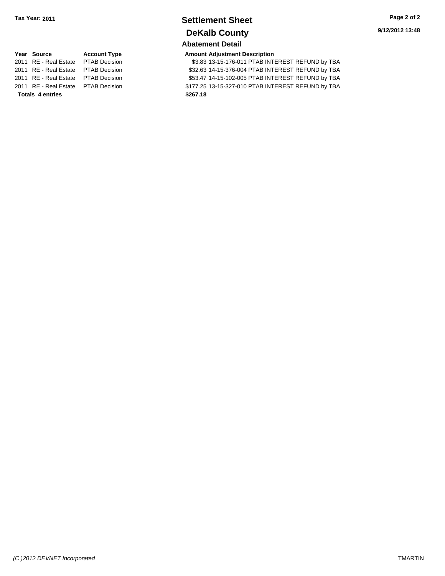### **Settlement Sheet Tax Year: 2011 Page 2 of 2 DeKalb County Abatement Detail**

# **Year Source Account Type Amount Adjustment Description Totals \$267.18 4 entries**

2011 RE - Real Estate PTAB Decision 33.83 13-15-176-011 PTAB INTEREST REFUND by TBA 2011 RE - Real Estate \$32.63 14-15-376-004 PTAB INTEREST REFUND by TBA PTAB Decision 2011 RE - Real Estate \$53.47 14-15-102-005 PTAB INTEREST REFUND by TBA PTAB Decision 2011 RE - Real Estate \$177.25 13-15-327-010 PTAB INTEREST REFUND by TBA PTAB Decision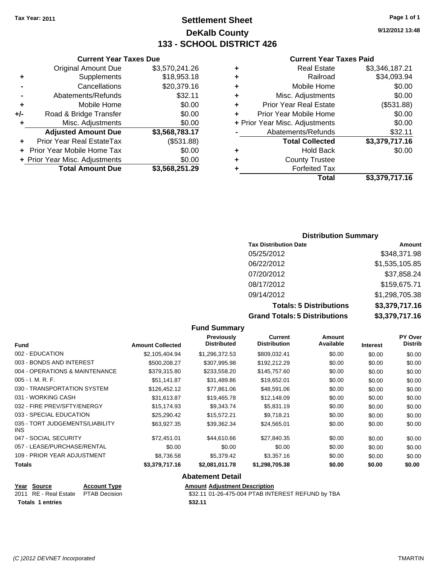### **Settlement Sheet Tax Year: 2011 Page 1 of 1 DeKalb County 133 - SCHOOL DISTRICT 426**

**9/12/2012 13:48**

#### **Current Year Taxes Paid**

| ٠ | <b>Real Estate</b>             | \$3,346,187.21 |
|---|--------------------------------|----------------|
| ٠ | Railroad                       | \$34,093.94    |
| ٠ | Mobile Home                    | \$0.00         |
| ٠ | Misc. Adjustments              | \$0.00         |
| ٠ | <b>Prior Year Real Estate</b>  | (\$531.88)     |
| ٠ | Prior Year Mobile Home         | \$0.00         |
|   | + Prior Year Misc. Adjustments | \$0.00         |
|   | Abatements/Refunds             | \$32.11        |
|   | <b>Total Collected</b>         | \$3,379,717.16 |
| ٠ | <b>Hold Back</b>               | \$0.00         |
| ٠ | <b>County Trustee</b>          |                |
|   | <b>Forfeited Tax</b>           |                |
|   | Total                          | \$3.379.717.16 |

### **Current Year Taxes Due** Original Amount Due \$3,570,241.26 **+** Supplements \$18,953.18 **-** Cancellations \$20,379.16 **-** Abatements/Refunds **\$32.11 +** Mobile Home \$0.00 **+/-** Road & Bridge Transfer \$0.00 **+** Misc. Adjustments \$0.00 **Adjusted Amount Due \$3,568,783.17 +** Prior Year Real EstateTax (\$531.88) **+** Prior Year Mobile Home Tax \$0.00 **+ Prior Year Misc. Adjustments**  $$0.00$ **Total Amount Due \$3,568,251.29**

#### **Distribution Summary**

| <b>Tax Distribution Date</b>         | Amount         |
|--------------------------------------|----------------|
| 05/25/2012                           | \$348,371.98   |
| 06/22/2012                           | \$1,535,105.85 |
| 07/20/2012                           | \$37,858.24    |
| 08/17/2012                           | \$159,675.71   |
| 09/14/2012                           | \$1,298,705.38 |
| <b>Totals: 5 Distributions</b>       | \$3,379,717.16 |
| <b>Grand Totals: 5 Distributions</b> | \$3,379,717.16 |

#### **Fund Summary Fund Interest Amount Collected Distributed PY Over Distrib Amount Available Current Distribution Previously** 002 - EDUCATION \$2,105,404.94 \$1,296,372.53 \$809,032.41 \$0.00 \$0.00 \$0.00 003 - BONDS AND INTEREST  $$500,208.27$   $$307,995.98$   $$192,212.29$   $$0.00$   $$0.00$   $$0.00$ 004 - OPERATIONS & MAINTENANCE \$379,315.80 \$233,558.20 \$145,757.60 \$0.00 \$0.00 \$0.00 005 - I. M. R. F. \$51,141.87 \$31,489.86 \$19,652.01 \$0.00 \$0.00 \$0.00 030 - TRANSPORTATION SYSTEM \$126,452.12 \$77,861.06 \$48,591.06 \$0.00 \$0.00 \$0.00 031 - WORKING CASH \$31,613.87 \$19,465.78 \$12,148.09 \$0.00 \$0.00 \$0.00 \$0.00 \$0.00 \$0.00 \$0.00 \$0.00 \$0.00 \$0.00 \$0.00 032 - FIRE PREV/SFTY/ENERGY **\$15,174.93** \$9,343.74 \$5,831.19 \$0.00 \$0.00 \$0.00 033 - SPECIAL EDUCATION **\$25,290.42** \$15,572.21 \$9,718.21 \$0.00 \$0.00 \$0.00 \$0.00 035 - TORT JUDGEMENTS/LIABILITY INS \$63,927.35 \$39,362.34 \$24,565.01 \$0.00 \$0.00 \$0.00 047 - SOCIAL SECURITY \$\$72,451.01 \$44,610.66 \$27,840.35 \$0.00 \$0.00 \$0.00 057 - LEASE/PURCHASE/RENTAL  $$0.00$   $$0.00$   $$0.00$   $$0.00$   $$0.00$   $$0.00$   $$0.00$   $$0.00$ 109 - PRIOR YEAR ADJUSTMENT \$8,736.58 \$5,379.42 \$3,357.16 \$0.00 \$0.00 \$0.00 **Totals \$3,379,717.16 \$2,081,011.78 \$1,298,705.38 \$0.00 \$0.00 \$0.00 Abatement Detail Year Source Account Type Amount Adjustment Description**

| <b>Tear Obdive</b>                  | <b>RUGULIL LYPU</b> | AND MILL AGROUNDED DESCRIPTION                    |
|-------------------------------------|---------------------|---------------------------------------------------|
| 2011 RE - Real Estate PTAB Decision |                     | \$32.11 01-26-475-004 PTAB INTEREST REFUND by TBA |
| <b>Totals 1 entries</b>             |                     | \$32.11                                           |
|                                     |                     |                                                   |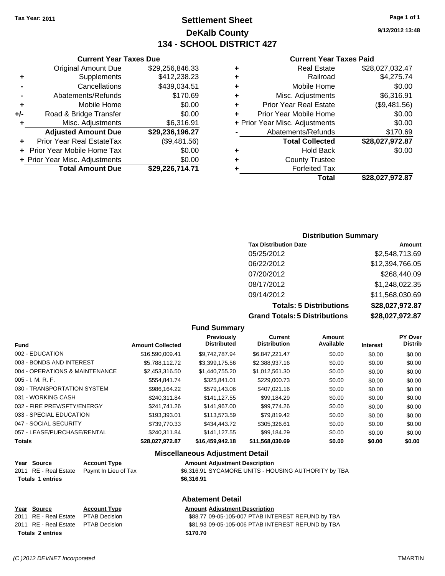### **Settlement Sheet Tax Year: 2011 Page 1 of 1 DeKalb County 134 - SCHOOL DISTRICT 427**

**9/12/2012 13:48**

#### **Current Year Taxes Paid**

|   | Total                          | \$28,027,972.87 |
|---|--------------------------------|-----------------|
|   | <b>Forfeited Tax</b>           |                 |
| ٠ | <b>County Trustee</b>          |                 |
| ٠ | <b>Hold Back</b>               | \$0.00          |
|   | <b>Total Collected</b>         | \$28,027,972.87 |
|   | Abatements/Refunds             | \$170.69        |
|   | + Prior Year Misc. Adjustments | \$0.00          |
| ÷ | Prior Year Mobile Home         | \$0.00          |
| ٠ | <b>Prior Year Real Estate</b>  | (\$9,481.56)    |
| ÷ | Misc. Adjustments              | \$6,316.91      |
| ٠ | Mobile Home                    | \$0.00          |
| ٠ | Railroad                       | \$4,275.74      |
| ٠ | <b>Real Estate</b>             | \$28,027,032.47 |
|   |                                |                 |

### **Current Year Taxes Due** Original Amount Due \$29,256,846.33 **+** Supplements \$412,238.23 **-** Cancellations \$439,034.51 **-** Abatements/Refunds \$170.69 **+** Mobile Home \$0.00 **+/-** Road & Bridge Transfer \$0.00 **+** Misc. Adjustments \$6,316.91 **Adjusted Amount Due \$29,236,196.27 +** Prior Year Real EstateTax (\$9,481.56) **+** Prior Year Mobile Home Tax \$0.00 **+ Prior Year Misc. Adjustments**  $$0.00$ **Total Amount Due \$29,226,714.71**

#### **Distribution Summary**

| <b>Tax Distribution Date</b>         | Amount          |
|--------------------------------------|-----------------|
| 05/25/2012                           | \$2,548,713.69  |
| 06/22/2012                           | \$12,394,766.05 |
| 07/20/2012                           | \$268,440.09    |
| 08/17/2012                           | \$1,248,022.35  |
| 09/14/2012                           | \$11,568,030.69 |
| <b>Totals: 5 Distributions</b>       | \$28,027,972.87 |
| <b>Grand Totals: 5 Distributions</b> | \$28,027,972.87 |

### **Fund Summary**

| <b>Fund</b>                    | <b>Amount Collected</b> | Previously<br><b>Distributed</b> | Current<br><b>Distribution</b> | Amount<br>Available | <b>Interest</b> | <b>PY Over</b><br><b>Distrib</b> |
|--------------------------------|-------------------------|----------------------------------|--------------------------------|---------------------|-----------------|----------------------------------|
| 002 - EDUCATION                | \$16,590,009.41         | \$9,742,787.94                   | \$6,847,221.47                 | \$0.00              | \$0.00          | \$0.00                           |
| 003 - BONDS AND INTEREST       | \$5.788.112.72          | \$3,399,175.56                   | \$2,388,937.16                 | \$0.00              | \$0.00          | \$0.00                           |
| 004 - OPERATIONS & MAINTENANCE | \$2.453.316.50          | \$1,440,755,20                   | \$1,012,561.30                 | \$0.00              | \$0.00          | \$0.00                           |
| $005 - I. M. R. F.$            | \$554,841.74            | \$325,841.01                     | \$229,000.73                   | \$0.00              | \$0.00          | \$0.00                           |
| 030 - TRANSPORTATION SYSTEM    | \$986.164.22            | \$579,143.06                     | \$407,021.16                   | \$0.00              | \$0.00          | \$0.00                           |
| 031 - WORKING CASH             | \$240.311.84            | \$141.127.55                     | \$99,184.29                    | \$0.00              | \$0.00          | \$0.00                           |
| 032 - FIRE PREV/SFTY/ENERGY    | \$241,741.26            | \$141,967.00                     | \$99,774.26                    | \$0.00              | \$0.00          | \$0.00                           |
| 033 - SPECIAL EDUCATION        | \$193.393.01            | \$113,573,59                     | \$79.819.42                    | \$0.00              | \$0.00          | \$0.00                           |
| 047 - SOCIAL SECURITY          | \$739,770.33            | \$434,443.72                     | \$305.326.61                   | \$0.00              | \$0.00          | \$0.00                           |
| 057 - LEASE/PURCHASE/RENTAL    | \$240.311.84            | \$141.127.55                     | \$99.184.29                    | \$0.00              | \$0.00          | \$0.00                           |
| <b>Totals</b>                  | \$28.027.972.87         | \$16,459,942.18                  | \$11.568.030.69                | \$0.00              | \$0.00          | \$0.00                           |

#### **Miscellaneous Adjustment Detail**

#### **Year Source Account Type Amount Adjustment Description**

| 2011 RE - Real Estate  Paymt In Lieu of Tax | \$6,316.91 SYCAMORE UNITS - HOUSING AUTHORITY by TBA |
|---------------------------------------------|------------------------------------------------------|
| <b>Totals 1 entries</b>                     | \$6.316.91                                           |

#### **Abatement Detail**

# **Year Source Account Type Amount Adjustment Description**<br>2011 **RE - Real Estate RTAR Decision**

| <b>Totals 2 entries</b>             | \$170.70                                          |
|-------------------------------------|---------------------------------------------------|
| 2011 RE - Real Estate PTAB Decision | \$81.93 09-05-105-006 PTAB INTEREST REFUND by TBA |
| 2011 RE - Real Estate PTAB Decision | \$88.77 09-05-105-007 PTAB INTEREST REFUND by TBA |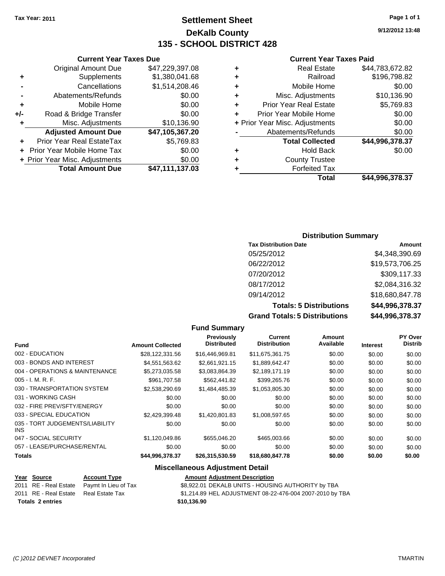### **Settlement Sheet Tax Year: 2011 Page 1 of 1 DeKalb County 135 - SCHOOL DISTRICT 428**

**9/12/2012 13:48**

### **Current Year Taxes Paid**

| ٠ | <b>Real Estate</b>             | \$44,783,672.82 |
|---|--------------------------------|-----------------|
| ٠ | Railroad                       | \$196,798.82    |
| ٠ | Mobile Home                    | \$0.00          |
| ٠ | Misc. Adjustments              | \$10,136.90     |
| ÷ | <b>Prior Year Real Estate</b>  | \$5,769.83      |
| ÷ | Prior Year Mobile Home         | \$0.00          |
|   | + Prior Year Misc. Adjustments | \$0.00          |
|   | Abatements/Refunds             | \$0.00          |
|   | <b>Total Collected</b>         | \$44,996,378.37 |
| ٠ | <b>Hold Back</b>               | \$0.00          |
| ٠ | <b>County Trustee</b>          |                 |
| ٠ | <b>Forfeited Tax</b>           |                 |
|   | Total                          | \$44,996,378.37 |

|     | <b>Current Year Taxes Due</b>    |                 |
|-----|----------------------------------|-----------------|
|     | <b>Original Amount Due</b>       | \$47,229,397.08 |
| ٠   | Supplements                      | \$1,380,041.68  |
|     | Cancellations                    | \$1,514,208.46  |
|     | Abatements/Refunds               | \$0.00          |
| ٠   | Mobile Home                      | \$0.00          |
| +/- | Road & Bridge Transfer           | \$0.00          |
| ٠   | Misc. Adjustments                | \$10,136.90     |
|     | <b>Adjusted Amount Due</b>       | \$47,105,367.20 |
|     | <b>Prior Year Real EstateTax</b> | \$5,769.83      |
|     | Prior Year Mobile Home Tax       | \$0.00          |
|     | + Prior Year Misc. Adjustments   | \$0.00          |
|     | <b>Total Amount Due</b>          | \$47,111,137.03 |

### **Distribution Summary**

| <b>Tax Distribution Date</b>         | Amount          |
|--------------------------------------|-----------------|
| 05/25/2012                           | \$4,348,390.69  |
| 06/22/2012                           | \$19,573,706.25 |
| 07/20/2012                           | \$309,117.33    |
| 08/17/2012                           | \$2,084,316.32  |
| 09/14/2012                           | \$18,680,847.78 |
| <b>Totals: 5 Distributions</b>       | \$44,996,378.37 |
| <b>Grand Totals: 5 Distributions</b> | \$44,996,378.37 |

|                                               |                         | <b>Fund Summary</b>                     |                                       |                     |                 |                           |
|-----------------------------------------------|-------------------------|-----------------------------------------|---------------------------------------|---------------------|-----------------|---------------------------|
| <b>Fund</b>                                   | <b>Amount Collected</b> | <b>Previously</b><br><b>Distributed</b> | <b>Current</b><br><b>Distribution</b> | Amount<br>Available | <b>Interest</b> | PY Over<br><b>Distrib</b> |
| 002 - EDUCATION                               | \$28,122,331.56         | \$16,446,969.81                         | \$11,675,361.75                       | \$0.00              | \$0.00          | \$0.00                    |
| 003 - BONDS AND INTEREST                      | \$4,551,563.62          | \$2,661,921.15                          | \$1,889,642.47                        | \$0.00              | \$0.00          | \$0.00                    |
| 004 - OPERATIONS & MAINTENANCE                | \$5,273,035.58          | \$3,083,864.39                          | \$2,189,171.19                        | \$0.00              | \$0.00          | \$0.00                    |
| $005 - I. M. R. F.$                           | \$961,707.58            | \$562,441.82                            | \$399,265.76                          | \$0.00              | \$0.00          | \$0.00                    |
| 030 - TRANSPORTATION SYSTEM                   | \$2,538,290.69          | \$1,484,485.39                          | \$1,053,805.30                        | \$0.00              | \$0.00          | \$0.00                    |
| 031 - WORKING CASH                            | \$0.00                  | \$0.00                                  | \$0.00                                | \$0.00              | \$0.00          | \$0.00                    |
| 032 - FIRE PREV/SFTY/ENERGY                   | \$0.00                  | \$0.00                                  | \$0.00                                | \$0.00              | \$0.00          | \$0.00                    |
| 033 - SPECIAL EDUCATION                       | \$2,429,399.48          | \$1,420,801.83                          | \$1,008,597.65                        | \$0.00              | \$0.00          | \$0.00                    |
| 035 - TORT JUDGEMENTS/LIABILITY<br><b>INS</b> | \$0.00                  | \$0.00                                  | \$0.00                                | \$0.00              | \$0.00          | \$0.00                    |
| 047 - SOCIAL SECURITY                         | \$1,120,049.86          | \$655,046.20                            | \$465,003.66                          | \$0.00              | \$0.00          | \$0.00                    |
| 057 - LEASE/PURCHASE/RENTAL                   | \$0.00                  | \$0.00                                  | \$0.00                                | \$0.00              | \$0.00          | \$0.00                    |
| <b>Totals</b>                                 | \$44,996,378.37         | \$26,315,530.59                         | \$18,680,847.78                       | \$0.00              | \$0.00          | \$0.00                    |
|                                               |                         | <b>Miscellaneous Adjustment Detail</b>  |                                       |                     |                 |                           |

| Year Source                           | <b>Account Type</b>                        | <b>Amount Adjustment Description</b>                     |
|---------------------------------------|--------------------------------------------|----------------------------------------------------------|
|                                       | 2011 RE - Real Estate Paymt In Lieu of Tax | \$8,922.01 DEKALB UNITS - HOUSING AUTHORITY by TBA       |
| 2011 RE - Real Estate Real Estate Tax |                                            | \$1,214.89 HEL ADJUSTMENT 08-22-476-004 2007-2010 by TBA |
| <b>Totals 2 entries</b>               |                                            | \$10.136.90                                              |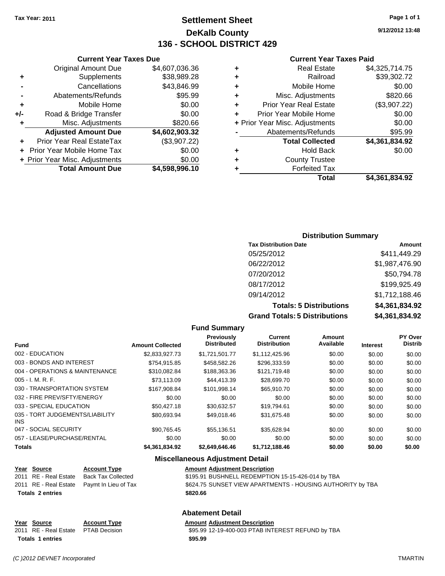### **Settlement Sheet Tax Year: 2011 Page 1 of 1 DeKalb County 136 - SCHOOL DISTRICT 429**

**9/12/2012 13:48**

#### **Current Year Taxes Paid**

|                                | Total                  | \$4.361.834.92 |
|--------------------------------|------------------------|----------------|
|                                | <b>Forfeited Tax</b>   |                |
| ٠                              | <b>County Trustee</b>  |                |
| ٠                              | <b>Hold Back</b>       | \$0.00         |
|                                | <b>Total Collected</b> | \$4,361,834.92 |
|                                | Abatements/Refunds     | \$95.99        |
| + Prior Year Misc. Adjustments |                        | \$0.00         |
| ٠                              | Prior Year Mobile Home | \$0.00         |
| ٠                              | Prior Year Real Estate | (\$3,907.22)   |
| ÷                              | Misc. Adjustments      | \$820.66       |
| ٠                              | Mobile Home            | \$0.00         |
| ٠                              | Railroad               | \$39,302.72    |
| ٠                              | <b>Real Estate</b>     | \$4,325,714.75 |
|                                |                        |                |

### **Current Year Taxes Due** Original Amount Due \$4,607,036.36 **+** Supplements \$38,989.28 **-** Cancellations \$43,846.99 **-** Abatements/Refunds **\$95.99 +** Mobile Home \$0.00 **+/-** Road & Bridge Transfer \$0.00 **+** Misc. Adjustments \$820.66 **Adjusted Amount Due \$4,602,903.32 +** Prior Year Real EstateTax (\$3,907.22) **+** Prior Year Mobile Home Tax \$0.00 **+ Prior Year Misc. Adjustments**  $$0.00$ **Total Amount Due \$4,598,996.10**

#### **Distribution Summary**

| <b>Tax Distribution Date</b>         | Amount         |
|--------------------------------------|----------------|
| 05/25/2012                           | \$411,449.29   |
| 06/22/2012                           | \$1,987,476.90 |
| 07/20/2012                           | \$50,794.78    |
| 08/17/2012                           | \$199,925.49   |
| 09/14/2012                           | \$1,712,188.46 |
| <b>Totals: 5 Distributions</b>       | \$4,361,834.92 |
| <b>Grand Totals: 5 Distributions</b> | \$4,361,834.92 |

#### **Fund Summary Fund Interest Amount Collected Distributed PY Over Distrib Amount Available Current Distribution Previously** 002 - EDUCATION \$2,833,927.73 \$1,721,501.77 \$1,112,425.96 \$0.00 \$0.00 \$0.00 003 - BONDS AND INTEREST 6754,915.85 \$458,582.26 \$296,333.59 \$0.00 \$0.00 \$0.00 004 - OPERATIONS & MAINTENANCE \$310,082.84 \$188,363.36 \$121,719.48 \$0.00 \$0.00 \$0.00 005 - I. M. R. F. \$73,113.09 \$44,413.39 \$28,699.70 \$0.00 \$0.00 \$0.00 030 - TRANSPORTATION SYSTEM \$167,908.84 \$101,998.14 \$65,910.70 \$0.00 \$0.00 \$0.00 032 - FIRE PREV/SFTY/ENERGY \$0.00 \$0.00 \$0.00 \$0.00 \$0.00 \$0.00 033 - SPECIAL EDUCATION **\$50,427.18** \$30,632.57 \$19,794.61 \$0.00 \$0.00 \$0.00 \$0.00 035 - TORT JUDGEMENTS/LIABILITY INS \$80,693.94 \$49,018.46 \$31,675.48 \$0.00 \$0.00 \$0.00 047 - SOCIAL SECURITY \$90,765.45 \$55,136.51 \$35,628.94 \$0.00 \$0.00 \$0.00 057 - LEASE/PURCHASE/RENTAL  $$0.00$   $$0.00$   $$0.00$   $$0.00$   $$0.00$   $$0.00$   $$0.00$ **Totals \$4,361,834.92 \$2,649,646.46 \$1,712,188.46 \$0.00 \$0.00 \$0.00**

#### **Miscellaneous Adjustment Detail**

| Year Source             | <b>Account Type</b>                        | <b>Amount Adjustment Description</b>                       |
|-------------------------|--------------------------------------------|------------------------------------------------------------|
| 2011 RE - Real Estate   | Back Tax Collected                         | \$195.91 BUSHNELL REDEMPTION 15-15-426-014 by TBA          |
|                         | 2011 RE - Real Estate Paymt In Lieu of Tax | \$624.75 SUNSET VIEW APARTMENTS - HOUSING AUTHORITY by TBA |
| <b>Totals 2 entries</b> |                                            | \$820.66                                                   |
|                         |                                            |                                                            |

### **Abatement Detail**

| Year Source                         | <b>Account Type</b> | <b>Amount Adjustment Description</b>              |
|-------------------------------------|---------------------|---------------------------------------------------|
| 2011 RE - Real Estate PTAB Decision |                     | \$95.99 12-19-400-003 PTAB INTEREST REFUND by TBA |
| <b>Totals 1 entries</b>             |                     | \$95.99                                           |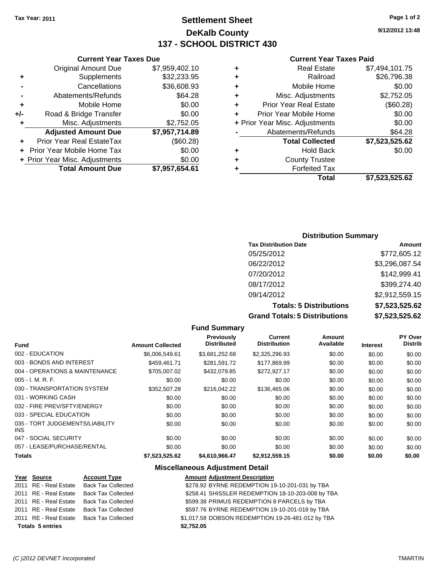### **Settlement Sheet Tax Year: 2011 Page 1 of 2 DeKalb County 137 - SCHOOL DISTRICT 430**

**9/12/2012 13:48**

### **Current Year Taxes Paid**

| ٠ | <b>Real Estate</b>             | \$7,494,101.75 |
|---|--------------------------------|----------------|
| ٠ | Railroad                       | \$26,796.38    |
| ٠ | Mobile Home                    | \$0.00         |
| ٠ | Misc. Adjustments              | \$2,752.05     |
| ٠ | <b>Prior Year Real Estate</b>  | (\$60.28)      |
| ÷ | Prior Year Mobile Home         | \$0.00         |
|   | + Prior Year Misc. Adjustments | \$0.00         |
|   | Abatements/Refunds             | \$64.28        |
|   | <b>Total Collected</b>         | \$7,523,525.62 |
| ٠ | <b>Hold Back</b>               | \$0.00         |
| ٠ | <b>County Trustee</b>          |                |
|   | <b>Forfeited Tax</b>           |                |
|   | Total                          | \$7.523.525.62 |

|     | <b>Current Year Taxes Due</b>  |                |
|-----|--------------------------------|----------------|
|     | <b>Original Amount Due</b>     | \$7,959,402.10 |
| ٠   | Supplements                    | \$32,233.95    |
|     | Cancellations                  | \$36,608.93    |
|     | Abatements/Refunds             | \$64.28        |
| ٠   | Mobile Home                    | \$0.00         |
| +/- | Road & Bridge Transfer         | \$0.00         |
| ٠   | Misc. Adjustments              | \$2,752.05     |
|     | <b>Adjusted Amount Due</b>     | \$7,957,714.89 |
|     | Prior Year Real EstateTax      | (\$60.28)      |
|     | Prior Year Mobile Home Tax     | \$0.00         |
|     | + Prior Year Misc. Adjustments | \$0.00         |
|     | <b>Total Amount Due</b>        | \$7,957,654.61 |

### **Distribution Summary**

| <b>Tax Distribution Date</b>         | Amount         |
|--------------------------------------|----------------|
| 05/25/2012                           | \$772,605.12   |
| 06/22/2012                           | \$3,296,087.54 |
| 07/20/2012                           | \$142,999.41   |
| 08/17/2012                           | \$399,274.40   |
| 09/14/2012                           | \$2,912,559.15 |
| <b>Totals: 5 Distributions</b>       | \$7,523,525.62 |
| <b>Grand Totals: 5 Distributions</b> | \$7,523,525.62 |

|                                         |                         | <b>Fund Summary</b>                     |                                |                     |                 |                                  |
|-----------------------------------------|-------------------------|-----------------------------------------|--------------------------------|---------------------|-----------------|----------------------------------|
| <b>Fund</b>                             | <b>Amount Collected</b> | <b>Previously</b><br><b>Distributed</b> | Current<br><b>Distribution</b> | Amount<br>Available | <b>Interest</b> | <b>PY Over</b><br><b>Distrib</b> |
| 002 - EDUCATION                         | \$6,006,549.61          | \$3,681,252.68                          | \$2,325,296.93                 | \$0.00              | \$0.00          | \$0.00                           |
| 003 - BONDS AND INTEREST                | \$459.461.71            | \$281,591.72                            | \$177,869.99                   | \$0.00              | \$0.00          | \$0.00                           |
| 004 - OPERATIONS & MAINTENANCE          | \$705,007.02            | \$432,079.85                            | \$272,927.17                   | \$0.00              | \$0.00          | \$0.00                           |
| $005 - I. M. R. F.$                     | \$0.00                  | \$0.00                                  | \$0.00                         | \$0.00              | \$0.00          | \$0.00                           |
| 030 - TRANSPORTATION SYSTEM             | \$352,507.28            | \$216,042.22                            | \$136,465.06                   | \$0.00              | \$0.00          | \$0.00                           |
| 031 - WORKING CASH                      | \$0.00                  | \$0.00                                  | \$0.00                         | \$0.00              | \$0.00          | \$0.00                           |
| 032 - FIRE PREV/SFTY/ENERGY             | \$0.00                  | \$0.00                                  | \$0.00                         | \$0.00              | \$0.00          | \$0.00                           |
| 033 - SPECIAL EDUCATION                 | \$0.00                  | \$0.00                                  | \$0.00                         | \$0.00              | \$0.00          | \$0.00                           |
| 035 - TORT JUDGEMENTS/LIABILITY<br>INS. | \$0.00                  | \$0.00                                  | \$0.00                         | \$0.00              | \$0.00          | \$0.00                           |
| 047 - SOCIAL SECURITY                   | \$0.00                  | \$0.00                                  | \$0.00                         | \$0.00              | \$0.00          | \$0.00                           |
| 057 - LEASE/PURCHASE/RENTAL             | \$0.00                  | \$0.00                                  | \$0.00                         | \$0.00              | \$0.00          | \$0.00                           |
| <b>Totals</b>                           | \$7,523,525.62          | \$4,610,966.47                          | \$2,912,559.15                 | \$0.00              | \$0.00          | \$0.00                           |
|                                         |                         | Miscellaneous Adiustment Detail         |                                |                     |                 |                                  |

#### **Miscellaneous Adjustment Detail**

| Year Source             | <b>Account Type</b>       | <b>Amount Adjustment Description</b>              |
|-------------------------|---------------------------|---------------------------------------------------|
| 2011 RE - Real Estate   | <b>Back Tax Collected</b> | \$278.92 BYRNE REDEMPTION 19-10-201-031 by TBA    |
| 2011 RE - Real Estate   | <b>Back Tax Collected</b> | \$258.41 SHISSLER REDEMPTION 18-10-203-008 by TBA |
| 2011 RE - Real Estate   | Back Tax Collected        | \$599.38 PRIMUS REDEMPTION 8 PARCELS by TBA       |
| 2011 RE - Real Estate   | <b>Back Tax Collected</b> | \$597.76 BYRNE REDEMPTION 19-10-201-018 by TBA    |
| 2011 RE - Real Estate   | Back Tax Collected        | \$1,017.58 DOBSON REDEMPTION 19-26-481-012 by TBA |
| <b>Totals 5 entries</b> |                           | \$2,752.05                                        |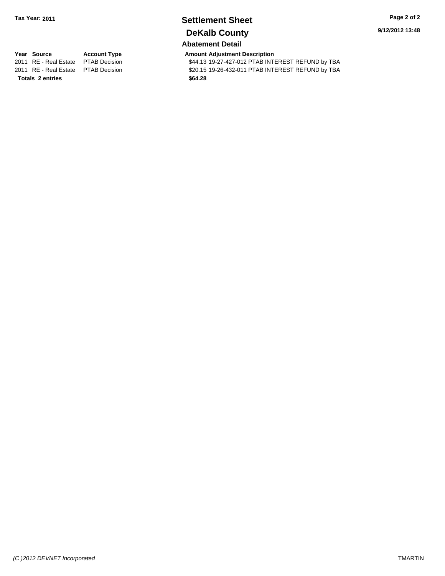### **Settlement Sheet Tax Year: 2011 Page 2 of 2 DeKalb County**

**9/12/2012 13:48**

### **Abatement Detail**

**Totals \$64.28 2 entries**

**Year Source Account Type Amount Adjustment Description**<br>
2011 RE - Real Estate PTAB Decision **AMOUNT S44.13** 19-27-427-012 PTAB INTI \$44.13 19-27-427-012 PTAB INTEREST REFUND by TBA 2011 RE - Real Estate \$20.15 19-26-432-011 PTAB INTEREST REFUND by TBA PTAB Decision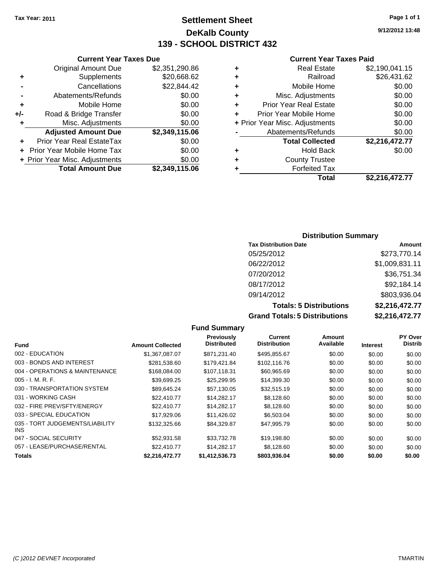**Original Amount Due** 

**Adjusted Amount Due** 

**Total Amount Due** 

**+** Supplements **-** Cancellations **-** Abatements/Refunds **+** Mobile Home **+/-** Road & Bridge Transfer **+** Misc. Adjustments

**+** Prior Year Real EstateTax \$0.00 **+** Prior Year Mobile Home Tax **+ Prior Year Misc. Adjustments** 

### **Settlement Sheet Tax Year: 2011 Page 1 of 1 DeKalb County 139 - SCHOOL DISTRICT 432**

**9/12/2012 13:48**

### **Current Year Taxes Paid**

| <b>Current Year Taxes Due</b> |                |   | <b>Current Year Taxes Paid</b> |                      |  |
|-------------------------------|----------------|---|--------------------------------|----------------------|--|
| ıl Amount Due                 | \$2,351,290.86 | ٠ | <b>Real Estate</b>             | \$2,190,041.15       |  |
| Supplements                   | \$20,668.62    | ٠ | Railroad                       | \$26,431.62          |  |
| Cancellations                 | \$22,844.42    | ÷ | Mobile Home                    | \$0.00               |  |
| าents/Refunds                 | \$0.00         | ٠ | Misc. Adjustments              | \$0.00               |  |
| Mobile Home                   | \$0.00         | ÷ | <b>Prior Year Real Estate</b>  | \$0.00               |  |
| ridge Transfer                | \$0.00         | ٠ | Prior Year Mobile Home         | \$0.00               |  |
| . Adjustments                 | \$0.00         |   | + Prior Year Misc. Adjustments | \$0.00               |  |
| <b>Amount Due</b>             | \$2,349,115.06 |   | Abatements/Refunds             | \$0.00               |  |
| eal EstateTax                 | \$0.00         |   | <b>Total Collected</b>         | \$2,216,472.77       |  |
| pile Home Tax                 | \$0.00         | ÷ | <b>Hold Back</b>               | \$0.00               |  |
| . Adjustments                 | \$0.00         | ٠ | <b>County Trustee</b>          |                      |  |
| <b>Amount Due</b>             | \$2,349,115.06 |   | <b>Forfeited Tax</b>           |                      |  |
|                               |                |   | Total                          | <b>¢2 216 472 77</b> |  |

# **Total \$2,216,472.77**

### **Distribution Summary**

| <b>Tax Distribution Date</b>         | Amount         |
|--------------------------------------|----------------|
| 05/25/2012                           | \$273,770.14   |
| 06/22/2012                           | \$1,009,831.11 |
| 07/20/2012                           | \$36,751.34    |
| 08/17/2012                           | \$92,184.14    |
| 09/14/2012                           | \$803,936.04   |
| <b>Totals: 5 Distributions</b>       | \$2,216,472.77 |
| <b>Grand Totals: 5 Distributions</b> | \$2,216,472.77 |

#### **Fund Summary Fund Interest Amount Collected Distributed PY Over Distrib Amount Available Current Distribution Previously** 002 - EDUCATION \$1,367,087.07 \$871,231.40 \$495,855.67 \$0.00 \$0.00 \$0.00 003 - BONDS AND INTEREST 6000 \$281,538.60 \$179,421.84 \$102,116.76 \$0.00 \$0.00 \$0.00 \$0.00 004 - OPERATIONS & MAINTENANCE \$168,084.00 \$107,118.31 \$60,965.69 \$0.00 \$0.00 \$0.00 \$0.00 005 - I. M. R. F. \$39,699.25 \$25,299.95 \$14,399.30 \$0.00 \$0.00 \$0.00 030 - TRANSPORTATION SYSTEM \$89,645.24 \$57,130.05 \$32,515.19 \$0.00 \$0.00 \$0.00 031 - WORKING CASH \$22,410.77 \$14,282.17 \$8,128.60 \$0.00 \$0.00 \$0.00 \$0.00 \$0.00 \$0.00 \$0.00 \$0.00 \$ 032 - FIRE PREV/SFTY/ENERGY **\$22,410.77** \$14,282.17 \$8,128.60 \$0.00 \$0.00 \$0.00 \$0.00 033 - SPECIAL EDUCATION 60.00 \$17,929.06 \$11,426.02 \$6,503.04 \$0.00 \$0.00 \$0.00 035 - TORT JUDGEMENTS/LIABILITY INS \$132,325.66 \$84,329.87 \$47,995.79 \$0.00 \$0.00 \$0.00 \$0.00 047 - SOCIAL SECURITY \$52,931.58 \$33,732.78 \$19,198.80 \$0.00 \$0.00 \$0.00 057 - LEASE/PURCHASE/RENTAL  $$22,410.77$   $$14,282.17$   $$8,128.60$   $$0.00$   $$0.00$   $$0.00$ **Totals \$2,216,472.77 \$1,412,536.73 \$803,936.04 \$0.00 \$0.00 \$0.00**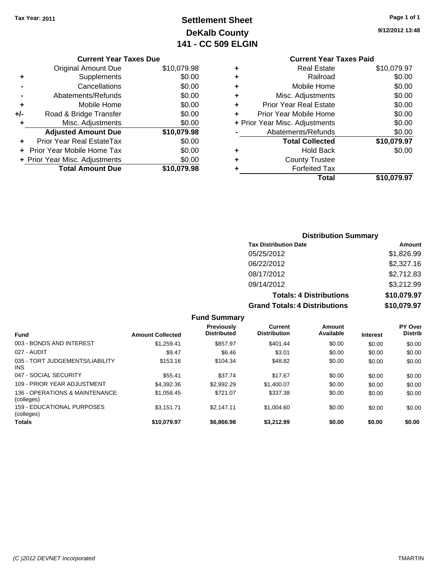### **Settlement Sheet Tax Year: 2011 Page 1 of 1 DeKalb County 141 - CC 509 ELGIN**

#### **9/12/2012 13:48**

| <b>Current Year Taxes Paid</b> |             |  |  |  |
|--------------------------------|-------------|--|--|--|
| Real Estate                    | \$10,079.97 |  |  |  |
| Railroad                       | \$0.00      |  |  |  |
| Mobile Home                    | \$0.00      |  |  |  |
| Misc. Adjustments              | \$0.00      |  |  |  |
| <b>Prior Year Real Estate</b>  | \$0.00      |  |  |  |
| Prior Year Mobile Home<br>٠    |             |  |  |  |
| + Prior Year Misc. Adjustments | \$0.00      |  |  |  |
| Abatements/Refunds             | \$0.00      |  |  |  |
| <b>Total Collected</b>         | \$10,079.97 |  |  |  |
| <b>Hold Back</b>               | \$0.00      |  |  |  |
| <b>County Trustee</b>          |             |  |  |  |
| <b>Forfeited Tax</b>           |             |  |  |  |
| Total                          | \$10,079.97 |  |  |  |
|                                |             |  |  |  |

### **Current Year Taxes Due** Original Amount Due \$10,079.98 **+** Supplements \$0.00 **-** Cancellations \$0.00 **-** Abatements/Refunds \$0.00 **+** Mobile Home \$0.00 **+/-** Road & Bridge Transfer \$0.00 **+** Misc. Adjustments \$0.00 **Adjusted Amount Due \$10,079.98 +** Prior Year Real EstateTax \$0.00 **+** Prior Year Mobile Home Tax \$0.00 **+ Prior Year Misc. Adjustments**  $$0.00$ **Total Amount Due \$10,079.98**

### **Distribution Summary**

| <b>Tax Distribution Date</b>         | Amount      |
|--------------------------------------|-------------|
| 05/25/2012                           | \$1,826.99  |
| 06/22/2012                           | \$2,327.16  |
| 08/17/2012                           | \$2,712.83  |
| 09/14/2012                           | \$3,212.99  |
| <b>Totals: 4 Distributions</b>       | \$10,079.97 |
| <b>Grand Totals: 4 Distributions</b> | \$10,079.97 |

#### **Fund Summary Fund Interest Amount Collected Distributed PY Over Distrib Amount Available Current Distribution Previously** 003 - BONDS AND INTEREST \$1,259.41 \$857.97 \$401.44 \$0.00 \$0.00 \$0.00 027 - AUDIT \$9.47 \$6.46 \$3.01 \$0.00 \$0.00 \$0.00 035 - TORT JUDGEMENTS/LIABILITY INS \$153.16 \$104.34 \$48.82 \$0.00 \$0.00 \$0.00 047 - SOCIAL SECURITY \$55.41 \$37.74 \$0.00 \$0.00 \$0.00 \$0.00 109 - PRIOR YEAR ADJUSTMENT \$4,392.36 \$2,992.29 \$1,400.07 \$0.00 \$0.00 \$0.00 \$0.00 136 - OPERATIONS & MAINTENANCE (colleges) \$1,058.45 \$721.07 \$337.38 \$0.00 \$0.00 \$0.00 159 - EDUCATIONAL PURPOSES (colleges) \$3,151.71 \$2,147.11 \$1,004.60 \$0.00 \$0.00 \$0.00 **Totals \$10,079.97 \$6,866.98 \$3,212.99 \$0.00 \$0.00 \$0.00**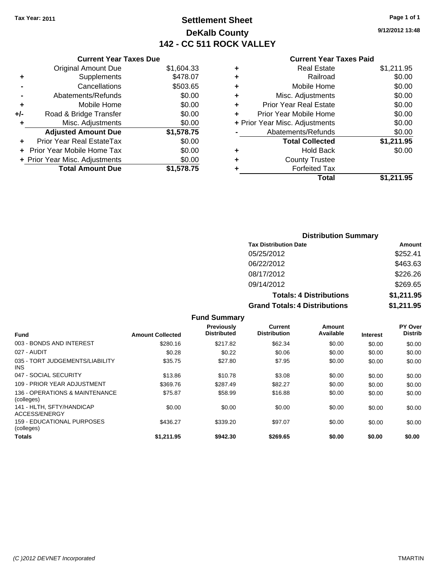### **Settlement Sheet Tax Year: 2011 Page 1 of 1 DeKalb County 142 - CC 511 ROCK VALLEY**

**9/12/2012 13:48**

### **Current Year Taxes Paid**

|     | <b>Current Year Taxes Due</b>  |            |
|-----|--------------------------------|------------|
|     | <b>Original Amount Due</b>     | \$1,604.33 |
| ٠   | Supplements                    | \$478.07   |
|     | Cancellations                  | \$503.65   |
|     | Abatements/Refunds             | \$0.00     |
| ٠   | Mobile Home                    | \$0.00     |
| +/- | Road & Bridge Transfer         | \$0.00     |
| ٠   | Misc. Adjustments              | \$0.00     |
|     | <b>Adjusted Amount Due</b>     | \$1,578.75 |
| ٠   | Prior Year Real EstateTax      | \$0.00     |
|     | Prior Year Mobile Home Tax     | \$0.00     |
|     | + Prior Year Misc. Adjustments | \$0.00     |
|     | <b>Total Amount Due</b>        | \$1,578.75 |
|     |                                |            |

| ٠<br>٠ | Railroad                       | \$0.00     |
|--------|--------------------------------|------------|
|        |                                |            |
|        | Mobile Home                    | \$0.00     |
| ٠      | Misc. Adjustments              | \$0.00     |
| ÷      | <b>Prior Year Real Estate</b>  | \$0.00     |
| ٠      | Prior Year Mobile Home         | \$0.00     |
|        | + Prior Year Misc. Adjustments | \$0.00     |
|        | Abatements/Refunds             | \$0.00     |
|        | <b>Total Collected</b>         | \$1,211.95 |
| ٠      | Hold Back                      | \$0.00     |
| ٠      | <b>County Trustee</b>          |            |
| ٠      | <b>Forfeited Tax</b>           |            |
|        | Total                          | \$1,211.95 |
|        |                                |            |

| <b>Distribution Summary</b>          |            |  |  |
|--------------------------------------|------------|--|--|
| <b>Tax Distribution Date</b>         | Amount     |  |  |
| 05/25/2012                           | \$252.41   |  |  |
| 06/22/2012                           | \$463.63   |  |  |
| 08/17/2012                           | \$226.26   |  |  |
| 09/14/2012                           | \$269.65   |  |  |
| <b>Totals: 4 Distributions</b>       | \$1,211.95 |  |  |
| <b>Grand Totals: 4 Distributions</b> | \$1,211.95 |  |  |

|                                               |                         | <b>Fund Summary</b>              |                                |                     |                 |                                  |
|-----------------------------------------------|-------------------------|----------------------------------|--------------------------------|---------------------|-----------------|----------------------------------|
| <b>Fund</b>                                   | <b>Amount Collected</b> | Previously<br><b>Distributed</b> | Current<br><b>Distribution</b> | Amount<br>Available | <b>Interest</b> | <b>PY Over</b><br><b>Distrib</b> |
| 003 - BONDS AND INTEREST                      | \$280.16                | \$217.82                         | \$62.34                        | \$0.00              | \$0.00          | \$0.00                           |
| 027 - AUDIT                                   | \$0.28                  | \$0.22                           | \$0.06                         | \$0.00              | \$0.00          | \$0.00                           |
| 035 - TORT JUDGEMENTS/LIABILITY<br><b>INS</b> | \$35.75                 | \$27.80                          | \$7.95                         | \$0.00              | \$0.00          | \$0.00                           |
| 047 - SOCIAL SECURITY                         | \$13.86                 | \$10.78                          | \$3.08                         | \$0.00              | \$0.00          | \$0.00                           |
| 109 - PRIOR YEAR ADJUSTMENT                   | \$369.76                | \$287.49                         | \$82.27                        | \$0.00              | \$0.00          | \$0.00                           |
| 136 - OPERATIONS & MAINTENANCE<br>(colleges)  | \$75.87                 | \$58.99                          | \$16.88                        | \$0.00              | \$0.00          | \$0.00                           |
| 141 - HLTH, SFTY/HANDICAP<br>ACCESS/ENERGY    | \$0.00                  | \$0.00                           | \$0.00                         | \$0.00              | \$0.00          | \$0.00                           |
| 159 - EDUCATIONAL PURPOSES<br>(colleges)      | \$436.27                | \$339.20                         | \$97.07                        | \$0.00              | \$0.00          | \$0.00                           |
| Totals                                        | \$1.211.95              | \$942.30                         | \$269.65                       | \$0.00              | \$0.00          | \$0.00                           |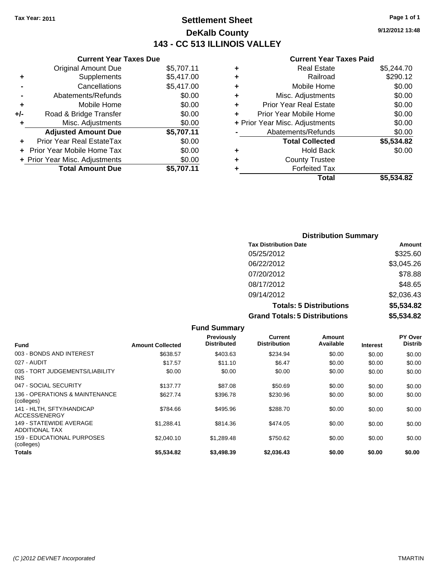### **Settlement Sheet Tax Year: 2011 Page 1 of 1 DeKalb County 143 - CC 513 ILLINOIS VALLEY**

**9/12/2012 13:48**

### **Current Year Taxes Paid**

| <b>Current</b>             |   |            | <b>Current Year Taxes Due</b>  |       |
|----------------------------|---|------------|--------------------------------|-------|
| Real E                     | ÷ | \$5,707.11 | Original Amount Due            |       |
| Rai                        | ÷ | \$5,417.00 | <b>Supplements</b>             | ٠     |
| Mobile <b>H</b>            | ÷ | \$5,417.00 | Cancellations                  |       |
| Misc. Adjustn              | ÷ | \$0.00     | Abatements/Refunds             |       |
| <b>Prior Year Real E</b>   | ÷ | \$0.00     | Mobile Home                    | ٠     |
| Prior Year Mobile I        |   | \$0.00     | Road & Bridge Transfer         | $+/-$ |
| + Prior Year Misc. Adjustn |   | \$0.00     | Misc. Adjustments              | ٠     |
| Abatements/Ret             |   | \$5,707.11 | <b>Adjusted Amount Due</b>     |       |
| <b>Total Colle</b>         |   | \$0.00     | Prior Year Real EstateTax      |       |
| Hold                       | ÷ | \$0.00     | + Prior Year Mobile Home Tax   |       |
| County Tr                  | ٠ | \$0.00     | + Prior Year Misc. Adjustments |       |
| Forfeite                   |   | \$5,707.11 | <b>Total Amount Due</b>        |       |
|                            |   |            |                                |       |

|                                | <b>Real Estate</b>            | \$5,244.70 |
|--------------------------------|-------------------------------|------------|
| ٠                              | Railroad                      | \$290.12   |
| ٠                              | Mobile Home                   | \$0.00     |
| ٠                              | Misc. Adjustments             | \$0.00     |
| ÷                              | <b>Prior Year Real Estate</b> | \$0.00     |
|                                | Prior Year Mobile Home        | \$0.00     |
| + Prior Year Misc. Adjustments |                               | \$0.00     |
|                                | Abatements/Refunds            | \$0.00     |
|                                | <b>Total Collected</b>        | \$5,534.82 |
| ٠                              | <b>Hold Back</b>              | \$0.00     |
| ٠                              | <b>County Trustee</b>         |            |
|                                | <b>Forfeited Tax</b>          |            |
|                                | Total                         | \$5.534.82 |
|                                |                               |            |

| <b>Distribution Summary</b>          |            |
|--------------------------------------|------------|
| <b>Tax Distribution Date</b>         | Amount     |
| 05/25/2012                           | \$325.60   |
| 06/22/2012                           | \$3,045.26 |
| 07/20/2012                           | \$78.88    |
| 08/17/2012                           | \$48.65    |
| 09/14/2012                           | \$2,036.43 |
| <b>Totals: 5 Distributions</b>       | \$5,534.82 |
| <b>Grand Totals: 5 Distributions</b> | \$5,534.82 |

|                                                  |                         | <b>Fund Summary</b>                     |                                |                     |                 |                           |
|--------------------------------------------------|-------------------------|-----------------------------------------|--------------------------------|---------------------|-----------------|---------------------------|
| Fund                                             | <b>Amount Collected</b> | <b>Previously</b><br><b>Distributed</b> | Current<br><b>Distribution</b> | Amount<br>Available | <b>Interest</b> | PY Over<br><b>Distrib</b> |
| 003 - BONDS AND INTEREST                         | \$638.57                | \$403.63                                | \$234.94                       | \$0.00              | \$0.00          | \$0.00                    |
| 027 - AUDIT                                      | \$17.57                 | \$11.10                                 | \$6.47                         | \$0.00              | \$0.00          | \$0.00                    |
| 035 - TORT JUDGEMENTS/LIABILITY<br><b>INS</b>    | \$0.00                  | \$0.00                                  | \$0.00                         | \$0.00              | \$0.00          | \$0.00                    |
| 047 - SOCIAL SECURITY                            | \$137.77                | \$87.08                                 | \$50.69                        | \$0.00              | \$0.00          | \$0.00                    |
| 136 - OPERATIONS & MAINTENANCE<br>(colleges)     | \$627.74                | \$396.78                                | \$230.96                       | \$0.00              | \$0.00          | \$0.00                    |
| 141 - HLTH, SFTY/HANDICAP<br>ACCESS/ENERGY       | \$784.66                | \$495.96                                | \$288.70                       | \$0.00              | \$0.00          | \$0.00                    |
| 149 - STATEWIDE AVERAGE<br><b>ADDITIONAL TAX</b> | \$1,288.41              | \$814.36                                | \$474.05                       | \$0.00              | \$0.00          | \$0.00                    |
| 159 - EDUCATIONAL PURPOSES<br>(colleges)         | \$2,040.10              | \$1,289.48                              | \$750.62                       | \$0.00              | \$0.00          | \$0.00                    |
| Totals                                           | \$5,534.82              | \$3,498.39                              | \$2,036.43                     | \$0.00              | \$0.00          | \$0.00                    |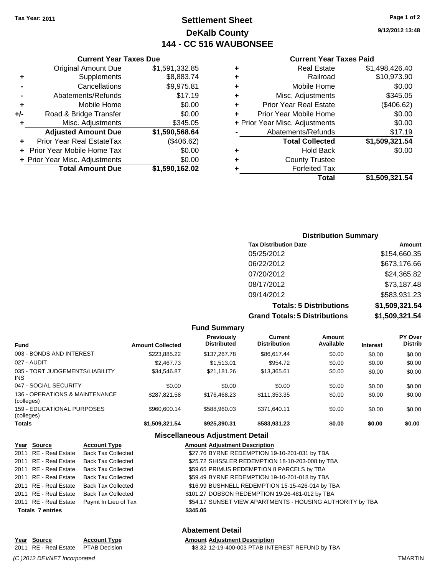### **Settlement Sheet Tax Year: 2011 Page 1 of 2 DeKalb County 144 - CC 516 WAUBONSEE**

**9/12/2012 13:48**

#### **Current Year Taxes Paid**

| ٠ | <b>Real Estate</b>             | \$1,498,426.40 |
|---|--------------------------------|----------------|
| ٠ | Railroad                       | \$10,973.90    |
| ٠ | Mobile Home                    | \$0.00         |
| ٠ | Misc. Adjustments              | \$345.05       |
| ٠ | <b>Prior Year Real Estate</b>  | (\$406.62)     |
| ÷ | Prior Year Mobile Home         | \$0.00         |
|   | + Prior Year Misc. Adjustments | \$0.00         |
|   | Abatements/Refunds             | \$17.19        |
|   | <b>Total Collected</b>         | \$1,509,321.54 |
| ٠ | <b>Hold Back</b>               | \$0.00         |
| ٠ | <b>County Trustee</b>          |                |
|   | <b>Forfeited Tax</b>           |                |
|   | Total                          | \$1,509,321.54 |

### **Current Year Taxes Due** Original Amount Due \$1,591,332.85 **+** Supplements \$8,883.74 **-** Cancellations \$9,975.81 **-** Abatements/Refunds \$17.19 **+** Mobile Home \$0.00 **+/-** Road & Bridge Transfer \$0.00 **+** Misc. Adjustments \$345.05 **Adjusted Amount Due \$1,590,568.64 +** Prior Year Real EstateTax (\$406.62) **+** Prior Year Mobile Home Tax \$0.00 **+ Prior Year Misc. Adjustments**  $$0.00$ **Total Amount Due \$1,590,162.02**

## **Distribution Summary Tax Distribution Date Amount**

| <b>Grand Totals: 5 Distributions</b> | \$1,509,321.54 |
|--------------------------------------|----------------|
| <b>Totals: 5 Distributions</b>       | \$1,509,321.54 |
| 09/14/2012                           | \$583,931.23   |
| 08/17/2012                           | \$73,187.48    |
| 07/20/2012                           | \$24,365.82    |
| 06/22/2012                           | \$673,176.66   |
| 05/25/2012                           | \$154,660.35   |

|                                              |                         | <b>Fund Summary</b>                     |                                |                     |                 |                           |
|----------------------------------------------|-------------------------|-----------------------------------------|--------------------------------|---------------------|-----------------|---------------------------|
| <b>Fund</b>                                  | <b>Amount Collected</b> | <b>Previously</b><br><b>Distributed</b> | Current<br><b>Distribution</b> | Amount<br>Available | <b>Interest</b> | PY Over<br><b>Distrib</b> |
| 003 - BONDS AND INTEREST                     | \$223.885.22            | \$137,267.78                            | \$86,617.44                    | \$0.00              | \$0.00          | \$0.00                    |
| 027 - AUDIT                                  | \$2,467.73              | \$1.513.01                              | \$954.72                       | \$0.00              | \$0.00          | \$0.00                    |
| 035 - TORT JUDGEMENTS/LIABILITY<br>INS.      | \$34,546.87             | \$21.181.26                             | \$13.365.61                    | \$0.00              | \$0.00          | \$0.00                    |
| 047 - SOCIAL SECURITY                        | \$0.00                  | \$0.00                                  | \$0.00                         | \$0.00              | \$0.00          | \$0.00                    |
| 136 - OPERATIONS & MAINTENANCE<br>(colleges) | \$287.821.58            | \$176,468,23                            | \$111.353.35                   | \$0.00              | \$0.00          | \$0.00                    |
| 159 - EDUCATIONAL PURPOSES<br>(colleges)     | \$960,600.14            | \$588,960.03                            | \$371.640.11                   | \$0.00              | \$0.00          | \$0.00                    |
| Totals                                       | \$1,509,321.54          | \$925.390.31                            | \$583,931.23                   | \$0.00              | \$0.00          | \$0.00                    |
|                                              |                         |                                         |                                |                     |                 |                           |

### **Miscellaneous Adjustment Detail**

|                         | Year Source | <b>Account Type</b>                        | <b>Amount Adjustment Description</b>                      |
|-------------------------|-------------|--------------------------------------------|-----------------------------------------------------------|
|                         |             | 2011 RE - Real Estate Back Tax Collected   | \$27.76 BYRNE REDEMPTION 19-10-201-031 by TBA             |
|                         |             | 2011 RE - Real Estate Back Tax Collected   | \$25.72 SHISSLER REDEMPTION 18-10-203-008 by TBA          |
|                         |             | 2011 RE - Real Estate Back Tax Collected   | \$59.65 PRIMUS REDEMPTION 8 PARCELS by TBA                |
|                         |             | 2011 RE - Real Estate Back Tax Collected   | \$59.49 BYRNE REDEMPTION 19-10-201-018 by TBA             |
|                         |             | 2011 RE - Real Estate Back Tax Collected   | \$16.99 BUSHNELL REDEMPTION 15-15-426-014 by TBA          |
|                         |             | 2011 RE - Real Estate Back Tax Collected   | \$101.27 DOBSON REDEMPTION 19-26-481-012 by TBA           |
|                         |             | 2011 RE - Real Estate Paymt In Lieu of Tax | \$54.17 SUNSET VIEW APARTMENTS - HOUSING AUTHORITY by TBA |
| <b>Totals 7 entries</b> |             |                                            | \$345.05                                                  |

### **Abatement Detail**

#### **Year Source Account Type Amount Adjustment Description** 2011 RE - Real Estate PTAB Decision 38.32 12-19-400-003 PTAB INTEREST REFUND by TBA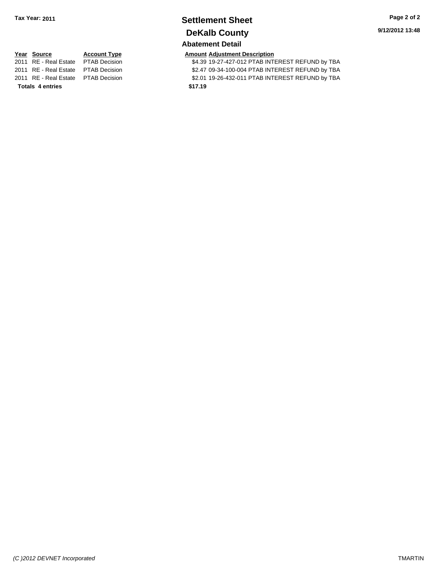### **Settlement Sheet Tax Year: 2011 Page 2 of 2 DeKalb County Abatement Detail**

**9/12/2012 13:48**

# **Totals \$17.19 4 entries**

**<u>Year Source</u> <b>Account Type Amount Adjustment Description**<br>
2011 RE - Real Estate PTAB Decision **AMOUNT \$4.39 19-27-427-012 PTAB INT** \$4.39 19-27-427-012 PTAB INTEREST REFUND by TBA 2011 RE - Real Estate \$2.47 09-34-100-004 PTAB INTEREST REFUND by TBA PTAB Decision 2011 RE - Real Estate \$2.01 19-26-432-011 PTAB INTEREST REFUND by TBA PTAB Decision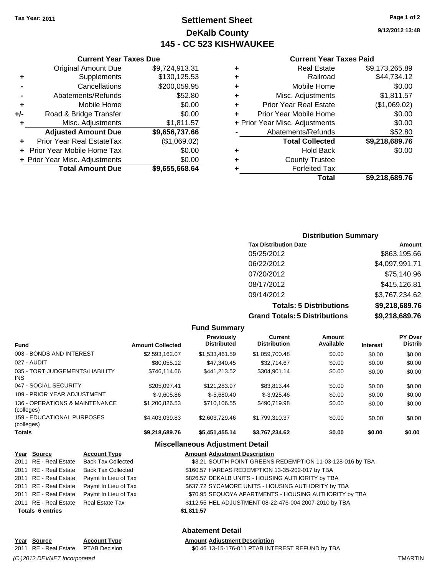### **Settlement Sheet Tax Year: 2011 Page 1 of 2 DeKalb County 145 - CC 523 KISHWAUKEE**

**Current Year Taxes Due**

|     | <b>Original Amount Due</b>           | \$9,724,913.31 |  |
|-----|--------------------------------------|----------------|--|
| ٠   | Supplements                          | \$130,125.53   |  |
|     | Cancellations                        | \$200,059.95   |  |
|     | Abatements/Refunds                   | \$52.80        |  |
| ٠   | Mobile Home                          | \$0.00         |  |
| +/- | \$0.00<br>Road & Bridge Transfer     |                |  |
| ÷   | Misc. Adjustments                    | \$1,811.57     |  |
|     | <b>Adjusted Amount Due</b>           | \$9,656,737.66 |  |
|     | Prior Year Real EstateTax            | (\$1,069.02)   |  |
|     | \$0.00<br>Prior Year Mobile Home Tax |                |  |
|     | + Prior Year Misc. Adjustments       | \$0.00         |  |
|     | <b>Total Amount Due</b>              | \$9,655,668.64 |  |
|     |                                      |                |  |

#### **Current Year Taxes Paid**

|   | <b>Real Estate</b>             | \$9,173,265.89 |
|---|--------------------------------|----------------|
| ٠ | Railroad                       | \$44,734.12    |
| ٠ | Mobile Home                    | \$0.00         |
| ٠ | Misc. Adjustments              | \$1,811.57     |
| ٠ | <b>Prior Year Real Estate</b>  | (\$1,069.02)   |
|   | Prior Year Mobile Home         | \$0.00         |
|   | + Prior Year Misc. Adjustments | \$0.00         |
|   | Abatements/Refunds             | \$52.80        |
|   | <b>Total Collected</b>         | \$9,218,689.76 |
| ٠ | <b>Hold Back</b>               | \$0.00         |
| ٠ | <b>County Trustee</b>          |                |
| ٠ | <b>Forfeited Tax</b>           |                |
|   | Total                          | \$9,218,689.76 |
|   |                                |                |

### **Distribution Summary Tax Distribution Date Amount** 05/25/2012 \$863,195.66 06/22/2012 \$4,097,991.71 07/20/2012 \$75,140.96 08/17/2012 \$415,126.81 09/14/2012 \$3,767,234.62 **Totals: 5 Distributions \$9,218,689.76**

**Grand Totals: 5 Distributions \$9,218,689.76**

| \$9, |          |  |
|------|----------|--|
|      | ิงutions |  |

| <b>Fund Summary</b>                          |                         |                                         |                                |                     |                 |                                  |
|----------------------------------------------|-------------------------|-----------------------------------------|--------------------------------|---------------------|-----------------|----------------------------------|
| <b>Fund</b>                                  | <b>Amount Collected</b> | <b>Previously</b><br><b>Distributed</b> | Current<br><b>Distribution</b> | Amount<br>Available | <b>Interest</b> | <b>PY Over</b><br><b>Distrib</b> |
| 003 - BONDS AND INTEREST                     | \$2,593,162.07          | \$1,533,461.59                          | \$1,059,700.48                 | \$0.00              | \$0.00          | \$0.00                           |
| 027 - AUDIT                                  | \$80.055.12             | \$47.340.45                             | \$32,714.67                    | \$0.00              | \$0.00          | \$0.00                           |
| 035 - TORT JUDGEMENTS/LIABILITY<br>INS.      | \$746.114.66            | \$441.213.52                            | \$304.901.14                   | \$0.00              | \$0.00          | \$0.00                           |
| 047 - SOCIAL SECURITY                        | \$205.097.41            | \$121.283.97                            | \$83.813.44                    | \$0.00              | \$0.00          | \$0.00                           |
| 109 - PRIOR YEAR ADJUSTMENT                  | $$-9.605.86$            | $$-5.680.40$                            | $$-3.925.46$                   | \$0.00              | \$0.00          | \$0.00                           |
| 136 - OPERATIONS & MAINTENANCE<br>(colleges) | \$1.200.826.53          | \$710.106.55                            | \$490.719.98                   | \$0.00              | \$0.00          | \$0.00                           |
| 159 - EDUCATIONAL PURPOSES<br>(colleges)     | \$4.403.039.83          | \$2,603,729,46                          | \$1,799,310.37                 | \$0.00              | \$0.00          | \$0.00                           |
| <b>Totals</b>                                | \$9,218,689.76          | \$5,451,455.14                          | \$3,767,234.62                 | \$0.00              | \$0.00          | \$0.00                           |

### **Miscellaneous Adjustment Detail**

|                         | Year Source                           | <b>Account Type</b>                        | <b>Amount Adjustment Description</b>                      |
|-------------------------|---------------------------------------|--------------------------------------------|-----------------------------------------------------------|
|                         |                                       | 2011 RE - Real Estate Back Tax Collected   | \$3.21 SOUTH POINT GREENS REDEMPTION 11-03-128-016 by TBA |
|                         |                                       | 2011 RE - Real Estate Back Tax Collected   | \$160.57 HAREAS REDEMPTION 13-35-202-017 by TBA           |
|                         |                                       | 2011 RE - Real Estate Paymt In Lieu of Tax | \$826.57 DEKALB UNITS - HOUSING AUTHORITY by TBA          |
|                         |                                       | 2011 RE - Real Estate Paymt In Lieu of Tax | \$637.72 SYCAMORE UNITS - HOUSING AUTHORITY by TBA        |
|                         |                                       | 2011 RE - Real Estate Paymt In Lieu of Tax | \$70.95 SEQUOYA APARTMENTS - HOUSING AUTHORITY by TBA     |
|                         | 2011 RE - Real Estate Real Estate Tax |                                            | \$112.55 HEL ADJUSTMENT 08-22-476-004 2007-2010 by TBA    |
| <b>Totals 6 entries</b> |                                       |                                            | \$1,811.57                                                |
|                         |                                       |                                            |                                                           |

#### **Abatement Detail**

 $$0.46$  13-15-176-011 PTAB INTEREST REFUND by TBA

### **Year Source Account Type Amount Adjustment Description** *(C )2012 DEVNET Incorporated* TMARTIN

**9/12/2012 13:48**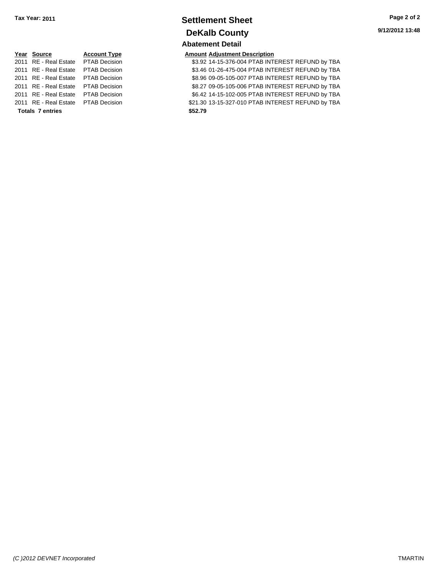### **Settlement Sheet Tax Year: 2011 Page 2 of 2 DeKalb County Abatement Detail**

**9/12/2012 13:48**

|                         | Year Source           | <b>Account Typ</b>  |  |
|-------------------------|-----------------------|---------------------|--|
|                         | 2011 RE - Real Estate | <b>PTAB Decisio</b> |  |
|                         | 2011 RE - Real Estate | <b>PTAB Decisio</b> |  |
|                         | 2011 RE - Real Estate | <b>PTAB Decisio</b> |  |
|                         | 2011 RE - Real Estate | <b>PTAB Decisio</b> |  |
|                         | 2011 RE - Real Estate | <b>PTAB Decisio</b> |  |
|                         | 2011 RE - Real Estate | <b>PTAB Decisio</b> |  |
| <b>Totals 7 entries</b> |                       |                     |  |

### **Year Source Account Type Amount Adjustment Description**

**2012 83.92 14-15-376-004 PTAB INTEREST REFUND by TBA 2011 83.46 01-26-475-004 PTAB INTEREST REFUND by TBA 2012 82011 88.96 09-05-105-007 PTAB INTEREST REFUND by TBA 2012 82011 8212 S8.27 09-05-105-006 PTAB INTEREST REFUND by TBA 2012 8011 8012 14-15-102-005 PTAB INTEREST REFUND by TBA 2111 821.30 13-15-327-010 PTAB INTEREST REFUND by TBA Totals \$52.79 7 entries**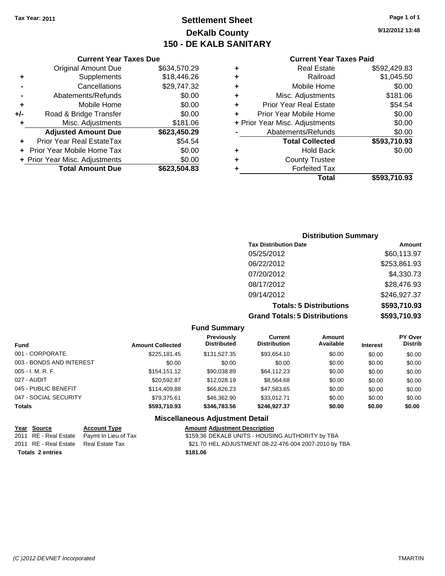### **Settlement Sheet Tax Year: 2011 Page 1 of 1 DeKalb County 150 - DE KALB SANITARY**

**9/12/2012 13:48**

### **Current Year Taxes Paid**

| ٠ | <b>Real Estate</b>             | \$592,429.83 |
|---|--------------------------------|--------------|
| ٠ | Railroad                       | \$1,045.50   |
| ٠ | Mobile Home                    | \$0.00       |
| ٠ | Misc. Adjustments              | \$181.06     |
| ÷ | <b>Prior Year Real Estate</b>  | \$54.54      |
| ÷ | Prior Year Mobile Home         | \$0.00       |
|   | + Prior Year Misc. Adjustments | \$0.00       |
|   | Abatements/Refunds             | \$0.00       |
|   | <b>Total Collected</b>         | \$593,710.93 |
| ٠ | <b>Hold Back</b>               | \$0.00       |
| ÷ | <b>County Trustee</b>          |              |
| ٠ | <b>Forfeited Tax</b>           |              |
|   | Total                          | \$593,710.93 |

|     | <b>Current Year Taxes Due</b>  |              |  |
|-----|--------------------------------|--------------|--|
|     | <b>Original Amount Due</b>     | \$634,570.29 |  |
| ٠   | Supplements                    | \$18,446.26  |  |
|     | Cancellations                  | \$29,747.32  |  |
|     | Abatements/Refunds             | \$0.00       |  |
| ٠   | Mobile Home                    | \$0.00       |  |
| +/- | Road & Bridge Transfer         | \$0.00       |  |
| ٠   | \$181.06<br>Misc. Adjustments  |              |  |
|     | <b>Adjusted Amount Due</b>     | \$623,450.29 |  |
|     | Prior Year Real EstateTax      | \$54.54      |  |
|     | Prior Year Mobile Home Tax     | \$0.00       |  |
|     | + Prior Year Misc. Adjustments | \$0.00       |  |
|     | <b>Total Amount Due</b>        | \$623,504.83 |  |

### **Distribution Summary Tax Distribution Date Amount**<br>05/25/2012 **Amount** \$60,113.97

| <b>Grand Totals: 5 Distributions</b> | \$593,710.93     |
|--------------------------------------|------------------|
| <b>Totals: 5 Distributions</b>       | \$593,710.93     |
| 09/14/2012                           | \$246,927.37     |
| 08/17/2012                           | \$28,476.93      |
| 07/20/2012                           | \$4,330.73       |
| 06/22/2012                           | \$253,861.93     |
| UJ/20/ZUTZ                           | <b>JOU.IIJ.Y</b> |

### **Fund Summary**

| <b>Fund</b>              | PY Over<br><b>Distrib</b> |
|--------------------------|---------------------------|
| 001 - CORPORATE          | \$0.00                    |
| 003 - BONDS AND INTEREST | \$0.00                    |
| $005 - I. M. R. F.$      | \$0.00                    |
| 027 - AUDIT              | \$0.00                    |
| 045 - PUBLIC BENEFIT     | \$0.00                    |
| 047 - SOCIAL SECURITY    | \$0.00                    |
| <b>Totals</b>            | \$0.00                    |
|                          |                           |

### **Miscellaneous Adjustment Detail**

|                         | Year Source           | <b>Account Type</b>                        | <b>Amount Adjustment Description</b>                  |
|-------------------------|-----------------------|--------------------------------------------|-------------------------------------------------------|
|                         |                       | 2011 RE - Real Estate Paymt In Lieu of Tax | \$159.36 DEKALB UNITS - HOUSING AUTHORITY by TBA      |
|                         | 2011 RE - Real Estate | Real Estate Tax                            | \$21.70 HEL ADJUSTMENT 08-22-476-004 2007-2010 by TBA |
| <b>Totals 2 entries</b> |                       |                                            | \$181.06                                              |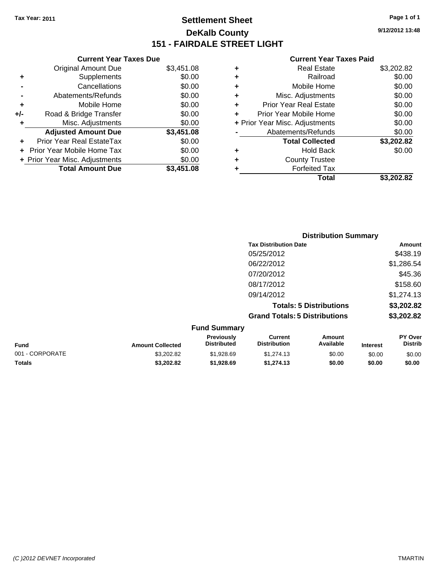**Current Year Taxes Due**

### **Settlement Sheet Tax Year: 2011 Page 1 of 1 DeKalb County 151 - FAIRDALE STREET LIGHT**

**9/12/2012 13:48**

#### **Current Year Taxes Paid**

|     |                                |            |   | <b>Total</b>                   | \$3,202.82 |
|-----|--------------------------------|------------|---|--------------------------------|------------|
|     | <b>Total Amount Due</b>        | \$3,451.08 |   | <b>Forfeited Tax</b>           |            |
|     | + Prior Year Misc. Adjustments | \$0.00     | ٠ | <b>County Trustee</b>          |            |
|     | + Prior Year Mobile Home Tax   | \$0.00     | ٠ | <b>Hold Back</b>               | \$0.00     |
| ٠   | Prior Year Real EstateTax      | \$0.00     |   | <b>Total Collected</b>         | \$3,202.82 |
|     | <b>Adjusted Amount Due</b>     | \$3,451.08 |   | Abatements/Refunds             | \$0.00     |
|     | Misc. Adjustments              | \$0.00     |   | + Prior Year Misc. Adjustments | \$0.00     |
| +/- | Road & Bridge Transfer         | \$0.00     |   | Prior Year Mobile Home         | \$0.00     |
| ٠   | Mobile Home                    | \$0.00     | ٠ | <b>Prior Year Real Estate</b>  | \$0.00     |
|     | Abatements/Refunds             | \$0.00     | ٠ | Misc. Adjustments              | \$0.00     |
|     | Cancellations                  | \$0.00     |   | Mobile Home                    | \$0.00     |
| ٠   | Supplements                    | \$0.00     | ٠ | Railroad                       | \$0.00     |
|     | <b>Original Amount Due</b>     | \$3,451.08 | ٠ | <b>Real Estate</b>             | \$3,202.82 |
|     |                                |            |   |                                |            |

|                 |                         |                                  |                                       | <b>Distribution Summary</b>    |                 |                                  |
|-----------------|-------------------------|----------------------------------|---------------------------------------|--------------------------------|-----------------|----------------------------------|
|                 |                         |                                  | <b>Tax Distribution Date</b>          |                                |                 | Amount                           |
|                 |                         |                                  | 05/25/2012                            |                                |                 | \$438.19                         |
|                 |                         |                                  | 06/22/2012                            |                                |                 | \$1,286.54                       |
|                 |                         |                                  | 07/20/2012                            |                                |                 | \$45.36                          |
|                 |                         |                                  | 08/17/2012                            |                                |                 | \$158.60                         |
|                 |                         |                                  | 09/14/2012                            |                                |                 | \$1,274.13                       |
|                 |                         |                                  |                                       | <b>Totals: 5 Distributions</b> |                 | \$3,202.82                       |
|                 |                         |                                  | <b>Grand Totals: 5 Distributions</b>  |                                |                 | \$3,202.82                       |
|                 |                         | <b>Fund Summary</b>              |                                       |                                |                 |                                  |
| <b>Fund</b>     | <b>Amount Collected</b> | Previously<br><b>Distributed</b> | <b>Current</b><br><b>Distribution</b> | <b>Amount</b><br>Available     | <b>Interest</b> | <b>PY Over</b><br><b>Distrib</b> |
| 001 - CORPORATE | \$3,202.82              | \$1,928.69                       | \$1,274.13                            | \$0.00                         | \$0.00          | \$0.00                           |

**Totals \$3,202.82 \$1,928.69 \$1,274.13 \$0.00 \$0.00 \$0.00**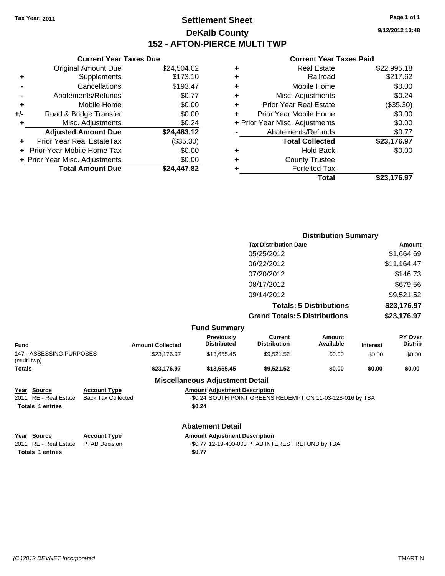**Current Year Taxes Due** Original Amount Due \$24,504.02

**Adjusted Amount Due \$24,483.12**

**Total Amount Due \$24,447.82**

**+** Supplements \$173.10 **-** Cancellations \$193.47 **-** Abatements/Refunds \$0.77 **+** Mobile Home \$0.00 **+/-** Road & Bridge Transfer \$0.00 **+** Misc. Adjustments \$0.24

**+** Prior Year Real EstateTax (\$35.30) **+** Prior Year Mobile Home Tax \$0.00 **+ Prior Year Misc. Adjustments**  $$0.00$ 

### **Settlement Sheet Tax Year: 2011 Page 1 of 1 DeKalb County 152 - AFTON-PIERCE MULTI TWP**

**9/12/2012 13:48**

#### **Current Year Taxes Paid**

|   | Total                          | \$23.176.97 |
|---|--------------------------------|-------------|
| ٠ | <b>Forfeited Tax</b>           |             |
| ٠ | <b>County Trustee</b>          |             |
| ٠ | <b>Hold Back</b>               | \$0.00      |
|   | <b>Total Collected</b>         | \$23,176.97 |
|   | Abatements/Refunds             | \$0.77      |
|   | + Prior Year Misc. Adjustments | \$0.00      |
| ÷ | Prior Year Mobile Home         | \$0.00      |
| ÷ | <b>Prior Year Real Estate</b>  | (\$35.30)   |
| ÷ | Misc. Adjustments              | \$0.24      |
| ٠ | Mobile Home                    | \$0.00      |
| ٠ | Railroad                       | \$217.62    |
| ٠ | <b>Real Estate</b>             | \$22,995.18 |
|   |                                |             |

|                                         |                           |                         |                                        |                                                           | <b>Distribution Summary</b>    |                 |                           |
|-----------------------------------------|---------------------------|-------------------------|----------------------------------------|-----------------------------------------------------------|--------------------------------|-----------------|---------------------------|
|                                         |                           |                         |                                        | <b>Tax Distribution Date</b>                              |                                |                 | Amount                    |
|                                         |                           |                         |                                        | 05/25/2012                                                |                                |                 | \$1,664.69                |
|                                         |                           |                         |                                        | 06/22/2012                                                |                                |                 | \$11,164.47               |
|                                         |                           |                         |                                        | 07/20/2012                                                |                                |                 | \$146.73                  |
|                                         |                           |                         |                                        | 08/17/2012                                                |                                |                 | \$679.56                  |
|                                         |                           |                         |                                        | 09/14/2012                                                |                                |                 | \$9,521.52                |
|                                         |                           |                         |                                        |                                                           | <b>Totals: 5 Distributions</b> |                 | \$23,176.97               |
|                                         |                           |                         |                                        | <b>Grand Totals: 5 Distributions</b>                      |                                |                 | \$23,176.97               |
|                                         |                           |                         | <b>Fund Summary</b>                    |                                                           |                                |                 |                           |
| Fund                                    |                           | <b>Amount Collected</b> | Previously<br><b>Distributed</b>       | <b>Current</b><br><b>Distribution</b>                     | Amount<br>Available            | <b>Interest</b> | PY Over<br><b>Distrib</b> |
| 147 - ASSESSING PURPOSES<br>(multi-twp) |                           | \$23,176.97             | \$13,655.45                            | \$9,521.52                                                | \$0.00                         | \$0.00          | \$0.00                    |
| Totals                                  |                           | \$23,176.97             | \$13,655.45                            | \$9,521.52                                                | \$0.00                         | \$0.00          | \$0.00                    |
|                                         |                           |                         | <b>Miscellaneous Adjustment Detail</b> |                                                           |                                |                 |                           |
| Year Source                             | <b>Account Type</b>       |                         | <b>Amount Adjustment Description</b>   |                                                           |                                |                 |                           |
| 2011 RE - Real Estate                   | <b>Back Tax Collected</b> |                         |                                        | \$0.24 SOUTH POINT GREENS REDEMPTION 11-03-128-016 by TBA |                                |                 |                           |
| <b>Totals 1 entries</b>                 |                           |                         | \$0.24                                 |                                                           |                                |                 |                           |
|                                         |                           |                         | <b>Abatement Detail</b>                |                                                           |                                |                 |                           |
| Year Source                             | <b>Account Type</b>       |                         | <b>Amount Adjustment Description</b>   |                                                           |                                |                 |                           |
| 2011 RE - Real Estate                   | <b>PTAB Decision</b>      |                         |                                        | \$0.77 12-19-400-003 PTAB INTEREST REFUND by TBA          |                                |                 |                           |
| <b>Totals 1 entries</b>                 |                           |                         | \$0.77                                 |                                                           |                                |                 |                           |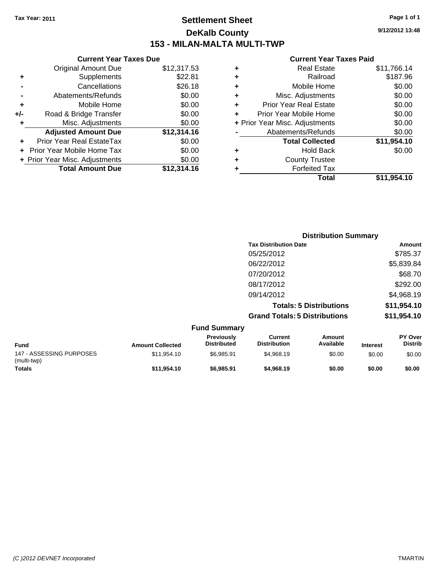**Current Year Taxes Due** Original Amount Due \$12,317.53

**Adjusted Amount Due \$12,314.16**

**Total Amount Due \$12,314.16**

**+** Supplements \$22.81 **-** Cancellations \$26.18 **-** Abatements/Refunds \$0.00 **+** Mobile Home \$0.00 **+/-** Road & Bridge Transfer \$0.00 **+** Misc. Adjustments \$0.00

**+** Prior Year Real EstateTax \$0.00 **+** Prior Year Mobile Home Tax \$0.00 **+ Prior Year Misc. Adjustments**  $$0.00$ 

### **Settlement Sheet Tax Year: 2011 Page 1 of 1 DeKalb County 153 - MILAN-MALTA MULTI-TWP**

**9/12/2012 13:48**

#### **Current Year Taxes Paid**

|                          |                         |                                  |                                       | <b>Distribution Summary</b>    |                 |                           |
|--------------------------|-------------------------|----------------------------------|---------------------------------------|--------------------------------|-----------------|---------------------------|
|                          |                         |                                  | <b>Tax Distribution Date</b>          |                                |                 | Amount                    |
|                          |                         |                                  | 05/25/2012                            |                                |                 | \$785.37                  |
|                          |                         |                                  | 06/22/2012                            |                                |                 | \$5,839.84                |
|                          |                         |                                  | 07/20/2012                            |                                |                 | \$68.70                   |
|                          |                         |                                  | 08/17/2012                            |                                |                 | \$292.00                  |
|                          |                         |                                  | 09/14/2012                            |                                |                 | \$4,968.19                |
|                          |                         |                                  |                                       | <b>Totals: 5 Distributions</b> |                 | \$11,954.10               |
|                          |                         |                                  | <b>Grand Totals: 5 Distributions</b>  |                                |                 | \$11,954.10               |
|                          |                         | <b>Fund Summary</b>              |                                       |                                |                 |                           |
| <b>Fund</b>              | <b>Amount Collected</b> | Previously<br><b>Distributed</b> | <b>Current</b><br><b>Distribution</b> | Amount<br>Available            | <b>Interest</b> | PY Over<br><b>Distrib</b> |
| 147 - ASSESSING PURPOSES | \$11,954.10             | \$6,985.91                       | \$4,968.19                            | \$0.00                         | \$0.00          | \$0.00                    |

**Totals \$11,954.10 \$6,985.91 \$4,968.19 \$0.00 \$0.00 \$0.00**

(multi-twp)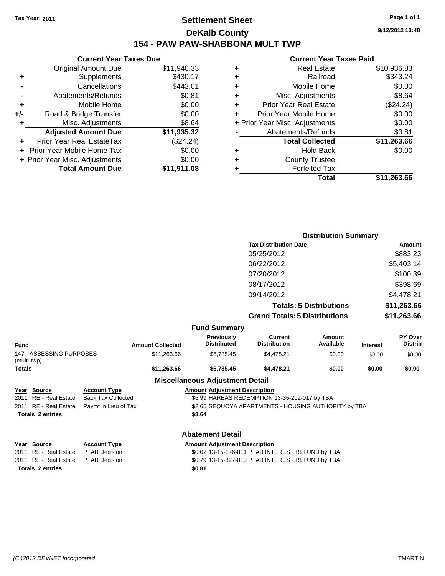### **Settlement Sheet Tax Year: 2011 Page 1 of 1 DeKalb County 154 - PAW PAW-SHABBONA MULT TWP**

**9/12/2012 13:48**

### **Current Year Taxes Paid**

|     | <b>Current Year Taxes Due</b>  |             |
|-----|--------------------------------|-------------|
|     | <b>Original Amount Due</b>     | \$11,940.33 |
| ٠   | Supplements                    | \$430.17    |
|     | Cancellations                  | \$443.01    |
|     | Abatements/Refunds             | \$0.81      |
| ٠   | Mobile Home                    | \$0.00      |
| +/- | Road & Bridge Transfer         | \$0.00      |
| ٠   | Misc. Adjustments              | \$8.64      |
|     | <b>Adjusted Amount Due</b>     | \$11,935.32 |
|     | Prior Year Real EstateTax      | (\$24.24)   |
|     | Prior Year Mobile Home Tax     | \$0.00      |
|     | + Prior Year Misc. Adjustments | \$0.00      |
|     | <b>Total Amount Due</b>        | \$11,911.08 |
|     |                                |             |

| ٠ | <b>Real Estate</b>             | \$10,936.83 |
|---|--------------------------------|-------------|
| ٠ | Railroad                       | \$343.24    |
| ٠ | Mobile Home                    | \$0.00      |
| ٠ | Misc. Adjustments              | \$8.64      |
| ٠ | <b>Prior Year Real Estate</b>  | (\$24.24)   |
| ÷ | Prior Year Mobile Home         | \$0.00      |
|   | + Prior Year Misc. Adjustments | \$0.00      |
|   | Abatements/Refunds             | \$0.81      |
|   | <b>Total Collected</b>         | \$11,263.66 |
| ٠ | <b>Hold Back</b>               | \$0.00      |
| ٠ | <b>County Trustee</b>          |             |
| ٠ | <b>Forfeited Tax</b>           |             |
|   | Total                          | \$11,263.66 |
|   |                                |             |

|                                         |                           |                         |                                         |                                                      | <b>Distribution Summary</b> |                 |                           |
|-----------------------------------------|---------------------------|-------------------------|-----------------------------------------|------------------------------------------------------|-----------------------------|-----------------|---------------------------|
|                                         |                           |                         |                                         | <b>Tax Distribution Date</b>                         |                             |                 | Amount                    |
|                                         |                           |                         |                                         | 05/25/2012                                           |                             |                 | \$883.23                  |
|                                         |                           |                         |                                         | 06/22/2012                                           |                             |                 | \$5,403.14                |
|                                         |                           |                         |                                         | 07/20/2012                                           |                             |                 | \$100.39                  |
|                                         |                           |                         |                                         | 08/17/2012                                           |                             |                 | \$398.69                  |
|                                         |                           |                         |                                         |                                                      |                             |                 |                           |
|                                         |                           |                         |                                         | 09/14/2012                                           |                             |                 | \$4,478.21                |
|                                         |                           |                         |                                         | <b>Totals: 5 Distributions</b>                       | \$11,263.66                 |                 |                           |
|                                         |                           |                         |                                         | <b>Grand Totals: 5 Distributions</b>                 |                             |                 | \$11,263.66               |
|                                         |                           |                         | <b>Fund Summary</b>                     |                                                      |                             |                 |                           |
| <b>Fund</b>                             |                           | <b>Amount Collected</b> | <b>Previously</b><br><b>Distributed</b> | <b>Current</b><br><b>Distribution</b>                | Amount<br>Available         | <b>Interest</b> | PY Over<br><b>Distrib</b> |
| 147 - ASSESSING PURPOSES<br>(multi-twp) |                           | \$11,263.66             | \$6,785.45                              | \$4,478.21                                           | \$0.00                      | \$0.00          | \$0.00                    |
| <b>Totals</b>                           |                           | \$11,263.66             | \$6,785.45                              | \$4,478.21                                           | \$0.00                      | \$0.00          | \$0.00                    |
|                                         |                           |                         | <b>Miscellaneous Adjustment Detail</b>  |                                                      |                             |                 |                           |
| Year Source                             | <b>Account Type</b>       |                         | <b>Amount Adjustment Description</b>    |                                                      |                             |                 |                           |
| <b>RE</b> - Real Estate<br>2011         | <b>Back Tax Collected</b> |                         |                                         | \$5.99 HAREAS REDEMPTION 13-35-202-017 by TBA        |                             |                 |                           |
| <b>RE</b> - Real Estate<br>2011         | Paymt In Lieu of Tax      |                         |                                         | \$2.65 SEQUOYA APARTMENTS - HOUSING AUTHORITY by TBA |                             |                 |                           |
| <b>Totals 2 entries</b>                 |                           |                         | \$8.64                                  |                                                      |                             |                 |                           |
|                                         |                           |                         | <b>Abatement Detail</b>                 |                                                      |                             |                 |                           |
| Year Source                             | <b>Account Type</b>       |                         | <b>Amount Adjustment Description</b>    |                                                      |                             |                 |                           |
| <b>RE</b> - Real Estate<br>2011         | <b>PTAB Decision</b>      |                         |                                         | \$0.02 13-15-176-011 PTAB INTEREST REFUND by TBA     |                             |                 |                           |
| RE - Real Estate<br>2011                | <b>PTAB Decision</b>      |                         |                                         | \$0.79 13-15-327-010 PTAB INTEREST REFUND by TBA     |                             |                 |                           |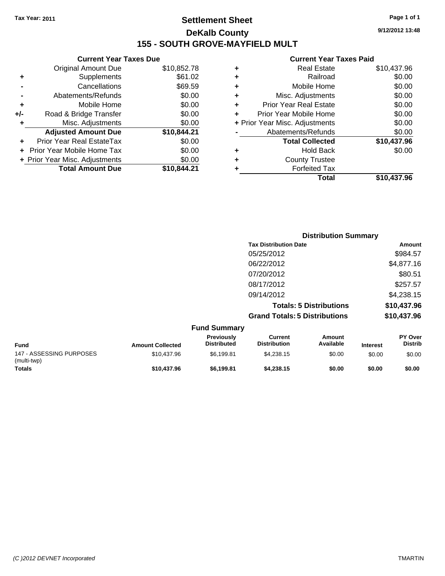### **Settlement Sheet Tax Year: 2011 Page 1 of 1 DeKalb County 155 - SOUTH GROVE-MAYFIELD MULT**

**9/12/2012 13:48**

### **Current Year Taxes Paid**

|     | <b>Current Year Taxes Due</b>  |             |   | <b>Current Year Taxes Paid</b> |             |
|-----|--------------------------------|-------------|---|--------------------------------|-------------|
|     | Original Amount Due            | \$10,852.78 | ٠ | <b>Real Estate</b>             | \$10,437.96 |
| ٠   | Supplements                    | \$61.02     | ٠ | Railroad                       | \$0.00      |
|     | Cancellations                  | \$69.59     |   | Mobile Home                    | \$0.00      |
|     | Abatements/Refunds             | \$0.00      | ٠ | Misc. Adjustments              | \$0.00      |
| ٠   | Mobile Home                    | \$0.00      | ÷ | <b>Prior Year Real Estate</b>  | \$0.00      |
| +/- | Road & Bridge Transfer         | \$0.00      | ÷ | Prior Year Mobile Home         | \$0.00      |
|     | Misc. Adjustments              | \$0.00      |   | + Prior Year Misc. Adjustments | \$0.00      |
|     | <b>Adjusted Amount Due</b>     | \$10,844.21 |   | Abatements/Refunds             | \$0.00      |
| ٠   | Prior Year Real EstateTax      | \$0.00      |   | <b>Total Collected</b>         | \$10,437.96 |
|     | + Prior Year Mobile Home Tax   | \$0.00      | ٠ | <b>Hold Back</b>               | \$0.00      |
|     | + Prior Year Misc. Adjustments | \$0.00      |   | <b>County Trustee</b>          |             |
|     | <b>Total Amount Due</b>        | \$10,844.21 |   | <b>Forfeited Tax</b>           |             |
|     |                                |             |   | <b>Total</b>                   | \$10,437.96 |

| <b>Distribution Summary</b>          |             |
|--------------------------------------|-------------|
| <b>Tax Distribution Date</b>         | Amount      |
| 05/25/2012                           | \$984.57    |
| 06/22/2012                           | \$4,877.16  |
| 07/20/2012                           | \$80.51     |
| 08/17/2012                           | \$257.57    |
| 09/14/2012                           | \$4,238.15  |
| <b>Totals: 5 Distributions</b>       | \$10,437.96 |
| <b>Grand Totals: 5 Distributions</b> | \$10,437.96 |

|                                         |                         | <b>Fund Summary</b>              |                                |                     |                 |                                  |
|-----------------------------------------|-------------------------|----------------------------------|--------------------------------|---------------------|-----------------|----------------------------------|
| <b>Fund</b>                             | <b>Amount Collected</b> | Previously<br><b>Distributed</b> | Current<br><b>Distribution</b> | Amount<br>Available | <b>Interest</b> | <b>PY Over</b><br><b>Distrib</b> |
| 147 - ASSESSING PURPOSES<br>(multi-twp) | \$10.437.96             | \$6.199.81                       | \$4.238.15                     | \$0.00              | \$0.00          | \$0.00                           |
| <b>Totals</b>                           | \$10,437.96             | \$6.199.81                       | \$4,238.15                     | \$0.00              | \$0.00          | \$0.00                           |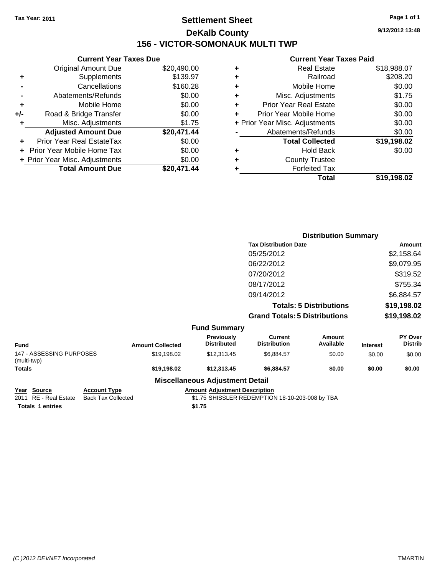### **Settlement Sheet Tax Year: 2011 Page 1 of 1 DeKalb County 156 - VICTOR-SOMONAUK MULTI TWP**

**9/12/2012 13:48**

#### **Current Year Taxes Paid**

|     | <b>Current Year Taxes Due</b>  |             |
|-----|--------------------------------|-------------|
|     | <b>Original Amount Due</b>     | \$20,490.00 |
| ٠   | Supplements                    | \$139.97    |
|     | Cancellations                  | \$160.28    |
|     | Abatements/Refunds             | \$0.00      |
| ٠   | Mobile Home                    | \$0.00      |
| +/- | Road & Bridge Transfer         | \$0.00      |
| ٠   | Misc. Adjustments              | \$1.75      |
|     | <b>Adjusted Amount Due</b>     | \$20,471.44 |
|     | Prior Year Real EstateTax      | \$0.00      |
|     | Prior Year Mobile Home Tax     | \$0.00      |
|     | + Prior Year Misc. Adjustments | \$0.00      |
|     | <b>Total Amount Due</b>        | \$20,471,44 |
|     |                                |             |

|   | Total                          | \$19,198.02 |
|---|--------------------------------|-------------|
| ٠ | <b>Forfeited Tax</b>           |             |
| ٠ | <b>County Trustee</b>          |             |
| ٠ | <b>Hold Back</b>               | \$0.00      |
|   | <b>Total Collected</b>         | \$19,198.02 |
|   | Abatements/Refunds             | \$0.00      |
|   | + Prior Year Misc. Adjustments | \$0.00      |
| ٠ | Prior Year Mobile Home         | \$0.00      |
| ÷ | <b>Prior Year Real Estate</b>  | \$0.00      |
| ٠ | Misc. Adjustments              | \$1.75      |
| ٠ | Mobile Home                    | \$0.00      |
| ٠ | Railroad                       | \$208.20    |
| ٠ | <b>Real Estate</b>             | \$18,988.07 |
|   |                                |             |

|                                         |                         |                                                 |                                       | <b>Distribution Summary</b>    |                 |                           |
|-----------------------------------------|-------------------------|-------------------------------------------------|---------------------------------------|--------------------------------|-----------------|---------------------------|
|                                         |                         |                                                 | <b>Tax Distribution Date</b>          |                                | Amount          |                           |
|                                         |                         |                                                 | 05/25/2012                            |                                |                 | \$2,158.64                |
|                                         |                         |                                                 | 06/22/2012                            |                                |                 | \$9,079.95                |
|                                         |                         |                                                 | 07/20/2012                            |                                |                 | \$319.52                  |
|                                         |                         |                                                 | 08/17/2012                            |                                |                 | \$755.34                  |
|                                         |                         |                                                 | 09/14/2012                            |                                |                 | \$6,884.57                |
|                                         |                         |                                                 |                                       | <b>Totals: 5 Distributions</b> |                 | \$19,198.02               |
|                                         |                         |                                                 | <b>Grand Totals: 5 Distributions</b>  |                                | \$19,198.02     |                           |
|                                         |                         | <b>Fund Summary</b>                             |                                       |                                |                 |                           |
| <b>Fund</b>                             | <b>Amount Collected</b> | Previously<br><b>Distributed</b>                | <b>Current</b><br><b>Distribution</b> | Amount<br>Available            | <b>Interest</b> | PY Over<br><b>Distrib</b> |
| 147 - ASSESSING PURPOSES<br>(multi-twp) | \$19,198.02             | \$12,313.45                                     | \$6,884.57                            | \$0.00                         | \$0.00          | \$0.00                    |
| <b>Totals</b>                           | \$19,198.02             | \$12,313.45                                     | \$6,884.57                            | \$0.00                         | \$0.00          | \$0.00                    |
|                                         |                         | Additional Lawrence Additional County Products. |                                       |                                |                 |                           |

**Miscellaneous Adjustment Detail**

**Totals 1 entries** \$1.75

**Year Source Account Type Amount Adjustment Description**  $$1.75$  SHISSLER REDEMPTION 18-10-203-008 by TBA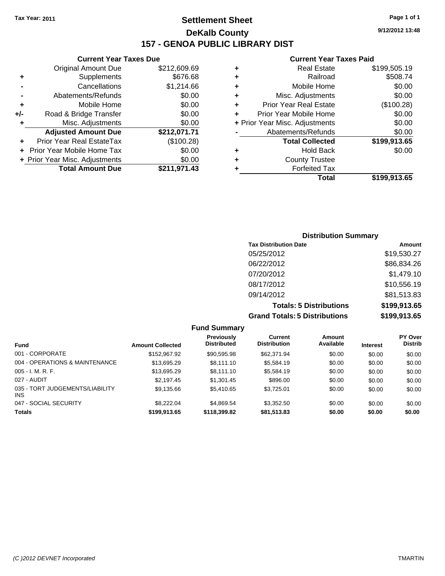**Current Year Taxes Due** Original Amount Due \$212,609.69

**+** Supplements \$676.68 **-** Cancellations \$1,214.66 **-** Abatements/Refunds \$0.00 **+** Mobile Home \$0.00 **+/-** Road & Bridge Transfer \$0.00 **+** Misc. Adjustments \$0.00 **Adjusted Amount Due \$212,071.71**

**+** Prior Year Real EstateTax (\$100.28) **+** Prior Year Mobile Home Tax \$0.00 **+ Prior Year Misc. Adjustments**  $$0.00$ 

**Total Amount Due \$211,971.43**

### **Settlement Sheet Tax Year: 2011 Page 1 of 1 DeKalb County 157 - GENOA PUBLIC LIBRARY DIST**

**9/12/2012 13:48**

#### **Current Year Taxes Paid**

| <b>County Trustee</b>          |                      |
|--------------------------------|----------------------|
| <b>Hold Back</b>               | \$0.00               |
| <b>Total Collected</b>         | \$199,913.65         |
| Abatements/Refunds             | \$0.00               |
| + Prior Year Misc. Adjustments | \$0.00               |
| Prior Year Mobile Home         | \$0.00               |
| <b>Prior Year Real Estate</b>  | (\$100.28)           |
| Misc. Adjustments              | \$0.00               |
| Mobile Home                    | \$0.00               |
| Railroad                       | \$508.74             |
| <b>Real Estate</b>             | \$199,505.19         |
|                                | <b>Forfeited Tax</b> |

## **Distribution Summary Tax Distribution Date Amount** 05/25/2012 \$19,530.27 06/22/2012 \$86,834.26 07/20/2012 \$1,479.10 08/17/2012 \$10,556.19 09/14/2012 \$81,513.83

**Totals: 5 Distributions \$199,913.65**

\$9,135.66 \$5,410.65 \$3,725.01 \$0.00 \$0.00 \$0.00

|                                 |                         |                                  | <b>Grand Totals: 5 Distributions</b> |                     |                 | \$199,913.65              |  |
|---------------------------------|-------------------------|----------------------------------|--------------------------------------|---------------------|-----------------|---------------------------|--|
|                                 |                         | <b>Fund Summary</b>              |                                      |                     |                 |                           |  |
| <b>Fund</b>                     | <b>Amount Collected</b> | Previously<br><b>Distributed</b> | Current<br><b>Distribution</b>       | Amount<br>Available | <b>Interest</b> | PY Over<br><b>Distrib</b> |  |
| 001 - CORPORATE                 | \$152,967.92            | \$90.595.98                      | \$62,371.94                          | \$0.00              | \$0.00          | \$0.00                    |  |
| 004 - OPERATIONS & MAINTENANCE  | \$13,695.29             | \$8.111.10                       | \$5,584.19                           | \$0.00              | \$0.00          | \$0.00                    |  |
| $005 - I. M. R. F.$             | \$13.695.29             | \$8.111.10                       | \$5,584.19                           | \$0.00              | \$0.00          | \$0.00                    |  |
| 027 - AUDIT                     | \$2.197.45              | \$1,301.45                       | \$896.00                             | \$0.00              | \$0.00          | \$0.00                    |  |
| 035 - TORT JUDGEMENTS/LIABILITY | \$9.135.66              | \$5,410.65                       | \$3.725.01                           | \$0.00              | \$0.00          | \$0.00                    |  |

047 - SOCIAL SECURITY \$8,222.04 \$4,869.54 \$3,352.50 \$0.00 \$0.00 \$0.00 **Totals \$199,913.65 \$118,399.82 \$81,513.83 \$0.00 \$0.00 \$0.00**

#### *(C )2012 DEVNET Incorporated* TMARTIN

INS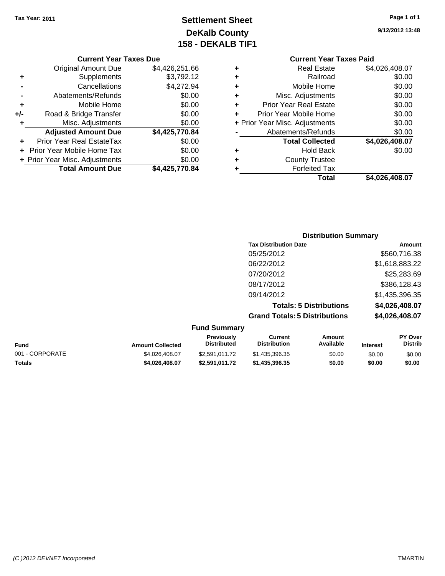### **Settlement Sheet Tax Year: 2011 Page 1 of 1 DeKalb County 158 - DEKALB TIF1**

#### **Current Year Taxes Due**

| <b>Original Amount Due</b>        | \$4,426,251.66                 |
|-----------------------------------|--------------------------------|
| Supplements                       | \$3,792.12                     |
| Cancellations                     | \$4,272.94                     |
| Abatements/Refunds                | \$0.00                         |
| Mobile Home                       | \$0.00                         |
| Road & Bridge Transfer            | \$0.00                         |
| Misc. Adjustments                 | \$0.00                         |
| <b>Adjusted Amount Due</b>        | \$4,425,770.84                 |
| <b>Prior Year Real EstateTax</b>  | \$0.00                         |
| <b>Prior Year Mobile Home Tax</b> | \$0.00                         |
|                                   | \$0.00                         |
| <b>Total Amount Due</b>           | \$4,425,770.84                 |
|                                   | + Prior Year Misc. Adjustments |

|   | Total                          | \$4,026,408.07 |  |  |  |  |  |
|---|--------------------------------|----------------|--|--|--|--|--|
|   | <b>Forfeited Tax</b>           |                |  |  |  |  |  |
| ٠ | <b>County Trustee</b>          |                |  |  |  |  |  |
| ٠ | <b>Hold Back</b>               | \$0.00         |  |  |  |  |  |
|   | <b>Total Collected</b>         | \$4,026,408.07 |  |  |  |  |  |
|   | Abatements/Refunds             | \$0.00         |  |  |  |  |  |
|   | + Prior Year Misc. Adjustments | \$0.00         |  |  |  |  |  |
| ٠ | Prior Year Mobile Home         | \$0.00         |  |  |  |  |  |
| ٠ | <b>Prior Year Real Estate</b>  | \$0.00         |  |  |  |  |  |
| ٠ | Misc. Adjustments              | \$0.00         |  |  |  |  |  |
| ٠ | Mobile Home                    | \$0.00         |  |  |  |  |  |
| ٠ | Railroad                       | \$0.00         |  |  |  |  |  |
| ٠ | <b>Real Estate</b>             | \$4,026,408.07 |  |  |  |  |  |
|   | <b>Current Year Taxes Paid</b> |                |  |  |  |  |  |

### **Distribution Summary Tax Distribution Date Amount** 05/25/2012 \$560,716.38 06/22/2012 \$1,618,883.22 07/20/2012 \$25,283.69 08/17/2012 \$386,128.43 09/14/2012 \$1,435,396.35 **Totals: 5 Distributions \$4,026,408.07 Grand Totals: 5 Distributions \$4,026,408.07**

| <b>Fund Summary</b> |                   |                     |                  |
|---------------------|-------------------|---------------------|------------------|
|                     | <b>Previously</b> | Current             | Amount           |
| Andreas College J   | Dietributad       | <b>Dietribution</b> | <b>Availahla</b> |

| <b>Amount Collected</b> | <b>Distributed</b> | <b>Distribution</b> | Available | <b>Interest</b> | Distrib |
|-------------------------|--------------------|---------------------|-----------|-----------------|---------|
| \$4.026.408.07          | \$2.591.011.72     | \$1,435,396,35      | \$0.00    | \$0.00          | \$0.00  |
| \$4.026.408.07          | \$2,591,011.72     | \$1.435.396.35      | \$0.00    | \$0.00          | \$0.00  |
|                         |                    |                     |           |                 |         |

**PY Over**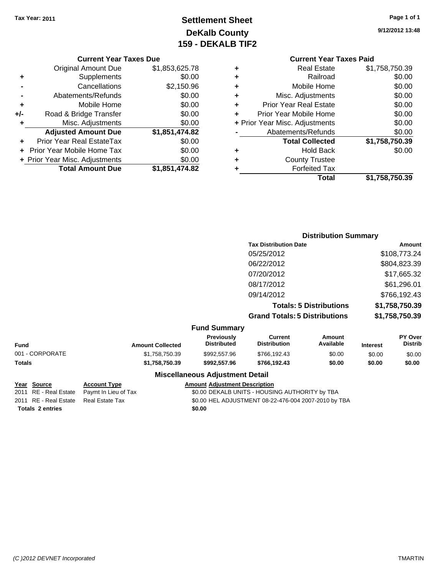# **Settlement Sheet Tax Year: 2011 Page 1 of 1 DeKalb County 159 - DEKALB TIF2**

### **9/12/2012 13:48**

#### **Current Year Taxes Due**

|     | <b>Original Amount Due</b>       | \$1,853,625.78 |
|-----|----------------------------------|----------------|
|     | Supplements                      | \$0.00         |
|     | Cancellations                    | \$2,150.96     |
|     | Abatements/Refunds               | \$0.00         |
| ٠   | Mobile Home                      | \$0.00         |
| +/- | Road & Bridge Transfer           | \$0.00         |
| ٠   | Misc. Adjustments                | \$0.00         |
|     | <b>Adjusted Amount Due</b>       | \$1,851,474.82 |
|     | <b>Prior Year Real EstateTax</b> | \$0.00         |
|     | Prior Year Mobile Home Tax       | \$0.00         |
|     | + Prior Year Misc. Adjustments   | \$0.00         |
|     | <b>Total Amount Due</b>          | \$1,851,474.82 |

### **Current Year Taxes Paid +** Real Estate \$1,758,750.39 **+** Railroad \$0.00 **+** Mobile Home \$0.00 **+** Misc. Adjustments \$0.00

|   | Total                          | \$1,758,750.39 |
|---|--------------------------------|----------------|
|   | <b>Forfeited Tax</b>           |                |
| ÷ | <b>County Trustee</b>          |                |
|   | <b>Hold Back</b>               | \$0.00         |
|   | <b>Total Collected</b>         | \$1,758,750.39 |
|   | Abatements/Refunds             | \$0.00         |
|   | + Prior Year Misc. Adjustments | \$0.00         |
|   | Prior Year Mobile Home         | \$0.00         |
|   | <b>Prior Year Real Estate</b>  | \$0.00         |

### **Distribution Summary Tax Distribution Date Amount** 05/25/2012 \$108,773.24 06/22/2012 \$804,823.39 07/20/2012 \$17,665.32 08/17/2012 \$61,296.01 09/14/2012 \$766,192.43 **Totals: 5 Distributions \$1,758,750.39 Grand Totals: 5 Distributions \$1,758,750.39**

#### **Fund Summary**

| Fund            | <b>Amount Collected</b> | <b>Previously</b><br><b>Distributed</b> | Current<br><b>Distribution</b> | Amount<br>Available | <b>Interest</b> | <b>PY Over</b><br><b>Distrib</b> |
|-----------------|-------------------------|-----------------------------------------|--------------------------------|---------------------|-----------------|----------------------------------|
| 001 - CORPORATE | \$1.758.750.39          | \$992,557.96                            | \$766.192.43                   | \$0.00              | \$0.00          | \$0.00                           |
| Totals          | \$1,758,750.39          | \$992,557.96                            | \$766.192.43                   | \$0.00              | \$0.00          | \$0.00                           |

#### **Miscellaneous Adjustment Detail**

#### **Year Source Account Type Amount Adjustment Description**

Totals 2 entries \$0.00

2011 RE - Real Estate Paymt In Lieu of Tax \$0.00 DEKALB UNITS - HOUSING AUTHORITY by TBA 2011 RE - Real Estate Real Estate Tax \$0.00 HEL ADJUSTMENT 08-22-476-004 2007-2010 by TBA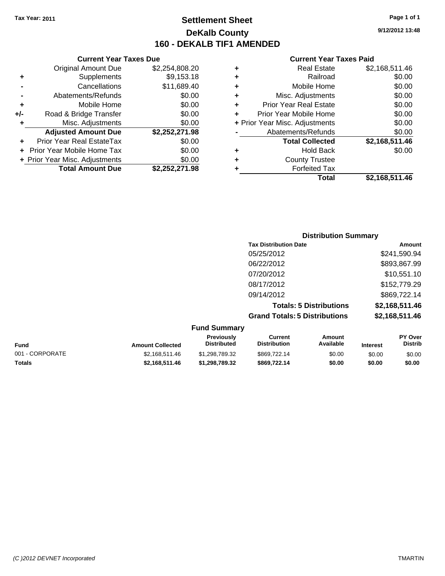## **Settlement Sheet Tax Year: 2011 Page 1 of 1 DeKalb County 160 - DEKALB TIF1 AMENDED**

#### **Current Year Taxes Due**

|     | <b>Original Amount Due</b>       | \$2,254,808.20 |
|-----|----------------------------------|----------------|
| ٠   | Supplements                      | \$9,153.18     |
|     | Cancellations                    | \$11,689.40    |
|     | Abatements/Refunds               | \$0.00         |
| ٠   | Mobile Home                      | \$0.00         |
| +/- | Road & Bridge Transfer           | \$0.00         |
| ٠   | Misc. Adjustments                | \$0.00         |
|     | <b>Adjusted Amount Due</b>       | \$2,252,271.98 |
|     | <b>Prior Year Real EstateTax</b> | \$0.00         |
|     | Prior Year Mobile Home Tax       | \$0.00         |
|     | + Prior Year Misc. Adjustments   | \$0.00         |
|     | <b>Total Amount Due</b>          | \$2,252,271.98 |

#### **Current Year Taxes Paid**

|   | <b>Real Estate</b>             | \$2,168,511.46 |
|---|--------------------------------|----------------|
| ٠ | Railroad                       | \$0.00         |
| ٠ | Mobile Home                    | \$0.00         |
| ٠ | Misc. Adjustments              | \$0.00         |
| ٠ | <b>Prior Year Real Estate</b>  | \$0.00         |
|   | Prior Year Mobile Home         | \$0.00         |
|   | + Prior Year Misc. Adjustments | \$0.00         |
|   | Abatements/Refunds             | \$0.00         |
|   | <b>Total Collected</b>         | \$2,168,511.46 |
| ٠ | Hold Back                      | \$0.00         |
| ٠ | <b>County Trustee</b>          |                |
| ٠ | <b>Forfeited Tax</b>           |                |
|   | Total                          | \$2,168,511.46 |
|   |                                |                |

### **Distribution Summary Tax Distribution Date Amount** 05/25/2012 \$241,590.94 06/22/2012 \$893,867.99 07/20/2012 \$10,551.10 08/17/2012 \$152,779.29 09/14/2012 \$869,722.14 **Totals: 5 Distributions \$2,168,511.46 Grand Totals: 5 Distributions \$2,168,511.46 Fund Summary**

| UITU JUITIITU V |                         |                                         |                                |                     |                 |                                  |
|-----------------|-------------------------|-----------------------------------------|--------------------------------|---------------------|-----------------|----------------------------------|
| <b>Fund</b>     | <b>Amount Collected</b> | <b>Previously</b><br><b>Distributed</b> | Current<br><b>Distribution</b> | Amount<br>Available | <b>Interest</b> | <b>PY Over</b><br><b>Distrib</b> |
| 001 - CORPORATE | \$2.168.511.46          | \$1,298,789.32                          | \$869,722.14                   | \$0.00              | \$0.00          | \$0.00                           |
| Totals          | \$2,168,511.46          | \$1.298.789.32                          | \$869,722.14                   | \$0.00              | \$0.00          | \$0.00                           |

**9/12/2012 13:48**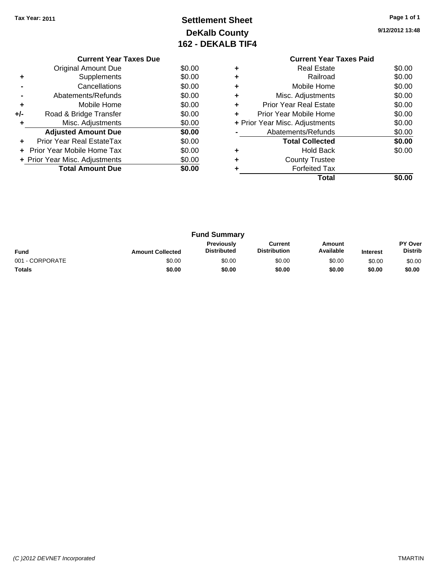# **Settlement Sheet Tax Year: 2011 Page 1 of 1 DeKalb County 162 - DEKALB TIF4**

**9/12/2012 13:48**

|     | <b>Current Year Taxes Due</b>  |        |  |  |
|-----|--------------------------------|--------|--|--|
|     | Original Amount Due            | \$0.00 |  |  |
|     | Supplements                    | \$0.00 |  |  |
|     | Cancellations                  | \$0.00 |  |  |
|     | \$0.00<br>Abatements/Refunds   |        |  |  |
| ٠   | Mobile Home                    | \$0.00 |  |  |
| +/- | Road & Bridge Transfer         | \$0.00 |  |  |
|     | Misc. Adjustments              | \$0.00 |  |  |
|     | <b>Adjusted Amount Due</b>     | \$0.00 |  |  |
|     | Prior Year Real EstateTax      | \$0.00 |  |  |
|     | Prior Year Mobile Home Tax     | \$0.00 |  |  |
|     | + Prior Year Misc. Adjustments | \$0.00 |  |  |
|     | <b>Total Amount Due</b>        | \$0.00 |  |  |
|     |                                |        |  |  |

### **Current Year Taxes Paid +** Real Estate \$0.00 **+** Railroad \$0.00 **+** Mobile Home \$0.00 **+** Misc. Adjustments \$0.00 **+** Prior Year Real Estate \$0.00 **+** Prior Year Mobile Home \$0.00 **+** Prior Year Misc. Adjustments \$0.00 **-** Abatements/Refunds \$0.00

|   | <b>Total Collected</b> | \$0.00 |
|---|------------------------|--------|
| ٠ | <b>Hold Back</b>       | \$0.00 |
| ٠ | <b>County Trustee</b>  |        |
| ٠ | <b>Forfeited Tax</b>   |        |
|   | <b>Total</b>           | \$0.00 |

| <b>Fund Summary</b> |                         |                                         |                                |                     |                 |                           |
|---------------------|-------------------------|-----------------------------------------|--------------------------------|---------------------|-----------------|---------------------------|
| <b>Fund</b>         | <b>Amount Collected</b> | <b>Previously</b><br><b>Distributed</b> | Current<br><b>Distribution</b> | Amount<br>Available | <b>Interest</b> | PY Over<br><b>Distrib</b> |
| 001 - CORPORATE     | \$0.00                  | \$0.00                                  | \$0.00                         | \$0.00              | \$0.00          | \$0.00                    |
| <b>Totals</b>       | \$0.00                  | \$0.00                                  | \$0.00                         | \$0.00              | \$0.00          | \$0.00                    |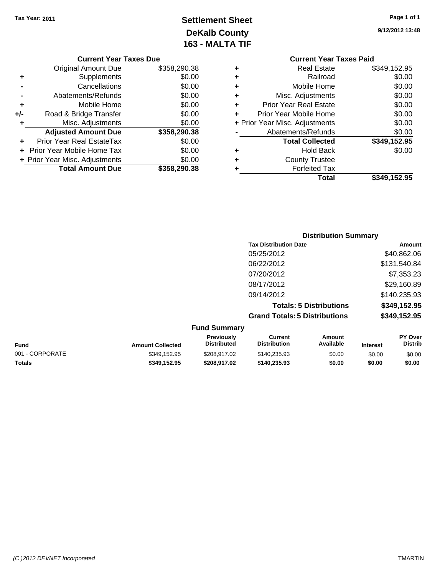# **Settlement Sheet Tax Year: 2011 Page 1 of 1 DeKalb County 163 - MALTA TIF**

**9/12/2012 13:48**

|   | <b>Current Year Taxes Paid</b> |              |
|---|--------------------------------|--------------|
| ÷ | <b>Real Estate</b>             | \$349,152.95 |
| ٠ | Railroad                       | \$0.00       |
| ٠ | Mobile Home                    | \$0.00       |
| ٠ | Misc. Adjustments              | \$0.00       |
| ٠ | <b>Prior Year Real Estate</b>  | \$0.00       |
| ÷ | Prior Year Mobile Home         | \$0.00       |
|   | + Prior Year Misc. Adjustments | \$0.00       |
|   | Abatements/Refunds             | \$0.00       |
|   | <b>Total Collected</b>         | \$349,152.95 |
| ٠ | <b>Hold Back</b>               | \$0.00       |
| ٠ | <b>County Trustee</b>          |              |
|   | <b>Forfeited Tax</b>           |              |
|   | Total                          | \$349,152.95 |
|   |                                |              |

### **Current Year Taxes Due** Original Amount Due \$358,290.38 **+** Supplements \$0.00 **-** Cancellations \$0.00 **-** Abatements/Refunds \$0.00 **+** Mobile Home \$0.00 **+/-** Road & Bridge Transfer \$0.00 **+** Misc. Adjustments \$0.00 **Adjusted Amount Due \$358,290.38 +** Prior Year Real EstateTax \$0.00 **+** Prior Year Mobile Home Tax \$0.00 **+ Prior Year Misc. Adjustments**  $$0.00$ **Total Amount Due \$358,290.38**

### **Distribution Summary Tax Distribution Date Amount** 05/25/2012 \$40,862.06 06/22/2012 \$131,540.84 07/20/2012 \$7,353.23 08/17/2012 \$29,160.89 09/14/2012 \$140,235.93 **Totals: 5 Distributions \$349,152.95 Grand Totals: 5 Distributions \$349,152.95 Fund Summary**

|                         | Funu Junniary                           |                                |                     |                 |                                  |
|-------------------------|-----------------------------------------|--------------------------------|---------------------|-----------------|----------------------------------|
| <b>Amount Collected</b> | <b>Previously</b><br><b>Distributed</b> | Current<br><b>Distribution</b> | Amount<br>Available | <b>Interest</b> | <b>PY Over</b><br><b>Distrib</b> |
| \$349.152.95            | \$208.917.02                            | \$140.235.93                   | \$0.00              | \$0.00          | \$0.00                           |
| \$349.152.95            | \$208.917.02                            | \$140.235.93                   | \$0.00              | \$0.00          | \$0.00                           |
|                         |                                         |                                |                     |                 |                                  |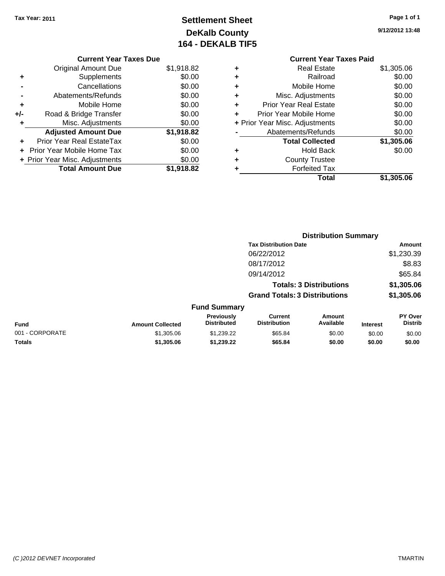# **Settlement Sheet Tax Year: 2011 Page 1 of 1 DeKalb County 164 - DEKALB TIF5**

**9/12/2012 13:48**

#### **Current Year Taxes Due**

|     | <b>Original Amount Due</b>       | \$1,918.82 |
|-----|----------------------------------|------------|
|     | Supplements                      | \$0.00     |
|     | Cancellations                    | \$0.00     |
|     | Abatements/Refunds               | \$0.00     |
| ٠   | Mobile Home                      | \$0.00     |
| +/- | Road & Bridge Transfer           | \$0.00     |
| ٠   | Misc. Adjustments                | \$0.00     |
|     | <b>Adjusted Amount Due</b>       | \$1,918.82 |
|     | <b>Prior Year Real EstateTax</b> | \$0.00     |
|     | Prior Year Mobile Home Tax       | \$0.00     |
|     | + Prior Year Misc. Adjustments   | \$0.00     |
|     | <b>Total Amount Due</b>          | \$1,918.82 |

### **Current Year Taxes Paid +** Real Estate \$1,305.06 **+** Railroad \$0.00 **+** Mobile Home \$0.00 **+** Misc. Adjustments \$0.00 **+** Prior Year Real Estate \$0.00 **+** Prior Year Mobile Home \$0.00 **+ Prior Year Misc. Adjustments**  $$0.00$ **-** Abatements/Refunds \$0.00 **Total Collected \$1,305.06 +** Hold Back \$0.00 **+** County Trustee **+** Forfeited Tax **Total \$1,305.06**

|                 |                         | <b>Distribution Summary</b>      |                                       |                                |                 |                           |
|-----------------|-------------------------|----------------------------------|---------------------------------------|--------------------------------|-----------------|---------------------------|
|                 |                         |                                  | <b>Tax Distribution Date</b>          |                                |                 | Amount                    |
|                 |                         |                                  | 06/22/2012                            |                                |                 | \$1,230.39                |
|                 |                         |                                  | 08/17/2012                            |                                |                 | \$8.83                    |
|                 |                         |                                  | 09/14/2012                            |                                |                 | \$65.84                   |
|                 |                         |                                  |                                       | <b>Totals: 3 Distributions</b> |                 | \$1,305.06                |
|                 |                         |                                  | <b>Grand Totals: 3 Distributions</b>  |                                |                 | \$1,305.06                |
|                 |                         | <b>Fund Summary</b>              |                                       |                                |                 |                           |
| Fund            | <b>Amount Collected</b> | Previously<br><b>Distributed</b> | <b>Current</b><br><b>Distribution</b> | <b>Amount</b><br>Available     | <b>Interest</b> | PY Over<br><b>Distrib</b> |
| 001 - CORPORATE | \$1,305.06              | \$1,239.22                       | \$65.84                               | \$0.00                         | \$0.00          | \$0.00                    |
| Totals          | \$1,305.06              | \$1,239.22                       | \$65.84                               | \$0.00                         | \$0.00          | \$0.00                    |
|                 |                         |                                  |                                       |                                |                 |                           |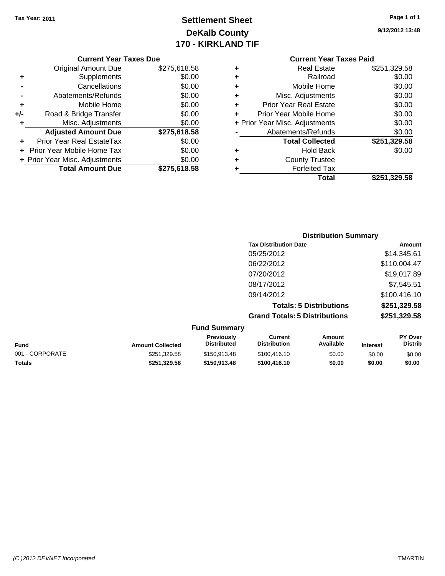# **Settlement Sheet Tax Year: 2011 Page 1 of 1 DeKalb County 170 - KIRKLAND TIF**

**9/12/2012 13:48**

#### **Current Year Taxes Due**

|     | <b>Original Amount Due</b>     | \$275,618.58 |
|-----|--------------------------------|--------------|
| ٠   | Supplements                    | \$0.00       |
|     | Cancellations                  | \$0.00       |
|     | Abatements/Refunds             | \$0.00       |
| ٠   | Mobile Home                    | \$0.00       |
| +/- | Road & Bridge Transfer         | \$0.00       |
| ٠   | Misc. Adjustments              | \$0.00       |
|     | <b>Adjusted Amount Due</b>     | \$275,618.58 |
|     | Prior Year Real EstateTax      | \$0.00       |
|     | Prior Year Mobile Home Tax     | \$0.00       |
|     | + Prior Year Misc. Adjustments | \$0.00       |
|     | <b>Total Amount Due</b>        | \$275,618.58 |

### **Current Year Taxes Paid**

| ٠ | Real Estate                    | \$251,329.58 |
|---|--------------------------------|--------------|
| ٠ | Railroad                       | \$0.00       |
| ٠ | Mobile Home                    | \$0.00       |
| ٠ | Misc. Adjustments              | \$0.00       |
| ٠ | <b>Prior Year Real Estate</b>  | \$0.00       |
| ٠ | Prior Year Mobile Home         | \$0.00       |
|   | + Prior Year Misc. Adjustments | \$0.00       |
|   | Abatements/Refunds             | \$0.00       |
|   | <b>Total Collected</b>         | \$251,329.58 |
| ٠ | <b>Hold Back</b>               | \$0.00       |
| ٠ | <b>County Trustee</b>          |              |
| ٠ | <b>Forfeited Tax</b>           |              |
|   | Total                          | \$251,329.58 |
|   |                                |              |

### **Distribution Summary Tax Distribution Date Amount** 05/25/2012 \$14,345.61 06/22/2012 \$110,004.47 07/20/2012 \$19,017.89 08/17/2012 \$7,545.51 09/14/2012 \$100,416.10 **Totals: 5 Distributions \$251,329.58 Grand Totals: 5 Distributions \$251,329.58 Fund Summary**

| Funu Juniniary          |                                         |                                |                     |                 |                                  |
|-------------------------|-----------------------------------------|--------------------------------|---------------------|-----------------|----------------------------------|
| <b>Amount Collected</b> | <b>Previously</b><br><b>Distributed</b> | Current<br><b>Distribution</b> | Amount<br>Available | <b>Interest</b> | <b>PY Over</b><br><b>Distrib</b> |
| \$251.329.58            | \$150,913.48                            | \$100,416.10                   | \$0.00              | \$0.00          | \$0.00                           |
| \$251.329.58            | \$150,913,48                            | \$100,416.10                   | \$0.00              | \$0.00          | \$0.00                           |
|                         |                                         |                                |                     |                 |                                  |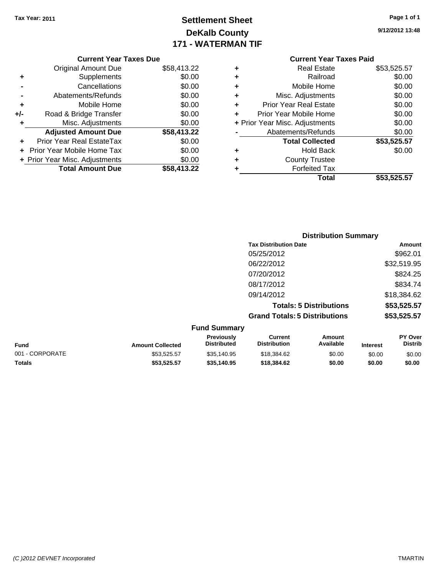# **Settlement Sheet Tax Year: 2011 Page 1 of 1 DeKalb County 171 - WATERMAN TIF**

**9/12/2012 13:48**

|     | <b>Current Year Taxes Due</b>  |             |
|-----|--------------------------------|-------------|
|     | Original Amount Due            | \$58,413.22 |
| ٠   | Supplements                    | \$0.00      |
|     | Cancellations                  | \$0.00      |
|     | Abatements/Refunds             | \$0.00      |
| ٠   | Mobile Home                    | \$0.00      |
| +/- | Road & Bridge Transfer         | \$0.00      |
| ٠   | Misc. Adjustments              | \$0.00      |
|     | <b>Adjusted Amount Due</b>     | \$58,413.22 |
|     | Prior Year Real EstateTax      | \$0.00      |
|     | Prior Year Mobile Home Tax     | \$0.00      |
|     | + Prior Year Misc. Adjustments | \$0.00      |
|     | <b>Total Amount Due</b>        | \$58,413.22 |
|     |                                |             |

|   | Total                          | \$53,525.57 |
|---|--------------------------------|-------------|
| ٠ | <b>Forfeited Tax</b>           |             |
| ٠ | <b>County Trustee</b>          |             |
| ٠ | <b>Hold Back</b>               | \$0.00      |
|   | <b>Total Collected</b>         | \$53,525.57 |
|   | Abatements/Refunds             | \$0.00      |
|   | + Prior Year Misc. Adjustments | \$0.00      |
| ÷ | Prior Year Mobile Home         | \$0.00      |
| ٠ | <b>Prior Year Real Estate</b>  | \$0.00      |
| ٠ | Misc. Adjustments              | \$0.00      |
| ٠ | Mobile Home                    | \$0.00      |
| ٠ | Railroad                       | \$0.00      |
| ٠ | Real Estate                    | \$53,525.57 |

|                              | <b>Distribution Summary</b>                         |  |  |  |
|------------------------------|-----------------------------------------------------|--|--|--|
| <b>Tax Distribution Date</b> | Amount                                              |  |  |  |
| 05/25/2012                   | \$962.01                                            |  |  |  |
| 06/22/2012                   | \$32,519.95                                         |  |  |  |
| 07/20/2012                   | \$824.25                                            |  |  |  |
| 08/17/2012                   | \$834.74                                            |  |  |  |
| 09/14/2012                   | \$18,384.62                                         |  |  |  |
|                              | \$53,525.57<br><b>Totals: 5 Distributions</b>       |  |  |  |
|                              | \$53,525.57<br><b>Grand Totals: 5 Distributions</b> |  |  |  |
| <b>Fund Summary</b>          |                                                     |  |  |  |

| <b>Fund</b>     | <b>Amount Collected</b> | <b>Previously</b><br><b>Distributed</b> | Current<br><b>Distribution</b> | Amount<br>Available | <b>Interest</b> | <b>PY Over</b><br><b>Distrib</b> |
|-----------------|-------------------------|-----------------------------------------|--------------------------------|---------------------|-----------------|----------------------------------|
| 001 - CORPORATE | \$53.525.57             | \$35,140.95                             | \$18,384.62                    | \$0.00              | \$0.00          | \$0.00                           |
| <b>Totals</b>   | \$53.525.57             | \$35,140.95                             | \$18,384.62                    | \$0.00              | \$0.00          | \$0.00                           |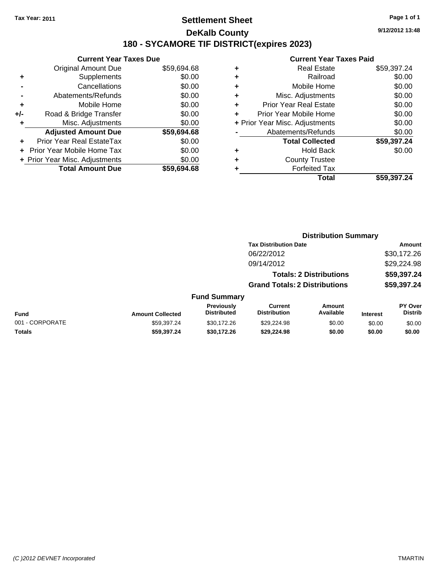### **Settlement Sheet Tax Year: 2011 Page 1 of 1 DeKalb County 180 - SYCAMORE TIF DISTRICT(expires 2023)**

### **Current Year Taxes Due** Original Amount Due \$59,694.68 **+** Supplements \$0.00 **-** Cancellations \$0.00 **-** Abatements/Refunds \$0.00 **+** Mobile Home \$0.00 **+/-** Road & Bridge Transfer \$0.00 **+** Misc. Adjustments \$0.00 **Adjusted Amount Due \$59,694.68 +** Prior Year Real EstateTax \$0.00 **+** Prior Year Mobile Home Tax \$0.00 **+ Prior Year Misc. Adjustments**  $$0.00$ **Total Amount Due \$59,694.68**

#### **Current Year Taxes Paid**

|   | <b>Real Estate</b>             | \$59,397.24 |
|---|--------------------------------|-------------|
| ٠ | Railroad                       | \$0.00      |
| ٠ | Mobile Home                    | \$0.00      |
| ٠ | Misc. Adjustments              | \$0.00      |
| ٠ | <b>Prior Year Real Estate</b>  | \$0.00      |
|   | Prior Year Mobile Home         | \$0.00      |
|   | + Prior Year Misc. Adjustments | \$0.00      |
|   | Abatements/Refunds             | \$0.00      |
|   | <b>Total Collected</b>         | \$59,397.24 |
| ٠ | <b>Hold Back</b>               | \$0.00      |
| ٠ | <b>County Trustee</b>          |             |
| ٠ | <b>Forfeited Tax</b>           |             |
|   | Total                          | \$59,397.24 |
|   |                                |             |

**Distribution Summary**

| Total | \$59,397.24 |
|-------|-------------|
|       |             |
|       |             |
|       |             |

|                 |                         |                                  | <b>Tax Distribution Date</b>          |                                |                 | <b>Amount</b>                    |
|-----------------|-------------------------|----------------------------------|---------------------------------------|--------------------------------|-----------------|----------------------------------|
|                 |                         |                                  | 06/22/2012                            |                                |                 | \$30,172.26                      |
|                 |                         |                                  | 09/14/2012                            |                                |                 | \$29,224.98                      |
|                 |                         |                                  |                                       | <b>Totals: 2 Distributions</b> |                 | \$59,397.24                      |
|                 |                         |                                  | <b>Grand Totals: 2 Distributions</b>  |                                |                 | \$59,397.24                      |
|                 |                         | <b>Fund Summary</b>              |                                       |                                |                 |                                  |
| Fund            | <b>Amount Collected</b> | Previously<br><b>Distributed</b> | <b>Current</b><br><b>Distribution</b> | Amount<br>Available            | <b>Interest</b> | <b>PY Over</b><br><b>Distrib</b> |
| 001 - CORPORATE | \$59,397.24             | \$30,172.26                      | \$29,224.98                           | \$0.00                         | \$0.00          | \$0.00                           |
| Totals          | \$59,397,24             | \$30,172.26                      | \$29,224.98                           | \$0.00                         | \$0.00          | \$0.00                           |
|                 |                         |                                  |                                       |                                |                 |                                  |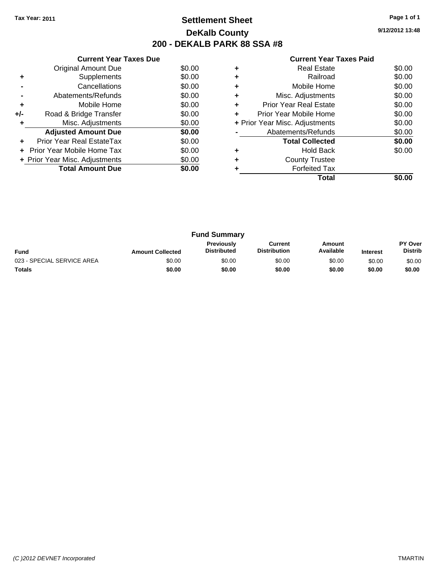# **Settlement Sheet Tax Year: 2011 Page 1 of 1 DeKalb County 200 - DEKALB PARK 88 SSA #8**

**9/12/2012 13:48**

|     | <b>Current Year Taxes Due</b>  |        |
|-----|--------------------------------|--------|
|     | Original Amount Due            | \$0.00 |
| ٠   | Supplements                    | \$0.00 |
|     | Cancellations                  | \$0.00 |
|     | Abatements/Refunds             | \$0.00 |
| ٠   | Mobile Home                    | \$0.00 |
| +/- | Road & Bridge Transfer         | \$0.00 |
| ٠   | Misc. Adjustments              | \$0.00 |
|     | <b>Adjusted Amount Due</b>     | \$0.00 |
| ٠   | Prior Year Real EstateTax      | \$0.00 |
|     | Prior Year Mobile Home Tax     | \$0.00 |
|     | + Prior Year Misc. Adjustments | \$0.00 |
|     | <b>Total Amount Due</b>        | \$0.00 |
|     |                                |        |

|   | Total                          |        |
|---|--------------------------------|--------|
|   | <b>Forfeited Tax</b>           |        |
|   | <b>County Trustee</b>          |        |
|   | <b>Hold Back</b>               | \$0.00 |
|   | <b>Total Collected</b>         | \$0.00 |
|   | Abatements/Refunds             | \$0.00 |
|   | + Prior Year Misc. Adjustments | \$0.00 |
| ÷ | Prior Year Mobile Home         | \$0.00 |
| ÷ | <b>Prior Year Real Estate</b>  | \$0.00 |
| ٠ | Misc. Adjustments              | \$0.00 |
|   | Mobile Home                    | \$0.00 |
|   | Railroad                       | \$0.00 |
|   | <b>Real Estate</b>             | \$0.00 |

| <b>Fund Summary</b>        |                         |                                  |                                |                     |                 |                                  |
|----------------------------|-------------------------|----------------------------------|--------------------------------|---------------------|-----------------|----------------------------------|
| <b>Fund</b>                | <b>Amount Collected</b> | Previously<br><b>Distributed</b> | Current<br><b>Distribution</b> | Amount<br>Available | <b>Interest</b> | <b>PY Over</b><br><b>Distrib</b> |
| 023 - SPECIAL SERVICE AREA | \$0.00                  | \$0.00                           | \$0.00                         | \$0.00              | \$0.00          | \$0.00                           |
| Totals                     | \$0.00                  | \$0.00                           | \$0.00                         | \$0.00              | \$0.00          | \$0.00                           |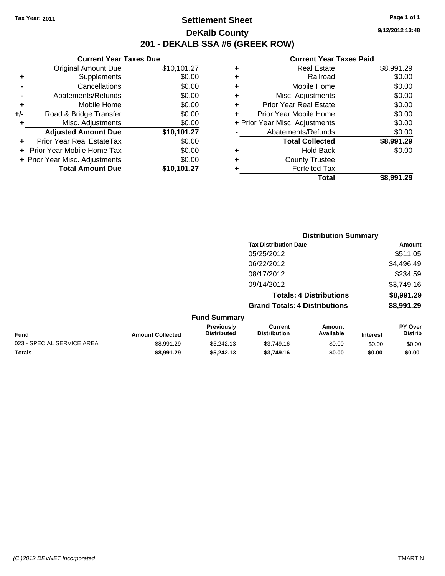**Current Year Taxes Due** Original Amount Due \$10,101.27

**Adjusted Amount Due \$10,101.27**

**Total Amount Due \$10,101.27**

**+** Supplements \$0.00 **-** Cancellations \$0.00 **-** Abatements/Refunds \$0.00 **+** Mobile Home \$0.00 **+/-** Road & Bridge Transfer \$0.00 **+** Misc. Adjustments \$0.00

**+** Prior Year Real EstateTax \$0.00 **+** Prior Year Mobile Home Tax \$0.00 **+ Prior Year Misc. Adjustments**  $$0.00$ 

### **Settlement Sheet Tax Year: 2011 Page 1 of 1 DeKalb County 201 - DEKALB SSA #6 (GREEK ROW)**

**9/12/2012 13:48**

#### **Current Year Taxes Paid**

| ٠ | <b>Real Estate</b>             | \$8,991.29 |
|---|--------------------------------|------------|
| ٠ | Railroad                       | \$0.00     |
| ٠ | Mobile Home                    | \$0.00     |
| ٠ | Misc. Adjustments              | \$0.00     |
| ٠ | <b>Prior Year Real Estate</b>  | \$0.00     |
| ÷ | Prior Year Mobile Home         | \$0.00     |
|   | + Prior Year Misc. Adjustments | \$0.00     |
|   | Abatements/Refunds             | \$0.00     |
|   | <b>Total Collected</b>         | \$8,991.29 |
| ٠ | <b>Hold Back</b>               | \$0.00     |
| ٠ | <b>County Trustee</b>          |            |
|   | <b>Forfeited Tax</b>           |            |
|   | Total                          | \$8.991.29 |

|                            |                         |                                  |                                       | <b>Distribution Summary</b>    |                 |                           |
|----------------------------|-------------------------|----------------------------------|---------------------------------------|--------------------------------|-----------------|---------------------------|
|                            |                         |                                  | <b>Tax Distribution Date</b>          |                                |                 | Amount                    |
|                            |                         |                                  | 05/25/2012                            |                                |                 | \$511.05                  |
|                            |                         |                                  | 06/22/2012                            |                                |                 | \$4,496.49                |
|                            |                         |                                  | 08/17/2012                            |                                |                 | \$234.59                  |
|                            |                         |                                  | 09/14/2012                            |                                |                 | \$3,749.16                |
|                            |                         |                                  |                                       | <b>Totals: 4 Distributions</b> |                 | \$8,991.29                |
|                            |                         |                                  | <b>Grand Totals: 4 Distributions</b>  |                                |                 | \$8,991.29                |
|                            |                         | <b>Fund Summary</b>              |                                       |                                |                 |                           |
| Fund                       | <b>Amount Collected</b> | Previously<br><b>Distributed</b> | <b>Current</b><br><b>Distribution</b> | Amount<br>Available            | <b>Interest</b> | PY Over<br><b>Distrib</b> |
| 023 - SPECIAL SERVICE AREA | \$8,991.29              | \$5,242.13                       | \$3,749.16                            | \$0.00                         | \$0.00          | \$0.00                    |
|                            |                         |                                  |                                       |                                |                 |                           |

**Totals \$8,991.29 \$5,242.13 \$3,749.16 \$0.00 \$0.00 \$0.00**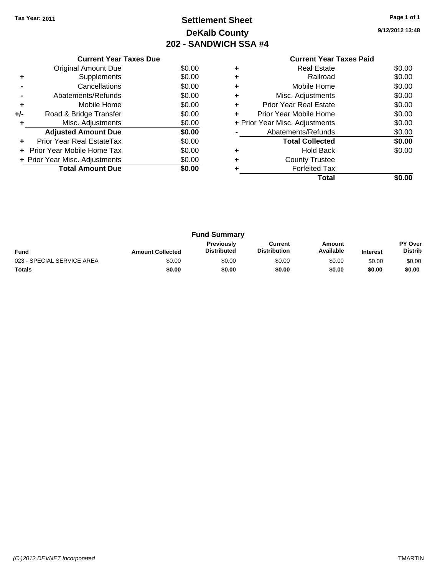# **Settlement Sheet Tax Year: 2011 Page 1 of 1 DeKalb County 202 - SANDWICH SSA #4**

**9/12/2012 13:48**

|     | <b>Current Year Taxes Due</b>     |        |  |  |  |  |
|-----|-----------------------------------|--------|--|--|--|--|
|     | Original Amount Due               | \$0.00 |  |  |  |  |
| ٠   | Supplements                       | \$0.00 |  |  |  |  |
|     | Cancellations                     | \$0.00 |  |  |  |  |
|     | \$0.00<br>Abatements/Refunds      |        |  |  |  |  |
| ٠   | Mobile Home                       | \$0.00 |  |  |  |  |
| +/- | Road & Bridge Transfer            | \$0.00 |  |  |  |  |
| ٠   | Misc. Adjustments                 | \$0.00 |  |  |  |  |
|     | <b>Adjusted Amount Due</b>        | \$0.00 |  |  |  |  |
| ٠   | Prior Year Real EstateTax         | \$0.00 |  |  |  |  |
| ٠   | Prior Year Mobile Home Tax        | \$0.00 |  |  |  |  |
|     | + Prior Year Misc. Adjustments    | \$0.00 |  |  |  |  |
|     | <b>Total Amount Due</b><br>\$0.00 |        |  |  |  |  |
|     |                                   |        |  |  |  |  |

### **Current Year Taxes Paid +** Real Estate \$0.00 **+** Railroad \$0.00 **+** Mobile Home \$0.00 **+** Misc. Adjustments \$0.00 **+** Prior Year Real Estate \$0.00 **+** Prior Year Mobile Home \$0.00

|   | <b>Total</b>                   | \$0.00 |
|---|--------------------------------|--------|
| ÷ | <b>Forfeited Tax</b>           |        |
| ٠ | <b>County Trustee</b>          |        |
| ٠ | <b>Hold Back</b>               | \$0.00 |
|   | <b>Total Collected</b>         | \$0.00 |
|   | Abatements/Refunds             | \$0.00 |
|   | + Prior Year Misc. Adjustments | \$0.00 |

| <b>Fund Summary</b>        |                         |                                  |                                |                     |                 |                           |
|----------------------------|-------------------------|----------------------------------|--------------------------------|---------------------|-----------------|---------------------------|
| <b>Fund</b>                | <b>Amount Collected</b> | Previously<br><b>Distributed</b> | Current<br><b>Distribution</b> | Amount<br>Available | <b>Interest</b> | PY Over<br><b>Distrib</b> |
| 023 - SPECIAL SERVICE AREA | \$0.00                  | \$0.00                           | \$0.00                         | \$0.00              | \$0.00          | \$0.00                    |
| <b>Totals</b>              | \$0.00                  | \$0.00                           | \$0.00                         | \$0.00              | \$0.00          | \$0.00                    |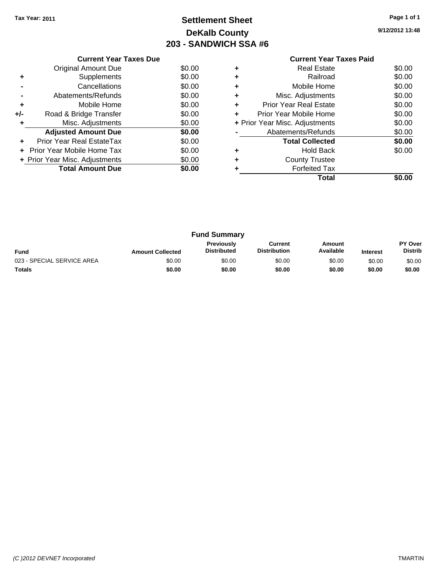# **Settlement Sheet Tax Year: 2011 Page 1 of 1 DeKalb County 203 - SANDWICH SSA #6**

**9/12/2012 13:48**

|     | <b>Current Year Taxes Due</b>            |        |  |  |  |  |  |
|-----|------------------------------------------|--------|--|--|--|--|--|
|     | Original Amount Due                      | \$0.00 |  |  |  |  |  |
| ٠   | Supplements                              | \$0.00 |  |  |  |  |  |
|     | Cancellations                            | \$0.00 |  |  |  |  |  |
|     | \$0.00<br>Abatements/Refunds             |        |  |  |  |  |  |
| ٠   | Mobile Home                              | \$0.00 |  |  |  |  |  |
| +/- | Road & Bridge Transfer                   | \$0.00 |  |  |  |  |  |
|     | Misc. Adjustments                        | \$0.00 |  |  |  |  |  |
|     | <b>Adjusted Amount Due</b>               | \$0.00 |  |  |  |  |  |
|     | Prior Year Real EstateTax                | \$0.00 |  |  |  |  |  |
| ٠   | \$0.00<br>Prior Year Mobile Home Tax     |        |  |  |  |  |  |
|     | \$0.00<br>+ Prior Year Misc. Adjustments |        |  |  |  |  |  |
|     | <b>Total Amount Due</b><br>\$0.00        |        |  |  |  |  |  |
|     |                                          |        |  |  |  |  |  |

### **Current Year Taxes Paid +** Real Estate \$0.00 **+** Railroad \$0.00 **+** Mobile Home \$0.00 **+** Misc. Adjustments \$0.00 **+** Prior Year Real Estate \$0.00 **+** Prior Year Mobile Home \$0.00 **+ Prior Year Misc. Adjustments**  $$0.00$ **-** Abatements/Refunds \$0.00 Total Collected \$0.00 **+** Hold Back \$0.00

**+** County Trustee

|   | Total                | \$0.00 |
|---|----------------------|--------|
| ٠ | <b>Forfeited Tax</b> |        |

| <b>Fund Summary</b>        |                         |                                  |                                |                     |                 |                                  |
|----------------------------|-------------------------|----------------------------------|--------------------------------|---------------------|-----------------|----------------------------------|
| Fund                       | <b>Amount Collected</b> | Previously<br><b>Distributed</b> | Current<br><b>Distribution</b> | Amount<br>Available | <b>Interest</b> | <b>PY Over</b><br><b>Distrib</b> |
| 023 - SPECIAL SERVICE AREA | \$0.00                  | \$0.00                           | \$0.00                         | \$0.00              | \$0.00          | \$0.00                           |
| <b>Totals</b>              | \$0.00                  | \$0.00                           | \$0.00                         | \$0.00              | \$0.00          | \$0.00                           |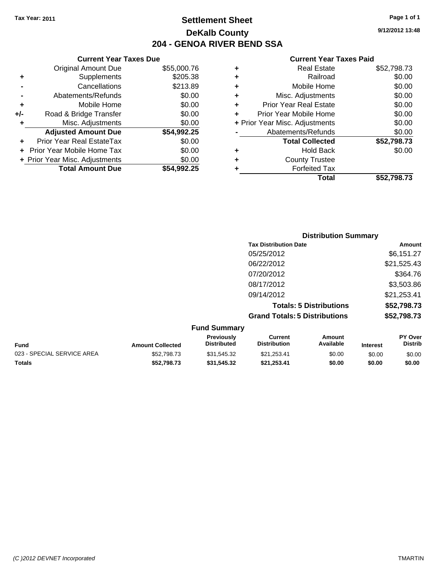## **Settlement Sheet Tax Year: 2011 Page 1 of 1 DeKalb County 204 - GENOA RIVER BEND SSA**

### **9/12/2012 13:48**

| \$55,000.76 |
|-------------|
| \$205.38    |
| \$213.89    |
| \$0.00      |
| \$0.00      |
| \$0.00      |
| \$0.00      |
| \$54,992.25 |
| \$0.00      |
|             |
| \$0.00      |
| \$0.00      |
|             |

|   | <b>Real Estate</b>             | \$52,798.73 |
|---|--------------------------------|-------------|
| ٠ | Railroad                       | \$0.00      |
| ÷ | Mobile Home                    | \$0.00      |
| ٠ | Misc. Adjustments              | \$0.00      |
| ٠ | <b>Prior Year Real Estate</b>  | \$0.00      |
|   | Prior Year Mobile Home         | \$0.00      |
|   | + Prior Year Misc. Adjustments | \$0.00      |
|   | Abatements/Refunds             | \$0.00      |
|   | <b>Total Collected</b>         | \$52,798.73 |
| ٠ | <b>Hold Back</b>               | \$0.00      |
|   | <b>County Trustee</b>          |             |
|   | <b>Forfeited Tax</b>           |             |
|   | Total                          | \$52,798.73 |
|   |                                |             |

| <b>Distribution Summary</b>          |             |
|--------------------------------------|-------------|
| <b>Tax Distribution Date</b>         | Amount      |
| 05/25/2012                           | \$6,151.27  |
| 06/22/2012                           | \$21,525.43 |
| 07/20/2012                           | \$364.76    |
| 08/17/2012                           | \$3,503.86  |
| 09/14/2012                           | \$21,253.41 |
| <b>Totals: 5 Distributions</b>       | \$52,798.73 |
| <b>Grand Totals: 5 Distributions</b> | \$52,798.73 |
| <b>Fund Summary</b>                  |             |

| <b>Fund</b>                | <b>Amount Collected</b> | <b>Previously</b><br><b>Distributed</b> | Current<br><b>Distribution</b> | Amount<br>Available | <b>Interest</b> | <b>PY Over</b><br><b>Distrib</b> |
|----------------------------|-------------------------|-----------------------------------------|--------------------------------|---------------------|-----------------|----------------------------------|
| 023 - SPECIAL SERVICE AREA | \$52,798,73             | \$31.545.32                             | \$21.253.41                    | \$0.00              | \$0.00          | \$0.00                           |
| Totals                     | \$52,798,73             | \$31.545.32                             | \$21.253.41                    | \$0.00              | \$0.00          | \$0.00                           |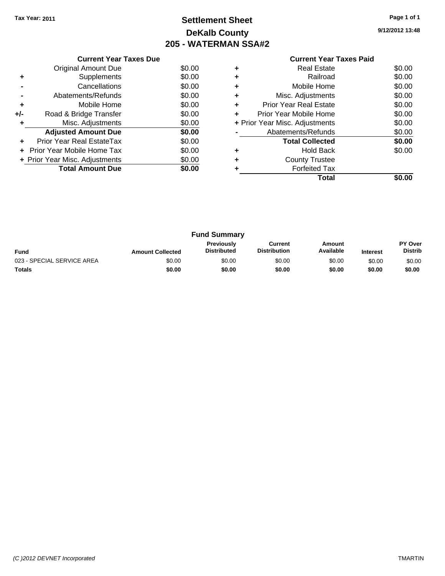# **Settlement Sheet Tax Year: 2011 Page 1 of 1 DeKalb County 205 - WATERMAN SSA#2**

**9/12/2012 13:48**

|     | <b>Current Year Taxes Due</b>     |        |  |  |  |  |  |  |
|-----|-----------------------------------|--------|--|--|--|--|--|--|
|     | Original Amount Due               |        |  |  |  |  |  |  |
| ٠   | Supplements                       | \$0.00 |  |  |  |  |  |  |
|     | Cancellations                     | \$0.00 |  |  |  |  |  |  |
|     | Abatements/Refunds                | \$0.00 |  |  |  |  |  |  |
| ٠   | Mobile Home                       | \$0.00 |  |  |  |  |  |  |
| +/- | Road & Bridge Transfer            | \$0.00 |  |  |  |  |  |  |
|     | Misc. Adjustments                 | \$0.00 |  |  |  |  |  |  |
|     | <b>Adjusted Amount Due</b>        | \$0.00 |  |  |  |  |  |  |
|     | Prior Year Real EstateTax         | \$0.00 |  |  |  |  |  |  |
|     | Prior Year Mobile Home Tax        | \$0.00 |  |  |  |  |  |  |
|     | + Prior Year Misc. Adjustments    | \$0.00 |  |  |  |  |  |  |
|     | <b>Total Amount Due</b><br>\$0.00 |        |  |  |  |  |  |  |
|     |                                   |        |  |  |  |  |  |  |

|   | <b>Real Estate</b>             | \$0.00 |
|---|--------------------------------|--------|
| ٠ | Railroad                       | \$0.00 |
| ٠ | Mobile Home                    | \$0.00 |
| ٠ | Misc. Adjustments              | \$0.00 |
| ٠ | <b>Prior Year Real Estate</b>  | \$0.00 |
| ÷ | Prior Year Mobile Home         | \$0.00 |
|   | + Prior Year Misc. Adjustments | \$0.00 |
|   | Abatements/Refunds             | \$0.00 |
|   | <b>Total Collected</b>         | \$0.00 |
|   | <b>Hold Back</b>               | \$0.00 |
| ٠ | <b>County Trustee</b>          |        |
|   | <b>Forfeited Tax</b>           |        |
|   | Total                          |        |

| <b>Fund Summary</b>        |                         |                                         |                                |                     |                 |                           |
|----------------------------|-------------------------|-----------------------------------------|--------------------------------|---------------------|-----------------|---------------------------|
| <b>Fund</b>                | <b>Amount Collected</b> | <b>Previously</b><br><b>Distributed</b> | Current<br><b>Distribution</b> | Amount<br>Available | <b>Interest</b> | PY Over<br><b>Distrib</b> |
| 023 - SPECIAL SERVICE AREA | \$0.00                  | \$0.00                                  | \$0.00                         | \$0.00              | \$0.00          | \$0.00                    |
| <b>Totals</b>              | \$0.00                  | \$0.00                                  | \$0.00                         | \$0.00              | \$0.00          | \$0.00                    |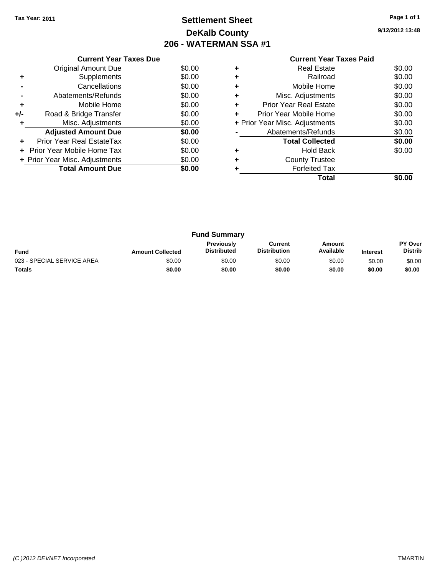# **Settlement Sheet Tax Year: 2011 Page 1 of 1 DeKalb County 206 - WATERMAN SSA #1**

**9/12/2012 13:48**

| <b>Current Year Taxes Paid</b> |  |
|--------------------------------|--|

|     | <b>Current Year Taxes Due</b>  |        |
|-----|--------------------------------|--------|
|     | Original Amount Due            | \$0.00 |
| ٠   | Supplements                    | \$0.00 |
|     | Cancellations                  | \$0.00 |
|     | Abatements/Refunds             | \$0.00 |
| ٠   | Mobile Home                    | \$0.00 |
| +/- | Road & Bridge Transfer         | \$0.00 |
| ÷   | Misc. Adjustments              | \$0.00 |
|     | <b>Adjusted Amount Due</b>     | \$0.00 |
| ٠   | Prior Year Real EstateTax      | \$0.00 |
|     | Prior Year Mobile Home Tax     | \$0.00 |
|     | + Prior Year Misc. Adjustments | \$0.00 |
|     | <b>Total Amount Due</b>        | \$0.00 |
|     |                                |        |

|   | <b>Real Estate</b>             | \$0.00 |
|---|--------------------------------|--------|
| ٠ | Railroad                       | \$0.00 |
| ٠ | Mobile Home                    | \$0.00 |
| ٠ | Misc. Adjustments              | \$0.00 |
| ٠ | <b>Prior Year Real Estate</b>  | \$0.00 |
|   | Prior Year Mobile Home         | \$0.00 |
|   | + Prior Year Misc. Adjustments | \$0.00 |
|   | Abatements/Refunds             | \$0.00 |
|   | <b>Total Collected</b>         | \$0.00 |
| ٠ | <b>Hold Back</b>               | \$0.00 |
|   | <b>County Trustee</b>          |        |
|   | <b>Forfeited Tax</b>           |        |
|   | Total                          |        |

| <b>Fund Summary</b>        |                         |                                         |                                |                     |                 |                                  |
|----------------------------|-------------------------|-----------------------------------------|--------------------------------|---------------------|-----------------|----------------------------------|
| <b>Fund</b>                | <b>Amount Collected</b> | <b>Previously</b><br><b>Distributed</b> | Current<br><b>Distribution</b> | Amount<br>Available | <b>Interest</b> | <b>PY Over</b><br><b>Distrib</b> |
| 023 - SPECIAL SERVICE AREA | \$0.00                  | \$0.00                                  | \$0.00                         | \$0.00              | \$0.00          | \$0.00                           |
| <b>Totals</b>              | \$0.00                  | \$0.00                                  | \$0.00                         | \$0.00              | \$0.00          | \$0.00                           |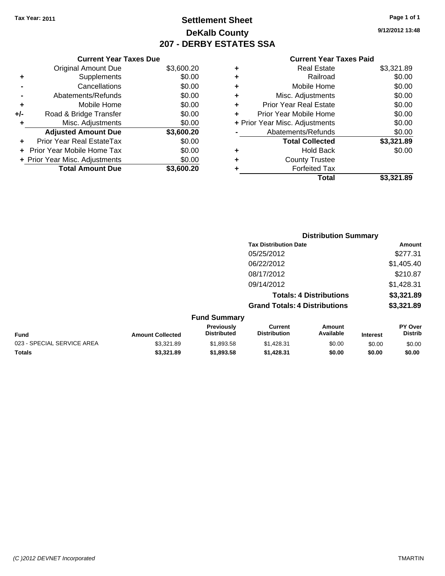# **Settlement Sheet Tax Year: 2011 Page 1 of 1 DeKalb County 207 - DERBY ESTATES SSA**

**9/12/2012 13:48**

#### **Current Year Taxes Paid**

| ٠ | <b>Real Estate</b>             | \$3,321.89 |
|---|--------------------------------|------------|
| ٠ | Railroad                       | \$0.00     |
| ٠ | Mobile Home                    | \$0.00     |
| ٠ | Misc. Adjustments              | \$0.00     |
| ÷ | <b>Prior Year Real Estate</b>  | \$0.00     |
|   | Prior Year Mobile Home         | \$0.00     |
|   | + Prior Year Misc. Adjustments | \$0.00     |
|   | Abatements/Refunds             | \$0.00     |
|   | <b>Total Collected</b>         | \$3,321.89 |
|   | <b>Hold Back</b>               | \$0.00     |
| ٠ | <b>County Trustee</b>          |            |
|   | <b>Forfeited Tax</b>           |            |
|   | Total                          | \$3.321.89 |

|     | <b>Current Year Taxes Due</b>  |            |
|-----|--------------------------------|------------|
|     | <b>Original Amount Due</b>     | \$3,600.20 |
| ٠   | Supplements                    | \$0.00     |
|     | Cancellations                  | \$0.00     |
|     | Abatements/Refunds             | \$0.00     |
| ٠   | Mobile Home                    | \$0.00     |
| +/- | Road & Bridge Transfer         | \$0.00     |
| ٠   | Misc. Adjustments              | \$0.00     |
|     | <b>Adjusted Amount Due</b>     | \$3,600.20 |
|     | Prior Year Real EstateTax      | \$0.00     |
|     | Prior Year Mobile Home Tax     | \$0.00     |
|     | + Prior Year Misc. Adjustments | \$0.00     |
|     | <b>Total Amount Due</b>        | \$3,600.20 |
|     |                                |            |

|                            |                         | <b>Distribution Summary</b>      |                                       |                                |                 |                                  |  |
|----------------------------|-------------------------|----------------------------------|---------------------------------------|--------------------------------|-----------------|----------------------------------|--|
|                            |                         |                                  | <b>Tax Distribution Date</b>          |                                |                 | Amount                           |  |
|                            |                         |                                  | 05/25/2012                            |                                |                 | \$277.31                         |  |
|                            |                         |                                  | 06/22/2012                            |                                |                 | \$1,405.40                       |  |
|                            |                         |                                  | 08/17/2012                            |                                |                 | \$210.87                         |  |
|                            |                         |                                  | 09/14/2012                            |                                |                 | \$1,428.31                       |  |
|                            |                         |                                  |                                       | <b>Totals: 4 Distributions</b> |                 | \$3,321.89                       |  |
|                            |                         |                                  | <b>Grand Totals: 4 Distributions</b>  |                                |                 | \$3,321.89                       |  |
|                            |                         | <b>Fund Summary</b>              |                                       |                                |                 |                                  |  |
| <b>Fund</b>                | <b>Amount Collected</b> | Previously<br><b>Distributed</b> | <b>Current</b><br><b>Distribution</b> | Amount<br>Available            | <b>Interest</b> | <b>PY Over</b><br><b>Distrib</b> |  |
| 023 - SPECIAL SERVICE AREA | \$3,321.89              | \$1,893.58                       | \$1,428.31                            | \$0.00                         | \$0.00          | \$0.00                           |  |

**Totals \$3,321.89 \$1,893.58 \$1,428.31 \$0.00 \$0.00 \$0.00**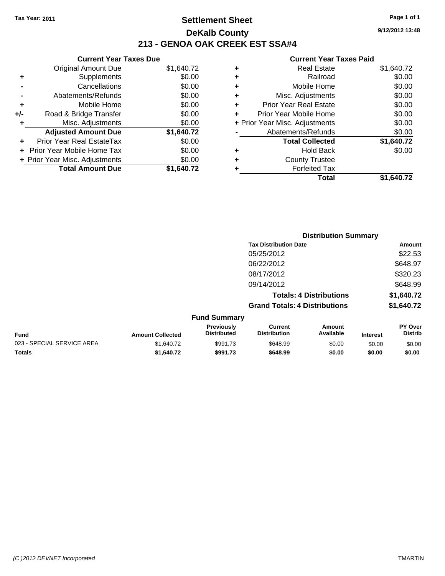## **Settlement Sheet Tax Year: 2011 Page 1 of 1 DeKalb County 213 - GENOA OAK CREEK EST SSA#4**

**Current Year Taxes Due**

|       | <b>Original Amount Due</b>       | \$1,640.72 |
|-------|----------------------------------|------------|
| ٠     | Supplements                      | \$0.00     |
|       | Cancellations                    | \$0.00     |
|       | Abatements/Refunds               | \$0.00     |
| ٠     | Mobile Home                      | \$0.00     |
| $+/-$ | Road & Bridge Transfer           | \$0.00     |
| ٠     | Misc. Adjustments                | \$0.00     |
|       | <b>Adjusted Amount Due</b>       | \$1,640.72 |
|       | <b>Prior Year Real EstateTax</b> | \$0.00     |
|       | Prior Year Mobile Home Tax       | \$0.00     |
|       | + Prior Year Misc. Adjustments   | \$0.00     |
|       | <b>Total Amount Due</b>          | \$1,640.72 |
|       |                                  |            |

#### **Current Year Taxes Paid**

|   | Real Estate                    | \$1,640.72 |
|---|--------------------------------|------------|
| ٠ | Railroad                       | \$0.00     |
| ٠ | Mobile Home                    | \$0.00     |
| ٠ | Misc. Adjustments              | \$0.00     |
| ÷ | <b>Prior Year Real Estate</b>  | \$0.00     |
|   | Prior Year Mobile Home         | \$0.00     |
|   | + Prior Year Misc. Adjustments | \$0.00     |
|   | Abatements/Refunds             | \$0.00     |
|   | <b>Total Collected</b>         | \$1,640.72 |
| ٠ | Hold Back                      | \$0.00     |
| ٠ | <b>County Trustee</b>          |            |
| ٠ | <b>Forfeited Tax</b>           |            |
|   | Total                          | \$1.640.72 |
|   |                                |            |

|                            | <b>Distribution Summary</b> |                                  |                                       |                                |                 |                                  |
|----------------------------|-----------------------------|----------------------------------|---------------------------------------|--------------------------------|-----------------|----------------------------------|
|                            |                             |                                  | <b>Tax Distribution Date</b>          |                                |                 | <b>Amount</b>                    |
|                            |                             |                                  | 05/25/2012                            |                                |                 | \$22.53                          |
|                            |                             |                                  | 06/22/2012                            |                                |                 | \$648.97                         |
|                            |                             |                                  | 08/17/2012                            |                                |                 | \$320.23                         |
|                            |                             |                                  | 09/14/2012                            |                                |                 | \$648.99                         |
|                            |                             |                                  |                                       | <b>Totals: 4 Distributions</b> |                 | \$1,640.72                       |
|                            |                             |                                  | <b>Grand Totals: 4 Distributions</b>  |                                |                 | \$1,640.72                       |
|                            |                             | <b>Fund Summary</b>              |                                       |                                |                 |                                  |
| <b>Fund</b>                | <b>Amount Collected</b>     | Previously<br><b>Distributed</b> | <b>Current</b><br><b>Distribution</b> | Amount<br>Available            | <b>Interest</b> | <b>PY Over</b><br><b>Distrib</b> |
| 023 - SPECIAL SERVICE AREA | \$1,640.72                  | \$991.73                         | \$648.99                              | \$0.00                         | \$0.00          | \$0.00                           |
|                            |                             |                                  |                                       |                                |                 |                                  |

**Totals \$1,640.72 \$991.73 \$648.99 \$0.00 \$0.00 \$0.00**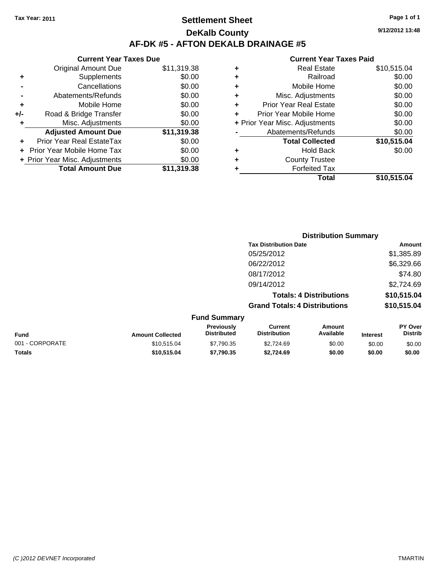**Current Year Taxes Due**

# **Settlement Sheet Tax Year: 2011 Page 1 of 1 DeKalb County AF-DK #5 - AFTON DEKALB DRAINAGE #5**

**9/12/2012 13:48**

#### **Current Year Taxes Paid**

|     |                                |             |   | <b>Total</b>                   | \$10,515.04 |
|-----|--------------------------------|-------------|---|--------------------------------|-------------|
|     | <b>Total Amount Due</b>        | \$11,319.38 |   | <b>Forfeited Tax</b>           |             |
|     | + Prior Year Misc. Adjustments | \$0.00      | ٠ | <b>County Trustee</b>          |             |
|     | + Prior Year Mobile Home Tax   | \$0.00      | ٠ | <b>Hold Back</b>               | \$0.00      |
| ÷.  | Prior Year Real EstateTax      | \$0.00      |   | <b>Total Collected</b>         | \$10,515.04 |
|     | <b>Adjusted Amount Due</b>     | \$11,319.38 |   | Abatements/Refunds             | \$0.00      |
|     | Misc. Adjustments              | \$0.00      |   | + Prior Year Misc. Adjustments | \$0.00      |
| +/- | Road & Bridge Transfer         | \$0.00      | ÷ | Prior Year Mobile Home         | \$0.00      |
| ٠   | Mobile Home                    | \$0.00      | ٠ | <b>Prior Year Real Estate</b>  | \$0.00      |
|     | Abatements/Refunds             | \$0.00      | ٠ | Misc. Adjustments              | \$0.00      |
|     | Cancellations                  | \$0.00      | ٠ | Mobile Home                    | \$0.00      |
| ٠   | Supplements                    | \$0.00      | ٠ | Railroad                       | \$0.00      |
|     | <b>Original Amount Due</b>     | \$11,319.38 | ٠ | <b>Real Estate</b>             | \$10,515.04 |
|     |                                |             |   |                                |             |

|                 |                         |                                  |                                       | <b>Distribution Summary</b>    |                 |                                  |
|-----------------|-------------------------|----------------------------------|---------------------------------------|--------------------------------|-----------------|----------------------------------|
|                 |                         |                                  | <b>Tax Distribution Date</b>          |                                |                 | Amount                           |
|                 |                         |                                  | 05/25/2012                            |                                |                 | \$1,385.89                       |
|                 |                         |                                  | 06/22/2012                            |                                |                 | \$6,329.66                       |
|                 |                         |                                  | 08/17/2012                            |                                |                 | \$74.80                          |
|                 |                         |                                  | 09/14/2012                            |                                |                 | \$2,724.69                       |
|                 |                         |                                  |                                       | <b>Totals: 4 Distributions</b> |                 | \$10,515.04                      |
|                 |                         |                                  | <b>Grand Totals: 4 Distributions</b>  |                                |                 | \$10,515.04                      |
|                 |                         | <b>Fund Summary</b>              |                                       |                                |                 |                                  |
| Fund            | <b>Amount Collected</b> | Previously<br><b>Distributed</b> | <b>Current</b><br><b>Distribution</b> | Amount<br>Available            | <b>Interest</b> | <b>PY Over</b><br><b>Distrib</b> |
| 001 - CORPORATE | \$10,515.04             | \$7,790.35                       | \$2,724.69                            | \$0.00                         | \$0.00          | \$0.00                           |
|                 |                         |                                  |                                       |                                |                 |                                  |

**Totals \$10,515.04 \$7,790.35 \$2,724.69 \$0.00 \$0.00 \$0.00**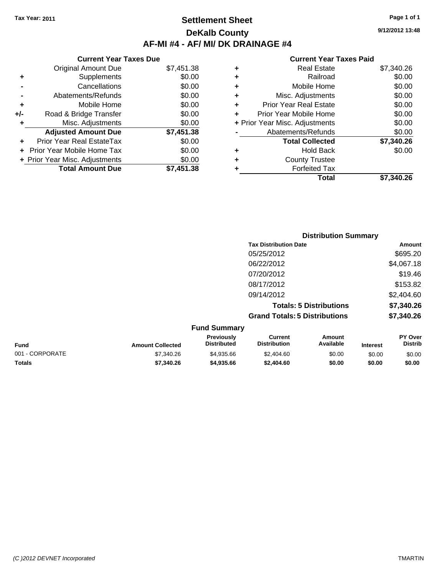### **Settlement Sheet Tax Year: 2011 Page 1 of 1 DeKalb County AF-MI #4 - AF/ MI/ DK DRAINAGE #4**

**9/12/2012 13:48**

| <b>Current Year Taxes Due</b>  |            |  |  |  |  |
|--------------------------------|------------|--|--|--|--|
| <b>Original Amount Due</b>     | \$7,451.38 |  |  |  |  |
| Supplements                    | \$0.00     |  |  |  |  |
| Cancellations                  | \$0.00     |  |  |  |  |
| Abatements/Refunds             | \$0.00     |  |  |  |  |
| Mobile Home                    | \$0.00     |  |  |  |  |
| Road & Bridge Transfer         | \$0.00     |  |  |  |  |
| Misc. Adjustments              | \$0.00     |  |  |  |  |
| <b>Adjusted Amount Due</b>     | \$7,451.38 |  |  |  |  |
| Prior Year Real EstateTax      | \$0.00     |  |  |  |  |
| Prior Year Mobile Home Tax     | \$0.00     |  |  |  |  |
| + Prior Year Misc. Adjustments | \$0.00     |  |  |  |  |
| <b>Total Amount Due</b>        | \$7.451.38 |  |  |  |  |
|                                |            |  |  |  |  |

| \$7,340.26 |
|------------|
| \$0.00     |
| \$0.00     |
| \$0.00     |
| \$0.00     |
| \$0.00     |
| \$0.00     |
| \$0.00     |
| \$7,340.26 |
| \$0.00     |
|            |
|            |
| \$7.340.26 |
|            |

|                     | <b>Distribution Summary</b>          |                                |            |  |
|---------------------|--------------------------------------|--------------------------------|------------|--|
|                     | <b>Tax Distribution Date</b>         |                                | Amount     |  |
|                     | 05/25/2012                           |                                | \$695.20   |  |
|                     | 06/22/2012                           |                                | \$4,067.18 |  |
|                     | 07/20/2012                           |                                | \$19.46    |  |
|                     | 08/17/2012                           |                                | \$153.82   |  |
|                     | 09/14/2012                           |                                | \$2,404.60 |  |
|                     |                                      | <b>Totals: 5 Distributions</b> | \$7,340.26 |  |
|                     | <b>Grand Totals: 5 Distributions</b> |                                | \$7,340.26 |  |
| <b>Fund Summary</b> |                                      |                                |            |  |
| Previously          | <b>Current</b><br>.                  | Amount<br>.                    | PY Over    |  |

| <b>Fund</b>     | <b>Amount Collected</b> | <b>Previously</b><br><b>Distributed</b> | Current<br><b>Distribution</b> | Amount<br>Available | <b>Interest</b> | <b>PY Over</b><br><b>Distrib</b> |
|-----------------|-------------------------|-----------------------------------------|--------------------------------|---------------------|-----------------|----------------------------------|
| 001 - CORPORATE | \$7,340.26              | \$4,935.66                              | \$2.404.60                     | \$0.00              | \$0.00          | \$0.00                           |
| Totals          | \$7,340.26              | \$4,935,66                              | \$2,404.60                     | \$0.00              | \$0.00          | \$0.00                           |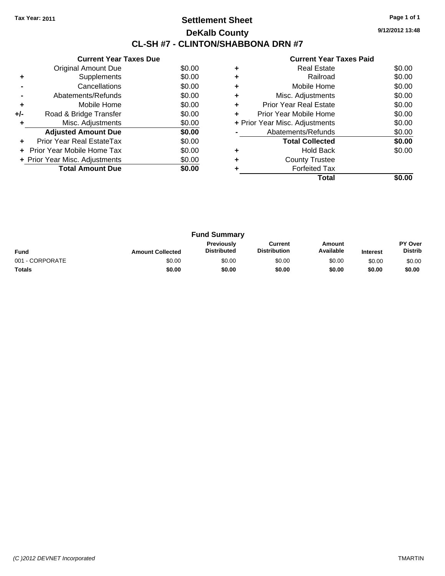# **Settlement Sheet Tax Year: 2011 Page 1 of 1 DeKalb County CL-SH #7 - CLINTON/SHABBONA DRN #7**

**9/12/2012 13:48**

|     | <b>Current Year Taxes Due</b>     |        |
|-----|-----------------------------------|--------|
|     | Original Amount Due               | \$0.00 |
|     | Supplements                       | \$0.00 |
|     | Cancellations                     | \$0.00 |
|     | Abatements/Refunds                | \$0.00 |
| ٠   | Mobile Home                       | \$0.00 |
| +/- | Road & Bridge Transfer            | \$0.00 |
|     | Misc. Adjustments                 | \$0.00 |
|     | <b>Adjusted Amount Due</b>        | \$0.00 |
|     | Prior Year Real EstateTax         | \$0.00 |
|     | <b>Prior Year Mobile Home Tax</b> | \$0.00 |
|     | + Prior Year Misc. Adjustments    | \$0.00 |
|     | <b>Total Amount Due</b>           | \$0.00 |
|     |                                   |        |

|   | Total                          |        |
|---|--------------------------------|--------|
|   | <b>Forfeited Tax</b>           |        |
|   | <b>County Trustee</b>          |        |
|   | <b>Hold Back</b>               | \$0.00 |
|   | <b>Total Collected</b>         | \$0.00 |
|   | Abatements/Refunds             | \$0.00 |
|   | + Prior Year Misc. Adjustments | \$0.00 |
| ٠ | Prior Year Mobile Home         | \$0.00 |
| ٠ | <b>Prior Year Real Estate</b>  | \$0.00 |
|   | Misc. Adjustments              | \$0.00 |
|   | Mobile Home                    | \$0.00 |
|   | Railroad                       | \$0.00 |
|   | <b>Real Estate</b>             | \$0.00 |
|   |                                |        |

| <b>Fund Summary</b> |                         |                                  |                                |                     |                 |                                  |
|---------------------|-------------------------|----------------------------------|--------------------------------|---------------------|-----------------|----------------------------------|
| <b>Fund</b>         | <b>Amount Collected</b> | Previously<br><b>Distributed</b> | Current<br><b>Distribution</b> | Amount<br>Available | <b>Interest</b> | <b>PY Over</b><br><b>Distrib</b> |
| 001 - CORPORATE     | \$0.00                  | \$0.00                           | \$0.00                         | \$0.00              | \$0.00          | \$0.00                           |
| <b>Totals</b>       | \$0.00                  | \$0.00                           | \$0.00                         | \$0.00              | \$0.00          | \$0.00                           |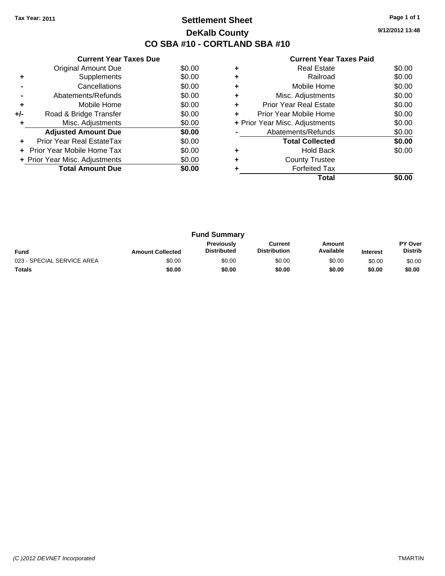# **Settlement Sheet Tax Year: 2011 Page 1 of 1 DeKalb County CO SBA #10 - CORTLAND SBA #10**

**9/12/2012 13:48**

|  | <b>Current Year Taxes Paid</b> |  |  |  |
|--|--------------------------------|--|--|--|
|--|--------------------------------|--|--|--|

|     | <b>Current Year Taxes Due</b>  |        |
|-----|--------------------------------|--------|
|     | Original Amount Due            | \$0.00 |
| ٠   | Supplements                    | \$0.00 |
|     | Cancellations                  | \$0.00 |
|     | Abatements/Refunds             | \$0.00 |
| ٠   | Mobile Home                    | \$0.00 |
| +/- | Road & Bridge Transfer         | \$0.00 |
|     | Misc. Adjustments              | \$0.00 |
|     | <b>Adjusted Amount Due</b>     | \$0.00 |
|     | Prior Year Real EstateTax      | \$0.00 |
|     | Prior Year Mobile Home Tax     | \$0.00 |
|     | + Prior Year Misc. Adjustments | \$0.00 |
|     | <b>Total Amount Due</b>        | \$0.00 |
|     |                                |        |

| ٠ | <b>Real Estate</b>             | \$0.00 |
|---|--------------------------------|--------|
| ٠ | Railroad                       | \$0.00 |
| ٠ | Mobile Home                    | \$0.00 |
| ٠ | Misc. Adjustments              | \$0.00 |
| ٠ | <b>Prior Year Real Estate</b>  | \$0.00 |
| ÷ | Prior Year Mobile Home         | \$0.00 |
|   | + Prior Year Misc. Adjustments | \$0.00 |
|   | Abatements/Refunds             | \$0.00 |
|   | <b>Total Collected</b>         | \$0.00 |
| ٠ | <b>Hold Back</b>               | \$0.00 |
| ٠ | <b>County Trustee</b>          |        |
|   | <b>Forfeited Tax</b>           |        |
|   | Total                          |        |

| <b>Fund Summary</b>        |                         |                                         |                                |                     |                 |                           |
|----------------------------|-------------------------|-----------------------------------------|--------------------------------|---------------------|-----------------|---------------------------|
| <b>Fund</b>                | <b>Amount Collected</b> | <b>Previously</b><br><b>Distributed</b> | Current<br><b>Distribution</b> | Amount<br>Available | <b>Interest</b> | PY Over<br><b>Distrib</b> |
| 023 - SPECIAL SERVICE AREA | \$0.00                  | \$0.00                                  | \$0.00                         | \$0.00              | \$0.00          | \$0.00                    |
| <b>Totals</b>              | \$0.00                  | \$0.00                                  | \$0.00                         | \$0.00              | \$0.00          | \$0.00                    |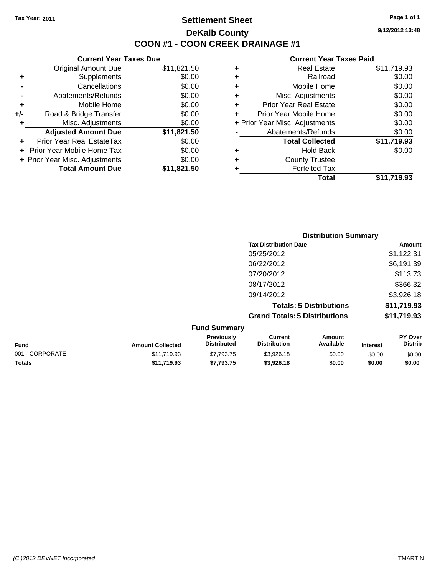# **Settlement Sheet Tax Year: 2011 Page 1 of 1 DeKalb County COON #1 - COON CREEK DRAINAGE #1**

**9/12/2012 13:48**

|     | <b>Current Year Taxes Due</b>     |             |
|-----|-----------------------------------|-------------|
|     | <b>Original Amount Due</b>        | \$11,821.50 |
| ٠   | Supplements                       | \$0.00      |
|     | Cancellations                     | \$0.00      |
|     | Abatements/Refunds                | \$0.00      |
| ٠   | Mobile Home                       | \$0.00      |
| +/- | Road & Bridge Transfer            | \$0.00      |
| ٠   | Misc. Adjustments                 | \$0.00      |
|     | <b>Adjusted Amount Due</b>        | \$11,821.50 |
|     | Prior Year Real EstateTax         | \$0.00      |
|     | <b>Prior Year Mobile Home Tax</b> | \$0.00      |
|     | + Prior Year Misc. Adjustments    | \$0.00      |
|     | <b>Total Amount Due</b>           | \$11,821.50 |
|     |                                   |             |

|   | <b>Real Estate</b>             | \$11,719.93 |
|---|--------------------------------|-------------|
| ٠ | Railroad                       | \$0.00      |
| ٠ | Mobile Home                    | \$0.00      |
| ٠ | Misc. Adjustments              | \$0.00      |
| ÷ | <b>Prior Year Real Estate</b>  | \$0.00      |
| ٠ | Prior Year Mobile Home         | \$0.00      |
|   | + Prior Year Misc. Adjustments | \$0.00      |
|   | Abatements/Refunds             | \$0.00      |
|   | <b>Total Collected</b>         | \$11,719.93 |
| ٠ | Hold Back                      | \$0.00      |
| ٠ | <b>County Trustee</b>          |             |
| ٠ | <b>Forfeited Tax</b>           |             |
|   | Total                          | \$11,719.93 |
|   |                                |             |

|                     | <b>Distribution Summary</b>          |             |  |  |
|---------------------|--------------------------------------|-------------|--|--|
|                     | <b>Tax Distribution Date</b>         | Amount      |  |  |
|                     | 05/25/2012                           | \$1,122.31  |  |  |
|                     | 06/22/2012                           | \$6,191.39  |  |  |
|                     | 07/20/2012                           | \$113.73    |  |  |
|                     | 08/17/2012                           | \$366.32    |  |  |
|                     | 09/14/2012                           | \$3,926.18  |  |  |
|                     | <b>Totals: 5 Distributions</b>       | \$11,719.93 |  |  |
|                     | <b>Grand Totals: 5 Distributions</b> | \$11,719.93 |  |  |
| <b>Fund Summary</b> |                                      |             |  |  |

| <b>Amount Collected</b> | <b>Previously</b><br><b>Distributed</b> | Current<br><b>Distribution</b> | Amount<br>Available | <b>Interest</b> | <b>PY Over</b><br><b>Distrib</b> |
|-------------------------|-----------------------------------------|--------------------------------|---------------------|-----------------|----------------------------------|
| \$11.719.93             | \$7.793.75                              | \$3,926.18                     | \$0.00              | \$0.00          | \$0.00                           |
| \$11.719.93             | \$7,793.75                              | \$3,926,18                     | \$0.00              | \$0.00          | \$0.00                           |
|                         |                                         |                                |                     |                 |                                  |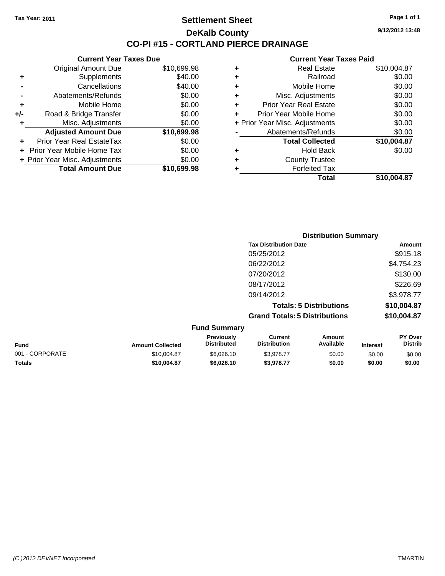**Current Year Taxes Due** Original Amount Due \$10,699.98

**Adjusted Amount Due \$10,699.98**

**Total Amount Due \$10,699.98**

**+** Supplements \$40.00 **-** Cancellations \$40.00 **-** Abatements/Refunds \$0.00 **+** Mobile Home \$0.00 **+/-** Road & Bridge Transfer \$0.00 **+** Misc. Adjustments \$0.00

**+** Prior Year Real EstateTax \$0.00 **+** Prior Year Mobile Home Tax \$0.00 **+ Prior Year Misc. Adjustments**  $$0.00$ 

### **Settlement Sheet Tax Year: 2011 Page 1 of 1 DeKalb County CO-PI #15 - CORTLAND PIERCE DRAINAGE**

**9/12/2012 13:48**

#### **Current Year Taxes Paid**

| ٠ | <b>Real Estate</b>             | \$10,004.87 |
|---|--------------------------------|-------------|
| ٠ | Railroad                       | \$0.00      |
| ٠ | Mobile Home                    | \$0.00      |
| ٠ | Misc. Adjustments              | \$0.00      |
| ٠ | <b>Prior Year Real Estate</b>  | \$0.00      |
| ÷ | Prior Year Mobile Home         | \$0.00      |
|   | + Prior Year Misc. Adjustments | \$0.00      |
|   | Abatements/Refunds             | \$0.00      |
|   | <b>Total Collected</b>         | \$10,004.87 |
| ٠ | <b>Hold Back</b>               | \$0.00      |
| ٠ | <b>County Trustee</b>          |             |
|   | <b>Forfeited Tax</b>           |             |
|   | Total                          | \$10.004.87 |

|                 |                         |                                  |                                       | <b>Distribution Summary</b>    |                 |                           |
|-----------------|-------------------------|----------------------------------|---------------------------------------|--------------------------------|-----------------|---------------------------|
|                 |                         |                                  | <b>Tax Distribution Date</b>          |                                |                 | Amount                    |
|                 |                         |                                  | 05/25/2012                            |                                |                 | \$915.18                  |
|                 |                         |                                  | 06/22/2012                            |                                |                 | \$4,754.23                |
|                 |                         |                                  | 07/20/2012                            |                                |                 | \$130.00                  |
|                 |                         |                                  | 08/17/2012                            |                                |                 | \$226.69                  |
|                 |                         |                                  | 09/14/2012                            |                                |                 | \$3,978.77                |
|                 |                         |                                  |                                       | <b>Totals: 5 Distributions</b> |                 | \$10,004.87               |
|                 |                         |                                  | <b>Grand Totals: 5 Distributions</b>  |                                |                 | \$10,004.87               |
|                 |                         | <b>Fund Summary</b>              |                                       |                                |                 |                           |
| <b>Fund</b>     | <b>Amount Collected</b> | Previously<br><b>Distributed</b> | <b>Current</b><br><b>Distribution</b> | <b>Amount</b><br>Available     | <b>Interest</b> | PY Over<br><b>Distrib</b> |
| 001 - CORPORATE | \$10,004.87             | \$6,026.10                       | \$3,978.77                            | \$0.00                         | \$0.00          | \$0.00                    |

**Totals \$10,004.87 \$6,026.10 \$3,978.77 \$0.00 \$0.00 \$0.00**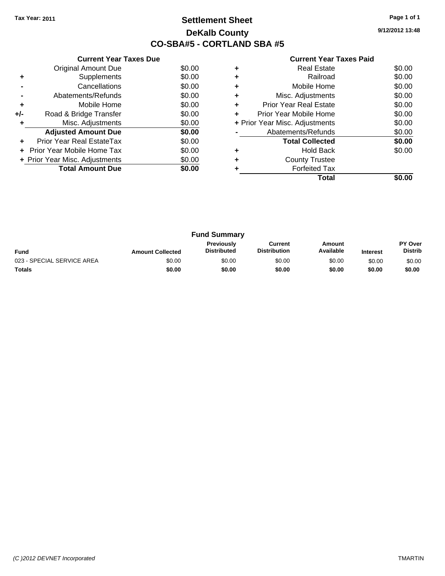# **Settlement Sheet Tax Year: 2011 Page 1 of 1 DeKalb County CO-SBA#5 - CORTLAND SBA #5**

**9/12/2012 13:48**

| <b>Current Year Taxes Paid</b> |  |  |  |  |
|--------------------------------|--|--|--|--|
|--------------------------------|--|--|--|--|

|     | <b>Current Year Taxes Due</b>  |        |
|-----|--------------------------------|--------|
|     | Original Amount Due            | \$0.00 |
| ٠   | Supplements                    | \$0.00 |
|     | Cancellations                  | \$0.00 |
|     | Abatements/Refunds             | \$0.00 |
| ٠   | Mobile Home                    | \$0.00 |
| +/- | Road & Bridge Transfer         | \$0.00 |
| ÷   | Misc. Adjustments              | \$0.00 |
|     | <b>Adjusted Amount Due</b>     | \$0.00 |
| ٠   | Prior Year Real EstateTax      | \$0.00 |
|     | Prior Year Mobile Home Tax     | \$0.00 |
|     | + Prior Year Misc. Adjustments | \$0.00 |
|     | <b>Total Amount Due</b>        | \$0.00 |
|     |                                |        |

|   | <b>Real Estate</b>             | \$0.00 |
|---|--------------------------------|--------|
|   | Railroad                       | \$0.00 |
| ٠ | Mobile Home                    | \$0.00 |
| ٠ | Misc. Adjustments              | \$0.00 |
| ÷ | <b>Prior Year Real Estate</b>  | \$0.00 |
| ÷ | Prior Year Mobile Home         | \$0.00 |
|   | + Prior Year Misc. Adjustments | \$0.00 |
|   | Abatements/Refunds             | \$0.00 |
|   | <b>Total Collected</b>         | \$0.00 |
|   | Hold Back                      | \$0.00 |
|   | <b>County Trustee</b>          |        |
|   | <b>Forfeited Tax</b>           |        |
|   | Total                          |        |

|                            |                         | <b>Fund Summary</b>                     |                                |                     |                 |                                  |
|----------------------------|-------------------------|-----------------------------------------|--------------------------------|---------------------|-----------------|----------------------------------|
| <b>Fund</b>                | <b>Amount Collected</b> | <b>Previously</b><br><b>Distributed</b> | Current<br><b>Distribution</b> | Amount<br>Available | <b>Interest</b> | <b>PY Over</b><br><b>Distrib</b> |
| 023 - SPECIAL SERVICE AREA | \$0.00                  | \$0.00                                  | \$0.00                         | \$0.00              | \$0.00          | \$0.00                           |
| <b>Totals</b>              | \$0.00                  | \$0.00                                  | \$0.00                         | \$0.00              | \$0.00          | \$0.00                           |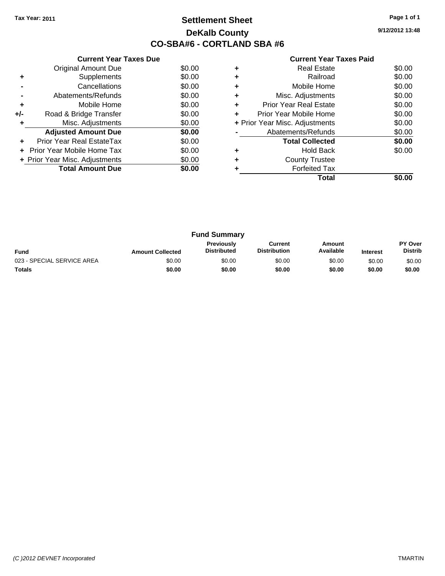# **Settlement Sheet Tax Year: 2011 Page 1 of 1 DeKalb County CO-SBA#6 - CORTLAND SBA #6**

**9/12/2012 13:48**

|     | <b>Current Year Taxes Due</b>     |        |
|-----|-----------------------------------|--------|
|     | Original Amount Due               | \$0.00 |
| ÷   | Supplements                       | \$0.00 |
|     | Cancellations                     | \$0.00 |
|     | Abatements/Refunds                | \$0.00 |
| ٠   | Mobile Home                       | \$0.00 |
| +/- | Road & Bridge Transfer            | \$0.00 |
| ÷   | Misc. Adjustments                 | \$0.00 |
|     | <b>Adjusted Amount Due</b>        | \$0.00 |
| ٠   | Prior Year Real EstateTax         | \$0.00 |
|     | <b>Prior Year Mobile Home Tax</b> | \$0.00 |
|     | + Prior Year Misc. Adjustments    | \$0.00 |
|     | <b>Total Amount Due</b>           | \$0.00 |
|     |                                   |        |

|   | <b>Real Estate</b>             | \$0.00 |
|---|--------------------------------|--------|
| ٠ | Railroad                       | \$0.00 |
| ٠ | Mobile Home                    | \$0.00 |
| ٠ | Misc. Adjustments              | \$0.00 |
| ٠ | <b>Prior Year Real Estate</b>  | \$0.00 |
| ٠ | Prior Year Mobile Home         | \$0.00 |
|   | + Prior Year Misc. Adjustments | \$0.00 |
|   | Abatements/Refunds             | \$0.00 |
|   | <b>Total Collected</b>         | \$0.00 |
|   | <b>Hold Back</b>               | \$0.00 |
| ٠ | <b>County Trustee</b>          |        |
|   | <b>Forfeited Tax</b>           |        |
|   | Total                          |        |

|                            |                         | <b>Fund Summary</b>                     |                                |                     |                 |                                  |
|----------------------------|-------------------------|-----------------------------------------|--------------------------------|---------------------|-----------------|----------------------------------|
| <b>Fund</b>                | <b>Amount Collected</b> | <b>Previously</b><br><b>Distributed</b> | Current<br><b>Distribution</b> | Amount<br>Available | <b>Interest</b> | <b>PY Over</b><br><b>Distrib</b> |
| 023 - SPECIAL SERVICE AREA | \$0.00                  | \$0.00                                  | \$0.00                         | \$0.00              | \$0.00          | \$0.00                           |
| <b>Totals</b>              | \$0.00                  | \$0.00                                  | \$0.00                         | \$0.00              | \$0.00          | \$0.00                           |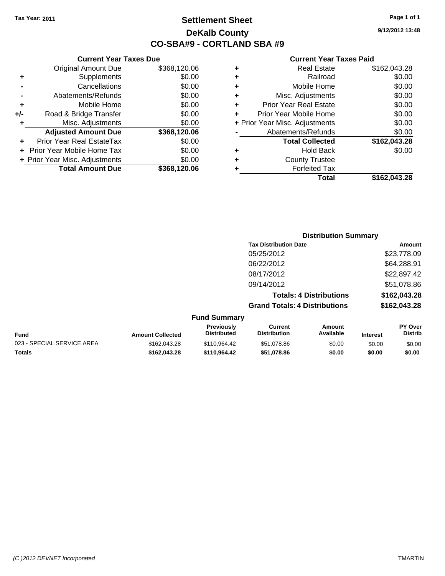**Current Year Taxes Due** Original Amount Due \$368,120.06

**Adjusted Amount Due \$368,120.06**

**+** Supplements \$0.00<br> **c** Cancellations \$0.00

**-** Abatements/Refunds \$0.00 **+** Mobile Home \$0.00 **+/-** Road & Bridge Transfer \$0.00 **+** Misc. Adjustments \$0.00

**+** Prior Year Real EstateTax \$0.00 **+** Prior Year Mobile Home Tax \$0.00

**-** Cancellations

# **Settlement Sheet Tax Year: 2011 Page 1 of 1 DeKalb County CO-SBA#9 - CORTLAND SBA #9**

**9/12/2012 13:48**

#### **Current Year Taxes Paid**

| ٠ | <b>Real Estate</b>             | \$162,043.28 |
|---|--------------------------------|--------------|
| ٠ | Railroad                       | \$0.00       |
| ٠ | Mobile Home                    | \$0.00       |
| ÷ | Misc. Adjustments              | \$0.00       |
| ٠ | <b>Prior Year Real Estate</b>  | \$0.00       |
| ÷ | Prior Year Mobile Home         | \$0.00       |
|   | + Prior Year Misc. Adjustments | \$0.00       |
|   | Abatements/Refunds             | \$0.00       |
|   | <b>Total Collected</b>         | \$162,043.28 |
| ٠ | <b>Hold Back</b>               | \$0.00       |
| ٠ | <b>County Trustee</b>          |              |
| ٠ | <b>Forfeited Tax</b>           |              |
|   | Total                          | \$162.043.28 |

**Grand Totals: 4 Distributions \$162,043.28**

| + Prior Year Misc. Adjustments | \$0.00       | ٠ | <b>County Trustee</b>          |              |
|--------------------------------|--------------|---|--------------------------------|--------------|
| <b>Total Amount Due</b>        | \$368,120.06 | ٠ | <b>Forfeited Tax</b>           |              |
|                                |              |   | <b>Total</b>                   | \$162,043.28 |
|                                |              |   |                                |              |
|                                |              |   | <b>Distribution Summary</b>    |              |
|                                |              |   | <b>Tax Distribution Date</b>   | Amount       |
|                                |              |   | 05/25/2012                     | \$23,778.09  |
|                                |              |   | 06/22/2012                     | \$64,288.91  |
|                                |              |   | 08/17/2012                     | \$22,897.42  |
|                                |              |   | 09/14/2012                     | \$51,078.86  |
|                                |              |   | <b>Totals: 4 Distributions</b> | \$162,043.28 |

| <b>Fund Summary</b>        |                         |                                         |                                |                     |                 |                                  |
|----------------------------|-------------------------|-----------------------------------------|--------------------------------|---------------------|-----------------|----------------------------------|
| Fund                       | <b>Amount Collected</b> | <b>Previously</b><br><b>Distributed</b> | Current<br><b>Distribution</b> | Amount<br>Available | <b>Interest</b> | <b>PY Over</b><br><b>Distrib</b> |
| 023 - SPECIAL SERVICE AREA | \$162,043.28            | \$110.964.42                            | \$51.078.86                    | \$0.00              | \$0.00          | \$0.00                           |
| Totals                     | \$162.043.28            | \$110.964.42                            | \$51,078.86                    | \$0.00              | \$0.00          | \$0.00                           |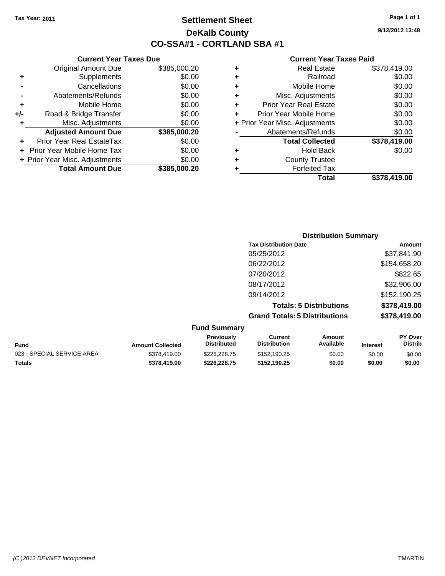**Current Year Taxes Due** Original Amount Due \$385,000.20

**Frankling Road & Bridge Transfer \$0.00** 

**Adjusted Amount Due \$385,000.20**

**Total Amount Due \$385,000.20**

**+** Supplements \$0.00 **-** Cancellations \$0.00 **-** Abatements/Refunds \$0.00 **+** Mobile Home \$0.00<br>**+/-** Road & Bridge Transfer \$0.00

**+** Misc. Adjustments \$0.00

**+** Prior Year Real EstateTax \$0.00 **+** Prior Year Mobile Home Tax \$0.00 **+ Prior Year Misc. Adjustments**  $$0.00$ 

# **Settlement Sheet Tax Year: 2011 Page 1 of 1 DeKalb County CO-SSA#1 - CORTLAND SBA #1**

**9/12/2012 13:48**

|   | Total                          | \$378,419.00 |
|---|--------------------------------|--------------|
| ٠ | <b>Forfeited Tax</b>           |              |
| ٠ | <b>County Trustee</b>          |              |
| ٠ | <b>Hold Back</b>               | \$0.00       |
|   | <b>Total Collected</b>         | \$378,419.00 |
|   | Abatements/Refunds             | \$0.00       |
|   | + Prior Year Misc. Adjustments | \$0.00       |
| ÷ | Prior Year Mobile Home         | \$0.00       |
| ÷ | <b>Prior Year Real Estate</b>  | \$0.00       |
| ÷ | Misc. Adjustments              | \$0.00       |
| ٠ | Mobile Home                    | \$0.00       |
| ٠ | Railroad                       | \$0.00       |
| ٠ | <b>Real Estate</b>             | \$378,419.00 |

|                  |                           |                                      | <b>Distribution Summary</b>    |         |                           |
|------------------|---------------------------|--------------------------------------|--------------------------------|---------|---------------------------|
|                  |                           | <b>Tax Distribution Date</b>         |                                |         | Amount                    |
|                  |                           | 05/25/2012                           |                                |         | \$37,841.90               |
|                  |                           | 06/22/2012                           |                                |         | \$154,658.20              |
|                  |                           | 07/20/2012                           |                                |         | \$822.65                  |
|                  |                           | 08/17/2012                           |                                |         | \$32,906.00               |
|                  |                           | 09/14/2012                           |                                |         | \$152,190.25              |
|                  |                           |                                      | <b>Totals: 5 Distributions</b> |         | \$378,419.00              |
|                  |                           | <b>Grand Totals: 5 Distributions</b> |                                |         | \$378,419.00              |
|                  | <b>Fund Summary</b>       |                                      |                                |         |                           |
| Amount Colloctod | Previously<br>Distributed | Current<br><b>Distribution</b>       | Amount<br>Available            | Intract | PY Over<br><b>Distrib</b> |

| <b>Fund</b>                | <b>Amount Collected</b> | Previously<br>Distributed | Current<br><b>Distribution</b> | Amount<br>Available | <b>Interest</b> | PΥ<br>Over<br>Distrib |
|----------------------------|-------------------------|---------------------------|--------------------------------|---------------------|-----------------|-----------------------|
| 023 - SPECIAL SERVICE AREA | \$378,419.00            | \$226,228.75              | \$152,190.25                   | \$0.00              | \$0.00          | \$0.00                |
| <b>Totals</b>              | \$378,419.00            | \$226,228.75              | \$152.190.25                   | \$0.00              | \$0.00          | \$0.00                |

| (C) 2012 DEVNET Incorporated | <b>TMARTIN</b> |
|------------------------------|----------------|
|------------------------------|----------------|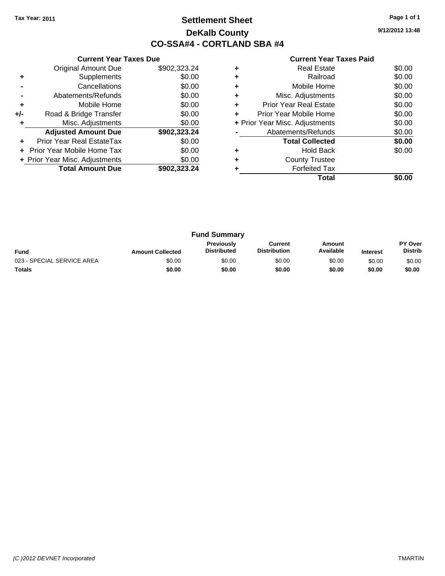# **Settlement Sheet Tax Year: 2011 Page 1 of 1 DeKalb County CO-SSA#4 - CORTLAND SBA #4**

**9/12/2012 13:48**

|     | <b>Current Year Taxes Due</b>  |              |  |  |  |
|-----|--------------------------------|--------------|--|--|--|
|     | <b>Original Amount Due</b>     | \$902,323.24 |  |  |  |
| ٠   | Supplements                    | \$0.00       |  |  |  |
|     | Cancellations                  | \$0.00       |  |  |  |
|     | Abatements/Refunds             | \$0.00       |  |  |  |
| ٠   | Mobile Home                    | \$0.00       |  |  |  |
| +/- | Road & Bridge Transfer         | \$0.00       |  |  |  |
| ٠   | Misc. Adjustments              | \$0.00       |  |  |  |
|     | <b>Adjusted Amount Due</b>     | \$902,323.24 |  |  |  |
| ٠   | Prior Year Real EstateTax      | \$0.00       |  |  |  |
|     | Prior Year Mobile Home Tax     | \$0.00       |  |  |  |
|     | + Prior Year Misc. Adjustments | \$0.00       |  |  |  |
|     | <b>Total Amount Due</b>        | \$902.323.24 |  |  |  |
|     |                                |              |  |  |  |

|   | Total                          |        |
|---|--------------------------------|--------|
|   | <b>Forfeited Tax</b>           |        |
| ٠ | <b>County Trustee</b>          |        |
|   | <b>Hold Back</b>               | \$0.00 |
|   | <b>Total Collected</b>         | \$0.00 |
|   | Abatements/Refunds             | \$0.00 |
|   | + Prior Year Misc. Adjustments | \$0.00 |
| ÷ | Prior Year Mobile Home         | \$0.00 |
| ٠ | <b>Prior Year Real Estate</b>  | \$0.00 |
| ٠ | Misc. Adjustments              | \$0.00 |
| ٠ | Mobile Home                    | \$0.00 |
|   | Railroad                       | \$0.00 |
| ٠ | <b>Real Estate</b>             | \$0.00 |

| <b>Fund Summary</b>        |                         |                                  |                                |                     |                 |                                  |
|----------------------------|-------------------------|----------------------------------|--------------------------------|---------------------|-----------------|----------------------------------|
| <b>Fund</b>                | <b>Amount Collected</b> | Previously<br><b>Distributed</b> | Current<br><b>Distribution</b> | Amount<br>Available | <b>Interest</b> | <b>PY Over</b><br><b>Distrib</b> |
| 023 - SPECIAL SERVICE AREA | \$0.00                  | \$0.00                           | \$0.00                         | \$0.00              | \$0.00          | \$0.00                           |
| <b>Totals</b>              | \$0.00                  | \$0.00                           | \$0.00                         | \$0.00              | \$0.00          | \$0.00                           |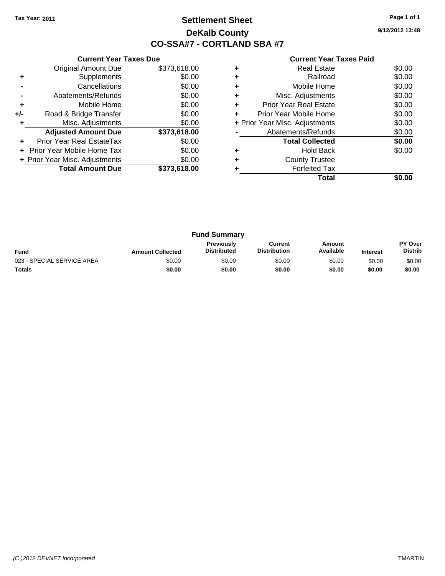# **Settlement Sheet Tax Year: 2011 Page 1 of 1 DeKalb County CO-SSA#7 - CORTLAND SBA #7**

**9/12/2012 13:48**

|     | <b>Current Year Taxes Due</b>  |              |  |  |  |
|-----|--------------------------------|--------------|--|--|--|
|     | <b>Original Amount Due</b>     | \$373,618.00 |  |  |  |
| ٠   | Supplements                    | \$0.00       |  |  |  |
|     | Cancellations                  | \$0.00       |  |  |  |
|     | Abatements/Refunds             | \$0.00       |  |  |  |
| ٠   | Mobile Home                    | \$0.00       |  |  |  |
| +/- | Road & Bridge Transfer         | \$0.00       |  |  |  |
|     | Misc. Adjustments              | \$0.00       |  |  |  |
|     | <b>Adjusted Amount Due</b>     | \$373,618.00 |  |  |  |
|     | Prior Year Real EstateTax      | \$0.00       |  |  |  |
|     | Prior Year Mobile Home Tax     | \$0.00       |  |  |  |
|     | + Prior Year Misc. Adjustments | \$0.00       |  |  |  |
|     | <b>Total Amount Due</b>        | \$373,618.00 |  |  |  |
|     |                                |              |  |  |  |

|   | <b>Real Estate</b>             | \$0.00 |
|---|--------------------------------|--------|
| ٠ | Railroad                       | \$0.00 |
| ٠ | Mobile Home                    | \$0.00 |
| ٠ | Misc. Adjustments              | \$0.00 |
| ٠ | <b>Prior Year Real Estate</b>  | \$0.00 |
| ٠ | Prior Year Mobile Home         | \$0.00 |
|   | + Prior Year Misc. Adjustments | \$0.00 |
|   | Abatements/Refunds             | \$0.00 |
|   | <b>Total Collected</b>         | \$0.00 |
|   | <b>Hold Back</b>               | \$0.00 |
| ٠ | <b>County Trustee</b>          |        |
|   | <b>Forfeited Tax</b>           |        |
|   | Total                          |        |

| <b>Fund Summary</b>        |                         |                                         |                                |                     |                 |                                  |
|----------------------------|-------------------------|-----------------------------------------|--------------------------------|---------------------|-----------------|----------------------------------|
| <b>Fund</b>                | <b>Amount Collected</b> | <b>Previously</b><br><b>Distributed</b> | Current<br><b>Distribution</b> | Amount<br>Available | <b>Interest</b> | <b>PY Over</b><br><b>Distrib</b> |
| 023 - SPECIAL SERVICE AREA | \$0.00                  | \$0.00                                  | \$0.00                         | \$0.00              | \$0.00          | \$0.00                           |
| <b>Totals</b>              | \$0.00                  | \$0.00                                  | \$0.00                         | \$0.00              | \$0.00          | \$0.00                           |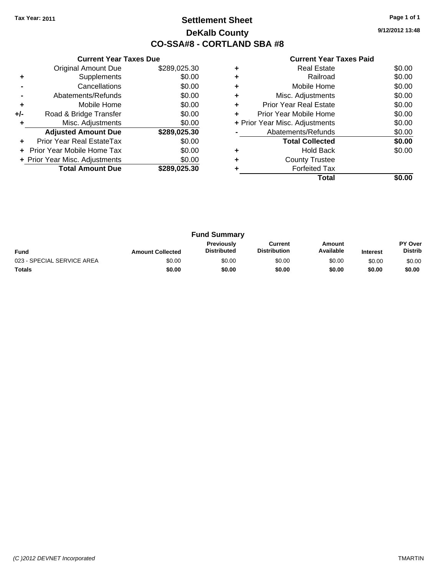# **Settlement Sheet Tax Year: 2011 Page 1 of 1 DeKalb County CO-SSA#8 - CORTLAND SBA #8**

**9/12/2012 13:48**

|     | <b>Current Year Taxes Due</b>  |              |  |  |  |
|-----|--------------------------------|--------------|--|--|--|
|     | <b>Original Amount Due</b>     | \$289,025.30 |  |  |  |
| ٠   | Supplements                    | \$0.00       |  |  |  |
|     | Cancellations                  | \$0.00       |  |  |  |
|     | Abatements/Refunds             | \$0.00       |  |  |  |
| ٠   | Mobile Home                    | \$0.00       |  |  |  |
| +/- | Road & Bridge Transfer         | \$0.00       |  |  |  |
|     | Misc. Adjustments              | \$0.00       |  |  |  |
|     | <b>Adjusted Amount Due</b>     | \$289,025.30 |  |  |  |
|     | Prior Year Real EstateTax      | \$0.00       |  |  |  |
|     | Prior Year Mobile Home Tax     | \$0.00       |  |  |  |
|     | + Prior Year Misc. Adjustments | \$0.00       |  |  |  |
|     | <b>Total Amount Due</b>        | \$289,025.30 |  |  |  |
|     |                                |              |  |  |  |

|   | <b>Real Estate</b>             | \$0.00 |
|---|--------------------------------|--------|
|   | Railroad                       | \$0.00 |
| ٠ | Mobile Home                    | \$0.00 |
|   | Misc. Adjustments              | \$0.00 |
| ÷ | <b>Prior Year Real Estate</b>  | \$0.00 |
| ÷ | Prior Year Mobile Home         | \$0.00 |
|   | + Prior Year Misc. Adjustments | \$0.00 |
|   | Abatements/Refunds             | \$0.00 |
|   | <b>Total Collected</b>         | \$0.00 |
|   | <b>Hold Back</b>               | \$0.00 |
|   | <b>County Trustee</b>          |        |
|   | <b>Forfeited Tax</b>           |        |
|   | Total                          |        |

| <b>Fund Summary</b>        |                         |                                  |                                |                     |                 |                                  |
|----------------------------|-------------------------|----------------------------------|--------------------------------|---------------------|-----------------|----------------------------------|
| <b>Fund</b>                | <b>Amount Collected</b> | Previously<br><b>Distributed</b> | Current<br><b>Distribution</b> | Amount<br>Available | <b>Interest</b> | <b>PY Over</b><br><b>Distrib</b> |
| 023 - SPECIAL SERVICE AREA | \$0.00                  | \$0.00                           | \$0.00                         | \$0.00              | \$0.00          | \$0.00                           |
| <b>Totals</b>              | \$0.00                  | \$0.00                           | \$0.00                         | \$0.00              | \$0.00          | \$0.00                           |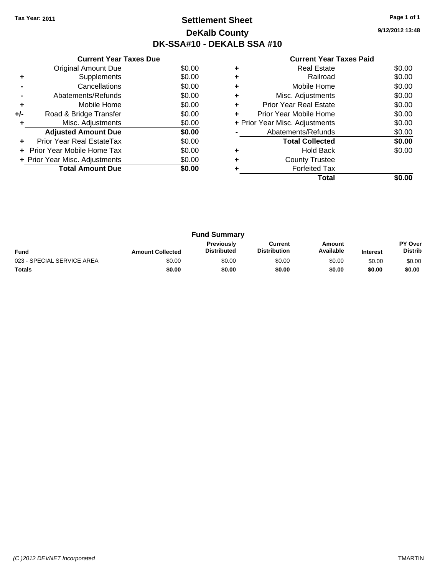# **Settlement Sheet Tax Year: 2011 Page 1 of 1 DeKalb County DK-SSA#10 - DEKALB SSA #10**

**9/12/2012 13:48**

|     | <b>Current Year Taxes Due</b>     |        |
|-----|-----------------------------------|--------|
|     | <b>Original Amount Due</b>        | \$0.00 |
| ٠   | Supplements                       | \$0.00 |
|     | Cancellations                     | \$0.00 |
|     | Abatements/Refunds                | \$0.00 |
| ٠   | Mobile Home                       | \$0.00 |
| +/- | Road & Bridge Transfer            | \$0.00 |
| ٠   | Misc. Adjustments                 | \$0.00 |
|     | <b>Adjusted Amount Due</b>        | \$0.00 |
|     | Prior Year Real EstateTax         | \$0.00 |
|     | <b>Prior Year Mobile Home Tax</b> | \$0.00 |
|     | + Prior Year Misc. Adjustments    | \$0.00 |
|     | <b>Total Amount Due</b>           | \$0.00 |
|     |                                   |        |

|   | Total                          |        |
|---|--------------------------------|--------|
|   | <b>Forfeited Tax</b>           |        |
|   | <b>County Trustee</b>          |        |
|   | <b>Hold Back</b>               | \$0.00 |
|   | <b>Total Collected</b>         | \$0.00 |
|   | Abatements/Refunds             | \$0.00 |
|   | + Prior Year Misc. Adjustments | \$0.00 |
|   | Prior Year Mobile Home         | \$0.00 |
| ٠ | <b>Prior Year Real Estate</b>  | \$0.00 |
| ٠ | Misc. Adjustments              | \$0.00 |
|   | Mobile Home                    | \$0.00 |
|   | Railroad                       | \$0.00 |
|   | Real Estate                    | \$0.00 |

| <b>Fund Summary</b>        |                         |                                         |                                |                     |                 |                                  |
|----------------------------|-------------------------|-----------------------------------------|--------------------------------|---------------------|-----------------|----------------------------------|
| <b>Fund</b>                | <b>Amount Collected</b> | <b>Previously</b><br><b>Distributed</b> | Current<br><b>Distribution</b> | Amount<br>Available | <b>Interest</b> | <b>PY Over</b><br><b>Distrib</b> |
| 023 - SPECIAL SERVICE AREA | \$0.00                  | \$0.00                                  | \$0.00                         | \$0.00              | \$0.00          | \$0.00                           |
| <b>Totals</b>              | \$0.00                  | \$0.00                                  | \$0.00                         | \$0.00              | \$0.00          | \$0.00                           |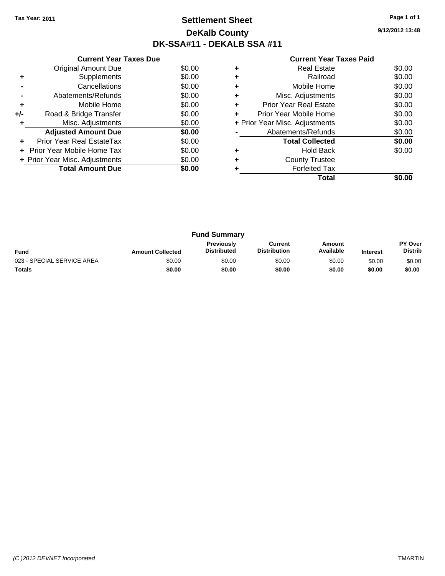# **Settlement Sheet Tax Year: 2011 Page 1 of 1 DeKalb County DK-SSA#11 - DEKALB SSA #11**

**9/12/2012 13:48**

|     | <b>Current Year Taxes Due</b>  |        |  |  |  |  |
|-----|--------------------------------|--------|--|--|--|--|
|     | <b>Original Amount Due</b>     | \$0.00 |  |  |  |  |
| ٠   | Supplements                    | \$0.00 |  |  |  |  |
|     | Cancellations                  | \$0.00 |  |  |  |  |
|     | Abatements/Refunds             | \$0.00 |  |  |  |  |
| ٠   | Mobile Home                    | \$0.00 |  |  |  |  |
| +/- | Road & Bridge Transfer         | \$0.00 |  |  |  |  |
| ٠   | Misc. Adjustments              | \$0.00 |  |  |  |  |
|     | <b>Adjusted Amount Due</b>     | \$0.00 |  |  |  |  |
|     | Prior Year Real EstateTax      | \$0.00 |  |  |  |  |
|     | Prior Year Mobile Home Tax     | \$0.00 |  |  |  |  |
|     | + Prior Year Misc. Adjustments | \$0.00 |  |  |  |  |
|     | <b>Total Amount Due</b>        | \$0.00 |  |  |  |  |
|     |                                |        |  |  |  |  |

|   | Real Estate                    | \$0.00 |
|---|--------------------------------|--------|
|   | Railroad                       | \$0.00 |
| ٠ | Mobile Home                    | \$0.00 |
| ٠ | Misc. Adjustments              | \$0.00 |
| ٠ | Prior Year Real Estate         | \$0.00 |
| ÷ | Prior Year Mobile Home         | \$0.00 |
|   | + Prior Year Misc. Adjustments | \$0.00 |
|   | Abatements/Refunds             | \$0.00 |
|   | <b>Total Collected</b>         | \$0.00 |
|   | <b>Hold Back</b>               | \$0.00 |
| ٠ | <b>County Trustee</b>          |        |
|   | <b>Forfeited Tax</b>           |        |
|   | Total                          |        |

| <b>Fund Summary</b>        |                         |                                         |                                |                     |                 |                                  |
|----------------------------|-------------------------|-----------------------------------------|--------------------------------|---------------------|-----------------|----------------------------------|
| <b>Fund</b>                | <b>Amount Collected</b> | <b>Previously</b><br><b>Distributed</b> | Current<br><b>Distribution</b> | Amount<br>Available | <b>Interest</b> | <b>PY Over</b><br><b>Distrib</b> |
| 023 - SPECIAL SERVICE AREA | \$0.00                  | \$0.00                                  | \$0.00                         | \$0.00              | \$0.00          | \$0.00                           |
| Totals                     | \$0.00                  | \$0.00                                  | \$0.00                         | \$0.00              | \$0.00          | \$0.00                           |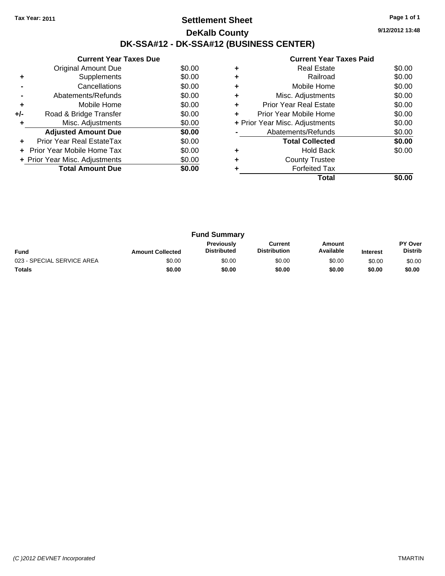## **Settlement Sheet Tax Year: 2011 Page 1 of 1 DeKalb County DK-SSA#12 - DK-SSA#12 (BUSINESS CENTER)**

**9/12/2012 13:48**

|     | <b>Current Year Taxes Due</b>  |        |  |  |  |  |
|-----|--------------------------------|--------|--|--|--|--|
|     | Original Amount Due            | \$0.00 |  |  |  |  |
|     | Supplements                    | \$0.00 |  |  |  |  |
|     | Cancellations                  | \$0.00 |  |  |  |  |
|     | Abatements/Refunds             | \$0.00 |  |  |  |  |
| ٠   | Mobile Home                    | \$0.00 |  |  |  |  |
| +/- | Road & Bridge Transfer         | \$0.00 |  |  |  |  |
|     | Misc. Adjustments              | \$0.00 |  |  |  |  |
|     | <b>Adjusted Amount Due</b>     | \$0.00 |  |  |  |  |
|     | Prior Year Real EstateTax      | \$0.00 |  |  |  |  |
|     | Prior Year Mobile Home Tax     | \$0.00 |  |  |  |  |
|     | + Prior Year Misc. Adjustments | \$0.00 |  |  |  |  |
|     | <b>Total Amount Due</b>        | \$0.00 |  |  |  |  |
|     |                                |        |  |  |  |  |

|   | <b>Real Estate</b>             | \$0.00 |
|---|--------------------------------|--------|
| ٠ | Railroad                       | \$0.00 |
|   | Mobile Home                    | \$0.00 |
| ٠ | Misc. Adjustments              | \$0.00 |
|   | <b>Prior Year Real Estate</b>  | \$0.00 |
|   | Prior Year Mobile Home         | \$0.00 |
|   | + Prior Year Misc. Adjustments | \$0.00 |
|   | Abatements/Refunds             | \$0.00 |
|   | <b>Total Collected</b>         | \$0.00 |
|   | <b>Hold Back</b>               | \$0.00 |
|   | <b>County Trustee</b>          |        |
|   | <b>Forfeited Tax</b>           |        |
|   | Total                          |        |
|   |                                |        |

| <b>Fund Summary</b>        |                         |                                         |                                |                     |                 |                                  |
|----------------------------|-------------------------|-----------------------------------------|--------------------------------|---------------------|-----------------|----------------------------------|
| Fund                       | <b>Amount Collected</b> | <b>Previously</b><br><b>Distributed</b> | Current<br><b>Distribution</b> | Amount<br>Available | <b>Interest</b> | <b>PY Over</b><br><b>Distrib</b> |
| 023 - SPECIAL SERVICE AREA | \$0.00                  | \$0.00                                  | \$0.00                         | \$0.00              | \$0.00          | \$0.00                           |
| <b>Totals</b>              | \$0.00                  | \$0.00                                  | \$0.00                         | \$0.00              | \$0.00          | \$0.00                           |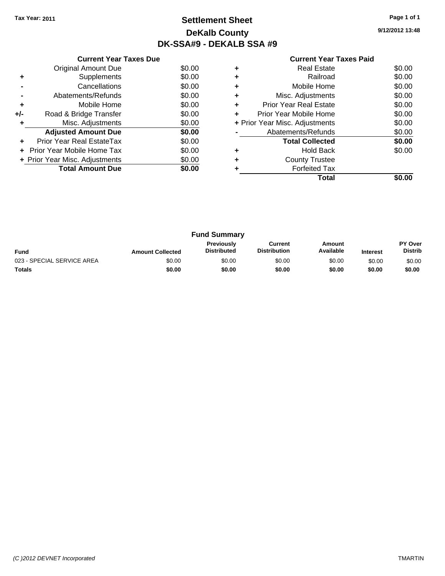# **Settlement Sheet Tax Year: 2011 Page 1 of 1 DeKalb County DK-SSA#9 - DEKALB SSA #9**

**9/12/2012 13:48**

| <b>Current Year Taxes Paid</b> |  |  |  |
|--------------------------------|--|--|--|
|--------------------------------|--|--|--|

|       | <b>Current Year Taxes Due</b>     |        |
|-------|-----------------------------------|--------|
|       | Original Amount Due               | \$0.00 |
| ٠     | Supplements                       | \$0.00 |
|       | Cancellations                     | \$0.00 |
|       | Abatements/Refunds                | \$0.00 |
| ٠     | Mobile Home                       | \$0.00 |
| $+/-$ | Road & Bridge Transfer            | \$0.00 |
|       | Misc. Adjustments                 | \$0.00 |
|       | <b>Adjusted Amount Due</b>        | \$0.00 |
|       | Prior Year Real EstateTax         | \$0.00 |
|       | <b>Prior Year Mobile Home Tax</b> | \$0.00 |
|       | + Prior Year Misc. Adjustments    | \$0.00 |
|       | <b>Total Amount Due</b>           | \$0.00 |
|       |                                   |        |

|   | <b>Real Estate</b>             | \$0.00 |
|---|--------------------------------|--------|
| ٠ | Railroad                       | \$0.00 |
| ٠ | Mobile Home                    | \$0.00 |
| ٠ | Misc. Adjustments              | \$0.00 |
| ٠ | <b>Prior Year Real Estate</b>  | \$0.00 |
|   | Prior Year Mobile Home         | \$0.00 |
|   | + Prior Year Misc. Adjustments | \$0.00 |
|   | Abatements/Refunds             | \$0.00 |
|   | <b>Total Collected</b>         | \$0.00 |
|   | <b>Hold Back</b>               | \$0.00 |
|   | <b>County Trustee</b>          |        |
|   | <b>Forfeited Tax</b>           |        |
|   | Total                          |        |

| <b>Fund Summary</b>        |                         |                                  |                                |                     |                 |                                  |
|----------------------------|-------------------------|----------------------------------|--------------------------------|---------------------|-----------------|----------------------------------|
| <b>Fund</b>                | <b>Amount Collected</b> | Previously<br><b>Distributed</b> | Current<br><b>Distribution</b> | Amount<br>Available | <b>Interest</b> | <b>PY Over</b><br><b>Distrib</b> |
| 023 - SPECIAL SERVICE AREA | \$0.00                  | \$0.00                           | \$0.00                         | \$0.00              | \$0.00          | \$0.00                           |
| <b>Totals</b>              | \$0.00                  | \$0.00                           | \$0.00                         | \$0.00              | \$0.00          | \$0.00                           |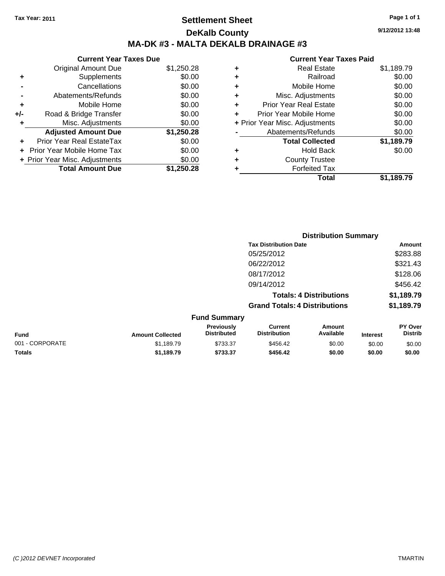# **Settlement Sheet Tax Year: 2011 Page 1 of 1 DeKalb County MA-DK #3 - MALTA DEKALB DRAINAGE #3**

**9/12/2012 13:48**

### **Current Year Taxes Paid**

|     | <b>Current Year Taxes Due</b>  |            |  |  |  |  |
|-----|--------------------------------|------------|--|--|--|--|
|     | <b>Original Amount Due</b>     | \$1,250.28 |  |  |  |  |
| ٠   | Supplements                    | \$0.00     |  |  |  |  |
|     | Cancellations                  | \$0.00     |  |  |  |  |
|     | Abatements/Refunds             | \$0.00     |  |  |  |  |
| ٠   | Mobile Home                    | \$0.00     |  |  |  |  |
| +/- | Road & Bridge Transfer         | \$0.00     |  |  |  |  |
| ٠   | Misc. Adjustments              | \$0.00     |  |  |  |  |
|     | <b>Adjusted Amount Due</b>     | \$1,250.28 |  |  |  |  |
|     | Prior Year Real EstateTax      | \$0.00     |  |  |  |  |
|     | Prior Year Mobile Home Tax     | \$0.00     |  |  |  |  |
|     | + Prior Year Misc. Adjustments | \$0.00     |  |  |  |  |
|     | <b>Total Amount Due</b>        | \$1,250.28 |  |  |  |  |

|   | Total                          | \$1,189.79 |
|---|--------------------------------|------------|
| ٠ | <b>Forfeited Tax</b>           |            |
| ٠ | <b>County Trustee</b>          |            |
| ٠ | <b>Hold Back</b>               | \$0.00     |
|   | <b>Total Collected</b>         | \$1,189.79 |
|   | Abatements/Refunds             | \$0.00     |
|   | + Prior Year Misc. Adjustments | \$0.00     |
| ٠ | Prior Year Mobile Home         | \$0.00     |
| ÷ | <b>Prior Year Real Estate</b>  | \$0.00     |
| ٠ | Misc. Adjustments              | \$0.00     |
| ٠ | Mobile Home                    | \$0.00     |
| ٠ | Railroad                       | \$0.00     |
| ٠ | <b>Real Estate</b>             | \$1,189.79 |
|   |                                |            |

|                 |                         |                                  |                                                                                      | <b>Distribution Summary</b> |                 |                                  |  |
|-----------------|-------------------------|----------------------------------|--------------------------------------------------------------------------------------|-----------------------------|-----------------|----------------------------------|--|
|                 |                         |                                  | <b>Tax Distribution Date</b><br>05/25/2012                                           |                             |                 | Amount                           |  |
|                 |                         |                                  |                                                                                      |                             |                 | \$283.88                         |  |
|                 |                         |                                  | 06/22/2012                                                                           |                             |                 | \$321.43                         |  |
|                 |                         |                                  | 08/17/2012                                                                           |                             |                 | \$128.06                         |  |
|                 |                         |                                  | 09/14/2012<br><b>Totals: 4 Distributions</b><br><b>Grand Totals: 4 Distributions</b> |                             |                 | \$456.42                         |  |
|                 |                         |                                  |                                                                                      |                             |                 | \$1,189.79                       |  |
|                 |                         |                                  |                                                                                      |                             |                 | \$1,189.79                       |  |
|                 |                         | <b>Fund Summary</b>              |                                                                                      |                             |                 |                                  |  |
| <b>Fund</b>     | <b>Amount Collected</b> | Previously<br><b>Distributed</b> | <b>Current</b><br><b>Distribution</b>                                                | Amount<br>Available         | <b>Interest</b> | <b>PY Over</b><br><b>Distrib</b> |  |
| 001 - CORPORATE | \$1.189.79              | \$733.37                         | \$456.42                                                                             | \$0.00                      | \$0.00          | \$0.00                           |  |

**Totals \$1,189.79 \$733.37 \$456.42 \$0.00 \$0.00 \$0.00**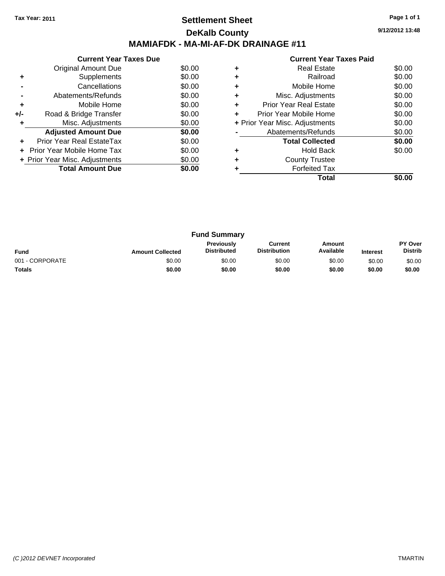# **Settlement Sheet Tax Year: 2011 Page 1 of 1 DeKalb County MAMIAFDK - MA-MI-AF-DK DRAINAGE #11**

**9/12/2012 13:48**

|     | <b>Current Year Taxes Due</b>     |        |  |  |  |
|-----|-----------------------------------|--------|--|--|--|
|     | Original Amount Due               | \$0.00 |  |  |  |
| ٠   | Supplements                       | \$0.00 |  |  |  |
|     | Cancellations                     | \$0.00 |  |  |  |
|     | Abatements/Refunds                | \$0.00 |  |  |  |
| ٠   | Mobile Home                       | \$0.00 |  |  |  |
| +/- | Road & Bridge Transfer            | \$0.00 |  |  |  |
|     | Misc. Adjustments                 | \$0.00 |  |  |  |
|     | <b>Adjusted Amount Due</b>        | \$0.00 |  |  |  |
|     | Prior Year Real EstateTax         | \$0.00 |  |  |  |
|     | <b>Prior Year Mobile Home Tax</b> | \$0.00 |  |  |  |
|     | + Prior Year Misc. Adjustments    | \$0.00 |  |  |  |
|     | <b>Total Amount Due</b>           | SO.OO  |  |  |  |
|     |                                   |        |  |  |  |

|   | Total                          |        |
|---|--------------------------------|--------|
|   | <b>Forfeited Tax</b>           |        |
| ٠ | <b>County Trustee</b>          |        |
|   | <b>Hold Back</b>               | \$0.00 |
|   | <b>Total Collected</b>         | \$0.00 |
|   | Abatements/Refunds             | \$0.00 |
|   | + Prior Year Misc. Adjustments | \$0.00 |
| ÷ | Prior Year Mobile Home         | \$0.00 |
| ÷ | <b>Prior Year Real Estate</b>  | \$0.00 |
| ٠ | Misc. Adjustments              | \$0.00 |
| ٠ | Mobile Home                    | \$0.00 |
|   | Railroad                       | \$0.00 |
|   | <b>Real Estate</b>             | \$0.00 |

| <b>Fund Summary</b> |                         |                                  |                                |                     |                 |                                  |
|---------------------|-------------------------|----------------------------------|--------------------------------|---------------------|-----------------|----------------------------------|
| <b>Fund</b>         | <b>Amount Collected</b> | Previously<br><b>Distributed</b> | Current<br><b>Distribution</b> | Amount<br>Available | <b>Interest</b> | <b>PY Over</b><br><b>Distrib</b> |
| 001 - CORPORATE     | \$0.00                  | \$0.00                           | \$0.00                         | \$0.00              | \$0.00          | \$0.00                           |
| <b>Totals</b>       | \$0.00                  | \$0.00                           | \$0.00                         | \$0.00              | \$0.00          | \$0.00                           |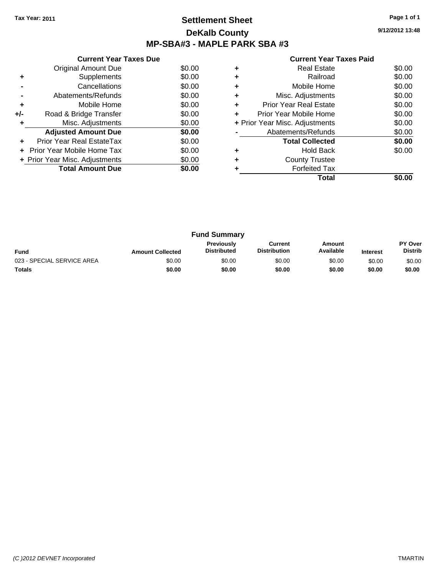# **Settlement Sheet Tax Year: 2011 Page 1 of 1 DeKalb County MP-SBA#3 - MAPLE PARK SBA #3**

**9/12/2012 13:48**

|     | <b>Current Year Taxes Due</b>  |        |  |  |  |  |  |
|-----|--------------------------------|--------|--|--|--|--|--|
|     | <b>Original Amount Due</b>     | \$0.00 |  |  |  |  |  |
|     | Supplements                    | \$0.00 |  |  |  |  |  |
|     | Cancellations                  | \$0.00 |  |  |  |  |  |
|     | Abatements/Refunds             | \$0.00 |  |  |  |  |  |
| ٠   | Mobile Home                    | \$0.00 |  |  |  |  |  |
| +/- | Road & Bridge Transfer         | \$0.00 |  |  |  |  |  |
|     | Misc. Adjustments              | \$0.00 |  |  |  |  |  |
|     | <b>Adjusted Amount Due</b>     | \$0.00 |  |  |  |  |  |
|     | Prior Year Real EstateTax      | \$0.00 |  |  |  |  |  |
|     | Prior Year Mobile Home Tax     | \$0.00 |  |  |  |  |  |
|     | + Prior Year Misc. Adjustments | \$0.00 |  |  |  |  |  |
|     | <b>Total Amount Due</b>        | \$0.00 |  |  |  |  |  |
|     |                                |        |  |  |  |  |  |

|   | <b>Real Estate</b>             | \$0.00 |
|---|--------------------------------|--------|
| ٠ | Railroad                       | \$0.00 |
| ٠ | Mobile Home                    | \$0.00 |
| ٠ | Misc. Adjustments              | \$0.00 |
| ٠ | <b>Prior Year Real Estate</b>  | \$0.00 |
| ÷ | Prior Year Mobile Home         | \$0.00 |
|   | + Prior Year Misc. Adjustments | \$0.00 |
|   | Abatements/Refunds             | \$0.00 |
|   | <b>Total Collected</b>         | \$0.00 |
| ٠ | <b>Hold Back</b>               | \$0.00 |
| ٠ | <b>County Trustee</b>          |        |
|   | <b>Forfeited Tax</b>           |        |
|   | Total                          |        |

| <b>Fund Summary</b>        |                         |                                         |                                |                     |                 |                                  |
|----------------------------|-------------------------|-----------------------------------------|--------------------------------|---------------------|-----------------|----------------------------------|
| Fund                       | <b>Amount Collected</b> | <b>Previously</b><br><b>Distributed</b> | Current<br><b>Distribution</b> | Amount<br>Available | <b>Interest</b> | <b>PY Over</b><br><b>Distrib</b> |
| 023 - SPECIAL SERVICE AREA | \$0.00                  | \$0.00                                  | \$0.00                         | \$0.00              | \$0.00          | \$0.00                           |
| <b>Totals</b>              | \$0.00                  | \$0.00                                  | \$0.00                         | \$0.00              | \$0.00          | \$0.00                           |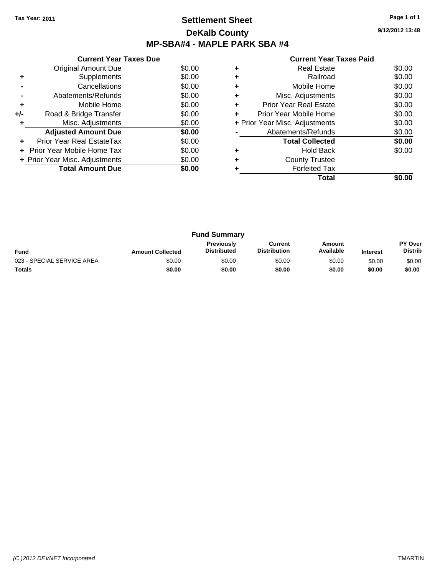# **Settlement Sheet Tax Year: 2011 Page 1 of 1 DeKalb County MP-SBA#4 - MAPLE PARK SBA #4**

**9/12/2012 13:48**

|     | <b>Current Year Taxes Due</b>     |        |
|-----|-----------------------------------|--------|
|     | Original Amount Due               | \$0.00 |
| ٠   | Supplements                       | \$0.00 |
|     | Cancellations                     | \$0.00 |
|     | Abatements/Refunds                | \$0.00 |
| ٠   | Mobile Home                       | \$0.00 |
| +/- | Road & Bridge Transfer            | \$0.00 |
|     | Misc. Adjustments                 | \$0.00 |
|     | <b>Adjusted Amount Due</b>        | \$0.00 |
|     | Prior Year Real EstateTax         | \$0.00 |
|     | <b>Prior Year Mobile Home Tax</b> | \$0.00 |
|     | + Prior Year Misc. Adjustments    | \$0.00 |
|     | <b>Total Amount Due</b>           | \$0.00 |
|     |                                   |        |

|   | <b>Real Estate</b>             | \$0.00 |
|---|--------------------------------|--------|
|   | Railroad                       | \$0.00 |
| ٠ | Mobile Home                    | \$0.00 |
| ٠ | Misc. Adjustments              | \$0.00 |
| ٠ | <b>Prior Year Real Estate</b>  | \$0.00 |
| ٠ | Prior Year Mobile Home         | \$0.00 |
|   | + Prior Year Misc. Adjustments | \$0.00 |
|   | Abatements/Refunds             | \$0.00 |
|   | <b>Total Collected</b>         | \$0.00 |
|   | <b>Hold Back</b>               | \$0.00 |
| ٠ | <b>County Trustee</b>          |        |
|   | <b>Forfeited Tax</b>           |        |
|   | Total                          |        |

| <b>Fund Summary</b>        |                         |                                  |                                |                     |                 |                                  |
|----------------------------|-------------------------|----------------------------------|--------------------------------|---------------------|-----------------|----------------------------------|
| <b>Fund</b>                | <b>Amount Collected</b> | Previously<br><b>Distributed</b> | Current<br><b>Distribution</b> | Amount<br>Available | <b>Interest</b> | <b>PY Over</b><br><b>Distrib</b> |
| 023 - SPECIAL SERVICE AREA | \$0.00                  | \$0.00                           | \$0.00                         | \$0.00              | \$0.00          | \$0.00                           |
| Totals                     | \$0.00                  | \$0.00                           | \$0.00                         | \$0.00              | \$0.00          | \$0.00                           |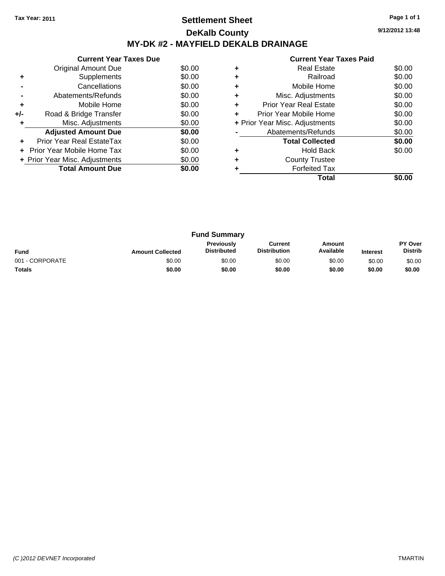# **Settlement Sheet Tax Year: 2011 Page 1 of 1 DeKalb County MY-DK #2 - MAYFIELD DEKALB DRAINAGE**

**9/12/2012 13:48**

|     | <b>Current Year Taxes Due</b>  |        |
|-----|--------------------------------|--------|
|     | <b>Original Amount Due</b>     | \$0.00 |
| ÷   | Supplements                    | \$0.00 |
|     | Cancellations                  | \$0.00 |
|     | Abatements/Refunds             | \$0.00 |
| ٠   | Mobile Home                    | \$0.00 |
| +/- | Road & Bridge Transfer         | \$0.00 |
| ÷   | Misc. Adjustments              | \$0.00 |
|     | <b>Adjusted Amount Due</b>     | \$0.00 |
| ٠   | Prior Year Real EstateTax      | \$0.00 |
|     | Prior Year Mobile Home Tax     | \$0.00 |
|     | + Prior Year Misc. Adjustments | \$0.00 |
|     | <b>Total Amount Due</b>        | \$0.00 |
|     |                                |        |

|   | <b>Real Estate</b>             | \$0.00 |
|---|--------------------------------|--------|
|   | Railroad                       | \$0.00 |
|   | Mobile Home                    | \$0.00 |
|   | Misc. Adjustments              | \$0.00 |
| ٠ | <b>Prior Year Real Estate</b>  | \$0.00 |
| ÷ | Prior Year Mobile Home         | \$0.00 |
|   | + Prior Year Misc. Adjustments | \$0.00 |
|   | Abatements/Refunds             | \$0.00 |
|   | <b>Total Collected</b>         | \$0.00 |
|   | <b>Hold Back</b>               | \$0.00 |
|   | <b>County Trustee</b>          |        |
|   | <b>Forfeited Tax</b>           |        |
|   | Total                          |        |

| <b>Fund Summary</b> |                         |                                         |                                |                     |                 |                           |
|---------------------|-------------------------|-----------------------------------------|--------------------------------|---------------------|-----------------|---------------------------|
| <b>Fund</b>         | <b>Amount Collected</b> | <b>Previously</b><br><b>Distributed</b> | Current<br><b>Distribution</b> | Amount<br>Available | <b>Interest</b> | PY Over<br><b>Distrib</b> |
| 001 - CORPORATE     | \$0.00                  | \$0.00                                  | \$0.00                         | \$0.00              | \$0.00          | \$0.00                    |
| <b>Totals</b>       | \$0.00                  | \$0.00                                  | \$0.00                         | \$0.00              | \$0.00          | \$0.00                    |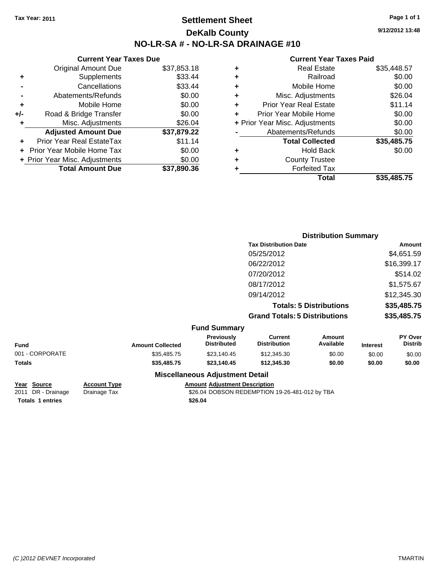# **Settlement Sheet Tax Year: 2011 Page 1 of 1 DeKalb County NO-LR-SA # - NO-LR-SA DRAINAGE #10**

**9/12/2012 13:48**

#### **Current Year Taxes Paid**

|   | Total                          | \$35,485.75 |
|---|--------------------------------|-------------|
| ٠ | <b>Forfeited Tax</b>           |             |
| ÷ | <b>County Trustee</b>          |             |
| ٠ | <b>Hold Back</b>               | \$0.00      |
|   | <b>Total Collected</b>         | \$35,485.75 |
|   | Abatements/Refunds             | \$0.00      |
|   | + Prior Year Misc. Adjustments | \$0.00      |
|   | Prior Year Mobile Home         | \$0.00      |
| ٠ | <b>Prior Year Real Estate</b>  | \$11.14     |
| ٠ | Misc. Adjustments              | \$26.04     |
| ٠ | Mobile Home                    | \$0.00      |
| ٠ | Railroad                       | \$0.00      |
| ٠ | <b>Real Estate</b>             | \$35,448.57 |
|   |                                |             |

|                 |                     |                         |                                        |                                       | <b>Distribution Summary</b>    |                 |                           |
|-----------------|---------------------|-------------------------|----------------------------------------|---------------------------------------|--------------------------------|-----------------|---------------------------|
|                 |                     |                         |                                        | <b>Tax Distribution Date</b>          |                                |                 | Amount                    |
|                 |                     |                         |                                        | 05/25/2012                            |                                |                 | \$4,651.59                |
|                 |                     |                         |                                        | 06/22/2012                            |                                |                 | \$16,399.17               |
|                 |                     |                         |                                        | 07/20/2012                            |                                |                 | \$514.02                  |
|                 |                     |                         |                                        | 08/17/2012                            |                                |                 | \$1,575.67                |
|                 |                     |                         |                                        | 09/14/2012                            |                                |                 | \$12,345.30               |
|                 |                     |                         |                                        |                                       | <b>Totals: 5 Distributions</b> |                 | \$35,485.75               |
|                 |                     |                         |                                        | <b>Grand Totals: 5 Distributions</b>  |                                |                 | \$35,485.75               |
|                 |                     |                         | <b>Fund Summary</b>                    |                                       |                                |                 |                           |
| <b>Fund</b>     |                     | <b>Amount Collected</b> | Previously<br><b>Distributed</b>       | <b>Current</b><br><b>Distribution</b> | Amount<br>Available            | <b>Interest</b> | PY Over<br><b>Distrib</b> |
| 001 - CORPORATE |                     | \$35,485.75             | \$23,140.45                            | \$12,345.30                           | \$0.00                         | \$0.00          | \$0.00                    |
| <b>Totals</b>   |                     | \$35,485.75             | \$23,140.45                            | \$12,345.30                           | \$0.00                         | \$0.00          | \$0.00                    |
|                 |                     |                         | <b>Miscellaneous Adjustment Detail</b> |                                       |                                |                 |                           |
| Year Source     | <b>Account Type</b> |                         | <b>Amount Adjustment Description</b>   |                                       |                                |                 |                           |

**Totals \$26.04 1 entries**

**Current Year Taxes Due** Original Amount Due \$37,853.18

**Adjusted Amount Due \$37,879.22**

**Total Amount Due \$37,890.36**

**+** Supplements \$33.44 **-** Cancellations \$33.44 **-** Abatements/Refunds \$0.00 **+** Mobile Home \$0.00 **+/-** Road & Bridge Transfer \$0.00 **+** Misc. Adjustments \$26.04

**+** Prior Year Real EstateTax \$11.14 **+** Prior Year Mobile Home Tax \$0.00 **+ Prior Year Misc. Adjustments**  $$0.00$ 

2011 DR - Drainage Drainage Tax S26.04 DOBSON REDEMPTION 19-26-481-012 by TBA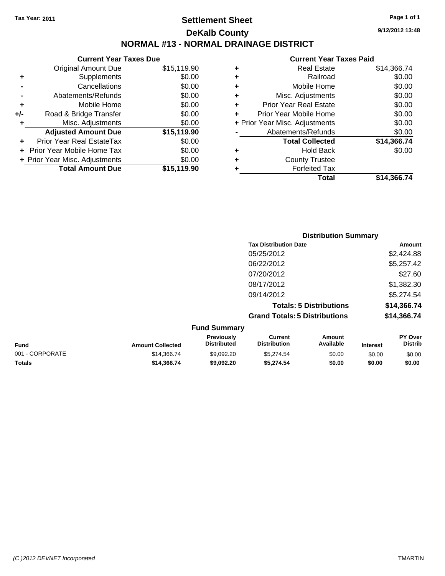# **Settlement Sheet Tax Year: 2011 Page 1 of 1 DeKalb County NORMAL #13 - NORMAL DRAINAGE DISTRICT**

|     | <b>Current Year Taxes Due</b>  |             |
|-----|--------------------------------|-------------|
|     | <b>Original Amount Due</b>     | \$15,119.90 |
| ٠   | Supplements                    | \$0.00      |
|     | Cancellations                  | \$0.00      |
|     | Abatements/Refunds             | \$0.00      |
| ÷   | Mobile Home                    | \$0.00      |
| +/- | Road & Bridge Transfer         | \$0.00      |
| ٠   | Misc. Adjustments              | \$0.00      |
|     | <b>Adjusted Amount Due</b>     | \$15,119.90 |
|     | Prior Year Real EstateTax      | \$0.00      |
|     | Prior Year Mobile Home Tax     | \$0.00      |
|     | + Prior Year Misc. Adjustments | \$0.00      |
|     | <b>Total Amount Due</b>        | \$15,119.90 |

#### **Current Year Taxes Paid**

| ٠ | <b>Real Estate</b>             | \$14,366.74 |
|---|--------------------------------|-------------|
| ٠ | Railroad                       | \$0.00      |
| ٠ | Mobile Home                    | \$0.00      |
| ٠ | Misc. Adjustments              | \$0.00      |
| ٠ | Prior Year Real Estate         | \$0.00      |
| ÷ | Prior Year Mobile Home         | \$0.00      |
|   | + Prior Year Misc. Adjustments | \$0.00      |
|   | Abatements/Refunds             | \$0.00      |
|   | <b>Total Collected</b>         | \$14,366.74 |
| ٠ | Hold Back                      | \$0.00      |
| ٠ | <b>County Trustee</b>          |             |
| ٠ | <b>Forfeited Tax</b>           |             |
|   | Total                          | \$14,366.74 |
|   |                                |             |

| <b>Distribution Summary</b>          |             |
|--------------------------------------|-------------|
| <b>Tax Distribution Date</b>         | Amount      |
| 05/25/2012                           | \$2,424.88  |
| 06/22/2012                           | \$5,257.42  |
| 07/20/2012                           | \$27.60     |
| 08/17/2012                           | \$1,382.30  |
| 09/14/2012                           | \$5,274.54  |
| <b>Totals: 5 Distributions</b>       | \$14,366.74 |
| <b>Grand Totals: 5 Distributions</b> | \$14,366.74 |
| <b>Fund Summary</b>                  |             |

| <b>Fund</b>     | <b>Amount Collected</b> | <b>Previously</b><br><b>Distributed</b> | Current<br><b>Distribution</b> | Amount<br>Available | <b>Interest</b> | <b>PY Over</b><br><b>Distrib</b> |
|-----------------|-------------------------|-----------------------------------------|--------------------------------|---------------------|-----------------|----------------------------------|
| 001 - CORPORATE | \$14.366.74             | \$9.092.20                              | \$5.274.54                     | \$0.00              | \$0.00          | \$0.00                           |
| <b>Totals</b>   | \$14.366.74             | \$9,092.20                              | \$5.274.54                     | \$0.00              | \$0.00          | \$0.00                           |

**9/12/2012 13:48**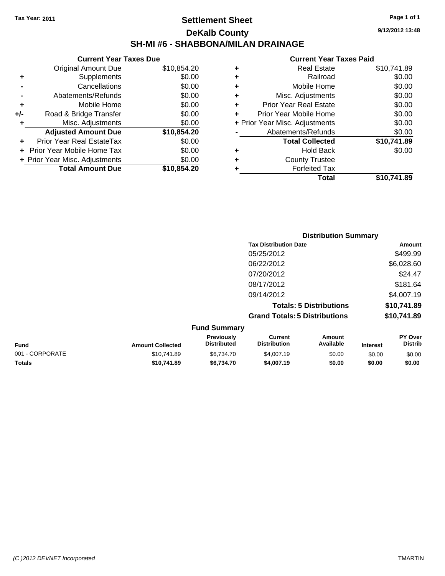# **Settlement Sheet Tax Year: 2011 Page 1 of 1 DeKalb County SH-MI #6 - SHABBONA/MILAN DRAINAGE**

**9/12/2012 13:48**

|   | Total                          | \$10.741.89 |
|---|--------------------------------|-------------|
| ٠ | <b>Forfeited Tax</b>           |             |
| ٠ | <b>County Trustee</b>          |             |
| ٠ | <b>Hold Back</b>               | \$0.00      |
|   | <b>Total Collected</b>         | \$10,741.89 |
|   | Abatements/Refunds             | \$0.00      |
|   | + Prior Year Misc. Adjustments | \$0.00      |
|   | Prior Year Mobile Home         | \$0.00      |
| ٠ | <b>Prior Year Real Estate</b>  | \$0.00      |
| ٠ | Misc. Adjustments              | \$0.00      |
| ٠ | Mobile Home                    | \$0.00      |
| ٠ | Railroad                       | \$0.00      |
| ٠ | <b>Real Estate</b>             | \$10,741.89 |
|   |                                |             |

|     | <b>Current Year Taxes Due</b>  |             |  |  |  |
|-----|--------------------------------|-------------|--|--|--|
|     | <b>Original Amount Due</b>     | \$10,854.20 |  |  |  |
| ٠   | Supplements                    | \$0.00      |  |  |  |
|     | Cancellations                  | \$0.00      |  |  |  |
|     | Abatements/Refunds             | \$0.00      |  |  |  |
| ٠   | Mobile Home                    | \$0.00      |  |  |  |
| +/- | Road & Bridge Transfer         | \$0.00      |  |  |  |
| ٠   | Misc. Adjustments              | \$0.00      |  |  |  |
|     | <b>Adjusted Amount Due</b>     | \$10,854.20 |  |  |  |
|     | Prior Year Real EstateTax      | \$0.00      |  |  |  |
|     | Prior Year Mobile Home Tax     | \$0.00      |  |  |  |
|     | + Prior Year Misc. Adjustments | \$0.00      |  |  |  |
|     | <b>Total Amount Due</b>        | \$10,854.20 |  |  |  |
|     |                                |             |  |  |  |

|                                      | <b>Distribution Summary</b> |
|--------------------------------------|-----------------------------|
| <b>Tax Distribution Date</b>         | Amount                      |
| 05/25/2012                           | \$499.99                    |
| 06/22/2012                           | \$6,028.60                  |
| 07/20/2012                           | \$24.47                     |
| 08/17/2012                           | \$181.64                    |
| 09/14/2012                           | \$4,007.19                  |
| <b>Totals: 5 Distributions</b>       | \$10,741.89                 |
| <b>Grand Totals: 5 Distributions</b> | \$10,741.89                 |

| <b>Fund Summary</b> |                         |                                         |                                |                     |                 |                                  |
|---------------------|-------------------------|-----------------------------------------|--------------------------------|---------------------|-----------------|----------------------------------|
| <b>Fund</b>         | <b>Amount Collected</b> | <b>Previously</b><br><b>Distributed</b> | Current<br><b>Distribution</b> | Amount<br>Available | <b>Interest</b> | <b>PY Over</b><br><b>Distrib</b> |
| 001 - CORPORATE     | \$10.741.89             | \$6.734.70                              | \$4,007.19                     | \$0.00              | \$0.00          | \$0.00                           |
| <b>Totals</b>       | \$10,741.89             | \$6.734.70                              | \$4,007.19                     | \$0.00              | \$0.00          | \$0.00                           |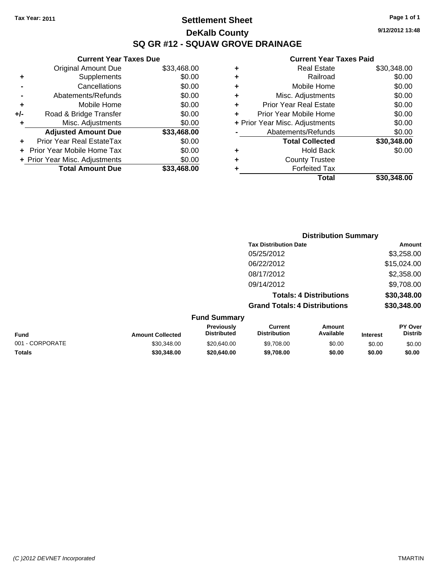**Current Year Taxes Due** Original Amount Due \$33,468.00

**Adjusted Amount Due \$33,468.00**

**Total Amount Due \$33,468.00**

**+** Supplements \$0.00 **-** Cancellations \$0.00 **-** Abatements/Refunds \$0.00 **+** Mobile Home \$0.00 **+/-** Road & Bridge Transfer \$0.00 **+** Misc. Adjustments \$0.00

**+** Prior Year Real EstateTax \$0.00 **+** Prior Year Mobile Home Tax \$0.00 **+ Prior Year Misc. Adjustments**  $$0.00$ 

# **Settlement Sheet Tax Year: 2011 Page 1 of 1 DeKalb County SQ GR #12 - SQUAW GROVE DRAINAGE**

**9/12/2012 13:48**

|                 |                         |                                  |                                       | <b>Distribution Summary</b>    |                 |                           |
|-----------------|-------------------------|----------------------------------|---------------------------------------|--------------------------------|-----------------|---------------------------|
|                 |                         |                                  | <b>Tax Distribution Date</b>          |                                |                 | Amount                    |
|                 |                         |                                  | 05/25/2012                            |                                |                 | \$3,258.00                |
|                 |                         |                                  | 06/22/2012                            |                                |                 | \$15,024.00               |
|                 |                         |                                  | 08/17/2012                            |                                |                 | \$2,358.00                |
|                 |                         |                                  | 09/14/2012                            |                                |                 | \$9,708.00                |
|                 |                         |                                  |                                       | <b>Totals: 4 Distributions</b> |                 | \$30,348.00               |
|                 |                         |                                  | <b>Grand Totals: 4 Distributions</b>  |                                |                 | \$30,348.00               |
|                 |                         | <b>Fund Summary</b>              |                                       |                                |                 |                           |
| <b>Fund</b>     | <b>Amount Collected</b> | Previously<br><b>Distributed</b> | <b>Current</b><br><b>Distribution</b> | Amount<br>Available            | <b>Interest</b> | PY Over<br><b>Distrib</b> |
| 001 - CORPORATE | \$30,348.00             | \$20,640.00                      | \$9,708.00                            | \$0.00                         | \$0.00          | \$0.00                    |
| Totals          | \$30,348,00             | \$20,640.00                      | \$9,708.00                            | \$0.00                         | \$0.00          | \$0.00                    |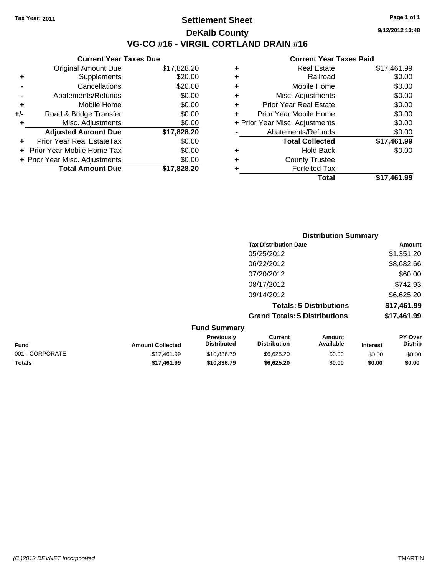**Current Year Taxes Due**

# **Settlement Sheet Tax Year: 2011 Page 1 of 1 DeKalb County VG-CO #16 - VIRGIL CORTLAND DRAIN #16**

**9/12/2012 13:48**

#### **Current Year Taxes Paid**

|     |                                |             |   | <b>Total</b>                   | \$17,461.99 |
|-----|--------------------------------|-------------|---|--------------------------------|-------------|
|     | <b>Total Amount Due</b>        | \$17,828.20 |   | <b>Forfeited Tax</b>           |             |
|     | + Prior Year Misc. Adjustments | \$0.00      | ٠ | <b>County Trustee</b>          |             |
|     | + Prior Year Mobile Home Tax   | \$0.00      | ٠ | <b>Hold Back</b>               | \$0.00      |
| ÷.  | Prior Year Real EstateTax      | \$0.00      |   | <b>Total Collected</b>         | \$17,461.99 |
|     | <b>Adjusted Amount Due</b>     | \$17,828.20 |   | Abatements/Refunds             | \$0.00      |
|     | Misc. Adjustments              | \$0.00      |   | + Prior Year Misc. Adjustments | \$0.00      |
| +/- | Road & Bridge Transfer         | \$0.00      |   | Prior Year Mobile Home         | \$0.00      |
| ٠   | Mobile Home                    | \$0.00      | ٠ | <b>Prior Year Real Estate</b>  | \$0.00      |
|     | Abatements/Refunds             | \$0.00      | ٠ | Misc. Adjustments              | \$0.00      |
|     | Cancellations                  | \$20.00     | ٠ | Mobile Home                    | \$0.00      |
| ٠   | Supplements                    | \$20.00     | ٠ | Railroad                       | \$0.00      |
|     | <b>Original Amount Due</b>     | \$17,828.20 | ٠ | <b>Real Estate</b>             | \$17,461.99 |
|     |                                |             |   |                                |             |

|                 |                         |                                  | <b>Distribution Summary</b>           |                                |                 |                           |
|-----------------|-------------------------|----------------------------------|---------------------------------------|--------------------------------|-----------------|---------------------------|
|                 |                         |                                  | <b>Tax Distribution Date</b>          |                                |                 | Amount                    |
|                 |                         |                                  | 05/25/2012                            |                                |                 | \$1,351.20                |
|                 |                         |                                  | 06/22/2012                            |                                |                 | \$8,682.66                |
|                 |                         |                                  | 07/20/2012                            |                                |                 | \$60.00                   |
|                 |                         |                                  | 08/17/2012                            |                                |                 | \$742.93                  |
|                 |                         |                                  | 09/14/2012                            |                                |                 | \$6,625.20                |
|                 |                         |                                  |                                       | <b>Totals: 5 Distributions</b> |                 | \$17,461.99               |
|                 |                         |                                  | <b>Grand Totals: 5 Distributions</b>  |                                |                 | \$17,461.99               |
|                 |                         | <b>Fund Summary</b>              |                                       |                                |                 |                           |
| Fund            | <b>Amount Collected</b> | Previously<br><b>Distributed</b> | <b>Current</b><br><b>Distribution</b> | <b>Amount</b><br>Available     | <b>Interest</b> | PY Over<br><b>Distrib</b> |
| 001 - CORPORATE | \$17,461.99             | \$10,836.79                      | \$6,625.20                            | \$0.00                         | \$0.00          | \$0.00                    |

**Totals \$17,461.99 \$10,836.79 \$6,625.20 \$0.00 \$0.00 \$0.00**

*(C )2012 DEVNET Incorporated* TMARTIN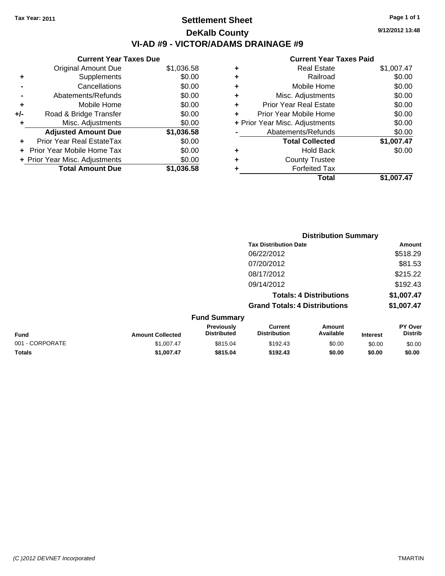# **Settlement Sheet Tax Year: 2011 Page 1 of 1 DeKalb County VI-AD #9 - VICTOR/ADAMS DRAINAGE #9**

**9/12/2012 13:48**

| <b>Original Amount Due</b> | \$1,036.58                                                      |
|----------------------------|-----------------------------------------------------------------|
| Supplements                | \$0.00                                                          |
| Cancellations              | \$0.00                                                          |
| Abatements/Refunds         | \$0.00                                                          |
| Mobile Home                | \$0.00                                                          |
| Road & Bridge Transfer     | \$0.00                                                          |
| Misc. Adjustments          | \$0.00                                                          |
| <b>Adjusted Amount Due</b> | \$1,036.58                                                      |
| Prior Year Real EstateTax  | \$0.00                                                          |
| Prior Year Mobile Home Tax | \$0.00                                                          |
|                            | \$0.00                                                          |
| <b>Total Amount Due</b>    | \$1.036.58                                                      |
|                            | <b>Current Year Taxes Due</b><br>+ Prior Year Misc. Adjustments |

| ٠ | <b>Real Estate</b>             | \$1,007.47 |
|---|--------------------------------|------------|
| ٠ | Railroad                       | \$0.00     |
| ٠ | Mobile Home                    | \$0.00     |
| ٠ | Misc. Adjustments              | \$0.00     |
| ÷ | <b>Prior Year Real Estate</b>  | \$0.00     |
|   | Prior Year Mobile Home         | \$0.00     |
|   | + Prior Year Misc. Adjustments | \$0.00     |
|   | Abatements/Refunds             | \$0.00     |
|   | <b>Total Collected</b>         | \$1,007.47 |
| ٠ | <b>Hold Back</b>               | \$0.00     |
| ٠ | <b>County Trustee</b>          |            |
| ٠ | <b>Forfeited Tax</b>           |            |
|   | Total                          | \$1,007.47 |
|   |                                |            |

|                 |                         | <b>Distribution Summary</b>      |                                       |                     |                 |                           |  |
|-----------------|-------------------------|----------------------------------|---------------------------------------|---------------------|-----------------|---------------------------|--|
|                 |                         |                                  | <b>Tax Distribution Date</b>          |                     |                 | <b>Amount</b>             |  |
|                 |                         |                                  | 06/22/2012<br>07/20/2012              |                     |                 | \$518.29                  |  |
|                 |                         |                                  |                                       |                     |                 | \$81.53                   |  |
|                 |                         |                                  | 08/17/2012                            |                     |                 | \$215.22                  |  |
|                 |                         |                                  | 09/14/2012                            |                     |                 | \$192.43                  |  |
|                 |                         |                                  | <b>Totals: 4 Distributions</b>        |                     |                 | \$1,007.47                |  |
|                 |                         |                                  | <b>Grand Totals: 4 Distributions</b>  |                     |                 | \$1,007.47                |  |
|                 |                         | <b>Fund Summary</b>              |                                       |                     |                 |                           |  |
| <b>Fund</b>     | <b>Amount Collected</b> | Previously<br><b>Distributed</b> | <b>Current</b><br><b>Distribution</b> | Amount<br>Available | <b>Interest</b> | PY Over<br><b>Distrib</b> |  |
| 001 - CORPORATE | \$1,007.47              | \$815.04                         | \$192.43                              | \$0.00              | \$0.00          | \$0.00                    |  |
| Totals          | \$1,007.47              | \$815.04                         | \$192.43                              | \$0.00              | \$0.00          | \$0.00                    |  |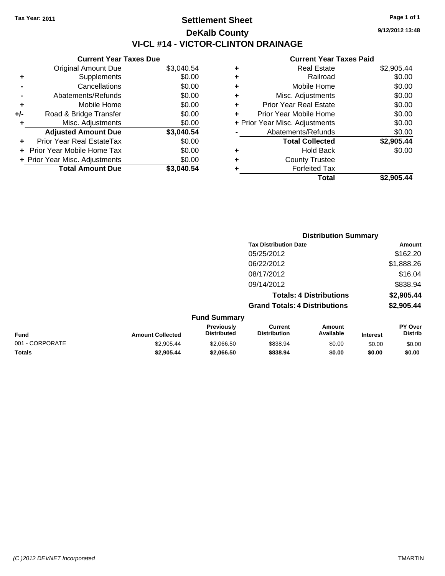**Current Year Taxes Due**

# **Settlement Sheet Tax Year: 2011 Page 1 of 1 DeKalb County VI-CL #14 - VICTOR-CLINTON DRAINAGE**

**9/12/2012 13:48**

| \$2,905.44 | <b>Real Estate</b>             | ٠ | \$3,040.54 | <b>Original Amount Due</b>     |     |
|------------|--------------------------------|---|------------|--------------------------------|-----|
| \$0.00     | Railroad                       | ٠ | \$0.00     | Supplements                    | ٠   |
| \$0.00     | Mobile Home                    | ٠ | \$0.00     | Cancellations                  |     |
| \$0.00     | Misc. Adjustments              | ٠ | \$0.00     | Abatements/Refunds             |     |
| \$0.00     | <b>Prior Year Real Estate</b>  | ٠ | \$0.00     | Mobile Home                    | ٠   |
| \$0.00     | Prior Year Mobile Home         | ٠ | \$0.00     | Road & Bridge Transfer         | +/- |
| \$0.00     | + Prior Year Misc. Adjustments |   | \$0.00     | Misc. Adjustments              |     |
| \$0.00     | Abatements/Refunds             |   | \$3,040.54 | <b>Adjusted Amount Due</b>     |     |
| \$2,905.44 | <b>Total Collected</b>         |   | \$0.00     | Prior Year Real EstateTax      | ٠   |
| \$0.00     | <b>Hold Back</b>               | ٠ | \$0.00     | + Prior Year Mobile Home Tax   |     |
|            | <b>County Trustee</b>          | ٠ | \$0.00     | + Prior Year Misc. Adjustments |     |
|            | <b>Forfeited Tax</b>           |   | \$3,040.54 | <b>Total Amount Due</b>        |     |
| \$2,905.44 | <b>Total</b>                   |   |            |                                |     |

|                 |                         |                                  | <b>Distribution Summary</b>           |                     |                 |                                  |  |
|-----------------|-------------------------|----------------------------------|---------------------------------------|---------------------|-----------------|----------------------------------|--|
|                 |                         |                                  | <b>Tax Distribution Date</b>          |                     |                 | Amount                           |  |
|                 |                         |                                  | 05/25/2012                            |                     |                 | \$162.20                         |  |
|                 |                         |                                  | 06/22/2012                            |                     |                 | \$1,888.26                       |  |
|                 |                         |                                  | 08/17/2012                            |                     |                 | \$16.04                          |  |
|                 |                         |                                  | 09/14/2012                            |                     |                 | \$838.94                         |  |
|                 |                         |                                  | <b>Totals: 4 Distributions</b>        |                     |                 | \$2,905.44                       |  |
|                 |                         |                                  | <b>Grand Totals: 4 Distributions</b>  |                     |                 | \$2,905.44                       |  |
|                 |                         | <b>Fund Summary</b>              |                                       |                     |                 |                                  |  |
| <b>Fund</b>     | <b>Amount Collected</b> | Previously<br><b>Distributed</b> | <b>Current</b><br><b>Distribution</b> | Amount<br>Available | <b>Interest</b> | <b>PY Over</b><br><b>Distrib</b> |  |
| 001 - CORPORATE | \$2,905.44              | \$2,066.50                       | \$838.94                              | \$0.00              | \$0.00          | \$0.00                           |  |
| Totals          | \$2,905.44              | \$2,066.50                       | \$838.94                              | \$0.00              | \$0.00          | \$0.00                           |  |